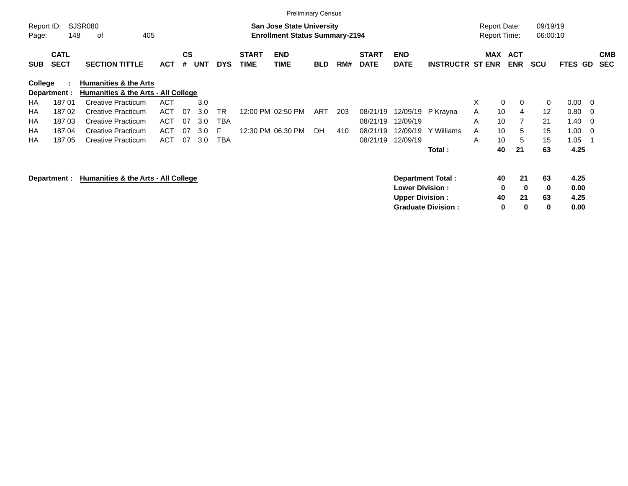|                     |                            |                                                                         |            |                    |            |            |                             |                                                                    | <b>Preliminary Census</b> |     |                             |                           |                           |   |                                            |                          |                      |                |     |                          |
|---------------------|----------------------------|-------------------------------------------------------------------------|------------|--------------------|------------|------------|-----------------------------|--------------------------------------------------------------------|---------------------------|-----|-----------------------------|---------------------------|---------------------------|---|--------------------------------------------|--------------------------|----------------------|----------------|-----|--------------------------|
| Report ID:<br>Page: | 148                        | SJSR080<br>405<br>οf                                                    |            |                    |            |            |                             | San Jose State University<br><b>Enrollment Status Summary-2194</b> |                           |     |                             |                           |                           |   | <b>Report Date:</b><br><b>Report Time:</b> |                          | 09/19/19<br>06:00:10 |                |     |                          |
| <b>SUB</b>          | <b>CATL</b><br><b>SECT</b> | <b>SECTION TITTLE</b>                                                   | <b>ACT</b> | $\mathsf{cs}$<br># | <b>UNT</b> | <b>DYS</b> | <b>START</b><br><b>TIME</b> | <b>END</b><br><b>TIME</b>                                          | <b>BLD</b>                | RM# | <b>START</b><br><b>DATE</b> | <b>END</b><br><b>DATE</b> | <b>INSTRUCTR ST ENR</b>   |   | MAX                                        | <b>ACT</b><br><b>ENR</b> | <b>SCU</b>           | <b>FTES GD</b> |     | <b>CMB</b><br><b>SEC</b> |
| College             | Department :               | <b>Humanities &amp; the Arts</b><br>Humanities & the Arts - All College |            |                    |            |            |                             |                                                                    |                           |     |                             |                           |                           |   |                                            |                          |                      |                |     |                          |
| HA                  | 18701                      | <b>Creative Practicum</b>                                               | <b>ACT</b> |                    | 3.0        |            |                             |                                                                    |                           |     |                             |                           |                           | X | $\mathbf 0$                                | $\mathbf{0}$             | 0                    | 0.00           | - 0 |                          |
| HA                  | 18702                      | <b>Creative Practicum</b>                                               | ACT        | 07                 | 3.0        | <b>TR</b>  |                             | 12:00 PM 02:50 PM                                                  | ART                       | 203 | 08/21/19                    | 12/09/19                  | P Krayna                  | A | 10                                         | 4                        | 12                   | 0.80           | - 0 |                          |
| НA                  | 18703                      | Creative Practicum                                                      | ACT        | 07                 | 3.0        | <b>TBA</b> |                             |                                                                    |                           |     | 08/21/19                    | 12/09/19                  |                           | A | 10                                         |                          | 21                   | 1.40           | - 0 |                          |
| HA                  | 18704                      | <b>Creative Practicum</b>                                               | ACT        | 07                 | 3.0        | F          |                             | 12:30 PM 06:30 PM                                                  | <b>DH</b>                 | 410 | 08/21/19                    | 12/09/19                  | Y Williams                | A | 10                                         | 5                        | 15                   | 1.00           | - 0 |                          |
| НA                  | 18705                      | Creative Practicum                                                      | <b>ACT</b> | 07                 | 3.0        | <b>TBA</b> |                             |                                                                    |                           |     | 08/21/19                    | 12/09/19                  |                           | A | 10                                         | 5                        | 15                   | 1.05           |     |                          |
|                     |                            |                                                                         |            |                    |            |            |                             |                                                                    |                           |     |                             |                           | Total:                    |   | 40                                         | 21                       | 63                   | 4.25           |     |                          |
|                     | Department :               | Humanities & the Arts - All College                                     |            |                    |            |            |                             |                                                                    |                           |     |                             |                           | <b>Department Total:</b>  |   | 40                                         | 21                       | 63                   | 4.25           |     |                          |
|                     |                            |                                                                         |            |                    |            |            |                             |                                                                    |                           |     |                             | <b>Lower Division:</b>    |                           |   | 0                                          | $\bf{0}$                 | 0                    | 0.00           |     |                          |
|                     |                            |                                                                         |            |                    |            |            |                             |                                                                    |                           |     |                             | <b>Upper Division:</b>    |                           |   | 40                                         | 21                       | 63                   | 4.25           |     |                          |
|                     |                            |                                                                         |            |                    |            |            |                             |                                                                    |                           |     |                             |                           | <b>Graduate Division:</b> |   | 0                                          | 0                        | 0                    | 0.00           |     |                          |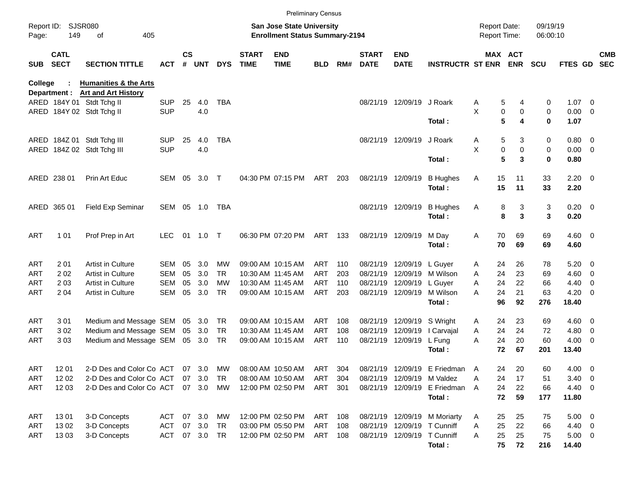|                |                            |                                                                |            |               |        |            |                             |                                                                           | <b>Preliminary Census</b> |       |                             |                            |                              |                                     |                            |                      |                |                          |                          |
|----------------|----------------------------|----------------------------------------------------------------|------------|---------------|--------|------------|-----------------------------|---------------------------------------------------------------------------|---------------------------|-------|-----------------------------|----------------------------|------------------------------|-------------------------------------|----------------------------|----------------------|----------------|--------------------------|--------------------------|
| Page:          | Report ID: SJSR080<br>149  | of<br>405                                                      |            |               |        |            |                             | <b>San Jose State University</b><br><b>Enrollment Status Summary-2194</b> |                           |       |                             |                            |                              | <b>Report Date:</b><br>Report Time: |                            | 09/19/19<br>06:00:10 |                |                          |                          |
| SUB            | <b>CATL</b><br><b>SECT</b> | <b>SECTION TITTLE</b>                                          | <b>ACT</b> | $\mathsf{cs}$ | # UNT  | <b>DYS</b> | <b>START</b><br><b>TIME</b> | <b>END</b><br><b>TIME</b>                                                 | <b>BLD</b>                | RM#   | <b>START</b><br><b>DATE</b> | <b>END</b><br><b>DATE</b>  | <b>INSTRUCTR ST ENR</b>      |                                     | MAX ACT<br><b>ENR</b>      | <b>SCU</b>           | FTES GD        |                          | <b>CMB</b><br><b>SEC</b> |
| <b>College</b> | Department :               | <b>Humanities &amp; the Arts</b><br><b>Art and Art History</b> |            |               |        |            |                             |                                                                           |                           |       |                             |                            |                              |                                     |                            |                      |                |                          |                          |
|                |                            | ARED 184Y 01 Stdt Tchg II                                      | <b>SUP</b> | 25            | 4.0    | <b>TBA</b> |                             |                                                                           |                           |       |                             | 08/21/19 12/09/19 J Roark  |                              | A                                   | 5<br>4                     | 0                    | $1.07 \t 0$    |                          |                          |
|                |                            | ARED 184Y 02 Stdt Tchg II                                      | <b>SUP</b> |               | 4.0    |            |                             |                                                                           |                           |       |                             |                            |                              | X                                   | 0<br>$\mathbf 0$           | 0                    | $0.00 \t 0$    |                          |                          |
|                |                            |                                                                |            |               |        |            |                             |                                                                           |                           |       |                             |                            | Total:                       |                                     | 5<br>4                     | 0                    | 1.07           |                          |                          |
|                |                            | ARED 184Z 01 Stdt Tchg III                                     | <b>SUP</b> | 25            | 4.0    | <b>TBA</b> |                             |                                                                           |                           |       |                             | 08/21/19 12/09/19 J Roark  |                              | A                                   | 5<br>3                     | 0                    | $0.80 \ 0$     |                          |                          |
|                |                            | ARED 184Z 02 Stdt Tchg III                                     | <b>SUP</b> |               | 4.0    |            |                             |                                                                           |                           |       |                             |                            |                              | X                                   | $\mathbf 0$<br>$\mathbf 0$ | 0                    | $0.00 \t 0$    |                          |                          |
|                |                            |                                                                |            |               |        |            |                             |                                                                           |                           |       |                             |                            | Total:                       |                                     | 5<br>3                     | 0                    | 0.80           |                          |                          |
|                | ARED 238 01                | Prin Art Educ                                                  | SEM 05     |               | 3.0    | $\top$     |                             | 04:30 PM 07:15 PM                                                         | ART                       | 203   |                             | 08/21/19 12/09/19          | <b>B</b> Hughes              | 15<br>Α                             | 11                         | 33                   | $2.20 \t 0$    |                          |                          |
|                |                            |                                                                |            |               |        |            |                             |                                                                           |                           |       |                             |                            | Total:                       | 15                                  | 11                         | 33                   | 2.20           |                          |                          |
|                | ARED 365 01                | <b>Field Exp Seminar</b>                                       | SEM 05 1.0 |               |        | TBA        |                             |                                                                           |                           |       |                             | 08/21/19 12/09/19          | <b>B</b> Hughes              | Α                                   | 3<br>8                     | 3                    | $0.20 \ 0$     |                          |                          |
|                |                            |                                                                |            |               |        |            |                             |                                                                           |                           |       |                             |                            | Total:                       |                                     | 3<br>8                     | 3                    | 0.20           |                          |                          |
| ART            | 1 0 1                      | Prof Prep in Art                                               | <b>LEC</b> | 01            | 1.0 T  |            |                             | 06:30 PM 07:20 PM                                                         | ART                       | - 133 |                             | 08/21/19 12/09/19          | M Day                        | Α<br>70                             | 69                         | 69                   | $4.60 \ 0$     |                          |                          |
|                |                            |                                                                |            |               |        |            |                             |                                                                           |                           |       |                             |                            | Total:                       | 70                                  | 69                         | 69                   | 4.60           |                          |                          |
| ART            | 201                        | <b>Artist in Culture</b>                                       | <b>SEM</b> | 05            | 3.0    | МW         |                             | 09:00 AM 10:15 AM                                                         | ART                       | 110   |                             | 08/21/19 12/09/19          | L Guver                      | 24<br>A                             | 26                         | 78                   | $5.20 \ 0$     |                          |                          |
| ART            | 202                        | Artist in Culture                                              | <b>SEM</b> | 05            | 3.0    | <b>TR</b>  |                             | 10:30 AM 11:45 AM                                                         | <b>ART</b>                | 203   | 08/21/19                    |                            | 12/09/19 M Wilson            | 24<br>A                             | 23                         | 69                   | $4.60 \ 0$     |                          |                          |
| ART            | 203                        | <b>Artist in Culture</b>                                       | <b>SEM</b> | 05            | 3.0    | MW         |                             | 10:30 AM 11:45 AM                                                         | <b>ART</b>                | 110   |                             | 08/21/19 12/09/19          | L Guyer                      | 24<br>A                             | 22                         | 66                   | 4.40           | $\overline{\phantom{0}}$ |                          |
| ART            | 2 0 4                      | <b>Artist in Culture</b>                                       | <b>SEM</b> | 05            | 3.0    | <b>TR</b>  |                             | 09:00 AM 10:15 AM                                                         | ART                       | 203   |                             |                            | 08/21/19 12/09/19 M Wilson   | 24<br>A                             | 21                         | 63                   | $4.20 \ 0$     |                          |                          |
|                |                            |                                                                |            |               |        |            |                             |                                                                           |                           |       |                             |                            | Total:                       | 96                                  | 92                         | 276                  | 18.40          |                          |                          |
| ART            | 301                        | Medium and Message SEM                                         |            |               | 05 3.0 | TR         |                             | 09:00 AM 10:15 AM                                                         | ART                       | 108   |                             | 08/21/19 12/09/19 S Wright |                              | 24<br>A                             | 23                         | 69                   | $4.60 \quad 0$ |                          |                          |
| ART            | 302                        | Medium and Message SEM                                         |            |               | 05 3.0 | TR         |                             | 10:30 AM 11:45 AM                                                         | <b>ART</b>                | 108   | 08/21/19                    | 12/09/19                   | I Carvajal                   | 24<br>A                             | 24                         | 72                   | 4.80 0         |                          |                          |
| ART            | 303                        | Medium and Message SEM                                         |            |               | 05 3.0 | TR         |                             | 09:00 AM 10:15 AM                                                         | <b>ART</b>                | 110   |                             | 08/21/19 12/09/19          | L Fung                       | 24<br>A                             | 20                         | 60                   | $4.00 \ 0$     |                          |                          |
|                |                            |                                                                |            |               |        |            |                             |                                                                           |                           |       |                             |                            | Total:                       | 72                                  | 67                         | 201                  | 13.40          |                          |                          |
| <b>ART</b>     | 12 01                      | 2-D Des and Color Co ACT                                       |            | 07            | 3.0    | MW         |                             | 08:00 AM 10:50 AM                                                         | <b>ART</b>                | 304   |                             |                            | 08/21/19 12/09/19 E Friedman | 24<br>$\mathsf{A}$                  | 20                         | 60                   | 4.00           | $\overline{\phantom{0}}$ |                          |
| ART            | 12 02                      | 2-D Des and Color Co ACT                                       |            |               | 07 3.0 | TR         |                             | 08:00 AM 10:50 AM                                                         | <b>ART</b>                | 304   |                             |                            | 08/21/19 12/09/19 M Valdez   | 24<br>Α                             | 17                         | 51                   | $3.40 \ 0$     |                          |                          |
| ART            | 12 03                      | 2-D Des and Color Co ACT                                       |            |               | 07 3.0 | MW         |                             | 12:00 PM 02:50 PM                                                         | ART                       | 301   |                             |                            | 08/21/19 12/09/19 E Friedman | 24<br>$\overline{A}$                | 22                         | 66                   | 4.40 0         |                          |                          |
|                |                            |                                                                |            |               |        |            |                             |                                                                           |                           |       |                             |                            | Total:                       |                                     | 72<br>59                   | 177                  | 11.80          |                          |                          |
| ART            | 1301                       | 3-D Concepts                                                   | ACT        |               | 07 3.0 | МW         |                             | 12:00 PM 02:50 PM                                                         | ART                       | 108   |                             |                            | 08/21/19 12/09/19 M Moriarty | 25<br>Α                             | 25                         | 75                   | $5.00 \t 0$    |                          |                          |
| ART            | 1302                       | 3-D Concepts                                                   | ACT        |               | 07 3.0 | TR         |                             | 03:00 PM 05:50 PM                                                         | ART                       | 108   |                             |                            | 08/21/19 12/09/19 T Cunniff  | 25<br>Α                             | 22                         | 66                   | 4.40 0         |                          |                          |
| ART            | 1303                       | 3-D Concepts                                                   | <b>ACT</b> |               | 07 3.0 | TR         |                             | 12:00 PM 02:50 PM                                                         | ART 108                   |       |                             |                            | 08/21/19 12/09/19 T Cunniff  | 25<br>Α                             | 25                         | 75                   | $5.00 \t 0$    |                          |                          |
|                |                            |                                                                |            |               |        |            |                             |                                                                           |                           |       |                             |                            | Total:                       | 75                                  | 72                         | 216                  | 14.40          |                          |                          |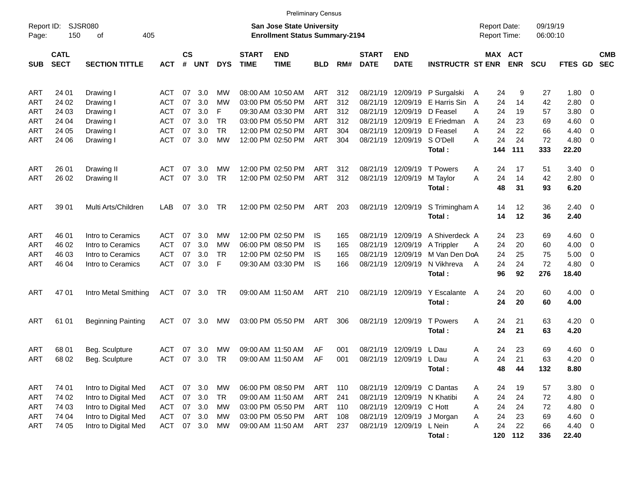|                     |                            |                           |            |                |            |            |                             | <b>Preliminary Census</b>                                                 |            |            |                             |                             |                               |                                            |                       |                      |                |                          |                          |
|---------------------|----------------------------|---------------------------|------------|----------------|------------|------------|-----------------------------|---------------------------------------------------------------------------|------------|------------|-----------------------------|-----------------------------|-------------------------------|--------------------------------------------|-----------------------|----------------------|----------------|--------------------------|--------------------------|
| Report ID:<br>Page: | 150                        | SJSR080<br>405<br>оf      |            |                |            |            |                             | <b>San Jose State University</b><br><b>Enrollment Status Summary-2194</b> |            |            |                             |                             |                               | <b>Report Date:</b><br><b>Report Time:</b> |                       | 09/19/19<br>06:00:10 |                |                          |                          |
| <b>SUB</b>          | <b>CATL</b><br><b>SECT</b> | <b>SECTION TITTLE</b>     | <b>ACT</b> | <b>CS</b><br># | <b>UNT</b> | <b>DYS</b> | <b>START</b><br><b>TIME</b> | <b>END</b><br><b>TIME</b>                                                 | <b>BLD</b> | RM#        | <b>START</b><br><b>DATE</b> | <b>END</b><br><b>DATE</b>   | <b>INSTRUCTR ST ENR</b>       |                                            | MAX ACT<br><b>ENR</b> | <b>SCU</b>           | FTES GD        |                          | <b>CMB</b><br><b>SEC</b> |
| ART                 | 24 01                      | Drawing I                 | ACT        | 07             | 3.0        | МW         |                             | 08:00 AM 10:50 AM                                                         | ART        | 312        |                             |                             | 08/21/19 12/09/19 P Surgalski | 24<br>A                                    | 9                     | 27                   | 1.80 0         |                          |                          |
| ART                 | 24 02                      | Drawing I                 | ACT        | 07             | 3.0        | МW         |                             | 03:00 PM 05:50 PM                                                         | <b>ART</b> | 312        | 08/21/19                    |                             | 12/09/19 E Harris Sin         | 24<br>A                                    | 14                    | 42                   | 2.80           | - 0                      |                          |
| ART                 | 24 03                      | Drawing I                 | <b>ACT</b> | 07             | 3.0        | F          |                             | 09:30 AM 03:30 PM                                                         | <b>ART</b> | 312        | 08/21/19                    | 12/09/19 D Feasel           |                               | 24<br>A                                    | 19                    | 57                   | 3.80           | $\overline{\mathbf{0}}$  |                          |
| ART                 | 24 04                      | Drawing I                 | <b>ACT</b> | 07             | 3.0        | <b>TR</b>  |                             | 03:00 PM 05:50 PM                                                         | ART        | 312        | 08/21/19                    |                             | 12/09/19 E Friedman           | 24<br>A                                    | 23                    | 69                   | 4.60           | $\overline{\mathbf{0}}$  |                          |
| <b>ART</b>          | 24 05                      | Drawing I                 | <b>ACT</b> | 07             | 3.0        | <b>TR</b>  |                             | 12:00 PM 02:50 PM                                                         | <b>ART</b> | 304        | 08/21/19                    | 12/09/19 D Feasel           |                               | 24<br>A                                    | 22                    | 66                   | 4.40           | $\overline{\mathbf{0}}$  |                          |
| <b>ART</b>          | 24 06                      | Drawing I                 | <b>ACT</b> | 07             | 3.0        | <b>MW</b>  |                             | 12:00 PM 02:50 PM                                                         | <b>ART</b> | 304        |                             | 08/21/19 12/09/19 SO'Dell   |                               | 24<br>A                                    | 24                    | 72                   | $4.80\ 0$      |                          |                          |
|                     |                            |                           |            |                |            |            |                             |                                                                           |            |            |                             |                             | Total:                        | 144                                        | 111                   | 333                  | 22.20          |                          |                          |
| ART                 | 26 01                      | Drawing II                | ACT        | 07             | 3.0        | МW         |                             | 12:00 PM 02:50 PM                                                         | <b>ART</b> | 312        |                             | 08/21/19 12/09/19 T Powers  |                               | 24<br>A                                    | 17                    | 51                   | $3.40 \quad 0$ |                          |                          |
| ART                 | 26 02                      | Drawing II                | <b>ACT</b> | 07             | 3.0        | <b>TR</b>  |                             | 12:00 PM 02:50 PM                                                         | <b>ART</b> | 312        |                             | 08/21/19 12/09/19           | M Taylor                      | 24<br>A                                    | 14                    | 42                   | 2.80 0         |                          |                          |
|                     |                            |                           |            |                |            |            |                             |                                                                           |            |            |                             |                             | Total:                        | 48                                         | 31                    | 93                   | 6.20           |                          |                          |
| ART                 | 39 01                      | Multi Arts/Children       | LAB        | 07             | 3.0        | TR         |                             | 12:00 PM 02:50 PM                                                         | ART        | 203        |                             | 08/21/19 12/09/19           | S Trimingham A                | 14                                         | 12                    | 36                   | $2.40 \ 0$     |                          |                          |
|                     |                            |                           |            |                |            |            |                             |                                                                           |            |            |                             |                             | Total:                        | 14                                         | 12                    | 36                   | 2.40           |                          |                          |
| ART                 | 46 01                      | Intro to Ceramics         | ACT        | 07             | 3.0        | МW         |                             | 12:00 PM 02:50 PM                                                         | IS         |            |                             | 08/21/19 12/09/19           | A Shiverdeck A                | 24                                         | 23                    | 69                   | $4.60 \quad 0$ |                          |                          |
| ART                 | 46 02                      | Intro to Ceramics         | <b>ACT</b> | 07             | 3.0        | МW         |                             | 06:00 PM 08:50 PM                                                         | IS         | 165<br>165 |                             | 08/21/19 12/09/19           | A Trippler                    | 24<br>A                                    | 20                    | 60                   | 4.00           | $\overline{\phantom{0}}$ |                          |
| ART                 | 46 03                      | Intro to Ceramics         | <b>ACT</b> | 07             | 3.0        | TR.        |                             | 12:00 PM 02:50 PM                                                         | IS         | 165        |                             | 08/21/19 12/09/19           | M Van Den DoA                 | 24                                         | 25                    | 75                   | 5.00           | $\overline{\mathbf{0}}$  |                          |
| <b>ART</b>          | 46 04                      | Intro to Ceramics         | <b>ACT</b> | 07             | 3.0        | F          |                             | 09:30 AM 03:30 PM                                                         | IS         | 166        |                             | 08/21/19 12/09/19           | N Vikhreva                    | 24<br>A                                    | 24                    | 72                   | 4.80           | $\overline{\mathbf{0}}$  |                          |
|                     |                            |                           |            |                |            |            |                             |                                                                           |            |            |                             |                             | Total:                        | 96                                         | 92                    | 276                  | 18.40          |                          |                          |
| ART                 | 47 01                      | Intro Metal Smithing      | ACT        |                | 07 3.0     | TR         |                             | 09:00 AM 11:50 AM                                                         | ART        | 210        |                             | 08/21/19 12/09/19           | Y Escalante                   | 24<br>A                                    | 20                    | 60                   | $4.00 \ 0$     |                          |                          |
|                     |                            |                           |            |                |            |            |                             |                                                                           |            |            |                             |                             | Total:                        | 24                                         | 20                    | 60                   | 4.00           |                          |                          |
| ART                 | 61 01                      | <b>Beginning Painting</b> | ACT        | 07             | 3.0        | MW         |                             | 03:00 PM 05:50 PM                                                         | ART        | 306        |                             | 08/21/19 12/09/19           | <b>T</b> Powers               | A                                          | 24<br>21              | 63                   | $4.20 \ 0$     |                          |                          |
|                     |                            |                           |            |                |            |            |                             |                                                                           |            |            |                             |                             | Total:                        | 24                                         | 21                    | 63                   | 4.20           |                          |                          |
| ART                 | 68 01                      | Beg. Sculpture            | <b>ACT</b> | 07             | 3.0        | МW         |                             | 09:00 AM 11:50 AM                                                         | AF         | 001        |                             | 08/21/19 12/09/19           | L Dau                         | 24<br>Α                                    | 23                    | 69                   | $4.60 \quad 0$ |                          |                          |
| ART                 | 68 02                      | Beg. Sculpture            | <b>ACT</b> | 07             | 3.0        | TR         |                             | 09:00 AM 11:50 AM                                                         | AF         | 001        |                             | 08/21/19 12/09/19 L Dau     |                               | 24<br>Α                                    | 21                    | 63                   | 4.20           | $\overline{\mathbf{0}}$  |                          |
|                     |                            |                           |            |                |            |            |                             |                                                                           |            |            |                             |                             | Total:                        |                                            | 48<br>44              | 132                  | 8.80           |                          |                          |
| <b>ART</b>          | 74 01                      | Intro to Digital Med      | ACT        |                | 07 3.0     | МW         |                             | 06:00 PM 08:50 PM                                                         | ART        | 110        |                             |                             | 08/21/19 12/09/19 C Dantas    | 24<br>A                                    | 19                    | 57                   | $3.80\ 0$      |                          |                          |
| <b>ART</b>          | 74 02                      | Intro to Digital Med      | <b>ACT</b> |                | 07 3.0     | TR         |                             | 09:00 AM 11:50 AM                                                         | <b>ART</b> | 241        |                             | 08/21/19 12/09/19 N Khatibi |                               | 24<br>Α                                    | 24                    | 72                   | 4.80 0         |                          |                          |
| ART                 | 74 03                      | Intro to Digital Med      | <b>ACT</b> |                | 07 3.0     | МW         |                             | 03:00 PM 05:50 PM                                                         | ART        | 110        |                             | 08/21/19 12/09/19 C Hott    |                               | 24<br>Α                                    | 24                    | 72                   | 4.80 0         |                          |                          |
| <b>ART</b>          | 74 04                      | Intro to Digital Med      | <b>ACT</b> |                | 07 3.0     | MW         |                             | 03:00 PM 05:50 PM                                                         | <b>ART</b> | 108        |                             |                             | 08/21/19 12/09/19 J Morgan    | 24<br>Α                                    | 23                    | 69                   | $4.60$ 0       |                          |                          |
| ART                 | 74 05                      | Intro to Digital Med      | <b>ACT</b> |                | 07 3.0     | МW         |                             | 09:00 AM 11:50 AM                                                         | ART        | 237        |                             | 08/21/19 12/09/19 L Nein    |                               | 24<br>A                                    | 22                    | 66                   | 4.40 0         |                          |                          |
|                     |                            |                           |            |                |            |            |                             |                                                                           |            |            |                             |                             | Total:                        |                                            | 120 112               | 336                  | 22.40          |                          |                          |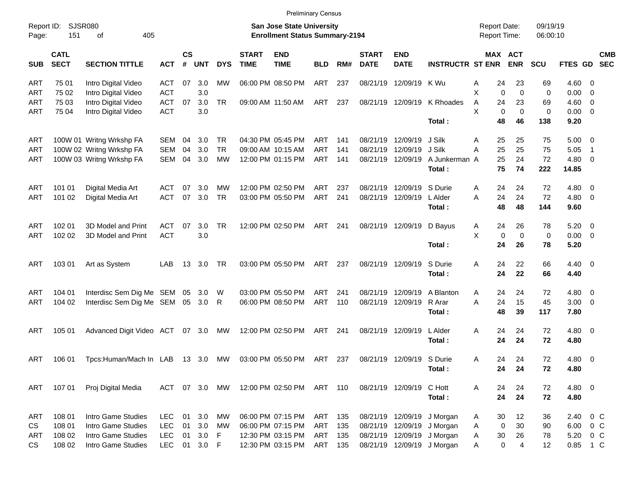| Report ID:<br>Page: | SJSR080<br>151             | 405<br>of                       |            |                    |            |            |                             | <b>San Jose State University</b><br><b>Enrollment Status Summary-2194</b> |            |     |                             |                           |                            | <b>Report Date:</b><br>Report Time: |                            | 09/19/19<br>06:00:10 |                |                          |            |
|---------------------|----------------------------|---------------------------------|------------|--------------------|------------|------------|-----------------------------|---------------------------------------------------------------------------|------------|-----|-----------------------------|---------------------------|----------------------------|-------------------------------------|----------------------------|----------------------|----------------|--------------------------|------------|
| <b>SUB</b>          | <b>CATL</b><br><b>SECT</b> | <b>SECTION TITTLE</b>           | <b>ACT</b> | $\mathsf{cs}$<br># | <b>UNT</b> | <b>DYS</b> | <b>START</b><br><b>TIME</b> | <b>END</b><br><b>TIME</b>                                                 | <b>BLD</b> | RM# | <b>START</b><br><b>DATE</b> | <b>END</b><br><b>DATE</b> | <b>INSTRUCTR ST ENR</b>    |                                     | MAX ACT<br><b>ENR</b>      | <b>SCU</b>           | FTES GD SEC    |                          | <b>CMB</b> |
| ART                 | 75 01                      | Intro Digital Video             | <b>ACT</b> | 07                 | 3.0        | <b>MW</b>  |                             | 06:00 PM 08:50 PM                                                         | ART        | 237 |                             | 08/21/19 12/09/19         | K Wu                       | 24<br>Α                             | 23                         | 69                   | 4.60 0         |                          |            |
| ART                 | 75 02                      | Intro Digital Video             | <b>ACT</b> |                    | 3.0        |            |                             |                                                                           |            |     |                             |                           |                            | X                                   | $\mathbf 0$<br>$\mathbf 0$ | 0                    | $0.00 \t 0$    |                          |            |
| ART                 | 75 03                      | Intro Digital Video             | <b>ACT</b> | 07                 | 3.0        | <b>TR</b>  |                             | 09:00 AM 11:50 AM                                                         | ART        | 237 |                             | 08/21/19 12/09/19         | K Rhoades                  | 24<br>A                             | 23                         | 69                   | $4.60$ 0       |                          |            |
| ART                 | 75 04                      | Intro Digital Video             | <b>ACT</b> |                    | 3.0        |            |                             |                                                                           |            |     |                             |                           |                            | X                                   | $\mathbf 0$<br>$\mathbf 0$ | 0                    | $0.00 \t 0$    |                          |            |
|                     |                            |                                 |            |                    |            |            |                             |                                                                           |            |     |                             |                           | Total:                     | 48                                  | 46                         | 138                  | 9.20           |                          |            |
| ART                 |                            | 100W 01 Writng Wrkshp FA        | SEM        | 04                 | 3.0        | TR         |                             | 04:30 PM 05:45 PM                                                         | ART        | 141 | 08/21/19 12/09/19           |                           | J Silk                     | 25<br>Α                             | 25                         | 75                   | $5.00 \t 0$    |                          |            |
| <b>ART</b>          |                            | 100W 02 Writng Wrkshp FA        | SEM        | 04                 | 3.0        | <b>TR</b>  |                             | 09:00 AM 10:15 AM                                                         | ART        | 141 | 08/21/19 12/09/19           |                           | J Silk                     | 25<br>A                             | 25                         | 75                   | 5.05           | $\overline{\phantom{1}}$ |            |
| ART                 |                            | 100W 03 Writng Wrkshp FA        | SEM        | 04                 | 3.0        | MW         |                             | 12:00 PM 01:15 PM                                                         | ART        | 141 |                             | 08/21/19 12/09/19         | A Junkerman A              | 25                                  | 24                         | 72                   | 4.80 0         |                          |            |
|                     |                            |                                 |            |                    |            |            |                             |                                                                           |            |     |                             |                           | Total:                     | 75                                  | 74                         | 222                  | 14.85          |                          |            |
| ART                 | 101 01                     | Digital Media Art               | <b>ACT</b> | 07                 | 3.0        | MW         |                             | 12:00 PM 02:50 PM                                                         | ART        | 237 | 08/21/19 12/09/19           |                           | S Durie                    | 24<br>Α                             | 24                         | 72                   | 4.80 0         |                          |            |
| <b>ART</b>          | 101 02                     | Digital Media Art               | <b>ACT</b> | 07                 | 3.0        | <b>TR</b>  |                             | 03:00 PM 05:50 PM                                                         | ART        | 241 |                             | 08/21/19 12/09/19         | L Alder                    | 24<br>A                             | 24                         | 72                   | 4.80 0         |                          |            |
|                     |                            |                                 |            |                    |            |            |                             |                                                                           |            |     |                             |                           | Total:                     | 48                                  | 48                         | 144                  | 9.60           |                          |            |
| ART                 | 102 01                     | 3D Model and Print              | <b>ACT</b> | 07                 | 3.0        | <b>TR</b>  |                             | 12:00 PM 02:50 PM                                                         | ART        | 241 | 08/21/19 12/09/19           |                           | D Bayus                    | 24<br>A                             | 26                         | 78                   | $5.20 \t 0$    |                          |            |
| <b>ART</b>          | 102 02                     | 3D Model and Print              | <b>ACT</b> |                    | 3.0        |            |                             |                                                                           |            |     |                             |                           |                            | X                                   | $\mathbf 0$<br>$\mathbf 0$ | 0                    | $0.00 \t 0$    |                          |            |
|                     |                            |                                 |            |                    |            |            |                             |                                                                           |            |     |                             |                           | Total:                     | 24                                  | 26                         | 78                   | 5.20           |                          |            |
| ART                 | 103 01                     | Art as System                   | LAB        | 13                 | 3.0        | TR         |                             | 03:00 PM 05:50 PM                                                         | ART        | 237 | 08/21/19 12/09/19           |                           | S Durie                    | Α<br>24                             | 22                         | 66                   | $4.40 \quad 0$ |                          |            |
|                     |                            |                                 |            |                    |            |            |                             |                                                                           |            |     |                             |                           | Total:                     | 24                                  | 22                         | 66                   | 4.40           |                          |            |
| ART                 | 104 01                     | Interdisc Sem Dig Me SEM 05 3.0 |            |                    |            | W          |                             | 03:00 PM 05:50 PM                                                         | ART        | 241 | 08/21/19                    | 12/09/19                  | A Blanton                  | 24<br>A                             | 24                         | 72                   | 4.80 0         |                          |            |
| <b>ART</b>          | 104 02                     | Interdisc Sem Dig Me SEM 05 3.0 |            |                    |            | R          |                             | 06:00 PM 08:50 PM                                                         | ART        | 110 | 08/21/19 12/09/19           |                           | R Arar                     | 24<br>A                             | 15                         | 45                   | $3.00 \ 0$     |                          |            |
|                     |                            |                                 |            |                    |            |            |                             |                                                                           |            |     |                             |                           | Total:                     | 48                                  | 39                         | 117                  | 7.80           |                          |            |
| ART                 | 105 01                     | Advanced Digit Video ACT        |            | 07                 | 3.0        | MW         |                             | 12:00 PM 02:50 PM                                                         | ART        | 241 | 08/21/19 12/09/19           |                           | L Alder                    | 24<br>Α                             | 24                         | 72                   | $4.80\ 0$      |                          |            |
|                     |                            |                                 |            |                    |            |            |                             |                                                                           |            |     |                             |                           | Total:                     | 24                                  | 24                         | 72                   | 4.80           |                          |            |
| ART                 | 106 01                     | Tpcs:Human/Mach In LAB          |            | 13                 | 3.0        | <b>MW</b>  |                             | 03:00 PM 05:50 PM                                                         | ART        | 237 | 08/21/19                    | 12/09/19                  | S Durie                    | 24<br>A                             | 24                         | 72                   | $4.80\ 0$      |                          |            |
|                     |                            |                                 |            |                    |            |            |                             |                                                                           |            |     |                             |                           | Total:                     | 24                                  | 24                         | 72                   | 4.80           |                          |            |
| ART                 | 107 01                     | Proj Digital Media              | ACT        | 07                 | 3.0        | MW         |                             | 12:00 PM 02:50 PM                                                         | ART        | 110 | 08/21/19 12/09/19           |                           | C Hott                     | 24<br>Α                             | 24                         | 72                   | 4.80 0         |                          |            |
|                     |                            |                                 |            |                    |            |            |                             |                                                                           |            |     |                             |                           | Total:                     | 24                                  | 24                         | 72                   | 4.80           |                          |            |
| ART                 | 108 01                     | Intro Game Studies              | <b>LEC</b> | 01                 | 3.0        | МW         |                             | 06:00 PM 07:15 PM                                                         | ART        | 135 |                             |                           | 08/21/19 12/09/19 J Morgan | 30<br>Α                             | 12                         | 36                   | 2.40           | $0\,$ C                  |            |
| CS                  | 108 01                     | Intro Game Studies              | <b>LEC</b> | 01                 | 3.0        | МW         |                             | 06:00 PM 07:15 PM                                                         | ART        | 135 |                             |                           | 08/21/19 12/09/19 J Morgan | A                                   | 30<br>0                    | 90                   | 6.00 0 C       |                          |            |
| ART                 | 108 02                     | Intro Game Studies              | <b>LEC</b> | 01                 | 3.0        | F          |                             | 12:30 PM 03:15 PM                                                         | ART        | 135 |                             |                           | 08/21/19 12/09/19 J Morgan | 30<br>A                             | 26                         | 78                   | 5.20 0 C       |                          |            |
| CS                  | 108 02                     | Intro Game Studies              | LEC        |                    | 01 3.0 F   |            |                             | 12:30 PM 03:15 PM                                                         | ART 135    |     |                             |                           | 08/21/19 12/09/19 J Morgan | A                                   | $\mathbf 0$<br>4           | 12                   | 0.85 1 C       |                          |            |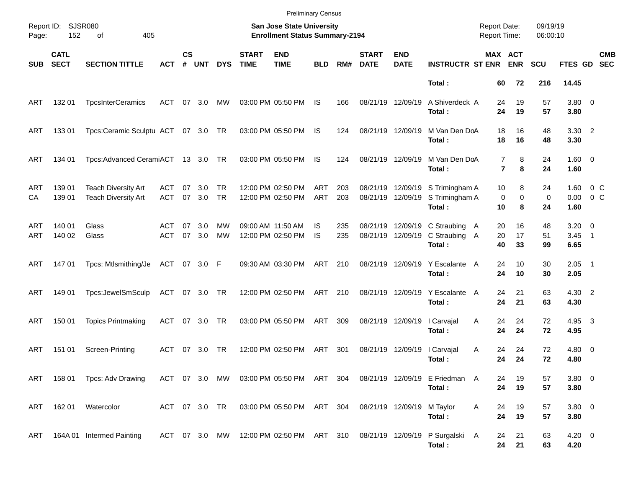|            |                            |                                                          |                   |                    |               |                  |                             | <b>Preliminary Census</b>                                          |            |            |                             |                           |                                                                                   |                                            |                       |                      |                            |                           |
|------------|----------------------------|----------------------------------------------------------|-------------------|--------------------|---------------|------------------|-----------------------------|--------------------------------------------------------------------|------------|------------|-----------------------------|---------------------------|-----------------------------------------------------------------------------------|--------------------------------------------|-----------------------|----------------------|----------------------------|---------------------------|
| Page:      | Report ID: SJSR080<br>152  | 405<br>οf                                                |                   |                    |               |                  |                             | San Jose State University<br><b>Enrollment Status Summary-2194</b> |            |            |                             |                           |                                                                                   | <b>Report Date:</b><br><b>Report Time:</b> |                       | 09/19/19<br>06:00:10 |                            |                           |
| <b>SUB</b> | <b>CATL</b><br><b>SECT</b> | <b>SECTION TITTLE</b>                                    | <b>ACT</b>        | $\mathsf{cs}$<br># | <b>UNT</b>    | <b>DYS</b>       | <b>START</b><br><b>TIME</b> | <b>END</b><br><b>TIME</b>                                          | <b>BLD</b> | RM#        | <b>START</b><br><b>DATE</b> | <b>END</b><br><b>DATE</b> | <b>INSTRUCTR ST ENR</b>                                                           | MAX ACT                                    | <b>ENR</b>            | <b>SCU</b>           | FTES GD                    | <b>CMB</b><br><b>SEC</b>  |
|            |                            |                                                          |                   |                    |               |                  |                             |                                                                    |            |            |                             |                           | Total:                                                                            | 60                                         | 72                    | 216                  | 14.45                      |                           |
| ART        | 132 01                     | <b>TpcsInterCeramics</b>                                 | ACT               | 07                 | 3.0           | МW               |                             | 03:00 PM 05:50 PM                                                  | IS         | 166        | 08/21/19 12/09/19           |                           | A Shiverdeck A<br>Total:                                                          | 24<br>24                                   | 19<br>19              | 57<br>57             | 3.80 0<br>3.80             |                           |
| ART        | 133 01                     | Tpcs:Ceramic Sculptu ACT 07 3.0 TR                       |                   |                    |               |                  |                             | 03:00 PM 05:50 PM                                                  | IS         | 124        | 08/21/19 12/09/19           |                           | M Van Den DoA<br>Total:                                                           | 18<br>18                                   | 16<br>16              | 48<br>48             | $3.30$ 2<br>3.30           |                           |
| ART        | 134 01                     | Tpcs: Advanced CeramiACT 13 3.0 TR                       |                   |                    |               |                  |                             | 03:00 PM 05:50 PM                                                  | IS         | 124        | 08/21/19 12/09/19           |                           | M Van Den DoA<br>Total:                                                           | 7<br>$\overline{7}$                        | 8<br>8                | 24<br>24             | $1.60 \t 0$<br>1.60        |                           |
| ART<br>СA  | 139 01<br>139 01           | <b>Teach Diversity Art</b><br><b>Teach Diversity Art</b> | ACT<br><b>ACT</b> | 07                 | 3.0<br>07 3.0 | TR.<br><b>TR</b> |                             | 12:00 PM 02:50 PM<br>12:00 PM 02:50 PM                             | ART<br>ART | 203<br>203 | 08/21/19 12/09/19           | 08/21/19 12/09/19         | S Trimingham A<br>S Trimingham A<br>Total:                                        | 10<br>0<br>10                              | 8<br>$\mathbf 0$<br>8 | 24<br>0<br>24        | 1.60<br>0.00<br>1.60       | $0\,$ C<br>0 <sup>o</sup> |
| ART<br>ART | 140 01<br>140 02           | Glass<br>Glass                                           | ACT<br><b>ACT</b> | 07<br>07           | 3.0<br>3.0    | MW<br><b>MW</b>  |                             | 09:00 AM 11:50 AM<br>12:00 PM 02:50 PM                             | IS<br>IS   | 235<br>235 | 08/21/19 12/09/19           | 08/21/19 12/09/19         | C Straubing A<br>C Straubing A<br>Total:                                          | 20<br>20<br>40                             | 16<br>17<br>33        | 48<br>51<br>99       | $3.20 \ 0$<br>3.45<br>6.65 | $\overline{\phantom{1}}$  |
| ART        | 147 01                     | Tpcs: Mtlsmithing/Je                                     | ACT 07 3.0 F      |                    |               |                  |                             | 09:30 AM 03:30 PM                                                  | ART        | 210        |                             | 08/21/19 12/09/19         | Y Escalante A<br>Total:                                                           | 24<br>24                                   | 10<br>10              | 30<br>30             | $2.05$ 1<br>2.05           |                           |
| ART        | 149 01                     | Tpcs:JewelSmSculp                                        | ACT 07 3.0 TR     |                    |               |                  |                             | 12:00 PM 02:50 PM                                                  | ART 210    |            |                             | 08/21/19 12/09/19         | Y Escalante<br>Total:                                                             | 24<br>A<br>24                              | 21<br>21              | 63<br>63             | 4.30 2<br>4.30             |                           |
| ART        | 150 01                     | <b>Topics Printmaking</b>                                | ACT               |                    | 07 3.0        | TR               |                             | 03:00 PM 05:50 PM                                                  | ART        | 309        | 08/21/19 12/09/19           |                           | I Carvajal<br>Total:                                                              | Α<br>24<br>24                              | 24<br>24              | 72<br>72             | 4.95 3<br>4.95             |                           |
| ART        | 151 01                     | Screen-Printing                                          | ACT               | 07                 | 3.0           | TR               |                             | 12:00 PM 02:50 PM                                                  | ART        | 301        | 08/21/19 12/09/19           |                           | I Carvajal<br>Total:                                                              | 24<br>Α<br>24                              | 24<br>24              | 72<br>72             | $4.80\ 0$<br>4.80          |                           |
|            |                            | ART 158 01 Tpcs: Adv Drawing                             |                   |                    |               |                  |                             |                                                                    |            |            |                             |                           | ACT 07 3.0 MW 03:00 PM 05:50 PM ART 304 08/21/19 12/09/19 E Friedman A<br>Total:  | 24<br>24                                   | 19<br>19              | 57<br>57             | $3.80\ 0$<br>3.80          |                           |
| ART        |                            | 162 01 Watercolor                                        |                   |                    |               | ACT 07 3.0 TR    |                             | 03:00 PM 05:50 PM ART 304                                          |            |            | 08/21/19 12/09/19           |                           | M Taylor<br>Total:                                                                | Α<br>24<br>24                              | 19<br>19              | 57<br>57             | $3.80\ 0$<br>3.80          |                           |
| ART        |                            | 164A 01 Intermed Painting                                |                   |                    |               |                  |                             |                                                                    |            |            |                             |                           | ACT 07 3.0 MW 12:00 PM 02:50 PM ART 310 08/21/19 12/09/19 P Surgalski A<br>Total: | 24                                         | 21<br>24<br>21        | 63<br>63             | $4.20 \ 0$<br>4.20         |                           |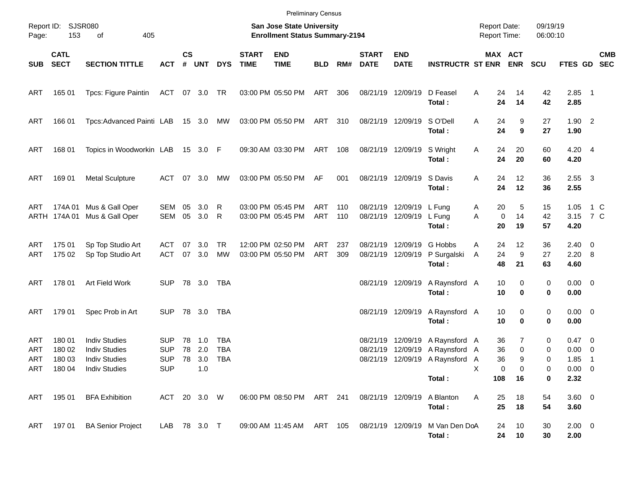|                   |                                          |                                                                                              |                                               |                    |                          |                                 |                             | <b>Preliminary Census</b>                                          |                   |            |                             |                                               |                                                                                     |                                            |                              |                      |                                                      |                           |
|-------------------|------------------------------------------|----------------------------------------------------------------------------------------------|-----------------------------------------------|--------------------|--------------------------|---------------------------------|-----------------------------|--------------------------------------------------------------------|-------------------|------------|-----------------------------|-----------------------------------------------|-------------------------------------------------------------------------------------|--------------------------------------------|------------------------------|----------------------|------------------------------------------------------|---------------------------|
| Page:             | Report ID: SJSR080<br>153                | 405<br>of                                                                                    |                                               |                    |                          |                                 |                             | San Jose State University<br><b>Enrollment Status Summary-2194</b> |                   |            |                             |                                               |                                                                                     | <b>Report Date:</b><br><b>Report Time:</b> |                              | 09/19/19<br>06:00:10 |                                                      |                           |
| SUB               | <b>CATL</b><br><b>SECT</b>               | <b>SECTION TITTLE</b>                                                                        | <b>ACT</b>                                    | $\mathsf{cs}$<br># | <b>UNT</b>               | <b>DYS</b>                      | <b>START</b><br><b>TIME</b> | <b>END</b><br><b>TIME</b>                                          | <b>BLD</b>        | RM#        | <b>START</b><br><b>DATE</b> | <b>END</b><br><b>DATE</b>                     | <b>INSTRUCTR ST ENR</b>                                                             |                                            | MAX ACT<br><b>ENR</b>        | <b>SCU</b>           |                                                      | <b>CMB</b><br>FTES GD SEC |
| <b>ART</b>        | 165 01                                   | Tpcs: Figure Paintin                                                                         | ACT 07 3.0 TR                                 |                    |                          |                                 |                             | 03:00 PM 05:50 PM                                                  | ART               | 306        | 08/21/19 12/09/19           |                                               | D Feasel<br>Total:                                                                  | Α<br>24<br>24                              | 14<br>14                     | 42<br>42             | $2.85$ 1<br>2.85                                     |                           |
| ART               | 166 01                                   | Tpcs:Advanced Painti LAB                                                                     |                                               |                    | 15 3.0 MW                |                                 |                             | 03:00 PM 05:50 PM                                                  | ART 310           |            |                             | 08/21/19 12/09/19                             | S O'Dell<br>Total:                                                                  | Α<br>24<br>24                              | 9<br>9                       | 27<br>27             | $1.90$ 2<br>1.90                                     |                           |
| <b>ART</b>        | 168 01                                   | Topics in Woodworkin LAB                                                                     |                                               |                    | 15 3.0 F                 |                                 |                             | 09:30 AM 03:30 PM                                                  | ART               | 108        |                             | 08/21/19 12/09/19                             | S Wright<br>Total:                                                                  | Α<br>24<br>24                              | 20<br>20                     | 60<br>60             | $4.20 \quad 4$<br>4.20                               |                           |
| <b>ART</b>        | 169 01                                   | <b>Metal Sculpture</b>                                                                       | ACT                                           |                    | 07 3.0                   | МW                              |                             | 03:00 PM 05:50 PM                                                  | AF                | 001        |                             | 08/21/19 12/09/19                             | S Davis<br>Total:                                                                   | Α<br>24<br>24                              | 12<br>12                     | 36<br>36             | $2.55 \quad 3$<br>2.55                               |                           |
| ART               | 174A 01<br>ARTH 174A 01                  | Mus & Gall Oper<br>Mus & Gall Oper                                                           | SEM<br>SEM                                    | 05<br>05           | 3.0<br>3.0               | R<br>R                          |                             | 03:00 PM 05:45 PM<br>03:00 PM 05:45 PM                             | ART<br>ART        | 110<br>110 |                             | 08/21/19 12/09/19 L Fung<br>08/21/19 12/09/19 | L Fung<br>Total:                                                                    | 20<br>A<br>A<br>20                         | 5<br>14<br>$\mathbf 0$<br>19 | 15<br>42<br>57       | 1.05<br>3.15 7 C<br>4.20                             | 1 C                       |
| ART<br>ART        | 175 01<br>175 02                         | Sp Top Studio Art<br>Sp Top Studio Art                                                       | ACT<br><b>ACT</b>                             | 07                 | 3.0<br>07 3.0            | <b>TR</b><br><b>MW</b>          |                             | 12:00 PM 02:50 PM<br>03:00 PM 05:50 PM                             | ART<br><b>ART</b> | 237<br>309 | 08/21/19 12/09/19           | 08/21/19 12/09/19                             | G Hobbs<br>P Surgalski<br>Total:                                                    | 24<br>A<br>24<br>A<br>48                   | 12<br>9<br>21                | 36<br>27<br>63       | $2.40 \quad 0$<br>$2.20\ 8$<br>4.60                  |                           |
| <b>ART</b>        | 178 01                                   | Art Field Work                                                                               | <b>SUP</b>                                    |                    | 78 3.0                   | TBA                             |                             |                                                                    |                   |            |                             | 08/21/19 12/09/19                             | A Raynsford A<br>Total:                                                             | 10<br>10                                   | 0<br>0                       | 0<br>0               | $0.00 \t 0$<br>0.00                                  |                           |
| ART               | 179 01                                   | Spec Prob in Art                                                                             | <b>SUP</b>                                    |                    | 78 3.0                   | TBA                             |                             |                                                                    |                   |            |                             | 08/21/19 12/09/19                             | A Raynsford A<br>Total:                                                             | 10<br>10                                   | 0<br>0                       | 0<br>0               | $0.00 \t 0$<br>0.00                                  |                           |
| ART<br>ART<br>ART | 180 01<br>180 02<br>180 03<br>ART 180 04 | <b>Indiv Studies</b><br><b>Indiv Studies</b><br><b>Indiv Studies</b><br><b>Indiv Studies</b> | <b>SUP</b><br><b>SUP</b><br><b>SUP</b><br>SUP | 78<br>78<br>78     | 1.0<br>2.0<br>3.0<br>1.0 | TBA<br><b>TBA</b><br><b>TBA</b> |                             |                                                                    |                   |            | 08/21/19<br>08/21/19        |                                               | 12/09/19 A Raynsford A<br>12/09/19 A Raynsford A<br>08/21/19 12/09/19 A Raynsford A | 36<br>36<br>36                             | 7<br>0<br>9<br>0             | 0<br>0<br>0          | $0.47 \quad 0$<br>$0.00 \t 0$<br>1.85<br>$0.00 \t 0$ | $\overline{1}$            |
| ART               | 195 01                                   | <b>BFA Exhibition</b>                                                                        | ACT 20 3.0 W                                  |                    |                          |                                 |                             | 06:00 PM 08:50 PM ART 241                                          |                   |            | 08/21/19 12/09/19           |                                               | Total:<br>A Blanton                                                                 | 108<br>25<br>Α                             | 16<br>18                     | 0<br>54              | 2.32<br>$3.60$ 0                                     |                           |
| ART               | 19701                                    | <b>BA Senior Project</b>                                                                     | LAB 78 3.0 T                                  |                    |                          |                                 |                             | 09:00 AM 11:45 AM ART 105                                          |                   |            | 08/21/19 12/09/19           |                                               | Total:<br>M Van Den DoA                                                             | 25<br>24                                   | 18<br>10                     | 54<br>30             | 3.60<br>$2.00 \t 0$                                  |                           |
|                   |                                          |                                                                                              |                                               |                    |                          |                                 |                             |                                                                    |                   |            |                             |                                               | Total:                                                                              | 24                                         | 10                           | 30                   | 2.00                                                 |                           |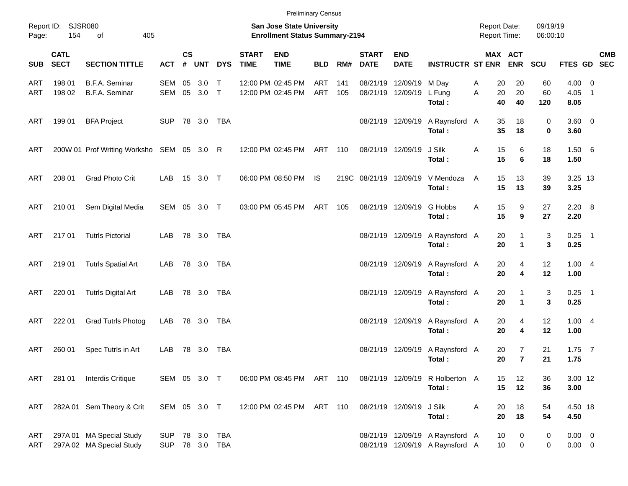|            |                            |                                                      |                              |                    |                 |              |                             | <b>Preliminary Census</b>                                                 |                   |            |                             |                                        |                                                                    |                                            |                                  |                      |                            |                          |            |
|------------|----------------------------|------------------------------------------------------|------------------------------|--------------------|-----------------|--------------|-----------------------------|---------------------------------------------------------------------------|-------------------|------------|-----------------------------|----------------------------------------|--------------------------------------------------------------------|--------------------------------------------|----------------------------------|----------------------|----------------------------|--------------------------|------------|
| Page:      | Report ID: SJSR080<br>154  | 405<br>of                                            |                              |                    |                 |              |                             | <b>San Jose State University</b><br><b>Enrollment Status Summary-2194</b> |                   |            |                             |                                        |                                                                    | <b>Report Date:</b><br><b>Report Time:</b> |                                  | 09/19/19<br>06:00:10 |                            |                          |            |
| <b>SUB</b> | <b>CATL</b><br><b>SECT</b> | <b>SECTION TITTLE</b>                                | <b>ACT</b>                   | $\mathsf{cs}$<br># | <b>UNT</b>      | <b>DYS</b>   | <b>START</b><br><b>TIME</b> | <b>END</b><br><b>TIME</b>                                                 | <b>BLD</b>        | RM#        | <b>START</b><br><b>DATE</b> | <b>END</b><br><b>DATE</b>              | <b>INSTRUCTR ST ENR</b>                                            |                                            | MAX ACT<br><b>ENR</b>            | SCU                  | FTES GD SEC                |                          | <b>CMB</b> |
| ART<br>ART | 198 01<br>198 02           | B.F.A. Seminar<br>B.F.A. Seminar                     | <b>SEM</b><br>SEM            | 05                 | 3.0<br>05 3.0 T | $\mathsf{T}$ |                             | 12:00 PM 02:45 PM<br>12:00 PM 02:45 PM                                    | ART<br><b>ART</b> | 141<br>105 |                             | 08/21/19 12/09/19<br>08/21/19 12/09/19 | M Day<br>L Fung<br>Total:                                          | Α<br>20<br>20<br>A<br>40                   | 20<br>20<br>40                   | 60<br>60<br>120      | $4.00 \ 0$<br>4.05<br>8.05 | $\overline{\phantom{0}}$ |            |
| ART        | 199 01                     | <b>BFA Project</b>                                   | <b>SUP</b>                   |                    | 78 3.0 TBA      |              |                             |                                                                           |                   |            |                             | 08/21/19 12/09/19                      | A Raynsford A<br>Total:                                            | 35<br>35                                   | 18<br>18                         | 0<br>0               | $3.60 \ 0$<br>3.60         |                          |            |
| ART        |                            | 200W 01 Prof Writing Worksho SEM 05 3.0 R            |                              |                    |                 |              |                             | 12:00 PM 02:45 PM                                                         | ART 110           |            | 08/21/19 12/09/19           |                                        | J Silk<br>Total:                                                   | Α<br>15<br>15                              | 6<br>6                           | 18<br>18             | 1.506<br>1.50              |                          |            |
| ART        | 208 01                     | <b>Grad Photo Crit</b>                               | LAB                          |                    | 15 3.0 T        |              |                             | 06:00 PM 08:50 PM                                                         | IS.               |            | 219C 08/21/19 12/09/19      |                                        | V Mendoza<br>Total:                                                | 15<br>A<br>15                              | 13<br>13                         | 39<br>39             | 3.25 13<br>3.25            |                          |            |
| ART        | 210 01                     | Sem Digital Media                                    | SEM 05 3.0 T                 |                    |                 |              |                             | 03:00 PM 05:45 PM                                                         | ART               | 105        |                             | 08/21/19 12/09/19                      | G Hobbs<br>Total:                                                  | 15<br>A<br>15                              | 9<br>9                           | 27<br>27             | $2.20\quad 8$<br>2.20      |                          |            |
| ART        | 217 01                     | <b>Tutrls Pictorial</b>                              | LAB                          |                    | 78 3.0 TBA      |              |                             |                                                                           |                   |            |                             | 08/21/19 12/09/19                      | A Raynsford A<br>Total:                                            | 20<br>20                                   | 1<br>$\mathbf{1}$                | 3<br>3               | $0.25$ 1<br>0.25           |                          |            |
| ART        | 219 01                     | <b>Tutrls Spatial Art</b>                            | LAB                          |                    | 78 3.0 TBA      |              |                             |                                                                           |                   |            |                             | 08/21/19 12/09/19                      | A Raynsford A<br>Total:                                            | 20<br>20                                   | 4<br>4                           | 12<br>12             | 1.004<br>1.00              |                          |            |
| ART        | 220 01                     | <b>Tutrls Digital Art</b>                            | LAB                          |                    | 78 3.0 TBA      |              |                             |                                                                           |                   |            |                             | 08/21/19 12/09/19                      | A Raynsford A<br>Total:                                            | 20<br>20                                   | 1<br>$\blacktriangleleft$        | 3<br>3               | $0.25$ 1<br>0.25           |                          |            |
| ART        | 222 01                     | <b>Grad Tutrls Photog</b>                            | LAB                          |                    | 78 3.0 TBA      |              |                             |                                                                           |                   |            |                             | 08/21/19 12/09/19                      | A Raynsford A<br>Total:                                            | 20<br>20                                   | 4<br>4                           | 12<br>12             | 1.004<br>1.00              |                          |            |
| ART        | 260 01                     | Spec Tutrls in Art                                   | LAB                          |                    | 78 3.0          | TBA          |                             |                                                                           |                   |            |                             | 08/21/19 12/09/19                      | A Raynsford A<br>Total:                                            | 20<br>20                                   | $\overline{7}$<br>$\overline{7}$ | 21<br>21             | $1.75$ 7<br>1.75           |                          |            |
| ART        | 281 01                     | Interdis Critique                                    | SEM 05 3.0 T                 |                    |                 |              |                             | 06:00 PM 08:45 PM ART 110                                                 |                   |            |                             |                                        | 08/21/19 12/09/19 R Holberton A<br>Total:                          | 15<br>15                                   | 12<br>12                         | 36<br>36             | 3.00 12<br>3.00            |                          |            |
| ART        |                            | 282A 01 Sem Theory & Crit                            | SEM 05 3.0 T                 |                    |                 |              |                             | 12:00 PM 02:45 PM ART 110                                                 |                   |            |                             | 08/21/19 12/09/19                      | J Silk<br>Total:                                                   | Α<br>20<br>20                              | 18<br>18                         | 54<br>54             | 4.50 18<br>4.50            |                          |            |
| ART<br>ART |                            | 297A 01 MA Special Study<br>297A 02 MA Special Study | <b>SUP</b><br>SUP 78 3.0 TBA |                    | 78 3.0 TBA      |              |                             |                                                                           |                   |            |                             |                                        | 08/21/19 12/09/19 A Raynsford A<br>08/21/19 12/09/19 A Raynsford A | 10<br>10                                   | 0<br>0                           | 0<br>0               | $0.00 \t 0$<br>$0.00 \t 0$ |                          |            |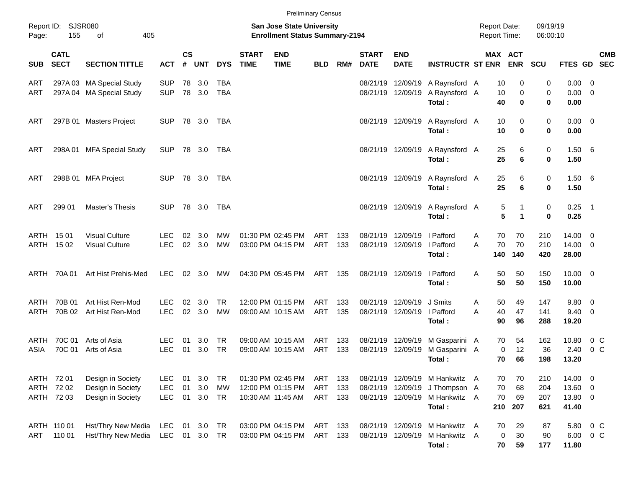|              |                                        |                                                             |                                        |                |                   |                                     |                             | <b>Preliminary Census</b>                                                 |                          |                   |                                        |                                        |                                                                          |        |                                     |                                         |                          |                                      |                                                     |            |
|--------------|----------------------------------------|-------------------------------------------------------------|----------------------------------------|----------------|-------------------|-------------------------------------|-----------------------------|---------------------------------------------------------------------------|--------------------------|-------------------|----------------------------------------|----------------------------------------|--------------------------------------------------------------------------|--------|-------------------------------------|-----------------------------------------|--------------------------|--------------------------------------|-----------------------------------------------------|------------|
| Page:        | Report ID: SJSR080<br>155              | 405<br>of                                                   |                                        |                |                   |                                     |                             | <b>San Jose State University</b><br><b>Enrollment Status Summary-2194</b> |                          |                   |                                        |                                        |                                                                          |        | <b>Report Date:</b><br>Report Time: |                                         | 09/19/19<br>06:00:10     |                                      |                                                     |            |
| <b>SUB</b>   | <b>CATL</b><br><b>SECT</b>             | <b>SECTION TITTLE</b>                                       | <b>ACT</b>                             | <b>CS</b><br># | <b>UNT</b>        | <b>DYS</b>                          | <b>START</b><br><b>TIME</b> | <b>END</b><br><b>TIME</b>                                                 | <b>BLD</b>               | RM#               | <b>START</b><br><b>DATE</b>            | <b>END</b><br><b>DATE</b>              | <b>INSTRUCTR ST ENR</b>                                                  |        | MAX ACT                             | <b>ENR</b>                              | SCU                      | FTES GD SEC                          |                                                     | <b>CMB</b> |
| ART<br>ART   |                                        | 297A 03 MA Special Study<br>297A 04 MA Special Study        | <b>SUP</b><br><b>SUP</b>               | 78<br>78       | 3.0<br>3.0        | <b>TBA</b><br><b>TBA</b>            |                             |                                                                           |                          |                   |                                        | 08/21/19 12/09/19<br>08/21/19 12/09/19 | A Raynsford A<br>A Raynsford A<br>Total:                                 |        | 10<br>10<br>40                      | 0<br>0<br>$\bf{0}$                      | 0<br>0<br>0              | 0.00<br>0.00<br>0.00                 | - 0<br>$\overline{\mathbf{0}}$                      |            |
| ART          |                                        | 297B 01 Masters Project                                     | <b>SUP</b>                             |                | 78 3.0            | TBA                                 |                             |                                                                           |                          |                   |                                        |                                        | 08/21/19 12/09/19 A Raynsford A<br>Total:                                |        | 10<br>10                            | 0<br>$\bf{0}$                           | 0<br>$\mathbf 0$         | $0.00 \t 0$<br>0.00                  |                                                     |            |
| ART          |                                        | 298A 01 MFA Special Study                                   | <b>SUP</b>                             |                | 78 3.0            | TBA                                 |                             |                                                                           |                          |                   |                                        |                                        | 08/21/19 12/09/19 A Raynsford A<br>Total:                                |        | 25<br>25                            | 6<br>6                                  | 0<br>$\bf{0}$            | 1.50<br>1.50                         | - 6                                                 |            |
| ART          |                                        | 298B 01 MFA Project                                         | <b>SUP</b>                             |                | 78 3.0            | TBA                                 |                             |                                                                           |                          |                   |                                        |                                        | 08/21/19 12/09/19 A Raynsford A<br>Total:                                |        | 25<br>25                            | 6<br>6                                  | 0<br>$\bf{0}$            | 1.50<br>1.50                         | - 6                                                 |            |
| ART          | 299 01                                 | Master's Thesis                                             | <b>SUP</b>                             |                | 78 3.0            | <b>TBA</b>                          |                             |                                                                           |                          |                   |                                        |                                        | 08/21/19 12/09/19 A Raynsford A<br>Total:                                |        | 5<br>$5\phantom{1}$                 | $\mathbf{1}$<br>$\overline{\mathbf{1}}$ | $\mathbf 0$<br>$\bf{0}$  | $0.25$ 1<br>0.25                     |                                                     |            |
|              | ARTH 1501<br>ARTH 1502                 | <b>Visual Culture</b><br><b>Visual Culture</b>              | <b>LEC</b><br><b>LEC</b>               | 02<br>02       | 3.0<br>3.0        | <b>MW</b><br><b>MW</b>              |                             | 01:30 PM 02:45 PM<br>03:00 PM 04:15 PM                                    | <b>ART</b><br>ART        | 133<br>133        | 08/21/19 12/09/19                      | 08/21/19 12/09/19                      | I Pafford<br>I Pafford<br>Total:                                         | A<br>A | 70<br>70<br>140                     | 70<br>70<br>140                         | 210<br>210<br>420        | 14.00<br>$14.00$ 0<br>28.00          | $\overline{\mathbf{0}}$                             |            |
|              | ARTH 70A01                             | Art Hist Prehis-Med                                         | <b>LEC</b>                             |                | 02 3.0            | MW                                  |                             | 04:30 PM 05:45 PM                                                         | ART                      | 135               | 08/21/19 12/09/19                      |                                        | I Pafford<br>Total:                                                      | A      | 50<br>50                            | 50<br>50                                | 150<br>150               | $10.00 \t 0$<br>10.00                |                                                     |            |
| ARTH<br>ARTH | 70B 01<br>70B 02                       | Art Hist Ren-Mod<br>Art Hist Ren-Mod                        | LEC.<br><b>LEC</b>                     | 02<br>02       | 3.0<br>3.0        | <b>TR</b><br><b>MW</b>              |                             | 12:00 PM 01:15 PM<br>09:00 AM 10:15 AM                                    | <b>ART</b><br><b>ART</b> | 133<br>135        | 08/21/19 12/09/19                      | 08/21/19 12/09/19                      | J Smits<br>I Pafford<br>Total:                                           | A<br>A | 50<br>40<br>90                      | 49<br>47<br>96                          | 147<br>141<br>288        | 9.80<br>9.40<br>19.20                | $\overline{\mathbf{0}}$<br>$\overline{\phantom{0}}$ |            |
| ARTH<br>ASIA | 70C 01<br>70C 01                       | Arts of Asia<br>Arts of Asia                                | LEC.<br><b>LEC</b>                     | 01<br>01       | 3.0<br>3.0        | <b>TR</b><br><b>TR</b>              |                             | 09:00 AM 10:15 AM<br>09:00 AM 10:15 AM                                    | ART<br>ART               | 133<br>133        | 08/21/19 12/09/19<br>08/21/19          | 12/09/19                               | M Gasparini A<br>M Gasparini A<br>Total:                                 |        | 70<br>$\mathbf 0$<br>70             | 54<br>12<br>66                          | 162<br>36<br>198         | 10.80<br>2.40<br>13.20               | $0\,C$<br>0 <sup>C</sup>                            |            |
|              | ARTH 72 01<br>ARTH 72 02<br>ARTH 72 03 | Design in Society<br>Design in Society<br>Design in Society | <b>LEC</b><br><b>LEC</b><br><b>LEC</b> | 01<br>01<br>01 | 3.0<br>3.0<br>3.0 | <b>TR</b><br><b>MW</b><br><b>TR</b> |                             | 01:30 PM 02:45 PM<br>12:00 PM 01:15 PM<br>10:30 AM 11:45 AM               | ART<br>ART<br>ART        | 133<br>133<br>133 | 08/21/19 12/09/19                      | 08/21/19 12/09/19                      | 08/21/19 12/09/19 M Hankwitz A<br>J Thompson A<br>M Hankwitz A<br>Total: |        | 70<br>70<br>70<br>210               | 70<br>68<br>69<br>207                   | 210<br>204<br>207<br>621 | 14.00<br>13.60 0<br>13.80 0<br>41.40 | $\overline{\phantom{0}}$                            |            |
| ART          | ARTH 110 01<br>110 01                  | Hst/Thry New Media<br>Hst/Thry New Media                    | LEC<br>LEC                             | 01             | 3.0<br>01 3.0     | TR<br><b>TR</b>                     |                             | 03:00 PM 04:15 PM<br>03:00 PM 04:15 PM                                    | ART<br>ART               | 133<br>133        | 08/21/19 12/09/19<br>08/21/19 12/09/19 |                                        | M Hankwitz A<br>M Hankwitz A<br>Total:                                   |        | 70<br>0<br>70                       | 29<br>30<br>59                          | 87<br>90<br>177          | 5.80<br>6.00<br>11.80                | 0 <sup>C</sup><br>$0\,C$                            |            |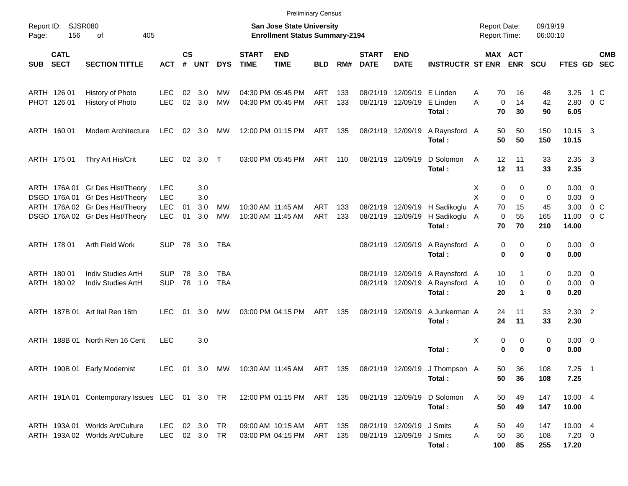|            |                            |                                                                          |               |                    |                |            |                             | <b>Preliminary Census</b>                                          |            |     |                             |                           |                                                                        |                                            |                               |                      |                        |                |                          |
|------------|----------------------------|--------------------------------------------------------------------------|---------------|--------------------|----------------|------------|-----------------------------|--------------------------------------------------------------------|------------|-----|-----------------------------|---------------------------|------------------------------------------------------------------------|--------------------------------------------|-------------------------------|----------------------|------------------------|----------------|--------------------------|
| Page:      | Report ID: SJSR080<br>156  | of<br>405                                                                |               |                    |                |            |                             | San Jose State University<br><b>Enrollment Status Summary-2194</b> |            |     |                             |                           |                                                                        | <b>Report Date:</b><br><b>Report Time:</b> |                               | 09/19/19<br>06:00:10 |                        |                |                          |
| <b>SUB</b> | <b>CATL</b><br><b>SECT</b> | <b>SECTION TITTLE</b>                                                    | <b>ACT</b>    | $\mathsf{cs}$<br># | <b>UNT</b>     | <b>DYS</b> | <b>START</b><br><b>TIME</b> | <b>END</b><br><b>TIME</b>                                          | <b>BLD</b> | RM# | <b>START</b><br><b>DATE</b> | <b>END</b><br><b>DATE</b> | <b>INSTRUCTR ST ENR</b>                                                |                                            | MAX ACT<br><b>ENR</b>         | <b>SCU</b>           | <b>FTES GD</b>         |                | <b>CMB</b><br><b>SEC</b> |
|            | ARTH 126 01                | History of Photo                                                         | <b>LEC</b>    | 02                 | 3.0            | МW         |                             | 04:30 PM 05:45 PM                                                  | <b>ART</b> | 133 | 08/21/19                    | 12/09/19                  | E Linden                                                               | Α                                          | 70<br>16                      | 48                   | 3.25                   | 1 C            |                          |
|            | PHOT 126 01                | History of Photo                                                         | <b>LEC</b>    | 02                 | 3.0            | <b>MW</b>  |                             | 04:30 PM 05:45 PM                                                  | ART        | 133 |                             | 08/21/19 12/09/19         | E Linden<br>Total:                                                     | A                                          | $\mathbf 0$<br>14<br>70<br>30 | 42<br>90             | 2.80<br>6.05           | $0\,C$         |                          |
|            | ARTH 160 01                | <b>Modern Architecture</b>                                               | <b>LEC</b>    |                    | $02 \quad 3.0$ | МW         |                             | 12:00 PM 01:15 PM                                                  | ART 135    |     | 08/21/19 12/09/19           |                           | A Raynsford A<br>Total:                                                |                                            | 50<br>50<br>50<br>50          | 150<br>150           | $10.15$ 3<br>10.15     |                |                          |
|            | ARTH 175 01                | Thry Art His/Crit                                                        | <b>LEC</b>    | 02                 | 3.0 T          |            |                             | 03:00 PM 05:45 PM                                                  | ART        | 110 | 08/21/19 12/09/19           |                           | D Solomon<br>Total:                                                    | A                                          | 12<br>11<br>12<br>11          | 33<br>33             | $2.35 \quad 3$<br>2.35 |                |                          |
|            |                            | ARTH 176A 01 Gr Des Hist/Theory                                          | <b>LEC</b>    |                    | 3.0            |            |                             |                                                                    |            |     |                             |                           |                                                                        | X                                          | 0<br>0                        | 0                    | $0.00 \t 0$            |                |                          |
|            |                            | DSGD 176A 01 Gr Des Hist/Theory                                          | <b>LEC</b>    |                    | 3.0            |            |                             |                                                                    |            |     |                             |                           |                                                                        | X                                          | $\mathbf 0$<br>$\mathbf 0$    | 0                    | $0.00 \t 0$            |                |                          |
|            |                            | ARTH 176A 02 Gr Des Hist/Theory                                          | <b>LEC</b>    | 01                 | 3.0            | MW         |                             | 10:30 AM 11:45 AM                                                  | ART        | 133 |                             | 08/21/19 12/09/19         | H Sadikoglu                                                            | Α                                          | 15<br>70                      | 45                   | 3.00                   | $0\,$ C        |                          |
|            |                            | DSGD 176A 02 Gr Des Hist/Theory                                          | <b>LEC</b>    | 01                 | 3.0            | <b>MW</b>  |                             | 10:30 AM 11:45 AM                                                  | ART        | 133 | 08/21/19 12/09/19           |                           | H Sadikoglu A<br>Total:                                                |                                            | 55<br>0<br>70<br>70           | 165<br>210           | 11.00<br>14.00         | 0 <sup>o</sup> |                          |
|            | ARTH 178 01                | Arth Field Work                                                          | <b>SUP</b>    |                    | 78 3.0         | TBA        |                             |                                                                    |            |     | 08/21/19 12/09/19           |                           | A Raynsford A                                                          |                                            | 0<br>0                        | 0                    | $0.00 \t 0$            |                |                          |
|            |                            |                                                                          |               |                    |                |            |                             |                                                                    |            |     |                             |                           | Total:                                                                 |                                            | 0<br>$\bf{0}$                 | 0                    | 0.00                   |                |                          |
|            | ARTH 180 01                | Indiv Studies ArtH                                                       | <b>SUP</b>    | 78                 | 3.0            | TBA        |                             |                                                                    |            |     | 08/21/19 12/09/19           |                           | A Raynsford A                                                          |                                            | 10<br>1                       | 0                    | $0.20 \ 0$             |                |                          |
|            | ARTH 180 02                | Indiv Studies ArtH                                                       | <b>SUP</b>    |                    | 78 1.0         | <b>TBA</b> |                             |                                                                    |            |     | 08/21/19 12/09/19           |                           | A Raynsford A                                                          |                                            | 10<br>0                       | 0                    | $0.00 \t 0$            |                |                          |
|            |                            |                                                                          |               |                    |                |            |                             |                                                                    |            |     |                             |                           | Total:                                                                 |                                            | 20<br>$\blacktriangleleft$    | 0                    | 0.20                   |                |                          |
|            |                            | ARTH 187B 01 Art Ital Ren 16th                                           | LEC.          | 01                 | 3.0            | МW         |                             | 03:00 PM 04:15 PM                                                  | ART        | 135 | 08/21/19 12/09/19           |                           | A Junkerman A                                                          |                                            | 11<br>24                      | 33                   | $2.30$ 2               |                |                          |
|            |                            |                                                                          |               |                    |                |            |                             |                                                                    |            |     |                             |                           | Total:                                                                 |                                            | 24<br>11                      | 33                   | 2.30                   |                |                          |
|            |                            | ARTH 188B 01 North Ren 16 Cent                                           | <b>LEC</b>    |                    | 3.0            |            |                             |                                                                    |            |     |                             |                           |                                                                        | х                                          | 0<br>0                        | 0                    | $0.00 \t 0$            |                |                          |
|            |                            |                                                                          |               |                    |                |            |                             |                                                                    |            |     |                             |                           | Total:                                                                 |                                            | 0<br>$\bf{0}$                 | 0                    | 0.00                   |                |                          |
|            |                            | ARTH 190B 01 Early Modernist                                             |               |                    |                |            |                             |                                                                    |            |     |                             |                           | LEC 01 3.0 MW 10:30 AM 11:45 AM ART 135 08/21/19 12/09/19 J Thompson A |                                            | 50<br>36                      | 108                  | $7.25$ 1               |                |                          |
|            |                            |                                                                          |               |                    |                |            |                             |                                                                    |            |     |                             |                           | Total:                                                                 |                                            | 50<br>36                      | 108                  | 7.25                   |                |                          |
|            |                            | ARTH 191A 01 Contemporary Issues LEC 01 3.0 TR 12:00 PM 01:15 PM ART 135 |               |                    |                |            |                             |                                                                    |            |     | 08/21/19 12/09/19           |                           | D Solomon                                                              | A                                          | 50<br>49                      | 147                  | 10.00 4                |                |                          |
|            |                            |                                                                          |               |                    |                |            |                             |                                                                    |            |     |                             |                           | Total:                                                                 |                                            | 50<br>49                      | 147                  | 10.00                  |                |                          |
|            |                            | ARTH 193A 01 Worlds Art/Culture                                          | LEC 02 3.0 TR |                    |                |            |                             | 09:00 AM 10:15 AM                                                  | ART 135    |     |                             | 08/21/19 12/09/19 J Smits |                                                                        | Α                                          | 50<br>49                      | 147                  | 10.00 4                |                |                          |
|            |                            | ARTH 193A 02 Worlds Art/Culture                                          | LEC 02 3.0 TR |                    |                |            |                             | 03:00 PM 04:15 PM                                                  | ART 135    |     |                             | 08/21/19 12/09/19 J Smits |                                                                        | A                                          | 50<br>36                      | 108                  | $7.20 \t 0$            |                |                          |
|            |                            |                                                                          |               |                    |                |            |                             |                                                                    |            |     |                             |                           | Total:                                                                 | 100                                        | 85                            | 255                  | 17.20                  |                |                          |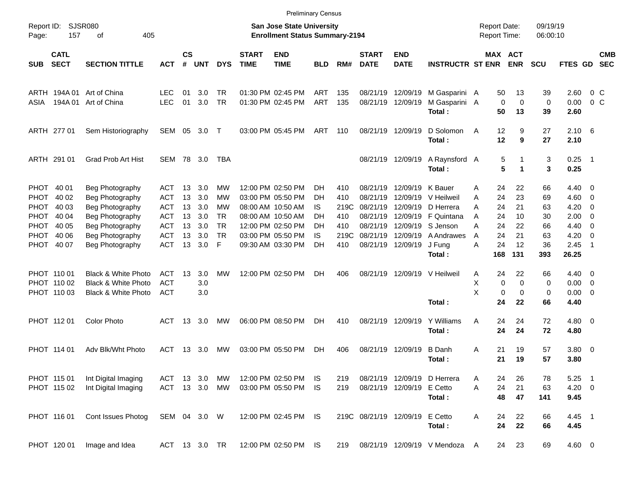|                     |                            |                                |               |                    |            |            |                             |                                                                           | <b>Preliminary Census</b> |      |                             |                           |                             |   |                                     |                       |                      |                   |                          |                          |
|---------------------|----------------------------|--------------------------------|---------------|--------------------|------------|------------|-----------------------------|---------------------------------------------------------------------------|---------------------------|------|-----------------------------|---------------------------|-----------------------------|---|-------------------------------------|-----------------------|----------------------|-------------------|--------------------------|--------------------------|
| Report ID:<br>Page: | 157                        | <b>SJSR080</b><br>405<br>оf    |               |                    |            |            |                             | <b>San Jose State University</b><br><b>Enrollment Status Summary-2194</b> |                           |      |                             |                           |                             |   | <b>Report Date:</b><br>Report Time: |                       | 09/19/19<br>06:00:10 |                   |                          |                          |
| <b>SUB</b>          | <b>CATL</b><br><b>SECT</b> | <b>SECTION TITTLE</b>          | <b>ACT</b>    | $\mathsf{cs}$<br># | <b>UNT</b> | <b>DYS</b> | <b>START</b><br><b>TIME</b> | <b>END</b><br><b>TIME</b>                                                 | <b>BLD</b>                | RM#  | <b>START</b><br><b>DATE</b> | <b>END</b><br><b>DATE</b> | <b>INSTRUCTR ST ENR</b>     |   |                                     | MAX ACT<br><b>ENR</b> | <b>SCU</b>           | <b>FTES GD</b>    |                          | <b>CMB</b><br><b>SEC</b> |
| ARTH                | 194A 01                    | Art of China                   | <b>LEC</b>    | 01                 | 3.0        | <b>TR</b>  |                             | 01:30 PM 02:45 PM                                                         | ART                       | 135  | 08/21/19                    | 12/09/19                  | M Gasparini A               |   | 50                                  | 13                    | 39                   | 2.60              | 0 C                      |                          |
| ASIA                | 194A 01                    | Art of China                   | <b>LEC</b>    | 01                 | 3.0        | <b>TR</b>  |                             | 01:30 PM 02:45 PM                                                         | ART                       | 135  | 08/21/19                    | 12/09/19                  | M Gasparini A<br>Total:     |   | 0<br>50                             | $\mathbf 0$<br>13     | 0<br>39              | 0.00<br>2.60      | $0\,$ C                  |                          |
|                     | ARTH 277 01                | Sem Historiography             | SEM           | 05                 | 3.0        | $\top$     |                             | 03:00 PM 05:45 PM                                                         | ART                       | 110  |                             | 08/21/19 12/09/19         | D Solomon<br>Total:         | A | 12<br>12                            | 9<br>9                | 27<br>27             | $2.10\ 6$<br>2.10 |                          |                          |
|                     | ARTH 291 01                | <b>Grad Prob Art Hist</b>      | SEM           | 78                 | 3.0        | TBA        |                             |                                                                           |                           |      |                             | 08/21/19 12/09/19         | A Raynsford A<br>Total:     |   | 5<br>5                              | 1                     | 3<br>3               | 0.25<br>0.25      | $\blacksquare$ 1         |                          |
|                     | PHOT 40 01                 | Beg Photography                | ACT           | 13                 | 3.0        | МW         |                             | 12:00 PM 02:50 PM                                                         | DН                        | 410  | 08/21/19                    | 12/09/19                  | K Bauer                     | Α | 24                                  | 22                    | 66                   | $4.40 \ 0$        |                          |                          |
|                     | PHOT 40 02                 | Beg Photography                | ACT           | 13                 | 3.0        | МW         |                             | 03:00 PM 05:50 PM                                                         | DH                        | 410  | 08/21/19                    | 12/09/19                  | V Heilweil                  | A | 24                                  | 23                    | 69                   | 4.60              | $\overline{\phantom{0}}$ |                          |
|                     | PHOT 40 03                 | Beg Photography                | <b>ACT</b>    | 13                 | 3.0        | МW         |                             | 08:00 AM 10:50 AM                                                         | IS                        | 219C | 08/21/19                    | 12/09/19                  | D Herrera                   | A | 24                                  | 21                    | 63                   | 4.20              | - 0                      |                          |
|                     | PHOT 40 04                 | Beg Photography                | <b>ACT</b>    | 13                 | 3.0        | TR         |                             | 08:00 AM 10:50 AM                                                         | DH                        | 410  | 08/21/19                    | 12/09/19                  | F Quintana                  | A | 24                                  | 10                    | 30                   | 2.00              | - 0                      |                          |
|                     | PHOT 40 05                 | Beg Photography                | <b>ACT</b>    | 13                 | 3.0        | <b>TR</b>  |                             | 12:00 PM 02:50 PM                                                         | DН                        | 410  | 08/21/19                    | 12/09/19                  | S Jenson                    | Α | 24                                  | 22                    | 66                   | 4.40              | - 0                      |                          |
|                     | PHOT 40 06                 | Beg Photography                | <b>ACT</b>    | 13                 | 3.0        | <b>TR</b>  |                             | 03:00 PM 05:50 PM                                                         | IS                        | 219C | 08/21/19                    | 12/09/19                  | <b>A</b> Andrawes           | A | 24                                  | 21                    | 63                   | 4.20              | - 0                      |                          |
|                     | PHOT 40 07                 | Beg Photography                | <b>ACT</b>    | 13                 | 3.0        | F          |                             | 09:30 AM 03:30 PM                                                         | DН                        | 410  |                             | 08/21/19 12/09/19         | J Fung                      | А | 24                                  | 12                    | 36                   | 2.45              | - 1                      |                          |
|                     |                            |                                |               |                    |            |            |                             |                                                                           |                           |      |                             |                           | Total:                      |   | 168                                 | 131                   | 393                  | 26.25             |                          |                          |
|                     | PHOT 110 01                | <b>Black &amp; White Photo</b> | <b>ACT</b>    | 13                 | 3.0        | MW         |                             | 12:00 PM 02:50 PM                                                         | DН                        | 406  |                             | 08/21/19 12/09/19         | V Heilweil                  | Α | 24                                  | 22                    | 66                   | $4.40 \quad 0$    |                          |                          |
|                     | PHOT 110 02                | Black & White Photo            | <b>ACT</b>    |                    | 3.0        |            |                             |                                                                           |                           |      |                             |                           |                             | Х | 0                                   | 0                     | 0                    | 0.00              | $\overline{\phantom{0}}$ |                          |
|                     | PHOT 110 03                | Black & White Photo            | <b>ACT</b>    |                    | 3.0        |            |                             |                                                                           |                           |      |                             |                           |                             | X | 0                                   | 0                     | 0                    | $0.00 \t 0$       |                          |                          |
|                     |                            |                                |               |                    |            |            |                             |                                                                           |                           |      |                             |                           | Total:                      |   | 24                                  | 22                    | 66                   | 4.40              |                          |                          |
|                     | PHOT 11201                 | <b>Color Photo</b>             | ACT           | 13                 | 3.0        | MW         |                             | 06:00 PM 08:50 PM                                                         | DН                        | 410  |                             | 08/21/19 12/09/19         | Y Williams                  | A | 24                                  | 24                    | 72                   | $4.80\ 0$         |                          |                          |
|                     |                            |                                |               |                    |            |            |                             |                                                                           |                           |      |                             |                           | Total:                      |   | 24                                  | 24                    | 72                   | 4.80              |                          |                          |
|                     | PHOT 114 01                | Adv Blk/Wht Photo              | ACT           | 13                 | 3.0        | MW         |                             | 03:00 PM 05:50 PM                                                         | DН                        | 406  | 08/21/19                    | 12/09/19                  | <b>B</b> Danh               | Α | 21                                  | 19                    | 57                   | 3.80 0            |                          |                          |
|                     |                            |                                |               |                    |            |            |                             |                                                                           |                           |      |                             |                           | Total:                      |   | 21                                  | 19                    | 57                   | 3.80              |                          |                          |
|                     | PHOT 115 01                | Int Digital Imaging            | ACT 13 3.0    |                    |            | МW         |                             | 12:00 PM 02:50 PM                                                         | IS.                       | 219  |                             |                           | 08/21/19 12/09/19 D Herrera | A | 24                                  | 26                    | 78                   | $5.25$ 1          |                          |                          |
|                     | PHOT 115 02                | Int Digital Imaging            | ACT 13 3.0    |                    |            | MW         |                             | 03:00 PM 05:50 PM                                                         | IS                        | 219  |                             | 08/21/19 12/09/19         | E Cetto                     | A | 24                                  | 21                    | 63                   | $4.20 \ 0$        |                          |                          |
|                     |                            |                                |               |                    |            |            |                             |                                                                           |                           |      |                             |                           | Total:                      |   | 48                                  | 47                    | 141                  | 9.45              |                          |                          |
|                     | PHOT 116 01                | Cont Issues Photog             | SEM 04 3.0 W  |                    |            |            |                             | 12:00 PM 02:45 PM IS                                                      |                           |      | 219C 08/21/19 12/09/19      |                           | E Cetto                     | Α | 24                                  | 22                    | 66                   | 4.45 1            |                          |                          |
|                     |                            |                                |               |                    |            |            |                             |                                                                           |                           |      |                             |                           | Total:                      |   | 24                                  | 22                    | 66                   | 4.45              |                          |                          |
|                     | PHOT 120 01                | Image and Idea                 | ACT 13 3.0 TR |                    |            |            |                             | 12:00 PM 02:50 PM                                                         | IS.                       | 219  |                             |                           | 08/21/19 12/09/19 V Mendoza | A | 24                                  | 23                    | 69                   | 4.60 0            |                          |                          |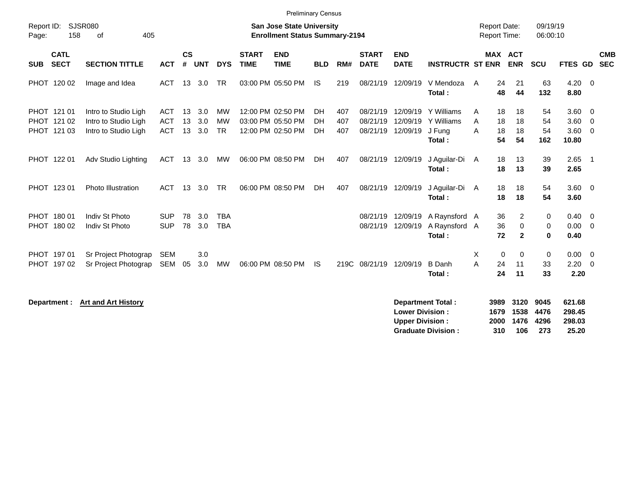|                     |                                           |                                                                      |                                        |                             |                   |                                     |                             | <b>Preliminary Census</b>                                                 |                |                   |                                  |                                  |                                              |                                            |                              |                        |                                           |                          |
|---------------------|-------------------------------------------|----------------------------------------------------------------------|----------------------------------------|-----------------------------|-------------------|-------------------------------------|-----------------------------|---------------------------------------------------------------------------|----------------|-------------------|----------------------------------|----------------------------------|----------------------------------------------|--------------------------------------------|------------------------------|------------------------|-------------------------------------------|--------------------------|
| Report ID:<br>Page: | 158                                       | <b>SJSR080</b><br>405<br>οf                                          |                                        |                             |                   |                                     |                             | <b>San Jose State University</b><br><b>Enrollment Status Summary-2194</b> |                |                   |                                  |                                  |                                              | <b>Report Date:</b><br><b>Report Time:</b> |                              | 09/19/19<br>06:00:10   |                                           |                          |
| <b>SUB</b>          | <b>CATL</b><br><b>SECT</b>                | <b>SECTION TITTLE</b>                                                | <b>ACT</b>                             | $\mathbf{c}\mathbf{s}$<br># | <b>UNT</b>        | <b>DYS</b>                          | <b>START</b><br><b>TIME</b> | <b>END</b><br><b>TIME</b>                                                 | <b>BLD</b>     | RM#               | <b>START</b><br><b>DATE</b>      | <b>END</b><br><b>DATE</b>        | <b>INSTRUCTR ST ENR</b>                      |                                            | <b>MAX ACT</b><br><b>ENR</b> | <b>SCU</b>             | FTES GD                                   | <b>CMB</b><br><b>SEC</b> |
|                     | PHOT 120 02                               | Image and Idea                                                       | ACT                                    | 13                          | 3.0               | <b>TR</b>                           |                             | 03:00 PM 05:50 PM                                                         | IS             | 219               | 08/21/19                         | 12/09/19                         | V Mendoza<br>Total:                          | 24<br>A<br>48                              | 21<br>44                     | 63<br>132              | $4.20 \ 0$<br>8.80                        |                          |
|                     | PHOT 121 01<br>PHOT 121 02<br>PHOT 121 03 | Intro to Studio Ligh<br>Intro to Studio Ligh<br>Intro to Studio Ligh | <b>ACT</b><br><b>ACT</b><br><b>ACT</b> | 13<br>13<br>13              | 3.0<br>3.0<br>3.0 | <b>MW</b><br><b>MW</b><br><b>TR</b> |                             | 12:00 PM 02:50 PM<br>03:00 PM 05:50 PM<br>12:00 PM 02:50 PM               | DH<br>DH<br>DH | 407<br>407<br>407 | 08/21/19<br>08/21/19<br>08/21/19 | 12/09/19<br>12/09/19<br>12/09/19 | Y Williams<br>Y Williams<br>J Fung<br>Total: | 18<br>A<br>A<br>18<br>18<br>A<br>54        | 18<br>18<br>18<br>54         | 54<br>54<br>54<br>162  | $3.60 \ 0$<br>$3.60$ 0<br>3.60 0<br>10.80 |                          |
|                     | PHOT 122 01                               | Adv Studio Lighting                                                  | <b>ACT</b>                             | 13                          | 3.0               | MW                                  |                             | 06:00 PM 08:50 PM                                                         | DH             | 407               | 08/21/19                         | 12/09/19                         | J Aguilar-Di<br>Total:                       | 18<br>A<br>18                              | 13<br>13                     | 39<br>39               | $2.65$ 1<br>2.65                          |                          |
|                     | PHOT 123 01                               | <b>Photo Illustration</b>                                            | <b>ACT</b>                             | 13                          | 3.0               | <b>TR</b>                           |                             | 06:00 PM 08:50 PM                                                         | DH             | 407               | 08/21/19                         | 12/09/19                         | J Aguilar-Di<br>Total:                       | 18<br>A<br>18                              | 18<br>18                     | 54<br>54               | 3.60 0<br>3.60                            |                          |
|                     | PHOT 180 01<br>PHOT 180 02                | Indiv St Photo<br>Indiv St Photo                                     | <b>SUP</b><br><b>SUP</b>               | 78<br>78                    | 3.0<br>3.0        | <b>TBA</b><br><b>TBA</b>            |                             |                                                                           |                |                   | 08/21/19<br>08/21/19             | 12/09/19<br>12/09/19             | A Raynsford A<br>A Raynsford A<br>Total:     | 36<br>36<br>72                             | 2<br>0<br>$\overline{2}$     | 0<br>0<br>$\mathbf{0}$ | $0.40 \quad 0$<br>$0.00 \t 0$<br>0.40     |                          |
|                     | PHOT 197 01<br>PHOT 197 02                | Sr Project Photograp<br>Sr Project Photograp                         | <b>SEM</b><br>SEM                      | 05                          | 3.0<br>3.0        | MW                                  |                             | 06:00 PM 08:50 PM                                                         | IS.            |                   | 219C 08/21/19                    | 12/09/19                         | <b>B</b> Danh<br>Total:                      | X<br>A<br>24<br>24                         | 0<br>0<br>11<br>11           | 0<br>33<br>33          | $0.00 \t 0$<br>$2.20 \t 0$<br>2.20        |                          |

**Department : Art and Art History** 

| <b>Department Total:</b>  |     | 3989 3120 9045 |      | 621.68 |
|---------------------------|-----|----------------|------|--------|
| <b>Lower Division:</b>    |     | 1679 1538 4476 |      | 298.45 |
| <b>Upper Division:</b>    |     | 2000 1476 4296 |      | 298.03 |
| <b>Graduate Division:</b> | 310 | 106            | -273 | 25.20  |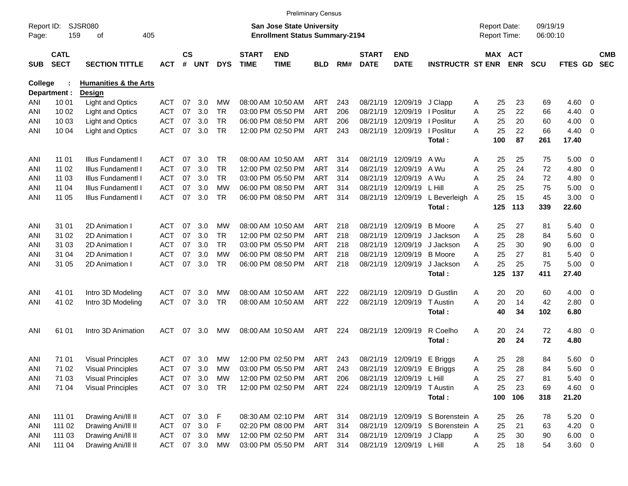|                     |                            |                                  |            |                    |            |            |                             |                                                                    | <b>Preliminary Census</b> |     |                             |                            |                                  |                                     |     |                       |                      |                |                          |                          |
|---------------------|----------------------------|----------------------------------|------------|--------------------|------------|------------|-----------------------------|--------------------------------------------------------------------|---------------------------|-----|-----------------------------|----------------------------|----------------------------------|-------------------------------------|-----|-----------------------|----------------------|----------------|--------------------------|--------------------------|
| Report ID:<br>Page: | 159                        | SJSR080<br>405<br>оf             |            |                    |            |            |                             | San Jose State University<br><b>Enrollment Status Summary-2194</b> |                           |     |                             |                            |                                  | <b>Report Date:</b><br>Report Time: |     |                       | 09/19/19<br>06:00:10 |                |                          |                          |
| <b>SUB</b>          | <b>CATL</b><br><b>SECT</b> | <b>SECTION TITTLE</b>            | <b>ACT</b> | $\mathsf{cs}$<br># | <b>UNT</b> | <b>DYS</b> | <b>START</b><br><b>TIME</b> | <b>END</b><br><b>TIME</b>                                          | <b>BLD</b>                | RM# | <b>START</b><br><b>DATE</b> | <b>END</b><br><b>DATE</b>  | <b>INSTRUCTR ST ENR</b>          |                                     |     | MAX ACT<br><b>ENR</b> | <b>SCU</b>           | <b>FTES GD</b> |                          | <b>CMB</b><br><b>SEC</b> |
| <b>College</b>      |                            | <b>Humanities &amp; the Arts</b> |            |                    |            |            |                             |                                                                    |                           |     |                             |                            |                                  |                                     |     |                       |                      |                |                          |                          |
|                     | Department :               | Design                           |            |                    |            |            |                             |                                                                    |                           |     |                             |                            |                                  |                                     |     |                       |                      |                |                          |                          |
| ANI                 | 10 01                      | <b>Light and Optics</b>          | <b>ACT</b> | 07                 | 3.0        | МW         |                             | 08:00 AM 10:50 AM                                                  | ART                       | 243 | 08/21/19                    | 12/09/19                   | J Clapp                          | A                                   | 25  | 23                    | 69                   | 4.60           | $\overline{0}$           |                          |
| ANI                 | 10 02                      | <b>Light and Optics</b>          | <b>ACT</b> | 07                 | 3.0        | <b>TR</b>  |                             | 03:00 PM 05:50 PM                                                  | <b>ART</b>                | 206 | 08/21/19                    | 12/09/19                   | I Poslitur                       | Α                                   | 25  | 22                    | 66                   | 4.40           | 0                        |                          |
| ANI                 | 10 03                      | <b>Light and Optics</b>          | <b>ACT</b> | 07                 | 3.0        | <b>TR</b>  |                             | 06:00 PM 08:50 PM                                                  | <b>ART</b>                | 206 | 08/21/19                    | 12/09/19                   | I Poslitur                       | A                                   | 25  | 20                    | 60                   | 4.00           | 0                        |                          |
| ANI                 | 10 04                      | <b>Light and Optics</b>          | <b>ACT</b> | 07                 | 3.0        | <b>TR</b>  |                             | 12:00 PM 02:50 PM                                                  | ART                       | 243 | 08/21/19                    | 12/09/19                   | I Poslitur                       | А                                   | 25  | 22                    | 66                   | 4.40           | $\overline{\mathbf{0}}$  |                          |
|                     |                            |                                  |            |                    |            |            |                             |                                                                    |                           |     |                             |                            | Total:                           |                                     | 100 | 87                    | 261                  | 17.40          |                          |                          |
| ANI                 | 11 01                      | Illus Fundamentl I               | ACT        | 07                 | 3.0        | TR.        |                             | 08:00 AM 10:50 AM                                                  | ART                       | 314 | 08/21/19                    | 12/09/19                   | A Wu                             | Α                                   | 25  | 25                    | 75                   | 5.00           | - 0                      |                          |
| ANI                 | 11 02                      | Illus Fundamentl I               | <b>ACT</b> | 07                 | 3.0        | <b>TR</b>  |                             | 12:00 PM 02:50 PM                                                  | <b>ART</b>                | 314 | 08/21/19                    | 12/09/19                   | A Wu                             | Α                                   | 25  | 24                    | 72                   | 4.80           | 0                        |                          |
| ANI                 | 11 03                      | Illus Fundamentl I               | <b>ACT</b> | 07                 | 3.0        | <b>TR</b>  |                             | 03:00 PM 05:50 PM                                                  | ART                       | 314 | 08/21/19                    | 12/09/19                   | A Wu                             | A                                   | 25  | 24                    | 72                   | 4.80           | 0                        |                          |
| ANI                 | 11 04                      | Illus Fundamentl I               | <b>ACT</b> | 07                 | 3.0        | MW         |                             | 06:00 PM 08:50 PM                                                  | ART                       | 314 | 08/21/19                    | 12/09/19                   | L Hill                           | A                                   | 25  | 25                    | 75                   | 5.00           | 0                        |                          |
| ANI                 | 11 05                      | Illus Fundamentl I               | <b>ACT</b> | 07                 | 3.0        | <b>TR</b>  |                             | 06:00 PM 08:50 PM                                                  | ART                       | 314 |                             | 08/21/19 12/09/19          | L Beverleigh                     | A                                   | 25  | 15                    | 45                   | 3.00           | $\overline{\mathbf{0}}$  |                          |
|                     |                            |                                  |            |                    |            |            |                             |                                                                    |                           |     |                             |                            | Total:                           |                                     | 125 | 113                   | 339                  | 22.60          |                          |                          |
| ANI                 | 31 01                      | 2D Animation I                   | ACT        | 07                 | 3.0        | МW         |                             | 08:00 AM 10:50 AM                                                  | ART                       | 218 | 08/21/19                    | 12/09/19                   | <b>B</b> Moore                   | Α                                   | 25  | 27                    | 81                   | 5.40           | - 0                      |                          |
| ANI                 | 31 02                      | 2D Animation I                   | <b>ACT</b> | 07                 | 3.0        | <b>TR</b>  |                             | 12:00 PM 02:50 PM                                                  | ART                       | 218 | 08/21/19                    | 12/09/19                   | J Jackson                        | Α                                   | 25  | 28                    | 84                   | 5.60           | $\overline{\mathbf{0}}$  |                          |
| ANI                 | 31 03                      | 2D Animation I                   | <b>ACT</b> | 07                 | 3.0        | <b>TR</b>  |                             | 03:00 PM 05:50 PM                                                  | ART                       | 218 | 08/21/19                    | 12/09/19                   | J Jackson                        | A                                   | 25  | 30                    | 90                   | 6.00           | 0                        |                          |
| ANI                 | 31 04                      | 2D Animation I                   | <b>ACT</b> | 07                 | 3.0        | МW         |                             | 06:00 PM 08:50 PM                                                  | ART                       | 218 | 08/21/19                    | 12/09/19                   | <b>B</b> Moore                   | A                                   | 25  | 27                    | 81                   | 5.40           | 0                        |                          |
| ANI                 | 31 05                      | 2D Animation I                   | <b>ACT</b> | 07                 | 3.0        | <b>TR</b>  |                             | 06:00 PM 08:50 PM                                                  | ART                       | 218 |                             | 08/21/19 12/09/19          | J Jackson                        | А                                   | 25  | 25                    | 75                   | 5.00           | $\overline{\mathbf{0}}$  |                          |
|                     |                            |                                  |            |                    |            |            |                             |                                                                    |                           |     |                             |                            | Total:                           |                                     | 125 | 137                   | 411                  | 27.40          |                          |                          |
| ANI                 | 41 01                      | Intro 3D Modeling                | <b>ACT</b> | 07                 | 3.0        | МW         |                             | 08:00 AM 10:50 AM                                                  | ART                       | 222 | 08/21/19                    | 12/09/19                   | D Gustlin                        | Α                                   | 20  | 20                    | 60                   | 4.00           | $\overline{\mathbf{0}}$  |                          |
| ANI                 | 41 02                      | Intro 3D Modeling                | <b>ACT</b> | 07                 | 3.0        | <b>TR</b>  |                             | 08:00 AM 10:50 AM                                                  | ART                       | 222 | 08/21/19                    | 12/09/19                   | T Austin                         | A                                   | 20  | 14                    | 42                   | 2.80           | $\overline{\mathbf{0}}$  |                          |
|                     |                            |                                  |            |                    |            |            |                             |                                                                    |                           |     |                             |                            | Total:                           |                                     | 40  | 34                    | 102                  | 6.80           |                          |                          |
| ANI                 | 61 01                      | Intro 3D Animation               | <b>ACT</b> | 07                 | 3.0        | MW         |                             | 08:00 AM 10:50 AM                                                  | ART                       | 224 |                             | 08/21/19 12/09/19          | R Coelho                         | Α                                   | 20  | 24                    | 72                   | $4.80\ 0$      |                          |                          |
|                     |                            |                                  |            |                    |            |            |                             |                                                                    |                           |     |                             |                            | Total:                           |                                     | 20  | 24                    | 72                   | 4.80           |                          |                          |
| ANI                 | 71 01                      | <b>Visual Principles</b>         | <b>ACT</b> | 07                 | 3.0        | <b>MW</b>  |                             | 12:00 PM 02:50 PM                                                  | ART 243                   |     |                             | 08/21/19 12/09/19          | E Briggs                         | A                                   | 25  | 28                    | 84                   | $5.60 \quad 0$ |                          |                          |
| ANI                 | 71 02                      | <b>Visual Principles</b>         | <b>ACT</b> | 07                 | 3.0        | MW         |                             | 03:00 PM 05:50 PM                                                  | ART                       | 243 |                             | 08/21/19 12/09/19 E Briggs |                                  | A                                   | 25  | 28                    | 84                   | 5.60           | $\overline{\phantom{0}}$ |                          |
| ANI                 | 71 03                      | <b>Visual Principles</b>         | ACT        | 07                 | 3.0        | МW         |                             | 12:00 PM 02:50 PM                                                  | ART                       | 206 |                             | 08/21/19 12/09/19 L Hill   |                                  | Α                                   | 25  | 27                    | 81                   | $5.40\ 0$      |                          |                          |
| ANI                 | 71 04                      | <b>Visual Principles</b>         | <b>ACT</b> |                    | 07 3.0     | TR         |                             | 12:00 PM 02:50 PM                                                  | ART 224                   |     |                             | 08/21/19 12/09/19 T Austin |                                  | A                                   | 25  | 23                    | 69                   | 4.60 0         |                          |                          |
|                     |                            |                                  |            |                    |            |            |                             |                                                                    |                           |     |                             |                            | Total:                           |                                     | 100 | 106                   | 318                  | 21.20          |                          |                          |
| ANI                 | 111 01                     | Drawing Ani/III II               | ACT        |                    | 07 3.0 F   |            |                             | 08:30 AM 02:10 PM                                                  | ART                       | 314 |                             |                            | 08/21/19 12/09/19 S Borenstein A |                                     | 25  | 26                    | 78                   | $5.20 \ 0$     |                          |                          |
| ANI                 | 111 02                     | Drawing Ani/III II               | ACT        | 07                 | 3.0        | F          |                             | 02:20 PM 08:00 PM                                                  | ART                       | 314 |                             |                            | 08/21/19 12/09/19 S Borenstein A |                                     | 25  | 21                    | 63                   | $4.20 \ 0$     |                          |                          |
| ANI                 | 111 03                     | Drawing Ani/III II               | ACT        |                    | 07 3.0     | MW         |                             | 12:00 PM 02:50 PM                                                  | ART 314                   |     |                             | 08/21/19 12/09/19 J Clapp  |                                  | A                                   | 25  | 30                    | 90                   | $6.00 \t 0$    |                          |                          |
| ANI                 | 111 04                     | Drawing Ani/III II               | ACT        |                    | 07 3.0     | МW         |                             | 03:00 PM 05:50 PM                                                  | ART 314                   |     |                             | 08/21/19 12/09/19 L Hill   |                                  | A                                   | 25  | 18                    | 54                   | $3.60 \t 0$    |                          |                          |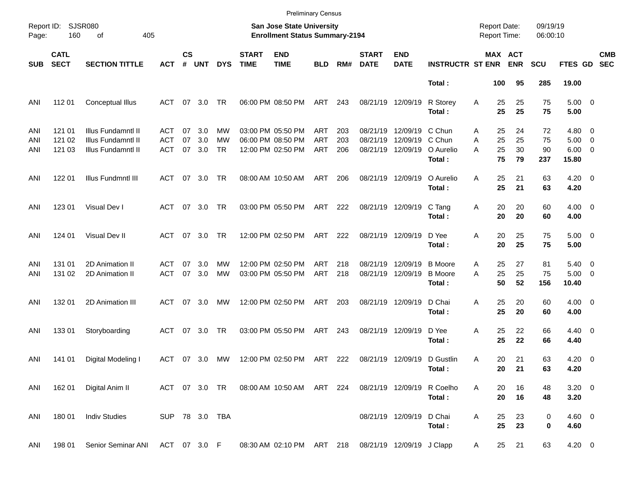|            |                            |                                          |                          |                    |            |                 |                             | <b>Preliminary Census</b>                                          |                   |            |                               |                           |                                            |                                            |                       |                      |                                        |                          |
|------------|----------------------------|------------------------------------------|--------------------------|--------------------|------------|-----------------|-----------------------------|--------------------------------------------------------------------|-------------------|------------|-------------------------------|---------------------------|--------------------------------------------|--------------------------------------------|-----------------------|----------------------|----------------------------------------|--------------------------|
| Page:      | Report ID: SJSR080<br>160  | 405<br>оf                                |                          |                    |            |                 |                             | San Jose State University<br><b>Enrollment Status Summary-2194</b> |                   |            |                               |                           |                                            | <b>Report Date:</b><br><b>Report Time:</b> |                       | 09/19/19<br>06:00:10 |                                        |                          |
| <b>SUB</b> | <b>CATL</b><br><b>SECT</b> | <b>SECTION TITTLE</b>                    | <b>ACT</b>               | $\mathsf{cs}$<br># | <b>UNT</b> | <b>DYS</b>      | <b>START</b><br><b>TIME</b> | <b>END</b><br><b>TIME</b>                                          | <b>BLD</b>        | RM#        | <b>START</b><br><b>DATE</b>   | <b>END</b><br><b>DATE</b> | <b>INSTRUCTR ST ENR</b>                    |                                            | MAX ACT<br><b>ENR</b> | <b>SCU</b>           | FTES GD                                | <b>CMB</b><br><b>SEC</b> |
|            |                            |                                          |                          |                    |            |                 |                             |                                                                    |                   |            |                               |                           | Total:                                     | 100                                        | 95                    | 285                  | 19.00                                  |                          |
| ANI        | 112 01                     | <b>Conceptual Illus</b>                  | ACT                      | 07                 | 3.0        | TR              |                             | 06:00 PM 08:50 PM                                                  | ART               | 243        | 08/21/19 12/09/19             |                           | R Storey<br>Total:                         | Α<br>25<br>25                              | 25<br>25              | 75<br>75             | $5.00 \t 0$<br>5.00                    |                          |
| ANI        | 121 01                     | Illus Fundamntl II                       | ACT                      | 07                 | 3.0        | МW              |                             | 03:00 PM 05:50 PM                                                  | ART               | 203        | 08/21/19                      | 12/09/19                  | C Chun                                     | 25<br>A                                    | 24                    | 72                   | $4.80\ 0$                              |                          |
| ANI<br>ANI | 121 02<br>121 03           | Illus Fundamntl II<br>Illus Fundamntl II | <b>ACT</b><br><b>ACT</b> | 07<br>07           | 3.0<br>3.0 | МW<br><b>TR</b> |                             | 06:00 PM 08:50 PM<br>12:00 PM 02:50 PM                             | <b>ART</b><br>ART | 203<br>206 | 08/21/19<br>08/21/19          | 12/09/19<br>12/09/19      | C Chun<br>O Aurelio<br>Total:              | 25<br>A<br>25<br>A<br>75                   | 25<br>30<br>79        | 75<br>90<br>237      | $5.00 \t 0$<br>$6.00 \quad 0$<br>15.80 |                          |
| ANI        | 122 01                     | Illus Fundmntl III                       | ACT                      |                    | 07 3.0     | TR              |                             | 08:00 AM 10:50 AM                                                  | ART               | 206        | 08/21/19 12/09/19             |                           | O Aurelio<br>Total:                        | 25<br>A<br>25                              | 21<br>21              | 63<br>63             | $4.20 \ 0$<br>4.20                     |                          |
| ANI        | 123 01                     | Visual Dev I                             | ACT 07 3.0               |                    |            | TR              |                             | 03:00 PM 05:50 PM                                                  | ART               | 222        |                               | 08/21/19 12/09/19         | C Tang<br>Total:                           | 20<br>Α<br>20                              | 20<br>20              | 60<br>60             | $4.00 \ 0$<br>4.00                     |                          |
| ANI        | 124 01                     | Visual Dev II                            | <b>ACT</b>               |                    | 07 3.0     | <b>TR</b>       |                             | 12:00 PM 02:50 PM                                                  | ART               | 222        | 08/21/19 12/09/19             |                           | D Yee<br>Total:                            | 20<br>Α<br>20                              | 25<br>25              | 75<br>75             | $5.00 \t 0$<br>5.00                    |                          |
| ANI<br>ANI | 131 01<br>131 02           | 2D Animation II<br>2D Animation II       | ACT<br><b>ACT</b>        | 07<br>07           | 3.0<br>3.0 | МW<br>MW        |                             | 12:00 PM 02:50 PM<br>03:00 PM 05:50 PM                             | <b>ART</b><br>ART | 218<br>218 | 08/21/19<br>08/21/19 12/09/19 | 12/09/19                  | <b>B</b> Moore<br><b>B</b> Moore<br>Total: | 25<br>A<br>25<br>A<br>50                   | 27<br>25<br>52        | 81<br>75<br>156      | $5.40 \quad 0$<br>$5.00 \t 0$<br>10.40 |                          |
| ANI        | 132 01                     | 2D Animation III                         | ACT                      | 07                 | - 3.0      | MW              |                             | 12:00 PM 02:50 PM                                                  | ART               | 203        | 08/21/19 12/09/19             |                           | D Chai<br>Total:                           | 25<br>Α<br>25                              | 20<br>20              | 60<br>60             | $4.00 \ 0$<br>4.00                     |                          |
| ANI        | 133 01                     | Storyboarding                            | ACT                      |                    | 07 3.0     | TR              |                             | 03:00 PM 05:50 PM                                                  | ART               | 243        | 08/21/19 12/09/19             |                           | D Yee<br>Total:                            | 25<br>Α<br>25                              | 22<br>22              | 66<br>66             | $4.40 \ 0$<br>4.40                     |                          |
| ANI        | 141 01                     | Digital Modeling I                       | ACT 07 3.0               |                    |            | MW              |                             | 12:00 PM 02:50 PM                                                  | ART 222           |            |                               | 08/21/19 12/09/19         | D Gustlin<br>Total:                        | 20<br>A                                    | 21<br>20 21           | 63<br>63             | $4.20 \ 0$<br>4.20                     |                          |
| ANI        | 162 01                     | Digital Anim II                          |                          |                    |            | ACT 07 3.0 TR   |                             | 08:00 AM 10:50 AM ART 224                                          |                   |            |                               | 08/21/19 12/09/19         | R Coelho<br>Total:                         | 20<br>A<br>20                              | 16<br>16              | 48<br>48             | $3.20 \ 0$<br>3.20                     |                          |
| ANI        | 180 01                     | <b>Indiv Studies</b>                     | SUP 78 3.0 TBA           |                    |            |                 |                             |                                                                    |                   |            |                               | 08/21/19 12/09/19         | D Chai<br>Total:                           | 25<br>A<br>25                              | 23<br>23              | 0<br>0               | $4.60$ 0<br>4.60                       |                          |
| ANI        | 198 01                     | Senior Seminar ANI                       | ACT 07 3.0 F             |                    |            |                 |                             | 08:30 AM 02:10 PM ART 218                                          |                   |            |                               | 08/21/19 12/09/19 J Clapp |                                            | 25<br>A                                    | 21                    | 63                   | 4.20 0                                 |                          |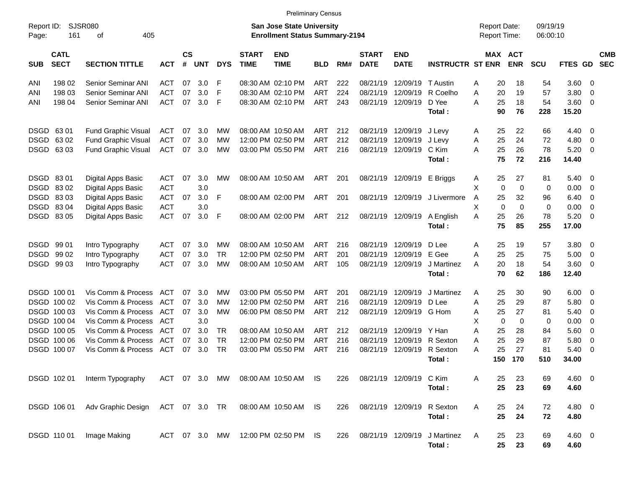|                     |                            |                             |               |                    |            |               |                             | <b>Preliminary Census</b>                                                 |            |     |                             |                           |                         |                                            |             |             |                      |                |                          |                          |
|---------------------|----------------------------|-----------------------------|---------------|--------------------|------------|---------------|-----------------------------|---------------------------------------------------------------------------|------------|-----|-----------------------------|---------------------------|-------------------------|--------------------------------------------|-------------|-------------|----------------------|----------------|--------------------------|--------------------------|
| Report ID:<br>Page: | 161                        | <b>SJSR080</b><br>405<br>οf |               |                    |            |               |                             | <b>San Jose State University</b><br><b>Enrollment Status Summary-2194</b> |            |     |                             |                           |                         | <b>Report Date:</b><br><b>Report Time:</b> |             |             | 09/19/19<br>06:00:10 |                |                          |                          |
| <b>SUB</b>          | <b>CATL</b><br><b>SECT</b> | <b>SECTION TITTLE</b>       | <b>ACT</b>    | $\mathsf{cs}$<br># | <b>UNT</b> | <b>DYS</b>    | <b>START</b><br><b>TIME</b> | <b>END</b><br><b>TIME</b>                                                 | <b>BLD</b> | RM# | <b>START</b><br><b>DATE</b> | <b>END</b><br><b>DATE</b> | <b>INSTRUCTR ST ENR</b> |                                            | MAX ACT     | <b>ENR</b>  | <b>SCU</b>           | FTES GD        |                          | <b>CMB</b><br><b>SEC</b> |
| ANI                 | 198 02                     | Senior Seminar ANI          | <b>ACT</b>    | 07                 | 3.0        | F             |                             | 08:30 AM 02:10 PM                                                         | <b>ART</b> | 222 | 08/21/19                    | 12/09/19                  | T Austin                | Α                                          | 20          | 18          | 54                   | 3.60 0         |                          |                          |
| ANI                 | 198 03                     | Senior Seminar ANI          | <b>ACT</b>    | 07                 | 3.0        | F             |                             | 08:30 AM 02:10 PM                                                         | <b>ART</b> | 224 | 08/21/19                    | 12/09/19                  | R Coelho                | Α                                          | 20          | 19          | 57                   | 3.80           | - 0                      |                          |
| ANI                 | 198 04                     | Senior Seminar ANI          | <b>ACT</b>    | 07                 | 3.0        | F             |                             | 08:30 AM 02:10 PM                                                         | <b>ART</b> | 243 |                             | 08/21/19 12/09/19         | D Yee                   | A                                          | 25          | 18          | 54                   | $3.60 \ 0$     |                          |                          |
|                     |                            |                             |               |                    |            |               |                             |                                                                           |            |     |                             |                           | Total:                  |                                            | 90          | 76          | 228                  | 15.20          |                          |                          |
|                     | DSGD 6301                  | <b>Fund Graphic Visual</b>  | <b>ACT</b>    | 07                 | 3.0        | МW            |                             | 08:00 AM 10:50 AM                                                         | ART        | 212 |                             | 08/21/19 12/09/19         | J Levy                  | Α                                          | 25          | 22          | 66                   | 4.40           | $\overline{\phantom{0}}$ |                          |
| DSGD                | 63 02                      | <b>Fund Graphic Visual</b>  | <b>ACT</b>    | 07                 | 3.0        | МW            |                             | 12:00 PM 02:50 PM                                                         | <b>ART</b> | 212 |                             | 08/21/19 12/09/19         | J Levy                  | Α                                          | 25          | 24          | 72                   | 4.80           | - 0                      |                          |
|                     | DSGD 6303                  | <b>Fund Graphic Visual</b>  | <b>ACT</b>    | 07                 | 3.0        | MW            |                             | 03:00 PM 05:50 PM                                                         | <b>ART</b> | 216 |                             | 08/21/19 12/09/19         | C Kim<br>Total:         | Α                                          | 25<br>75    | 26<br>72    | 78<br>216            | 5.20<br>14.40  | $\overline{\mathbf{0}}$  |                          |
|                     |                            |                             |               |                    |            |               |                             |                                                                           |            |     |                             |                           |                         |                                            |             |             |                      |                |                          |                          |
|                     | DSGD 8301                  | Digital Apps Basic          | <b>ACT</b>    | 07                 | 3.0        | МW            |                             | 08:00 AM 10:50 AM                                                         | ART        | 201 |                             | 08/21/19 12/09/19         | E Briggs                | Α                                          | 25          | 27          | 81                   | 5.40           | - 0                      |                          |
|                     | DSGD 8302                  | Digital Apps Basic          | <b>ACT</b>    |                    | 3.0        |               |                             |                                                                           |            |     |                             |                           |                         | X                                          | $\mathbf 0$ | $\mathbf 0$ | 0                    | 0.00           | $\overline{\mathbf{0}}$  |                          |
|                     | DSGD 8303                  | Digital Apps Basic          | <b>ACT</b>    | 07                 | 3.0        | F             |                             | 08:00 AM 02:00 PM                                                         | ART        | 201 |                             | 08/21/19 12/09/19         | J Livermore             | Α                                          | 25          | 32          | 96                   | 6.40           | - 0                      |                          |
|                     | DSGD 8304                  | Digital Apps Basic          | <b>ACT</b>    |                    | 3.0        |               |                             |                                                                           |            |     |                             |                           |                         | X                                          | $\mathbf 0$ | $\Omega$    | 0                    | 0.00           | - 0                      |                          |
|                     | DSGD 8305                  | Digital Apps Basic          | <b>ACT</b>    | 07                 | 3.0        | F             |                             | 08:00 AM 02:00 PM                                                         | ART        | 212 |                             | 08/21/19 12/09/19         | A English               | A                                          | 25          | 26          | 78                   | 5.20           | $\overline{\phantom{0}}$ |                          |
|                     |                            |                             |               |                    |            |               |                             |                                                                           |            |     |                             |                           | Total:                  |                                            | 75          | 85          | 255                  | 17.00          |                          |                          |
|                     | DSGD 99 01                 | Intro Typography            | ACT           | 07                 | 3.0        | МW            |                             | 08:00 AM 10:50 AM                                                         | <b>ART</b> | 216 |                             | 08/21/19 12/09/19         | D Lee                   | Α                                          | 25          | 19          | 57                   | 3.80 0         |                          |                          |
| DSGD                | 99 02                      | Intro Typography            | <b>ACT</b>    | 07                 | 3.0        | <b>TR</b>     |                             | 12:00 PM 02:50 PM                                                         | <b>ART</b> | 201 | 08/21/19                    | 12/09/19                  | E Gee                   | A                                          | 25          | 25          | 75                   | 5.00           | $\overline{\phantom{0}}$ |                          |
|                     | DSGD 99 03                 | Intro Typography            | <b>ACT</b>    | 07                 | 3.0        | MW            |                             | 08:00 AM 10:50 AM                                                         | <b>ART</b> | 105 |                             | 08/21/19 12/09/19         | J Martinez              | A                                          | 20          | 18          | 54                   | $3.60 \ 0$     |                          |                          |
|                     |                            |                             |               |                    |            |               |                             |                                                                           |            |     |                             |                           | Total:                  |                                            | 70          | 62          | 186                  | 12.40          |                          |                          |
|                     | DSGD 100 01                | Vis Comm & Process          | ACT           | 07                 | 3.0        | МW            |                             | 03:00 PM 05:50 PM                                                         | ART        | 201 | 08/21/19                    | 12/09/19                  | J Martinez              | Α                                          | 25          | 30          | 90                   | $6.00 \quad 0$ |                          |                          |
|                     | DSGD 100 02                | Vis Comm & Process          | ACT           | 07                 | 3.0        | МW            |                             | 12:00 PM 02:50 PM                                                         | <b>ART</b> | 216 | 08/21/19                    | 12/09/19                  | D Lee                   | Α                                          | 25          | 29          | 87                   | 5.80           | $\overline{\mathbf{0}}$  |                          |
|                     | DSGD 100 03                | Vis Comm & Process          | ACT           | 07                 | 3.0        | MW            |                             | 06:00 PM 08:50 PM                                                         | <b>ART</b> | 212 |                             | 08/21/19 12/09/19 G Hom   |                         | Α                                          | 25          | 27          | 81                   | 5.40           | - 0                      |                          |
|                     | DSGD 100 04                | Vis Comm & Process          | ACT           |                    | 3.0        |               |                             |                                                                           |            |     |                             |                           |                         | X                                          | 0           | 0           | 0                    | 0.00           | - 0                      |                          |
|                     | DSGD 100 05                | Vis Comm & Process          | ACT           | 07                 | 3.0        | <b>TR</b>     |                             | 08:00 AM 10:50 AM                                                         | <b>ART</b> | 212 |                             | 08/21/19 12/09/19 Y Han   |                         | A                                          | 25          | 28          | 84                   | 5.60           | $\overline{\mathbf{0}}$  |                          |
|                     | DSGD 100 06                | Vis Comm & Process          | ACT           | 07                 | 3.0        | <b>TR</b>     |                             | 12:00 PM 02:50 PM                                                         | <b>ART</b> | 216 | 08/21/19                    | 12/09/19                  | R Sexton                | A                                          | 25          | 29          | 87                   | 5.80           | 0                        |                          |
|                     | DSGD 100 07                | Vis Comm & Process          | ACT           | 07                 | 3.0        | <b>TR</b>     |                             | 03:00 PM 05:50 PM                                                         | <b>ART</b> | 216 |                             | 08/21/19 12/09/19         | R Sexton                | Α                                          | 25          | 27          | 81                   | 5.40           | - 0                      |                          |
|                     |                            |                             |               |                    |            |               |                             |                                                                           |            |     |                             |                           | Total :                 |                                            | 150         | 170         | 510                  | 34.00          |                          |                          |
|                     | DSGD 102 01                | Interm Typography           |               |                    |            | ACT 07 3.0 MW |                             | 08:00 AM 10:50 AM IS                                                      |            | 226 |                             | 08/21/19 12/09/19 C Kim   |                         | Α                                          | 25          | 23          | 69                   | 4.60 0         |                          |                          |
|                     |                            |                             |               |                    |            |               |                             |                                                                           |            |     |                             |                           | Total:                  |                                            | 25          | 23          | 69                   | 4.60           |                          |                          |
|                     | DSGD 106 01                | Adv Graphic Design          | ACT 07 3.0 TR |                    |            |               |                             | 08:00 AM 10:50 AM IS                                                      |            | 226 |                             | 08/21/19 12/09/19         | R Sexton                | Α                                          | 25          | 24          | 72                   | 4.80 0         |                          |                          |
|                     |                            |                             |               |                    |            |               |                             |                                                                           |            |     |                             |                           | Total:                  |                                            | 25          | 24          | 72                   | 4.80           |                          |                          |
|                     | DSGD 110 01                | Image Making                | ACT 07 3.0 MW |                    |            |               |                             | 12:00 PM 02:50 PM IS                                                      |            | 226 |                             | 08/21/19 12/09/19         | J Martinez              | A                                          | 25          | 23          | 69                   | $4.60$ 0       |                          |                          |
|                     |                            |                             |               |                    |            |               |                             |                                                                           |            |     |                             |                           | Total:                  |                                            | 25          | 23          | 69                   | 4.60           |                          |                          |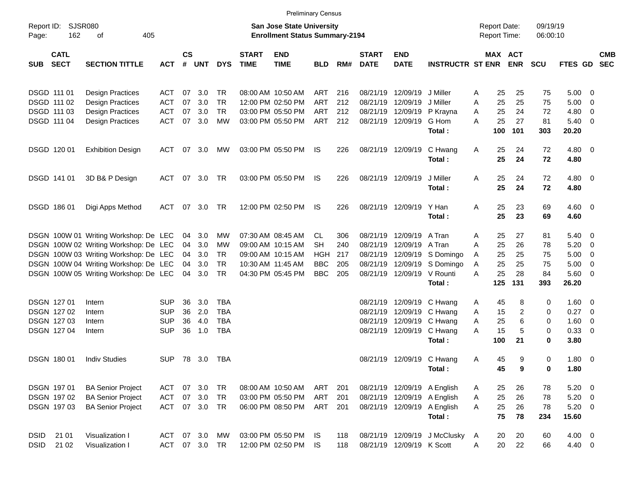|                     |                            |                                       |               |                    |            |            |                             | <b>Preliminary Census</b>                                                 |            |     |                             |                             |                              |   |                                     |            |                      |                     |                          |            |
|---------------------|----------------------------|---------------------------------------|---------------|--------------------|------------|------------|-----------------------------|---------------------------------------------------------------------------|------------|-----|-----------------------------|-----------------------------|------------------------------|---|-------------------------------------|------------|----------------------|---------------------|--------------------------|------------|
| Report ID:<br>Page: | <b>SJSR080</b><br>162      | 405<br>оf                             |               |                    |            |            |                             | <b>San Jose State University</b><br><b>Enrollment Status Summary-2194</b> |            |     |                             |                             |                              |   | <b>Report Date:</b><br>Report Time: |            | 09/19/19<br>06:00:10 |                     |                          |            |
| SUB                 | <b>CATL</b><br><b>SECT</b> | <b>SECTION TITTLE</b>                 | <b>ACT</b>    | $\mathsf{cs}$<br># | <b>UNT</b> | <b>DYS</b> | <b>START</b><br><b>TIME</b> | <b>END</b><br><b>TIME</b>                                                 | <b>BLD</b> | RM# | <b>START</b><br><b>DATE</b> | <b>END</b><br><b>DATE</b>   | <b>INSTRUCTR ST ENR</b>      |   | MAX ACT                             | <b>ENR</b> | <b>SCU</b>           | FTES GD SEC         |                          | <b>CMB</b> |
|                     | DSGD 111 01                | <b>Design Practices</b>               | ACT           | 07                 | 3.0        | TR.        |                             | 08:00 AM 10:50 AM                                                         | ART        | 216 | 08/21/19                    | 12/09/19                    | J Miller                     | A | 25                                  | 25         | 75                   | 5.00                | - 0                      |            |
|                     | DSGD 111 02                | <b>Design Practices</b>               | ACT           | 07                 | 3.0        | TR.        |                             | 12:00 PM 02:50 PM                                                         | ART        | 212 | 08/21/19                    | 12/09/19                    | J Miller                     | A | 25                                  | 25         | 75                   | 5.00                | 0                        |            |
|                     | DSGD 111 03                | <b>Design Practices</b>               | ACT           | 07                 | 3.0        | TR.        |                             | 03:00 PM 05:50 PM                                                         | ART        | 212 | 08/21/19                    | 12/09/19                    | P Krayna                     | Α | 25                                  | 24         | 72                   | 4.80                | 0                        |            |
|                     | DSGD 111 04                | <b>Design Practices</b>               | <b>ACT</b>    | 07                 | 3.0        | <b>MW</b>  |                             | 03:00 PM 05:50 PM                                                         | ART        | 212 |                             | 08/21/19 12/09/19           | G Hom                        | Α | 25                                  | 27         | 81                   | 5.40                | - 0                      |            |
|                     |                            |                                       |               |                    |            |            |                             |                                                                           |            |     |                             |                             | Total:                       |   | 100                                 | 101        | 303                  | 20.20               |                          |            |
|                     | DSGD 120 01                | <b>Exhibition Design</b>              | ACT           | 07                 | 3.0        | МW         |                             | 03:00 PM 05:50 PM                                                         | IS         | 226 |                             | 08/21/19 12/09/19           | C Hwang<br>Total:            | A | 25<br>25                            | 24<br>24   | 72<br>72             | $4.80\ 0$<br>4.80   |                          |            |
|                     | DSGD 141 01                | 3D B& P Design                        | ACT           | 07                 | 3.0        | TR         |                             | 03:00 PM 05:50 PM                                                         | IS         | 226 |                             | 08/21/19 12/09/19           | J Miller<br>Total:           | Α | 25<br>25                            | 24<br>24   | 72<br>72             | $4.80$ 0<br>4.80    |                          |            |
|                     | DSGD 186 01                | Digi Apps Method                      | ACT           | 07                 | 3.0        | TR         |                             | 12:00 PM 02:50 PM                                                         | IS         | 226 |                             | 08/21/19 12/09/19           | Y Han<br>Total:              | A | 25<br>25                            | 23<br>23   | 69<br>69             | $4.60$ 0<br>4.60    |                          |            |
|                     |                            | DSGN 100W 01 Writing Workshop: De LEC |               | 04                 | 3.0        | МW         |                             | 07:30 AM 08:45 AM                                                         | CL.        | 306 |                             | 08/21/19 12/09/19           | A Tran                       | Α | 25                                  | 27         | 81                   | 5.40                | - 0                      |            |
|                     |                            | DSGN 100W 02 Writing Workshop: De LEC |               | 04                 | 3.0        | <b>MW</b>  |                             | 09:00 AM 10:15 AM                                                         | SН         | 240 | 08/21/19                    | 12/09/19                    | A Tran                       | A | 25                                  | 26         | 78                   | 5.20                | - 0                      |            |
|                     |                            | DSGN 100W 03 Writing Workshop: De LEC |               | 04                 | 3.0        | TR         |                             | 09:00 AM 10:15 AM                                                         | HGH        | 217 | 08/21/19                    |                             | 12/09/19 S Domingo           | A | 25                                  | 25         | 75                   | 5.00                | 0                        |            |
|                     |                            | DSGN 100W 04 Writing Workshop: De LEC |               | 04                 | 3.0        | TR         |                             | 10:30 AM 11:45 AM                                                         | <b>BBC</b> | 205 | 08/21/19                    | 12/09/19                    | S Domingo                    | A | 25                                  | 25         | 75                   | 5.00                | 0                        |            |
|                     |                            | DSGN 100W 05 Writing Workshop: De LEC |               | 04                 | 3.0        | TR         |                             | 04:30 PM 05:45 PM                                                         | <b>BBC</b> | 205 |                             | 08/21/19 12/09/19           | V Rounti                     | Α | 25                                  | 28         | 84                   | 5.60                | $\overline{\mathbf{0}}$  |            |
|                     |                            |                                       |               |                    |            |            |                             |                                                                           |            |     |                             |                             | Total:                       |   | 125                                 | 131        | 393                  | 26.20               |                          |            |
|                     | DSGN 127 01                | Intern                                | <b>SUP</b>    | 36                 | 3.0        | <b>TBA</b> |                             |                                                                           |            |     | 08/21/19                    | 12/09/19                    | C Hwang                      | A | 45                                  | 8          | 0                    | 1.60                | $\overline{\phantom{0}}$ |            |
|                     | DSGN 127 02                | Intern                                | <b>SUP</b>    | 36                 | 2.0        | <b>TBA</b> |                             |                                                                           |            |     | 08/21/19                    | 12/09/19                    | C Hwang                      | A | 15                                  | 2          | 0                    | 0.27                | - 0                      |            |
|                     | DSGN 127 03                | Intern                                | <b>SUP</b>    | 36                 | 4.0        | <b>TBA</b> |                             |                                                                           |            |     | 08/21/19                    | 12/09/19                    | C Hwang                      | A | 25                                  | 6          | 0                    | 1.60                | $\overline{0}$           |            |
|                     | DSGN 127 04                | Intern                                | <b>SUP</b>    | 36                 | 1.0        | <b>TBA</b> |                             |                                                                           |            |     |                             | 08/21/19 12/09/19           | C Hwang                      | A | 15                                  | 5          | 0                    | 0.33                | 0                        |            |
|                     |                            |                                       |               |                    |            |            |                             |                                                                           |            |     |                             |                             | Total:                       |   | 100                                 | 21         | 0                    | 3.80                |                          |            |
|                     | <b>DSGN 18001</b>          | <b>Indiv Studies</b>                  | <b>SUP</b>    |                    | 78 3.0     | TBA        |                             |                                                                           |            |     |                             | 08/21/19 12/09/19 C Hwang   | Total:                       | Α | 45<br>45                            | 9<br>9     | 0<br>0               | $1.80 \t 0$<br>1.80 |                          |            |
|                     | DSGN 197 01                | <b>BA Senior Project</b>              | ACT           |                    | 07 3.0     | TR         |                             | 08:00 AM 10:50 AM                                                         | ART        | 201 |                             | 08/21/19 12/09/19 A English |                              | A | 25                                  | 26         | 78                   | $5.20 \ 0$          |                          |            |
|                     | DSGN 197 02                | <b>BA Senior Project</b>              | ACT           | 07                 | 3.0        | TR         |                             | 03:00 PM 05:50 PM                                                         | ART        | 201 |                             | 08/21/19 12/09/19 A English |                              | A | 25                                  | 26         | 78                   | $5.20 \t 0$         |                          |            |
|                     | DSGN 197 03                | <b>BA Senior Project</b>              | ACT 07 3.0 TR |                    |            |            |                             | 06:00 PM 08:50 PM                                                         | ART        | 201 |                             | 08/21/19 12/09/19           | A English                    | A | 25                                  | 26         | 78                   | $5.20 \t 0$         |                          |            |
|                     |                            |                                       |               |                    |            |            |                             |                                                                           |            |     |                             |                             | Total:                       |   | 75                                  | 78         | 234                  | 15.60               |                          |            |
| <b>DSID</b>         | 21 01                      | Visualization I                       | ACT 07 3.0    |                    |            | <b>MW</b>  |                             | 03:00 PM 05:50 PM IS                                                      |            | 118 |                             |                             | 08/21/19 12/09/19 J McClusky | A | 20                                  | 20         | 60                   | $4.00 \t 0$         |                          |            |
| <b>DSID</b>         | 21 02                      | Visualization I                       | ACT           |                    | 07 3.0 TR  |            |                             | 12:00 PM 02:50 PM                                                         | IS.        | 118 |                             | 08/21/19 12/09/19 K Scott   |                              | A | 20                                  | 22         | 66                   | 4.40 0              |                          |            |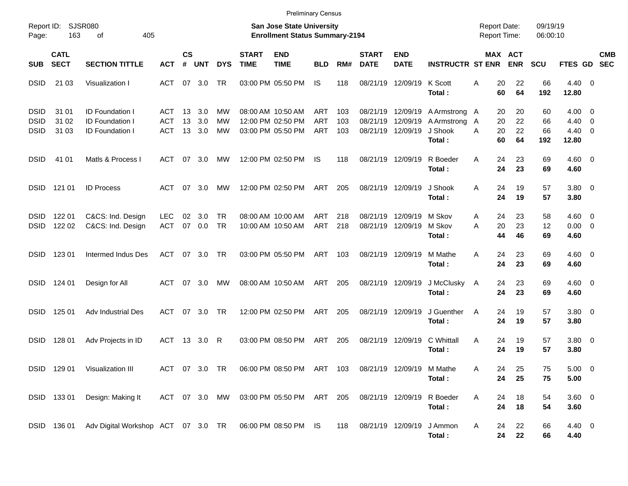|                                           |                            |                                                                            |                          |                |                      |                        |                             | <b>Preliminary Census</b>                                                 |                          |                   |                               |                                           |                                                   |                                            |                              |                       |                                               |                          |            |
|-------------------------------------------|----------------------------|----------------------------------------------------------------------------|--------------------------|----------------|----------------------|------------------------|-----------------------------|---------------------------------------------------------------------------|--------------------------|-------------------|-------------------------------|-------------------------------------------|---------------------------------------------------|--------------------------------------------|------------------------------|-----------------------|-----------------------------------------------|--------------------------|------------|
| Report ID:<br>Page:                       | 163                        | SJSR080<br>405<br>οf                                                       |                          |                |                      |                        |                             | San Jose State University<br><b>Enrollment Status Summary-2194</b>        |                          |                   |                               |                                           |                                                   | <b>Report Date:</b><br><b>Report Time:</b> |                              | 09/19/19<br>06:00:10  |                                               |                          |            |
| <b>SUB</b>                                | <b>CATL</b><br><b>SECT</b> | <b>SECTION TITTLE</b>                                                      | <b>ACT</b>               | <b>CS</b><br># | <b>UNT</b>           | <b>DYS</b>             | <b>START</b><br><b>TIME</b> | <b>END</b><br><b>TIME</b>                                                 | <b>BLD</b>               | RM#               | <b>START</b><br><b>DATE</b>   | <b>END</b><br><b>DATE</b>                 | <b>INSTRUCTR ST ENR</b>                           |                                            | <b>MAX ACT</b><br><b>ENR</b> | <b>SCU</b>            | FTES GD SEC                                   |                          | <b>CMB</b> |
| <b>DSID</b>                               | 21 03                      | Visualization I                                                            | ACT                      |                | 07 3.0               | <b>TR</b>              |                             | 03:00 PM 05:50 PM                                                         | IS.                      | 118               | 08/21/19                      | 12/09/19                                  | K Scott<br>Total:                                 | 20<br>Α<br>60                              | 22<br>64                     | 66<br>192             | $4.40 \ 0$<br>12.80                           |                          |            |
| <b>DSID</b><br><b>DSID</b><br><b>DSID</b> | 31 01<br>31 02<br>31 03    | <b>ID Foundation I</b><br><b>ID Foundation I</b><br><b>ID Foundation I</b> | ACT<br><b>ACT</b><br>ACT | 13<br>13       | 3.0<br>3.0<br>13 3.0 | MW<br>МW<br>MW         |                             | 08:00 AM 10:50 AM<br>12:00 PM 02:50 PM<br>03:00 PM 05:50 PM               | ART<br><b>ART</b><br>ART | 103<br>103<br>103 | 08/21/19<br>08/21/19          | 12/09/19<br>12/09/19<br>08/21/19 12/09/19 | A Armstrong A<br>A Armstrong<br>J Shook<br>Total: | 20<br>20<br>A<br>20<br>A<br>60             | 20<br>22<br>22<br>64         | 60<br>66<br>66<br>192 | $4.00 \ 0$<br>4.40<br>$4.40 \quad 0$<br>12.80 | $\overline{\phantom{0}}$ |            |
| <b>DSID</b>                               | 41 01                      | Matls & Process I                                                          | ACT                      |                | 07 3.0               | МW                     |                             | 12:00 PM 02:50 PM                                                         | IS                       | 118               |                               | 08/21/19 12/09/19                         | R Boeder<br>Total:                                | 24<br>A<br>24                              | 23<br>23                     | 69<br>69              | $4.60$ 0<br>4.60                              |                          |            |
| <b>DSID</b>                               | 121 01                     | <b>ID Process</b>                                                          | ACT                      |                | 07 3.0               | МW                     |                             | 12:00 PM 02:50 PM                                                         | ART                      | 205               | 08/21/19 12/09/19             |                                           | J Shook<br>Total:                                 | A<br>24<br>24                              | 19<br>19                     | 57<br>57              | 3.80 0<br>3.80                                |                          |            |
| <b>DSID</b><br><b>DSID</b>                | 122 01<br>122 02           | C&CS: Ind. Design<br>C&CS: Ind. Design                                     | <b>LEC</b><br><b>ACT</b> | 02<br>07       | 3.0<br>0.0           | <b>TR</b><br><b>TR</b> |                             | 08:00 AM 10:00 AM<br>10:00 AM 10:50 AM                                    | <b>ART</b><br>ART        | 218<br>218        | 08/21/19<br>08/21/19 12/09/19 | 12/09/19                                  | M Skov<br>M Skov<br>Total:                        | 24<br>A<br>20<br>Α<br>44                   | 23<br>23<br>46               | 58<br>12<br>69        | $4.60$ 0<br>$0.00 \t 0$<br>4.60               |                          |            |
| <b>DSID</b>                               | 123 01                     | Intermed Indus Des                                                         | ACT                      |                | 07 3.0               | <b>TR</b>              |                             | 03:00 PM 05:50 PM                                                         | ART                      | 103               | 08/21/19 12/09/19             |                                           | M Mathe<br>Total:                                 | A<br>24<br>24                              | 23<br>23                     | 69<br>69              | $4.60$ 0<br>4.60                              |                          |            |
| <b>DSID</b>                               | 124 01                     | Design for All                                                             | ACT                      |                | 07 3.0               | МW                     |                             | 08:00 AM 10:50 AM                                                         | ART                      | 205               | 08/21/19 12/09/19             |                                           | J McClusky<br>Total:                              | 24<br>A<br>24                              | 23<br>23                     | 69<br>69              | $4.60$ 0<br>4.60                              |                          |            |
| <b>DSID</b>                               | 125 01                     | Adv Industrial Des                                                         | ACT                      |                | 07 3.0               | <b>TR</b>              |                             | 12:00 PM 02:50 PM                                                         | ART                      | 205               | 08/21/19 12/09/19             |                                           | J Guenther<br>Total:                              | 24<br>A<br>24                              | 19<br>19                     | 57<br>57              | 3.80 0<br>3.80                                |                          |            |
| <b>DSID</b>                               | 128 01                     | Adv Projects in ID                                                         | ACT                      |                | 13 3.0               | R                      |                             | 03:00 PM 08:50 PM                                                         | ART                      | 205               |                               | 08/21/19 12/09/19                         | C Whittall<br>Total:                              | A<br>24<br>24                              | 19<br>19                     | 57<br>57              | 3.80 0<br>3.80                                |                          |            |
|                                           |                            | DSID 129 01 Visualization III                                              |                          |                |                      |                        |                             | ACT 07 3.0 TR  06:00 PM  08:50 PM  ART  103  08/21/19  12/09/19  M  Mathe |                          |                   |                               |                                           | Total:                                            | Α<br>24<br>24                              | 25<br>25                     | 75<br>75              | 5.00 0<br>5.00                                |                          |            |
|                                           |                            | DSID 133 01 Design: Making It                                              |                          |                |                      |                        |                             | ACT 07 3.0 MW 03:00 PM 05:50 PM ART 205                                   |                          |                   | 08/21/19 12/09/19             |                                           | R Boeder<br>Total:                                | 24<br>A<br>24                              | 18<br>18                     | 54<br>54              | $3.60$ 0<br>3.60                              |                          |            |
|                                           |                            | DSID 136 01 Adv Digital Workshop ACT 07 3.0 TR 06:00 PM 08:50 PM IS        |                          |                |                      |                        |                             |                                                                           |                          | 118               | 08/21/19 12/09/19             |                                           | J Ammon<br>Total:                                 | 24<br>A<br>24                              | 22<br>22                     | 66<br>66              | 4.40 0<br>4.40                                |                          |            |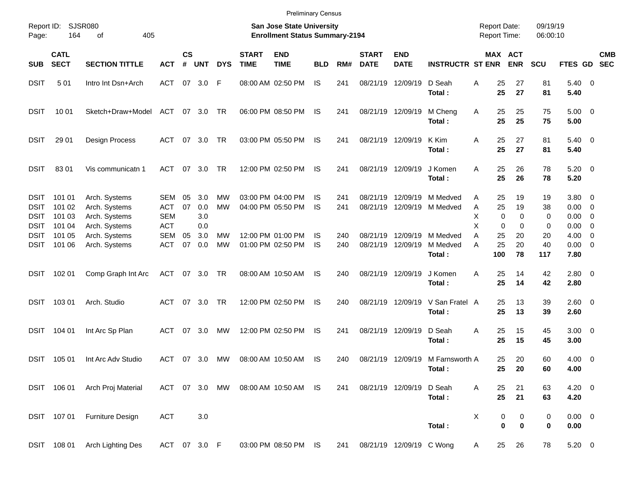|                                                          |                                      |                                                                  |                                               |                |                          |                 |                             |                                                                           | <b>Preliminary Census</b> |            |                             |                                        |                                            |                                            |                              |                      |                                |                                                                                |                          |
|----------------------------------------------------------|--------------------------------------|------------------------------------------------------------------|-----------------------------------------------|----------------|--------------------------|-----------------|-----------------------------|---------------------------------------------------------------------------|---------------------------|------------|-----------------------------|----------------------------------------|--------------------------------------------|--------------------------------------------|------------------------------|----------------------|--------------------------------|--------------------------------------------------------------------------------|--------------------------|
| Report ID:<br>Page:                                      | 164                                  | SJSR080<br>405<br>оf                                             |                                               |                |                          |                 |                             | <b>San Jose State University</b><br><b>Enrollment Status Summary-2194</b> |                           |            |                             |                                        |                                            | <b>Report Date:</b><br><b>Report Time:</b> |                              | 09/19/19<br>06:00:10 |                                |                                                                                |                          |
| <b>SUB</b>                                               | <b>CATL</b><br><b>SECT</b>           | <b>SECTION TITTLE</b>                                            | <b>ACT</b>                                    | <b>CS</b><br># | UNT                      | <b>DYS</b>      | <b>START</b><br><b>TIME</b> | <b>END</b><br><b>TIME</b>                                                 | <b>BLD</b>                | RM#        | <b>START</b><br><b>DATE</b> | <b>END</b><br><b>DATE</b>              | <b>INSTRUCTR ST ENR</b>                    |                                            | <b>MAX ACT</b><br><b>ENR</b> | <b>SCU</b>           | <b>FTES GD</b>                 |                                                                                | <b>CMB</b><br><b>SEC</b> |
| <b>DSIT</b>                                              | 501                                  | Intro Int Dsn+Arch                                               | <b>ACT</b>                                    | 07             | 3.0                      | -F              |                             | 08:00 AM 02:50 PM                                                         | <b>IS</b>                 | 241        | 08/21/19                    | 12/09/19                               | D Seah<br>Total:                           | 25<br>Α<br>25                              | 27<br>27                     | 81<br>81             | $5.40 \ 0$<br>5.40             |                                                                                |                          |
| <b>DSIT</b>                                              | 10 01                                | Sketch+Draw+Model                                                | ACT                                           |                | 07 3.0                   | TR              |                             | 06:00 PM 08:50 PM                                                         | IS.                       | 241        |                             | 08/21/19 12/09/19                      | M Cheng<br>Total:                          | 25<br>Α<br>25                              | 25<br>25                     | 75<br>75             | $5.00 \t 0$<br>5.00            |                                                                                |                          |
| <b>DSIT</b>                                              | 29 01                                | Design Process                                                   | ACT                                           | 07             | 3.0                      | TR              |                             | 03:00 PM 05:50 PM                                                         | IS                        | 241        |                             | 08/21/19 12/09/19                      | K Kim<br>Total:                            | 25<br>Α<br>25                              | 27<br>27                     | 81<br>81             | $5.40 \ 0$<br>5.40             |                                                                                |                          |
| <b>DSIT</b>                                              | 8301                                 | Vis communicatn 1                                                | <b>ACT</b>                                    | 07             | 3.0                      | TR              |                             | 12:00 PM 02:50 PM                                                         | IS.                       | 241        |                             | 08/21/19 12/09/19                      | J Komen<br>Total:                          | 25<br>A<br>25                              | 26<br>26                     | 78<br>78             | $5.20 \ 0$<br>5.20             |                                                                                |                          |
| <b>DSIT</b><br><b>DSIT</b><br><b>DSIT</b><br><b>DSIT</b> | 101 01<br>101 02<br>101 03<br>101 04 | Arch. Systems<br>Arch. Systems<br>Arch. Systems<br>Arch. Systems | SEM<br><b>ACT</b><br><b>SEM</b><br><b>ACT</b> | 05<br>07       | 3.0<br>0.0<br>3.0<br>0.0 | МW<br><b>MW</b> |                             | 03:00 PM 04:00 PM<br>04:00 PM 05:50 PM                                    | IS<br><b>IS</b>           | 241<br>241 | 08/21/19                    | 12/09/19                               | M Medved<br>08/21/19 12/09/19 M Medved     | 25<br>Α<br>25<br>Α<br>Χ<br>0<br>X<br>0     | 19<br>19<br>0<br>0           | 19<br>38<br>0<br>0   | 3.80 0<br>0.00<br>0.00<br>0.00 | $\overline{\phantom{0}}$<br>$\overline{\mathbf{0}}$<br>$\overline{\mathbf{0}}$ |                          |
| <b>DSIT</b><br><b>DSIT</b>                               | 101 05<br>101 06                     | Arch. Systems<br>Arch. Systems                                   | <b>SEM</b><br><b>ACT</b>                      | 05<br>07       | 3.0<br>0.0               | МW<br><b>MW</b> |                             | 12:00 PM 01:00 PM<br>01:00 PM 02:50 PM                                    | IS.<br><b>IS</b>          | 240<br>240 |                             | 08/21/19 12/09/19<br>08/21/19 12/09/19 | M Medved<br>M Medved<br>Total:             | 25<br>Α<br>25<br>A<br>100                  | 20<br>20<br>78               | 20<br>40<br>117      | 4.00<br>$0.00 \t 0$<br>7.80    | $\overline{\mathbf{0}}$                                                        |                          |
| <b>DSIT</b>                                              | 102 01                               | Comp Graph Int Arc                                               | ACT                                           |                | 07 3.0                   | TR              |                             | 08:00 AM 10:50 AM                                                         | IS.                       | 240        |                             | 08/21/19 12/09/19                      | J Komen<br>Total:                          | 25<br>Α<br>25                              | 14<br>14                     | 42<br>42             | 2.80 0<br>2.80                 |                                                                                |                          |
| <b>DSIT</b>                                              | 103 01                               | Arch. Studio                                                     | ACT                                           | 07             | 3.0                      | TR              |                             | 12:00 PM 02:50 PM                                                         | IS.                       | 240        |                             | 08/21/19 12/09/19                      | V San Fratel A<br>Total:                   | 25<br>25                                   | 13<br>13                     | 39<br>39             | 2.60 0<br>2.60                 |                                                                                |                          |
| <b>DSIT</b>                                              | 104 01                               | Int Arc Sp Plan                                                  | ACT                                           | 07             | 3.0                      | MW              |                             | 12:00 PM 02:50 PM                                                         | IS.                       | 241        |                             | 08/21/19 12/09/19                      | D Seah<br>Total:                           | 25<br>Α<br>25                              | 15<br>15                     | 45<br>45             | $3.00 \ 0$<br>3.00             |                                                                                |                          |
| <b>DSIT</b>                                              | 105 01                               | Int Arc Adv Studio                                               | ACT                                           | 07             | 3.0                      | MW              |                             | 08:00 AM 10:50 AM                                                         | IS.                       | 240        |                             |                                        | 08/21/19 12/09/19 M Farnsworth A<br>Total: | 25<br>25                                   | 20<br>20                     | 60<br>60             | $4.00 \ 0$<br>4.00             |                                                                                |                          |
|                                                          | DSIT 106 01                          | Arch Proj Material                                               |                                               |                |                          | ACT 07 3.0 MW   |                             | 08:00 AM 10:50 AM IS                                                      |                           | 241        |                             | 08/21/19 12/09/19                      | D Seah<br>Total:                           | 25<br>Α<br>25                              | 21<br>21                     | 63<br>63             | $4.20 \ 0$<br>4.20             |                                                                                |                          |
|                                                          | DSIT 107 01                          | Furniture Design                                                 | <b>ACT</b>                                    |                | 3.0                      |                 |                             |                                                                           |                           |            |                             |                                        | Total:                                     | X                                          | 0<br>0<br>$\mathbf 0$<br>0   | 0<br>0               | $0.00 \t 0$<br>0.00            |                                                                                |                          |
|                                                          | DSIT 108 01                          | <b>Arch Lighting Des</b>                                         | ACT 07 3.0 F                                  |                |                          |                 |                             | 03:00 PM 08:50 PM IS                                                      |                           | 241        |                             | 08/21/19 12/09/19 C Wong               |                                            | 25<br>A                                    | 26                           | 78                   | $5.20\ 0$                      |                                                                                |                          |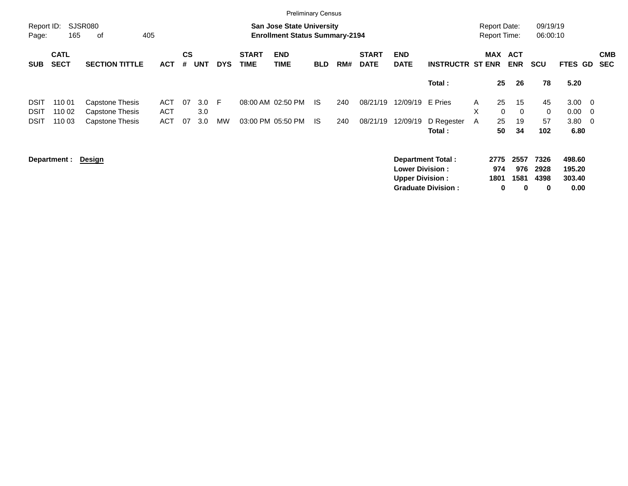|                     |                            |                                    |                          |                    |            |            |                             | <b>Preliminary Census</b>                                                 |            |     |                             |                                                  |                                                       |        |                                            |                                 |                           |                                    |                                                     |
|---------------------|----------------------------|------------------------------------|--------------------------|--------------------|------------|------------|-----------------------------|---------------------------------------------------------------------------|------------|-----|-----------------------------|--------------------------------------------------|-------------------------------------------------------|--------|--------------------------------------------|---------------------------------|---------------------------|------------------------------------|-----------------------------------------------------|
| Report ID:<br>Page: | 165                        | SJSR080<br>405<br>οf               |                          |                    |            |            |                             | <b>San Jose State University</b><br><b>Enrollment Status Summary-2194</b> |            |     |                             |                                                  |                                                       |        | <b>Report Date:</b><br><b>Report Time:</b> |                                 | 09/19/19<br>06:00:10      |                                    |                                                     |
| <b>SUB</b>          | <b>CATL</b><br><b>SECT</b> | <b>SECTION TITTLE</b>              | <b>ACT</b>               | $\mathsf{cs}$<br># | <b>UNT</b> | <b>DYS</b> | <b>START</b><br><b>TIME</b> | <b>END</b><br><b>TIME</b>                                                 | <b>BLD</b> | RM# | <b>START</b><br><b>DATE</b> | <b>END</b><br><b>DATE</b>                        | <b>INSTRUCTR ST ENR</b>                               |        | MAX                                        | <b>ACT</b><br><b>ENR</b>        | <b>SCU</b>                | <b>FTES GD</b>                     | <b>CMB</b><br>SEC                                   |
|                     |                            |                                    |                          |                    |            |            |                             |                                                                           |            |     |                             |                                                  | Total:                                                |        | 25                                         | 26                              | 78                        | 5.20                               |                                                     |
| DSIT<br>DSIT        | 110 01<br>110 02           | Capstone Thesis<br>Capstone Thesis | <b>ACT</b><br><b>ACT</b> | 07                 | 3.0<br>3.0 | F.         |                             | 08:00 AM 02:50 PM                                                         | - IS       | 240 | 08/21/19                    | 12/09/19                                         | E Pries                                               | A<br>X | 25<br>$\mathbf 0$                          | 15<br>$\Omega$                  | 45<br>$\mathbf 0$         | 3.00<br>0.00                       | $\overline{\phantom{0}}$<br>$\overline{\mathbf{0}}$ |
| <b>DSIT</b>         | 110 03                     | Capstone Thesis                    | <b>ACT</b>               | 07                 | 3.0        | <b>MW</b>  |                             | 03:00 PM 05:50 PM                                                         | - IS       | 240 | 08/21/19                    | 12/09/19                                         | D Regester<br>Total:                                  | A      | 25<br>50                                   | 19<br>34                        | 57<br>102                 | 3.80<br>6.80                       | $\overline{\phantom{0}}$                            |
|                     | Department :               | <u>Design</u>                      |                          |                    |            |            |                             |                                                                           |            |     |                             | <b>Lower Division:</b><br><b>Upper Division:</b> | <b>Department Total:</b><br><b>Graduate Division:</b> |        | 2775<br>974<br>1801<br>0                   | 2557<br>976<br>1581<br>$\bf{0}$ | 7326<br>2928<br>4398<br>0 | 498.60<br>195.20<br>303.40<br>0.00 |                                                     |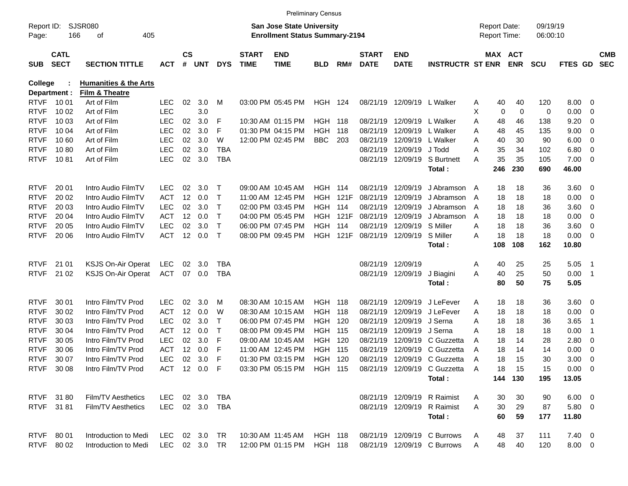|                     |                            |                                  |                |                |        |              |                             |                                                                           | <b>Preliminary Census</b> |      |                             |                           |                                                        |   |                                            |            |                      |                |                          |                          |
|---------------------|----------------------------|----------------------------------|----------------|----------------|--------|--------------|-----------------------------|---------------------------------------------------------------------------|---------------------------|------|-----------------------------|---------------------------|--------------------------------------------------------|---|--------------------------------------------|------------|----------------------|----------------|--------------------------|--------------------------|
| Report ID:<br>Page: | 166                        | <b>SJSR080</b><br>οf<br>405      |                |                |        |              |                             | <b>San Jose State University</b><br><b>Enrollment Status Summary-2194</b> |                           |      |                             |                           |                                                        |   | <b>Report Date:</b><br><b>Report Time:</b> |            | 09/19/19<br>06:00:10 |                |                          |                          |
| <b>SUB</b>          | <b>CATL</b><br><b>SECT</b> | <b>SECTION TITTLE</b>            | <b>ACT</b>     | <b>CS</b><br># | UNT    | <b>DYS</b>   | <b>START</b><br><b>TIME</b> | <b>END</b><br><b>TIME</b>                                                 | <b>BLD</b>                | RM#  | <b>START</b><br><b>DATE</b> | <b>END</b><br><b>DATE</b> | <b>INSTRUCTR ST ENR</b>                                |   | MAX ACT                                    | <b>ENR</b> | <b>SCU</b>           | <b>FTES GD</b> |                          | <b>CMB</b><br><b>SEC</b> |
| <b>College</b>      |                            | <b>Humanities &amp; the Arts</b> |                |                |        |              |                             |                                                                           |                           |      |                             |                           |                                                        |   |                                            |            |                      |                |                          |                          |
|                     | Department :               | Film & Theatre                   |                |                |        |              |                             |                                                                           |                           |      |                             |                           |                                                        |   |                                            |            |                      |                |                          |                          |
| <b>RTVF</b>         | 10 01                      | Art of Film                      | <b>LEC</b>     | 02             | 3.0    | М            |                             | 03:00 PM 05:45 PM                                                         | <b>HGH 124</b>            |      |                             | 08/21/19 12/09/19         | L Walker                                               | Α | 40                                         | 40         | 120                  | 8.00           | - 0                      |                          |
| <b>RTVF</b>         | 10 02                      | Art of Film                      | <b>LEC</b>     |                | 3.0    |              |                             |                                                                           |                           |      |                             |                           |                                                        | X | 0                                          | 0          | 0                    | 0.00           | 0                        |                          |
| <b>RTVF</b>         | 10 03                      | Art of Film                      | <b>LEC</b>     | 02             | 3.0    | F            |                             | 10:30 AM 01:15 PM                                                         | <b>HGH 118</b>            |      | 08/21/19                    | 12/09/19                  | L Walker                                               | Α | 48                                         | 46         | 138                  | 9.20           | 0                        |                          |
| <b>RTVF</b>         | 10 04                      | Art of Film                      | <b>LEC</b>     | 02             | 3.0    | F            |                             | 01:30 PM 04:15 PM                                                         | <b>HGH</b>                | 118  | 08/21/19                    | 12/09/19                  | L Walker                                               | Α | 48                                         | 45         | 135                  | 9.00           | 0                        |                          |
| <b>RTVF</b>         | 10 60                      | Art of Film                      | <b>LEC</b>     | 02             | 3.0    | W            |                             | 12:00 PM 02:45 PM                                                         | <b>BBC</b>                | 203  | 08/21/19                    | 12/09/19                  | L Walker                                               | Α | 40                                         | 30         | 90                   | 6.00           | 0                        |                          |
| <b>RTVF</b>         | 1080                       | Art of Film                      | <b>LEC</b>     | 02             | 3.0    | <b>TBA</b>   |                             |                                                                           |                           |      | 08/21/19                    | 12/09/19                  | J Todd                                                 | Α | 35                                         | 34         | 102                  | 6.80           | 0                        |                          |
| <b>RTVF</b>         | 1081                       | Art of Film                      | <b>LEC</b>     | 02             | 3.0    | <b>TBA</b>   |                             |                                                                           |                           |      |                             | 08/21/19 12/09/19         | S Burtnett                                             | Α | 35                                         | 35         | 105                  | 7.00           | $\overline{\phantom{0}}$ |                          |
|                     |                            |                                  |                |                |        |              |                             |                                                                           |                           |      |                             |                           | Total:                                                 |   | 246                                        | 230        | 690                  | 46.00          |                          |                          |
| <b>RTVF</b>         | 20 01                      | Intro Audio FilmTV               | <b>LEC</b>     | 02             | 3.0    | T            |                             | 09:00 AM 10:45 AM                                                         | <b>HGH 114</b>            |      | 08/21/19                    | 12/09/19                  | J Abramson                                             | A | 18                                         | 18         | 36                   | $3.60 \ 0$     |                          |                          |
| <b>RTVF</b>         | 20 02                      | Intro Audio FilmTV               | <b>ACT</b>     | 12             | 0.0    | Т            |                             | 11:00 AM 12:45 PM                                                         | <b>HGH</b>                | 121F | 08/21/19                    | 12/09/19                  | J Abramson                                             | A | 18                                         | 18         | 18                   | 0.00           | $\overline{\mathbf{0}}$  |                          |
| <b>RTVF</b>         | 20 03                      | Intro Audio FilmTV               | <b>LEC</b>     | 02             | 3.0    | Т            |                             | 02:00 PM 03:45 PM                                                         | HGH                       | 114  | 08/21/19                    | 12/09/19                  | J Abramson                                             | A | 18                                         | 18         | 36                   | 3.60           | $\overline{\mathbf{0}}$  |                          |
| <b>RTVF</b>         | 20 04                      | Intro Audio FilmTV               | <b>ACT</b>     | 12             | 0.0    | Т            |                             | 04:00 PM 05:45 PM                                                         | HGH                       | 121F | 08/21/19                    | 12/09/19                  | J Abramson                                             | A | 18                                         | 18         | 18                   | 0.00           | 0                        |                          |
| <b>RTVF</b>         | 20 05                      | Intro Audio FilmTV               | <b>LEC</b>     | 02             | 3.0    | $\mathsf{T}$ |                             | 06:00 PM 07:45 PM                                                         | HGH                       | 114  | 08/21/19                    | 12/09/19                  | S Miller                                               | Α | 18                                         | 18         | 36                   | 3.60           | $\overline{\mathbf{0}}$  |                          |
| <b>RTVF</b>         | 20 06                      | Intro Audio FilmTV               | <b>ACT</b>     |                | 12 0.0 | $\top$       |                             | 08:00 PM 09:45 PM                                                         | HGH                       | 121F |                             | 08/21/19 12/09/19         | S Miller                                               | Α | 18                                         | 18         | 18                   | 0.00           | $\overline{\mathbf{0}}$  |                          |
|                     |                            |                                  |                |                |        |              |                             |                                                                           |                           |      |                             |                           | Total :                                                |   | 108                                        | 108        | 162                  | 10.80          |                          |                          |
| <b>RTVF</b>         | 21 01                      | <b>KSJS On-Air Operat</b>        | <b>LEC</b>     | 02             | 3.0    | <b>TBA</b>   |                             |                                                                           |                           |      |                             | 08/21/19 12/09/19         |                                                        | Α | 40                                         | 25         | 25                   | 5.05           | - 1                      |                          |
| <b>RTVF</b>         | 21 02                      | <b>KSJS On-Air Operat</b>        | <b>ACT</b>     |                | 07 0.0 | <b>TBA</b>   |                             |                                                                           |                           |      |                             | 08/21/19 12/09/19         | J Biagini                                              | Α | 40                                         | 25         | 50                   | 0.00           | $\overline{\phantom{1}}$ |                          |
|                     |                            |                                  |                |                |        |              |                             |                                                                           |                           |      |                             |                           | Total:                                                 |   | 80                                         | 50         | 75                   | 5.05           |                          |                          |
|                     |                            |                                  |                |                |        |              |                             |                                                                           |                           |      |                             |                           |                                                        |   |                                            |            |                      |                |                          |                          |
| <b>RTVF</b>         | 30 01                      | Intro Film/TV Prod               | <b>LEC</b>     | 02             | 3.0    | M            |                             | 08:30 AM 10:15 AM                                                         | <b>HGH 118</b>            |      | 08/21/19                    | 12/09/19                  | J LeFever                                              | Α | 18                                         | 18         | 36                   | 3.60 0         |                          |                          |
| <b>RTVF</b>         | 30 02                      | Intro Film/TV Prod               | <b>ACT</b>     | 12             | 0.0    | W            |                             | 08:30 AM 10:15 AM                                                         | HGH                       | 118  | 08/21/19                    | 12/09/19                  | J LeFever                                              | Α | 18                                         | 18         | 18                   | 0.00           | $\overline{\phantom{0}}$ |                          |
| <b>RTVF</b>         | 30 03                      | Intro Film/TV Prod               | <b>LEC</b>     | 02             | 3.0    | Т            |                             | 06:00 PM 07:45 PM                                                         | HGH                       | 120  | 08/21/19                    | 12/09/19                  | J Serna                                                | Α | 18                                         | 18         | 36                   | 3.65           | -1                       |                          |
| <b>RTVF</b>         | 30 04                      | Intro Film/TV Prod               | <b>ACT</b>     | 12             | 0.0    | Т            |                             | 08:00 PM 09:45 PM                                                         | HGH                       | 115  | 08/21/19                    | 12/09/19                  | J Serna                                                | Α | 18                                         | 18         | 18                   | 0.00           | -1                       |                          |
| <b>RTVF</b>         | 30 05                      | Intro Film/TV Prod               | <b>LEC</b>     | 02             | 3.0    | F            |                             | 09:00 AM 10:45 AM                                                         | HGH                       | 120  | 08/21/19                    | 12/09/19                  | C Guzzetta                                             | Α | 18                                         | 14         | 28                   | 2.80           | 0                        |                          |
| <b>RTVF</b>         | 30 06                      | Intro Film/TV Prod               | ACT            | 12             | 0.0    | F            |                             | 11:00 AM 12:45 PM                                                         | HGH                       | 115  | 08/21/19                    | 12/09/19                  | C Guzzetta                                             | Α | 18                                         | 14         | 14                   | 0.00           | $\overline{\mathbf{0}}$  |                          |
| <b>RTVF</b>         | 30 07                      | Intro Film/TV Prod               | <b>LEC</b>     | 02             | 3.0    | F            |                             | 01:30 PM 03:15 PM                                                         | HGH                       | 120  |                             | 08/21/19 12/09/19         | C Guzzetta                                             | A | 18                                         | 15         | 30                   | 3.00           | - 0                      |                          |
|                     | RTVF 30 08                 | Intro Film/TV Prod               | ACT 12 0.0 F   |                |        |              |                             |                                                                           |                           |      |                             |                           | 03:30 PM 05:15 PM HGH 115 08/21/19 12/09/19 C Guzzetta | A | 18                                         | - 15       | 15                   | $0.00 \ 0$     |                          |                          |
|                     |                            |                                  |                |                |        |              |                             |                                                                           |                           |      |                             |                           | Total:                                                 |   |                                            | 144 130    | 195                  | 13.05          |                          |                          |
|                     | RTVF 31 80                 | <b>Film/TV Aesthetics</b>        | LEC 02 3.0 TBA |                |        |              |                             |                                                                           |                           |      |                             | 08/21/19 12/09/19         | R Raimist                                              | A | 30                                         | 30         | 90                   | $6.00 \t 0$    |                          |                          |
|                     | RTVF 3181                  | Film/TV Aesthetics               | LEC 02 3.0 TBA |                |        |              |                             |                                                                           |                           |      |                             | 08/21/19 12/09/19         | R Raimist                                              | A | 30                                         | 29         | 87                   | 5.80 0         |                          |                          |
|                     |                            |                                  |                |                |        |              |                             |                                                                           |                           |      |                             |                           | Total:                                                 |   | 60                                         | 59         | 177                  | 11.80          |                          |                          |
|                     | RTVF 80 01                 | Introduction to Medi             | LEC 02 3.0 TR  |                |        |              |                             | 10:30 AM 11:45 AM HGH 118                                                 |                           |      |                             |                           | 08/21/19 12/09/19 C Burrows                            | A | 48                                         | 37         | 111                  | $7.40 \ 0$     |                          |                          |
|                     | RTVF 80 02                 | Introduction to Medi             | LEC 02 3.0 TR  |                |        |              |                             | 12:00 PM 01:15 PM HGH 118                                                 |                           |      |                             |                           | 08/21/19 12/09/19 C Burrows                            | A | 48                                         | 40         | 120                  | 8.00 0         |                          |                          |
|                     |                            |                                  |                |                |        |              |                             |                                                                           |                           |      |                             |                           |                                                        |   |                                            |            |                      |                |                          |                          |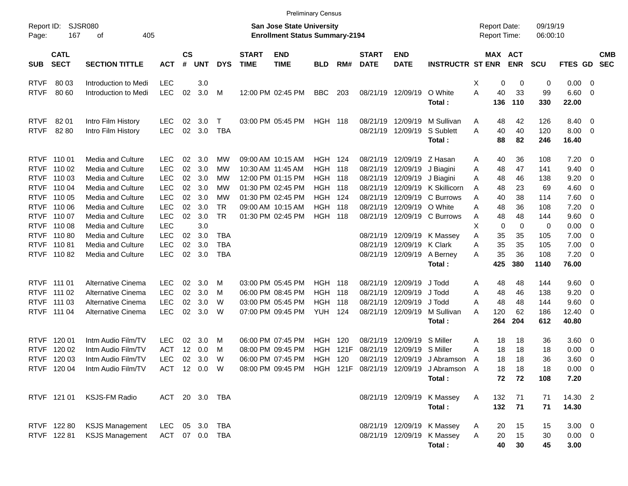|                     |                            |                                                  |                       |                    |                  |            |                             | <b>Preliminary Census</b>                                                 |                |      |                             |                           |                                                           |              |                                     |            |                      |                           |                          |                          |
|---------------------|----------------------------|--------------------------------------------------|-----------------------|--------------------|------------------|------------|-----------------------------|---------------------------------------------------------------------------|----------------|------|-----------------------------|---------------------------|-----------------------------------------------------------|--------------|-------------------------------------|------------|----------------------|---------------------------|--------------------------|--------------------------|
| Report ID:<br>Page: | 167                        | SJSR080<br>405<br>оf                             |                       |                    |                  |            |                             | <b>San Jose State University</b><br><b>Enrollment Status Summary-2194</b> |                |      |                             |                           |                                                           |              | <b>Report Date:</b><br>Report Time: |            | 09/19/19<br>06:00:10 |                           |                          |                          |
| <b>SUB</b>          | <b>CATL</b><br><b>SECT</b> | <b>SECTION TITTLE</b>                            | <b>ACT</b>            | $\mathsf{cs}$<br># | <b>UNT</b>       | <b>DYS</b> | <b>START</b><br><b>TIME</b> | <b>END</b><br><b>TIME</b>                                                 | <b>BLD</b>     | RM#  | <b>START</b><br><b>DATE</b> | <b>END</b><br><b>DATE</b> | <b>INSTRUCTR ST ENR</b>                                   |              | MAX ACT                             | <b>ENR</b> | <b>SCU</b>           | FTES GD                   |                          | <b>CMB</b><br><b>SEC</b> |
| <b>RTVF</b>         | 80 03                      | Introduction to Medi                             | <b>LEC</b>            |                    | 3.0              |            |                             |                                                                           |                |      |                             |                           |                                                           | X            | 0                                   | 0          | 0                    | 0.00                      | - 0                      |                          |
| <b>RTVF</b>         | 80 60                      | Introduction to Medi                             | <b>LEC</b>            | 02                 | 3.0              | M          |                             | 12:00 PM 02:45 PM                                                         | <b>BBC</b>     | 203  | 08/21/19                    | 12/09/19                  | O White                                                   | A            | 40                                  | 33         | 99                   | 6.60                      | - 0                      |                          |
|                     |                            |                                                  |                       |                    |                  |            |                             |                                                                           |                |      |                             |                           | Total:                                                    |              | 136                                 | 110        | 330                  | 22.00                     |                          |                          |
| <b>RTVF</b>         | 82 01                      | Intro Film History                               | <b>LEC</b>            | 02                 | 3.0 <sub>2</sub> | $\top$     |                             | 03:00 PM 05:45 PM                                                         | <b>HGH 118</b> |      | 08/21/19                    | 12/09/19                  | M Sullivan                                                | A            | 48                                  | 42         | 126                  | 8.40                      | $\overline{\phantom{0}}$ |                          |
| <b>RTVF</b>         | 82 80                      | Intro Film History                               | <b>LEC</b>            | 02                 | 3.0              | <b>TBA</b> |                             |                                                                           |                |      | 08/21/19                    | 12/09/19                  | S Sublett                                                 | Α            | 40                                  | 40         | 120                  | 8.00                      | - 0                      |                          |
|                     |                            |                                                  |                       |                    |                  |            |                             |                                                                           |                |      |                             |                           | Total:                                                    |              | 88                                  | 82         | 246                  | 16.40                     |                          |                          |
| <b>RTVF</b>         | 110 01                     | Media and Culture                                | <b>LEC</b>            | 02                 | 3.0              | МW         |                             | 09:00 AM 10:15 AM                                                         | <b>HGH</b>     | 124  | 08/21/19                    | 12/09/19                  | Z Hasan                                                   | Α            | 40                                  | 36         | 108                  | 7.20                      | $\overline{\mathbf{0}}$  |                          |
| <b>RTVF</b>         | 110 02                     | Media and Culture                                | <b>LEC</b>            | 02                 | 3.0              | МW         |                             | 10:30 AM 11:45 AM                                                         | <b>HGH</b>     | 118  | 08/21/19                    | 12/09/19                  | J Biagini                                                 | Α            | 48                                  | 47         | 141                  | 9.40                      | - 0                      |                          |
| <b>RTVF</b>         | 110 03                     | Media and Culture                                | <b>LEC</b>            | 02                 | 3.0              | МW         |                             | 12:00 PM 01:15 PM                                                         | <b>HGH</b>     | 118  | 08/21/19                    | 12/09/19                  | J Biagini                                                 | Α            | 48                                  | 46         | 138                  | 9.20                      | 0                        |                          |
| <b>RTVF</b>         | 110 04                     | Media and Culture                                | <b>LEC</b>            | 02                 | 3.0              | МW         |                             | 01:30 PM 02:45 PM                                                         | <b>HGH</b>     | 118  | 08/21/19                    | 12/09/19                  | K Skillicorn                                              | A            | 48                                  | 23         | 69                   | 4.60                      | $\overline{0}$           |                          |
| <b>RTVF</b>         | 110 05                     | Media and Culture                                | <b>LEC</b>            | 02                 | 3.0              | МW         |                             | 01:30 PM 02:45 PM                                                         | <b>HGH</b>     | 124  | 08/21/19                    | 12/09/19                  | C Burrows                                                 | Α            | 40                                  | 38         | 114                  | 7.60                      | $\overline{0}$           |                          |
| <b>RTVF</b>         | 110 06                     | Media and Culture                                | <b>LEC</b>            | 02                 | 3.0              | <b>TR</b>  |                             | 09:00 AM 10:15 AM                                                         | <b>HGH</b>     | 118  | 08/21/19                    | 12/09/19                  | O White                                                   | Α            | 48                                  | 36         | 108                  | 7.20                      | - 0                      |                          |
| <b>RTVF</b>         | 110 07                     | Media and Culture                                | <b>LEC</b>            | 02                 | 3.0              | <b>TR</b>  |                             | 01:30 PM 02:45 PM                                                         | <b>HGH</b>     | 118  | 08/21/19                    | 12/09/19                  | C Burrows                                                 | Α            | 48                                  | 48         | 144                  | 9.60                      | $\overline{0}$           |                          |
| <b>RTVF</b>         | 110 08                     | Media and Culture                                | <b>LEC</b>            |                    | 3.0              |            |                             |                                                                           |                |      |                             |                           |                                                           | X            | 0                                   | 0          | 0                    | 0.00                      | $\overline{0}$           |                          |
| <b>RTVF</b>         | 11080                      | Media and Culture                                | <b>LEC</b>            | 02                 | 3.0              | <b>TBA</b> |                             |                                                                           |                |      | 08/21/19                    | 12/09/19                  | K Massey                                                  | Α            | 35                                  | 35         | 105                  | 7.00                      | $\overline{0}$           |                          |
| <b>RTVF</b>         | 11081                      | Media and Culture                                | <b>LEC</b>            | 02                 | 3.0              | <b>TBA</b> |                             |                                                                           |                |      | 08/21/19                    | 12/09/19                  | K Clark                                                   | Α            | 35                                  | 35         | 105                  | 7.00                      | $\overline{0}$           |                          |
| <b>RTVF</b>         | 11082                      | Media and Culture                                | <b>LEC</b>            | 02                 | 3.0              | <b>TBA</b> |                             |                                                                           |                |      | 08/21/19                    | 12/09/19                  | A Berney                                                  | Α            | 35                                  | 36         | 108                  | 7.20                      | $\overline{0}$           |                          |
|                     |                            |                                                  |                       |                    |                  |            |                             |                                                                           |                |      |                             |                           | Total:                                                    |              | 425                                 | 380        | 1140                 | 76.00                     |                          |                          |
| <b>RTVF</b>         | 111 01                     | Alternative Cinema                               | <b>LEC</b>            | 02                 | 3.0              | M          |                             | 03:00 PM 05:45 PM                                                         | <b>HGH</b>     | 118  | 08/21/19                    | 12/09/19                  | J Todd                                                    | Α            | 48                                  | 48         | 144                  | 9.60                      | $\overline{\phantom{0}}$ |                          |
| <b>RTVF</b>         | 111 02                     | Alternative Cinema                               | <b>LEC</b>            | 02                 | 3.0              | M          |                             | 06:00 PM 08:45 PM                                                         | <b>HGH</b>     | 118  | 08/21/19                    | 12/09/19                  | J Todd                                                    | Α            | 48                                  | 46         | 138                  | 9.20                      | $\overline{\mathbf{0}}$  |                          |
| <b>RTVF</b>         | 111 03                     | Alternative Cinema                               | <b>LEC</b>            | 02                 | 3.0              | W          |                             | 03:00 PM 05:45 PM                                                         | <b>HGH</b>     | 118  | 08/21/19                    | 12/09/19                  | J Todd                                                    | Α            | 48                                  | 48         | 144                  | 9.60                      | 0                        |                          |
| <b>RTVF</b>         | 111 04                     | Alternative Cinema                               | <b>LEC</b>            | 02                 | 3.0              | W          |                             | 07:00 PM 09:45 PM                                                         | <b>YUH</b>     | 124  | 08/21/19                    | 12/09/19                  | M Sullivan                                                | Α            | 120                                 | 62         | 186                  | 12.40                     | - 0                      |                          |
|                     |                            |                                                  |                       |                    |                  |            |                             |                                                                           |                |      |                             |                           | Total:                                                    |              | 264                                 | 204        | 612                  | 40.80                     |                          |                          |
| <b>RTVF</b>         | 120 01                     | Intm Audio Film/TV                               | <b>LEC</b>            | 02                 | 3.0              | M          |                             | 06:00 PM 07:45 PM                                                         | <b>HGH</b>     | 120  | 08/21/19                    | 12/09/19                  | S Miller                                                  | Α            | 18                                  | 18         | 36                   | 3.60                      | $\overline{\mathbf{0}}$  |                          |
| <b>RTVF</b>         | 120 02                     | Intm Audio Film/TV                               | <b>ACT</b>            | 12                 | 0.0              | M          |                             | 08:00 PM 09:45 PM                                                         | <b>HGH</b>     | 121F | 08/21/19                    | 12/09/19                  | S Miller                                                  | Α            | 18                                  | 18         | 18                   | 0.00                      | 0                        |                          |
| <b>RTVF</b>         | 120 03                     | Intm Audio Film/TV                               | <b>LEC</b>            | 02                 | 3.0              | W          |                             | 06:00 PM 07:45 PM                                                         | <b>HGH</b>     | 120  | 08/21/19                    | 12/09/19                  | J Abramson                                                | A            | 18                                  | 18         | 36                   | 3.60                      | - 0                      |                          |
|                     | RTVF 120 04                | Intm Audio Film/TV                               | ACT 12 0.0 W          |                    |                  |            |                             |                                                                           |                |      |                             |                           | 08:00 PM 09:45 PM HGH 121F 08/21/19 12/09/19 J Abramson A |              | 18                                  | 18         | 18                   | $0.00 \t 0$               |                          |                          |
|                     |                            |                                                  |                       |                    |                  |            |                             |                                                                           |                |      |                             |                           | Total:                                                    |              | 72                                  | 72         | 108                  | 7.20                      |                          |                          |
|                     | RTVF 121 01                | <b>KSJS-FM Radio</b>                             | ACT 20 3.0 TBA        |                    |                  |            |                             |                                                                           |                |      |                             |                           | 08/21/19 12/09/19 K Massey                                | $\mathsf{A}$ | 132                                 | 71         | 71                   | 14.30 2                   |                          |                          |
|                     |                            |                                                  |                       |                    |                  |            |                             |                                                                           |                |      |                             |                           | Total:                                                    |              | 132                                 | 71         | 71                   | 14.30                     |                          |                          |
|                     |                            |                                                  |                       |                    |                  |            |                             |                                                                           |                |      |                             |                           |                                                           |              |                                     |            |                      |                           |                          |                          |
|                     | RTVF 122 80<br>RTVF 122 81 | <b>KSJS Management</b><br><b>KSJS Management</b> | LEC<br>ACT 07 0.0 TBA |                    | 05 3.0           | TBA        |                             |                                                                           |                |      |                             |                           | 08/21/19 12/09/19 K Massey<br>08/21/19 12/09/19 K Massey  | A<br>Α       | 20<br>20                            | 15<br>15   | 15                   | $3.00 \ 0$<br>$0.00 \t 0$ |                          |                          |
|                     |                            |                                                  |                       |                    |                  |            |                             |                                                                           |                |      |                             |                           | Total:                                                    |              | 40                                  | 30         | 30<br>45             | 3.00                      |                          |                          |
|                     |                            |                                                  |                       |                    |                  |            |                             |                                                                           |                |      |                             |                           |                                                           |              |                                     |            |                      |                           |                          |                          |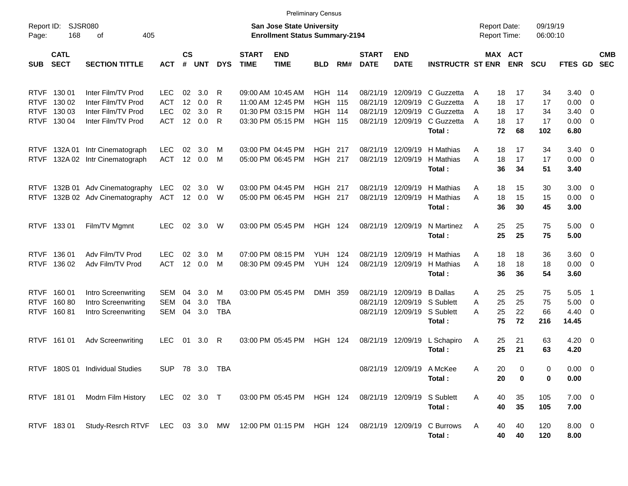|                            |                                                     |                                                                                                   |                                                      |                |                             |                               |                             | <b>Preliminary Census</b>                                                        |                                                              |            |                                  |                               |                                                                                  |                                                |                            |                             |                                                             |                                                      |                          |
|----------------------------|-----------------------------------------------------|---------------------------------------------------------------------------------------------------|------------------------------------------------------|----------------|-----------------------------|-------------------------------|-----------------------------|----------------------------------------------------------------------------------|--------------------------------------------------------------|------------|----------------------------------|-------------------------------|----------------------------------------------------------------------------------|------------------------------------------------|----------------------------|-----------------------------|-------------------------------------------------------------|------------------------------------------------------|--------------------------|
| Report ID:<br>Page:        | 168                                                 | SJSR080<br>405<br>оf                                                                              |                                                      |                |                             |                               |                             | San Jose State University<br><b>Enrollment Status Summary-2194</b>               |                                                              |            |                                  |                               |                                                                                  | <b>Report Date:</b><br><b>Report Time:</b>     |                            | 09/19/19<br>06:00:10        |                                                             |                                                      |                          |
| <b>SUB</b>                 | <b>CATL</b><br><b>SECT</b>                          | <b>SECTION TITTLE</b>                                                                             | <b>ACT</b>                                           | <b>CS</b><br># | <b>UNT</b>                  | <b>DYS</b>                    | <b>START</b><br><b>TIME</b> | <b>END</b><br><b>TIME</b>                                                        | <b>BLD</b>                                                   | RM#        | <b>START</b><br><b>DATE</b>      | <b>END</b><br><b>DATE</b>     | <b>INSTRUCTR ST ENR</b>                                                          |                                                | MAX ACT<br><b>ENR</b>      | <b>SCU</b>                  | FTES GD                                                     |                                                      | <b>CMB</b><br><b>SEC</b> |
| <b>RTVF</b>                | RTVF 130 01<br>130 02<br>RTVF 130 03<br>RTVF 130 04 | Inter Film/TV Prod<br>Inter Film/TV Prod<br>Inter Film/TV Prod<br>Inter Film/TV Prod              | <b>LEC</b><br><b>ACT</b><br><b>LEC</b><br><b>ACT</b> | 02<br>12<br>02 | 3.0<br>0.0<br>3.0<br>12 0.0 | R<br>R<br>R<br>R              |                             | 09:00 AM 10:45 AM<br>11:00 AM 12:45 PM<br>01:30 PM 03:15 PM<br>03:30 PM 05:15 PM | <b>HGH 114</b><br><b>HGH</b><br><b>HGH</b><br><b>HGH 115</b> | 115<br>114 | 08/21/19<br>08/21/19<br>08/21/19 | 12/09/19<br>08/21/19 12/09/19 | 12/09/19 C Guzzetta<br>C Guzzetta<br>12/09/19 C Guzzetta<br>C Guzzetta<br>Total: | A<br>18<br>18<br>A<br>18<br>A<br>18<br>A<br>72 | 17<br>17<br>17<br>17<br>68 | 34<br>17<br>34<br>17<br>102 | $3.40 \quad 0$<br>0.00<br>$3.40 \ 0$<br>$0.00 \t 0$<br>6.80 | $\overline{\mathbf{0}}$                              |                          |
| <b>RTVF</b><br><b>RTVF</b> |                                                     | 132A 01 Intr Cinematograph<br>132A 02 Intr Cinematograph                                          | <b>LEC</b><br><b>ACT</b>                             | 02             | 3.0<br>12 0.0               | M<br>M                        |                             | 03:00 PM 04:45 PM<br>05:00 PM 06:45 PM                                           | <b>HGH 217</b><br><b>HGH 217</b>                             |            | 08/21/19<br>08/21/19             | 12/09/19                      | 12/09/19 H Mathias<br>H Mathias<br>Total:                                        | 18<br>A<br>A<br>18<br>36                       | 17<br>17<br>34             | 34<br>17<br>51              | $3.40 \quad 0$<br>$0.00 \t 0$<br>3.40                       |                                                      |                          |
| <b>RTVF</b><br><b>RTVF</b> |                                                     | 132B 01 Adv Cinematography<br>132B 02 Adv Cinematography                                          | LEC<br>ACT                                           |                | 02 3.0<br>12 0.0            | W<br>W                        |                             | 03:00 PM 04:45 PM<br>05:00 PM 06:45 PM                                           | <b>HGH 217</b><br><b>HGH 217</b>                             |            | 08/21/19<br>08/21/19             | 12/09/19                      | 12/09/19 H Mathias<br>H Mathias<br>Total:                                        | A<br>18<br>18<br>A<br>36                       | 15<br>15<br>30             | 30<br>15<br>45              | $3.00 \ 0$<br>$0.00 \t 0$<br>3.00                           |                                                      |                          |
|                            | RTVF 133 01                                         | Film/TV Mgmnt                                                                                     | <b>LEC</b>                                           | 02             | 3.0                         | W                             |                             | 03:00 PM 05:45 PM                                                                | <b>HGH 124</b>                                               |            |                                  | 08/21/19 12/09/19             | N Martinez<br>Total:                                                             | 25<br>A<br>25                                  | 25<br>25                   | 75<br>75                    | $5.00 \t 0$<br>5.00                                         |                                                      |                          |
|                            | RTVF 136 01<br>RTVF 136 02                          | Adv Film/TV Prod<br>Adv Film/TV Prod                                                              | <b>LEC</b><br><b>ACT</b>                             | 02<br>12       | 3.0<br>0.0                  | M<br>M                        |                             | 07:00 PM 08:15 PM<br>08:30 PM 09:45 PM                                           | <b>YUH</b><br><b>YUH</b>                                     | 124<br>124 | 08/21/19<br>08/21/19             | 12/09/19                      | 12/09/19 H Mathias<br>H Mathias<br>Total:                                        | 18<br>A<br>18<br>A<br>36                       | 18<br>18<br>36             | 36<br>18<br>54              | $3.60 \ 0$<br>$0.00 \t 0$<br>3.60                           |                                                      |                          |
| <b>RTVF</b>                | RTVF 160 01<br>16080<br>RTVF 160 81                 | Intro Screenwriting<br>Intro Screenwriting<br>Intro Screenwriting                                 | SEM<br>SEM<br>SEM                                    | 04<br>04<br>04 | 3.0<br>3.0<br>3.0           | M<br><b>TBA</b><br><b>TBA</b> |                             | 03:00 PM 05:45 PM                                                                | DMH 359                                                      |            | 08/21/19<br>08/21/19             | 12/09/19                      | <b>B</b> Dallas<br>12/09/19 S Sublett<br>08/21/19 12/09/19 S Sublett<br>Total:   | 25<br>A<br>25<br>A<br>25<br>A<br>75            | 25<br>25<br>22<br>72       | 75<br>75<br>66<br>216       | 5.05<br>5.00<br>$4.40 \quad 0$<br>14.45                     | $\overline{\phantom{1}}$<br>$\overline{\phantom{0}}$ |                          |
|                            | RTVF 161 01                                         | <b>Adv Screenwriting</b>                                                                          | <b>LEC</b>                                           | 01             | 3.0                         | R                             |                             | 03:00 PM 05:45 PM                                                                | <b>HGH 124</b>                                               |            |                                  | 08/21/19 12/09/19             | L Schapiro<br>Total:                                                             | 25<br>A<br>25                                  | 21<br>21                   | 63<br>63                    | $4.20 \ 0$<br>4.20                                          |                                                      |                          |
|                            |                                                     | RTVF 180S 01 Individual Studies                                                                   | SUP 78 3.0 TBA                                       |                |                             |                               |                             |                                                                                  |                                                              |            |                                  | 08/21/19 12/09/19 A McKee     | Total:                                                                           | 20<br>Α<br>20                                  | 0                          | 0<br>0                      | $0.00 \t 0$<br>0.00                                         |                                                      |                          |
|                            | RTVF 18101                                          | Modrn Film History                                                                                | LEC 02 3.0 T                                         |                |                             |                               |                             | 03:00 PM 05:45 PM HGH 124 08/21/19 12/09/19 S Sublett                            |                                                              |            |                                  |                               | Total:                                                                           | 40<br>A<br>40                                  | 35<br>35                   | 105<br>105                  | $7.00 \t 0$<br>7.00                                         |                                                      |                          |
|                            |                                                     | RTVF 183 01 Study-Resrch RTVF LEC 03 3.0 MW 12:00 PM 01:15 PM HGH 124 08/21/19 12/09/19 C Burrows |                                                      |                |                             |                               |                             |                                                                                  |                                                              |            |                                  |                               | Total:                                                                           | A<br>40<br>40                                  | 40<br>40                   | 120<br>120                  | $8.00 \t 0$<br>8.00                                         |                                                      |                          |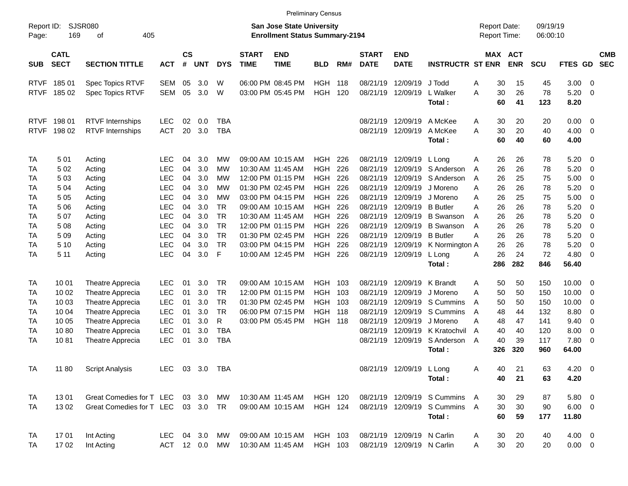|                     |                            |                                    |                |                |            |            |                             |                                                                           | <b>Preliminary Census</b> |     |                             |                            |                               |                                            |                       |                      |              |                         |                          |
|---------------------|----------------------------|------------------------------------|----------------|----------------|------------|------------|-----------------------------|---------------------------------------------------------------------------|---------------------------|-----|-----------------------------|----------------------------|-------------------------------|--------------------------------------------|-----------------------|----------------------|--------------|-------------------------|--------------------------|
| Report ID:<br>Page: | 169                        | <b>SJSR080</b><br>405<br>оf        |                |                |            |            |                             | <b>San Jose State University</b><br><b>Enrollment Status Summary-2194</b> |                           |     |                             |                            |                               | <b>Report Date:</b><br><b>Report Time:</b> |                       | 09/19/19<br>06:00:10 |              |                         |                          |
| <b>SUB</b>          | <b>CATL</b><br><b>SECT</b> | <b>SECTION TITTLE</b>              | <b>ACT</b>     | <b>CS</b><br># | <b>UNT</b> | <b>DYS</b> | <b>START</b><br><b>TIME</b> | <b>END</b><br><b>TIME</b>                                                 | <b>BLD</b>                | RM# | <b>START</b><br><b>DATE</b> | <b>END</b><br><b>DATE</b>  | <b>INSTRUCTR ST ENR</b>       |                                            | MAX ACT<br><b>ENR</b> | SCU                  | FTES GD      |                         | <b>CMB</b><br><b>SEC</b> |
|                     | RTVF 185 01                | Spec Topics RTVF                   | SEM            | 05             | 3.0        | W          |                             | 06:00 PM 08:45 PM                                                         | <b>HGH</b>                | 118 | 08/21/19                    | 12/09/19                   | J Todd                        | 30<br>Α                                    | 15                    | 45                   | $3.00 \ 0$   |                         |                          |
|                     | RTVF 185 02                | Spec Topics RTVF                   | <b>SEM</b>     | 05             | 3.0        | W          |                             | 03:00 PM 05:45 PM                                                         | <b>HGH</b>                | 120 |                             | 08/21/19 12/09/19          | L Walker                      | 30<br>A                                    | 26                    | 78                   | 5.20         | - 0                     |                          |
|                     |                            |                                    |                |                |            |            |                             |                                                                           |                           |     |                             |                            | Total:                        | 60                                         | 41                    | 123                  | 8.20         |                         |                          |
|                     | RTVF 198 01                | <b>RTVF</b> Internships            | <b>LEC</b>     | 02             | 0.0        | <b>TBA</b> |                             |                                                                           |                           |     |                             | 08/21/19 12/09/19 A McKee  |                               | 30<br>Α                                    | 20                    | 20                   | $0.00 \t 0$  |                         |                          |
| <b>RTVF</b>         | 198 02                     | RTVF Internships                   | <b>ACT</b>     | 20             | 3.0        | <b>TBA</b> |                             |                                                                           |                           |     |                             | 08/21/19 12/09/19          | A McKee                       | A<br>30                                    | 20                    | 40                   | 4.00         | - 0                     |                          |
|                     |                            |                                    |                |                |            |            |                             |                                                                           |                           |     |                             |                            | Total:                        | 60                                         | 40                    | 60                   | 4.00         |                         |                          |
| TA                  | 501                        | Acting                             | <b>LEC</b>     | 04             | 3.0        | МW         |                             | 09:00 AM 10:15 AM                                                         | <b>HGH</b>                | 226 |                             | 08/21/19 12/09/19 L Long   |                               | 26<br>Α                                    | 26                    | 78                   | $5.20 \ 0$   |                         |                          |
| TA                  | 502                        | Acting                             | <b>LEC</b>     | 04             | 3.0        | МW         |                             | 10:30 AM 11:45 AM                                                         | <b>HGH</b>                | 226 | 08/21/19                    |                            | 12/09/19 S Anderson           | 26<br>A                                    | 26                    | 78                   | 5.20         | $\overline{\mathbf{0}}$ |                          |
| TA                  | 503                        | Acting                             | <b>LEC</b>     | 04             | 3.0        | МW         |                             | 12:00 PM 01:15 PM                                                         | <b>HGH</b>                | 226 | 08/21/19                    |                            | 12/09/19 S Anderson           | 26<br>A                                    | 25                    | 75                   | 5.00         | $\overline{\mathbf{0}}$ |                          |
| TA                  | 504                        | Acting                             | <b>LEC</b>     | 04             | 3.0        | <b>MW</b>  |                             | 01:30 PM 02:45 PM                                                         | <b>HGH</b>                | 226 | 08/21/19                    |                            | 12/09/19 J Moreno             | 26<br>A                                    | 26                    | 78                   | 5.20         | $\overline{\mathbf{0}}$ |                          |
| TA                  | 5 05                       | Acting                             | <b>LEC</b>     | 04             | 3.0        | <b>MW</b>  |                             | 03:00 PM 04:15 PM                                                         | <b>HGH</b>                | 226 | 08/21/19                    |                            | 12/09/19 J Moreno             | 26<br>A                                    | 25                    | 75                   | 5.00         | $\overline{\mathbf{0}}$ |                          |
| TA                  | 5 06                       | Acting                             | <b>LEC</b>     | 04             | 3.0        | <b>TR</b>  |                             | 09:00 AM 10:15 AM                                                         | <b>HGH</b>                | 226 | 08/21/19                    | 12/09/19 B Butler          |                               | 26<br>A                                    | 26                    | 78                   | 5.20         | $\overline{\mathbf{0}}$ |                          |
| TA                  | 507                        | Acting                             | <b>LEC</b>     | 04             | 3.0        | <b>TR</b>  |                             | 10:30 AM 11:45 AM                                                         | <b>HGH</b>                | 226 | 08/21/19                    |                            | 12/09/19 B Swanson            | 26<br>A                                    | 26                    | 78                   | 5.20         | $\overline{0}$          |                          |
| TA                  | 5 08                       | Acting                             | <b>LEC</b>     | 04             | 3.0        | <b>TR</b>  |                             | 12:00 PM 01:15 PM                                                         | <b>HGH</b>                | 226 | 08/21/19                    |                            | 12/09/19 B Swanson            | 26<br>A                                    | 26                    | 78                   | 5.20         | $\overline{0}$          |                          |
| TA                  | 509                        | Acting                             | <b>LEC</b>     | 04             | 3.0        | <b>TR</b>  |                             | 01:30 PM 02:45 PM                                                         | <b>HGH</b>                | 226 | 08/21/19                    | 12/09/19 B Butler          |                               | 26<br>A                                    | 26                    | 78                   | 5.20         | $\overline{\mathbf{0}}$ |                          |
| TA                  | 5 10                       | Acting                             | <b>LEC</b>     | 04             | 3.0        | TR         |                             | 03:00 PM 04:15 PM                                                         | <b>HGH</b>                | 226 | 08/21/19                    |                            | 12/09/19 K Normington A       | 26                                         | 26                    | 78                   | 5.20         | $\overline{0}$          |                          |
| TA                  | 5 11                       | Acting                             | LEC            | 04             | 3.0        | F          |                             | 10:00 AM 12:45 PM                                                         | <b>HGH</b>                | 226 |                             | 08/21/19 12/09/19          | L Long                        | 26<br>A                                    | 24                    | 72                   | 4.80         | - 0                     |                          |
|                     |                            |                                    |                |                |            |            |                             |                                                                           |                           |     |                             |                            | Total:                        | 286                                        | 282                   | 846                  | 56.40        |                         |                          |
| TA                  | 10 01                      | Theatre Apprecia                   | <b>LEC</b>     | 01             | 3.0        | TR         |                             | 09:00 AM 10:15 AM                                                         | <b>HGH</b>                | 103 |                             | 08/21/19 12/09/19 K Brandt |                               | 50<br>A                                    | 50                    | 150                  | $10.00 \t 0$ |                         |                          |
| TA                  | 10 02                      | Theatre Apprecia                   | <b>LEC</b>     | 01             | 3.0        | <b>TR</b>  |                             | 12:00 PM 01:15 PM                                                         | <b>HGH</b>                | 103 | 08/21/19                    | 12/09/19                   | J Moreno                      | 50<br>A                                    | 50                    | 150                  | 10.00        | $\overline{0}$          |                          |
| TA                  | 10 03                      | Theatre Apprecia                   | LEC            | 01             | 3.0        | <b>TR</b>  |                             | 01:30 PM 02:45 PM                                                         | <b>HGH</b>                | 103 | 08/21/19                    |                            | 12/09/19 S Cummins            | 50<br>A                                    | 50                    | 150                  | 10.00        | $\overline{\mathbf{0}}$ |                          |
| TA                  | 10 04                      | Theatre Apprecia                   | <b>LEC</b>     | 01             | 3.0        | <b>TR</b>  |                             | 06:00 PM 07:15 PM                                                         | <b>HGH</b>                | 118 | 08/21/19                    |                            | 12/09/19 S Cummins            | 48<br>A                                    | 44                    | 132                  | 8.80         | 0                       |                          |
| TA                  | 10 05                      | Theatre Apprecia                   | <b>LEC</b>     | 01             | 3.0        | R          |                             | 03:00 PM 05:45 PM                                                         | <b>HGH 118</b>            |     | 08/21/19                    | 12/09/19                   | J Moreno                      | Α<br>48                                    | 47                    | 141                  | 9.40         | $\overline{0}$          |                          |
| TA                  | 1080                       | Theatre Apprecia                   | LEC            | 01             | 3.0        | <b>TBA</b> |                             |                                                                           |                           |     | 08/21/19                    |                            | 12/09/19 K Kratochvil         | A<br>40                                    | 40                    | 120                  | 8.00         | $\overline{0}$          |                          |
| TA                  | 1081                       | Theatre Apprecia                   | LEC            | 01             | 3.0        | <b>TBA</b> |                             |                                                                           |                           |     |                             |                            | 08/21/19 12/09/19 S Anderson  | 40<br>A                                    | 39                    | 117                  | 7.80 0       |                         |                          |
|                     |                            |                                    |                |                |            |            |                             |                                                                           |                           |     |                             |                            | Total:                        | 326                                        | 320                   | 960                  | 64.00        |                         |                          |
| <b>TA</b>           | 11 80                      | <b>Script Analysis</b>             | LEC 03 3.0 TBA |                |            |            |                             |                                                                           |                           |     |                             | 08/21/19 12/09/19 L Long   |                               | А<br>40                                    | 21                    | 63                   | $4.20 \ 0$   |                         |                          |
|                     |                            |                                    |                |                |            |            |                             |                                                                           |                           |     |                             |                            | Total:                        | 40                                         | 21                    | 63                   | 4.20         |                         |                          |
| TA                  | 1301                       | Great Comedies for T LEC 03 3.0 MW |                |                |            |            |                             | 10:30 AM 11:45 AM                                                         | <b>HGH 120</b>            |     |                             |                            | 08/21/19 12/09/19 S Cummins   | 30<br>A                                    | 29                    | 87                   | 5.80 0       |                         |                          |
| TA                  | 1302                       | Great Comedies for T LEC 03 3.0 TR |                |                |            |            |                             | 09:00 AM 10:15 AM                                                         | <b>HGH 124</b>            |     |                             |                            | 08/21/19 12/09/19 S Cummins A | 30                                         | 30                    | 90                   | $6.00 \t 0$  |                         |                          |
|                     |                            |                                    |                |                |            |            |                             |                                                                           |                           |     |                             |                            | Total:                        | 60                                         | 59                    | 177                  | 11.80        |                         |                          |
| TA                  | 1701                       | Int Acting                         | LEC 04 3.0 MW  |                |            |            |                             | 09:00 AM 10:15 AM                                                         | HGH 103                   |     |                             | 08/21/19 12/09/19 N Carlin |                               | 30<br>A                                    | 20                    | 40                   | $4.00 \ 0$   |                         |                          |
| TA                  | 1702                       | Int Acting                         | ACT 12 0.0 MW  |                |            |            |                             | 10:30 AM 11:45 AM                                                         | HGH 103                   |     |                             | 08/21/19 12/09/19 N Carlin |                               | 30 <sub>o</sub><br>A                       | 20                    | 20                   | $0.00 \t 0$  |                         |                          |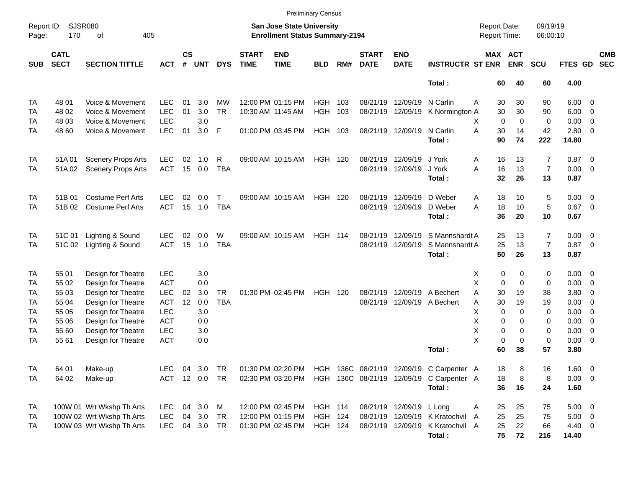|                     |                            |                           |            |                    |               |             |                             |                                                                    | <b>Preliminary Census</b> |     |                             |                           |                                          |                                     |             |                       |                      |                |                          |                          |
|---------------------|----------------------------|---------------------------|------------|--------------------|---------------|-------------|-----------------------------|--------------------------------------------------------------------|---------------------------|-----|-----------------------------|---------------------------|------------------------------------------|-------------------------------------|-------------|-----------------------|----------------------|----------------|--------------------------|--------------------------|
| Report ID:<br>Page: | <b>SJSR080</b><br>170      | 405<br>0f                 |            |                    |               |             |                             | San Jose State University<br><b>Enrollment Status Summary-2194</b> |                           |     |                             |                           |                                          | <b>Report Date:</b><br>Report Time: |             |                       | 09/19/19<br>06:00:10 |                |                          |                          |
| <b>SUB</b>          | <b>CATL</b><br><b>SECT</b> | <b>SECTION TITTLE</b>     | <b>ACT</b> | $\mathsf{cs}$<br># | <b>UNT</b>    | <b>DYS</b>  | <b>START</b><br><b>TIME</b> | <b>END</b><br><b>TIME</b>                                          | <b>BLD</b>                | RM# | <b>START</b><br><b>DATE</b> | <b>END</b><br><b>DATE</b> | <b>INSTRUCTR ST ENR</b>                  |                                     |             | MAX ACT<br><b>ENR</b> | <b>SCU</b>           | FTES GD        |                          | <b>CMB</b><br><b>SEC</b> |
|                     |                            |                           |            |                    |               |             |                             |                                                                    |                           |     |                             |                           | Total:                                   |                                     | 60          | 40                    | 60                   | 4.00           |                          |                          |
| TA                  | 48 01                      | Voice & Movement          | <b>LEC</b> | 01                 | 3.0           | <b>MW</b>   |                             | 12:00 PM 01:15 PM                                                  | <b>HGH</b>                | 103 | 08/21/19                    | 12/09/19                  | N Carlin                                 | A                                   | 30          | 30                    | 90                   | $6.00 \quad 0$ |                          |                          |
| TA                  | 48 02                      | Voice & Movement          | <b>LEC</b> | 01                 | 3.0           | <b>TR</b>   |                             | 10:30 AM 11:45 AM                                                  | <b>HGH</b>                | 103 | 08/21/19                    | 12/09/19                  | K Normington A                           |                                     | 30          | 30                    | 90                   | 6.00           | $\overline{\phantom{0}}$ |                          |
| TA                  | 48 03                      | Voice & Movement          | <b>LEC</b> |                    | 3.0           |             |                             |                                                                    |                           |     |                             |                           |                                          | X                                   | $\mathbf 0$ | $\Omega$              | 0                    | 0.00           | - 0                      |                          |
| TA                  | 48 60                      | Voice & Movement          | <b>LEC</b> | 01                 | 3.0           | F           |                             | 01:00 PM 03:45 PM                                                  | HGH 103                   |     |                             | 08/21/19 12/09/19         | N Carlin                                 | A                                   | 30          | 14                    | 42                   | 2.80           | $\overline{\phantom{0}}$ |                          |
|                     |                            |                           |            |                    |               |             |                             |                                                                    |                           |     |                             |                           | Total:                                   |                                     | 90          | 74                    | 222                  | 14.80          |                          |                          |
| TA                  | 51A 01                     | <b>Scenery Props Arts</b> | <b>LEC</b> | 02                 | 1.0           | R           |                             | 09:00 AM 10:15 AM                                                  | <b>HGH 120</b>            |     | 08/21/19                    | 12/09/19                  | J York                                   | Α                                   | 16          | 13                    | 7                    | 0.87           | $\overline{\phantom{0}}$ |                          |
| TA                  | 51A02                      | <b>Scenery Props Arts</b> | <b>ACT</b> | 15                 | 0.0           | <b>TBA</b>  |                             |                                                                    |                           |     | 08/21/19                    | 12/09/19                  | J York                                   | A                                   | 16          | 13                    | $\overline{7}$       | $0.00 \t 0$    |                          |                          |
|                     |                            |                           |            |                    |               |             |                             |                                                                    |                           |     |                             |                           | Total:                                   |                                     | 32          | 26                    | 13                   | 0.87           |                          |                          |
| <b>TA</b>           | 51B 01                     | <b>Costume Perf Arts</b>  | <b>LEC</b> | 02                 | 0.0           | $\mathsf T$ |                             | 09:00 AM 10:15 AM                                                  | HGH                       | 120 | 08/21/19                    | 12/09/19                  | D Weber                                  | Α                                   | 18          | 10                    | 5                    | $0.00 \t 0$    |                          |                          |
| <b>TA</b>           | 51B 02                     | <b>Costume Perf Arts</b>  | <b>ACT</b> | 15                 | 1.0           | <b>TBA</b>  |                             |                                                                    |                           |     | 08/21/19                    | 12/09/19                  | D Weber                                  | A                                   | 18          | 10                    | 5                    | 0.67           | $\overline{\phantom{0}}$ |                          |
|                     |                            |                           |            |                    |               |             |                             |                                                                    |                           |     |                             |                           | Total:                                   |                                     | 36          | 20                    | 10                   | 0.67           |                          |                          |
| <b>TA</b>           | 51C 01                     | Lighting & Sound          | <b>LEC</b> | 02                 | 0.0           | W           |                             | 09:00 AM 10:15 AM                                                  | <b>HGH 114</b>            |     | 08/21/19                    | 12/09/19                  | S Mannshardt A                           |                                     | 25          | 13                    | 7                    | $0.00 \t 0$    |                          |                          |
| TA                  | 51C 02                     | Lighting & Sound          | <b>ACT</b> | 15                 | 1.0           | <b>TBA</b>  |                             |                                                                    |                           |     | 08/21/19                    | 12/09/19                  | S Mannshardt A                           |                                     | 25          | 13                    | $\overline{7}$       | 0.87           | $\overline{\phantom{0}}$ |                          |
|                     |                            |                           |            |                    |               |             |                             |                                                                    |                           |     |                             |                           | Total:                                   |                                     | 50          | 26                    | 13                   | 0.87           |                          |                          |
| TA                  | 55 01                      | Design for Theatre        | <b>LEC</b> |                    | 3.0           |             |                             |                                                                    |                           |     |                             |                           |                                          | Х                                   | 0           | 0                     | 0                    | $0.00 \t 0$    |                          |                          |
| TA                  | 55 02                      | Design for Theatre        | <b>ACT</b> |                    | 0.0           |             |                             |                                                                    |                           |     |                             |                           |                                          | X                                   | $\mathbf 0$ | $\Omega$              | 0                    | 0.00           | $\overline{0}$           |                          |
| TA                  | 55 03                      | Design for Theatre        | <b>LEC</b> | 02                 | 3.0           | <b>TR</b>   |                             | 01:30 PM 02:45 PM                                                  | HGH                       | 120 | 08/21/19                    | 12/09/19                  | A Bechert                                | A                                   | 30          | 19                    | 38                   | 3.80           | - 0                      |                          |
| TA                  | 55 04                      | Design for Theatre        | <b>ACT</b> | 12                 | 0.0           | <b>TBA</b>  |                             |                                                                    |                           |     | 08/21/19                    |                           | 12/09/19 A Bechert                       | Α                                   | 30          | 19                    | 19                   | 0.00           | - 0                      |                          |
| TA                  | 55 05                      | Design for Theatre        | <b>LEC</b> |                    | 3.0           |             |                             |                                                                    |                           |     |                             |                           |                                          | X                                   | $\mathbf 0$ | $\Omega$              | 0                    | 0.00           | $\overline{0}$           |                          |
| TA                  | 55 06                      | Design for Theatre        | <b>ACT</b> |                    | 0.0           |             |                             |                                                                    |                           |     |                             |                           |                                          | X                                   | 0           | $\Omega$              | 0                    | 0.00           | $\overline{0}$           |                          |
| TA                  | 55 60                      | Design for Theatre        | <b>LEC</b> |                    | 3.0           |             |                             |                                                                    |                           |     |                             |                           |                                          | X                                   | 0           | 0                     | 0                    | 0.00           | $\overline{0}$           |                          |
| TA                  | 55 61                      | Design for Theatre        | <b>ACT</b> |                    | 0.0           |             |                             |                                                                    |                           |     |                             |                           |                                          | X                                   | $\pmb{0}$   | $\mathbf 0$           | 0                    | $0.00 \t 0$    |                          |                          |
|                     |                            |                           |            |                    |               |             |                             |                                                                    |                           |     |                             |                           | Total:                                   |                                     | 60          | 38                    | 57                   | 3.80           |                          |                          |
| TA                  | 64 01                      | Make-up                   | <b>LEC</b> |                    | 04 3.0        | TR          |                             | 01:30 PM 02:20 PM                                                  |                           |     |                             |                           | HGH 136C 08/21/19 12/09/19 C Carpenter A |                                     | 18          | 8                     | 16                   | 1.60 0         |                          |                          |
| <b>TA</b>           | 64 02                      | Make-up                   |            |                    | ACT 12 0.0 TR |             |                             | 02:30 PM 03:20 PM                                                  |                           |     |                             |                           | HGH 136C 08/21/19 12/09/19 C Carpenter A |                                     | 18          | 8                     | 8                    | $0.00 \t 0$    |                          |                          |
|                     |                            |                           |            |                    |               |             |                             |                                                                    |                           |     |                             |                           | Total:                                   |                                     | 36          | 16                    | 24                   | 1.60           |                          |                          |
| <b>TA</b>           |                            | 100W 01 Wrt Wkshp Th Arts | <b>LEC</b> |                    | 04 3.0 M      |             |                             | 12:00 PM 02:45 PM                                                  | <b>HGH 114</b>            |     |                             | 08/21/19 12/09/19         | L Long                                   | A                                   | 25          | 25                    | 75                   | $5.00 \t 0$    |                          |                          |
| TA                  |                            | 100W 02 Wrt Wkshp Th Arts | <b>LEC</b> |                    | 04 3.0 TR     |             |                             | 12:00 PM 01:15 PM                                                  | <b>HGH 124</b>            |     |                             | 08/21/19 12/09/19         | K Kratochvil                             | A                                   | 25          | 25                    | 75                   | $5.00 \t 0$    |                          |                          |
| TA                  |                            | 100W 03 Wrt Wkshp Th Arts | <b>LEC</b> |                    | 04 3.0 TR     |             |                             | 01:30 PM 02:45 PM                                                  | <b>HGH 124</b>            |     |                             | 08/21/19 12/09/19         | K Kratochvil A                           |                                     | 25          | 22                    | 66                   | $4.40 \ 0$     |                          |                          |
|                     |                            |                           |            |                    |               |             |                             |                                                                    |                           |     |                             |                           | Total:                                   |                                     | 75          | 72                    | 216                  | 14.40          |                          |                          |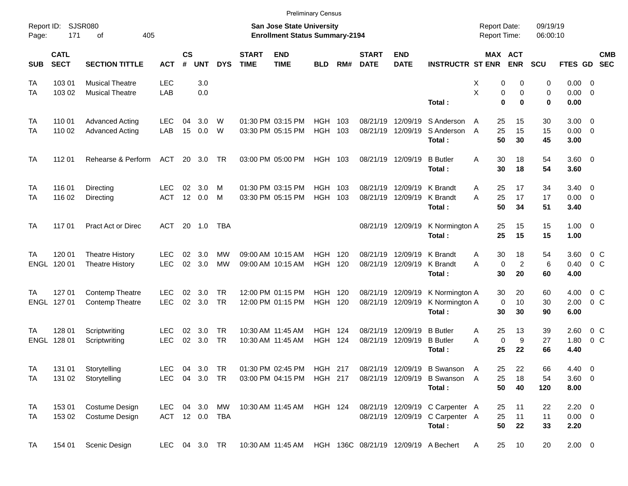|                     |                            |                           |               |                    |            |                |                             |                                                                           | <b>Preliminary Census</b> |         |                             |                           |                                           |                                            |                       |                      |                     |                           |
|---------------------|----------------------------|---------------------------|---------------|--------------------|------------|----------------|-----------------------------|---------------------------------------------------------------------------|---------------------------|---------|-----------------------------|---------------------------|-------------------------------------------|--------------------------------------------|-----------------------|----------------------|---------------------|---------------------------|
| Report ID:<br>Page: | 171                        | SJSR080<br>405<br>оf      |               |                    |            |                |                             | <b>San Jose State University</b><br><b>Enrollment Status Summary-2194</b> |                           |         |                             |                           |                                           | <b>Report Date:</b><br><b>Report Time:</b> |                       | 09/19/19<br>06:00:10 |                     |                           |
| <b>SUB</b>          | <b>CATL</b><br><b>SECT</b> | <b>SECTION TITTLE</b>     | <b>ACT</b>    | $\mathsf{cs}$<br># | <b>UNT</b> | <b>DYS</b>     | <b>START</b><br><b>TIME</b> | <b>END</b><br><b>TIME</b>                                                 | <b>BLD</b>                | RM#     | <b>START</b><br><b>DATE</b> | <b>END</b><br><b>DATE</b> | <b>INSTRUCTR ST ENR</b>                   |                                            | MAX ACT<br><b>ENR</b> | <b>SCU</b>           |                     | <b>CMB</b><br>FTES GD SEC |
| TA                  | 103 01                     | <b>Musical Theatre</b>    | <b>LEC</b>    |                    | 3.0        |                |                             |                                                                           |                           |         |                             |                           |                                           | 0<br>х                                     | 0                     | 0                    | $0.00 \ 0$          |                           |
| TA                  | 103 02                     | <b>Musical Theatre</b>    | LAB           |                    | 0.0        |                |                             |                                                                           |                           |         |                             |                           | Total:                                    | X<br>0<br>$\bf{0}$                         | 0<br>$\bf{0}$         | $\mathbf 0$<br>0     | $0.00 \t 0$<br>0.00 |                           |
| TA                  | 110 01                     | <b>Advanced Acting</b>    | LEC           | 04                 | 3.0        | W              |                             | 01:30 PM 03:15 PM                                                         | <b>HGH</b>                | 103     | 08/21/19                    | 12/09/19                  | S Anderson                                | 25<br>A                                    | 15                    | 30                   | $3.00 \ 0$          |                           |
| TA                  | 110 02                     | <b>Advanced Acting</b>    | LAB           | 15                 | 0.0        | W              |                             | 03:30 PM 05:15 PM                                                         | HGH 103                   |         |                             | 08/21/19 12/09/19         | S Anderson<br>Total:                      | 25<br>A<br>50                              | 15<br>30              | 15<br>45             | $0.00 \t 0$<br>3.00 |                           |
| TA                  | 112 01                     | Rehearse & Perform        | ACT           |                    | 20 3.0     | TR             |                             | 03:00 PM 05:00 PM                                                         | HGH 103                   |         |                             | 08/21/19 12/09/19         | <b>B</b> Butler<br>Total:                 | 30<br>A<br>30                              | 18<br>18              | 54<br>54             | $3.60 \ 0$<br>3.60  |                           |
| TA                  | 116 01                     | Directing                 | LEC           | 02                 | 3.0        | м              |                             | 01:30 PM 03:15 PM                                                         | HGH                       | 103     |                             | 08/21/19 12/09/19         | K Brandt                                  | 25<br>A                                    | 17                    | 34                   | $3.40 \ 0$          |                           |
| TA                  | 116 02                     | Directing                 | <b>ACT</b>    | 12                 | 0.0        | M              |                             | 03:30 PM 05:15 PM                                                         | HGH 103                   |         |                             | 08/21/19 12/09/19         | K Brandt<br>Total:                        | 25<br>A<br>50                              | 17<br>34              | 17<br>51             | $0.00 \t 0$<br>3.40 |                           |
| TA                  | 117 01                     | <b>Pract Act or Direc</b> | ACT           |                    | 20 1.0     | TBA            |                             |                                                                           |                           |         |                             | 08/21/19 12/09/19         | K Normington A<br>Total:                  | 25<br>25                                   | 15<br>15              | 15<br>15             | $1.00 \t 0$<br>1.00 |                           |
| TA                  | 120 01                     | <b>Theatre History</b>    | LEC           | 02                 | 3.0        | МW             |                             | 09:00 AM 10:15 AM                                                         | <b>HGH</b>                | 120     |                             | 08/21/19 12/09/19         | K Brandt                                  | 30<br>A                                    | 18                    | 54                   | 3.60                | $0\,$ C                   |
|                     | ENGL 120 01                | <b>Theatre History</b>    | <b>LEC</b>    | 02                 | 3.0        | <b>MW</b>      |                             | 09:00 AM 10:15 AM                                                         | <b>HGH 120</b>            |         |                             | 08/21/19 12/09/19         | K Brandt<br>Total:                        | $\mathbf 0$<br>A<br>30                     | $\overline{c}$<br>20  | 6<br>60              | 0.40<br>4.00        | $0\,$ C                   |
| ТA                  | 127 01                     | <b>Contemp Theatre</b>    | LEC           | 02                 | 3.0        | TR.            |                             | 12:00 PM 01:15 PM                                                         | HGH                       | 120     |                             | 08/21/19 12/09/19         | K Normington A                            | 30                                         | 20                    | 60                   | 4.00                | $0\,$ C                   |
|                     | ENGL 127 01                | <b>Contemp Theatre</b>    | <b>LEC</b>    | 02                 | 3.0        | <b>TR</b>      |                             | 12:00 PM 01:15 PM                                                         | <b>HGH 120</b>            |         |                             | 08/21/19 12/09/19         | K Normington A<br>Total:                  | $\mathbf 0$<br>30                          | 10<br>30              | 30<br>90             | 2.00<br>6.00        | $0\,$ C                   |
| TA                  | 128 01                     | Scriptwriting             | <b>LEC</b>    | 02                 | 3.0        | TR             |                             | 10:30 AM 11:45 AM                                                         | HGH                       | 124     | 08/21/19                    | 12/09/19                  | <b>B</b> Butler                           | 25<br>A                                    | 13                    | 39                   | 2.60                | $0\,$ C                   |
|                     | ENGL 128 01                | Scriptwriting             | <b>LEC</b>    |                    | 02 3.0     | <b>TR</b>      |                             | 10:30 AM 11:45 AM                                                         | <b>HGH 124</b>            |         |                             | 08/21/19 12/09/19         | <b>B</b> Butler<br>Total:                 | $\mathbf 0$<br>A<br>25                     | 9<br>22               | 27<br>66             | 1.80<br>4.40        | 0 <sup>o</sup>            |
| <b>TA</b>           | 131 01                     | Storytelling              | <b>LEC</b>    |                    | 04 3.0     | TR             |                             | 01:30 PM 02:45 PM                                                         | HGH 217                   |         |                             |                           | 08/21/19 12/09/19 B Swanson A             | 25                                         | 22                    | 66                   | 4.40 0              |                           |
| <b>TA</b>           | 131 02                     | Storytelling              | LEC 04 3.0 TR |                    |            |                |                             | 03:00 PM 04:15 PM                                                         | HGH 217                   |         |                             |                           | 08/21/19 12/09/19 B Swanson A<br>Total:   | 25<br>50                                   | 18<br>40              | 54<br>120            | 3.60 0<br>8.00      |                           |
| TA                  | 153 01                     | Costume Design            | LEC.          |                    | 04 3.0 MW  |                |                             | 10:30 AM 11:45 AM                                                         |                           | HGH 124 |                             |                           | 08/21/19 12/09/19 C Carpenter A           | 25                                         | 11                    | 22                   | $2.20 \t 0$         |                           |
| TA                  | 153 02                     | Costume Design            |               |                    |            | ACT 12 0.0 TBA |                             |                                                                           |                           |         |                             |                           | 08/21/19 12/09/19 C Carpenter A<br>Total: | 25<br>50                                   | 11<br>22              | 11<br>33             | $0.00 \t 0$<br>2.20 |                           |
| TA                  | 154 01                     | Scenic Design             | LEC 04 3.0 TR |                    |            |                |                             | 10:30 AM 11:45 AM                                                         |                           |         |                             |                           | HGH 136C 08/21/19 12/09/19 A Bechert      | 25<br>A                                    | 10                    | 20                   | $2.00 \t 0$         |                           |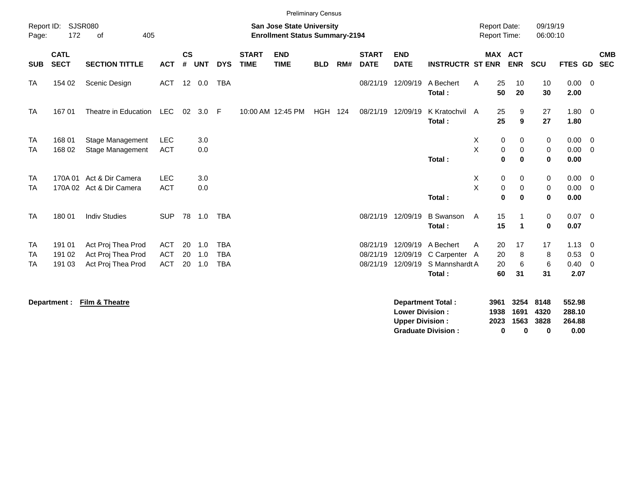|                              |                            |                                                                |                                        |                    |                   |                                        |                             | <b>Preliminary Census</b>                                                 |                |     |                                  |                                  |                                                        |                                            |                                  |                       |                        |                                    |                                                     |                          |
|------------------------------|----------------------------|----------------------------------------------------------------|----------------------------------------|--------------------|-------------------|----------------------------------------|-----------------------------|---------------------------------------------------------------------------|----------------|-----|----------------------------------|----------------------------------|--------------------------------------------------------|--------------------------------------------|----------------------------------|-----------------------|------------------------|------------------------------------|-----------------------------------------------------|--------------------------|
| Report ID:<br>Page:          | 172                        | SJSR080<br>405<br>of                                           |                                        |                    |                   |                                        |                             | <b>San Jose State University</b><br><b>Enrollment Status Summary-2194</b> |                |     |                                  |                                  |                                                        | <b>Report Date:</b><br><b>Report Time:</b> |                                  |                       | 09/19/19<br>06:00:10   |                                    |                                                     |                          |
| <b>SUB</b>                   | <b>CATL</b><br><b>SECT</b> | <b>SECTION TITTLE</b>                                          | <b>ACT</b>                             | $\mathsf{cs}$<br># | <b>UNT</b>        | <b>DYS</b>                             | <b>START</b><br><b>TIME</b> | <b>END</b><br><b>TIME</b>                                                 | <b>BLD</b>     | RM# | <b>START</b><br><b>DATE</b>      | <b>END</b><br><b>DATE</b>        | <b>INSTRUCTR ST ENR</b>                                |                                            | <b>MAX ACT</b><br><b>ENR</b>     | SCU                   |                        | FTES GD                            |                                                     | <b>CMB</b><br><b>SEC</b> |
| <b>TA</b>                    | 154 02                     | Scenic Design                                                  | ACT                                    |                    | 12 0.0            | <b>TBA</b>                             |                             |                                                                           |                |     |                                  | 08/21/19 12/09/19                | A Bechert<br>Total:                                    | A                                          | 25<br>10<br>50<br>20             |                       | 10<br>30               | $0.00 \t 0$<br>2.00                |                                                     |                          |
| <b>TA</b>                    | 16701                      | Theatre in Education                                           | <b>LEC</b>                             | 02                 | 3.0               | -F                                     |                             | 10:00 AM 12:45 PM                                                         | <b>HGH 124</b> |     | 08/21/19 12/09/19                |                                  | K Kratochvil A<br>Total:                               |                                            | 25<br>25                         | 9<br>9                | 27<br>27               | $1.80 \ 0$<br>1.80                 |                                                     |                          |
| <b>TA</b><br><b>TA</b>       | 168 01<br>168 02           | Stage Management<br><b>Stage Management</b>                    | <b>LEC</b><br><b>ACT</b>               |                    | 3.0<br>0.0        |                                        |                             |                                                                           |                |     |                                  |                                  | Total:                                                 | X.<br>X                                    | 0<br>$\mathbf 0$<br>$\bf{0}$     | 0<br>0<br>$\mathbf 0$ | 0<br>0<br>$\mathbf 0$  | $0.00 \t 0$<br>$0.00 \t 0$<br>0.00 |                                                     |                          |
| <b>TA</b><br><b>TA</b>       | 170A 01                    | Act & Dir Camera<br>170A 02 Act & Dir Camera                   | <b>LEC</b><br><b>ACT</b>               |                    | 3.0<br>0.0        |                                        |                             |                                                                           |                |     |                                  |                                  | Total:                                                 | X<br>X                                     | $\mathbf 0$<br>$\pmb{0}$<br>0    | 0<br>0<br>$\bf{0}$    | 0<br>0<br>$\mathbf 0$  | $0.00 \t 0$<br>$0.00 \t 0$<br>0.00 |                                                     |                          |
| <b>TA</b>                    | 180 01                     | <b>Indiv Studies</b>                                           | <b>SUP</b>                             |                    | 78 1.0            | <b>TBA</b>                             |                             |                                                                           |                |     | 08/21/19 12/09/19                |                                  | <b>B</b> Swanson<br>Total:                             | A                                          | 15<br>15<br>$\blacktriangleleft$ | $\mathbf{1}$          | 0<br>0                 | $0.07$ 0<br>0.07                   |                                                     |                          |
| <b>TA</b><br>TA<br><b>TA</b> | 191 01<br>191 02<br>191 03 | Act Proj Thea Prod<br>Act Proj Thea Prod<br>Act Proj Thea Prod | <b>ACT</b><br><b>ACT</b><br><b>ACT</b> | 20<br>20<br>20     | 1.0<br>1.0<br>1.0 | <b>TBA</b><br><b>TBA</b><br><b>TBA</b> |                             |                                                                           |                |     | 08/21/19<br>08/21/19<br>08/21/19 | 12/09/19<br>12/09/19<br>12/09/19 | A Bechert<br>C Carpenter A<br>S Mannshardt A<br>Total: | A                                          | 20<br>17<br>20<br>20<br>60<br>31 | 8<br>6                | 17<br>8<br>$\,6$<br>31 | 1.13<br>0.53<br>$0.40 \ 0$<br>2.07 | $\overline{\phantom{0}}$<br>$\overline{\mathbf{0}}$ |                          |

**Department : Film & Theatre Department Total : 3961 3254 8148 552.98 Lower Division : 1938 1691 4320 288.10<br>
Upper Division : 2023 1563 3828 264.88 Upper Division : 2023 1563 3828 264.88 Graduate Division : 0 0 0 0.00**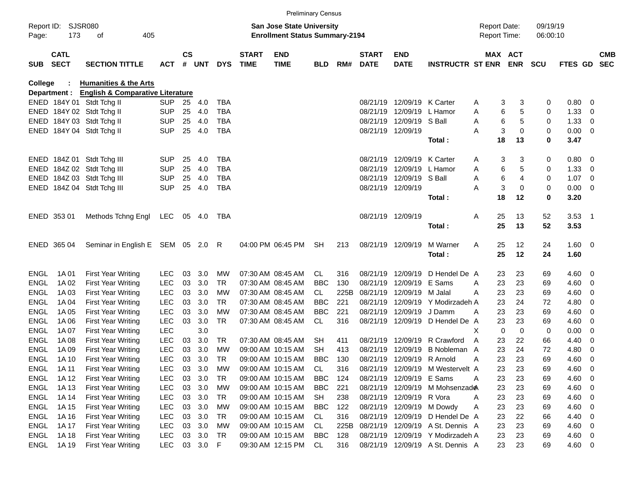|             |                            |                                             |            |                    |          |            |                                       | <b>Preliminary Census</b> |            |      |                             |                            |                                  |                     |                       |            |            |                          |                          |
|-------------|----------------------------|---------------------------------------------|------------|--------------------|----------|------------|---------------------------------------|---------------------------|------------|------|-----------------------------|----------------------------|----------------------------------|---------------------|-----------------------|------------|------------|--------------------------|--------------------------|
|             | Report ID: SJSR080         |                                             |            |                    |          |            |                                       | San Jose State University |            |      |                             |                            |                                  | <b>Report Date:</b> |                       | 09/19/19   |            |                          |                          |
| Page:       | 173                        | 405                                         |            |                    |          |            | <b>Enrollment Status Summary-2194</b> |                           |            |      |                             |                            | Report Time:                     |                     | 06:00:10              |            |            |                          |                          |
| <b>SUB</b>  | <b>CATL</b><br><b>SECT</b> | <b>SECTION TITTLE</b>                       | <b>ACT</b> | $\mathsf{cs}$<br># | UNT      | <b>DYS</b> | <b>START</b><br><b>TIME</b>           | <b>END</b><br><b>TIME</b> | <b>BLD</b> | RM#  | <b>START</b><br><b>DATE</b> | <b>END</b><br><b>DATE</b>  | <b>INSTRUCTR ST ENR</b>          |                     | MAX ACT<br><b>ENR</b> | <b>SCU</b> | FTES GD    |                          | <b>CMB</b><br><b>SEC</b> |
| College     |                            | <b>Humanities &amp; the Arts</b>            |            |                    |          |            |                                       |                           |            |      |                             |                            |                                  |                     |                       |            |            |                          |                          |
|             | Department :               | <b>English &amp; Comparative Literature</b> |            |                    |          |            |                                       |                           |            |      |                             |                            |                                  |                     |                       |            |            |                          |                          |
|             |                            | ENED 184Y 01 Stdt Tchg II                   | <b>SUP</b> | 25                 | 4.0      | <b>TBA</b> |                                       |                           |            |      | 08/21/19                    | 12/09/19 K Carter          |                                  | Α                   | 3<br>3                | 0          | 0.80       | $\overline{\mathbf{0}}$  |                          |
|             |                            | ENED 184Y 02 Stdt Tchg II                   | <b>SUP</b> | 25                 | 4.0      | <b>TBA</b> |                                       |                           |            |      | 08/21/19                    | 12/09/19                   | L Hamor                          | Α                   | 6<br>5                | 0          | 1.33       | 0                        |                          |
|             |                            | ENED 184Y 03 Stdt Tchg II                   | <b>SUP</b> | 25                 | 4.0      | <b>TBA</b> |                                       |                           |            |      |                             | 08/21/19 12/09/19 S Ball   |                                  | Α                   | 6<br>5                | 0          | 1.33       | 0                        |                          |
|             |                            | ENED 184Y 04 Stdt Tchg II                   | <b>SUP</b> | 25                 | 4.0      | <b>TBA</b> |                                       |                           |            |      |                             | 08/21/19 12/09/19          |                                  | Α                   | 3<br>$\mathbf 0$      | 0          | 0.00       | $\overline{\phantom{0}}$ |                          |
|             |                            |                                             |            |                    |          |            |                                       |                           |            |      |                             |                            | Total:                           | 18                  | 13                    | 0          | 3.47       |                          |                          |
|             |                            | ENED 184Z 01 Stdt Tchg III                  | <b>SUP</b> | 25                 | 4.0      | <b>TBA</b> |                                       |                           |            |      | 08/21/19                    | 12/09/19 K Carter          |                                  | Α                   | 3<br>3                | 0          | 0.80       | $\overline{\phantom{0}}$ |                          |
|             |                            | ENED 184Z 02 Stdt Tchg III                  | <b>SUP</b> | 25                 | 4.0      | <b>TBA</b> |                                       |                           |            |      | 08/21/19                    | 12/09/19                   | L Hamor                          | Α                   | 6<br>5                | 0          | 1.33       | 0                        |                          |
|             |                            | ENED 184Z 03 Stdt Tchg III                  | <b>SUP</b> | 25                 | 4.0      | <b>TBA</b> |                                       |                           |            |      |                             | 08/21/19 12/09/19 S Ball   |                                  | A                   | 6<br>4                | 0          | 1.07       | $\overline{\phantom{0}}$ |                          |
|             |                            | ENED 184Z 04 Stdt Tchg III                  | <b>SUP</b> | 25                 | 4.0      | <b>TBA</b> |                                       |                           |            |      |                             | 08/21/19 12/09/19          |                                  | Α                   | 3<br>0                | 0          | 0.00       | $\overline{\phantom{0}}$ |                          |
|             |                            |                                             |            |                    |          |            |                                       |                           |            |      |                             |                            | Total:                           | 18                  | 12                    | 0          | 3.20       |                          |                          |
|             | ENED 353 01                | Methods Tchng Engl                          | LEC        |                    | 05 4.0   | TBA        |                                       |                           |            |      |                             | 08/21/19 12/09/19          |                                  | 25<br>Α             | 13                    | 52         | $3.53$ 1   |                          |                          |
|             |                            |                                             |            |                    |          |            |                                       |                           |            |      |                             |                            | Total:                           | 25                  | 13                    | 52         | 3.53       |                          |                          |
|             |                            |                                             |            |                    |          |            |                                       |                           |            |      |                             |                            |                                  |                     |                       |            |            |                          |                          |
|             | ENED 365 04                | Seminar in English E SEM 05 2.0 R           |            |                    |          |            |                                       | 04:00 PM 06:45 PM         | <b>SH</b>  | 213  |                             | 08/21/19 12/09/19          | M Warner                         | 25<br>Α<br>25       | 12                    | 24         | $1.60 \ 0$ |                          |                          |
|             |                            |                                             |            |                    |          |            |                                       |                           |            |      |                             |                            | Total:                           |                     | 12                    | 24         | 1.60       |                          |                          |
| ENGL        | 1A 01                      | <b>First Year Writing</b>                   | <b>LEC</b> | 03                 | 3.0      | MW         |                                       | 07:30 AM 08:45 AM         | CL.        | 316  |                             | 08/21/19 12/09/19          | D Hendel De A                    | 23                  | 23                    | 69         | 4.60       | $\overline{\phantom{0}}$ |                          |
| <b>ENGL</b> | 1A 02                      | <b>First Year Writing</b>                   | <b>LEC</b> | 03                 | 3.0      | <b>TR</b>  |                                       | 07:30 AM 08:45 AM         | <b>BBC</b> | 130  | 08/21/19                    | 12/09/19                   | E Sams                           | 23<br>Α             | 23                    | 69         | 4.60       | $\overline{\mathbf{0}}$  |                          |
| <b>ENGL</b> | 1A 03                      | <b>First Year Writing</b>                   | <b>LEC</b> | 03                 | 3.0      | МW         |                                       | 07:30 AM 08:45 AM         | CL         | 225B | 08/21/19                    | 12/09/19                   | M Jalal                          | 23<br>A             | 23                    | 69         | 4.60       | $\overline{0}$           |                          |
| <b>ENGL</b> | 1A 04                      | <b>First Year Writing</b>                   | <b>LEC</b> | 03                 | 3.0      | TR.        |                                       | 07:30 AM 08:45 AM         | <b>BBC</b> | 221  | 08/21/19                    | 12/09/19                   | Y Modirzadeh A                   | 23                  | 24                    | 72         | 4.80       | 0                        |                          |
| <b>ENGL</b> | 1A 05                      | <b>First Year Writing</b>                   | <b>LEC</b> | 03                 | 3.0      | МW         |                                       | 07:30 AM 08:45 AM         | <b>BBC</b> | 221  | 08/21/19                    | 12/09/19                   | J Damm                           | 23<br>A             | 23                    | 69         | 4.60       | 0                        |                          |
| <b>ENGL</b> | 1A 06                      | <b>First Year Writing</b>                   | <b>LEC</b> | 03                 | 3.0      | <b>TR</b>  |                                       | 07:30 AM 08:45 AM         | CL         | 316  |                             | 08/21/19 12/09/19          | D Hendel De A                    | 23                  | 23                    | 69         | 4.60       | $\overline{0}$           |                          |
| <b>ENGL</b> | 1A 07                      | <b>First Year Writing</b>                   | <b>LEC</b> |                    | 3.0      |            |                                       |                           |            |      |                             |                            |                                  | X                   | $\mathbf 0$<br>0      | 0          | 0.00       | 0                        |                          |
| <b>ENGL</b> | 1A 08                      | <b>First Year Writing</b>                   | <b>LEC</b> | 03                 | 3.0      | TR         |                                       | 07:30 AM 08:45 AM         | SН         | 411  | 08/21/19                    | 12/09/19                   | R Crawford                       | 23<br>A             | 22                    | 66         | 4.40       | 0                        |                          |
| <b>ENGL</b> | 1A 09                      | <b>First Year Writing</b>                   | <b>LEC</b> | 03                 | 3.0      | МW         |                                       | 09:00 AM 10:15 AM         | SН         | 413  | 08/21/19                    | 12/09/19                   | <b>B</b> Nobleman                | 23<br>A             | 24                    | 72         | 4.80       | 0                        |                          |
| ENGL        | 1A 10                      | <b>First Year Writing</b>                   | <b>LEC</b> | 03                 | 3.0      | TR         |                                       | 09:00 AM 10:15 AM         | <b>BBC</b> | 130  |                             | 08/21/19 12/09/19 R Arnold |                                  | 23<br>A             | 23                    | 69         | 4.60       | $\overline{\mathbf{0}}$  |                          |
| ENGL        | 1A 11                      | <b>First Year Writing</b>                   | <b>LEC</b> | 03                 | 3.0      | MW         |                                       | 09:00 AM 10:15 AM         | <b>CL</b>  | 316  |                             |                            | 08/21/19 12/09/19 M Westervelt A | 23                  | 23                    | 69         | 4.60       | $\overline{\mathbf{0}}$  |                          |
| ENGL        | 1A 12                      | <b>First Year Writing</b>                   | <b>LEC</b> | 03                 | 3.0      | TR         |                                       | 09:00 AM 10:15 AM         | <b>BBC</b> | 124  |                             | 08/21/19 12/09/19 E Sams   |                                  | 23<br>A             | 23                    | 69         | 4.60       | $\overline{\phantom{0}}$ |                          |
| ENGL        | 1A 13                      | <b>First Year Writing</b>                   | <b>LEC</b> | 03                 | 3.0      | МW         |                                       | 09:00 AM 10:15 AM         | <b>BBC</b> | 221  |                             |                            | 08/21/19 12/09/19 M Mohsenzade   | 23                  | 23                    | 69         | 4.60       | $\overline{\phantom{0}}$ |                          |
| ENGL        | 1A 14                      | <b>First Year Writing</b>                   | <b>LEC</b> | 03                 | 3.0      | TR         |                                       | 09:00 AM 10:15 AM         | SH         | 238  |                             | 08/21/19 12/09/19 R Vora   |                                  | 23<br>Α             | 23                    | 69         | $4.60$ 0   |                          |                          |
| ENGL        | 1A 15                      | <b>First Year Writing</b>                   | <b>LEC</b> | 03                 | 3.0      | МW         |                                       | 09:00 AM 10:15 AM         | <b>BBC</b> | 122  |                             |                            | 08/21/19 12/09/19 M Dowdy        | 23<br>Α             | 23                    | 69         | 4.60       | $\overline{\phantom{0}}$ |                          |
| ENGL        | 1A 16                      | <b>First Year Writing</b>                   | <b>LEC</b> | 03                 | 3.0      | TR         |                                       | 09:00 AM 10:15 AM         | CL         | 316  |                             | 08/21/19 12/09/19          | D Hendel De A                    | 23                  | 22                    | 66         | 4.40       | $\mathbf 0$              |                          |
| ENGL        | 1A 17                      | <b>First Year Writing</b>                   | <b>LEC</b> | 03                 | 3.0      | МW         |                                       | 09:00 AM 10:15 AM         | CL         | 225B |                             |                            | 08/21/19 12/09/19 A St. Dennis A | 23                  | 23                    | 69         | $4.60$ 0   |                          |                          |
| ENGL        | 1A 18                      | <b>First Year Writing</b>                   | <b>LEC</b> | 03                 | 3.0      | TR         |                                       | 09:00 AM 10:15 AM         | <b>BBC</b> | 128  |                             |                            | 08/21/19 12/09/19 Y Modirzadeh A | 23                  | 23                    | 69         | $4.60 \ 0$ |                          |                          |
| ENGL        | 1A 19                      | First Year Writing                          | <b>LEC</b> |                    | 03 3.0 F |            |                                       | 09:30 AM 12:15 PM         | CL         | 316  |                             |                            | 08/21/19 12/09/19 A St. Dennis A | 23                  | 23                    | 69         | 4.60 0     |                          |                          |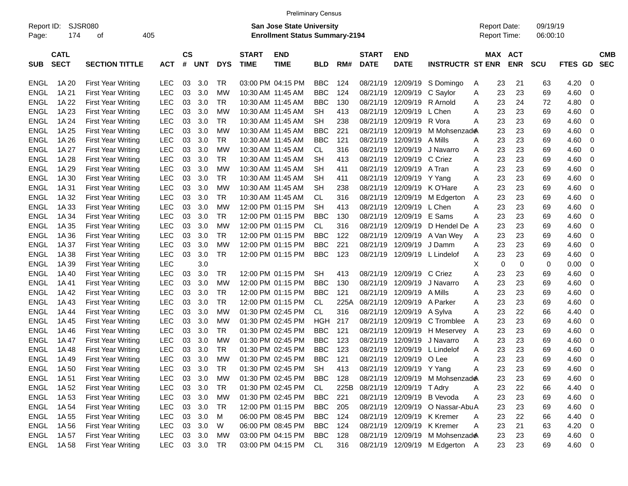|             |             |                           |            |               |            |            |              | <b>Preliminary Census</b>             |            |      |              |                          |                                 |                     |            |            |            |     |            |
|-------------|-------------|---------------------------|------------|---------------|------------|------------|--------------|---------------------------------------|------------|------|--------------|--------------------------|---------------------------------|---------------------|------------|------------|------------|-----|------------|
| Report ID:  |             | <b>SJSR080</b>            |            |               |            |            |              | <b>San Jose State University</b>      |            |      |              |                          |                                 | <b>Report Date:</b> |            | 09/19/19   |            |     |            |
| Page:       | 174         | οf                        | 405        |               |            |            |              | <b>Enrollment Status Summary-2194</b> |            |      |              |                          |                                 | Report Time:        |            | 06:00:10   |            |     |            |
|             | <b>CATL</b> |                           |            | $\mathsf{cs}$ |            |            | <b>START</b> | <b>END</b>                            |            |      | <b>START</b> | <b>END</b>               |                                 |                     | MAX ACT    |            |            |     | <b>CMB</b> |
| <b>SUB</b>  | <b>SECT</b> | <b>SECTION TITTLE</b>     | <b>ACT</b> | #             | <b>UNT</b> | <b>DYS</b> | <b>TIME</b>  | <b>TIME</b>                           | <b>BLD</b> | RM#  | <b>DATE</b>  | <b>DATE</b>              | <b>INSTRUCTR ST ENR</b>         |                     | <b>ENR</b> | <b>SCU</b> | FTES GD    |     | <b>SEC</b> |
| ENGL        | 1A 20       | <b>First Year Writing</b> | <b>LEC</b> | 03            | 3.0        | TR         |              | 03:00 PM 04:15 PM                     | <b>BBC</b> | 124  | 08/21/19     | 12/09/19                 | S Domingo                       | 23<br>Α             | 21         | 63         | 4.20       | - 0 |            |
| <b>ENGL</b> | 1A 21       | <b>First Year Writing</b> | <b>LEC</b> | 03            | 3.0        | MW         |              | 10:30 AM 11:45 AM                     | <b>BBC</b> | 124  | 08/21/19     | 12/09/19                 | C Saylor                        | 23<br>Α             | 23         | 69         | 4.60       | - 0 |            |
| <b>ENGL</b> | 1A 22       | <b>First Year Writing</b> | <b>LEC</b> | 03            | 3.0        | TR         |              | 10:30 AM 11:45 AM                     | <b>BBC</b> | 130  | 08/21/19     | 12/09/19                 | R Arnold                        | 23<br>Α             | 24         | 72         | 4.80       | - 0 |            |
| <b>ENGL</b> | 1A 23       | <b>First Year Writing</b> | <b>LEC</b> | 03            | 3.0        | MW         |              | 10:30 AM 11:45 AM                     | SН         | 413  | 08/21/19     | 12/09/19                 | L Chen                          | 23<br>Α             | 23         | 69         | 4.60       | - 0 |            |
| <b>ENGL</b> | 1A 24       | <b>First Year Writing</b> | <b>LEC</b> | 03            | 3.0        | TR         |              | 10:30 AM 11:45 AM                     | SН         | 238  | 08/21/19     | 12/09/19                 | R Vora                          | 23<br>Α             | 23         | 69         | 4.60       | - 0 |            |
| <b>ENGL</b> | 1A 25       | <b>First Year Writing</b> | <b>LEC</b> | 03            | 3.0        | МW         |              | 10:30 AM 11:45 AM                     | BBC        | 221  | 08/21/19     | 12/09/19                 | M Mohsenzad <del>@</del>        | 23                  | 23         | 69         | 4.60       | - 0 |            |
| <b>ENGL</b> | 1A 26       | <b>First Year Writing</b> | <b>LEC</b> | 03            | 3.0        | TR         |              | 10:30 AM 11:45 AM                     | BBC        | 121  | 08/21/19     | 12/09/19                 | A Mills                         | 23<br>Α             | 23         | 69         | 4.60       | - 0 |            |
| <b>ENGL</b> | 1A 27       | <b>First Year Writing</b> | <b>LEC</b> | 03            | 3.0        | MW         |              | 10:30 AM 11:45 AM                     | CL         | 316  | 08/21/19     | 12/09/19                 | J Navarro                       | 23<br>Α             | 23         | 69         | 4.60       | - 0 |            |
| <b>ENGL</b> | 1A 28       | <b>First Year Writing</b> | <b>LEC</b> | 03            | 3.0        | TR         |              | 10:30 AM 11:45 AM                     | SН         | 413  | 08/21/19     | 12/09/19                 | C Criez                         | 23<br>Α             | 23         | 69         | 4.60       | - 0 |            |
| <b>ENGL</b> | 1A 29       | <b>First Year Writing</b> | <b>LEC</b> | 03            | 3.0        | MW         |              | 10:30 AM 11:45 AM                     | SН         | 411  | 08/21/19     | 12/09/19                 | A Tran                          | 23<br>Α             | 23         | 69         | 4.60       | - 0 |            |
| <b>ENGL</b> | 1A 30       | <b>First Year Writing</b> | <b>LEC</b> | 03            | 3.0        | TR         |              | 10:30 AM 11:45 AM                     | SН         | 411  | 08/21/19     | 12/09/19                 | Y Yang                          | 23<br>Α             | 23         | 69         | 4.60       | - 0 |            |
| <b>ENGL</b> | 1A 31       | <b>First Year Writing</b> | <b>LEC</b> | 03            | 3.0        | МW         |              | 10:30 AM 11:45 AM                     | SН         | 238  | 08/21/19     | 12/09/19                 | K O'Hare                        | 23<br>Α             | 23         | 69         | 4.60       | - 0 |            |
| <b>ENGL</b> | 1A 32       | <b>First Year Writing</b> | <b>LEC</b> | 03            | 3.0        | TR         |              | 10:30 AM 11:45 AM                     | CL         | 316  | 08/21/19     | 12/09/19                 | M Edgerton                      | 23<br>A             | 23         | 69         | 4.60       | - 0 |            |
| <b>ENGL</b> | 1A 33       | <b>First Year Writing</b> | <b>LEC</b> | 03            | 3.0        | MW         |              | 12:00 PM 01:15 PM                     | SН         | 413  | 08/21/19     | 12/09/19                 | L Chen                          | 23<br>Α             | 23         | 69         | 4.60       | - 0 |            |
| <b>ENGL</b> | 1A 34       | <b>First Year Writing</b> | <b>LEC</b> | 03            | 3.0        | TR         |              | 12:00 PM 01:15 PM                     | BBC        | 130  | 08/21/19     | 12/09/19                 | E Sams                          | 23<br>Α             | 23         | 69         | 4.60       | - 0 |            |
| <b>ENGL</b> | 1A 35       | <b>First Year Writing</b> | <b>LEC</b> | 03            | 3.0        | МW         |              | 12:00 PM 01:15 PM                     | <b>CL</b>  | 316  | 08/21/19     | 12/09/19                 | D Hendel De                     | 23<br>A             | 23         | 69         | 4.60       | - 0 |            |
| <b>ENGL</b> | 1A 36       | <b>First Year Writing</b> | <b>LEC</b> | 03            | 3.0        | TR.        |              | 12:00 PM 01:15 PM                     | <b>BBC</b> | 122  | 08/21/19     | 12/09/19                 | A Van Wey                       | 23<br>Α             | 23         | 69         | 4.60       | - 0 |            |
| <b>ENGL</b> | 1A 37       | <b>First Year Writing</b> | <b>LEC</b> | 03            | 3.0        | МW         |              | 12:00 PM 01:15 PM                     | <b>BBC</b> | 221  | 08/21/19     | 12/09/19                 | J Damm                          | 23<br>Α             | 23         | 69         | 4.60       | - 0 |            |
| <b>ENGL</b> | 1A 38       | <b>First Year Writing</b> | <b>LEC</b> | 03            | 3.0        | TR         |              | 12:00 PM 01:15 PM                     | <b>BBC</b> | 123  | 08/21/19     | 12/09/19                 | L Lindelof                      | 23<br>Α             | 23         | 69         | 4.60       | - 0 |            |
| <b>ENGL</b> | 1A 39       | <b>First Year Writing</b> | <b>LEC</b> |               | 3.0        |            |              |                                       |            |      |              |                          |                                 | 0<br>х              | 0          | 0          | 0.00       | 0   |            |
| <b>ENGL</b> | 1A 40       | <b>First Year Writing</b> | <b>LEC</b> | 03            | 3.0        | TR         |              | 12:00 PM 01:15 PM                     | <b>SH</b>  | 413  | 08/21/19     | 12/09/19                 | C Criez                         | 23<br>Α             | 23         | 69         | 4.60       | - 0 |            |
| <b>ENGL</b> | 1A 41       | <b>First Year Writing</b> | <b>LEC</b> | 03            | 3.0        | MW         |              | 12:00 PM 01:15 PM                     | <b>BBC</b> | 130  | 08/21/19     | 12/09/19                 | J Navarro                       | 23<br>Α             | 23         | 69         | 4.60       | - 0 |            |
| <b>ENGL</b> | 1A 42       | <b>First Year Writing</b> | <b>LEC</b> | 03            | 3.0        | TR         |              | 12:00 PM 01:15 PM                     | BBC        | 121  | 08/21/19     | 12/09/19                 | A Mills                         | 23<br>Α             | 23         | 69         | 4.60       | - 0 |            |
| <b>ENGL</b> | 1A 43       | <b>First Year Writing</b> | <b>LEC</b> | 03            | 3.0        | TR         |              | 12:00 PM 01:15 PM                     | <b>CL</b>  | 225A | 08/21/19     | 12/09/19                 | A Parker                        | 23<br>Α             | 23         | 69         | 4.60       | - 0 |            |
| <b>ENGL</b> | 1A 44       | <b>First Year Writing</b> | <b>LEC</b> | 03            | 3.0        | МW         |              | 01:30 PM 02:45 PM                     | <b>CL</b>  | 316  | 08/21/19     | 12/09/19                 | A Sylva                         | 23<br>Α             | 22         | 66         | 4.40       | - 0 |            |
| <b>ENGL</b> | 1A 45       | <b>First Year Writing</b> | LEC        | 03            | 3.0        | МW         |              | 01:30 PM 02:45 PM                     | HGH        | 217  | 08/21/19     | 12/09/19                 | C Tromblee                      | 23<br>Α             | 23         | 69         | 4.60       | 0   |            |
| <b>ENGL</b> | 1A 46       | <b>First Year Writing</b> | LEC        | 03            | 3.0        | TR.        |              | 01:30 PM 02:45 PM                     | <b>BBC</b> | 121  | 08/21/19     | 12/09/19                 | H Meservey                      | 23<br>A             | 23         | 69         | 4.60       | 0   |            |
| <b>ENGL</b> | 1A 47       | <b>First Year Writing</b> | LEC        | 03            | 3.0        | МW         |              | 01:30 PM 02:45 PM                     | <b>BBC</b> | 123  | 08/21/19     | 12/09/19                 | J Navarro                       | 23<br>Α             | 23         | 69         | 4.60       | - 0 |            |
| <b>ENGL</b> | 1A 48       | <b>First Year Writing</b> | LEC        | 03            | 3.0        | TR         |              | 01:30 PM 02:45 PM                     | <b>BBC</b> | 123  | 08/21/19     | 12/09/19                 | L Lindelof                      | 23<br>Α             | 23         | 69         | 4.60       | - 0 |            |
| <b>ENGL</b> | 1A 49       | <b>First Year Writing</b> | LEC        | 03            | 3.0        | MW         |              | 01:30 PM 02:45 PM                     | <b>BBC</b> | 121  | 08/21/19     | 12/09/19                 | O Lee                           | 23<br>Α             | 23         | 69         | 4.60       | - 0 |            |
|             | ENGL 1A50   | <b>First Year Writing</b> | <b>LEC</b> | 03            | 3.0        | <b>TR</b>  |              | 01:30 PM 02:45 PM                     | <b>SH</b>  | 413  |              | 08/21/19 12/09/19 Y Yang |                                 | 23<br>A             | 23         | 69         | 4.60 0     |     |            |
| ENGL        | 1A 51       | <b>First Year Writing</b> | <b>LEC</b> | 03            | 3.0        | МW         |              | 01:30 PM 02:45 PM                     | BBC        | 128  |              |                          | 08/21/19 12/09/19 M Mohsenzade  | 23                  | 23         | 69         | $4.60$ 0   |     |            |
| ENGL        | 1A 52       | <b>First Year Writing</b> | <b>LEC</b> |               | 03 3.0     | TR         |              | 01:30 PM 02:45 PM                     | CL.        | 225B |              | 08/21/19 12/09/19 TAdry  |                                 | 23<br>A             | 22         | 66         | 4.40 0     |     |            |
| ENGL        | 1A 53       | <b>First Year Writing</b> | <b>LEC</b> |               | 03 3.0     | MW         |              | 01:30 PM 02:45 PM                     | BBC        | 221  |              |                          | 08/21/19 12/09/19 B Vevoda      | 23<br>A             | 23         | 69         | 4.60 0     |     |            |
| ENGL        | 1A 54       | First Year Writing        | <b>LEC</b> |               | 03 3.0     | TR         |              | 12:00 PM 01:15 PM                     | BBC        | 205  |              |                          | 08/21/19 12/09/19 O Nassar-AbuA | 23                  | 23         | 69         | 4.60 0     |     |            |
| ENGL        | 1A 55       | <b>First Year Writing</b> | <b>LEC</b> | 03            | 3.0        | M          |              | 06:00 PM 08:45 PM                     | <b>BBC</b> | 124  |              |                          | 08/21/19 12/09/19 K Kremer      | 23<br>Α             | 22         | 66         | 4.40 0     |     |            |
| ENGL        | 1A 56       | <b>First Year Writing</b> | <b>LEC</b> | 03            | 3.0        | W          |              | 06:00 PM 08:45 PM                     | <b>BBC</b> | 124  |              |                          | 08/21/19 12/09/19 K Kremer      | 23<br>Α             | 21         | 63         | $4.20 \ 0$ |     |            |
| ENGL        | 1A 57       | First Year Writing        | <b>LEC</b> |               | 03 3.0     | MW         |              | 03:00 PM 04:15 PM                     | <b>BBC</b> | 128  |              |                          | 08/21/19 12/09/19 M Mohsenzade  | 23                  | 23         | 69         | $4.60$ 0   |     |            |
| ENGL        | 1A 58       | <b>First Year Writing</b> | LEC        |               | 03 3.0 TR  |            |              | 03:00 PM 04:15 PM                     | CL         | 316  |              |                          | 08/21/19 12/09/19 M Edgerton A  | 23                  | 23         | 69         | 4.60 0     |     |            |
|             |             |                           |            |               |            |            |              |                                       |            |      |              |                          |                                 |                     |            |            |            |     |            |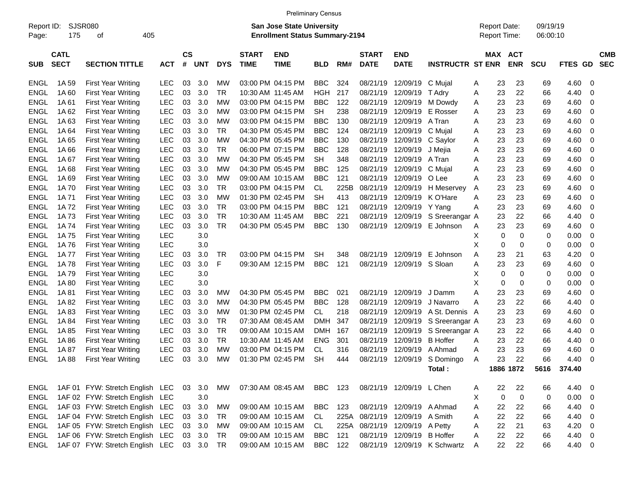|                     |                            |                                 |            |                    |            |            |                             | <b>Preliminary Census</b>                                                 |            |      |                             |                                |                              |   |    |                                            |                      |             |                          |                          |
|---------------------|----------------------------|---------------------------------|------------|--------------------|------------|------------|-----------------------------|---------------------------------------------------------------------------|------------|------|-----------------------------|--------------------------------|------------------------------|---|----|--------------------------------------------|----------------------|-------------|--------------------------|--------------------------|
| Report ID:<br>Page: | <b>SJSR080</b><br>175      | 405<br>οf                       |            |                    |            |            |                             | <b>San Jose State University</b><br><b>Enrollment Status Summary-2194</b> |            |      |                             |                                |                              |   |    | <b>Report Date:</b><br><b>Report Time:</b> | 09/19/19<br>06:00:10 |             |                          |                          |
| <b>SUB</b>          | <b>CATL</b><br><b>SECT</b> | <b>SECTION TITTLE</b>           | <b>ACT</b> | $\mathsf{cs}$<br># | <b>UNT</b> | <b>DYS</b> | <b>START</b><br><b>TIME</b> | <b>END</b><br><b>TIME</b>                                                 | <b>BLD</b> | RM#  | <b>START</b><br><b>DATE</b> | <b>END</b><br><b>DATE</b>      | <b>INSTRUCTR ST ENR</b>      |   |    | MAX ACT<br><b>ENR</b>                      | <b>SCU</b>           | FTES GD     |                          | <b>CMB</b><br><b>SEC</b> |
| <b>ENGL</b>         | 1A 59                      | <b>First Year Writing</b>       | <b>LEC</b> | 03                 | 3.0        | МW         |                             | 03:00 PM 04:15 PM                                                         | <b>BBC</b> | 324  | 08/21/19                    | 12/09/19                       | C Mujal                      | Α | 23 | 23                                         | 69                   | 4.60        | - 0                      |                          |
| <b>ENGL</b>         | 1A60                       | <b>First Year Writing</b>       | LEC        | 03                 | 3.0        | <b>TR</b>  |                             | 10:30 AM 11:45 AM                                                         | <b>HGH</b> | 217  | 08/21/19                    | 12/09/19                       | T Adry                       | A | 23 | 22                                         | 66                   | 4.40        | $\mathbf 0$              |                          |
| <b>ENGL</b>         | 1A61                       | <b>First Year Writing</b>       | LEC        | 03                 | 3.0        | МW         |                             | 03:00 PM 04:15 PM                                                         | <b>BBC</b> | 122  | 08/21/19                    | 12/09/19                       | M Dowdy                      | Α | 23 | 23                                         | 69                   | 4.60        | 0                        |                          |
| <b>ENGL</b>         | 1A 62                      | <b>First Year Writing</b>       | LEC        | 03                 | 3.0        | МW         |                             | 03:00 PM 04:15 PM                                                         | <b>SH</b>  | 238  | 08/21/19                    | 12/09/19                       | E Rosser                     | A | 23 | 23                                         | 69                   | 4.60        | 0                        |                          |
| <b>ENGL</b>         | 1A63                       | <b>First Year Writing</b>       | LEC        | 03                 | 3.0        | МW         |                             | 03:00 PM 04:15 PM                                                         | <b>BBC</b> | 130  | 08/21/19                    | 12/09/19                       | A Tran                       | A | 23 | 23                                         | 69                   | 4.60        | 0                        |                          |
| <b>ENGL</b>         | 1A64                       | <b>First Year Writing</b>       | LEC        | 03                 | 3.0        | <b>TR</b>  |                             | 04:30 PM 05:45 PM                                                         | <b>BBC</b> | 124  | 08/21/19                    | 12/09/19                       | C Mujal                      | A | 23 | 23                                         | 69                   | 4.60        | 0                        |                          |
| <b>ENGL</b>         | 1A 65                      | <b>First Year Writing</b>       | LEC        | 03                 | 3.0        | МW         |                             | 04:30 PM 05:45 PM                                                         | <b>BBC</b> | 130  | 08/21/19                    | 12/09/19                       | C Saylor                     | A | 23 | 23                                         | 69                   | 4.60        | $\mathbf 0$              |                          |
| <b>ENGL</b>         | 1A 66                      | <b>First Year Writing</b>       | LEC        | 03                 | 3.0        | <b>TR</b>  |                             | 06:00 PM 07:15 PM                                                         | <b>BBC</b> | 128  | 08/21/19                    | 12/09/19                       | J Mejia                      | A | 23 | 23                                         | 69                   | 4.60        | 0                        |                          |
| <b>ENGL</b>         | 1A67                       | <b>First Year Writing</b>       | LEC        | 03                 | 3.0        | МW         |                             | 04:30 PM 05:45 PM                                                         | <b>SH</b>  | 348  | 08/21/19                    | 12/09/19                       | A Tran                       | A | 23 | 23                                         | 69                   | 4.60        | 0                        |                          |
| <b>ENGL</b>         | 1A68                       | <b>First Year Writing</b>       | LEC        | 03                 | 3.0        | МW         |                             | 04:30 PM 05:45 PM                                                         | <b>BBC</b> | 125  | 08/21/19                    | 12/09/19                       | C Mujal                      | A | 23 | 23                                         | 69                   | 4.60        | $\mathbf 0$              |                          |
| <b>ENGL</b>         | 1A69                       | <b>First Year Writing</b>       | LEC        | 03                 | 3.0        | МW         |                             | 09:00 AM 10:15 AM                                                         | <b>BBC</b> | 121  | 08/21/19                    | 12/09/19                       | O Lee                        | A | 23 | 23                                         | 69                   | 4.60        | $\mathbf 0$              |                          |
| <b>ENGL</b>         | 1A 70                      | <b>First Year Writing</b>       | LEC        | 03                 | 3.0        | <b>TR</b>  |                             | 03:00 PM 04:15 PM                                                         | CL         | 225B | 08/21/19                    | 12/09/19                       | H Meservey                   | Α | 23 | 23                                         | 69                   | 4.60        | 0                        |                          |
| <b>ENGL</b>         | 1A 71                      | <b>First Year Writing</b>       | LEC        | 03                 | 3.0        | МW         |                             | 01:30 PM 02:45 PM                                                         | <b>SH</b>  | 413  | 08/21/19                    | 12/09/19                       | K O'Hare                     | A | 23 | 23                                         | 69                   | 4.60        | $\mathbf 0$              |                          |
| <b>ENGL</b>         | 1A 72                      | <b>First Year Writing</b>       | LEC        | 03                 | 3.0        | <b>TR</b>  |                             | 03:00 PM 04:15 PM                                                         | <b>BBC</b> | 121  | 08/21/19                    | 12/09/19                       | Y Yang                       | A | 23 | 23                                         | 69                   | 4.60        | $\mathbf 0$              |                          |
| <b>ENGL</b>         | 1A 73                      | <b>First Year Writing</b>       | <b>LEC</b> | 03                 | 3.0        | <b>TR</b>  |                             | 10:30 AM 11:45 AM                                                         | <b>BBC</b> | 221  | 08/21/19                    | 12/09/19                       | S Sreerangar A               |   | 23 | 22                                         | 66                   | 4.40        | $\mathbf 0$              |                          |
| <b>ENGL</b>         | 1A 74                      | <b>First Year Writing</b>       | <b>LEC</b> | 03                 | 3.0        | <b>TR</b>  |                             | 04:30 PM 05:45 PM                                                         | <b>BBC</b> | 130  | 08/21/19                    | 12/09/19                       | E Johnson                    | A | 23 | 23                                         | 69                   | 4.60        | 0                        |                          |
| <b>ENGL</b>         | 1A 75                      | <b>First Year Writing</b>       | LEC        |                    | 3.0        |            |                             |                                                                           |            |      |                             |                                |                              | х | 0  | 0                                          | 0                    | 0.00        | 0                        |                          |
| <b>ENGL</b>         | 1A 76                      | <b>First Year Writing</b>       | <b>LEC</b> |                    | 3.0        |            |                             |                                                                           |            |      |                             |                                |                              | X | 0  | 0                                          | $\mathbf 0$          | 0.00        | $\mathbf 0$              |                          |
| <b>ENGL</b>         | 1A 77                      | <b>First Year Writing</b>       | <b>LEC</b> | 03                 | 3.0        | TR         |                             | 03:00 PM 04:15 PM                                                         | <b>SH</b>  | 348  | 08/21/19                    | 12/09/19                       | E Johnson                    | A | 23 | 21                                         | 63                   | 4.20        | 0                        |                          |
| <b>ENGL</b>         | 1A78                       | <b>First Year Writing</b>       | LEC        | 03                 | 3.0        | F          |                             | 09:30 AM 12:15 PM                                                         | <b>BBC</b> | 121  | 08/21/19                    | 12/09/19                       | S Sloan                      | A | 23 | 23                                         | 69                   | 4.60        | $\mathbf 0$              |                          |
| <b>ENGL</b>         | 1A 79                      | <b>First Year Writing</b>       | LEC        |                    | 3.0        |            |                             |                                                                           |            |      |                             |                                |                              | х | 0  | 0                                          | 0                    | 0.00        | 0                        |                          |
| <b>ENGL</b>         | 1A 80                      | <b>First Year Writing</b>       | <b>LEC</b> |                    | 3.0        |            |                             |                                                                           |            |      |                             |                                |                              | X | 0  | 0                                          | 0                    | 0.00        | $\mathbf 0$              |                          |
| <b>ENGL</b>         | 1A 81                      | <b>First Year Writing</b>       | LEC        | 03                 | 3.0        | МW         |                             | 04:30 PM 05:45 PM                                                         | <b>BBC</b> | 021  | 08/21/19                    | 12/09/19                       | J Damm                       | Α | 23 | 23                                         | 69                   | 4.60        | 0                        |                          |
| <b>ENGL</b>         | 1A 82                      | <b>First Year Writing</b>       | LEC        | 03                 | 3.0        | МW         |                             | 04:30 PM 05:45 PM                                                         | <b>BBC</b> | 128  | 08/21/19                    | 12/09/19                       | J Navarro                    | Α | 23 | 22                                         | 66                   | 4.40        | $\mathbf 0$              |                          |
| <b>ENGL</b>         | 1A83                       | <b>First Year Writing</b>       | LEC        | 03                 | 3.0        | МW         |                             | 01:30 PM 02:45 PM                                                         | CL         | 218  | 08/21/19                    | 12/09/19                       | A St. Dennis A               |   | 23 | 23                                         | 69                   | 4.60        | 0                        |                          |
| <b>ENGL</b>         | 1A 84                      | <b>First Year Writing</b>       | LEC        | 03                 | 3.0        | <b>TR</b>  |                             | 07:30 AM 08:45 AM                                                         | <b>DMH</b> | 347  | 08/21/19                    | 12/09/19                       | S Sreerangar A               |   | 23 | 23                                         | 69                   | 4.60        | 0                        |                          |
| <b>ENGL</b>         | 1A 85                      | <b>First Year Writing</b>       | LEC        | 03                 | 3.0        | <b>TR</b>  |                             | 09:00 AM 10:15 AM                                                         | <b>DMH</b> | 167  | 08/21/19                    | 12/09/19                       | S Sreerangar A               |   | 23 | 22                                         | 66                   | 4.40        | 0                        |                          |
| <b>ENGL</b>         | 1A 86                      | <b>First Year Writing</b>       | LEC        | 03                 | 3.0        | <b>TR</b>  |                             | 10:30 AM 11:45 AM                                                         | <b>ENG</b> | 301  | 08/21/19                    | 12/09/19                       | <b>B</b> Hoffer              | A | 23 | 22                                         | 66                   | 4.40        | 0                        |                          |
| <b>ENGL</b>         | 1A 87                      | <b>First Year Writing</b>       | <b>LEC</b> | 03                 | 3.0        | МW         |                             | 03:00 PM 04:15 PM                                                         | CL         | 316  | 08/21/19                    | 12/09/19                       | A Ahmad                      | A | 23 | 23                                         | 69                   | 4.60        | 0                        |                          |
| <b>ENGL</b>         | 1A88                       | First Year Writing              | LEC        | 03                 | 3.0        | МW         |                             | 01:30 PM 02:45 PM                                                         | <b>SH</b>  | 444  | 08/21/19                    | 12/09/19                       | S Domingo                    | A | 23 | 22                                         | 66                   | 4.40        | $\mathbf 0$              |                          |
|                     |                            |                                 |            |                    |            |            |                             |                                                                           |            |      |                             |                                | Total:                       |   |    | 1886 1872                                  |                      | 5616 374.40 |                          |                          |
| ENGL                |                            | 1AF 01 FYW: Stretch English LEC |            | 03                 | 3.0        | МW         |                             | 07:30 AM 08:45 AM                                                         | BBC 123    |      |                             | 08/21/19 12/09/19 L Chen       |                              | A | 22 | 22                                         | 66                   | 4.40        | $\overline{\phantom{0}}$ |                          |
| <b>ENGL</b>         |                            | 1AF 02 FYW: Stretch English LEC |            |                    | 3.0        |            |                             |                                                                           |            |      |                             |                                |                              | X | 0  | $\mathbf 0$                                | 0                    | $0.00 \t 0$ |                          |                          |
| <b>ENGL</b>         |                            | 1AF 03 FYW: Stretch English LEC |            | 03                 | 3.0        | MW         |                             | 09:00 AM 10:15 AM                                                         | BBC        | 123  |                             | 08/21/19 12/09/19 A Ahmad      |                              | Α | 22 | 22                                         | 66                   | 4.40        | $\overline{\mathbf{0}}$  |                          |
| ENGL                |                            | 1AF 04 FYW: Stretch English LEC |            | 03                 | 3.0        | TR         |                             | 09:00 AM 10:15 AM                                                         | CL         |      | 225A 08/21/19 12/09/19      |                                | A Smith                      | A | 22 | 22                                         | 66                   | 4.40        | $\overline{\mathbf{0}}$  |                          |
| ENGL                |                            | 1AF 05 FYW: Stretch English LEC |            |                    | 03 3.0     | МW         |                             | 09:00 AM 10:15 AM                                                         | CL         |      |                             | 225A 08/21/19 12/09/19 A Petty |                              | Α | 22 | 21                                         | 63                   | 4.20        | $\overline{\phantom{0}}$ |                          |
| <b>ENGL</b>         |                            | 1AF 06 FYW: Stretch English LEC |            |                    | 03 3.0     | TR         |                             | 09:00 AM 10:15 AM                                                         | BBC        | 121  |                             | 08/21/19 12/09/19 B Hoffer     |                              | A | 22 | 22                                         | 66                   | 4.40 0      |                          |                          |
| <b>ENGL</b>         |                            | 1AF 07 FYW: Stretch English LEC |            |                    | 03 3.0     | TR         |                             | 09:00 AM 10:15 AM                                                         | BBC        | 122  |                             |                                | 08/21/19 12/09/19 K Schwartz | A | 22 | 22                                         | 66                   | 4.40 0      |                          |                          |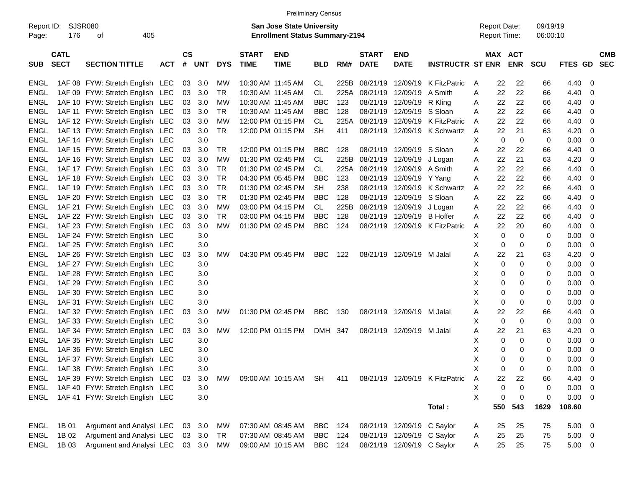|                     |                            |                                      |            |                |        |            |                             |                                                                           | <b>Preliminary Census</b> |      |                             |                            |                                |                     |     |                       |                      |             |                          |
|---------------------|----------------------------|--------------------------------------|------------|----------------|--------|------------|-----------------------------|---------------------------------------------------------------------------|---------------------------|------|-----------------------------|----------------------------|--------------------------------|---------------------|-----|-----------------------|----------------------|-------------|--------------------------|
| Report ID:<br>Page: | 176                        | SJSR080<br>405<br>οf                 |            |                |        |            |                             | <b>San Jose State University</b><br><b>Enrollment Status Summary-2194</b> |                           |      |                             |                            |                                | <b>Report Date:</b> |     | Report Time:          | 09/19/19<br>06:00:10 |             |                          |
| <b>SUB</b>          | <b>CATL</b><br><b>SECT</b> | <b>SECTION TITTLE</b>                | <b>ACT</b> | <b>CS</b><br># | UNT    | <b>DYS</b> | <b>START</b><br><b>TIME</b> | <b>END</b><br><b>TIME</b>                                                 | <b>BLD</b>                | RM#  | <b>START</b><br><b>DATE</b> | <b>END</b><br><b>DATE</b>  | <b>INSTRUCTR ST ENR</b>        |                     |     | MAX ACT<br><b>ENR</b> | <b>SCU</b>           | FTES GD     | <b>CMB</b><br><b>SEC</b> |
| ENGL                |                            | 1AF 08 FYW: Stretch English LEC      |            | 03             | 3.0    | <b>MW</b>  |                             | 10:30 AM 11:45 AM                                                         | CL                        | 225B | 08/21/19                    | 12/09/19                   | K FitzPatric                   | A                   | 22  | 22                    | 66                   | 4.40        | 0                        |
| <b>ENGL</b>         |                            | 1AF 09 FYW: Stretch English LEC      |            | 03             | 3.0    | <b>TR</b>  |                             | 10:30 AM 11:45 AM                                                         | <b>CL</b>                 | 225A | 08/21/19                    | 12/09/19                   | A Smith                        | A                   | 22  | 22                    | 66                   | 4.40        | 0                        |
| <b>ENGL</b>         |                            | 1AF 10 FYW: Stretch English LEC      |            | 03             | 3.0    | MW         |                             | 10:30 AM 11:45 AM                                                         | BBC                       | 123  | 08/21/19                    | 12/09/19                   | R Kling                        | Α                   | 22  | 22                    | 66                   | 4.40        | 0                        |
| <b>ENGL</b>         |                            | 1AF 11 FYW: Stretch English LEC      |            | 03             | 3.0    | <b>TR</b>  |                             | 10:30 AM 11:45 AM                                                         | <b>BBC</b>                | 128  | 08/21/19                    | 12/09/19                   | S Sloan                        | A                   | 22  | 22                    | 66                   | 4.40        | 0                        |
| <b>ENGL</b>         |                            | 1AF 12 FYW: Stretch English LEC      |            | 03             | 3.0    | MW         |                             | 12:00 PM 01:15 PM                                                         | CL                        | 225A | 08/21/19                    | 12/09/19                   | K FitzPatric                   | A                   | 22  | 22                    | 66                   | 4.40        | 0                        |
| <b>ENGL</b>         |                            | 1AF 13 FYW: Stretch English LEC      |            | 03             | 3.0    | <b>TR</b>  |                             | 12:00 PM 01:15 PM                                                         | <b>SH</b>                 | 411  | 08/21/19                    | 12/09/19                   | K Schwartz                     | A                   | 22  | 21                    | 63                   | 4.20        | 0                        |
| <b>ENGL</b>         |                            | 1AF 14 FYW: Stretch English LEC      |            |                | 3.0    |            |                             |                                                                           |                           |      |                             |                            |                                | X                   | 0   | $\mathbf 0$           | 0                    | 0.00        | 0                        |
| <b>ENGL</b>         |                            | 1AF 15 FYW: Stretch English LEC      |            | 03             | 3.0    | <b>TR</b>  |                             | 12:00 PM 01:15 PM                                                         | <b>BBC</b>                | 128  | 08/21/19                    | 12/09/19                   | S Sloan                        | A                   | 22  | 22                    | 66                   | 4.40        | 0                        |
| <b>ENGL</b>         |                            | 1AF 16 FYW: Stretch English LEC      |            | 03             | 3.0    | МW         |                             | 01:30 PM 02:45 PM                                                         | CL                        | 225B | 08/21/19                    | 12/09/19                   | J Logan                        | Α                   | 22  | 21                    | 63                   | 4.20        | 0                        |
| <b>ENGL</b>         |                            | 1AF 17 FYW: Stretch English LEC      |            | 03             | 3.0    | TR         |                             | 01:30 PM 02:45 PM                                                         | CL                        | 225A | 08/21/19                    | 12/09/19                   | A Smith                        | A                   | 22  | 22                    | 66                   | 4.40        | 0                        |
| <b>ENGL</b>         |                            | 1AF 18 FYW: Stretch English LEC      |            | 03             | 3.0    | <b>TR</b>  |                             | 04:30 PM 05:45 PM                                                         | <b>BBC</b>                | 123  | 08/21/19                    | 12/09/19                   | Y Yang                         | A                   | 22  | 22                    | 66                   | 4.40        | 0                        |
| <b>ENGL</b>         |                            | 1AF 19 FYW: Stretch English LEC      |            | 03             | 3.0    | <b>TR</b>  |                             | 01:30 PM 02:45 PM                                                         | <b>SH</b>                 | 238  | 08/21/19                    | 12/09/19                   | K Schwartz                     | A                   | 22  | 22                    | 66                   | 4.40        | 0                        |
| <b>ENGL</b>         |                            | 1AF 20 FYW: Stretch English LEC      |            | 03             | 3.0    | <b>TR</b>  |                             | 01:30 PM 02:45 PM                                                         | BBC                       | 128  | 08/21/19                    | 12/09/19                   | S Sloan                        | A                   | 22  | 22                    | 66                   | 4.40        | 0                        |
| <b>ENGL</b>         |                            | 1AF 21 FYW: Stretch English LEC      |            | 03             | 3.0    | МW         |                             | 03:00 PM 04:15 PM                                                         | CL                        | 225B | 08/21/19                    | 12/09/19                   | J Logan                        | A                   | 22  | 22                    | 66                   | 4.40        | 0                        |
| <b>ENGL</b>         |                            | 1AF 22 FYW: Stretch English LEC      |            | 03             | 3.0    | <b>TR</b>  |                             | 03:00 PM 04:15 PM                                                         | <b>BBC</b>                | 128  | 08/21/19                    | 12/09/19                   | <b>B</b> Hoffer                | A                   | 22  | 22                    | 66                   | 4.40        | 0                        |
| <b>ENGL</b>         |                            | 1AF 23 FYW: Stretch English LEC      |            | 03             | 3.0    | <b>MW</b>  |                             | 01:30 PM 02:45 PM                                                         | <b>BBC</b>                | 124  | 08/21/19                    | 12/09/19                   | K FitzPatric                   | A                   | 22  | 20                    | 60                   | 4.00        | 0                        |
| <b>ENGL</b>         |                            | 1AF 24 FYW: Stretch English LEC      |            |                | 3.0    |            |                             |                                                                           |                           |      |                             |                            |                                | X                   | 0   | 0                     | 0                    | 0.00        | 0                        |
| <b>ENGL</b>         |                            | 1AF 25 FYW: Stretch English          | LEC        |                | 3.0    |            |                             |                                                                           |                           |      |                             |                            |                                | X                   | 0   | 0                     | 0                    | 0.00        | 0                        |
| <b>ENGL</b>         |                            | 1AF 26 FYW: Stretch English          | <b>LEC</b> | 03             | 3.0    | <b>MW</b>  |                             | 04:30 PM 05:45 PM                                                         | <b>BBC</b>                | 122  |                             | 08/21/19 12/09/19 M Jalal  |                                | A                   | 22  | 21                    | 63                   | 4.20        | 0                        |
| <b>ENGL</b>         |                            | 1AF 27 FYW: Stretch English LEC      |            |                | 3.0    |            |                             |                                                                           |                           |      |                             |                            |                                | X                   | 0   | 0                     | 0                    | 0.00        | 0                        |
| <b>ENGL</b>         |                            | 1AF 28 FYW: Stretch English LEC      |            |                | 3.0    |            |                             |                                                                           |                           |      |                             |                            |                                | X                   | 0   | 0                     | 0                    | 0.00        | 0                        |
| <b>ENGL</b>         |                            | 1AF 29 FYW: Stretch English LEC      |            |                | 3.0    |            |                             |                                                                           |                           |      |                             |                            |                                | X                   | 0   | $\mathbf 0$           | 0                    | 0.00        | 0                        |
| <b>ENGL</b>         |                            | 1AF 30 FYW: Stretch English          | LEC        |                | 3.0    |            |                             |                                                                           |                           |      |                             |                            |                                | X                   | 0   | $\mathbf 0$           | 0                    | 0.00        | 0                        |
| <b>ENGL</b>         |                            | 1AF 31 FYW: Stretch English          | LEC        |                | 3.0    |            |                             |                                                                           |                           |      |                             |                            |                                | X                   | 0   | 0                     | 0                    | 0.00        | 0                        |
| <b>ENGL</b>         |                            | 1AF 32 FYW: Stretch English          | <b>LEC</b> | 03             | 3.0    | <b>MW</b>  |                             | 01:30 PM 02:45 PM                                                         | <b>BBC</b>                | 130  | 08/21/19                    | 12/09/19 M Jalal           |                                | Α                   | 22  | 22                    | 66                   | 4.40        | 0                        |
| <b>ENGL</b>         |                            | 1AF 33 FYW: Stretch English LEC      |            |                | 3.0    |            |                             |                                                                           |                           |      |                             |                            |                                | X                   | 0   | 0                     | 0                    | 0.00        | 0                        |
| <b>ENGL</b>         |                            | 1AF 34 FYW: Stretch English          | <b>LEC</b> | 03             | 3.0    | <b>MW</b>  |                             | 12:00 PM 01:15 PM                                                         | <b>DMH</b>                | 347  | 08/21/19                    | 12/09/19                   | M Jalal                        | A                   | 22  | 21                    | 63                   | 4.20        | 0                        |
| <b>ENGL</b>         |                            | 1AF 35 FYW: Stretch English LEC      |            |                | 3.0    |            |                             |                                                                           |                           |      |                             |                            |                                | X                   | 0   | 0                     | 0                    | 0.00        | 0                        |
| <b>ENGL</b>         |                            | 1AF 36 FYW: Stretch English          | <b>LEC</b> |                | 3.0    |            |                             |                                                                           |                           |      |                             |                            |                                | X                   | 0   | 0                     | 0                    | 0.00        | 0                        |
| <b>ENGL</b>         |                            | 1AF 37 FYW: Stretch English LEC      |            |                | 3.0    |            |                             |                                                                           |                           |      |                             |                            |                                | X                   | 0   | $\Omega$              | 0                    | 0.00        | 0                        |
|                     |                            | ENGL 1AF 38 FYW: Stretch English LEC |            |                | 3.0    |            |                             |                                                                           |                           |      |                             |                            |                                | Χ                   | 0   | 0                     | 0                    | 0.00        | $\mathbf 0$              |
| ENGL                |                            | 1AF 39 FYW: Stretch English LEC      |            | 03             | 3.0    | <b>MW</b>  |                             | 09:00 AM 10:15 AM SH                                                      |                           | 411  |                             |                            | 08/21/19 12/09/19 K FitzPatric | Α                   | 22  | 22                    | 66                   | 4.40        | 0                        |
| ENGL                |                            | 1AF 40 FYW: Stretch English LEC      |            |                | 3.0    |            |                             |                                                                           |                           |      |                             |                            |                                | X                   | 0   | 0                     | 0                    | 0.00        | 0                        |
| ENGL                |                            | 1AF 41 FYW: Stretch English LEC      |            |                | 3.0    |            |                             |                                                                           |                           |      |                             |                            |                                | X                   | 0   | $\mathbf 0$           | 0                    | 0.00        | 0                        |
|                     |                            |                                      |            |                |        |            |                             |                                                                           |                           |      |                             |                            | Total:                         |                     | 550 | 543                   | 1629                 | 108.60      |                          |
| ENGL                | 1B 01                      | Argument and Analysi LEC             |            |                | 03 3.0 | МW         |                             | 07:30 AM 08:45 AM                                                         | BBC                       | 124  |                             | 08/21/19 12/09/19 C Saylor |                                | A                   | 25  | 25                    | 75                   | 5.00        | $\overline{\mathbf{0}}$  |
| ENGL                | 1B 02                      | Argument and Analysi LEC             |            |                | 03 3.0 | TR         |                             | 07:30 AM 08:45 AM                                                         | <b>BBC</b>                | 124  |                             | 08/21/19 12/09/19 C Saylor |                                | A                   | 25  | 25                    | 75                   | $5.00 \t 0$ |                          |
| ENGL                | 1B 03                      | Argument and Analysi LEC 03 3.0      |            |                |        | МW         |                             | 09:00 AM 10:15 AM                                                         | BBC 124                   |      |                             | 08/21/19 12/09/19 C Saylor |                                | A                   | 25  | 25                    | 75                   | $5.00 \t 0$ |                          |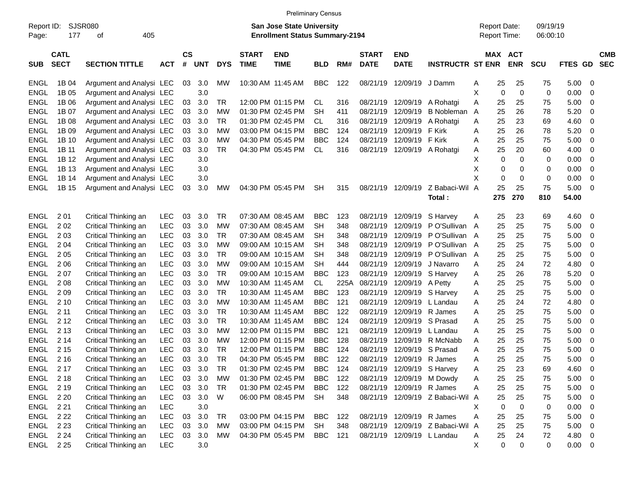|                     |                            |                             |            |                    |            |            |                             |                                                                           | <b>Preliminary Census</b> |      |                             |                           |                                |                                            |                            |                      |             |                          |                          |
|---------------------|----------------------------|-----------------------------|------------|--------------------|------------|------------|-----------------------------|---------------------------------------------------------------------------|---------------------------|------|-----------------------------|---------------------------|--------------------------------|--------------------------------------------|----------------------------|----------------------|-------------|--------------------------|--------------------------|
| Report ID:<br>Page: | 177                        | <b>SJSR080</b><br>405<br>οf |            |                    |            |            |                             | <b>San Jose State University</b><br><b>Enrollment Status Summary-2194</b> |                           |      |                             |                           |                                | <b>Report Date:</b><br><b>Report Time:</b> |                            | 09/19/19<br>06:00:10 |             |                          |                          |
| <b>SUB</b>          | <b>CATL</b><br><b>SECT</b> | <b>SECTION TITTLE</b>       | <b>ACT</b> | $\mathsf{cs}$<br># | <b>UNT</b> | <b>DYS</b> | <b>START</b><br><b>TIME</b> | <b>END</b><br><b>TIME</b>                                                 | <b>BLD</b>                | RM#  | <b>START</b><br><b>DATE</b> | <b>END</b><br><b>DATE</b> | <b>INSTRUCTR ST ENR</b>        |                                            | MAX ACT<br><b>ENR</b>      | <b>SCU</b>           | FTES GD     |                          | <b>CMB</b><br><b>SEC</b> |
| <b>ENGL</b>         | 1B 04                      | Argument and Analysi LEC    |            | 03                 | 3.0        | МW         |                             | 10:30 AM 11:45 AM                                                         | <b>BBC</b>                | 122  |                             | 08/21/19 12/09/19 J Damm  |                                | A                                          | 25<br>25                   | 75                   | 5.00        | $\overline{\phantom{0}}$ |                          |
| <b>ENGL</b>         | 1B 05                      | Argument and Analysi LEC    |            |                    | 3.0        |            |                             |                                                                           |                           |      |                             |                           |                                | Χ                                          | $\mathbf 0$<br>$\mathbf 0$ | 0                    | 0.00        | - 0                      |                          |
| <b>ENGL</b>         | 1B 06                      | Argument and Analysi LEC    |            | 03                 | 3.0        | <b>TR</b>  |                             | 12:00 PM 01:15 PM                                                         | <b>CL</b>                 | 316  |                             |                           | 08/21/19 12/09/19 A Rohatgi    | Α                                          | 25<br>25                   | 75                   | 5.00        | $\overline{\mathbf{0}}$  |                          |
| <b>ENGL</b>         | 1B 07                      | Argument and Analysi LEC    |            | 03                 | 3.0        | <b>MW</b>  |                             | 01:30 PM 02:45 PM                                                         | <b>SH</b>                 | 411  | 08/21/19                    | 12/09/19                  | <b>B</b> Nobleman              | A                                          | 25<br>26                   | 78                   | 5.20        | 0                        |                          |
| <b>ENGL</b>         | 1B 08                      | Argument and Analysi LEC    |            | 03                 | 3.0        | TR         |                             | 01:30 PM 02:45 PM                                                         | <b>CL</b>                 | 316  | 08/21/19                    | 12/09/19                  | A Rohatgi                      | Α                                          | 25<br>23                   | 69                   | 4.60        | -0                       |                          |
| <b>ENGL</b>         | 1B 09                      | Argument and Analysi LEC    |            | 03                 | 3.0        | МW         |                             | 03:00 PM 04:15 PM                                                         | <b>BBC</b>                | 124  | 08/21/19                    | 12/09/19 F Kirk           |                                | Α                                          | 25<br>26                   | 78                   | 5.20        | - 0                      |                          |
| <b>ENGL</b>         | 1B 10                      | Argument and Analysi LEC    |            | 03                 | 3.0        | <b>MW</b>  |                             | 04:30 PM 05:45 PM                                                         | <b>BBC</b>                | 124  | 08/21/19                    | 12/09/19 F Kirk           |                                | Α                                          | 25<br>25                   | 75                   | 5.00        | - 0                      |                          |
| <b>ENGL</b>         | 1B 11                      | Argument and Analysi LEC    |            | 03                 | 3.0        | <b>TR</b>  |                             | 04:30 PM 05:45 PM                                                         | <b>CL</b>                 | 316  |                             |                           | 08/21/19 12/09/19 A Rohatgi    | Α                                          | 25<br>20                   | 60                   | 4.00        | -0                       |                          |
| <b>ENGL</b>         | 1B 12                      | Argument and Analysi LEC    |            |                    | 3.0        |            |                             |                                                                           |                           |      |                             |                           |                                | Χ                                          | 0<br>$\Omega$              | 0                    | 0.00        | 0                        |                          |
| <b>ENGL</b>         | 1B 13                      | Argument and Analysi LEC    |            |                    | 3.0        |            |                             |                                                                           |                           |      |                             |                           |                                | X                                          | 0<br>0                     | 0                    | 0.00        | 0                        |                          |
| <b>ENGL</b>         | 1B 14                      | Argument and Analysi LEC    |            |                    | 3.0        |            |                             |                                                                           |                           |      |                             |                           |                                | X                                          | 0<br>$\mathbf 0$           | 0                    | 0.00        | 0                        |                          |
| <b>ENGL</b>         | 1B 15                      | Argument and Analysi LEC    |            | 03                 | 3.0        | <b>MW</b>  |                             | 04:30 PM 05:45 PM                                                         | <b>SH</b>                 | 315  |                             | 08/21/19 12/09/19         | Z Babaci-Wil                   | $\overline{A}$                             | 25<br>25                   | 75                   | 5.00        | - 0                      |                          |
|                     |                            |                             |            |                    |            |            |                             |                                                                           |                           |      |                             |                           | Total:                         | 275                                        | 270                        | 810                  | 54.00       |                          |                          |
|                     |                            |                             |            |                    |            |            |                             |                                                                           |                           |      |                             |                           |                                |                                            |                            |                      |             |                          |                          |
| <b>ENGL</b>         | 201                        | Critical Thinking an        | <b>LEC</b> | 03                 | 3.0        | <b>TR</b>  |                             | 07:30 AM 08:45 AM                                                         | <b>BBC</b>                | 123  | 08/21/19                    | 12/09/19                  | S Harvey                       | Α                                          | 23<br>25                   | 69                   | 4.60        | $\overline{\phantom{0}}$ |                          |
| <b>ENGL</b>         | 202                        | Critical Thinking an        | LEC        | 03                 | 3.0        | <b>MW</b>  |                             | 07:30 AM 08:45 AM                                                         | <b>SH</b>                 | 348  | 08/21/19                    |                           | 12/09/19 P O'Sullivan          | A                                          | 25<br>25                   | 75                   | 5.00        | $\overline{\mathbf{0}}$  |                          |
| <b>ENGL</b>         | 2 0 3                      | Critical Thinking an        | LEC        | 03                 | 3.0        | <b>TR</b>  |                             | 07:30 AM 08:45 AM                                                         | <b>SH</b>                 | 348  | 08/21/19                    |                           | 12/09/19 P O'Sullivan          | A                                          | 25<br>25                   | 75                   | 5.00        | 0                        |                          |
| <b>ENGL</b>         | 2 0 4                      | Critical Thinking an        | LEC        | 03                 | 3.0        | <b>MW</b>  |                             | 09:00 AM 10:15 AM                                                         | <b>SH</b>                 | 348  | 08/21/19                    |                           | 12/09/19 PO'Sullivan           | A                                          | 25<br>25                   | 75                   | 5.00        | - 0                      |                          |
| <b>ENGL</b>         | 2 0 5                      | Critical Thinking an        | LEC        | 03                 | 3.0        | <b>TR</b>  |                             | 09:00 AM 10:15 AM                                                         | <b>SH</b>                 | 348  | 08/21/19                    |                           | 12/09/19 PO'Sullivan           | A                                          | 25<br>25                   | 75                   | 5.00        | 0                        |                          |
| <b>ENGL</b>         | 2 0 6                      | Critical Thinking an        | LEC        | 03                 | 3.0        | <b>MW</b>  |                             | 09:00 AM 10:15 AM                                                         | <b>SH</b>                 | 444  | 08/21/19                    | 12/09/19                  | J Navarro                      | Α                                          | 25<br>24                   | 72                   | 4.80        | 0                        |                          |
| <b>ENGL</b>         | 207                        | Critical Thinking an        | LEC        | 03                 | 3.0        | <b>TR</b>  |                             | 09:00 AM 10:15 AM                                                         | <b>BBC</b>                | 123  | 08/21/19                    |                           | 12/09/19 S Harvey              | Α                                          | 25<br>26                   | 78                   | 5.20        | 0                        |                          |
| <b>ENGL</b>         | 208                        | Critical Thinking an        | LEC        | 03                 | 3.0        | <b>MW</b>  |                             | 10:30 AM 11:45 AM                                                         | <b>CL</b>                 | 225A | 08/21/19                    | 12/09/19 A Petty          |                                | Α                                          | 25<br>25                   | 75                   | 5.00        | - 0                      |                          |
| <b>ENGL</b>         | 209                        | Critical Thinking an        | LEC        | 03                 | 3.0        | <b>TR</b>  |                             | 10:30 AM 11:45 AM                                                         | <b>BBC</b>                | 123  | 08/21/19                    |                           | 12/09/19 S Harvey              | A                                          | 25<br>25                   | 75                   | 5.00        | 0                        |                          |
| <b>ENGL</b>         | 2 10                       | Critical Thinking an        | LEC        | 03                 | 3.0        | <b>MW</b>  |                             | 10:30 AM 11:45 AM                                                         | <b>BBC</b>                | 121  | 08/21/19                    | 12/09/19                  | L Landau                       | Α                                          | 25<br>24                   | 72                   | 4.80        | 0                        |                          |
| <b>ENGL</b>         | 2 11                       | Critical Thinking an        | LEC        | 03                 | 3.0        | <b>TR</b>  |                             | 10:30 AM 11:45 AM                                                         | <b>BBC</b>                | 122  | 08/21/19                    |                           | 12/09/19 R James               | Α                                          | 25<br>25                   | 75                   | 5.00        | - 0                      |                          |
| <b>ENGL</b>         | 2 1 2                      | Critical Thinking an        | LEC        | 03                 | 3.0        | <b>TR</b>  |                             | 10:30 AM 11:45 AM                                                         | <b>BBC</b>                | 124  | 08/21/19                    |                           | 12/09/19 S Prasad              | A                                          | 25<br>25                   | 75                   | 5.00        | 0                        |                          |
| <b>ENGL</b>         | 2 1 3                      | Critical Thinking an        | LEC        | 03                 | 3.0        | МW         |                             | 12:00 PM 01:15 PM                                                         | <b>BBC</b>                | 121  | 08/21/19                    | 12/09/19                  | L Landau                       | Α                                          | 25<br>25                   | 75                   | 5.00        | - 0                      |                          |
| <b>ENGL</b>         | 2 14                       | Critical Thinking an        | LEC        | 03                 | 3.0        | <b>MW</b>  |                             | 12:00 PM 01:15 PM                                                         | <b>BBC</b>                | 128  | 08/21/19                    |                           | 12/09/19 R McNabb              | Α                                          | 25<br>25                   | 75                   | 5.00        | 0                        |                          |
| <b>ENGL</b>         | 2 1 5                      | Critical Thinking an        | LEC        | 03                 | 3.0        | <b>TR</b>  |                             | 12:00 PM 01:15 PM                                                         | <b>BBC</b>                | 124  | 08/21/19                    | 12/09/19                  | S Prasad                       | A                                          | 25<br>25                   | 75                   | 5.00        | 0                        |                          |
| <b>ENGL</b>         | 2 1 6                      | Critical Thinking an        | LEC        | 03                 | 3.0        | <b>TR</b>  |                             | 04:30 PM 05:45 PM                                                         | <b>BBC</b>                | 122  |                             | 08/21/19 12/09/19 R James |                                | A                                          | 25<br>25                   | 75                   | 5.00        | $\overline{\mathbf{0}}$  |                          |
| ENGL 217            |                            | Critical Thinking an        | <b>LEC</b> | 03                 | 3.0        | <b>TR</b>  |                             | 01:30 PM 02:45 PM                                                         | <b>BBC</b>                | 124  |                             |                           | 08/21/19 12/09/19 S Harvey     | Α                                          | 25<br>23                   | 69                   | 4.60        | $\overline{\mathbf{0}}$  |                          |
| ENGL 218            |                            | Critical Thinking an        | <b>LEC</b> | 03                 | 3.0        | MW         |                             | 01:30 PM 02:45 PM                                                         | <b>BBC</b>                | 122  |                             |                           | 08/21/19 12/09/19 M Dowdy      | Α                                          | 25<br>25                   | 75                   | $5.00 \t 0$ |                          |                          |
| ENGL                | 2 1 9                      | Critical Thinking an        | <b>LEC</b> | 03                 | 3.0        | TR         |                             | 01:30 PM 02:45 PM                                                         | <b>BBC</b>                | 122  |                             | 08/21/19 12/09/19 R James |                                | Α                                          | 25<br>25                   | 75                   | $5.00 \t 0$ |                          |                          |
| <b>ENGL</b>         | 2 2 0                      | Critical Thinking an        | <b>LEC</b> | 03                 | 3.0        | W          |                             | 06:00 PM 08:45 PM                                                         | <b>SH</b>                 | 348  |                             |                           | 08/21/19 12/09/19 Z Babaci-Wil | A                                          | 25<br>25                   | 75                   | $5.00 \t 0$ |                          |                          |
| ENGL                | 2 2 1                      | Critical Thinking an        | LEC        |                    | 3.0        |            |                             |                                                                           |                           |      |                             |                           |                                | х                                          | 0<br>$\mathbf 0$           | 0                    | $0.00 \t 0$ |                          |                          |
| ENGL 222            |                            | Critical Thinking an        | <b>LEC</b> | 03                 | 3.0        | <b>TR</b>  |                             | 03:00 PM 04:15 PM                                                         | <b>BBC</b>                | 122  |                             | 08/21/19 12/09/19 R James |                                | Α                                          | 25<br>25                   | 75                   | $5.00 \t 0$ |                          |                          |
| ENGL                | 2 2 3                      | Critical Thinking an        | <b>LEC</b> | 03                 | 3.0        | MW         |                             | 03:00 PM 04:15 PM                                                         | <b>SH</b>                 | 348  |                             |                           | 08/21/19 12/09/19 Z Babaci-Wil | A                                          | 25<br>25                   | 75                   | $5.00 \t 0$ |                          |                          |
| ENGL 224            |                            | Critical Thinking an        | <b>LEC</b> | 03                 | 3.0        | MW         |                             | 04:30 PM 05:45 PM                                                         | <b>BBC</b>                | 121  |                             |                           | 08/21/19 12/09/19 L Landau     | Α                                          | 25<br>24                   | 72                   | 4.80 0      |                          |                          |
| ENGL 225            |                            | Critical Thinking an        | <b>LEC</b> |                    | 3.0        |            |                             |                                                                           |                           |      |                             |                           |                                | X                                          | $\pmb{0}$<br>0             | $\overline{0}$       | $0.00 \t 0$ |                          |                          |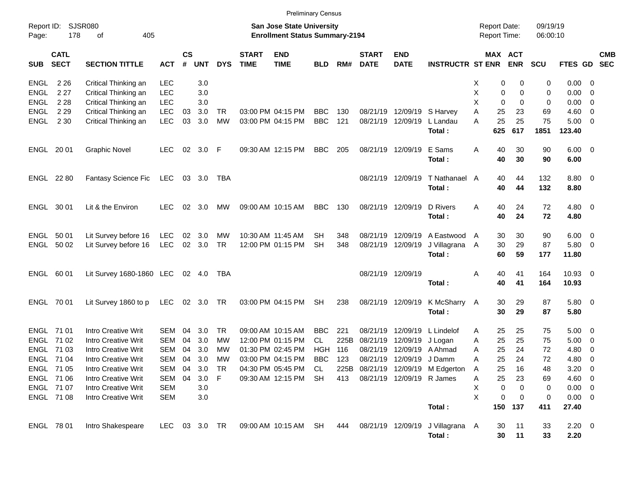|                     |                            |                            |            |                |            |            |                             | <b>Preliminary Census</b>                                                 |            |      |                             |                            |                                            |                                            |           |                       |                      |                        |                          |            |
|---------------------|----------------------------|----------------------------|------------|----------------|------------|------------|-----------------------------|---------------------------------------------------------------------------|------------|------|-----------------------------|----------------------------|--------------------------------------------|--------------------------------------------|-----------|-----------------------|----------------------|------------------------|--------------------------|------------|
| Report ID:<br>Page: | 178                        | SJSR080<br>405<br>οf       |            |                |            |            |                             | <b>San Jose State University</b><br><b>Enrollment Status Summary-2194</b> |            |      |                             |                            |                                            | <b>Report Date:</b><br><b>Report Time:</b> |           |                       | 09/19/19<br>06:00:10 |                        |                          |            |
| <b>SUB</b>          | <b>CATL</b><br><b>SECT</b> | <b>SECTION TITTLE</b>      | <b>ACT</b> | <b>CS</b><br># | <b>UNT</b> | <b>DYS</b> | <b>START</b><br><b>TIME</b> | <b>END</b><br><b>TIME</b>                                                 | <b>BLD</b> | RM#  | <b>START</b><br><b>DATE</b> | <b>END</b><br><b>DATE</b>  | <b>INSTRUCTR ST ENR</b>                    |                                            |           | MAX ACT<br><b>ENR</b> | <b>SCU</b>           | FTES GD SEC            |                          | <b>CMB</b> |
| <b>ENGL</b>         | 2 2 6                      | Critical Thinking an       | <b>LEC</b> |                | 3.0        |            |                             |                                                                           |            |      |                             |                            |                                            | х                                          | 0         | 0                     | 0                    | $0.00 \ 0$             |                          |            |
| <b>ENGL</b>         | 2 2 7                      | Critical Thinking an       | <b>LEC</b> |                | 3.0        |            |                             |                                                                           |            |      |                             |                            |                                            | Χ                                          | 0         | 0                     | 0                    | 0.00                   | $\overline{\phantom{0}}$ |            |
| <b>ENGL</b>         | 2 2 8                      | Critical Thinking an       | <b>LEC</b> |                | 3.0        |            |                             |                                                                           |            |      |                             |                            |                                            | Χ                                          | 0         | 0                     | 0                    | 0.00                   | $\overline{\phantom{0}}$ |            |
| <b>ENGL</b>         | 2 2 9                      | Critical Thinking an       | <b>LEC</b> | 03             | 3.0        | <b>TR</b>  |                             | 03:00 PM 04:15 PM                                                         | <b>BBC</b> | 130  |                             | 08/21/19 12/09/19 S Harvey |                                            | Α                                          | 25        | 23                    | 69                   | $4.60 \ 0$             |                          |            |
| ENGL                | 2 3 0                      | Critical Thinking an       | <b>LEC</b> | 03             | 3.0        | <b>MW</b>  |                             | 03:00 PM 04:15 PM                                                         | <b>BBC</b> | 121  |                             | 08/21/19 12/09/19          | L Landau<br>Total:                         | A                                          | 25<br>625 | 25<br>617             | 75<br>1851           | $5.00 \t 0$<br>123.40  |                          |            |
|                     |                            |                            |            |                |            |            |                             |                                                                           |            |      |                             |                            |                                            |                                            |           |                       |                      |                        |                          |            |
| ENGL 20 01          |                            | <b>Graphic Novel</b>       | <b>LEC</b> | 02             | 3.0 F      |            |                             | 09:30 AM 12:15 PM                                                         | <b>BBC</b> | 205  |                             | 08/21/19 12/09/19          | E Sams<br>Total:                           | Α                                          | 40<br>40  | 30<br>30              | 90<br>90             | $6.00 \quad 0$<br>6.00 |                          |            |
| <b>ENGL 2280</b>    |                            | Fantasy Science Fic        | LEC        |                | 03 3.0     | TBA        |                             |                                                                           |            |      |                             | 08/21/19 12/09/19          | T Nathanael                                | A                                          | 40        | 44                    | 132                  | 8.80 0                 |                          |            |
|                     |                            |                            |            |                |            |            |                             |                                                                           |            |      |                             |                            | Total:                                     |                                            | 40        | 44                    | 132                  | 8.80                   |                          |            |
| ENGL 30 01          |                            | Lit & the Environ          | <b>LEC</b> | 02             | 3.0        | МW         |                             | 09:00 AM 10:15 AM                                                         | <b>BBC</b> | 130  |                             | 08/21/19 12/09/19          | D Rivers                                   | Α                                          | 40        | 24                    | 72                   | $4.80\ 0$              |                          |            |
|                     |                            |                            |            |                |            |            |                             |                                                                           |            |      |                             |                            | Total:                                     |                                            | 40        | 24                    | 72                   | 4.80                   |                          |            |
| ENGL 50 01          |                            | Lit Survey before 16       | LEC        | 02             | 3.0        | МW         |                             | 10:30 AM 11:45 AM                                                         | <b>SH</b>  | 348  | 08/21/19                    | 12/09/19                   | A Eastwood                                 | A                                          | 30        | 30                    | 90                   | $6.00 \quad 0$         |                          |            |
| ENGL 50 02          |                            | Lit Survey before 16       | LEC        |                | 02 3.0     | <b>TR</b>  |                             | 12:00 PM 01:15 PM                                                         | <b>SH</b>  | 348  |                             | 08/21/19 12/09/19          | J Villagrana<br>Total:                     | A                                          | 30<br>60  | 29<br>59              | 87<br>177            | 5.80 0<br>11.80        |                          |            |
|                     |                            |                            |            |                |            |            |                             |                                                                           |            |      |                             |                            |                                            |                                            |           |                       |                      |                        |                          |            |
| ENGL 60 01          |                            | Lit Survey 1680-1860 LEC   |            |                | 02 4.0     | TBA        |                             |                                                                           |            |      |                             | 08/21/19 12/09/19          | Total:                                     | Α                                          | 40<br>40  | 41<br>41              | 164<br>164           | 10.93 0<br>10.93       |                          |            |
| ENGL 70 01          |                            | Lit Survey 1860 to p       | LEC        |                | 02 3.0     | TR         |                             | 03:00 PM 04:15 PM                                                         | <b>SH</b>  | 238  |                             | 08/21/19 12/09/19          | K McSharry                                 | A                                          | 30        | 29                    | 87                   | 5.80 0                 |                          |            |
|                     |                            |                            |            |                |            |            |                             |                                                                           |            |      |                             |                            | Total:                                     |                                            | 30        | 29                    | 87                   | 5.80                   |                          |            |
| ENGL 71 01          |                            | <b>Intro Creative Writ</b> | SEM        | 04             | 3.0        | TR.        |                             | 09:00 AM 10:15 AM                                                         | <b>BBC</b> | 221  | 08/21/19                    | 12/09/19                   | L Lindelof                                 | Α                                          | 25        | 25                    | 75                   | $5.00 \t 0$            |                          |            |
| ENGL 71 02          |                            | <b>Intro Creative Writ</b> | <b>SEM</b> | 04             | 3.0        | МW         |                             | 12:00 PM 01:15 PM                                                         | <b>CL</b>  | 225B | 08/21/19                    | 12/09/19                   | J Logan                                    | Α                                          | 25        | 25                    | 75                   | 5.00                   | $\overline{\phantom{0}}$ |            |
|                     | ENGL 71 03                 | <b>Intro Creative Writ</b> | SEM        | 04             | 3.0        | МW         |                             | 01:30 PM 02:45 PM                                                         | HGH        | 116  | 08/21/19                    | 12/09/19                   | A Ahmad                                    | Α                                          | 25        | 24                    | 72                   | 4.80                   | $\overline{\mathbf{0}}$  |            |
| ENGL 7104           |                            | <b>Intro Creative Writ</b> | SEM        | 04             | 3.0        | MW         |                             | 03:00 PM 04:15 PM                                                         | <b>BBC</b> | 123  |                             | 08/21/19 12/09/19 J Damm   |                                            | Α                                          | 25        | 24                    | 72                   | 4.80                   | $\overline{\mathbf{0}}$  |            |
| ENGL 71 05          |                            | Intro Creative Writ        | SEM        | 04             | 3.0        | TR         |                             | 04:30 PM 05:45 PM                                                         | <b>CL</b>  |      |                             |                            | 225B 08/21/19 12/09/19 M Edgerton          | A                                          | 25        | 16                    | 48                   | $3.20 \ 0$             |                          |            |
|                     | ENGL 71 06                 | Intro Creative Writ        | SEM        | 04             | 3.0        | - F        |                             | 09:30 AM 12:15 PM                                                         | SH         | 413  |                             | 08/21/19 12/09/19 R James  |                                            | A                                          | 25        | 23                    | 69                   | 4.60 0                 |                          |            |
| ENGL 71 07          |                            | Intro Creative Writ        | SEM        |                | 3.0        |            |                             |                                                                           |            |      |                             |                            |                                            | Χ                                          | 0         | 0                     | 0                    | $0.00 \t 0$            |                          |            |
|                     | ENGL 71 08                 | Intro Creative Writ        | SEM        |                | 3.0        |            |                             |                                                                           |            |      |                             |                            |                                            | X                                          | 0         | 0                     | 0                    | $0.00 \t 0$            |                          |            |
|                     |                            |                            |            |                |            |            |                             |                                                                           |            |      |                             |                            | Total:                                     |                                            | 150       | 137                   | 411                  | 27.40                  |                          |            |
| ENGL 78 01          |                            | Intro Shakespeare          | LEC.       |                | 03 3.0 TR  |            |                             | 09:00 AM 10:15 AM SH                                                      |            | 444  |                             |                            | 08/21/19 12/09/19 J Villagrana A<br>Total: |                                            | 30<br>30  | 11<br>11              | 33<br>33             | $2.20 \t 0$<br>2.20    |                          |            |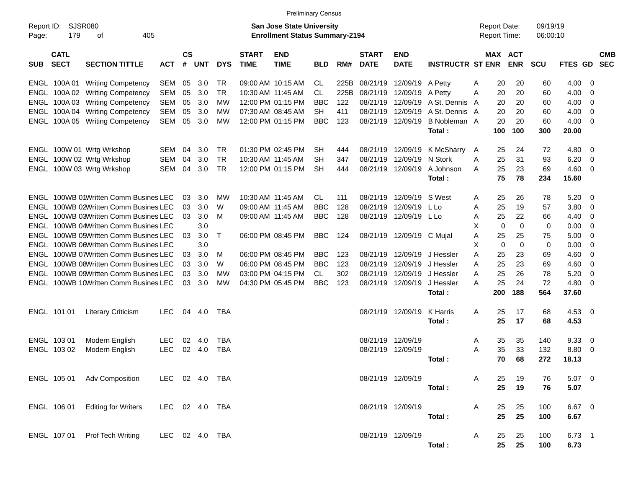|                     |                            |                                       |                |                    |            |            |                             | <b>Preliminary Census</b>                                                 |            |      |                             |                           |                         |   |                                            |             |                      |                          |     |                          |
|---------------------|----------------------------|---------------------------------------|----------------|--------------------|------------|------------|-----------------------------|---------------------------------------------------------------------------|------------|------|-----------------------------|---------------------------|-------------------------|---|--------------------------------------------|-------------|----------------------|--------------------------|-----|--------------------------|
| Report ID:<br>Page: | <b>SJSR080</b><br>179      | 405<br>οf                             |                |                    |            |            |                             | <b>San Jose State University</b><br><b>Enrollment Status Summary-2194</b> |            |      |                             |                           |                         |   | <b>Report Date:</b><br><b>Report Time:</b> |             | 09/19/19<br>06:00:10 |                          |     |                          |
| <b>SUB</b>          | <b>CATL</b><br><b>SECT</b> | <b>SECTION TITTLE</b>                 | <b>ACT</b>     | $\mathsf{cs}$<br># | <b>UNT</b> | <b>DYS</b> | <b>START</b><br><b>TIME</b> | <b>END</b><br><b>TIME</b>                                                 | <b>BLD</b> | RM#  | <b>START</b><br><b>DATE</b> | <b>END</b><br><b>DATE</b> | <b>INSTRUCTR ST ENR</b> |   | <b>MAX ACT</b>                             | <b>ENR</b>  | <b>SCU</b>           | <b>FTES</b><br><b>GD</b> |     | <b>CMB</b><br><b>SEC</b> |
|                     | ENGL 100A01                | <b>Writing Competency</b>             | <b>SEM</b>     | 05                 | 3.0        | TR.        |                             | 09:00 AM 10:15 AM                                                         | CL         | 225B | 08/21/19                    | 12/09/19                  | A Petty                 | A | 20                                         | 20          | 60                   | 4.00                     | 0   |                          |
| ENGL                | 100A 02                    | <b>Writing Competency</b>             | <b>SEM</b>     | 05                 | 3.0        | <b>TR</b>  |                             | 10:30 AM 11:45 AM                                                         | CL         | 225B | 08/21/19                    | 12/09/19                  | A Petty                 | A | 20                                         | 20          | 60                   | 4.00                     | 0   |                          |
| ENGL                | 100A 03                    | <b>Writing Competency</b>             | <b>SEM</b>     | 05                 | 3.0        | МW         |                             | 12:00 PM 01:15 PM                                                         | <b>BBC</b> | 122  | 08/21/19                    | 12/09/19                  | A St. Dennis            | A | 20                                         | 20          | 60                   | 4.00                     | 0   |                          |
| ENGL                |                            | 100A 04 Writing Competency            | <b>SEM</b>     | 05                 | 3.0        | МW         |                             | 07:30 AM 08:45 AM                                                         | <b>SH</b>  | 411  | 08/21/19                    | 12/09/19                  | A St. Dennis A          |   | 20                                         | 20          | 60                   | 4.00                     | 0   |                          |
|                     |                            | ENGL 100A 05 Writing Competency       | <b>SEM</b>     | 05                 | 3.0        | МW         |                             | 12:00 PM 01:15 PM                                                         | <b>BBC</b> | 123  | 08/21/19                    | 12/09/19                  | B Nobleman A            |   | 20                                         | 20          | 60                   | 4.00                     | 0   |                          |
|                     |                            |                                       |                |                    |            |            |                             |                                                                           |            |      |                             |                           | Total:                  |   | 100                                        | 100         | 300                  | 20.00                    |     |                          |
|                     |                            | ENGL 100W 01 Wrtg Wrkshop             | <b>SEM</b>     | 04                 | 3.0        | <b>TR</b>  |                             | 01:30 PM 02:45 PM                                                         | <b>SH</b>  | 444  | 08/21/19                    | 12/09/19                  | K McSharry              | A | 25                                         | 24          | 72                   | 4.80                     | 0   |                          |
|                     |                            | ENGL 100W 02 Wrtg Wrkshop             | <b>SEM</b>     | 04                 | 3.0        | <b>TR</b>  | 10:30 AM 11:45 AM           |                                                                           | <b>SH</b>  | 347  | 08/21/19                    | 12/09/19                  | N Stork                 | A | 25                                         | 31          | 93                   | 6.20                     | 0   |                          |
|                     |                            | ENGL 100W 03 Wrtg Wrkshop             | <b>SEM</b>     | 04                 | 3.0        | <b>TR</b>  |                             | 12:00 PM 01:15 PM                                                         | <b>SH</b>  | 444  | 08/21/19                    | 12/09/19                  | A Johnson               | A | 25                                         | 23          | 69                   | 4.60                     | 0   |                          |
|                     |                            |                                       |                |                    |            |            |                             |                                                                           |            |      |                             |                           | Total:                  |   | 75                                         | 78          | 234                  | 15.60                    |     |                          |
|                     |                            | ENGL 100WB 01Written Comm Busines LEC |                | 03                 | 3.0        | MW         |                             | 10:30 AM 11:45 AM                                                         | CL.        | 111  | 08/21/19                    | 12/09/19                  | S West                  | A | 25                                         | 26          | 78                   | 5.20                     | 0   |                          |
| ENGL                |                            | 100WB 02Written Comm Busines LEC      |                | 03                 | 3.0        | W          |                             | 09:00 AM 11:45 AM                                                         | <b>BBC</b> | 128  | 08/21/19                    | 12/09/19                  | L Lo                    | A | 25                                         | 19          | 57                   | 3.80                     | 0   |                          |
| ENGL                |                            | 100WB 03Written Comm Busines LEC      |                | 03                 | 3.0        | M          |                             | 09:00 AM 11:45 AM                                                         | <b>BBC</b> | 128  | 08/21/19                    | 12/09/19                  | L Lo                    | A | 25                                         | 22          | 66                   | 4.40                     | 0   |                          |
| ENGL                |                            | 100WB 04Written Comm Busines LEC      |                |                    | 3.0        |            |                             |                                                                           |            |      |                             |                           |                         | X | 0                                          | $\mathbf 0$ | 0                    | 0.00                     | 0   |                          |
| ENGL                |                            | 100WB 05Written Comm Busines LEC      |                | 03                 | 3.0        | Т          |                             | 06:00 PM 08:45 PM                                                         | <b>BBC</b> | 124  | 08/21/19                    | 12/09/19                  | C Mujal                 | A | 25                                         | 25          | 75                   | 5.00                     | 0   |                          |
| ENGL                |                            | 100WB 06Written Comm Busines LEC      |                |                    | 3.0        |            |                             |                                                                           |            |      |                             |                           |                         | X | 0                                          | $\mathbf 0$ | 0                    | 0.00                     | 0   |                          |
| ENGL                |                            | 100WB 07Written Comm Busines LEC      |                | 03                 | 3.0        | M          |                             | 06:00 PM 08:45 PM                                                         | <b>BBC</b> | 123  | 08/21/19                    | 12/09/19                  | J Hessler               | Α | 25                                         | 23          | 69                   | 4.60                     | 0   |                          |
| ENGL                |                            | 100WB 08Written Comm Busines LEC      |                | 03                 | 3.0        | W          |                             | 06:00 PM 08:45 PM                                                         | <b>BBC</b> | 123  | 08/21/19                    | 12/09/19                  | J Hessler               | A | 25                                         | 23          | 69                   | 4.60                     | 0   |                          |
| ENGL                |                            | 100WB 09Written Comm Busines LEC      |                | 03                 | 3.0        | МW         |                             | 03:00 PM 04:15 PM                                                         | CL         | 302  | 08/21/19                    | 12/09/19                  | J Hessler               | A | 25                                         | 26          | 78                   | 5.20                     | 0   |                          |
| ENGL                |                            | 100WB 10Written Comm Busines LEC      |                | 03                 | 3.0        | МW         |                             | 04:30 PM 05:45 PM                                                         | <b>BBC</b> | 123  | 08/21/19                    | 12/09/19                  | J Hessler               | A | 25                                         | 24          | 72                   | 4.80                     | 0   |                          |
|                     |                            |                                       |                |                    |            |            |                             |                                                                           |            |      |                             |                           | Total:                  |   | 200                                        | 188         | 564                  | 37.60                    |     |                          |
|                     | ENGL 101 01                | <b>Literary Criticism</b>             | <b>LEC</b>     | 04                 | 4.0        | <b>TBA</b> |                             |                                                                           |            |      | 08/21/19                    | 12/09/19                  | K Harris                | A | 25                                         | 17          | 68                   | 4.53                     | - 0 |                          |
|                     |                            |                                       |                |                    |            |            |                             |                                                                           |            |      |                             |                           | Total:                  |   | 25                                         | 17          | 68                   | 4.53                     |     |                          |
|                     | ENGL 103 01                | Modern English                        | <b>LEC</b>     | 02                 | -4.0       | <b>TBA</b> |                             |                                                                           |            |      | 08/21/19                    | 12/09/19                  |                         | A | 35                                         | 35          | 140                  | 9.33                     | 0   |                          |
|                     | ENGL 103 02                | Modern English                        | <b>LEC</b>     | 02                 | 4.0        | <b>TBA</b> |                             |                                                                           |            |      | 08/21/19                    | 12/09/19                  |                         | A | 35                                         | 33          | 132                  | 8.80                     | 0   |                          |
|                     |                            |                                       |                |                    |            |            |                             |                                                                           |            |      |                             |                           | Total:                  |   | 70                                         | 68          | 272                  | 18.13                    |     |                          |
|                     |                            | ENGL 105 01 Adv Composition           | LEC 02 4.0 TBA |                    |            |            |                             |                                                                           |            |      |                             | 08/21/19 12/09/19         |                         | A | 25                                         | 19          | 76                   | $5.07$ 0                 |     |                          |
|                     |                            |                                       |                |                    |            |            |                             |                                                                           |            |      |                             |                           | Total:                  |   | 25                                         | 19          | 76                   | 5.07                     |     |                          |
|                     |                            | ENGL 106 01 Editing for Writers       | LEC 02 4.0 TBA |                    |            |            |                             |                                                                           |            |      |                             | 08/21/19 12/09/19         |                         | A | 25                                         | 25          | 100                  | 6.67 0                   |     |                          |
|                     |                            |                                       |                |                    |            |            |                             |                                                                           |            |      |                             |                           | Total:                  |   | 25                                         | 25          | 100                  | 6.67                     |     |                          |
|                     |                            | ENGL 107 01 Prof Tech Writing         | LEC 02 4.0 TBA |                    |            |            |                             |                                                                           |            |      |                             | 08/21/19 12/09/19         |                         | A | 25                                         | 25          | 100                  | $6.73$ 1                 |     |                          |
|                     |                            |                                       |                |                    |            |            |                             |                                                                           |            |      |                             |                           | Total:                  |   |                                            | 25 25       | 100                  | 6.73                     |     |                          |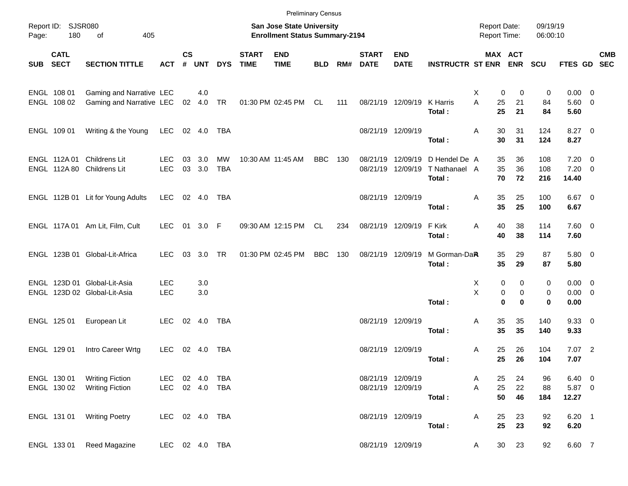|            |                            |                                                              |                          |               |            |            |                             |                                                                    | <b>Preliminary Census</b> |     |                             |                           |                             |                                     |          |                      |                            |                         |            |
|------------|----------------------------|--------------------------------------------------------------|--------------------------|---------------|------------|------------|-----------------------------|--------------------------------------------------------------------|---------------------------|-----|-----------------------------|---------------------------|-----------------------------|-------------------------------------|----------|----------------------|----------------------------|-------------------------|------------|
| Page:      | Report ID: SJSR080<br>180  | 405<br>of                                                    |                          |               |            |            |                             | San Jose State University<br><b>Enrollment Status Summary-2194</b> |                           |     |                             |                           |                             | <b>Report Date:</b><br>Report Time: |          | 09/19/19<br>06:00:10 |                            |                         |            |
| <b>SUB</b> | <b>CATL</b><br><b>SECT</b> | <b>SECTION TITTLE</b>                                        | <b>ACT</b>               | $\mathsf{cs}$ | # UNT      | <b>DYS</b> | <b>START</b><br><b>TIME</b> | <b>END</b><br><b>TIME</b>                                          | <b>BLD</b>                | RM# | <b>START</b><br><b>DATE</b> | <b>END</b><br><b>DATE</b> | <b>INSTRUCTR ST ENR ENR</b> | MAX ACT                             |          | <b>SCU</b>           | FTES GD SEC                |                         | <b>CMB</b> |
|            | ENGL 108 01                | Gaming and Narrative LEC                                     |                          |               | 4.0        |            |                             |                                                                    |                           |     |                             |                           |                             | Χ<br>0                              | 0        | 0                    | 0.00                       | $\overline{0}$          |            |
|            | ENGL 108 02                | Gaming and Narrative LEC                                     |                          |               | 02 4.0     | TR         |                             | 01:30 PM 02:45 PM CL                                               |                           | 111 |                             | 08/21/19 12/09/19         | K Harris<br>Total:          | A<br>25<br>25                       | 21<br>21 | 84<br>84             | $5.60$ 0<br>5.60           |                         |            |
|            | ENGL 109 01                | Writing & the Young                                          | LEC                      |               | 02 4.0     | TBA        |                             |                                                                    |                           |     |                             | 08/21/19 12/09/19         | Total:                      | 30<br>Α<br>30                       | 31<br>31 | 124<br>124           | $8.27$ 0<br>8.27           |                         |            |
|            |                            | ENGL 112A 01 Childrens Lit                                   | <b>LEC</b>               | 03            | 3.0        | MW         |                             | 10:30 AM 11:45 AM                                                  | BBC                       | 130 |                             | 08/21/19 12/09/19         | D Hendel De A               | 35                                  | 36       | 108                  | 7.20                       | - 0                     |            |
|            |                            | ENGL 112A 80 Childrens Lit                                   | <b>LEC</b>               | 03            | 3.0        | TBA        |                             |                                                                    |                           |     |                             | 08/21/19 12/09/19         | T Nathanael A<br>Total:     | 35<br>70                            | 36<br>72 | 108<br>216           | 7.20<br>14.40              | $\overline{\mathbf{0}}$ |            |
|            |                            | ENGL 112B 01 Lit for Young Adults                            | <b>LEC</b>               |               | 02 4.0     | TBA        |                             |                                                                    |                           |     |                             | 08/21/19 12/09/19         | Total:                      | 35<br>Α<br>35                       | 25<br>25 | 100<br>100           | $6.67$ 0<br>6.67           |                         |            |
|            |                            | ENGL 117A 01 Am Lit, Film, Cult                              | LEC.                     | 01            | 3.0 F      |            |                             | 09:30 AM 12:15 PM CL                                               |                           | 234 |                             | 08/21/19 12/09/19         | F Kirk                      | Α<br>40<br>40                       | 38<br>38 | 114                  | $7.60 \t 0$                |                         |            |
|            |                            | ENGL 123B 01 Global-Lit-Africa                               | <b>LEC</b>               | 03            | 3.0        | <b>TR</b>  |                             | 01:30 PM 02:45 PM                                                  | <b>BBC</b>                | 130 |                             | 08/21/19 12/09/19         | Total:<br>M Gorman-DaR      | 35                                  |          | 114<br>87            | 7.60<br>$5.80\ 0$          |                         |            |
|            |                            |                                                              |                          |               |            |            |                             |                                                                    |                           |     |                             |                           | Total:                      | 35                                  | 29<br>29 | 87                   | 5.80                       |                         |            |
|            |                            | ENGL 123D 01 Global-Lit-Asia<br>ENGL 123D 02 Global-Lit-Asia | <b>LEC</b><br><b>LEC</b> |               | 3.0<br>3.0 |            |                             |                                                                    |                           |     |                             |                           |                             | X<br>0<br>X<br>0                    | 0<br>0   | 0<br>0               | $0.00 \t 0$<br>$0.00 \t 0$ |                         |            |
|            |                            |                                                              |                          |               |            |            |                             |                                                                    |                           |     |                             |                           | Total:                      | $\mathbf 0$                         | $\bf{0}$ | $\mathbf 0$          | 0.00                       |                         |            |
|            | ENGL 125 01                | European Lit                                                 | <b>LEC</b>               |               |            |            |                             |                                                                    |                           |     | 08/21/19 12/09/19           |                           | Total:                      | 35<br>Α<br>35                       | 35<br>35 | 140<br>140           | 9.3300<br>9.33             |                         |            |
|            | ENGL 129 01                | Intro Career Wrtg                                            | LEC                      |               | 02 4.0     | TBA        |                             |                                                                    |                           |     |                             | 08/21/19 12/09/19         | Total:                      | Α<br>25<br>25                       | 26<br>26 | 104<br>104           | $7.07$ 2<br>7.07           |                         |            |
|            | ENGL 130 01                | <b>Writing Fiction</b>                                       | LEC 02 4.0               |               |            | TBA        |                             |                                                                    |                           |     |                             | 08/21/19 12/09/19         |                             | 25<br>A                             | 24       | 96                   | $6.40\quad 0$              |                         |            |
|            | ENGL 130 02                | <b>Writing Fiction</b>                                       | LEC 02 4.0 TBA           |               |            |            |                             |                                                                    |                           |     |                             | 08/21/19 12/09/19         | Total:                      | 25<br>Α<br>50                       | 22<br>46 | 88<br>184            | 5.87 0<br>12.27            |                         |            |
|            | ENGL 131 01                | <b>Writing Poetry</b>                                        | LEC 02 4.0 TBA           |               |            |            |                             |                                                                    |                           |     |                             | 08/21/19 12/09/19         | Total:                      | 25<br>A<br>25                       | 23<br>23 | 92<br>92             | $6.20$ 1<br>6.20           |                         |            |
|            | ENGL 133 01                | Reed Magazine                                                | LEC 02 4.0 TBA           |               |            |            |                             |                                                                    |                           |     |                             | 08/21/19 12/09/19         |                             | 30<br>A                             | 23       | 92                   | 6.60 7                     |                         |            |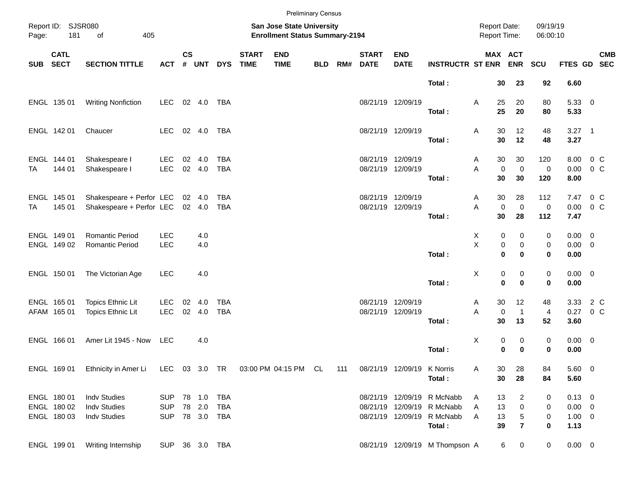|            |                            |                                                                     |                          |                    |                  |                          |                             |                                                                    | <b>Preliminary Census</b> |     |                             |                                        |                                                          |                                     |                                        |                           |                                   |         |            |
|------------|----------------------------|---------------------------------------------------------------------|--------------------------|--------------------|------------------|--------------------------|-----------------------------|--------------------------------------------------------------------|---------------------------|-----|-----------------------------|----------------------------------------|----------------------------------------------------------|-------------------------------------|----------------------------------------|---------------------------|-----------------------------------|---------|------------|
| Page:      | Report ID: SJSR080<br>181  | of<br>405                                                           |                          |                    |                  |                          |                             | San Jose State University<br><b>Enrollment Status Summary-2194</b> |                           |     |                             |                                        |                                                          | <b>Report Date:</b><br>Report Time: |                                        | 09/19/19<br>06:00:10      |                                   |         |            |
| <b>SUB</b> | <b>CATL</b><br><b>SECT</b> | <b>SECTION TITTLE</b>                                               | <b>ACT</b>               | $\mathsf{cs}$<br># | UNT              | <b>DYS</b>               | <b>START</b><br><b>TIME</b> | <b>END</b><br><b>TIME</b>                                          | <b>BLD</b>                | RM# | <b>START</b><br><b>DATE</b> | <b>END</b><br><b>DATE</b>              | <b>INSTRUCTR ST ENR ENR</b>                              |                                     | MAX ACT                                | SCU                       | FTES GD SEC                       |         | <b>CMB</b> |
|            |                            |                                                                     |                          |                    |                  |                          |                             |                                                                    |                           |     |                             |                                        | Total:                                                   | 30                                  | 23                                     | 92                        | 6.60                              |         |            |
|            | ENGL 135 01                | <b>Writing Nonfiction</b>                                           | <b>LEC</b>               |                    | 02 4.0           | TBA                      |                             |                                                                    |                           |     |                             | 08/21/19 12/09/19                      | Total:                                                   | 25<br>Α<br>25                       | 20<br>20                               | 80<br>80                  | 5.33 0<br>5.33                    |         |            |
|            | ENGL 142 01                | Chaucer                                                             | LEC.                     |                    | 02 4.0           | TBA                      |                             |                                                                    |                           |     |                             | 08/21/19 12/09/19                      | Total:                                                   | 30<br>Α<br>30                       | 12<br>12                               | 48<br>48                  | $3.27$ 1<br>3.27                  |         |            |
| TA         | ENGL 144 01<br>144 01      | Shakespeare I<br>Shakespeare I                                      | <b>LEC</b><br><b>LEC</b> |                    | 02 4.0<br>02 4.0 | <b>TBA</b><br><b>TBA</b> |                             |                                                                    |                           |     |                             | 08/21/19 12/09/19<br>08/21/19 12/09/19 |                                                          | 30<br>A<br>A                        | 30<br>$\mathbf 0$<br>0                 | 120<br>0                  | 8.00 0 C<br>0.00                  | $0\,$ C |            |
|            |                            |                                                                     |                          |                    |                  |                          |                             |                                                                    |                           |     |                             |                                        | Total:                                                   | 30                                  | 30                                     | 120                       | 8.00                              |         |            |
| TA         | ENGL 145 01<br>145 01      | Shakespeare + Perfor LEC<br>Shakespeare + Perfor LEC                |                          |                    | 02 4.0<br>02 4.0 | <b>TBA</b><br><b>TBA</b> |                             |                                                                    |                           |     |                             | 08/21/19 12/09/19<br>08/21/19 12/09/19 | Total:                                                   | 30<br>A<br>A<br>30                  | 28<br>$\mathbf 0$<br>$\mathbf 0$<br>28 | 112<br>$\mathbf 0$<br>112 | 7.47 0 C<br>$0.00 \t 0 C$<br>7.47 |         |            |
|            | ENGL 149 01                | <b>Romantic Period</b>                                              | <b>LEC</b><br><b>LEC</b> |                    | 4.0              |                          |                             |                                                                    |                           |     |                             |                                        |                                                          | X<br>X                              | 0<br>0                                 | 0                         | $0.00 \t 0$<br>$0.00 \t 0$        |         |            |
|            | ENGL 149 02                | Romantic Period                                                     |                          |                    | 4.0              |                          |                             |                                                                    |                           |     |                             |                                        | Total:                                                   |                                     | 0<br>0<br>$\bf{0}$<br>0                | 0<br>0                    | 0.00                              |         |            |
|            | ENGL 150 01                | The Victorian Age                                                   | <b>LEC</b>               |                    | 4.0              |                          |                             |                                                                    |                           |     |                             |                                        | Total:                                                   | Χ                                   | 0<br>0<br>$\mathbf 0$<br>$\bf{0}$      | 0<br>0                    | $0.00 \t 0$<br>0.00               |         |            |
|            | ENGL 165 01<br>AFAM 165 01 | Topics Ethnic Lit<br>Topics Ethnic Lit                              | <b>LEC</b><br><b>LEC</b> | 02                 | 4.0<br>02 4.0    | <b>TBA</b><br><b>TBA</b> |                             |                                                                    |                           |     |                             | 08/21/19 12/09/19<br>08/21/19 12/09/19 |                                                          | 30<br>A<br>A                        | 12<br>$\mathbf 0$<br>$\mathbf{1}$      | 48<br>$\overline{a}$      | 3.33<br>0.27 0 C                  | 2 C     |            |
|            | ENGL 166 01                | Amer Lit 1945 - Now                                                 | LEC                      |                    | 4.0              |                          |                             |                                                                    |                           |     |                             |                                        | Total:                                                   | 30<br>X                             | 13<br>0<br>0                           | 52<br>0                   | 3.60<br>$0.00 \t 0$               |         |            |
|            |                            | ENGL 169 01 Ethnicity in Amer Li LEC 03 3.0 TR 03:00 PM 04:15 PM CL |                          |                    |                  |                          |                             |                                                                    |                           | 111 |                             | 08/21/19 12/09/19 K Norris             | Total:                                                   | 30<br>Α                             | 0<br>$\bf{0}$<br>28                    | 0<br>84                   | 0.00<br>5.60 0                    |         |            |
|            |                            |                                                                     |                          |                    |                  |                          |                             |                                                                    |                           |     |                             |                                        | Total:                                                   | 30                                  | 28                                     | 84                        | 5.60                              |         |            |
|            | ENGL 180 01<br>ENGL 180 02 | <b>Indv Studies</b><br><b>Indv Studies</b>                          | <b>SUP</b><br><b>SUP</b> |                    | 78 1.0<br>78 2.0 | TBA<br><b>TBA</b>        |                             |                                                                    |                           |     |                             |                                        | 08/21/19 12/09/19 R McNabb<br>08/21/19 12/09/19 R McNabb | 13<br>A<br>13<br>A                  | $\overline{c}$<br>$\pmb{0}$            | 0<br>0                    | $0.13 \ 0$<br>$0.00 \t 0$         |         |            |
|            | ENGL 180 03                | Indv Studies                                                        | <b>SUP</b>               |                    |                  | 78 3.0 TBA               |                             |                                                                    |                           |     |                             |                                        | 08/21/19 12/09/19 R McNabb<br>Total :                    | 13<br>Α<br>39                       | $\,$ 5 $\,$<br>$\overline{7}$          | 0<br>0                    | $1.00 \t 0$<br>1.13               |         |            |
|            | ENGL 199 01                | Writing Internship                                                  | SUP 36 3.0 TBA           |                    |                  |                          |                             |                                                                    |                           |     |                             |                                        | 08/21/19 12/09/19 M Thompson A                           |                                     | 6<br>$\mathbf 0$                       | $\overline{0}$            | $0.00 \t 0$                       |         |            |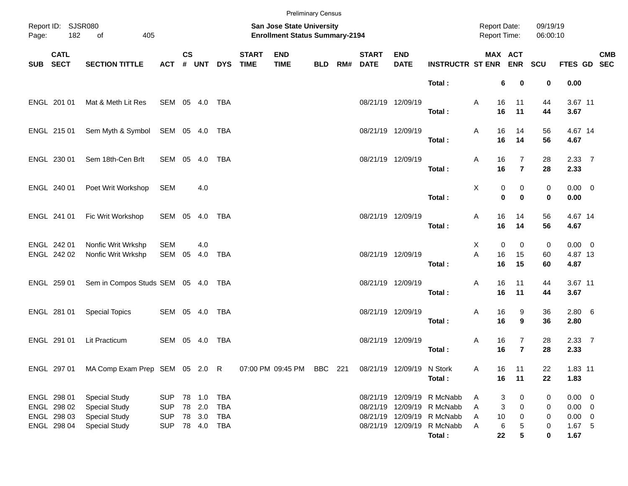|                                    |                                                          |                                                                                              |                                                      |                                                                    |                                      |                          |                             |                           | <b>Preliminary Census</b> |  |                                            |                           |                                                                                                                                 |                        |                                            |                       |                                                               |            |
|------------------------------------|----------------------------------------------------------|----------------------------------------------------------------------------------------------|------------------------------------------------------|--------------------------------------------------------------------|--------------------------------------|--------------------------|-----------------------------|---------------------------|---------------------------|--|--------------------------------------------|---------------------------|---------------------------------------------------------------------------------------------------------------------------------|------------------------|--------------------------------------------|-----------------------|---------------------------------------------------------------|------------|
| Report ID: SJSR080<br>182<br>Page: |                                                          | of<br>405                                                                                    |                                                      | San Jose State University<br><b>Enrollment Status Summary-2194</b> |                                      |                          |                             |                           |                           |  | <b>Report Date:</b><br><b>Report Time:</b> |                           | 09/19/19<br>06:00:10                                                                                                            |                        |                                            |                       |                                                               |            |
|                                    | <b>CATL</b><br>SUB SECT                                  | <b>SECTION TITTLE</b>                                                                        | <b>ACT</b>                                           | $\mathsf{cs}$                                                      |                                      | # UNT DYS                | <b>START</b><br><b>TIME</b> | <b>END</b><br><b>TIME</b> |                           |  | <b>START</b><br><b>BLD RM# DATE</b>        | <b>END</b><br><b>DATE</b> | <b>INSTRUCTR ST ENR ENR</b>                                                                                                     |                        | MAX ACT                                    | SCU                   | FTES GD SEC                                                   | <b>CMB</b> |
|                                    |                                                          |                                                                                              |                                                      |                                                                    |                                      |                          |                             |                           |                           |  |                                            |                           | Total:                                                                                                                          |                        | 6<br>0                                     | 0                     | 0.00                                                          |            |
|                                    | ENGL 201 01                                              | Mat & Meth Lit Res                                                                           | SEM 05 4.0                                           |                                                                    |                                      | TBA                      |                             |                           |                           |  |                                            | 08/21/19 12/09/19         | Total:                                                                                                                          | 16<br>Α<br>16          | 11<br>11                                   | 44<br>44              | 3.67 11<br>3.67                                               |            |
|                                    | ENGL 215 01                                              | Sem Myth & Symbol SEM 05 4.0                                                                 |                                                      |                                                                    |                                      | TBA                      |                             |                           |                           |  |                                            | 08/21/19 12/09/19         | Total:                                                                                                                          | 16<br>Α<br>16          | 14<br>14                                   | 56<br>56              | 4.67 14<br>4.67                                               |            |
|                                    | ENGL 230 01                                              | Sem 18th-Cen Brlt                                                                            | SEM 05 4.0                                           |                                                                    |                                      | TBA                      |                             |                           |                           |  | 08/21/19 12/09/19                          |                           | Total:                                                                                                                          | 16<br>Α<br>16          | $\overline{7}$<br>$\overline{7}$           | 28<br>28              | 2.3377<br>2.33                                                |            |
|                                    | ENGL 240 01                                              | Poet Writ Workshop                                                                           | SEM                                                  |                                                                    | 4.0                                  |                          |                             |                           |                           |  |                                            |                           | Total:                                                                                                                          | Χ                      | 0<br>0<br>$\mathbf 0$<br>$\bf{0}$          | 0<br>0                | $0.00 \t 0$<br>0.00                                           |            |
|                                    | ENGL 241 01                                              | Fic Writ Workshop                                                                            | SEM 05 4.0 TBA                                       |                                                                    |                                      |                          |                             |                           |                           |  |                                            | 08/21/19 12/09/19         | Total:                                                                                                                          | 16<br>Α<br>16          | 14<br>14                                   | 56<br>56              | 4.67 14<br>4.67                                               |            |
|                                    | ENGL 242 01<br>ENGL 242 02                               | Nonfic Writ Wrkshp<br>Nonfic Writ Wrkshp                                                     | <b>SEM</b><br>SEM                                    | 05                                                                 | 4.0<br>4.0                           | TBA                      |                             |                           |                           |  |                                            | 08/21/19 12/09/19         | Total:                                                                                                                          | Χ<br>A<br>16<br>16     | $\mathbf 0$<br>$\mathbf 0$<br>15<br>15     | 0<br>60<br>60         | $0.00 \t 0$<br>4.87 13<br>4.87                                |            |
|                                    | ENGL 259 01                                              | Sem in Compos Studs SEM 05 4.0 TBA                                                           |                                                      |                                                                    |                                      |                          |                             |                           |                           |  |                                            | 08/21/19 12/09/19         | Total:                                                                                                                          | 16<br>Α<br>16          | 11<br>11                                   | 44<br>44              | 3.67 11<br>3.67                                               |            |
|                                    | ENGL 281 01                                              | <b>Special Topics</b>                                                                        | SEM 05 4.0                                           |                                                                    |                                      | TBA                      |                             |                           |                           |  |                                            | 08/21/19 12/09/19         | Total:                                                                                                                          | Α<br>16<br>16          | 9<br>9                                     | 36<br>36              | $2.80\quad 6$<br>2.80                                         |            |
|                                    | ENGL 291 01                                              | Lit Practicum                                                                                | SEM 05 4.0                                           |                                                                    |                                      | TBA                      |                             |                           |                           |  |                                            | 08/21/19 12/09/19         | Total:                                                                                                                          | Α<br>16<br>16          | 7<br>$\overline{7}$                        | 28<br>28              | 2.33 7<br>2.33                                                |            |
|                                    | ENGL 297 01                                              | MA Comp Exam Prep SEM 05 2.0 R                                                               |                                                      |                                                                    |                                      |                          |                             | 07:00 PM 09:45 PM         | BBC 221                   |  |                                            | 08/21/19 12/09/19 N Stork | Total:                                                                                                                          | Α                      | 16<br>11<br>16<br>11                       | 22<br>22              | 1.83 11<br>1.83                                               |            |
|                                    | ENGL 298 01<br>ENGL 298 02<br>ENGL 298 03<br>ENGL 298 04 | <b>Special Study</b><br><b>Special Study</b><br><b>Special Study</b><br><b>Special Study</b> | <b>SUP</b><br><b>SUP</b><br><b>SUP</b><br><b>SUP</b> |                                                                    | 78 1.0<br>78 2.0<br>78 3.0<br>78 4.0 | TBA<br>TBA<br>TBA<br>TBA |                             |                           |                           |  |                                            |                           | 08/21/19 12/09/19 R McNabb<br>08/21/19 12/09/19 R McNabb<br>08/21/19 12/09/19 R McNabb<br>08/21/19 12/09/19 R McNabb<br>Total : | A<br>Α<br>10<br>Α<br>Α | 3<br>0<br>3<br>0<br>0<br>6<br>5<br>5<br>22 | 0<br>0<br>0<br>0<br>0 | $0.00 \t 0$<br>$0.00 \t 0$<br>$0.00 \t 0$<br>$1.67$ 5<br>1.67 |            |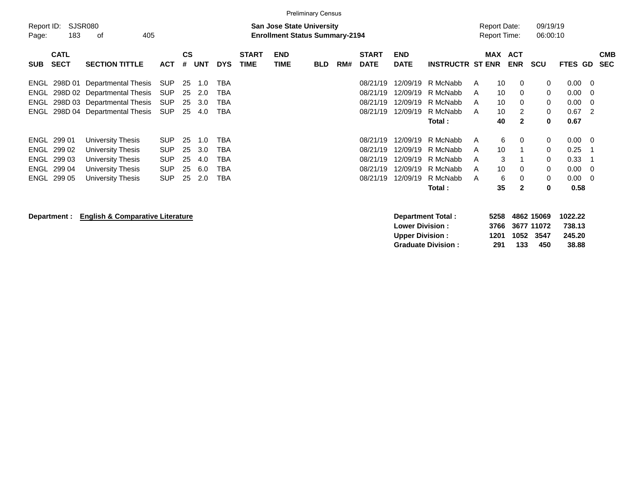|                                                                                                                                                                                         |                                                                                                  |                                                                    |                             |                                            | <b>Preliminary Census</b> |                      |                                                          |                                                          |                                                                     |                                                        |                                                       |                                                |                                                                         |                          |
|-----------------------------------------------------------------------------------------------------------------------------------------------------------------------------------------|--------------------------------------------------------------------------------------------------|--------------------------------------------------------------------|-----------------------------|--------------------------------------------|---------------------------|----------------------|----------------------------------------------------------|----------------------------------------------------------|---------------------------------------------------------------------|--------------------------------------------------------|-------------------------------------------------------|------------------------------------------------|-------------------------------------------------------------------------|--------------------------|
| SJSR080<br>Report ID:<br>183<br>οf<br>Page:                                                                                                                                             | 405                                                                                              |                                                                    |                             | <b>Report Date:</b><br><b>Report Time:</b> |                           | 09/19/19<br>06:00:10 |                                                          |                                                          |                                                                     |                                                        |                                                       |                                                |                                                                         |                          |
| <b>CATL</b><br><b>SECT</b><br><b>SECTION TITTLE</b><br><b>SUB</b>                                                                                                                       | <b>CS</b><br><b>ACT</b>                                                                          | # UNT<br><b>DYS</b>                                                | <b>START</b><br><b>TIME</b> | <b>END</b><br><b>TIME</b>                  | <b>BLD</b>                | RM#                  | <b>START</b><br><b>DATE</b>                              | <b>END</b><br><b>DATE</b>                                | <b>INSTRUCTR ST ENR</b>                                             | <b>MAX</b>                                             | <b>ACT</b><br><b>ENR</b>                              | <b>SCU</b>                                     | <b>FTES GD</b>                                                          | <b>CMB</b><br><b>SEC</b> |
| 298D 01<br>Departmental Thesis<br>ENGL<br>ENGL<br>298D 02 Departmental Thesis<br><b>ENGL</b><br>298D 03 Departmental Thesis<br>ENGL 298D 04 Departmental Thesis                         | SUP<br>-25<br>SUP<br>25<br><b>SUP</b><br>25<br><b>SUP</b><br>25                                  | 1.0<br>TBA<br>TBA<br>2.0<br>TBA<br>3.0<br>4.0<br>TBA               |                             |                                            |                           |                      | 08/21/19<br>08/21/19<br>08/21/19<br>08/21/19             | 12/09/19<br>12/09/19<br>12/09/19<br>12/09/19             | R McNabb<br>R McNabb<br>R McNabb<br>R McNabb<br>Total:              | 10<br>A<br>10<br>A<br>10<br>A<br>10<br>A<br>40         | $\Omega$<br>$\Omega$<br>$\Omega$<br>2<br>$\mathbf{2}$ | 0<br>$\mathbf 0$<br>$\Omega$<br>0<br>0         | $0.00 \quad 0$<br>$0.00 \quad 0$<br>$0.00 \quad 0$<br>$0.67$ 2<br>0.67  |                          |
| ENGL 299 01<br>University Thesis<br>ENGL 299 02<br>University Thesis<br>ENGL 299 03<br>University Thesis<br>ENGL 299 04<br>University Thesis<br>ENGL 299 05<br><b>University Thesis</b> | 25<br><b>SUP</b><br><b>SUP</b><br>25<br><b>SUP</b><br>25<br><b>SUP</b><br>25<br><b>SUP</b><br>25 | 1.0<br>TBA<br>3.0<br>TBA<br>TBA<br>4.0<br>TBA<br>6.0<br>2.0<br>TBA |                             |                                            |                           |                      | 08/21/19<br>08/21/19<br>08/21/19<br>08/21/19<br>08/21/19 | 12/09/19<br>12/09/19<br>12/09/19<br>12/09/19<br>12/09/19 | R McNabb<br>R McNabb<br>R McNabb<br>R McNabb<br>R McNabb<br>Total : | 6<br>A<br>10<br>A<br>3<br>A<br>10<br>A<br>6<br>A<br>35 | $\Omega$<br>$\Omega$<br>$\Omega$<br>$\mathbf{2}$      | $\mathbf 0$<br>0<br>0<br>0<br>$\mathbf 0$<br>0 | $0.00 \t 0$<br>0.25<br>0.33<br>$0.00 \quad 0$<br>$0.00 \quad 0$<br>0.58 |                          |

**Department : English & Comparative Literature Department Total : 5258 4862 15069 1022.22 Lower Division : 3766 3677 11072<br>
Upper Division : 31201 1052 3547 Upper Division : 1201 1052 3547 245.20<br>
Graduate Division : 291 133 450 38.88 Graduate Division : 291 133 450 38.88**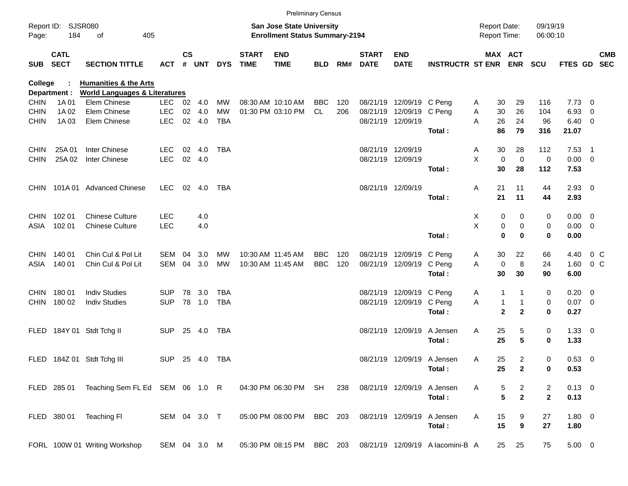|             |                            |                                             |              |               |                |            |                             | <b>Preliminary Census</b>                                                 |            |     |                             |                            |                                                            |   |                                            |                  |                      |                |                          |            |
|-------------|----------------------------|---------------------------------------------|--------------|---------------|----------------|------------|-----------------------------|---------------------------------------------------------------------------|------------|-----|-----------------------------|----------------------------|------------------------------------------------------------|---|--------------------------------------------|------------------|----------------------|----------------|--------------------------|------------|
| Page:       | Report ID: SJSR080<br>184  | οf<br>405                                   |              |               |                |            |                             | <b>San Jose State University</b><br><b>Enrollment Status Summary-2194</b> |            |     |                             |                            |                                                            |   | <b>Report Date:</b><br><b>Report Time:</b> |                  | 09/19/19<br>06:00:10 |                |                          |            |
| <b>SUB</b>  | <b>CATL</b><br><b>SECT</b> | <b>SECTION TITTLE</b>                       | <b>ACT</b>   | $\mathsf{cs}$ | # UNT          | <b>DYS</b> | <b>START</b><br><b>TIME</b> | <b>END</b><br><b>TIME</b>                                                 | <b>BLD</b> | RM# | <b>START</b><br><b>DATE</b> | <b>END</b><br><b>DATE</b>  | <b>INSTRUCTR ST ENR</b>                                    |   | MAX ACT                                    | <b>ENR</b>       | <b>SCU</b>           | FTES GD SEC    |                          | <b>CMB</b> |
| College     |                            | <b>Humanities &amp; the Arts</b>            |              |               |                |            |                             |                                                                           |            |     |                             |                            |                                                            |   |                                            |                  |                      |                |                          |            |
|             | Department :               | <b>World Languages &amp; Literatures</b>    |              |               |                |            |                             |                                                                           |            |     |                             |                            |                                                            |   |                                            |                  |                      |                |                          |            |
| <b>CHIN</b> | 1A 01                      | Elem Chinese                                | LEC.         |               | $02 \quad 4.0$ | MW         |                             | 08:30 AM 10:10 AM                                                         | <b>BBC</b> | 120 |                             | 08/21/19 12/09/19 C Peng   |                                                            | A | 30                                         | 29               | 116                  | 7.73           | - 0                      |            |
| <b>CHIN</b> | 1A 02                      | Elem Chinese                                | <b>LEC</b>   | 02            | 4.0            | <b>MW</b>  |                             | 01:30 PM 03:10 PM                                                         | CL.        | 206 |                             | 08/21/19 12/09/19 C Peng   |                                                            | Α | 30                                         | 26               | 104                  | 6.93           | $\overline{0}$           |            |
| <b>CHIN</b> | 1A03                       | Elem Chinese                                | <b>LEC</b>   | 02            | 4.0            | <b>TBA</b> |                             |                                                                           |            |     |                             | 08/21/19 12/09/19          |                                                            | A | 26                                         | 24               | 96                   | 6.40           | $\overline{\phantom{0}}$ |            |
|             |                            |                                             |              |               |                |            |                             |                                                                           |            |     |                             |                            | Total:                                                     |   | 86                                         | 79               | 316                  | 21.07          |                          |            |
| <b>CHIN</b> | 25A 01                     | Inter Chinese                               | <b>LEC</b>   | 02            | 4.0            | TBA        |                             |                                                                           |            |     |                             | 08/21/19 12/09/19          |                                                            | A | 30                                         | 28               | 112                  | 7.53           | - 1                      |            |
| <b>CHIN</b> | 25A 02                     | Inter Chinese                               | <b>LEC</b>   |               | 02 4.0         |            |                             |                                                                           |            |     |                             | 08/21/19 12/09/19          |                                                            | X | 0                                          | $\mathbf 0$      | 0                    | $0.00 \t 0$    |                          |            |
|             |                            |                                             |              |               |                |            |                             |                                                                           |            |     |                             |                            | Total:                                                     |   | 30                                         | 28               | 112                  | 7.53           |                          |            |
|             |                            | CHIN 101A 01 Advanced Chinese               | LEC.         | 02            | 4.0            | TBA        |                             |                                                                           |            |     |                             | 08/21/19 12/09/19          |                                                            | Α | 21                                         | 11               | 44                   | $2.93$ 0       |                          |            |
|             |                            |                                             |              |               |                |            |                             |                                                                           |            |     |                             |                            | Total:                                                     |   | 21                                         | 11               | 44                   | 2.93           |                          |            |
| CHIN .      | 102 01                     | <b>Chinese Culture</b>                      | <b>LEC</b>   |               | 4.0            |            |                             |                                                                           |            |     |                             |                            |                                                            | Х | 0                                          | 0                | 0                    | $0.00 \quad 0$ |                          |            |
| ASIA        | 102 01                     | <b>Chinese Culture</b>                      | <b>LEC</b>   |               | 4.0            |            |                             |                                                                           |            |     |                             |                            |                                                            | X | 0                                          | 0                | 0                    | $0.00 \t 0$    |                          |            |
|             |                            |                                             |              |               |                |            |                             |                                                                           |            |     |                             |                            | Total:                                                     |   | $\bf{0}$                                   | 0                | $\mathbf 0$          | 0.00           |                          |            |
| CHIN .      | 140 01                     | Chin Cul & Pol Lit                          | SEM          | 04            | 3.0            | MW         | 10:30 AM 11:45 AM           |                                                                           | <b>BBC</b> | 120 |                             | 08/21/19 12/09/19          | C Peng                                                     | A | 30                                         | 22               | 66                   | 4.40           | $0\,$ C                  |            |
| ASIA        | 140 01                     | Chin Cul & Pol Lit                          | SEM          | 04            | 3.0            | <b>MW</b>  |                             | 10:30 AM 11:45 AM                                                         | <b>BBC</b> | 120 |                             | 08/21/19 12/09/19          | C Peng                                                     | Α | 0                                          | 8                | 24                   | 1.60           | 0 <sup>o</sup>           |            |
|             |                            |                                             |              |               |                |            |                             |                                                                           |            |     |                             |                            | Total:                                                     |   | 30                                         | 30               | 90                   | 6.00           |                          |            |
|             | CHIN 180 01                | <b>Indiv Studies</b>                        | <b>SUP</b>   | 78            | 3.0            | TBA        |                             |                                                                           |            |     |                             | 08/21/19 12/09/19 C Peng   |                                                            | A | 1                                          |                  | 0                    | 0.20           | $\overline{\phantom{0}}$ |            |
|             | CHIN 180 02                | <b>Indiv Studies</b>                        | <b>SUP</b>   |               | 78 1.0         | TBA        |                             |                                                                           |            |     |                             | 08/21/19 12/09/19          | C Peng                                                     | Α | $\mathbf{1}$                               | -1               | 0                    | $0.07$ 0       |                          |            |
|             |                            |                                             |              |               |                |            |                             |                                                                           |            |     |                             |                            | Total:                                                     |   | $\mathbf{2}$                               | $\mathbf{2}$     | $\mathbf 0$          | 0.27           |                          |            |
|             |                            | FLED 184Y 01 Stdt Tchg II                   | <b>SUP</b>   | 25            | 4.0            | TBA        |                             |                                                                           |            |     |                             | 08/21/19 12/09/19          | A Jensen                                                   | Α | 25                                         | 5                | 0                    | $1.33 \ 0$     |                          |            |
|             |                            |                                             |              |               |                |            |                             |                                                                           |            |     |                             |                            | Total:                                                     |   | 25                                         | 5                | 0                    | 1.33           |                          |            |
|             |                            | FLED 184Z 01 Stdt Tchg III                  | <b>SUP</b>   | 25            | - 4.0          | TBA        |                             |                                                                           |            |     |                             | 08/21/19 12/09/19 A Jensen |                                                            | A | 25                                         | 2                | 0                    | 0.53 0         |                          |            |
|             |                            |                                             |              |               |                |            |                             |                                                                           |            |     |                             |                            | Total:                                                     |   | 25                                         | $\mathbf{2}$     | 0                    | 0.53           |                          |            |
|             |                            | FLED 285 01 Teaching Sem FL Ed SEM 06 1.0 R |              |               |                |            |                             | 04:30 PM 06:30 PM SH                                                      |            | 238 |                             | 08/21/19 12/09/19          | A Jensen                                                   | A | 5                                          | $\overline{a}$   | $\overline{2}$       | $0.13 \ 0$     |                          |            |
|             |                            |                                             |              |               |                |            |                             |                                                                           |            |     |                             |                            | Total:                                                     |   | $5\phantom{a}$                             | $\overline{2}$   | $\mathbf{2}$         | 0.13           |                          |            |
|             |                            | FLED 380 01 Teaching FI                     |              |               | SEM 04 3.0 T   |            |                             | 05:00 PM 08:00 PM BBC 203                                                 |            |     |                             | 08/21/19 12/09/19          | A Jensen                                                   | Α | 15                                         | 9                | 27                   | 1.80 0         |                          |            |
|             |                            |                                             |              |               |                |            |                             |                                                                           |            |     |                             |                            | Total:                                                     |   | 15                                         | $\boldsymbol{9}$ | 27                   | 1.80           |                          |            |
|             |                            | FORL 100W 01 Writing Workshop               | SEM 04 3.0 M |               |                |            |                             |                                                                           |            |     |                             |                            | 05:30 PM 08:15 PM BBC 203 08/21/19 12/09/19 A lacomini-B A |   | 25                                         | 25               | 75                   | $5.00 \t 0$    |                          |            |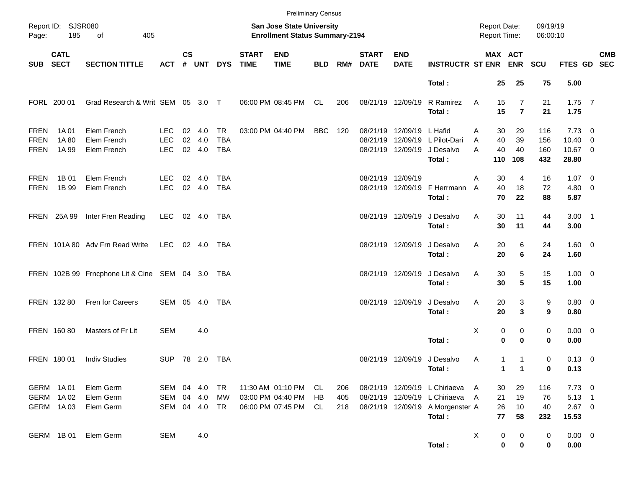|                                           |                                     |                                                  |                                        |               |                      |                                |                             | <b>Preliminary Census</b>                                          |                |                   |                             |                                                |                                                                                                              |                                      |                                  |                          |                                                    |            |
|-------------------------------------------|-------------------------------------|--------------------------------------------------|----------------------------------------|---------------|----------------------|--------------------------------|-----------------------------|--------------------------------------------------------------------|----------------|-------------------|-----------------------------|------------------------------------------------|--------------------------------------------------------------------------------------------------------------|--------------------------------------|----------------------------------|--------------------------|----------------------------------------------------|------------|
| Page:                                     | Report ID: SJSR080<br>185           | of<br>405                                        |                                        |               |                      |                                |                             | San Jose State University<br><b>Enrollment Status Summary-2194</b> |                |                   |                             |                                                |                                                                                                              | <b>Report Date:</b><br>Report Time:  |                                  | 09/19/19<br>06:00:10     |                                                    |            |
| SUB                                       | <b>CATL</b><br><b>SECT</b>          | <b>SECTION TITTLE</b>                            | <b>ACT</b>                             | $\mathsf{cs}$ | # UNT                | <b>DYS</b>                     | <b>START</b><br><b>TIME</b> | <b>END</b><br><b>TIME</b>                                          | <b>BLD</b>     | RM#               | <b>START</b><br><b>DATE</b> | <b>END</b><br><b>DATE</b>                      | <b>INSTRUCTR ST ENR ENR</b>                                                                                  | MAX ACT                              |                                  | <b>SCU</b>               | FTES GD SEC                                        | <b>CMB</b> |
|                                           |                                     |                                                  |                                        |               |                      |                                |                             |                                                                    |                |                   |                             |                                                | Total:                                                                                                       | 25                                   | 25                               | 75                       | 5.00                                               |            |
|                                           | FORL 200 01                         | Grad Research & Writ SEM 05 3.0 T                |                                        |               |                      |                                |                             | 06:00 PM 08:45 PM                                                  | CL             | 206               |                             | 08/21/19 12/09/19                              | R Ramirez<br>Total:                                                                                          | Α<br>15<br>15                        | $\overline{7}$<br>$\overline{7}$ | 21<br>21                 | $1.75$ 7<br>1.75                                   |            |
| <b>FREN</b><br><b>FREN</b><br><b>FREN</b> | 1A 01<br>1A 80<br>1A 99             | Elem French<br>Elem French<br>Elem French        | <b>LEC</b><br><b>LEC</b><br><b>LEC</b> | 02<br>02      | 4.0<br>4.0<br>02 4.0 | TR<br><b>TBA</b><br><b>TBA</b> |                             | 03:00 PM 04:40 PM                                                  | BBC            | - 120             | 08/21/19                    | 08/21/19 12/09/19 L Hafid<br>08/21/19 12/09/19 | 12/09/19 L Pilot-Dari<br>J Desalvo<br>Total:                                                                 | 30<br>Α<br>40<br>A<br>40<br>Α<br>110 | 29<br>39<br>40<br>108            | 116<br>156<br>160<br>432 | $7.73 \t 0$<br>$10.40 \quad 0$<br>10.67 0<br>28.80 |            |
| <b>FREN</b><br><b>FREN</b>                | 1B 01<br>1B 99                      | Elem French<br>Elem French                       | <b>LEC</b><br><b>LEC</b>               | 02            | 4.0<br>02 4.0        | TBA<br><b>TBA</b>              |                             |                                                                    |                |                   | 08/21/19 12/09/19           |                                                | 08/21/19 12/09/19 F Herrmann<br>Total:                                                                       | 30<br>A<br>40<br>A<br>70             | 4<br>18<br>22                    | 16<br>72<br>88           | $1.07 \t 0$<br>4.80 0<br>5.87                      |            |
|                                           | FREN 25A 99                         | Inter Fren Reading                               | LEC                                    |               | 02 4.0               | TBA                            |                             |                                                                    |                |                   |                             | 08/21/19 12/09/19                              | J Desalvo<br>Total:                                                                                          | Α<br>30<br>30                        | 11<br>11                         | 44<br>44                 | $3.00$ 1<br>3.00                                   |            |
|                                           |                                     | FREN 101A 80 Adv Frn Read Write                  | LEC                                    |               | $02 \quad 4.0$       | TBA                            |                             |                                                                    |                |                   |                             | 08/21/19 12/09/19                              | J Desalvo<br>Total:                                                                                          | Α<br>20<br>20                        | 6<br>6                           | 24<br>24                 | $1.60 \t 0$<br>1.60                                |            |
|                                           |                                     | FREN 102B 99 Frncphone Lit & Cine SEM 04 3.0 TBA |                                        |               |                      |                                |                             |                                                                    |                |                   |                             | 08/21/19 12/09/19                              | J Desalvo<br>Total:                                                                                          | Α<br>30<br>30                        | 5<br>5                           | 15<br>15                 | $1.00 \t 0$<br>1.00                                |            |
|                                           | FREN 132 80                         | Fren for Careers                                 | SEM 05                                 |               | 4.0                  | TBA                            |                             |                                                                    |                |                   | 08/21/19 12/09/19           |                                                | J Desalvo<br>Total:                                                                                          | Α<br>20<br>20                        | 3<br>3                           | 9<br>9                   | 0.80 0<br>0.80                                     |            |
|                                           | FREN 16080                          | Masters of Fr Lit                                | <b>SEM</b>                             |               | 4.0                  |                                |                             |                                                                    |                |                   |                             |                                                | Total:                                                                                                       | Χ<br>0<br>$\bf{0}$                   | 0<br>$\bf{0}$                    | 0<br>0                   | $0.00 \t 0$<br>0.00                                |            |
|                                           | FREN 180 01                         | <b>Indiv Studies</b>                             | <b>SUP</b>                             |               |                      |                                |                             |                                                                    |                |                   |                             |                                                | 08/21/19 12/09/19 J Desalvo<br>Total:                                                                        | 1<br>Α<br>$\mathbf{1}$               | 1<br>$\overline{\mathbf{1}}$     | 0<br>0                   | $0.13 \ 0$<br>0.13                                 |            |
|                                           | GERM 1A01<br>GERM 1A02<br>GERM 1A03 | Elem Germ<br>Elem Germ<br>Elem Germ              | SEM 04 4.0<br>SEM<br>SEM               |               | 04 4.0<br>04 4.0     | TR<br>MW<br>TR                 |                             | 11:30 AM 01:10 PM<br>03:00 PM 04:40 PM<br>06:00 PM 07:45 PM        | CL<br>HB<br>CL | 206<br>405<br>218 |                             |                                                | 08/21/19 12/09/19 L Chiriaeva<br>08/21/19 12/09/19 L Chiriaeva<br>08/21/19 12/09/19 A Morgenster A<br>Total: | 30<br>- A<br>21<br>A<br>26<br>77     | 29<br>19<br>10<br>58             | 116<br>76<br>40<br>232   | $7.73 \t 0$<br>$5.13$ 1<br>$2.67$ 0<br>15.53       |            |
|                                           | GERM 1B01                           | Elem Germ                                        | <b>SEM</b>                             |               | 4.0                  |                                |                             |                                                                    |                |                   |                             |                                                | Total:                                                                                                       | X<br>0<br>$\bf{0}$                   | 0<br>0                           | 0<br>0                   | $0.00 \t 0$<br>0.00                                |            |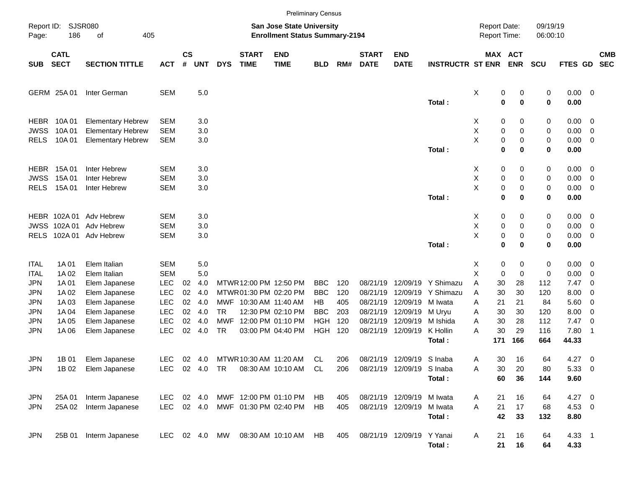|                                    |                            |                                                                                  |                                        |                    |                          |            |                                                                          |                                                                           | <b>Preliminary Census</b>      |                   |                                  |                                                        |                                   |                                     |                                      |                      |                             |                                                                                 |                          |
|------------------------------------|----------------------------|----------------------------------------------------------------------------------|----------------------------------------|--------------------|--------------------------|------------|--------------------------------------------------------------------------|---------------------------------------------------------------------------|--------------------------------|-------------------|----------------------------------|--------------------------------------------------------|-----------------------------------|-------------------------------------|--------------------------------------|----------------------|-----------------------------|---------------------------------------------------------------------------------|--------------------------|
| Report ID:<br>Page:                | 186                        | <b>SJSR080</b><br>οf<br>405                                                      |                                        |                    |                          |            |                                                                          | <b>San Jose State University</b><br><b>Enrollment Status Summary-2194</b> |                                |                   |                                  |                                                        |                                   | <b>Report Date:</b><br>Report Time: |                                      | 09/19/19<br>06:00:10 |                             |                                                                                 |                          |
| <b>SUB</b>                         | <b>CATL</b><br><b>SECT</b> | <b>SECTION TITTLE</b>                                                            | <b>ACT</b>                             | $\mathsf{cs}$<br># | <b>UNT</b>               | <b>DYS</b> | <b>START</b><br><b>TIME</b>                                              | <b>END</b><br><b>TIME</b>                                                 | <b>BLD</b>                     | RM#               | <b>START</b><br><b>DATE</b>      | <b>END</b><br><b>DATE</b>                              | <b>INSTRUCTR ST ENR</b>           |                                     | MAX ACT<br><b>ENR</b>                | <b>SCU</b>           | <b>FTES GD</b>              |                                                                                 | <b>CMB</b><br><b>SEC</b> |
|                                    | GERM 25A01                 | Inter German                                                                     | <b>SEM</b>                             |                    | $5.0\,$                  |            |                                                                          |                                                                           |                                |                   |                                  |                                                        | Total:                            | X                                   | 0<br>0<br>0<br>$\bf{0}$              | 0<br>0               | $0.00 \t 0$<br>0.00         |                                                                                 |                          |
| HEBR<br><b>JWSS</b><br><b>RELS</b> | 10A 01<br>10A 01<br>10A 01 | <b>Elementary Hebrew</b><br><b>Elementary Hebrew</b><br><b>Elementary Hebrew</b> | <b>SEM</b><br><b>SEM</b><br><b>SEM</b> |                    | 3.0<br>3.0<br>3.0        |            |                                                                          |                                                                           |                                |                   |                                  |                                                        |                                   | X<br>Χ<br>Χ                         | 0<br>0<br>0<br>0<br>0<br>0           | 0<br>0<br>0          | $0.00 \t 0$<br>0.00<br>0.00 | $\overline{\mathbf{0}}$<br>$\overline{\phantom{0}}$                             |                          |
| HEBR                               | 15A 01                     | Inter Hebrew                                                                     | <b>SEM</b>                             |                    | 3.0                      |            |                                                                          |                                                                           |                                |                   |                                  |                                                        | Total:                            | X                                   | $\mathbf 0$<br>0<br>0<br>0           | 0<br>0               | 0.00<br>$0.00 \t 0$         |                                                                                 |                          |
| <b>JWSS</b><br><b>RELS</b>         | 15A 01<br>15A 01           | Inter Hebrew<br>Inter Hebrew                                                     | <b>SEM</b><br><b>SEM</b>               |                    | 3.0<br>3.0               |            |                                                                          |                                                                           |                                |                   |                                  |                                                        | Total:                            | Χ<br>X                              | 0<br>0<br>0<br>0<br>0<br>0           | 0<br>0<br>0          | 0.00<br>0.00<br>0.00        | $\overline{\phantom{0}}$<br>$\overline{\phantom{0}}$                            |                          |
|                                    | HEBR 102A01                | Adv Hebrew                                                                       | <b>SEM</b>                             |                    | 3.0                      |            |                                                                          |                                                                           |                                |                   |                                  |                                                        |                                   | X                                   | 0<br>0                               | 0                    | $0.00 \t 0$                 |                                                                                 |                          |
| <b>JWSS</b><br><b>RELS</b>         | 102A01                     | Adv Hebrew<br>102A 01 Adv Hebrew                                                 | <b>SEM</b><br><b>SEM</b>               |                    | 3.0<br>3.0               |            |                                                                          |                                                                           |                                |                   |                                  |                                                        | Total:                            | Χ<br>Χ                              | 0<br>0<br>0<br>0<br>$\mathbf 0$<br>0 | 0<br>0<br>0          | 0.00<br>0.00<br>0.00        | $\overline{\phantom{0}}$<br>$\overline{\phantom{0}}$                            |                          |
| <b>ITAL</b><br><b>ITAL</b>         | 1A 01<br>1A 02             | Elem Italian<br>Elem Italian                                                     | <b>SEM</b><br><b>SEM</b>               |                    | 5.0<br>5.0               |            |                                                                          |                                                                           |                                |                   |                                  |                                                        |                                   | X<br>х                              | 0<br>0<br>0<br>0                     | 0<br>0               | $0.00 \t 0$<br>0.00         | $\overline{\mathbf{0}}$                                                         |                          |
| JPN<br>JPN<br><b>JPN</b>           | 1A 01<br>1A 02<br>1A 03    | Elem Japanese<br>Elem Japanese                                                   | <b>LEC</b><br><b>LEC</b><br><b>LEC</b> | 02<br>02<br>02     | 4.0<br>4.0<br>4.0        |            | MTWR 12:00 PM 12:50 PM<br>MTWR01:30 PM 02:20 PM<br>MWF 10:30 AM 11:40 AM |                                                                           | <b>BBC</b><br><b>BBC</b><br>HB | 120<br>120<br>405 | 08/21/19<br>08/21/19<br>08/21/19 | 12/09/19<br>12/09/19<br>12/09/19                       | Y Shimazu<br>Y Shimazu<br>M Iwata | Α<br>30<br>Α<br>30<br>21<br>A       | 28<br>30<br>21                       | 112<br>120<br>84     | 7.47<br>8.00<br>5.60        | $\overline{\phantom{0}}$<br>$\overline{\mathbf{0}}$<br>$\overline{\phantom{0}}$ |                          |
| <b>JPN</b><br>JPN                  | 1A 04<br>1A 05             | Elem Japanese<br>Elem Japanese<br>Elem Japanese                                  | <b>LEC</b><br><b>LEC</b>               | 02<br>02           | 4.0<br>4.0               | TR<br>MWF  |                                                                          | 12:30 PM 02:10 PM<br>12:00 PM 01:10 PM                                    | <b>BBC</b><br><b>HGH</b>       | 203<br>120        | 08/21/19<br>08/21/19             | 12/09/19<br>12/09/19                                   | M Uryu<br>M Ishida                | 30<br>Α<br>30<br>A                  | 30<br>28                             | 120<br>112           | 8.00<br>7.47                | $\overline{\mathbf{0}}$<br>$\overline{\mathbf{0}}$                              |                          |
| JPN                                | 1A 06                      | Elem Japanese                                                                    | <b>LEC</b>                             | 02                 | 4.0                      | TR         |                                                                          | 03:00 PM 04:40 PM                                                         | HGH                            | 120               |                                  | 08/21/19 12/09/19                                      | K Hollin<br>Total:                | 30<br>Α<br>171                      | 29<br>166                            | 116<br>664           | 7.80<br>44.33               | -1                                                                              |                          |
| <b>JPN</b><br><b>JPN</b>           | 1B 01                      | Elem Japanese<br>1B 02 Elem Japanese                                             | <b>LEC</b><br>LEC.                     |                    | 02 4.0                   |            | MTWR 10:30 AM 11:20 AM                                                   | 08:30 AM 10:10 AM CL                                                      | CL                             | 206<br>206        |                                  | 08/21/19 12/09/19 S Inaba<br>08/21/19 12/09/19 S Inaba | Total:                            | 30<br>Α<br>Α<br>30<br>60            | 16<br>20<br>36                       | 64<br>80<br>144      | 4.27<br>5.33 0<br>9.60      | $\overline{\phantom{0}}$                                                        |                          |
| <b>JPN</b><br>JPN                  | 25A 01<br>25A 02           | Interm Japanese<br>Interm Japanese                                               | LEC.<br>LEC                            |                    | $02 \quad 4.0$<br>02 4.0 |            |                                                                          | MWF 12:00 PM 01:10 PM<br>MWF 01:30 PM 02:40 PM                            | HB<br>HB                       | 405<br>405        |                                  | 08/21/19 12/09/19 M Iwata<br>08/21/19 12/09/19 M Iwata | Total:                            | 21<br>A<br>21<br>A<br>42            | 16<br>17<br>33                       | 64<br>68<br>132      | $4.27$ 0<br>4.53 0<br>8.80  |                                                                                 |                          |
| JPN                                | 25B 01                     | Interm Japanese                                                                  | LEC 02 4.0 MW                          |                    |                          |            |                                                                          | 08:30 AM 10:10 AM                                                         | HB                             | 405               |                                  | 08/21/19 12/09/19 Y Yanai                              | Total:                            | 21<br>A<br>21                       | 16<br>16                             | 64<br>64             | $4.33$ 1<br>4.33            |                                                                                 |                          |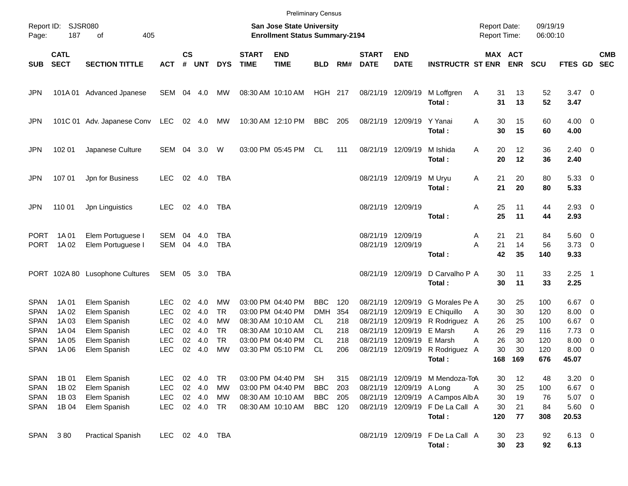|                            |                            |                                        |                          |                    |                  |                        |                             | <b>Preliminary Census</b>                                          |                          |            |                                        |                               |                                                                                |                                            |                 |                      |                                    |                                                      |                          |
|----------------------------|----------------------------|----------------------------------------|--------------------------|--------------------|------------------|------------------------|-----------------------------|--------------------------------------------------------------------|--------------------------|------------|----------------------------------------|-------------------------------|--------------------------------------------------------------------------------|--------------------------------------------|-----------------|----------------------|------------------------------------|------------------------------------------------------|--------------------------|
| Page:                      | Report ID: SJSR080<br>187  | of<br>405                              |                          |                    |                  |                        |                             | San Jose State University<br><b>Enrollment Status Summary-2194</b> |                          |            |                                        |                               |                                                                                | <b>Report Date:</b><br><b>Report Time:</b> |                 | 09/19/19<br>06:00:10 |                                    |                                                      |                          |
| <b>SUB</b>                 | <b>CATL</b><br><b>SECT</b> | <b>SECTION TITTLE</b>                  | <b>ACT</b>               | $\mathsf{cs}$<br># | <b>UNT</b>       | <b>DYS</b>             | <b>START</b><br><b>TIME</b> | <b>END</b><br><b>TIME</b>                                          | <b>BLD</b>               | RM#        | <b>START</b><br><b>DATE</b>            | <b>END</b><br><b>DATE</b>     | <b>INSTRUCTR ST ENR</b>                                                        | <b>MAX ACT</b>                             | <b>ENR</b>      | <b>SCU</b>           | FTES GD                            |                                                      | <b>CMB</b><br><b>SEC</b> |
| JPN                        |                            | 101A 01 Advanced Jpanese               | SEM                      |                    | 04 4.0           | МW                     |                             | 08:30 AM 10:10 AM                                                  | <b>HGH 217</b>           |            | 08/21/19 12/09/19                      |                               | M Loffgren<br>Total:                                                           | Α<br>31<br>31                              | 13<br>13        | 52<br>52             | $3.47 \quad 0$<br>3.47             |                                                      |                          |
| JPN                        |                            | 101C 01 Adv. Japanese Conv             | LEC                      |                    | 02 4.0           | МW                     |                             | 10:30 AM 12:10 PM                                                  | BBC                      | 205        |                                        | 08/21/19 12/09/19             | Y Yanai<br>Total:                                                              | A<br>30<br>30                              | 15<br>15        | 60<br>60             | $4.00 \ 0$<br>4.00                 |                                                      |                          |
| JPN                        | 102 01                     | Japanese Culture                       | SEM                      | 04                 | 3.0              | W                      |                             | 03:00 PM 05:45 PM                                                  | CL                       | 111        | 08/21/19 12/09/19                      |                               | M Ishida<br>Total:                                                             | A<br>20<br>20                              | 12<br>12        | 36<br>36             | $2.40 \ 0$<br>2.40                 |                                                      |                          |
| JPN                        | 107 01                     | Jpn for Business                       | <b>LEC</b>               |                    | 02 4.0           | TBA                    |                             |                                                                    |                          |            | 08/21/19 12/09/19                      |                               | M Uryu<br>Total:                                                               | 21<br>Α<br>21                              | 20<br>20        | 80<br>80             | 5.3300<br>5.33                     |                                                      |                          |
| JPN                        | 110 01                     | Jpn Linguistics                        | <b>LEC</b>               |                    | 02 4.0           | TBA                    |                             |                                                                    |                          |            | 08/21/19 12/09/19                      |                               | Total:                                                                         | 25<br>Α<br>25                              | 11<br>11        | 44<br>44             | $2.93$ 0<br>2.93                   |                                                      |                          |
| <b>PORT</b><br><b>PORT</b> | 1A 01<br>1A 02             | Elem Portuguese I<br>Elem Portuguese I | SEM<br><b>SEM</b>        | 04                 | 4.0<br>04 4.0    | TBA<br>TBA             |                             |                                                                    |                          |            | 08/21/19 12/09/19<br>08/21/19 12/09/19 |                               | Total:                                                                         | 21<br>Α<br>Α<br>21<br>42                   | 21<br>14<br>35  | 84<br>56<br>140      | $5.60$ 0<br>$3.73 \quad 0$<br>9.33 |                                                      |                          |
|                            |                            | PORT 102A 80 Lusophone Cultures        | SEM                      |                    | 05 3.0           | TBA                    |                             |                                                                    |                          |            |                                        | 08/21/19 12/09/19             | D Carvalho P A<br>Total:                                                       | 30<br>30                                   | 11<br>11        | 33<br>33             | $2.25$ 1<br>2.25                   |                                                      |                          |
| <b>SPAN</b><br><b>SPAN</b> | 1A 01<br>1A 02             | Elem Spanish<br>Elem Spanish           | LEC<br><b>LEC</b>        | 02<br>02           | 4.0<br>4.0       | <b>MW</b><br><b>TR</b> |                             | 03:00 PM 04:40 PM<br>03:00 PM 04:40 PM                             | <b>BBC</b><br><b>DMH</b> | 120<br>354 | 08/21/19<br>08/21/19                   | 12/09/19<br>12/09/19          | G Morales Pe A<br>E Chiquillo                                                  | 30<br>30<br>A                              | 25<br>30        | 100<br>120           | $6.67$ 0<br>8.00                   | $\overline{\phantom{0}}$                             |                          |
| <b>SPAN</b><br><b>SPAN</b> | 1A 03<br>1A 04             | Elem Spanish<br>Elem Spanish           | <b>LEC</b><br><b>LEC</b> | 02<br>02           | 4.0<br>4.0       | MW<br><b>TR</b>        |                             | 08:30 AM 10:10 AM<br>08:30 AM 10:10 AM                             | CL.<br>CL.               | 218<br>218 | 08/21/19<br>08/21/19                   | 12/09/19<br>12/09/19          | R Rodriguez<br><b>E</b> Marsh                                                  | 26<br>A<br>26<br>Α                         | 25<br>29        | 100<br>116           | 6.67<br>7.73                       | $\overline{\phantom{0}}$<br>$\overline{\phantom{0}}$ |                          |
| <b>SPAN</b><br><b>SPAN</b> | 1A 05<br>1A 06             | Elem Spanish<br>Elem Spanish           | <b>LEC</b><br><b>LEC</b> | 02<br>02           | 4.0<br>4.0       | <b>TR</b><br><b>MW</b> |                             | 03:00 PM 04:40 PM<br>03:30 PM 05:10 PM                             | CL<br><b>CL</b>          | 218<br>206 | 08/21/19                               | 12/09/19<br>08/21/19 12/09/19 | E Marsh<br>R Rodriguez<br>Total:                                               | 26<br>A<br>30<br>A<br>168                  | 30<br>30<br>169 | 120<br>120<br>676    | 8.00<br>8.00<br>45.07              | $\overline{\phantom{0}}$<br>$\overline{\phantom{0}}$ |                          |
| <b>SPAN</b><br><b>SPAN</b> | 1B 01<br>1B 02             | Elem Spanish<br>Elem Spanish           | <b>LEC</b><br><b>LEC</b> |                    | 02 4.0<br>02 4.0 | TR<br><b>MW</b>        |                             | 03:00 PM 04:40 PM<br>03:00 PM 04:40 PM                             | <b>SH</b><br><b>BBC</b>  | 315<br>203 |                                        | 08/21/19 12/09/19 A Long      | 08/21/19 12/09/19 M Mendoza-ToA                                                | 30<br>30<br>Α                              | 12<br>25        | 48<br>100            | $3.20 \ 0$<br>$6.67$ 0             |                                                      |                          |
| <b>SPAN</b><br><b>SPAN</b> | 1B 03<br>1B 04             | Elem Spanish<br>Elem Spanish           | <b>LEC</b><br><b>LEC</b> |                    | 02 4.0<br>02 4.0 | MW<br>TR               |                             | 08:30 AM 10:10 AM<br>08:30 AM 10:10 AM                             | <b>BBC</b><br><b>BBC</b> | 205<br>120 |                                        |                               | 08/21/19 12/09/19 A Campos Alb A<br>08/21/19 12/09/19 F De La Call A<br>Total: | 30<br>30<br>120                            | 19<br>21<br>77  | 76<br>84<br>308      | $5.07$ 0<br>5.60 0<br>20.53        |                                                      |                          |
| <b>SPAN</b>                | 380                        | <b>Practical Spanish</b>               | LEC                      |                    | 02  4.0  TBA     |                        |                             |                                                                    |                          |            |                                        |                               | 08/21/19 12/09/19 F De La Call A<br>Total:                                     | 30<br>30                                   | 23<br>23        | 92<br>92             | $6.13 \quad 0$<br>6.13             |                                                      |                          |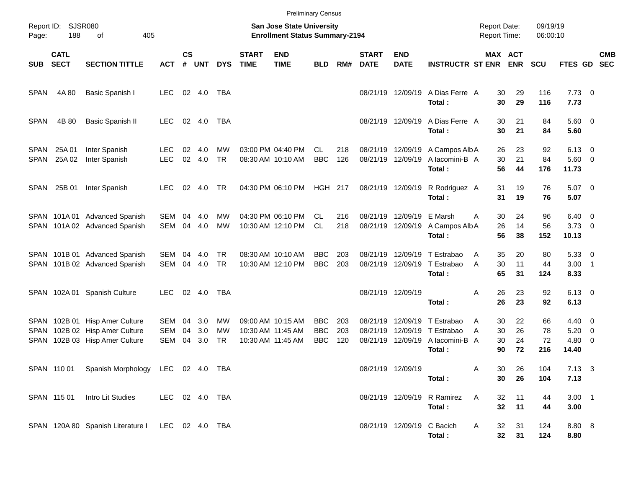|                            |                            |                                                                                          |                                 |                    |                   |                  |                             | <b>Preliminary Census</b>                                          |                                        |                   |                                        |                                           |                                                      |                                            |                              |                       |                                             |                          |                          |
|----------------------------|----------------------------|------------------------------------------------------------------------------------------|---------------------------------|--------------------|-------------------|------------------|-----------------------------|--------------------------------------------------------------------|----------------------------------------|-------------------|----------------------------------------|-------------------------------------------|------------------------------------------------------|--------------------------------------------|------------------------------|-----------------------|---------------------------------------------|--------------------------|--------------------------|
| Page:                      | Report ID: SJSR080<br>188  | 405<br>of                                                                                |                                 |                    |                   |                  |                             | San Jose State University<br><b>Enrollment Status Summary-2194</b> |                                        |                   |                                        |                                           |                                                      | <b>Report Date:</b><br><b>Report Time:</b> |                              | 09/19/19<br>06:00:10  |                                             |                          |                          |
| <b>SUB</b>                 | <b>CATL</b><br><b>SECT</b> | <b>SECTION TITTLE</b>                                                                    | <b>ACT</b>                      | $\mathsf{cs}$<br># | <b>UNT</b>        | <b>DYS</b>       | <b>START</b><br><b>TIME</b> | <b>END</b><br><b>TIME</b>                                          | <b>BLD</b>                             | RM#               | <b>START</b><br><b>DATE</b>            | <b>END</b><br><b>DATE</b>                 | <b>INSTRUCTR ST ENR</b>                              |                                            | <b>MAX ACT</b><br><b>ENR</b> | <b>SCU</b>            | <b>FTES GD</b>                              |                          | <b>CMB</b><br><b>SEC</b> |
| <b>SPAN</b>                | 4A 80                      | Basic Spanish I                                                                          | <b>LEC</b>                      |                    | 02 4.0            | TBA              |                             |                                                                    |                                        |                   |                                        | 08/21/19 12/09/19                         | A Dias Ferre A<br>Total:                             | 30<br>30                                   | 29<br>29                     | 116<br>116            | $7.73 \t 0$<br>7.73                         |                          |                          |
| <b>SPAN</b>                | 4B 80                      | Basic Spanish II                                                                         | <b>LEC</b>                      |                    | 02 4.0            | TBA              |                             |                                                                    |                                        |                   |                                        | 08/21/19 12/09/19                         | A Dias Ferre A<br>Total:                             | 30<br>30                                   | 21<br>21                     | 84<br>84              | $5.60$ 0<br>5.60                            |                          |                          |
| <b>SPAN</b><br><b>SPAN</b> | 25A 01<br>25A 02           | Inter Spanish<br>Inter Spanish                                                           | LEC.<br><b>LEC</b>              | 02<br>02           | 4.0<br>4.0        | МW<br><b>TR</b>  |                             | 03:00 PM 04:40 PM<br>08:30 AM 10:10 AM                             | CL<br><b>BBC</b>                       | 218<br>126        | 08/21/19 12/09/19<br>08/21/19 12/09/19 |                                           | A Campos Alb A<br>A lacomini-B A<br>Total:           | 26<br>30<br>56                             | 23<br>21<br>44               | 92<br>84<br>176       | $6.13 \quad 0$<br>$5.60$ 0<br>11.73         |                          |                          |
| SPAN                       | 25B 01                     | Inter Spanish                                                                            | LEC.                            | 02                 | 4.0               | TR.              |                             | 04:30 PM 06:10 PM                                                  | <b>HGH 217</b>                         |                   |                                        | 08/21/19 12/09/19                         | R Rodriguez A<br>Total:                              | 31<br>31                                   | 19<br>19                     | 76<br>76              | $5.07$ 0<br>5.07                            |                          |                          |
|                            |                            | SPAN 101A 01 Advanced Spanish<br>SPAN 101A 02 Advanced Spanish                           | SEM<br><b>SEM</b>               | 04<br>04           | 4.0<br>4.0        | МW<br><b>MW</b>  |                             | 04:30 PM 06:10 PM<br>10:30 AM 12:10 PM                             | CL.<br><b>CL</b>                       | 216<br>218        |                                        | 08/21/19 12/09/19<br>08/21/19 12/09/19    | E Marsh<br>A Campos Alb A<br>Total:                  | 30<br>A<br>26<br>56                        | 24<br>14<br>38               | 96<br>56<br>152       | $6.40 \quad 0$<br>$3.73$ 0<br>10.13         |                          |                          |
|                            |                            | SPAN 101B 01 Advanced Spanish<br>SPAN 101B 02 Advanced Spanish                           | SEM<br>SEM                      | 04<br>04           | 4.0<br>4.0        | TR.<br><b>TR</b> |                             | 08:30 AM 10:10 AM<br>10:30 AM 12:10 PM                             | <b>BBC</b><br><b>BBC</b>               | 203<br>203        | 08/21/19                               | 12/09/19<br>08/21/19 12/09/19             | T Estrabao<br>T Estrabao<br>Total:                   | 35<br>A<br>30<br>A<br>65                   | 20<br>11<br>31               | 80<br>44<br>124       | 5.3300<br>$3.00$ 1<br>8.33                  |                          |                          |
|                            |                            | SPAN 102A 01 Spanish Culture                                                             | LEC.                            |                    | 02 4.0            | TBA              |                             |                                                                    |                                        |                   | 08/21/19 12/09/19                      |                                           | Total:                                               | 26<br>A<br>26                              | 23<br>23                     | 92<br>92              | $6.13 \quad 0$<br>6.13                      |                          |                          |
| <b>SPAN</b><br><b>SPAN</b> |                            | SPAN 102B 01 Hisp Amer Culture<br>102B 02 Hisp Amer Culture<br>102B 03 Hisp Amer Culture | SEM<br><b>SEM</b><br><b>SEM</b> | 04<br>04<br>04     | 3.0<br>3.0<br>3.0 | МW<br>MW<br>TR   |                             | 09:00 AM 10:15 AM<br>10:30 AM 11:45 AM<br>10:30 AM 11:45 AM        | <b>BBC</b><br><b>BBC</b><br><b>BBC</b> | 203<br>203<br>120 | 08/21/19<br>08/21/19                   | 12/09/19<br>12/09/19<br>08/21/19 12/09/19 | T Estrabao<br>T Estrabao<br>A lacomini-B A<br>Total: | 30<br>A<br>30<br>A<br>30<br>90             | 22<br>26<br>24<br>72         | 66<br>78<br>72<br>216 | $4.40 \quad 0$<br>5.20<br>$4.80$ 0<br>14.40 | $\overline{\phantom{0}}$ |                          |
|                            |                            | SPAN 110 01 Spanish Morphology LEC 02 4.0 TBA                                            |                                 |                    |                   |                  |                             |                                                                    |                                        |                   |                                        | 08/21/19 12/09/19                         | Total:                                               | Α<br>30<br>30                              | 26<br>26                     | 104<br>104            | $7.13 \quad 3$<br>7.13                      |                          |                          |
|                            | SPAN 115 01                | Intro Lit Studies                                                                        | LEC 02 4.0 TBA                  |                    |                   |                  |                             |                                                                    |                                        |                   |                                        |                                           | 08/21/19 12/09/19 R Ramirez<br>Total:                | A<br>32<br>32                              | 11<br>11                     | 44<br>44              | $3.00$ 1<br>3.00                            |                          |                          |
|                            |                            | SPAN 120A 80 Spanish Literature I LEC 02 4.0 TBA                                         |                                 |                    |                   |                  |                             |                                                                    |                                        |                   |                                        | 08/21/19 12/09/19 C Bacich                | Total:                                               | 32<br>A                                    | 31<br>32<br>31               | 124<br>124            | 8.80 8<br>8.80                              |                          |                          |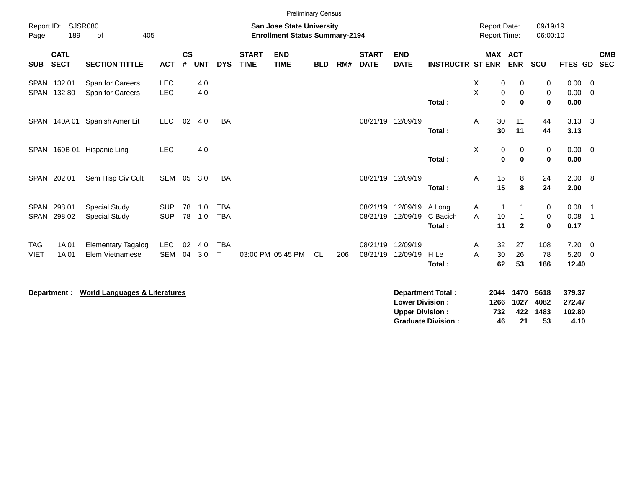|                            |                            |                                              |                          |                |               |                            |                             |                                                                           | <b>Preliminary Census</b> |     |                             |                                                  |                                                       |                                            |                                                                 |                               |                                    |                                                        |                          |
|----------------------------|----------------------------|----------------------------------------------|--------------------------|----------------|---------------|----------------------------|-----------------------------|---------------------------------------------------------------------------|---------------------------|-----|-----------------------------|--------------------------------------------------|-------------------------------------------------------|--------------------------------------------|-----------------------------------------------------------------|-------------------------------|------------------------------------|--------------------------------------------------------|--------------------------|
| Report ID:<br>Page:        | 189                        | SJSR080<br>405<br>of                         |                          |                |               |                            |                             | <b>San Jose State University</b><br><b>Enrollment Status Summary-2194</b> |                           |     |                             |                                                  |                                                       | <b>Report Date:</b><br><b>Report Time:</b> |                                                                 | 09/19/19<br>06:00:10          |                                    |                                                        |                          |
| <b>SUB</b>                 | <b>CATL</b><br><b>SECT</b> | <b>SECTION TITTLE</b>                        | <b>ACT</b>               | <b>CS</b><br># | <b>UNT</b>    | <b>DYS</b>                 | <b>START</b><br><b>TIME</b> | <b>END</b><br><b>TIME</b>                                                 | <b>BLD</b>                | RM# | <b>START</b><br><b>DATE</b> | <b>END</b><br><b>DATE</b>                        | <b>INSTRUCTR ST ENR</b>                               |                                            | <b>MAX ACT</b><br><b>ENR</b>                                    | SCU                           | <b>FTES GD</b>                     |                                                        | <b>CMB</b><br><b>SEC</b> |
|                            | SPAN 132 01<br>SPAN 132 80 | Span for Careers<br>Span for Careers         | <b>LEC</b><br><b>LEC</b> |                | 4.0<br>4.0    |                            |                             |                                                                           |                           |     |                             |                                                  | Total:                                                | X<br>X                                     | 0<br>0<br>$\mathbf 0$<br>$\mathbf 0$<br>$\mathbf 0$<br>$\bf{0}$ | 0<br>$\pmb{0}$<br>$\mathbf 0$ | 0.00<br>0.00<br>0.00               | $\overline{0}$<br>$\overline{0}$                       |                          |
|                            |                            | SPAN 140A 01 Spanish Amer Lit                | <b>LEC</b>               | 02             | 4.0           | <b>TBA</b>                 |                             |                                                                           |                           |     |                             | 08/21/19 12/09/19                                | Total:                                                | 30<br>A<br>30                              | 11<br>11                                                        | 44<br>44                      | $3.13 \quad 3$<br>3.13             |                                                        |                          |
|                            |                            | SPAN 160B 01 Hispanic Ling                   | <b>LEC</b>               |                | 4.0           |                            |                             |                                                                           |                           |     |                             |                                                  | Total:                                                | X                                          | 0<br>0<br>0<br>$\bf{0}$                                         | 0<br>$\mathbf 0$              | $0.00 \t 0$<br>0.00                |                                                        |                          |
|                            | SPAN 202 01                | Sem Hisp Civ Cult                            | SEM                      | 05             | 3.0           | TBA                        |                             |                                                                           |                           |     |                             | 08/21/19 12/09/19                                | Total:                                                | 15<br>Α<br>15                              | 8<br>8                                                          | 24<br>24                      | 2.00 8<br>2.00                     |                                                        |                          |
| <b>SPAN</b><br><b>SPAN</b> | 298 01<br>298 02           | <b>Special Study</b><br><b>Special Study</b> | <b>SUP</b><br><b>SUP</b> | 78             | 1.0<br>78 1.0 | <b>TBA</b><br><b>TBA</b>   |                             |                                                                           |                           |     | 08/21/19<br>08/21/19        | 12/09/19 A Long<br>12/09/19                      | C Bacich<br>Total:                                    | Α<br>A<br>10<br>11                         | $\mathbf{1}$<br>$\mathbf{1}$<br>$\mathbf{2}$                    | 0<br>$\pmb{0}$<br>$\bf{0}$    | 0.08<br>0.08<br>0.17               | $\overline{\phantom{1}}$<br>$\overline{\phantom{0}}$ 1 |                          |
| <b>TAG</b><br><b>VIET</b>  | 1A 01<br>1A 01             | <b>Elementary Tagalog</b><br>Elem Vietnamese | <b>LEC</b><br><b>SEM</b> | 02<br>04       | 4.0<br>3.0    | <b>TBA</b><br>$\mathsf{T}$ |                             | 03:00 PM 05:45 PM                                                         | <b>CL</b>                 | 206 | 08/21/19<br>08/21/19        | 12/09/19<br>12/09/19                             | H Le<br>Total:                                        | 32<br>A<br>30<br>A<br>62                   | 27<br>26<br>53                                                  | 108<br>78<br>186              | $7.20 \t 0$<br>$5.20 \ 0$<br>12.40 |                                                        |                          |
|                            | Department :               | <b>World Languages &amp; Literatures</b>     |                          |                |               |                            |                             |                                                                           |                           |     |                             | <b>Lower Division:</b><br><b>Upper Division:</b> | <b>Department Total:</b><br><b>Graduate Division:</b> | 2044<br>1266<br>732<br>46                  | 1470<br>1027<br>422<br>21                                       | 5618<br>4082<br>1483<br>53    | 379.37<br>272.47<br>102.80<br>4.10 |                                                        |                          |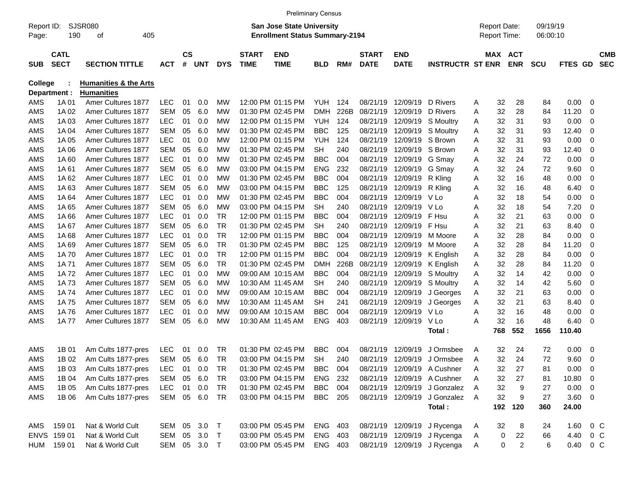|                     |                            |                                  |            |                    |              |            |                             |                                                                           | <b>Preliminary Census</b> |      |                             |                           |                                |   |                                     |                |                      |                |         |                          |
|---------------------|----------------------------|----------------------------------|------------|--------------------|--------------|------------|-----------------------------|---------------------------------------------------------------------------|---------------------------|------|-----------------------------|---------------------------|--------------------------------|---|-------------------------------------|----------------|----------------------|----------------|---------|--------------------------|
| Report ID:<br>Page: | 190                        | <b>SJSR080</b><br>405<br>οf      |            |                    |              |            |                             | <b>San Jose State University</b><br><b>Enrollment Status Summary-2194</b> |                           |      |                             |                           |                                |   | <b>Report Date:</b><br>Report Time: |                | 09/19/19<br>06:00:10 |                |         |                          |
| <b>SUB</b>          | <b>CATL</b><br><b>SECT</b> | <b>SECTION TITTLE</b>            | ACT        | $\mathsf{cs}$<br># | <b>UNT</b>   | <b>DYS</b> | <b>START</b><br><b>TIME</b> | <b>END</b><br><b>TIME</b>                                                 | <b>BLD</b>                | RM#  | <b>START</b><br><b>DATE</b> | <b>END</b><br><b>DATE</b> | <b>INSTRUCTR ST ENR</b>        |   | MAX ACT                             | <b>ENR</b>     | <b>SCU</b>           | <b>FTES GD</b> |         | <b>CMB</b><br><b>SEC</b> |
| <b>College</b>      |                            | <b>Humanities &amp; the Arts</b> |            |                    |              |            |                             |                                                                           |                           |      |                             |                           |                                |   |                                     |                |                      |                |         |                          |
|                     | Department :               | <b>Humanities</b>                |            |                    |              |            |                             |                                                                           |                           |      |                             |                           |                                |   |                                     |                |                      |                |         |                          |
| AMS                 | 1A 01                      | Amer Cultures 1877               | <b>LEC</b> | 01                 | 0.0          | МW         |                             | 12:00 PM 01:15 PM                                                         | YUH                       | 124  | 08/21/19                    | 12/09/19                  | D Rivers                       | A | 32                                  | 28             | 84                   | 0.00           | - 0     |                          |
| AMS                 | 1A 02                      | Amer Cultures 1877               | <b>SEM</b> | 05                 | 6.0          | МW         |                             | 01:30 PM 02:45 PM                                                         | <b>DMH</b>                | 226B | 08/21/19                    | 12/09/19                  | D Rivers                       | A | 32                                  | 28             | 84                   | 11.20          | 0       |                          |
| <b>AMS</b>          | 1A03                       | Amer Cultures 1877               | <b>LEC</b> | 01                 | 0.0          | МW         |                             | 12:00 PM 01:15 PM                                                         | <b>YUH</b>                | 124  | 08/21/19                    | 12/09/19                  | S Moultry                      | Α | 32                                  | 31             | 93                   | 0.00           | 0       |                          |
| <b>AMS</b>          | 1A 04                      | <b>Amer Cultures 1877</b>        | <b>SEM</b> | 05                 | 6.0          | МW         |                             | 01:30 PM 02:45 PM                                                         | <b>BBC</b>                | 125  | 08/21/19                    | 12/09/19                  | S Moultry                      | Α | 32                                  | 31             | 93                   | 12.40          | 0       |                          |
| <b>AMS</b>          | 1A 05                      | <b>Amer Cultures 1877</b>        | <b>LEC</b> | 01                 | 0.0          | МW         |                             | 12:00 PM 01:15 PM                                                         | <b>YUH</b>                | 124  | 08/21/19                    | 12/09/19                  | S Brown                        | A | 32                                  | 31             | 93                   | 0.00           | 0       |                          |
| <b>AMS</b>          | 1A 06                      | <b>Amer Cultures 1877</b>        | <b>SEM</b> | 05                 | 6.0          | МW         |                             | 01:30 PM 02:45 PM                                                         | <b>SH</b>                 | 240  | 08/21/19                    | 12/09/19                  | S Brown                        | A | 32                                  | 31             | 93                   | 12.40          | 0       |                          |
| <b>AMS</b>          | 1A60                       | <b>Amer Cultures 1877</b>        | <b>LEC</b> | 01                 | 0.0          | МW         |                             | 01:30 PM 02:45 PM                                                         | <b>BBC</b>                | 004  | 08/21/19                    | 12/09/19                  | G Smay                         | A | 32                                  | 24             | 72                   | 0.00           | 0       |                          |
| AMS                 | 1A61                       | Amer Cultures 1877               | <b>SEM</b> | 05                 | 6.0          | МW         |                             | 03:00 PM 04:15 PM                                                         | <b>ENG</b>                | 232  | 08/21/19                    | 12/09/19                  | G Smay                         | Α | 32                                  | 24             | 72                   | 9.60           | 0       |                          |
| <b>AMS</b>          | 1A62                       | Amer Cultures 1877               | <b>LEC</b> | 01                 | 0.0          | МW         |                             | 01:30 PM 02:45 PM                                                         | <b>BBC</b>                | 004  | 08/21/19                    | 12/09/19                  | R Kling                        | A | 32                                  | 16             | 48                   | 0.00           | 0       |                          |
| AMS                 | 1A63                       | Amer Cultures 1877               | <b>SEM</b> | 05                 | 6.0          | МW         |                             | 03:00 PM 04:15 PM                                                         | <b>BBC</b>                | 125  | 08/21/19                    | 12/09/19                  | R Kling                        | A | 32                                  | 16             | 48                   | 6.40           | 0       |                          |
| AMS                 | 1A64                       | Amer Cultures 1877               | <b>LEC</b> | 01                 | 0.0          | МW         |                             | 01:30 PM 02:45 PM                                                         | <b>BBC</b>                | 004  | 08/21/19                    | 12/09/19                  | V Lo                           | A | 32                                  | 18             | 54                   | 0.00           | 0       |                          |
| <b>AMS</b>          | 1A 65                      | Amer Cultures 1877               | <b>SEM</b> | 05                 | 6.0          | МW         |                             | 03:00 PM 04:15 PM                                                         | <b>SH</b>                 | 240  | 08/21/19                    | 12/09/19                  | V Lo                           | A | 32                                  | 18             | 54                   | 7.20           | 0       |                          |
| AMS                 | 1A66                       | Amer Cultures 1877               | <b>LEC</b> | 01                 | 0.0          | <b>TR</b>  |                             | 12:00 PM 01:15 PM                                                         | <b>BBC</b>                | 004  | 08/21/19                    | 12/09/19                  | F Hsu                          | A | 32                                  | 21             | 63                   | 0.00           | 0       |                          |
| AMS                 | 1A 67                      | Amer Cultures 1877               | <b>SEM</b> | 05                 | 6.0          | <b>TR</b>  |                             | 01:30 PM 02:45 PM                                                         | <b>SH</b>                 | 240  | 08/21/19                    | 12/09/19                  | F Hsu                          | A | 32                                  | 21             | 63                   | 8.40           | 0       |                          |
| <b>AMS</b>          | 1A68                       | Amer Cultures 1877               | <b>LEC</b> | 01                 | 0.0          | <b>TR</b>  |                             | 12:00 PM 01:15 PM                                                         | <b>BBC</b>                | 004  | 08/21/19                    | 12/09/19                  | M Moore                        | A | 32                                  | 28             | 84                   | 0.00           | 0       |                          |
| AMS                 | 1A69                       | <b>Amer Cultures 1877</b>        | <b>SEM</b> | 05                 | 6.0          | <b>TR</b>  |                             | 01:30 PM 02:45 PM                                                         | <b>BBC</b>                | 125  | 08/21/19                    | 12/09/19                  | M Moore                        | A | 32                                  | 28             | 84                   | 11.20          | 0       |                          |
| <b>AMS</b>          | 1A 70                      | <b>Amer Cultures 1877</b>        | <b>LEC</b> | 01                 | 0.0          | <b>TR</b>  |                             | 12:00 PM 01:15 PM                                                         | <b>BBC</b>                | 004  | 08/21/19                    | 12/09/19                  | K English                      | A | 32                                  | 28             | 84                   | 0.00           | 0       |                          |
| <b>AMS</b>          | 1A 71                      | Amer Cultures 1877               | <b>SEM</b> | 05                 | 6.0          | <b>TR</b>  |                             | 01:30 PM 02:45 PM                                                         | <b>DMH</b>                | 226B | 08/21/19                    | 12/09/19                  | K English                      | Α | 32                                  | 28             | 84                   | 11.20          | 0       |                          |
| AMS                 | 1A72                       | <b>Amer Cultures 1877</b>        | <b>LEC</b> | 01                 | 0.0          | <b>MW</b>  |                             | 09:00 AM 10:15 AM                                                         | <b>BBC</b>                | 004  | 08/21/19                    | 12/09/19                  | S Moultry                      | Α | 32                                  | 14             | 42                   | 0.00           | 0       |                          |
| AMS                 | 1A 73                      | <b>Amer Cultures 1877</b>        | <b>SEM</b> | 05                 | 6.0          | МW         |                             | 10:30 AM 11:45 AM                                                         | <b>SH</b>                 | 240  | 08/21/19                    | 12/09/19                  | S Moultry                      | Α | 32                                  | 14             | 42                   | 5.60           | 0       |                          |
| AMS                 | 1A 74                      | <b>Amer Cultures 1877</b>        | <b>LEC</b> | 01                 | 0.0          | МW         |                             | 09:00 AM 10:15 AM                                                         | <b>BBC</b>                | 004  | 08/21/19                    | 12/09/19                  | J Georges                      | Α | 32                                  | 21             | 63                   | 0.00           | 0       |                          |
| <b>AMS</b>          | 1A75                       | <b>Amer Cultures 1877</b>        | <b>SEM</b> | 05                 | 6.0          | МW         |                             | 10:30 AM 11:45 AM                                                         | <b>SH</b>                 | 241  | 08/21/19                    | 12/09/19                  | J Georges                      | Α | 32                                  | 21             | 63                   | 8.40           | 0       |                          |
| AMS                 | 1A76                       | <b>Amer Cultures 1877</b>        | <b>LEC</b> | 01                 | 0.0          | МW         |                             | 09:00 AM 10:15 AM                                                         | <b>BBC</b>                | 004  | 08/21/19                    | 12/09/19                  | V Lo                           | Α | 32                                  | 16             | 48                   | 0.00           | 0       |                          |
| AMS                 | 1A 77                      | Amer Cultures 1877               | <b>SEM</b> | 05                 | 6.0          | МW         |                             | 10:30 AM 11:45 AM                                                         | <b>ENG</b>                | 403  | 08/21/19                    | 12/09/19                  | V Lo                           | Α | 32                                  | 16             | 48                   | 6.40           | 0       |                          |
|                     |                            |                                  |            |                    |              |            |                             |                                                                           |                           |      |                             |                           | Total:                         |   | 768                                 | 552            | 1656                 | 110.40         |         |                          |
| AMS                 | 1B 01                      | Am Cults 1877-pres               | <b>LEC</b> | 01                 | 0.0          | TR.        |                             | 01:30 PM 02:45 PM                                                         | <b>BBC</b>                | 004  | 08/21/19                    | 12/09/19                  | J Ormsbee                      | Α | 32                                  | 24             | 72                   | 0.00           | 0       |                          |
| AMS                 | 1B 02                      | Am Cults 1877-pres               | <b>SEM</b> | 05                 | 6.0          | <b>TR</b>  |                             | 03:00 PM 04:15 PM                                                         | <b>SH</b>                 | 240  | 08/21/19                    | 12/09/19                  | J Ormsbee                      | A | 32                                  | 24             | 72                   | 9.60           | 0       |                          |
| AMS                 | 1B 03                      | Am Cults 1877-pres               | <b>LEC</b> | 01                 | 0.0          | TR         |                             | 01:30 PM 02:45 PM                                                         | <b>BBC</b>                | 004  |                             |                           | 08/21/19 12/09/19 A Cushner    | Α | 32                                  | 27             | 81                   | $0.00 \t 0$    |         |                          |
| AMS                 | 1B 04                      | Am Cults 1877-pres               | SEM        |                    | 05 6.0       | TR         |                             | 03:00 PM 04:15 PM                                                         | ENG                       | 232  |                             | 08/21/19 12/09/19         | A Cushner                      | Α | 32                                  | 27             | 81                   | 10.80 0        |         |                          |
| AMS                 | 1B 05                      | Am Cults 1877-pres               | <b>LEC</b> |                    | 01 0.0       | TR         |                             | 01:30 PM 02:45 PM                                                         | <b>BBC</b> 004            |      |                             | 08/21/19 12/09/19         | J Gonzalez A                   |   | 32                                  | 9              | 27                   | $0.00 \t 0$    |         |                          |
| AMS                 | 1B 06                      | Am Cults 1877-pres               | SEM 05 6.0 |                    |              | TR         |                             | 03:00 PM 04:15 PM                                                         | <b>BBC</b> 205            |      |                             |                           | 08/21/19 12/09/19 J Gonzalez A |   | 32                                  | 9              | 27                   | $3.60 \ 0$     |         |                          |
|                     |                            |                                  |            |                    |              |            |                             |                                                                           |                           |      |                             |                           | Total:                         |   | 192                                 | 120            | 360                  | 24.00          |         |                          |
| AMS                 | 159 01                     | Nat & World Cult                 | SEM 05 3.0 |                    |              | $\top$     |                             | 03:00 PM 05:45 PM                                                         | ENG 403                   |      |                             |                           | 08/21/19 12/09/19 J Rycenga    | A | 32                                  | 8              | 24                   | 1.60           | $0\,$ C |                          |
|                     | ENVS 159 01                | Nat & World Cult                 | SEM 05 3.0 |                    |              | $\top$     |                             | 03:00 PM 05:45 PM                                                         | ENG 403                   |      |                             |                           | 08/21/19 12/09/19 J Rycenga    | A | $\pmb{0}$                           | 22             | 66                   | 4.40 0 C       |         |                          |
|                     | HUM 159 01                 | Nat & World Cult                 |            |                    | SEM 05 3.0 T |            |                             | 03:00 PM 05:45 PM                                                         | ENG 403                   |      |                             |                           | 08/21/19 12/09/19 J Rycenga    | A | 0                                   | $\overline{a}$ | 6                    | 0.40 0 C       |         |                          |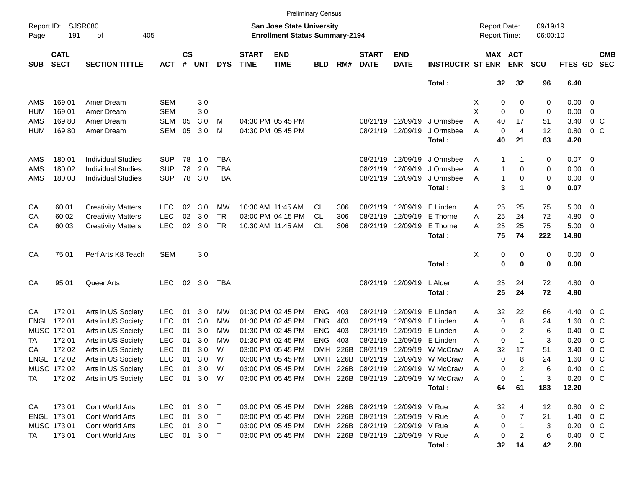|                     |                            |                           |              |                |            |            |                             | <b>Preliminary Census</b>                                          |            |      |                             |                                  |                                     |                                     |                 |             |                      |                  |                          |                          |
|---------------------|----------------------------|---------------------------|--------------|----------------|------------|------------|-----------------------------|--------------------------------------------------------------------|------------|------|-----------------------------|----------------------------------|-------------------------------------|-------------------------------------|-----------------|-------------|----------------------|------------------|--------------------------|--------------------------|
| Report ID:<br>Page: | SJSR080<br>191             | 405<br>оf                 |              |                |            |            |                             | San Jose State University<br><b>Enrollment Status Summary-2194</b> |            |      |                             |                                  |                                     | <b>Report Date:</b><br>Report Time: |                 |             | 09/19/19<br>06:00:10 |                  |                          |                          |
| <b>SUB</b>          | <b>CATL</b><br><b>SECT</b> | <b>SECTION TITTLE</b>     | <b>ACT</b>   | <b>CS</b><br># | <b>UNT</b> | <b>DYS</b> | <b>START</b><br><b>TIME</b> | <b>END</b><br><b>TIME</b>                                          | <b>BLD</b> | RM#  | <b>START</b><br><b>DATE</b> | <b>END</b><br><b>DATE</b>        | <b>INSTRUCTR ST ENR</b>             | MAX ACT                             |                 | <b>ENR</b>  | <b>SCU</b>           | FTES GD          |                          | <b>CMB</b><br><b>SEC</b> |
|                     |                            |                           |              |                |            |            |                             |                                                                    |            |      |                             |                                  | Total:                              |                                     | $32\phantom{a}$ | 32          | 96                   | 6.40             |                          |                          |
| AMS                 | 169 01                     | Amer Dream                | SEM          |                | 3.0        |            |                             |                                                                    |            |      |                             |                                  |                                     | X                                   | 0               | 0           | 0                    | 0.00             | $\overline{\mathbf{0}}$  |                          |
| <b>HUM</b>          | 169 01                     | Amer Dream                | <b>SEM</b>   |                | 3.0        |            |                             |                                                                    |            |      |                             |                                  |                                     | X                                   | 0               | $\mathbf 0$ | 0                    | 0.00             | 0                        |                          |
| AMS                 | 16980                      | Amer Dream                | <b>SEM</b>   | 05             | 3.0        | M          |                             | 04:30 PM 05:45 PM                                                  |            |      |                             | 08/21/19 12/09/19                | J Ormsbee                           | Α                                   | 40              | 17          | 51                   | 3.40             | 0 <sup>o</sup>           |                          |
| <b>HUM</b>          | 16980                      | Amer Dream                | <b>SEM</b>   | 05             | 3.0        | M          |                             | 04:30 PM 05:45 PM                                                  |            |      |                             | 08/21/19 12/09/19                | J Ormsbee                           | A                                   | 0               | 4           | 12                   | 0.80             | 0 <sup>o</sup>           |                          |
|                     |                            |                           |              |                |            |            |                             |                                                                    |            |      |                             |                                  | Total:                              |                                     | 40              | 21          | 63                   | 4.20             |                          |                          |
| AMS                 | 180 01                     | <b>Individual Studies</b> | <b>SUP</b>   | 78             | 1.0        | TBA        |                             |                                                                    |            |      | 08/21/19                    | 12/09/19                         | J Ormsbee                           | A                                   | 1               |             | 0                    | 0.07             | $\overline{\phantom{0}}$ |                          |
| AMS                 | 180 02                     | <b>Individual Studies</b> | <b>SUP</b>   | 78             | 2.0        | <b>TBA</b> |                             |                                                                    |            |      | 08/21/19                    | 12/09/19                         | J Ormsbee                           | A                                   | $\mathbf{1}$    | 0           | 0                    | 0.00             | 0                        |                          |
| AMS                 | 180 03                     | <b>Individual Studies</b> | <b>SUP</b>   | 78             | 3.0        | <b>TBA</b> |                             |                                                                    |            |      |                             | 08/21/19 12/09/19                | J Ormsbee                           | A                                   | 1               | 0           | 0                    | 0.00             | $\overline{\mathbf{0}}$  |                          |
|                     |                            |                           |              |                |            |            |                             |                                                                    |            |      |                             |                                  | Total:                              |                                     | 3               | 1           | 0                    | 0.07             |                          |                          |
| CA                  | 60 01                      | <b>Creativity Matters</b> | <b>LEC</b>   | 02             | 3.0        | MW         |                             | 10:30 AM 11:45 AM                                                  | CL.        | 306  |                             | 08/21/19 12/09/19                | E Linden                            | Α                                   | 25              | 25          | 75                   | 5.00             | $\overline{\mathbf{0}}$  |                          |
| CA                  | 60 02                      | <b>Creativity Matters</b> | <b>LEC</b>   | 02             | 3.0        | <b>TR</b>  |                             | 03:00 PM 04:15 PM                                                  | CL         | 306  | 08/21/19                    | 12/09/19                         | E Thorne                            | Α                                   | 25              | 24          | 72                   | 4.80             | 0                        |                          |
| CA                  | 60 03                      | <b>Creativity Matters</b> | <b>LEC</b>   | 02             | 3.0        | <b>TR</b>  |                             | 10:30 AM 11:45 AM                                                  | CL         | 306  |                             | 08/21/19 12/09/19                | E Thorne                            | А                                   | 25              | 25          | 75                   | 5.00             | $\overline{\mathbf{0}}$  |                          |
|                     |                            |                           |              |                |            |            |                             |                                                                    |            |      |                             |                                  | Total:                              |                                     | 75              | 74          | 222                  | 14.80            |                          |                          |
| CA                  | 75 01                      | Perf Arts K8 Teach        | <b>SEM</b>   |                | 3.0        |            |                             |                                                                    |            |      |                             |                                  |                                     | Χ                                   | 0               | 0           | 0                    | $0.00 \t 0$      |                          |                          |
|                     |                            |                           |              |                |            |            |                             |                                                                    |            |      |                             |                                  | Total:                              |                                     | $\mathbf 0$     | 0           | 0                    | 0.00             |                          |                          |
| CA                  | 95 01                      | Queer Arts                | <b>LEC</b>   | 02             | 3.0        | TBA        |                             |                                                                    |            |      |                             | 08/21/19 12/09/19                | L Alder                             | Α                                   | 25              | 24          | 72                   | $4.80\ 0$        |                          |                          |
|                     |                            |                           |              |                |            |            |                             |                                                                    |            |      |                             |                                  | Total:                              |                                     | 25              | 24          | 72                   | 4.80             |                          |                          |
| CA                  | 17201                      | Arts in US Society        | <b>LEC</b>   | 01             | 3.0        | MW         |                             | 01:30 PM 02:45 PM                                                  | <b>ENG</b> | 403  | 08/21/19                    | 12/09/19                         | E Linden                            | Α                                   | 32              | 22          | 66                   | 4.40             | $0\,$ C                  |                          |
|                     | ENGL 172 01                | Arts in US Society        | <b>LEC</b>   | 01             | 3.0        | МW         |                             | 01:30 PM 02:45 PM                                                  | <b>ENG</b> | 403  | 08/21/19                    | 12/09/19                         | E Linden                            | A                                   | 0               | 8           | 24                   | 1.60             | 0 <sup>o</sup>           |                          |
|                     | MUSC 172 01                | Arts in US Society        | <b>LEC</b>   | 01             | 3.0        | МW         |                             | 01:30 PM 02:45 PM                                                  | <b>ENG</b> | 403  | 08/21/19                    | 12/09/19                         | E Linden                            | A                                   | 0               | 2           | 6                    | 0.40             | 0 <sup>o</sup>           |                          |
| TA                  | 172 01                     | Arts in US Society        | <b>LEC</b>   | 01             | 3.0        | МW         |                             | 01:30 PM 02:45 PM                                                  | <b>ENG</b> | 403  | 08/21/19                    | 12/09/19                         | E Linden                            | Α                                   | 0               | $\mathbf 1$ | 3                    | 0.20             | 0 <sup>o</sup>           |                          |
| CA                  | 172 02                     | Arts in US Society        | <b>LEC</b>   | 01             | 3.0        | W          |                             | 03:00 PM 05:45 PM                                                  | DMH        | 226B | 08/21/19                    | 12/09/19                         | W McCraw                            | Α                                   | 32              | 17          | 51                   | 3.40             | 0 <sup>o</sup>           |                          |
|                     | ENGL 17202                 | Arts in US Society        | <b>LEC</b>   | 01             | 3.0        | W          |                             | 03:00 PM 05:45 PM                                                  | DMH.       | 226B | 08/21/19 12/09/19           |                                  | W McCraw                            | Α                                   | 0               | 8           | 24                   | 1.60             | 0 <sup>o</sup>           |                          |
|                     | MUSC 172 02                | Arts in US Society        | <b>LEC</b>   |                | 01 3.0     | W          |                             | 03:00 PM 05:45 PM                                                  |            |      |                             |                                  | DMH 226B 08/21/19 12/09/19 W McCraw | A                                   | 0               | 2           | 6                    | 0.40             | $0\,$ C                  |                          |
| TA                  | 172 02                     | Arts in US Society        | LEC 01 3.0 W |                |            |            |                             | 03:00 PM 05:45 PM                                                  |            |      | DMH 226B 08/21/19 12/09/19  |                                  | W McCraw                            | A                                   | 0               |             | 3                    | $0.20 \t 0 C$    |                          |                          |
|                     |                            |                           |              |                |            |            |                             |                                                                    |            |      |                             |                                  | Total:                              |                                     | 64              | 61          | 183                  | 12.20            |                          |                          |
| CA                  | 17301                      | Cont World Arts           | LEC.         |                | 01 3.0 T   |            |                             | 03:00 PM 05:45 PM                                                  |            |      |                             | DMH 226B 08/21/19 12/09/19 V Rue |                                     | A                                   | 32              | 4           | 12                   | $0.80 \t 0 \t C$ |                          |                          |
|                     | ENGL 173 01                | <b>Cont World Arts</b>    | <b>LEC</b>   | 01             | 3.0        | $\top$     |                             | 03:00 PM 05:45 PM                                                  |            |      |                             | DMH 226B 08/21/19 12/09/19 V Rue |                                     | A                                   | 0               | 7           | 21                   | 1.40             | $0\,$ C                  |                          |
|                     | MUSC 173 01                | Cont World Arts           | <b>LEC</b>   | 01             | 3.0        | $\top$     |                             | 03:00 PM 05:45 PM                                                  |            |      |                             | DMH 226B 08/21/19 12/09/19 V Rue |                                     | Α                                   | 0               |             | 3                    | 0.20             | $0\,C$                   |                          |
| TA                  | 17301                      | Cont World Arts           | <b>LEC</b>   | 01             | $3.0$ T    |            |                             | 03:00 PM 05:45 PM                                                  |            |      |                             | DMH 226B 08/21/19 12/09/19 V Rue |                                     | Α                                   | 0               | 2           | 6                    | 0.40             | $0\,$ C                  |                          |
|                     |                            |                           |              |                |            |            |                             |                                                                    |            |      |                             |                                  | Total:                              |                                     | 32              | 14          | 42                   | 2.80             |                          |                          |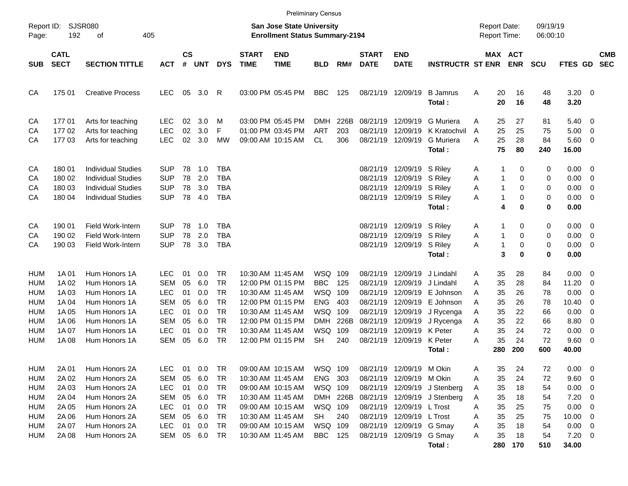|                                                                                                |                                                                     |                                                                                                                                      |                                                                                                 |                                              |                                                      |                                                                                        |                             |                                                                                                                                                                      | <b>Preliminary Census</b>                                                           |                                                |                                                          |                                                                                                                         |                                                                                                  |                                                                                      |                                                                                        |                                              |                                                                       |                                                                                                                                                |                          |
|------------------------------------------------------------------------------------------------|---------------------------------------------------------------------|--------------------------------------------------------------------------------------------------------------------------------------|-------------------------------------------------------------------------------------------------|----------------------------------------------|------------------------------------------------------|----------------------------------------------------------------------------------------|-----------------------------|----------------------------------------------------------------------------------------------------------------------------------------------------------------------|-------------------------------------------------------------------------------------|------------------------------------------------|----------------------------------------------------------|-------------------------------------------------------------------------------------------------------------------------|--------------------------------------------------------------------------------------------------|--------------------------------------------------------------------------------------|----------------------------------------------------------------------------------------|----------------------------------------------|-----------------------------------------------------------------------|------------------------------------------------------------------------------------------------------------------------------------------------|--------------------------|
| Report ID:<br>Page:                                                                            | 192                                                                 | SJSR080<br>405<br>οf                                                                                                                 |                                                                                                 |                                              |                                                      |                                                                                        |                             | <b>San Jose State University</b><br><b>Enrollment Status Summary-2194</b>                                                                                            |                                                                                     |                                                |                                                          |                                                                                                                         |                                                                                                  | <b>Report Date:</b><br><b>Report Time:</b>                                           |                                                                                        | 09/19/19<br>06:00:10                         |                                                                       |                                                                                                                                                |                          |
| <b>SUB</b>                                                                                     | <b>CATL</b><br><b>SECT</b>                                          | <b>SECTION TITTLE</b>                                                                                                                | <b>ACT</b>                                                                                      | <b>CS</b><br>#                               | <b>UNT</b>                                           | <b>DYS</b>                                                                             | <b>START</b><br><b>TIME</b> | <b>END</b><br><b>TIME</b>                                                                                                                                            | <b>BLD</b>                                                                          | RM#                                            | <b>START</b><br><b>DATE</b>                              | <b>END</b><br><b>DATE</b>                                                                                               | <b>INSTRUCTR ST ENR</b>                                                                          |                                                                                      | MAX ACT<br><b>ENR</b>                                                                  | <b>SCU</b>                                   | <b>FTES GD</b>                                                        |                                                                                                                                                | <b>CMB</b><br><b>SEC</b> |
| CA                                                                                             | 175 01                                                              | <b>Creative Process</b>                                                                                                              | <b>LEC</b>                                                                                      | 05                                           | 3.0                                                  | R                                                                                      |                             | 03:00 PM 05:45 PM                                                                                                                                                    | <b>BBC</b>                                                                          | 125                                            |                                                          | 08/21/19 12/09/19                                                                                                       | <b>B</b> Jamrus<br>Total:                                                                        | 20<br>Α<br>20                                                                        | 16<br>16                                                                               | 48<br>48                                     | $3.20 \ 0$<br>3.20                                                    |                                                                                                                                                |                          |
| CA<br>CA<br>CA                                                                                 | 17701<br>17702<br>17703                                             | Arts for teaching<br>Arts for teaching<br>Arts for teaching                                                                          | <b>LEC</b><br><b>LEC</b><br><b>LEC</b>                                                          | 02<br>02<br>02                               | 3.0<br>3.0<br>3.0                                    | м<br>F<br>МW                                                                           |                             | 03:00 PM 05:45 PM<br>01:00 PM 03:45 PM<br>09:00 AM 10:15 AM                                                                                                          | <b>DMH</b><br><b>ART</b><br><b>CL</b>                                               | 226B<br>203<br>306                             | 08/21/19<br>08/21/19                                     | 12/09/19<br>12/09/19<br>08/21/19 12/09/19                                                                               | G Muriera<br>K Kratochvil<br>G Muriera<br>Total:                                                 | 25<br>A<br>25<br>A<br>25<br>A<br>75                                                  | 27<br>25<br>28<br>80                                                                   | 81<br>75<br>84<br>240                        | $5.40 \ 0$<br>5.00<br>5.60 0<br>16.00                                 | $\overline{\phantom{0}}$                                                                                                                       |                          |
| CA<br>CА<br>CА<br>CA                                                                           | 180 01<br>180 02<br>180 03<br>180 04                                | <b>Individual Studies</b><br><b>Individual Studies</b><br><b>Individual Studies</b><br><b>Individual Studies</b>                     | SUP<br><b>SUP</b><br><b>SUP</b><br><b>SUP</b>                                                   | 78<br>78<br>78<br>78                         | 1.0<br>2.0<br>3.0<br>4.0                             | TBA<br><b>TBA</b><br><b>TBA</b><br><b>TBA</b>                                          |                             |                                                                                                                                                                      |                                                                                     |                                                |                                                          | 08/21/19 12/09/19 S Riley<br>08/21/19 12/09/19<br>08/21/19 12/09/19 S Riley<br>08/21/19 12/09/19                        | S Riley<br>S Riley<br>Total:                                                                     | A<br>Α<br>Α<br>Α                                                                     | 0<br>1<br>0<br>$\mathbf{1}$<br>$\mathbf{1}$<br>0<br>$\mathbf{1}$<br>0<br>4<br>$\bf{0}$ | 0<br>0<br>0<br>0<br>0                        | $0.00 \t 0$<br>0.00<br>0.00<br>$0.00 \t 0$<br>0.00                    | $\overline{\mathbf{0}}$<br>$\overline{\mathbf{0}}$                                                                                             |                          |
| CA<br>CA<br>CA                                                                                 | 190 01<br>190 02<br>190 03                                          | <b>Field Work-Intern</b><br>Field Work-Intern<br>Field Work-Intern                                                                   | <b>SUP</b><br><b>SUP</b><br><b>SUP</b>                                                          | 78<br>78<br>78                               | 1.0<br>2.0<br>3.0                                    | TBA<br><b>TBA</b><br><b>TBA</b>                                                        |                             |                                                                                                                                                                      |                                                                                     |                                                |                                                          | 08/21/19 12/09/19 S Rilev<br>08/21/19 12/09/19<br>08/21/19 12/09/19                                                     | S Riley<br>S Riley<br>Total:                                                                     | A<br>Α<br>Α                                                                          | 0<br>1<br>$\mathbf{1}$<br>0<br>$\mathbf{1}$<br>$\mathbf 0$<br>3<br>$\bf{0}$            | 0<br>0<br>0<br>0                             | $0.00 \t 0$<br>0.00<br>$0.00 \t 0$<br>0.00                            | $\overline{\phantom{0}}$                                                                                                                       |                          |
| <b>HUM</b><br><b>HUM</b><br><b>HUM</b><br><b>HUM</b><br><b>HUM</b><br>HUM<br>HUM<br><b>HUM</b> | 1A 01<br>1A 02<br>1A03<br>1A 04<br>1A 05<br>1A 06<br>1A 07<br>1A 08 | Hum Honors 1A<br>Hum Honors 1A<br>Hum Honors 1A<br>Hum Honors 1A<br>Hum Honors 1A<br>Hum Honors 1A<br>Hum Honors 1A<br>Hum Honors 1A | LEC.<br><b>SEM</b><br><b>LEC</b><br><b>SEM</b><br><b>LEC</b><br>SEM<br><b>LEC</b><br><b>SEM</b> | 01<br>05<br>01<br>05<br>01<br>05<br>01<br>05 | 0.0<br>6.0<br>0.0<br>6.0<br>0.0<br>6.0<br>0.0<br>6.0 | TR<br><b>TR</b><br><b>TR</b><br><b>TR</b><br><b>TR</b><br><b>TR</b><br><b>TR</b><br>TR |                             | 10:30 AM 11:45 AM<br>12:00 PM 01:15 PM<br>10:30 AM 11:45 AM<br>12:00 PM 01:15 PM<br>10:30 AM 11:45 AM<br>12:00 PM 01:15 PM<br>10:30 AM 11:45 AM<br>12:00 PM 01:15 PM | WSQ 109<br><b>BBC</b><br>WSQ<br><b>ENG</b><br>WSQ<br><b>DMH</b><br>WSQ<br><b>SH</b> | 125<br>109<br>403<br>109<br>226B<br>109<br>240 | 08/21/19<br>08/21/19<br>08/21/19<br>08/21/19<br>08/21/19 | 12/09/19<br>12/09/19<br>12/09/19<br>12/09/19<br>08/21/19 12/09/19<br>08/21/19 12/09/19<br>12/09/19<br>08/21/19 12/09/19 | J Lindahl<br>J Lindahl<br>E Johnson<br>E Johnson<br>J Rycenga<br>J Rycenga<br>K Peter<br>K Peter | 35<br>Α<br>35<br>Α<br>35<br>A<br>35<br>A<br>35<br>A<br>35<br>A<br>35<br>A<br>35<br>Α | 28<br>28<br>26<br>26<br>22<br>22<br>24<br>24                                           | 84<br>84<br>78<br>78<br>66<br>66<br>72<br>72 | $0.00 \t 0$<br>11.20<br>0.00<br>10.40<br>0.00<br>8.80<br>0.00<br>9.60 | $\overline{\mathbf{0}}$<br>$\overline{\mathbf{0}}$<br>0<br>$\overline{\mathbf{0}}$<br>$\overline{\mathbf{0}}$<br>0<br>$\overline{\phantom{0}}$ |                          |
| <b>HUM</b>                                                                                     | 2A 01                                                               | Hum Honors 2A                                                                                                                        | <b>LEC</b>                                                                                      | 01                                           | 0.0                                                  | <b>TR</b>                                                                              |                             | 09:00 AM 10:15 AM                                                                                                                                                    | WSQ 109                                                                             |                                                |                                                          | 08/21/19 12/09/19 M Okin                                                                                                | Total:                                                                                           | 280<br>35<br>A                                                                       | 200<br>24                                                                              | 600<br>72                                    | 40.00<br>0.00                                                         | $\overline{\mathbf{0}}$                                                                                                                        |                          |
| HUM<br>HUM<br>HUM<br>HUM<br>HUM                                                                | 2A 02<br>2A 03<br>2A 04<br>2A 05<br>2A 06                           | Hum Honors 2A<br>Hum Honors 2A<br>Hum Honors 2A<br>Hum Honors 2A<br>Hum Honors 2A                                                    | SEM<br><b>LEC</b><br>SEM<br><b>LEC</b><br>SEM                                                   | 05<br>01<br>05<br>01<br>05                   | 6.0<br>0.0<br>6.0<br>0.0<br>6.0                      | TR<br>TR<br>TR<br>TR<br>TR                                                             |                             | 10:30 AM 11:45 AM<br>09:00 AM 10:15 AM<br>10:30 AM 11:45 AM<br>09:00 AM 10:15 AM<br>10:30 AM 11:45 AM                                                                | ENG 303<br>WSQ 109<br>WSQ 109<br>SH                                                 | DMH 226B<br>240                                |                                                          | 08/21/19 12/09/19 M Okin<br>08/21/19 12/09/19 L Trost<br>08/21/19 12/09/19 L Trost                                      | 08/21/19 12/09/19 J Stenberg<br>08/21/19 12/09/19 J Stenberg                                     | 35<br>Α<br>35<br>A<br>35<br>A<br>35<br>Α<br>35<br>A                                  | 24<br>18<br>18<br>25<br>25                                                             | 72<br>54<br>54<br>75<br>75                   | 9.60 0<br>$0.00 \t 0$<br>7.20<br>$0.00 \t 0$<br>$10.00 \t 0$          | $\overline{\phantom{0}}$                                                                                                                       |                          |
| HUM<br>HUM                                                                                     | 2A 07<br>2A 08                                                      | Hum Honors 2A<br>Hum Honors 2A                                                                                                       | <b>LEC</b>                                                                                      | 01                                           | 0.0<br>SEM 05 6.0 TR                                 | TR                                                                                     |                             | 09:00 AM 10:15 AM<br>10:30 AM 11:45 AM                                                                                                                               | WSQ 109<br>BBC 125                                                                  |                                                |                                                          | 08/21/19 12/09/19 G Smay<br>08/21/19 12/09/19 G Smay                                                                    | Total:                                                                                           | 35<br>Α<br>35<br>A<br>280                                                            | 18<br>18<br>170                                                                        | 54<br>54<br>510                              | $0.00 \t 0$<br>$7.20 \t 0$<br>34.00                                   |                                                                                                                                                |                          |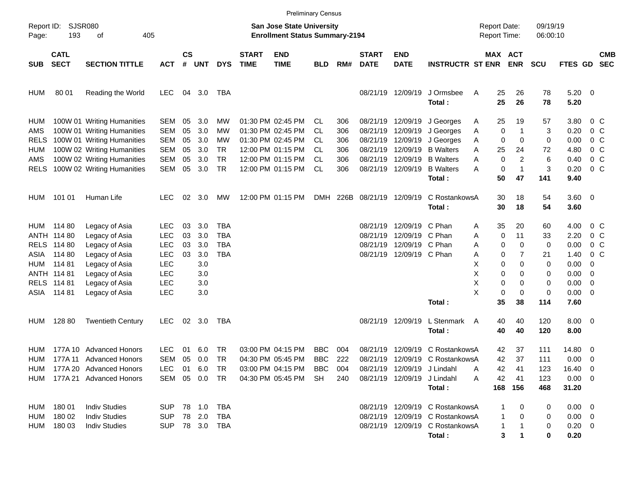|             |                                        |                             |            |                    |               |            |                             | <b>Preliminary Census</b>                                          |            |          |                             |                             |                                 |                |                                     |              |                      |                     |                          |                          |
|-------------|----------------------------------------|-----------------------------|------------|--------------------|---------------|------------|-----------------------------|--------------------------------------------------------------------|------------|----------|-----------------------------|-----------------------------|---------------------------------|----------------|-------------------------------------|--------------|----------------------|---------------------|--------------------------|--------------------------|
| Page:       | Report ID: SJSR080<br>193<br>405<br>οf |                             |            |                    |               |            |                             | San Jose State University<br><b>Enrollment Status Summary-2194</b> |            |          |                             |                             |                                 |                | <b>Report Date:</b><br>Report Time: |              | 09/19/19<br>06:00:10 |                     |                          |                          |
| <b>SUB</b>  | <b>CATL</b><br><b>SECT</b>             | <b>SECTION TITTLE</b>       | <b>ACT</b> | $\mathsf{cs}$<br># | <b>UNT</b>    | <b>DYS</b> | <b>START</b><br><b>TIME</b> | <b>END</b><br><b>TIME</b>                                          | <b>BLD</b> | RM#      | <b>START</b><br><b>DATE</b> | <b>END</b><br><b>DATE</b>   | <b>INSTRUCTR ST ENR</b>         |                | MAX ACT                             | <b>ENR</b>   | <b>SCU</b>           | <b>FTES GD</b>      |                          | <b>CMB</b><br><b>SEC</b> |
| <b>HUM</b>  | 80 01                                  | Reading the World           | <b>LEC</b> | 04                 | 3.0           | TBA        |                             |                                                                    |            |          |                             | 08/21/19 12/09/19           | J Ormsbee<br>Total:             | Α              | 25<br>25                            | 26<br>26     | 78<br>78             | $5.20 \ 0$<br>5.20  |                          |                          |
| HUM         |                                        | 100W 01 Writing Humanities  | <b>SEM</b> | 05                 | 3.0           | MW         |                             | 01:30 PM 02:45 PM                                                  | CL.        | 306      | 08/21/19                    | 12/09/19                    | J Georges                       | Α              | 25                                  | 19           | 57                   | 3.80                | $0\,$ C                  |                          |
| AMS         |                                        | 100W 01 Writing Humanities  | <b>SEM</b> | 05                 | 3.0           | MW         |                             | 01:30 PM 02:45 PM                                                  | CL         | 306      | 08/21/19                    | 12/09/19                    | J Georges                       | Α              | 0                                   | $\mathbf{1}$ | 3                    | 0.20                | 0 <sup>o</sup>           |                          |
| RELS        |                                        | 100W 01 Writing Humanities  | <b>SEM</b> | 05                 | 3.0           | MW         |                             | 01:30 PM 02:45 PM                                                  | СL         | 306      | 08/21/19                    | 12/09/19                    | J Georges                       | Α              | 0                                   | 0            | 0                    | 0.00                | 0 <sup>o</sup>           |                          |
| <b>HUM</b>  |                                        | 100W 02 Writing Humanities  | <b>SEM</b> | 05                 | 3.0           | <b>TR</b>  |                             | 12:00 PM 01:15 PM                                                  | CL         | 306      | 08/21/19                    | 12/09/19                    | <b>B</b> Walters                | A              | 25                                  | 24           | 72                   | 4.80                | $0\,$ C                  |                          |
| AMS         |                                        | 100W 02 Writing Humanities  | <b>SEM</b> | 05                 | 3.0           | <b>TR</b>  |                             | 12:00 PM 01:15 PM                                                  | СL         | 306      | 08/21/19                    | 12/09/19                    | <b>B</b> Walters                | Α              | 0                                   | 2            | 6                    | 0.40                | 0 <sup>o</sup>           |                          |
| <b>RELS</b> |                                        | 100W 02 Writing Humanities  | <b>SEM</b> | 05                 | 3.0           | <b>TR</b>  |                             | 12:00 PM 01:15 PM                                                  | CL         | 306      |                             | 08/21/19 12/09/19           | <b>B</b> Walters                | Α              | 0                                   | $\mathbf{1}$ | 3                    | 0.20                | 0 <sup>o</sup>           |                          |
|             |                                        |                             |            |                    |               |            |                             |                                                                    |            |          |                             |                             | Total:                          |                | 50                                  | 47           | 141                  | 9.40                |                          |                          |
| HUM         | 101 01                                 | Human Life                  | <b>LEC</b> | 02                 | 3.0           | MW         |                             | 12:00 PM 01:15 PM                                                  |            | DMH 226B | 08/21/19 12/09/19           |                             | C RostankowsA                   |                | 30                                  | 18           | 54                   | 3.60 0              |                          |                          |
|             |                                        |                             |            |                    |               |            |                             |                                                                    |            |          |                             |                             | Total:                          |                | 30                                  | 18           | 54                   | 3.60                |                          |                          |
| HUM         | 114 80                                 | Legacy of Asia              | <b>LEC</b> | 03                 | 3.0           | TBA        |                             |                                                                    |            |          | 08/21/19                    | 12/09/19 C Phan             |                                 | Α              | 35                                  | 20           | 60                   | 4.00                | $0\,$ C                  |                          |
|             | ANTH 114 80                            | Legacy of Asia              | <b>LEC</b> | 03                 | 3.0           | <b>TBA</b> |                             |                                                                    |            |          | 08/21/19                    | 12/09/19 C Phan             |                                 | Α              | 0                                   | 11           | 33                   | 2.20                | 0 C                      |                          |
| <b>RELS</b> | 114 80                                 | Legacy of Asia              | <b>LEC</b> | 03                 | 3.0           | TBA        |                             |                                                                    |            |          | 08/21/19                    | 12/09/19 C Phan             |                                 | Α              | 0                                   | 0            | 0                    | 0.00                | $0\,$ C                  |                          |
| ASIA        | 114 80                                 | Legacy of Asia              | <b>LEC</b> | 03                 | 3.0           | <b>TBA</b> |                             |                                                                    |            |          |                             | 08/21/19 12/09/19 C Phan    |                                 | Α              | 0                                   | 7            | 21                   | 1.40                | 0 <sup>o</sup>           |                          |
| HUM         | 11481                                  | Legacy of Asia              | <b>LEC</b> |                    | 3.0           |            |                             |                                                                    |            |          |                             |                             |                                 | X              | 0                                   | 0            | 0                    | 0.00                | -0                       |                          |
|             | ANTH 114 81                            | Legacy of Asia              | <b>LEC</b> |                    | 3.0           |            |                             |                                                                    |            |          |                             |                             |                                 | х              | 0                                   | 0            | 0                    | 0.00                | 0                        |                          |
|             | RELS 114 81                            | Legacy of Asia              | <b>LEC</b> |                    | 3.0           |            |                             |                                                                    |            |          |                             |                             |                                 | Χ              | 0                                   | 0            | 0                    | 0.00                | $\overline{\mathbf{0}}$  |                          |
| ASIA        | 114 81                                 | Legacy of Asia              | <b>LEC</b> |                    | 3.0           |            |                             |                                                                    |            |          |                             |                             |                                 | X              | 0                                   | 0            | 0                    | $0.00 \t 0$         |                          |                          |
|             |                                        |                             |            |                    |               |            |                             |                                                                    |            |          |                             |                             | Total:                          |                | 35                                  | 38           | 114                  | 7.60                |                          |                          |
| HUM         | 128 80                                 | <b>Twentieth Century</b>    | <b>LEC</b> | 02                 | 3.0           | TBA        |                             |                                                                    |            |          |                             | 08/21/19 12/09/19           | L Stenmark<br>Total:            | $\overline{A}$ | 40<br>40                            | 40<br>40     | 120<br>120           | $8.00 \t 0$<br>8.00 |                          |                          |
| <b>HUM</b>  | 177A 10                                | <b>Advanced Honors</b>      | LEC        | 01                 | 6.0           | TR.        |                             | 03:00 PM 04:15 PM                                                  | <b>BBC</b> | 004      | 08/21/19                    | 12/09/19                    | C RostankowsA                   |                | 42                                  | 37           | 111                  | 14.80 0             |                          |                          |
| <b>HUM</b>  | 177A 11                                | <b>Advanced Honors</b>      | <b>SEM</b> | 05                 | 0.0           | <b>TR</b>  |                             | 04:30 PM 05:45 PM                                                  | <b>BBC</b> | 222      | 08/21/19                    |                             | 12/09/19 C RostankowsA          |                | 42                                  | 37           | 111                  | 0.00                | $\overline{\phantom{0}}$ |                          |
|             |                                        | HUM 177A 20 Advanced Honors | <b>LEC</b> |                    | 01 6.0        | TR         |                             | 03:00 PM 04:15 PM BBC                                              |            | 004      |                             | 08/21/19 12/09/19 J Lindahl |                                 | A              | 42                                  | 41           | 123                  | 16.40 0             |                          |                          |
|             |                                        | HUM 177A 21 Advanced Honors |            |                    | SEM 05 0.0 TR |            |                             | 04:30 PM 05:45 PM                                                  | SH         | 240      |                             | 08/21/19 12/09/19 J Lindahl |                                 | Α              | 42                                  | 41           | 123                  | $0.00 \ 0$          |                          |                          |
|             |                                        |                             |            |                    |               |            |                             |                                                                    |            |          |                             |                             | Total:                          |                | 168                                 | 156          | 468                  | 31.20               |                          |                          |
|             | HUM 180 01                             | <b>Indiv Studies</b>        | <b>SUP</b> |                    |               |            |                             |                                                                    |            |          |                             |                             | 08/21/19 12/09/19 C RostankowsA |                | -1                                  | 0            | 0                    | $0.00 \t 0$         |                          |                          |
| HUM         | 180 02                                 | <b>Indiv Studies</b>        | <b>SUP</b> |                    | 78 2.0        | TBA        |                             |                                                                    |            |          |                             |                             | 08/21/19 12/09/19 C RostankowsA |                | 1                                   | 0            | 0                    | $0.00 \t 0$         |                          |                          |
| HUM         | 180 03                                 | <b>Indiv Studies</b>        | <b>SUP</b> |                    | 78 3.0 TBA    |            |                             |                                                                    |            |          |                             |                             | 08/21/19 12/09/19 C RostankowsA |                | 1                                   |              | 0                    | $0.20 \ 0$          |                          |                          |
|             |                                        |                             |            |                    |               |            |                             |                                                                    |            |          |                             |                             | Total:                          |                | 3                                   |              | 0                    | 0.20                |                          |                          |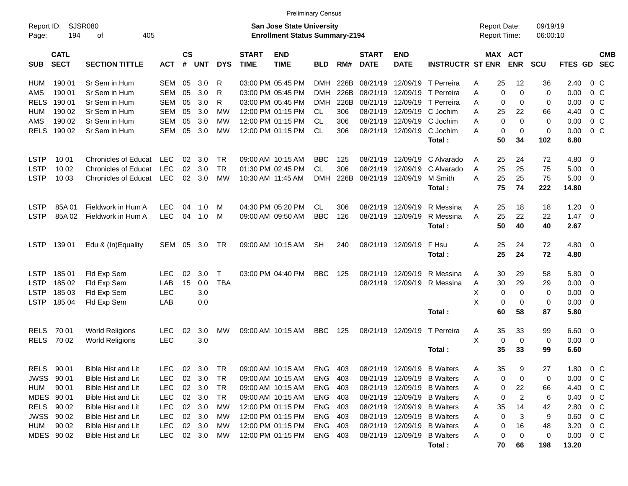|                     |                            |                             |            |                    |            |             |                             |                                                                           | <b>Preliminary Census</b> |      |                             |                           |                             |                                            |                       |                      |                |                          |
|---------------------|----------------------------|-----------------------------|------------|--------------------|------------|-------------|-----------------------------|---------------------------------------------------------------------------|---------------------------|------|-----------------------------|---------------------------|-----------------------------|--------------------------------------------|-----------------------|----------------------|----------------|--------------------------|
| Report ID:<br>Page: | 194                        | SJSR080<br>405<br>οf        |            |                    |            |             |                             | <b>San Jose State University</b><br><b>Enrollment Status Summary-2194</b> |                           |      |                             |                           |                             | <b>Report Date:</b><br><b>Report Time:</b> |                       | 09/19/19<br>06:00:10 |                |                          |
| <b>SUB</b>          | <b>CATL</b><br><b>SECT</b> | <b>SECTION TITTLE</b>       | <b>ACT</b> | $\mathsf{cs}$<br># | <b>UNT</b> | <b>DYS</b>  | <b>START</b><br><b>TIME</b> | <b>END</b><br><b>TIME</b>                                                 | <b>BLD</b>                | RM#  | <b>START</b><br><b>DATE</b> | <b>END</b><br><b>DATE</b> | <b>INSTRUCTR ST ENR</b>     |                                            | MAX ACT<br><b>ENR</b> | <b>SCU</b>           | FTES GD SEC    | <b>CMB</b>               |
| HUM                 | 190 01                     | Sr Sem in Hum               | SEM        | 05                 | 3.0        | R           |                             | 03:00 PM 05:45 PM                                                         | <b>DMH</b>                | 226B | 08/21/19                    |                           | 12/09/19 T Perreira         | 25<br>Α                                    | 12                    | 36                   | 2.40           | 0 C                      |
| AMS                 | 190 01                     | Sr Sem in Hum               | <b>SEM</b> | 05                 | 3.0        | R           |                             | 03:00 PM 05:45 PM                                                         | <b>DMH</b>                | 226B | 08/21/19                    |                           | 12/09/19 T Perreira         | $\Omega$<br>A                              | $\Omega$              | $\mathbf 0$          | 0.00           | $0\,$ C                  |
| RELS                | 190 01                     | Sr Sem in Hum               | <b>SEM</b> | 05                 | 3.0        | R           |                             | 03:00 PM 05:45 PM                                                         | <b>DMH</b>                | 226B | 08/21/19                    |                           | 12/09/19 T Perreira         | $\Omega$<br>A                              | $\Omega$              | 0                    | 0.00           | 0 <sup>o</sup>           |
| HUM                 | 190 02                     | Sr Sem in Hum               | <b>SEM</b> | 05                 | 3.0        | МW          |                             | 12:00 PM 01:15 PM                                                         | <b>CL</b>                 | 306  | 08/21/19                    |                           | 12/09/19 C Jochim           | A<br>25                                    | 22                    | 66                   | 4.40           | 0 <sup>o</sup>           |
| AMS                 | 190 02                     | Sr Sem in Hum               | <b>SEM</b> | 05                 | 3.0        | МW          |                             | 12:00 PM 01:15 PM                                                         | <b>CL</b>                 | 306  | 08/21/19                    |                           | 12/09/19 C Jochim           | $\Omega$<br>A                              | $\Omega$              | $\Omega$             | 0.00           | $0\,$ C                  |
| <b>RELS</b>         | 190 02                     | Sr Sem in Hum               | <b>SEM</b> | 05                 | 3.0        | <b>MW</b>   |                             | 12:00 PM 01:15 PM                                                         | <b>CL</b>                 | 306  |                             | 08/21/19 12/09/19         | C Jochim                    | $\Omega$<br>A                              | $\Omega$              | $\mathbf 0$          | 0.00           | $0\,$ C                  |
|                     |                            |                             |            |                    |            |             |                             |                                                                           |                           |      |                             |                           | Total:                      | 50                                         | 34                    | 102                  | 6.80           |                          |
| <b>LSTP</b>         | 10 01                      | Chronicles of Educat        | <b>LEC</b> | 02                 | 3.0        | TR.         |                             | 09:00 AM 10:15 AM                                                         | <b>BBC</b>                | 125  | 08/21/19                    | 12/09/19                  | C Alvarado                  | 25<br>Α                                    | 24                    | 72                   | 4.80           | $\overline{\phantom{0}}$ |
| <b>LSTP</b>         | 10 02                      | Chronicles of Educat        | LEC        | 02                 | 3.0        | <b>TR</b>   |                             | 01:30 PM 02:45 PM                                                         | <b>CL</b>                 | 306  | 08/21/19                    | 12/09/19                  | C Alvarado                  | 25<br>A                                    | 25                    | 75                   | 5.00           | $\overline{\phantom{0}}$ |
| <b>LSTP</b>         | 10 03                      | <b>Chronicles of Educat</b> | LEC        | 02                 | 3.0        | <b>MW</b>   |                             | 10:30 AM 11:45 AM                                                         | <b>DMH</b>                | 226B |                             | 08/21/19 12/09/19         | M Smith                     | 25<br>A                                    | 25                    | 75                   | $5.00 \t 0$    |                          |
|                     |                            |                             |            |                    |            |             |                             |                                                                           |                           |      |                             |                           | Total:                      | 75                                         | 74                    | 222                  | 14.80          |                          |
|                     |                            |                             |            |                    |            |             |                             |                                                                           |                           |      |                             |                           |                             |                                            |                       |                      |                |                          |
| <b>LSTP</b>         | 85A01                      | Fieldwork in Hum A          | <b>LEC</b> | 04                 | 1.0        | м           |                             | 04:30 PM 05:20 PM                                                         | <b>CL</b>                 | 306  |                             | 08/21/19 12/09/19         | R Messina                   | 25<br>Α                                    | 18                    | 18                   | 1.20           | $\overline{\phantom{0}}$ |
| <b>LSTP</b>         | 85A 02                     | Fieldwork in Hum A          | <b>LEC</b> | 04                 | 1.0        | M           |                             | 09:00 AM 09:50 AM                                                         | <b>BBC</b>                | 126  |                             | 08/21/19 12/09/19         | R Messina                   | 25<br>A                                    | 22                    | 22                   | $1.47 \quad 0$ |                          |
|                     |                            |                             |            |                    |            |             |                             |                                                                           |                           |      |                             |                           | Total:                      | 50                                         | 40                    | 40                   | 2.67           |                          |
| <b>LSTP</b>         | 139 01                     | Edu & (In)Equality          | SEM        | 05                 | 3.0        | TR          |                             | 09:00 AM 10:15 AM                                                         | SH                        | 240  |                             | 08/21/19 12/09/19         | F Hsu                       | 25<br>A                                    | 24                    | 72                   | $4.80\ 0$      |                          |
|                     |                            |                             |            |                    |            |             |                             |                                                                           |                           |      |                             |                           | Total:                      | 25                                         | 24                    | 72                   | 4.80           |                          |
| <b>LSTP</b>         | 185 01                     | Fld Exp Sem                 | <b>LEC</b> | 02                 | 3.0        | $\mathsf T$ |                             | 03:00 PM 04:40 PM                                                         | <b>BBC</b>                | 125  | 08/21/19                    | 12/09/19                  | R Messina                   | 30<br>Α                                    | 29                    | 58                   | 5.80 0         |                          |
| <b>LSTP</b>         | 185 02                     | Fld Exp Sem                 | LAB        | 15                 | 0.0        | <b>TBA</b>  |                             |                                                                           |                           |      |                             | 08/21/19 12/09/19         | R Messina                   | 30<br>Α                                    | 29                    | 29                   | 0.00           | $\overline{\mathbf{0}}$  |
| <b>LSTP</b>         | 185 03                     | Fld Exp Sem                 | <b>LEC</b> |                    | 3.0        |             |                             |                                                                           |                           |      |                             |                           |                             | X<br>$\mathbf 0$                           | $\Omega$              | $\mathbf 0$          | 0.00           | - 0                      |
| <b>LSTP</b>         | 185 04                     | Fld Exp Sem                 | LAB        |                    | 0.0        |             |                             |                                                                           |                           |      |                             |                           |                             | X<br>$\mathbf 0$                           | $\mathbf 0$           | $\mathbf 0$          | $0.00 \t 0$    |                          |
|                     |                            |                             |            |                    |            |             |                             |                                                                           |                           |      |                             |                           | Total:                      | 60                                         | 58                    | 87                   | 5.80           |                          |
|                     |                            |                             |            |                    |            |             |                             |                                                                           |                           |      |                             |                           |                             |                                            |                       |                      |                |                          |
| <b>RELS</b>         | 70 01                      | <b>World Religions</b>      | <b>LEC</b> | 02                 | 3.0        | MW          |                             | 09:00 AM 10:15 AM                                                         | <b>BBC</b>                | 125  |                             | 08/21/19 12/09/19         | T Perreira                  | 35<br>A                                    | 33                    | 99                   | $6.60$ 0       |                          |
| <b>RELS</b>         | 70 02                      | <b>World Religions</b>      | <b>LEC</b> |                    | 3.0        |             |                             |                                                                           |                           |      |                             |                           |                             | X<br>0                                     | $\mathbf 0$           | 0                    | $0.00 \t 0$    |                          |
|                     |                            |                             |            |                    |            |             |                             |                                                                           |                           |      |                             |                           | Total:                      | 35                                         | 33                    | 99                   | 6.60           |                          |
| RELS                | 90 01                      | Bible Hist and Lit          | <b>LEC</b> |                    | 02 3.0     | TR          |                             | 09:00 AM 10:15 AM                                                         | <b>ENG</b>                | 403  |                             |                           | 08/21/19 12/09/19 B Walters | 35<br>A                                    | 9                     | 27                   | 1.80           | 0 <sup>o</sup>           |
| <b>JWSS</b>         | 90 01                      | Bible Hist and Lit          | <b>LEC</b> |                    | 02 3.0     | TR          |                             | 09:00 AM 10:15 AM                                                         | ENG                       | 403  |                             |                           | 08/21/19 12/09/19 B Walters | 0<br>Α                                     | 0                     | 0                    | 0.00           | 0 <sup>o</sup>           |
| HUM                 | 90 01                      | Bible Hist and Lit          | <b>LEC</b> |                    | 02 3.0     | TR          |                             | 09:00 AM 10:15 AM                                                         | ENG                       | 403  |                             |                           | 08/21/19 12/09/19 B Walters | A<br>0                                     | 22                    | 66                   | 4.40           | 0 C                      |
| MDES 90 01          |                            | Bible Hist and Lit          | <b>LEC</b> |                    | 02 3.0     | TR          |                             | 09:00 AM 10:15 AM                                                         | ENG                       | 403  |                             |                           | 08/21/19 12/09/19 B Walters | 0<br>A                                     | 2                     | 6                    | 0.40           | $0\,$ C                  |
| <b>RELS</b>         | 90 02                      | Bible Hist and Lit          | <b>LEC</b> |                    | 02 3.0     | MW          |                             | 12:00 PM 01:15 PM                                                         | ENG                       | 403  |                             |                           | 08/21/19 12/09/19 B Walters | 35<br>A                                    | 14                    | 42                   | 2.80           | $0\,$ C                  |
| <b>JWSS</b>         | 90 02                      | Bible Hist and Lit          | <b>LEC</b> |                    | 02 3.0     | МW          |                             | 12:00 PM 01:15 PM                                                         | ENG                       | 403  |                             |                           | 08/21/19 12/09/19 B Walters | 0<br>A                                     | 3                     | 9                    | 0.60           | $0\,$ C                  |
| HUM                 | 90 02                      | Bible Hist and Lit          | <b>LEC</b> |                    | 02 3.0     | МW          |                             | 12:00 PM 01:15 PM                                                         | ENG                       | 403  |                             |                           | 08/21/19 12/09/19 B Walters | 0<br>Α                                     | 16                    | 48                   | 3.20           | $0\,$ C                  |
| MDES 90 02          |                            | Bible Hist and Lit          | <b>LEC</b> |                    | 02 3.0     | MW          |                             | 12:00 PM 01:15 PM                                                         | ENG 403                   |      |                             |                           | 08/21/19 12/09/19 B Walters | Α<br>0                                     | 0                     | 0                    | $0.00 \t 0 C$  |                          |
|                     |                            |                             |            |                    |            |             |                             |                                                                           |                           |      |                             |                           | Total:                      | 70                                         | 66                    | 198                  | 13.20          |                          |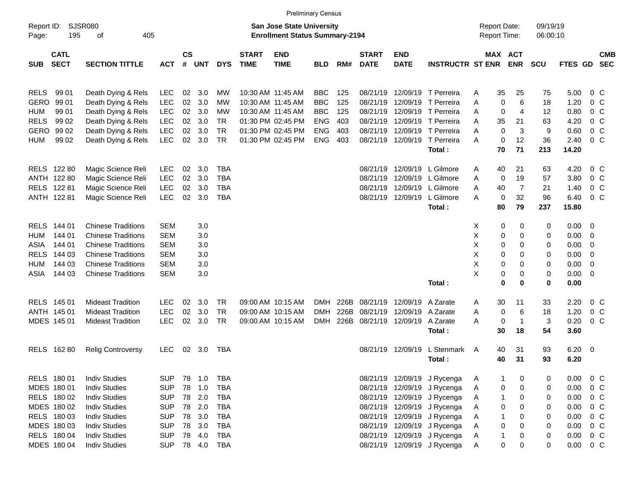| Report ID:<br>195<br>Page:               | SJSR080<br>405<br>οf      |            |                 |        |              |                             | <b>San Jose State University</b><br><b>Enrollment Status Summary-2194</b> |            |      |                             |                            |                              | <b>Report Date:</b><br><b>Report Time:</b> |                             | 09/19/19<br>06:00:10 |               |     |                          |
|------------------------------------------|---------------------------|------------|-----------------|--------|--------------|-----------------------------|---------------------------------------------------------------------------|------------|------|-----------------------------|----------------------------|------------------------------|--------------------------------------------|-----------------------------|----------------------|---------------|-----|--------------------------|
| <b>CATL</b><br><b>SECT</b><br><b>SUB</b> | <b>SECTION TITTLE</b>     | <b>ACT</b> | $\mathsf{cs}$   | # UNT  | <b>DYS</b>   | <b>START</b><br><b>TIME</b> | <b>END</b><br><b>TIME</b>                                                 | <b>BLD</b> | RM#  | <b>START</b><br><b>DATE</b> | <b>END</b><br><b>DATE</b>  | <b>INSTRUCTR ST ENR</b>      |                                            | MAX ACT<br><b>ENR</b>       | <b>SCU</b>           | FTES GD       |     | <b>CMB</b><br><b>SEC</b> |
| 99 01<br><b>RELS</b>                     | Death Dying & Rels        | <b>LEC</b> | 02              | 3.0    | MW           | 10:30 AM 11:45 AM           |                                                                           | <b>BBC</b> | 125  | 08/21/19                    |                            | 12/09/19 T Perreira          | A                                          | 35<br>25                    | 75                   | 5.00          |     | $0\,$ C                  |
| <b>GERO</b><br>99 01                     | Death Dying & Rels        | <b>LEC</b> | 02              | 3.0    | MW           | 10:30 AM 11:45 AM           |                                                                           | <b>BBC</b> | 125  | 08/21/19                    |                            | 12/09/19 T Perreira          | A                                          | $\mathbf 0$<br>6            | 18                   | 1.20          |     | 0 C                      |
| <b>HUM</b><br>99 01                      | Death Dying & Rels        | <b>LEC</b> | 02              | 3.0    | MW           | 10:30 AM 11:45 AM           |                                                                           | <b>BBC</b> | 125  | 08/21/19                    |                            | 12/09/19 T Perreira          | A                                          | 0<br>$\overline{4}$         | 12                   | 0.80          |     | 0 C                      |
| <b>RELS</b><br>99 02                     | Death Dying & Rels        | <b>LEC</b> | $02\,$          | 3.0    | TR           |                             | 01:30 PM 02:45 PM                                                         | <b>ENG</b> | 403  | 08/21/19                    |                            | 12/09/19 T Perreira          | A<br>35                                    | 21                          | 63                   | 4.20          |     | 0 C                      |
| <b>GERO</b><br>99 02                     | Death Dying & Rels        | <b>LEC</b> | 02              | 3.0    | <b>TR</b>    |                             | 01:30 PM 02:45 PM                                                         | <b>ENG</b> | 403  | 08/21/19                    |                            | 12/09/19 T Perreira          | A                                          | $\mathbf 0$<br>3            | 9                    | 0.60          |     | $0\,$ C                  |
| <b>HUM</b><br>99 02                      | Death Dying & Rels        | LEC        | 02 <sub>o</sub> | 3.0    | <b>TR</b>    |                             | 01:30 PM 02:45 PM                                                         | <b>ENG</b> | 403  |                             |                            | 08/21/19 12/09/19 T Perreira | A                                          | $\mathbf 0$<br>12           | 36                   | 2.40          |     | 0 <sup>o</sup>           |
|                                          |                           |            |                 |        |              |                             |                                                                           |            |      |                             |                            | Total:                       |                                            | 71<br>70                    | 213                  | 14.20         |     |                          |
| RELS 122 80                              | Magic Science Reli        | <b>LEC</b> | 02              | 3.0    | <b>TBA</b>   |                             |                                                                           |            |      | 08/21/19                    |                            | 12/09/19 L Gilmore           | A                                          | 40<br>21                    | 63                   | 4.20          |     | 0 C                      |
| ANTH 122 80                              | Magic Science Reli        | <b>LEC</b> | $02\,$          | 3.0    | <b>TBA</b>   |                             |                                                                           |            |      | 08/21/19                    |                            | 12/09/19 L Gilmore           | A                                          | $\mathbf 0$<br>19           | 57                   | 3.80          |     | 0 <sup>o</sup>           |
| RELS 122 81                              | Magic Science Reli        | LEC        | 02              | 3.0    | <b>TBA</b>   |                             |                                                                           |            |      | 08/21/19                    |                            | 12/09/19 L Gilmore           | A<br>40                                    | $\overline{7}$              | 21                   | 1.40          |     | 0 <sup>o</sup>           |
| ANTH 122 81                              | Magic Science Reli        | <b>LEC</b> | $02\,$          | 3.0    | <b>TBA</b>   |                             |                                                                           |            |      |                             |                            | 08/21/19 12/09/19 L Gilmore  | A                                          | 32<br>0                     | 96                   | 6.40          |     | 0 <sup>o</sup>           |
|                                          |                           |            |                 |        |              |                             |                                                                           |            |      |                             |                            | Total:                       |                                            | 79<br>80                    | 237                  | 15.80         |     |                          |
|                                          |                           |            |                 |        |              |                             |                                                                           |            |      |                             |                            |                              |                                            |                             |                      |               |     |                          |
| RELS 144 01                              | <b>Chinese Traditions</b> | <b>SEM</b> |                 | 3.0    |              |                             |                                                                           |            |      |                             |                            |                              | X                                          | 0<br>0                      | 0                    | $0.00 \t 0$   |     |                          |
| 144 01<br><b>HUM</b>                     | <b>Chinese Traditions</b> | <b>SEM</b> |                 | 3.0    |              |                             |                                                                           |            |      |                             |                            |                              | Χ                                          | 0<br>$\mathbf 0$            | 0                    | $0.00 \t 0$   |     |                          |
| 144 01<br>ASIA                           | <b>Chinese Traditions</b> | <b>SEM</b> |                 | 3.0    |              |                             |                                                                           |            |      |                             |                            |                              | X                                          | 0<br>0                      | 0                    | $0.00 \t 0$   |     |                          |
| RELS 144 03                              | <b>Chinese Traditions</b> | <b>SEM</b> |                 | 3.0    |              |                             |                                                                           |            |      |                             |                            |                              | X                                          | 0<br>0                      | 0                    | $0.00 \t 0$   |     |                          |
| 144 03<br><b>HUM</b>                     | <b>Chinese Traditions</b> | <b>SEM</b> |                 | 3.0    |              |                             |                                                                           |            |      |                             |                            |                              | X                                          | 0<br>0                      | 0                    | $0.00 \t 0$   |     |                          |
| 144 03<br>ASIA                           | <b>Chinese Traditions</b> | <b>SEM</b> |                 | 3.0    |              |                             |                                                                           |            |      |                             |                            |                              | Χ                                          | 0<br>0                      | 0                    | $0.00 \t 0$   |     |                          |
|                                          |                           |            |                 |        |              |                             |                                                                           |            |      |                             |                            | Total:                       |                                            | 0<br>$\bf{0}$               | 0                    | 0.00          |     |                          |
| RELS 145 01                              | <b>Mideast Tradition</b>  | <b>LEC</b> | 02              | 3.0    | TR           | 09:00 AM 10:15 AM           |                                                                           | <b>DMH</b> | 226B |                             | 08/21/19 12/09/19          | A Zarate                     | A                                          | 30<br>11                    | 33                   | 2.20          |     | 0 <sup>o</sup>           |
| ANTH 145 01                              | <b>Mideast Tradition</b>  | LEC        | 02              | 3.0    | TR           |                             | 09:00 AM 10:15 AM                                                         | <b>DMH</b> | 226B | 08/21/19                    | 12/09/19 A Zarate          |                              | A                                          | 0<br>6                      | 18                   | 1.20          |     | $0\,$ C                  |
| MDES 145 01                              | <b>Mideast Tradition</b>  | LEC        | 02 <sub>2</sub> | 3.0    | TR           |                             | 09:00 AM 10:15 AM                                                         | <b>DMH</b> | 226B |                             | 08/21/19 12/09/19 A Zarate |                              | A                                          | $\mathbf 0$<br>$\mathbf{1}$ | 3                    | 0.20          |     | 0 <sup>o</sup>           |
|                                          |                           |            |                 |        |              |                             |                                                                           |            |      |                             |                            | Total:                       |                                            | 30<br>18                    | 54                   | 3.60          |     |                          |
|                                          |                           |            |                 |        |              |                             |                                                                           |            |      |                             |                            |                              |                                            |                             |                      |               |     |                          |
| RELS 162 80                              | <b>Relig Controversy</b>  | <b>LEC</b> |                 | 02 3.0 | TBA          |                             |                                                                           |            |      |                             | 08/21/19 12/09/19          | L Stenmark                   | A                                          | 31<br>40                    | 93                   | $6.20 \t 0$   |     |                          |
|                                          |                           |            |                 |        |              |                             |                                                                           |            |      |                             |                            | Total:                       | 40                                         | 31                          | 93                   | 6.20          |     |                          |
| RELS 180 01                              | <b>Indiv Studies</b>      | <b>SUP</b> | 78              | 1.0    | TBA          |                             |                                                                           |            |      |                             |                            | 08/21/19 12/09/19 J Rycenga  | A                                          | 0<br>1                      | 0                    | 0.00 0 C      |     |                          |
| MDES 180 01                              | <b>Indiv Studies</b>      | <b>SUP</b> | 78              | 1.0    | TBA          |                             |                                                                           |            |      |                             |                            | 08/21/19 12/09/19 J Rycenga  | Α                                          | 0<br>0                      | 0                    | $0.00 \t 0 C$ |     |                          |
| RELS 180 02                              | <b>Indiv Studies</b>      | <b>SUP</b> | 78              | 2.0    | TBA          |                             |                                                                           |            |      |                             |                            | 08/21/19 12/09/19 J Rycenga  | Α                                          | 0<br>1                      | 0                    | $0.00 \t 0 C$ |     |                          |
| MDES 180 02                              | <b>Indiv Studies</b>      | <b>SUP</b> | 78              | 2.0    | <b>TBA</b>   |                             |                                                                           |            |      |                             |                            | 08/21/19 12/09/19 J Rycenga  | A                                          | 0<br>0                      | 0                    | $0.00 \t 0 C$ |     |                          |
| RELS 180 03                              | <b>Indiv Studies</b>      | <b>SUP</b> | 78              | 3.0    | <b>TBA</b>   |                             |                                                                           |            |      |                             |                            | 08/21/19 12/09/19 J Rycenga  | Α                                          | 0<br>1                      | 0                    | 0.00          | 0 C |                          |
| MDES 180 03                              | <b>Indiv Studies</b>      | <b>SUP</b> | 78              | 3.0    | TBA          |                             |                                                                           |            |      |                             |                            | 08/21/19 12/09/19 J Rycenga  | A                                          | 0<br>0                      | 0                    | $0.00 \t 0 C$ |     |                          |
| RELS 180 04                              | <b>Indiv Studies</b>      | <b>SUP</b> | 78              | 4.0    | TBA          |                             |                                                                           |            |      |                             |                            | 08/21/19 12/09/19 J Rycenga  | Α                                          | 0<br>1                      | 0                    | $0.00 \t 0 C$ |     |                          |
| MDES 180 04                              | <b>Indiv Studies</b>      | <b>SUP</b> |                 |        | 78  4.0  TBA |                             |                                                                           |            |      |                             |                            | 08/21/19 12/09/19 J Rycenga  | A                                          | 0<br>0                      | 0                    | $0.00 \t 0 C$ |     |                          |

Preliminary Census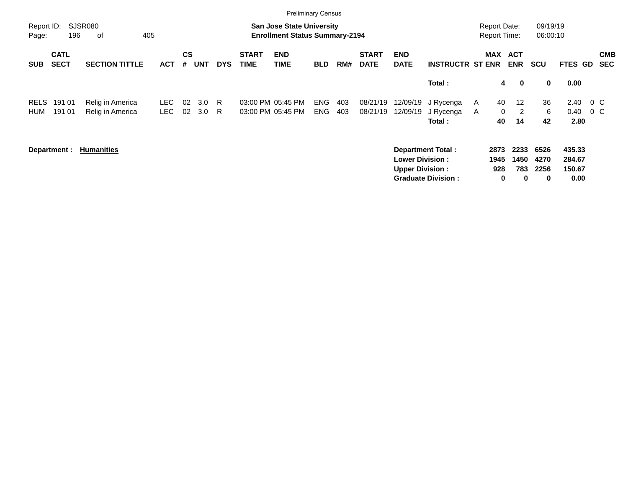|                     |                            |                       |            |                    |            |            |                             | <b>Preliminary Census</b>                                                 |            |     |                             |                           |                           |                     |                   |                          |                      |                  |         |                          |
|---------------------|----------------------------|-----------------------|------------|--------------------|------------|------------|-----------------------------|---------------------------------------------------------------------------|------------|-----|-----------------------------|---------------------------|---------------------------|---------------------|-------------------|--------------------------|----------------------|------------------|---------|--------------------------|
| Report ID:<br>Page: | 196                        | SJSR080<br>405<br>оf  |            |                    |            |            |                             | <b>San Jose State University</b><br><b>Enrollment Status Summary-2194</b> |            |     |                             |                           |                           | <b>Report Date:</b> |                   | <b>Report Time:</b>      | 09/19/19<br>06:00:10 |                  |         |                          |
| <b>SUB</b>          | <b>CATL</b><br><b>SECT</b> | <b>SECTION TITTLE</b> | <b>ACT</b> | $\mathsf{cs}$<br># | <b>UNT</b> | <b>DYS</b> | <b>START</b><br><b>TIME</b> | <b>END</b><br><b>TIME</b>                                                 | <b>BLD</b> | RM# | <b>START</b><br><b>DATE</b> | <b>END</b><br><b>DATE</b> | <b>INSTRUCTR ST ENR</b>   |                     | MAX               | <b>ACT</b><br><b>ENR</b> | <b>SCU</b>           | FTES GD          |         | <b>CMB</b><br><b>SEC</b> |
|                     |                            |                       |            |                    |            |            |                             |                                                                           |            |     |                             |                           | Total:                    |                     | 4                 | $\bf{0}$                 | $\mathbf 0$          | 0.00             |         |                          |
| RELS                | 191 01                     | Relig in America      | LEC.       | 02                 | 3.0        | R.         |                             | 03:00 PM 05:45 PM                                                         | <b>ENG</b> | 403 | 08/21/19                    | 12/09/19                  | J Rycenga                 | A                   | 40                | $12 \overline{ }$        | 36                   | 2.40             | $0\,$ C |                          |
| HUM                 | 191 01                     | Relig in America      | LEC.       | 02                 | 3.0        | R.         |                             | 03:00 PM 05:45 PM                                                         | <b>ENG</b> | 403 | 08/21/19                    | 12/09/19                  | J Rycenga<br>Total:       | A                   | $\mathbf 0$<br>40 | 2<br>14                  | 6<br>42              | 0.40<br>2.80     | $0\,$ C |                          |
|                     | Department :               | <b>Humanities</b>     |            |                    |            |            |                             |                                                                           |            |     |                             | <b>Lower Division:</b>    | <b>Department Total:</b>  |                     | 2873<br>1945      | 2233<br>1450             | 6526<br>4270         | 435.33<br>284.67 |         |                          |
|                     |                            |                       |            |                    |            |            |                             |                                                                           |            |     |                             | <b>Upper Division:</b>    | <b>Graduate Division:</b> |                     | 928<br>0          | 783<br>0                 | 2256<br>0            | 150.67<br>0.00   |         |                          |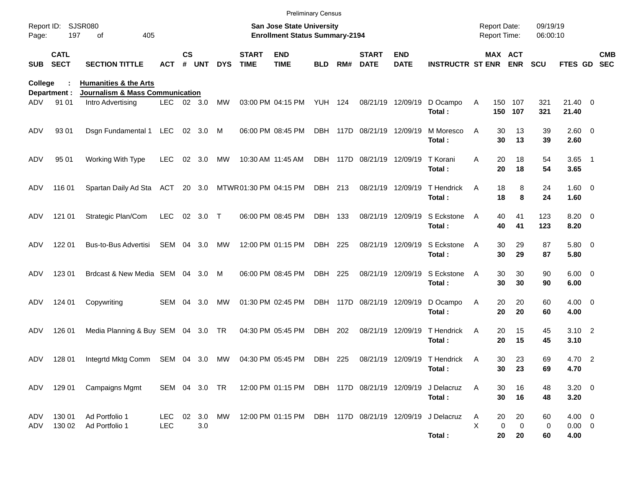|                     |                            |                                                                     |                   |                    |               |            |                             | <b>Preliminary Census</b>                                                 |            |     |                             |                           |                                        |        |                                     |                         |                      |                                   |                          |
|---------------------|----------------------------|---------------------------------------------------------------------|-------------------|--------------------|---------------|------------|-----------------------------|---------------------------------------------------------------------------|------------|-----|-----------------------------|---------------------------|----------------------------------------|--------|-------------------------------------|-------------------------|----------------------|-----------------------------------|--------------------------|
| Report ID:<br>Page: | 197                        | <b>SJSR080</b><br>405<br>οf                                         |                   |                    |               |            |                             | <b>San Jose State University</b><br><b>Enrollment Status Summary-2194</b> |            |     |                             |                           |                                        |        | <b>Report Date:</b><br>Report Time: |                         | 09/19/19<br>06:00:10 |                                   |                          |
| <b>SUB</b>          | <b>CATL</b><br><b>SECT</b> | <b>SECTION TITTLE</b>                                               | ACT               | $\mathsf{cs}$<br># | <b>UNT</b>    | <b>DYS</b> | <b>START</b><br><b>TIME</b> | <b>END</b><br><b>TIME</b>                                                 | <b>BLD</b> | RM# | <b>START</b><br><b>DATE</b> | <b>END</b><br><b>DATE</b> | <b>INSTRUCTR ST ENR ENR</b>            |        | MAX ACT                             |                         | <b>SCU</b>           | FTES GD                           | <b>CMB</b><br><b>SEC</b> |
| College             | Department :               | <b>Humanities &amp; the Arts</b><br>Journalism & Mass Communication |                   |                    |               |            |                             |                                                                           |            |     |                             |                           |                                        |        |                                     |                         |                      |                                   |                          |
| ADV                 | 91 01                      | Intro Advertising                                                   | LEC 02 3.0        |                    |               | MW         |                             | 03:00 PM 04:15 PM YUH 124                                                 |            |     |                             | 08/21/19 12/09/19         | D Ocampo<br>Total:                     | Α      |                                     | 150 107<br>150 107      | 321<br>321           | $21.40 \quad 0$<br>21.40          |                          |
| ADV                 | 93 01                      | Dsgn Fundamental 1 LEC 02 3.0                                       |                   |                    |               | M          |                             | 06:00 PM 08:45 PM                                                         |            |     | DBH 117D 08/21/19 12/09/19  |                           | M Moresco<br>Total:                    | A      | 30<br>30                            | 13<br>13                | 39<br>39             | $2.60 \t 0$<br>2.60               |                          |
| ADV                 | 95 01                      | Working With Type                                                   | <b>LEC</b>        |                    | 02 3.0        | MW         |                             | 10:30 AM 11:45 AM                                                         |            |     | DBH 117D 08/21/19 12/09/19  |                           | T Korani<br>Total:                     | A      | 20<br>20                            | 18<br>18                | 54<br>54             | $3.65$ 1<br>3.65                  |                          |
| ADV                 | 116 01                     | Spartan Daily Ad Sta ACT                                            |                   |                    | 20 3.0        |            | MTWR01:30 PM 04:15 PM       |                                                                           | DBH 213    |     | 08/21/19 12/09/19           |                           | T Hendrick<br>Total:                   | A      | 18<br>18                            | 8<br>8                  | 24<br>24             | $1.60 \t 0$<br>1.60               |                          |
| ADV                 | 121 01                     | Strategic Plan/Com                                                  | <b>LEC</b>        |                    | 02 3.0 T      |            |                             | 06:00 PM 08:45 PM                                                         | DBH 133    |     |                             | 08/21/19 12/09/19         | S Eckstone<br>Total:                   | A      | 40<br>40                            | 41<br>41                | 123<br>123           | $8.20 \ 0$<br>8.20                |                          |
| ADV                 | 122 01                     | Bus-to-Bus Advertisi                                                | SEM 04 3.0        |                    |               | МW         |                             | 12:00 PM 01:15 PM                                                         | DBH 225    |     |                             | 08/21/19 12/09/19         | S Eckstone<br>Total:                   | A      | 30<br>30                            | 29<br>29                | 87<br>87             | 5.80 0<br>5.80                    |                          |
| ADV                 | 123 01                     | Brdcast & New Media SEM 04 3.0                                      |                   |                    |               | M          |                             | 06:00 PM 08:45 PM                                                         | DBH 225    |     |                             | 08/21/19 12/09/19         | S Eckstone<br>Total:                   | A      | 30<br>30                            | 30<br>30                | 90<br>90             | $6.00 \quad 0$<br>6.00            |                          |
| ADV                 | 124 01                     | Copywriting                                                         | SEM 04            |                    | 3.0           | МW         |                             | 01:30 PM 02:45 PM                                                         |            |     | DBH 117D 08/21/19 12/09/19  |                           | D Ocampo<br>Total:                     | A      | 20<br>20                            | 20<br>20                | 60<br>60             | $4.00 \ 0$<br>4.00                |                          |
| ADV                 | 126 01                     | Media Planning & Buy SEM 04 3.0 TR                                  |                   |                    |               |            |                             | 04:30 PM 05:45 PM                                                         | DBH        | 202 |                             | 08/21/19 12/09/19         | T Hendrick<br>Total:                   | A      | 20<br>20                            | 15<br>15                | 45<br>45             | $3.10 \quad 2$<br>3.10            |                          |
| ADV                 | 128 01                     | Integrtd Mktg Comm SEM 04 3.0                                       |                   |                    |               | МW         |                             | 04:30 PM 05:45 PM                                                         | DBH        | 225 |                             |                           | 08/21/19 12/09/19 T Hendrick<br>Total: | A      | 30                                  | 23<br>30 23             | 69<br>69             | 4.70 2<br>4.70                    |                          |
|                     |                            | ADV 129 01 Campaigns Mgmt                                           | SEM 04 3.0 TR     |                    |               |            |                             | 12:00 PM 01:15 PM DBH 117D 08/21/19 12/09/19                              |            |     |                             |                           | J Delacruz<br>Total:                   | A      | 30<br>30                            | 16<br>16                | 48<br>48             | $3.20 \ 0$<br>3.20                |                          |
| ADV<br>ADV          | 130 01<br>130 02           | Ad Portfolio 1<br>Ad Portfolio 1                                    | LEC<br><b>LEC</b> |                    | 02 3.0<br>3.0 | MW         |                             | 12:00 PM 01:15 PM DBH 117D 08/21/19 12/09/19                              |            |     |                             |                           | J Delacruz<br>Total:                   | A<br>X | 20<br>0<br>20                       | 20<br>$\mathbf 0$<br>20 | 60<br>0<br>60        | $4.00 \ 0$<br>$0.00 \t 0$<br>4.00 |                          |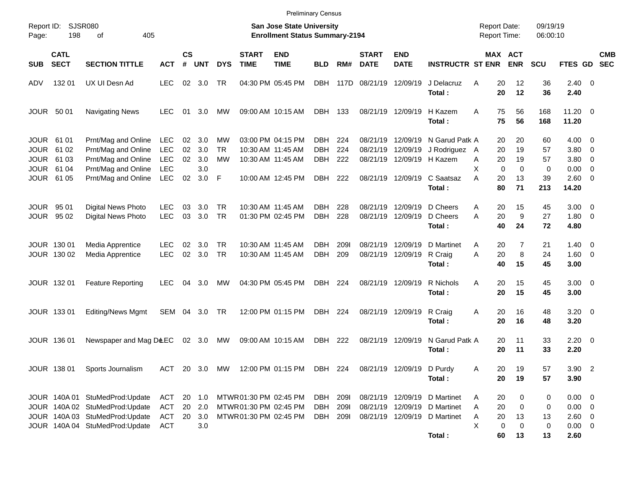|                                                         |                                       |                                                                                                                                      |                                                             |                      |                                     |                        |                                                                          | <b>Preliminary Census</b>                                                        |                                        |                             |                             |                                                   |                                                                                                        |                                            |                                                                    |                                     |                                                                     |                          |
|---------------------------------------------------------|---------------------------------------|--------------------------------------------------------------------------------------------------------------------------------------|-------------------------------------------------------------|----------------------|-------------------------------------|------------------------|--------------------------------------------------------------------------|----------------------------------------------------------------------------------|----------------------------------------|-----------------------------|-----------------------------|---------------------------------------------------|--------------------------------------------------------------------------------------------------------|--------------------------------------------|--------------------------------------------------------------------|-------------------------------------|---------------------------------------------------------------------|--------------------------|
| Report ID:<br>Page:                                     | 198                                   | SJSR080<br>405<br>οf                                                                                                                 |                                                             |                      |                                     |                        |                                                                          | <b>San Jose State University</b><br><b>Enrollment Status Summary-2194</b>        |                                        |                             |                             |                                                   |                                                                                                        | <b>Report Date:</b><br><b>Report Time:</b> |                                                                    | 09/19/19<br>06:00:10                |                                                                     |                          |
| <b>SUB</b>                                              | <b>CATL</b><br><b>SECT</b>            | <b>SECTION TITTLE</b>                                                                                                                | <b>ACT</b>                                                  | <b>CS</b><br>#       | <b>UNT</b>                          | <b>DYS</b>             | <b>START</b><br><b>TIME</b>                                              | <b>END</b><br><b>TIME</b>                                                        | <b>BLD</b>                             | RM#                         | <b>START</b><br><b>DATE</b> | <b>END</b><br><b>DATE</b>                         | <b>INSTRUCTR ST ENR</b>                                                                                |                                            | MAX ACT<br><b>ENR</b>                                              | <b>SCU</b>                          | <b>FTES GD</b>                                                      | <b>CMB</b><br><b>SEC</b> |
| ADV                                                     | 132 01                                | UX UI Desn Ad                                                                                                                        | <b>LEC</b>                                                  |                      | 02 3.0                              | <b>TR</b>              |                                                                          | 04:30 PM 05:45 PM                                                                | <b>DBH</b>                             | 117D                        | 08/21/19                    | 12/09/19                                          | J Delacruz<br>Total:                                                                                   | A                                          | 20<br>12<br>20<br>12                                               | 36<br>36                            | $2.40 \ 0$<br>2.40                                                  |                          |
| <b>JOUR 5001</b>                                        |                                       | <b>Navigating News</b>                                                                                                               | <b>LEC</b>                                                  | 01                   | 3.0                                 | МW                     |                                                                          | 09:00 AM 10:15 AM                                                                | DBH 133                                |                             |                             | 08/21/19 12/09/19                                 | H Kazem<br>Total:                                                                                      | A                                          | 75<br>56<br>75<br>56                                               | 168<br>168                          | $11.20 \t 0$<br>11.20                                               |                          |
| JOUR 61 01<br><b>JOUR</b><br><b>JOUR</b><br><b>JOUR</b> | 61 02<br>61 03<br>61 04<br>JOUR 61 05 | Prnt/Mag and Online<br>Prnt/Mag and Online<br>Prnt/Mag and Online<br>Prnt/Mag and Online<br>Prnt/Mag and Online                      | <b>LEC</b><br><b>LEC</b><br><b>LEC</b><br><b>LEC</b><br>LEC | 02<br>02<br>02<br>02 | 3.0<br>3.0<br>3.0<br>3.0<br>$3.0$ F | МW<br><b>TR</b><br>МW  |                                                                          | 03:00 PM 04:15 PM<br>10:30 AM 11:45 AM<br>10:30 AM 11:45 AM<br>10:00 AM 12:45 PM | DBH<br><b>DBH</b><br><b>DBH</b><br>DBH | 224<br>224<br>222<br>222    | 08/21/19<br>08/21/19        | 12/09/19<br>12/09/19<br>08/21/19 12/09/19 H Kazem | N Garud Patk A<br>J Rodriguez A<br>08/21/19 12/09/19 C Saatsaz                                         | A<br>X<br>A<br>20                          | 20<br>20<br>19<br>20<br>20<br>19<br>$\mathbf{0}$<br>$\Omega$<br>13 | 60<br>57<br>57<br>$\mathbf 0$<br>39 | $4.00 \ 0$<br>$3.80\ 0$<br>$3.80 \ 0$<br>$0.00 \t 0$<br>$2.60 \t 0$ |                          |
| <b>JOUR 9501</b>                                        | JOUR 95 02                            | <b>Digital News Photo</b><br>Digital News Photo                                                                                      | <b>LEC</b><br><b>LEC</b>                                    | 03<br>03             | 3.0<br>3.0                          | TR<br><b>TR</b>        |                                                                          | 10:30 AM 11:45 AM<br>01:30 PM 02:45 PM                                           | DBH.<br><b>DBH</b>                     | 228<br>228                  | 08/21/19<br>08/21/19        | 12/09/19<br>12/09/19                              | Total:<br>D Cheers<br>D Cheers<br>Total:                                                               | 80<br>A<br>A                               | 71<br>15<br>20<br>9<br>20<br>40<br>24                              | 213<br>45<br>27<br>72               | 14.20<br>$3.00 \ 0$<br>$1.80 \ 0$<br>4.80                           |                          |
|                                                         | JOUR 130 01<br>JOUR 130 02            | Media Apprentice<br>Media Apprentice                                                                                                 | <b>LEC</b><br><b>LEC</b>                                    | 02<br>02             | 3.0<br>3.0                          | <b>TR</b><br><b>TR</b> |                                                                          | 10:30 AM 11:45 AM<br>10:30 AM 11:45 AM                                           | DBH.<br><b>DBH</b>                     | <b>2091</b><br>209          | 08/21/19<br>08/21/19        | 12/09/19<br>12/09/19                              | D Martinet<br>R Craig<br>Total:                                                                        | A<br>A                                     | $\overline{7}$<br>20<br>20<br>8<br>15<br>40                        | 21<br>24<br>45                      | $1.40 \ 0$<br>$1.60 \t 0$<br>3.00                                   |                          |
|                                                         | JOUR 132 01                           | <b>Feature Reporting</b>                                                                                                             | <b>LEC</b>                                                  | 04                   | 3.0                                 | МW                     |                                                                          | 04:30 PM 05:45 PM                                                                | DBH 224                                |                             |                             | 08/21/19 12/09/19                                 | R Nichols<br>Total:                                                                                    | A                                          | 20<br>15<br>20<br>15                                               | 45<br>45                            | $3.00 \ 0$<br>3.00                                                  |                          |
|                                                         | JOUR 133 01                           | <b>Editing/News Mgmt</b>                                                                                                             | SEM 04 3.0                                                  |                      |                                     | TR                     |                                                                          | 12:00 PM 01:15 PM                                                                | DBH                                    | 224                         |                             | 08/21/19 12/09/19                                 | R Craig<br>Total:                                                                                      | Α                                          | 20<br>16<br>16<br>20                                               | 48<br>48                            | $3.20 \ 0$<br>3.20                                                  |                          |
|                                                         | JOUR 136 01                           | Newspaper and Mag D&EC                                                                                                               |                                                             |                      | 02 3.0                              | МW                     |                                                                          | 09:00 AM 10:15 AM                                                                | DBH                                    | 222                         |                             | 08/21/19 12/09/19                                 | N Garud Patk A<br>Total:                                                                               |                                            | 11<br>20<br>11<br>20                                               | 33<br>33                            | $2.20 \t 0$<br>2.20                                                 |                          |
|                                                         |                                       | JOUR 138 01 Sports Journalism                                                                                                        |                                                             |                      |                                     |                        |                                                                          | ACT 20 3.0 MW 12:00 PM 01:15 PM DBH 224                                          |                                        |                             |                             | 08/21/19 12/09/19 D Purdy                         | Total:                                                                                                 | Α                                          | 20<br>19<br>20<br>19                                               | 57<br>57                            | $3.90$ 2<br>3.90                                                    |                          |
|                                                         |                                       | JOUR 140A 01 StuMedProd:Update<br>JOUR 140A 02 StuMedProd:Update<br>JOUR 140A 03 StuMedProd:Update<br>JOUR 140A 04 StuMedProd:Update | ACT<br>ACT<br>ACT<br><b>ACT</b>                             | 20                   | 20 1.0<br>20 2.0<br>3.0<br>3.0      |                        | MTWR 01:30 PM 02:45 PM<br>MTWR01:30 PM 02:45 PM<br>MTWR01:30 PM 02:45 PM |                                                                                  | DBH<br>DBH<br>DBH                      | <b>2091</b><br>2091<br>2091 |                             |                                                   | 08/21/19 12/09/19 D Martinet<br>08/21/19 12/09/19 D Martinet<br>08/21/19 12/09/19 D Martinet<br>Total: | Α<br>Α<br>Α<br>X                           | 20<br>0<br>20<br>0<br>13<br>20<br>$\mathbf 0$<br>0<br>60<br>13     | 0<br>0<br>13<br>0<br>13             | $0.00 \t 0$<br>$0.00 \t 0$<br>2.60 0<br>$0.00 \t 0$<br>2.60         |                          |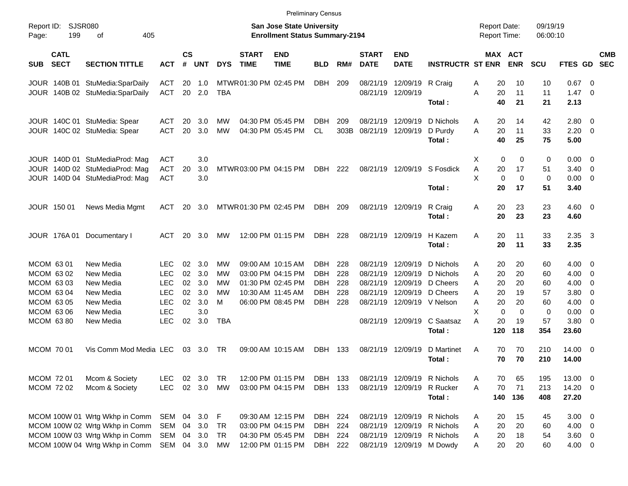|                     |                            |                                 |            |                    |            |            |                             |                                                                    | <b>Preliminary Census</b> |      |                             |                            |                             |                                     |             |                      |                |                         |                          |
|---------------------|----------------------------|---------------------------------|------------|--------------------|------------|------------|-----------------------------|--------------------------------------------------------------------|---------------------------|------|-----------------------------|----------------------------|-----------------------------|-------------------------------------|-------------|----------------------|----------------|-------------------------|--------------------------|
| Report ID:<br>Page: | <b>SJSR080</b><br>199      | 405<br>оf                       |            |                    |            |            |                             | San Jose State University<br><b>Enrollment Status Summary-2194</b> |                           |      |                             |                            |                             | <b>Report Date:</b><br>Report Time: |             | 09/19/19<br>06:00:10 |                |                         |                          |
| <b>SUB</b>          | <b>CATL</b><br><b>SECT</b> | <b>SECTION TITTLE</b>           | <b>ACT</b> | $\mathsf{cs}$<br># | <b>UNT</b> | <b>DYS</b> | <b>START</b><br><b>TIME</b> | <b>END</b><br><b>TIME</b>                                          | <b>BLD</b>                | RM#  | <b>START</b><br><b>DATE</b> | <b>END</b><br><b>DATE</b>  | <b>INSTRUCTR ST ENR</b>     | MAX ACT                             | <b>ENR</b>  | <b>SCU</b>           | <b>FTES GD</b> |                         | <b>CMB</b><br><b>SEC</b> |
|                     | JOUR 140B 01               | StuMedia:SparDaily              | <b>ACT</b> | 20                 | 1.0        |            | MTWR01:30 PM 02:45 PM       |                                                                    | DBH                       | 209  | 08/21/19                    | 12/09/19                   | R Craig                     | 20<br>Α                             | 10          | 10                   | 0.67           | 0                       |                          |
|                     |                            | JOUR 140B 02 StuMedia:SparDaily | <b>ACT</b> | 20                 | 2.0        | <b>TBA</b> |                             |                                                                    |                           |      |                             | 08/21/19 12/09/19          |                             | A<br>20                             | 11          | 11                   | 1.47           | - 0                     |                          |
|                     |                            |                                 |            |                    |            |            |                             |                                                                    |                           |      |                             |                            | Total :                     | 40                                  | 21          | 21                   | 2.13           |                         |                          |
|                     |                            | JOUR 140C 01 StuMedia: Spear    | ACT        | 20                 | 3.0        | MW         |                             | 04:30 PM 05:45 PM                                                  | DBH.                      | 209  | 08/21/19                    | 12/09/19                   | D Nichols                   | 20<br>A                             | 14          | 42                   | 2.80           | $\overline{0}$          |                          |
|                     |                            | JOUR 140C 02 StuMedia: Spear    | <b>ACT</b> | 20                 | 3.0        | MW         |                             | 04:30 PM 05:45 PM                                                  | CL                        | 303B | 08/21/19                    | 12/09/19                   | D Purdy                     | A<br>20                             | 11          | 33                   | 2.20           | $\overline{0}$          |                          |
|                     |                            |                                 |            |                    |            |            |                             |                                                                    |                           |      |                             |                            | Total:                      | 40                                  | 25          | 75                   | 5.00           |                         |                          |
|                     |                            | JOUR 140D 01 StuMediaProd: Mag  | <b>ACT</b> |                    | 3.0        |            |                             |                                                                    |                           |      |                             |                            |                             | X<br>0                              | 0           | 0                    | 0.00           | $\overline{0}$          |                          |
|                     |                            | JOUR 140D 02 StuMediaProd: Mag  | <b>ACT</b> | 20                 | 3.0        |            | MTWR03:00 PM 04:15 PM       |                                                                    | DBH                       | 222  |                             | 08/21/19 12/09/19          | S Fosdick                   | Α<br>20                             | 17          | 51                   | 3.40           | $\overline{0}$          |                          |
|                     |                            | JOUR 140D 04 StuMediaProd: Mag  | <b>ACT</b> |                    | 3.0        |            |                             |                                                                    |                           |      |                             |                            |                             | X<br>$\mathbf 0$                    | $\mathbf 0$ | 0                    | 0.00           | 0                       |                          |
|                     |                            |                                 |            |                    |            |            |                             |                                                                    |                           |      |                             |                            | Total:                      | 20                                  | 17          | 51                   | 3.40           |                         |                          |
|                     | <b>JOUR 150 01</b>         | News Media Mgmt                 | ACT        | 20                 | 3.0        |            | MTWR01:30 PM 02:45 PM       |                                                                    | DBH                       | 209  |                             | 08/21/19 12/09/19          | R Craig                     | Α<br>20                             | 23          | 23                   | 4.60           | $\overline{\mathbf{0}}$ |                          |
|                     |                            |                                 |            |                    |            |            |                             |                                                                    |                           |      |                             |                            | Total:                      | 20                                  | 23          | 23                   | 4.60           |                         |                          |
|                     | <b>JOUR 176A01</b>         | Documentary I                   | ACT        | 20                 | 3.0        | MW         |                             | 12:00 PM 01:15 PM                                                  | DBH                       | 228  |                             | 08/21/19 12/09/19          | H Kazem                     | A<br>20                             | 11          | 33                   | 2.35           | $\overline{\mathbf{3}}$ |                          |
|                     |                            |                                 |            |                    |            |            |                             |                                                                    |                           |      |                             |                            | Total:                      | 20                                  | 11          | 33                   | 2.35           |                         |                          |
| MCOM 6301           |                            | New Media                       | <b>LEC</b> | 02                 | 3.0        | <b>MW</b>  |                             | 09:00 AM 10:15 AM                                                  | DBH                       | 228  | 08/21/19                    | 12/09/19                   | D Nichols                   | 20<br>A                             | 20          | 60                   | 4.00           | 0                       |                          |
|                     | MCOM 63 02                 | New Media                       | <b>LEC</b> | 02                 | 3.0        | MW         |                             | 03:00 PM 04:15 PM                                                  | <b>DBH</b>                | 228  | 08/21/19                    | 12/09/19                   | D Nichols                   | 20<br>A                             | 20          | 60                   | 4.00           | 0                       |                          |
|                     | MCOM 63 03                 | New Media                       | <b>LEC</b> | 02                 | 3.0        | MW         |                             | 01:30 PM 02:45 PM                                                  | <b>DBH</b>                | 228  | 08/21/19                    | 12/09/19                   | D Cheers                    | 20<br>A                             | 20          | 60                   | 4.00           | 0                       |                          |
|                     | MCOM 63 04                 | New Media                       | <b>LEC</b> | 02                 | 3.0        | <b>MW</b>  |                             | 10:30 AM 11:45 AM                                                  | DBH.                      | 228  | 08/21/19                    | 12/09/19                   | D Cheers                    | 20<br>A                             | 19          | 57                   | 3.80           | 0                       |                          |
|                     | MCOM 63 05                 | New Media                       | <b>LEC</b> | 02                 | 3.0        | м          |                             | 06:00 PM 08:45 PM                                                  | <b>DBH</b>                | 228  |                             | 08/21/19 12/09/19 V Nelson |                             | Α<br>20                             | 20          | 60                   | 4.00           | 0                       |                          |
|                     | MCOM 63 06                 | New Media                       | <b>LEC</b> |                    | 3.0        |            |                             |                                                                    |                           |      |                             |                            |                             | X<br>$\mathbf 0$                    | $\Omega$    | 0                    | 0.00           | 0                       |                          |
|                     | MCOM 63 80                 | New Media                       | <b>LEC</b> | 02                 | 3.0        | TBA        |                             |                                                                    |                           |      |                             | 08/21/19 12/09/19          | C Saatsaz                   | Α<br>20                             | 19          | 57                   | 3.80           | 0                       |                          |
|                     |                            |                                 |            |                    |            |            |                             |                                                                    |                           |      |                             |                            | Total:                      | 120                                 | 118         | 354                  | 23.60          |                         |                          |
|                     | MCOM 70 01                 | Vis Comm Mod Media LEC          |            | 03                 | 3.0        | TR         |                             | 09:00 AM 10:15 AM                                                  | DBH                       | 133  | 08/21/19                    | 12/09/19                   | D Martinet                  | 70<br>A                             | 70          | 210                  | 14.00          | $\overline{\mathbf{0}}$ |                          |
|                     |                            |                                 |            |                    |            |            |                             |                                                                    |                           |      |                             |                            | Total:                      | 70                                  | 70          | 210                  | 14.00          |                         |                          |
| <b>MCOM 7201</b>    |                            | Mcom & Society                  | <b>LEC</b> | 02                 | 3.0        | TR         |                             | 12:00 PM 01:15 PM                                                  | DBH 133                   |      |                             |                            | 08/21/19 12/09/19 R Nichols | 70<br>Α                             | 65          | 195                  | 13.00          | $\overline{\mathbf{0}}$ |                          |
|                     | MCOM 72 02                 | Mcom & Society                  | <b>LEC</b> |                    | 02 3.0     | MW         |                             | 03:00 PM 04:15 PM                                                  | DBH 133                   |      |                             | 08/21/19 12/09/19          | R Rucker                    | 70<br>A                             | 71          | 213                  | 14.20 0        |                         |                          |
|                     |                            |                                 |            |                    |            |            |                             |                                                                    |                           |      |                             |                            | Total:                      | 140                                 | 136         | 408                  | 27.20          |                         |                          |
|                     |                            | MCOM 100W 01 Wrtg Wkhp in Comm  | SEM        |                    | 04 3.0     | F          |                             | 09:30 AM 12:15 PM                                                  | DBH 224                   |      |                             |                            | 08/21/19 12/09/19 R Nichols | 20<br>A                             | 15          | 45                   | $3.00 \ 0$     |                         |                          |
|                     |                            | MCOM 100W 02 Wrtg Wkhp in Comm  | SEM        | 04                 | 3.0        | <b>TR</b>  |                             | 03:00 PM 04:15 PM                                                  | DBH                       | 224  |                             |                            | 08/21/19 12/09/19 R Nichols | 20<br>Α                             | 20          | 60                   | $4.00 \t 0$    |                         |                          |
|                     |                            | MCOM 100W 03 Wrtg Wkhp in Comm  | SEM        |                    | 04 3.0     | <b>TR</b>  |                             | 04:30 PM 05:45 PM                                                  | DBH 224                   |      |                             |                            | 08/21/19 12/09/19 R Nichols | 20<br>Α                             | 18          | 54                   | $3.60 \ 0$     |                         |                          |
|                     |                            | MCOM 100W 04 Wrtg Wkhp in Comm  | SEM 04 3.0 |                    |            | МW         |                             | 12:00 PM 01:15 PM                                                  | DBH 222                   |      |                             |                            | 08/21/19 12/09/19 M Dowdy   | 20<br>A                             | 20          | 60                   | $4.00 \t 0$    |                         |                          |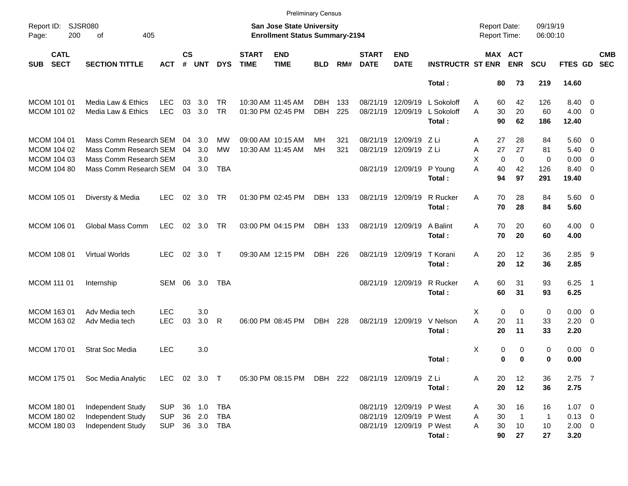|                                                                 |                                                                                                         |                                        |                |                            |                                 |                             | <b>Preliminary Census</b>                                                 |                    |            |                             |                                                                                  |                                    |                                            |                                                    |                                       |                                                  |                                                      |
|-----------------------------------------------------------------|---------------------------------------------------------------------------------------------------------|----------------------------------------|----------------|----------------------------|---------------------------------|-----------------------------|---------------------------------------------------------------------------|--------------------|------------|-----------------------------|----------------------------------------------------------------------------------|------------------------------------|--------------------------------------------|----------------------------------------------------|---------------------------------------|--------------------------------------------------|------------------------------------------------------|
| Report ID:<br>200<br>Page:                                      | SJSR080<br>405<br>of                                                                                    |                                        |                |                            |                                 |                             | <b>San Jose State University</b><br><b>Enrollment Status Summary-2194</b> |                    |            |                             |                                                                                  |                                    | <b>Report Date:</b><br><b>Report Time:</b> |                                                    | 09/19/19<br>06:00:10                  |                                                  |                                                      |
| <b>CATL</b><br><b>SECT</b><br><b>SUB</b>                        | <b>SECTION TITTLE</b>                                                                                   | АСТ                                    | <b>CS</b><br># | <b>UNT</b>                 | <b>DYS</b>                      | <b>START</b><br><b>TIME</b> | <b>END</b><br><b>TIME</b>                                                 | <b>BLD</b>         | RM#        | <b>START</b><br><b>DATE</b> | <b>END</b><br><b>DATE</b>                                                        | <b>INSTRUCTR ST ENR</b>            |                                            | MAX ACT<br><b>ENR</b>                              | <b>SCU</b>                            | FTES GD                                          | <b>CMB</b><br><b>SEC</b>                             |
|                                                                 |                                                                                                         |                                        |                |                            |                                 |                             |                                                                           |                    |            |                             |                                                                                  | Total:                             | 80                                         | 73                                                 | 219                                   | 14.60                                            |                                                      |
| <b>MCOM 101 01</b><br>MCOM 101 02                               | Media Law & Ethics<br>Media Law & Ethics                                                                | <b>LEC</b><br><b>LEC</b>               | 03<br>03       | 3.0<br>3.0                 | <b>TR</b><br><b>TR</b>          |                             | 10:30 AM 11:45 AM<br>01:30 PM 02:45 PM                                    | DBH.<br><b>DBH</b> | 133<br>225 | 08/21/19<br>08/21/19        | 12/09/19<br>12/09/19                                                             | L Sokoloff<br>L Sokoloff<br>Total: | 60<br>A<br>30<br>A<br>90                   | 42<br>20<br>62                                     | 126<br>60<br>186                      | 8.40 0<br>$4.00 \ 0$<br>12.40                    |                                                      |
| <b>MCOM 104 01</b><br>MCOM 104 02<br>MCOM 104 03<br>MCOM 104 80 | Mass Comm Research SEM<br>Mass Comm Research SEM<br>Mass Comm Research SEM<br>Mass Comm Research SEM 04 |                                        | 04<br>04       | 3.0<br>3.0<br>3.0<br>3.0   | МW<br><b>MW</b><br><b>TBA</b>   |                             | 09:00 AM 10:15 AM<br>10:30 AM 11:45 AM                                    | MН<br>MH           | 321<br>321 | 08/21/19<br>08/21/19        | 12/09/19 Z Li<br>12/09/19 Z Li<br>08/21/19 12/09/19 P Young                      | Total:                             | 27<br>Α<br>27<br>Α<br>X<br>A<br>40<br>94   | 28<br>27<br>$\mathbf 0$<br>$\mathbf 0$<br>42<br>97 | 84<br>81<br>$\mathbf 0$<br>126<br>291 | $5.60$ 0<br>5.40<br>0.00<br>8.40 0<br>19.40      | $\overline{\phantom{0}}$<br>$\overline{\phantom{0}}$ |
| MCOM 105 01                                                     | Diversty & Media                                                                                        | <b>LEC</b>                             |                | $02 \quad 3.0$             | TR                              |                             | 01:30 PM 02:45 PM                                                         | DBH 133            |            |                             | 08/21/19 12/09/19                                                                | R Rucker<br>Total:                 | 70<br>A<br>70                              | 28<br>28                                           | 84<br>84                              | $5.60$ 0<br>5.60                                 |                                                      |
| MCOM 106 01                                                     | Global Mass Comm                                                                                        | LEC                                    |                | 02 3.0                     | TR                              |                             | 03:00 PM 04:15 PM                                                         | DBH 133            |            |                             | 08/21/19 12/09/19                                                                | A Balint<br>Total:                 | 70<br>A<br>70                              | 20<br>20                                           | 60<br>60                              | $4.00 \ 0$<br>4.00                               |                                                      |
| MCOM 108 01                                                     | Virtual Worlds                                                                                          | <b>LEC</b>                             |                | 02 3.0 T                   |                                 |                             | 09:30 AM 12:15 PM                                                         | DBH                | 226        |                             | 08/21/19 12/09/19                                                                | T Korani<br>Total:                 | 20<br>A<br>20                              | 12<br>12                                           | 36<br>36                              | $2.85$ 9<br>2.85                                 |                                                      |
| MCOM 111 01                                                     | Internship                                                                                              | SEM 06 3.0                             |                |                            | TBA                             |                             |                                                                           |                    |            |                             | 08/21/19 12/09/19                                                                | R Rucker<br>Total:                 | 60<br>A<br>60                              | 31<br>31                                           | 93<br>93                              | $6.25$ 1<br>6.25                                 |                                                      |
| MCOM 163 01<br>MCOM 163 02                                      | Adv Media tech<br>Adv Media tech                                                                        | <b>LEC</b><br><b>LEC</b>               | 03             | 3.0<br>3.0                 | R                               |                             | 06:00 PM 08:45 PM                                                         | DBH                | 228        |                             | 08/21/19 12/09/19                                                                | V Nelson<br>Total:                 | X<br>A<br>20<br>20                         | 0<br>0<br>11<br>11                                 | 0<br>33<br>33                         | $0.00 \t 0$<br>$2.20 \t 0$<br>2.20               |                                                      |
| MCOM 170 01                                                     | <b>Strat Soc Media</b>                                                                                  | <b>LEC</b>                             |                | 3.0                        |                                 |                             |                                                                           |                    |            |                             |                                                                                  | Total:                             | X                                          | 0<br>0<br>0<br>0                                   | 0<br>0                                | $0.00 \t 0$<br>0.00                              |                                                      |
| MCOM 175 01                                                     | Soc Media Analytic                                                                                      | LEC 02 3.0 T                           |                |                            |                                 |                             | 05:30 PM 08:15 PM DBH 222                                                 |                    |            |                             | 08/21/19 12/09/19 Z Li                                                           | Total:                             | 20<br>Α<br>20                              | 12<br>12                                           | 36<br>36                              | $2.75$ 7<br>2.75                                 |                                                      |
| MCOM 180 01<br>MCOM 180 02<br>MCOM 180 03                       | Independent Study<br>Independent Study<br>Independent Study                                             | <b>SUP</b><br><b>SUP</b><br><b>SUP</b> |                | 36 1.0<br>36 2.0<br>36 3.0 | <b>TBA</b><br><b>TBA</b><br>TBA |                             |                                                                           |                    |            |                             | 08/21/19 12/09/19 P West<br>08/21/19 12/09/19 P West<br>08/21/19 12/09/19 P West | Total:                             | 30<br>A<br>30<br>Α<br>30<br>Α<br>90        | 16<br>$\overline{1}$<br>10<br>27                   | 16<br>$\overline{1}$<br>10<br>27      | $1.07 \t 0$<br>$0.13 \ 0$<br>$2.00 \t 0$<br>3.20 |                                                      |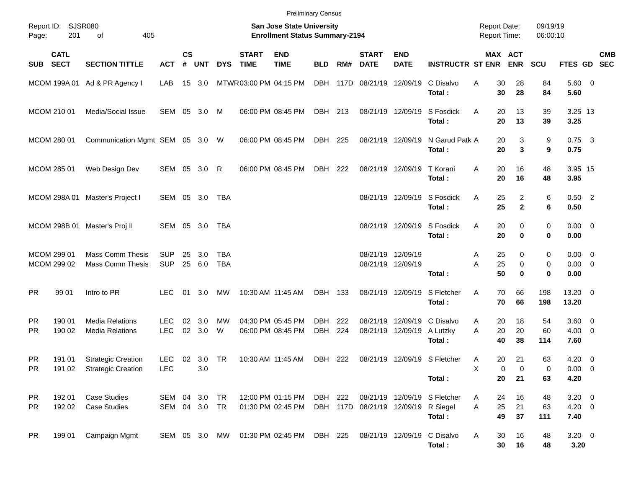|                        |                            |                                                        |                                |                    |               |                          |                             | <b>Preliminary Census</b>                                                 |                          |            |                                     |                           |                                          |                                            |                |                                |                              |                                    |            |
|------------------------|----------------------------|--------------------------------------------------------|--------------------------------|--------------------|---------------|--------------------------|-----------------------------|---------------------------------------------------------------------------|--------------------------|------------|-------------------------------------|---------------------------|------------------------------------------|--------------------------------------------|----------------|--------------------------------|------------------------------|------------------------------------|------------|
| Report ID:<br>Page:    | 201                        | SJSR080<br>405<br>оf                                   |                                |                    |               |                          |                             | <b>San Jose State University</b><br><b>Enrollment Status Summary-2194</b> |                          |            |                                     |                           |                                          | <b>Report Date:</b><br><b>Report Time:</b> |                |                                | 09/19/19<br>06:00:10         |                                    |            |
| SUB SECT               | <b>CATL</b>                | <b>SECTION TITTLE</b>                                  | <b>ACT</b>                     | $\mathsf{cs}$<br># | <b>UNT</b>    | <b>DYS</b>               | <b>START</b><br><b>TIME</b> | <b>END</b><br><b>TIME</b>                                                 | <b>BLD</b>               | RM#        | <b>START</b><br><b>DATE</b>         | <b>END</b><br><b>DATE</b> | <b>INSTRUCTR ST ENR</b>                  |                                            |                | MAX ACT<br><b>ENR</b>          | <b>SCU</b>                   | FTES GD SEC                        | <b>CMB</b> |
|                        |                            | MCOM 199A 01 Ad & PR Agency I                          | LAB                            | 15                 | 3.0           |                          | MTWR03:00 PM 04:15 PM       |                                                                           | DBH                      |            | 117D 08/21/19 12/09/19              |                           | C Disalvo<br>Total:                      | A                                          | 30<br>30       | 28<br>28                       | 84<br>84                     | 5.60 0<br>5.60                     |            |
|                        | MCOM 210 01                | Media/Social Issue                                     | SEM                            | 05                 | 3.0           | M                        |                             | 06:00 PM 08:45 PM                                                         | DBH 213                  |            |                                     | 08/21/19 12/09/19         | S Fosdick<br>Total:                      | A                                          | 20<br>20       | 13<br>13                       | 39<br>39                     | 3.25 13<br>3.25                    |            |
|                        | MCOM 280 01                | Communication Mgmt SEM 05 3.0 W                        |                                |                    |               |                          |                             | 06:00 PM 08:45 PM                                                         | DBH 225                  |            |                                     | 08/21/19 12/09/19         | N Garud Patk A<br>Total:                 |                                            | 20<br>20       | 3<br>3                         | 9<br>9                       | $0.75$ 3<br>0.75                   |            |
|                        | MCOM 285 01                | Web Design Dev                                         | SEM 05                         |                    | $3.0 \quad R$ |                          |                             | 06:00 PM 08:45 PM                                                         | DBH 222                  |            |                                     | 08/21/19 12/09/19         | T Korani<br>Total:                       | A                                          | 20<br>20       | 16<br>16                       | 48<br>48                     | 3.95 15<br>3.95                    |            |
|                        |                            | MCOM 298A 01 Master's Project I                        | SEM 05 3.0                     |                    |               | TBA                      |                             |                                                                           |                          |            |                                     |                           | 08/21/19 12/09/19 S Fosdick<br>Total:    | Α                                          | 25<br>25       | $\overline{2}$<br>$\mathbf{2}$ | 6<br>6                       | $0.50$ 2<br>0.50                   |            |
|                        |                            | MCOM 298B 01 Master's Proj II                          | SEM 05 3.0                     |                    |               | TBA                      |                             |                                                                           |                          |            |                                     |                           | 08/21/19 12/09/19 S Fosdick<br>Total:    | A                                          | 20<br>20       | 0<br>$\mathbf 0$               | $\mathbf 0$<br>0             | $0.00 \t 0$<br>0.00                |            |
|                        | MCOM 299 01<br>MCOM 299 02 | <b>Mass Comm Thesis</b><br><b>Mass Comm Thesis</b>     | <b>SUP</b><br><b>SUP</b>       | 25<br>25           | 3.0<br>6.0    | <b>TBA</b><br><b>TBA</b> |                             |                                                                           |                          |            | 08/21/19 12/09/19                   | 08/21/19 12/09/19         | Total :                                  | A<br>A                                     | 25<br>25<br>50 | 0<br>0<br>$\mathbf 0$          | 0<br>$\mathbf 0$<br>$\bf{0}$ | $0.00 \t 0$<br>$0.00 \t 0$<br>0.00 |            |
| <b>PR</b>              | 99 01                      | Intro to PR                                            | <b>LEC</b>                     | 01                 | 3.0           | <b>MW</b>                |                             | 10:30 AM 11:45 AM                                                         | DBH                      | 133        |                                     | 08/21/19 12/09/19         | S Fletcher<br>Total:                     | A                                          | 70<br>70       | 66<br>66                       | 198<br>198                   | 13.20 0<br>13.20                   |            |
| <b>PR</b><br><b>PR</b> | 190 01<br>190 02           | <b>Media Relations</b><br><b>Media Relations</b>       | <b>LEC</b><br>LEC              | 02                 | 3.0<br>02 3.0 | МW<br>W                  |                             | 04:30 PM 05:45 PM<br>06:00 PM 08:45 PM                                    | <b>DBH</b><br><b>DBH</b> | 222<br>224 | 08/21/19                            | 08/21/19 12/09/19         | 12/09/19 C Disalvo<br>A Lutzky<br>Total: | A<br>A                                     | 20<br>20<br>40 | 18<br>20<br>38                 | 54<br>60<br>114              | $3.60 \ 0$<br>$4.00 \ 0$<br>7.60   |            |
| <b>PR</b><br>PR        | 191 01                     | <b>Strategic Creation</b><br>191 02 Strategic Creation | <b>LEC</b><br>LEC              |                    | 02 3.0<br>3.0 | TR                       |                             | 10:30 AM 11:45 AM                                                         | DBH                      | 222        |                                     |                           | 08/21/19 12/09/19 S Fletcher<br>Total:   | A<br>Χ                                     | 20<br>0<br>20  | 21<br>$\pmb{0}$<br>21          | 63<br>0<br>63                | $4.20 \ 0$<br>$0.00 \t 0$<br>4.20  |            |
| <b>PR</b><br><b>PR</b> | 192 01<br>192 02           | <b>Case Studies</b><br><b>Case Studies</b>             | SEM 04 3.0 TR<br>SEM 04 3.0 TR |                    |               |                          |                             | 12:00 PM 01:15 PM<br>01:30 PM 02:45 PM                                    | DBH 222                  |            | DBH 117D 08/21/19 12/09/19 R Siegel |                           | 08/21/19 12/09/19 S Fletcher<br>Total:   | A<br>A                                     | 24<br>25<br>49 | 16<br>21<br>37                 | 48<br>63<br>111              | $3.20 \ 0$<br>$4.20 \ 0$<br>7.40   |            |
| <b>PR</b>              | 199 01                     | Campaign Mgmt                                          | SEM 05 3.0 MW                  |                    |               |                          |                             | 01:30 PM 02:45 PM                                                         | DBH 225                  |            |                                     |                           | 08/21/19 12/09/19 C Disalvo<br>Total:    | A                                          | 30<br>30       | 16<br>16                       | 48<br>48                     | $3.20 \ 0$<br>3.20                 |            |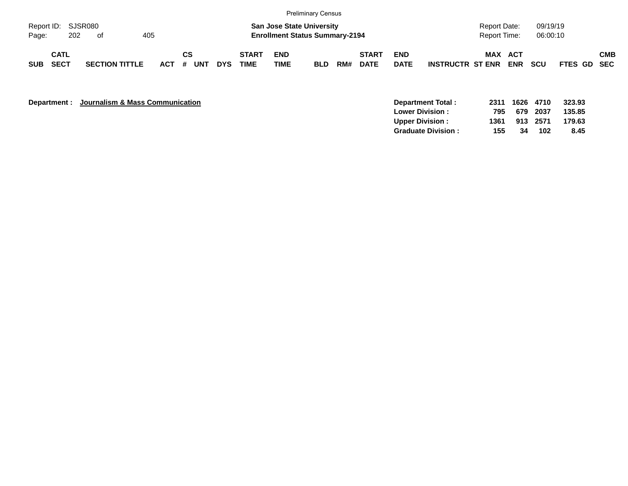|                             |                            |     |                       |     |         |    |     |            |                             |                           | Preliminary Census                                                        |     |                             |                           |                         |                                     |            |                      |                    |            |
|-----------------------------|----------------------------|-----|-----------------------|-----|---------|----|-----|------------|-----------------------------|---------------------------|---------------------------------------------------------------------------|-----|-----------------------------|---------------------------|-------------------------|-------------------------------------|------------|----------------------|--------------------|------------|
| Report ID: SJSR080<br>Page: |                            | 202 | of                    | 405 |         |    |     |            |                             |                           | <b>San Jose State University</b><br><b>Enrollment Status Summary-2194</b> |     |                             |                           |                         | <b>Report Date:</b><br>Report Time: |            | 09/19/19<br>06:00:10 |                    |            |
| <b>SUB</b>                  | <b>CATL</b><br><b>SECT</b> |     | <b>SECTION TITTLE</b> |     | $ACT$ # | CS | UNT | <b>DYS</b> | <b>START</b><br><b>TIME</b> | <b>END</b><br><b>TIME</b> | <b>BLD</b>                                                                | RM# | <b>START</b><br><b>DATE</b> | <b>END</b><br><b>DATE</b> | <b>INSTRUCTR ST ENR</b> | <b>MAX ACT</b>                      | <b>ENR</b> | <b>SCU</b>           | <b>FTES GD SEC</b> | <b>CMB</b> |

**Department : Journalism & Mass Communication** 

|      |    |     | 323.93                                 |
|------|----|-----|----------------------------------------|
| 795  |    |     | 135.85                                 |
| 1361 |    |     | 179.63                                 |
| 155. | 34 | 102 | 8.45                                   |
|      |    |     | 2311 1626 4710<br>679 2037<br>913 2571 |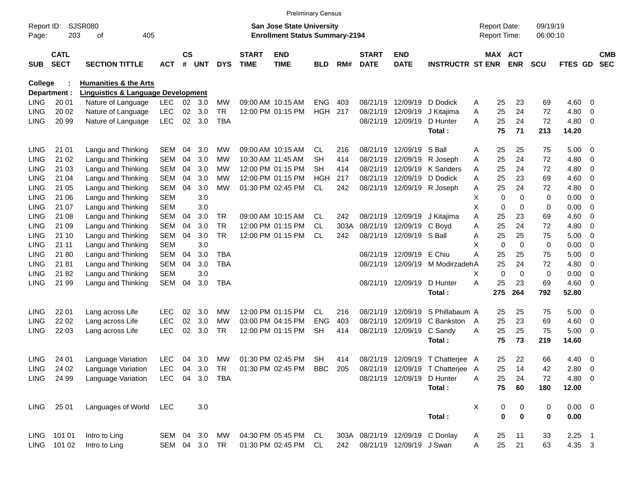|                     |                            |                                               |                |                |            |            |                             | <b>Preliminary Census</b>                                                 |            |      |                             |                                 |                                  |   |                                            |             |                      |             |                         |                          |
|---------------------|----------------------------|-----------------------------------------------|----------------|----------------|------------|------------|-----------------------------|---------------------------------------------------------------------------|------------|------|-----------------------------|---------------------------------|----------------------------------|---|--------------------------------------------|-------------|----------------------|-------------|-------------------------|--------------------------|
| Report ID:<br>Page: | 203                        | <b>SJSR080</b><br>οf<br>405                   |                |                |            |            |                             | <b>San Jose State University</b><br><b>Enrollment Status Summary-2194</b> |            |      |                             |                                 |                                  |   | <b>Report Date:</b><br><b>Report Time:</b> |             | 09/19/19<br>06:00:10 |             |                         |                          |
|                     |                            |                                               |                |                |            |            |                             |                                                                           |            |      |                             |                                 |                                  |   |                                            |             |                      |             |                         |                          |
| <b>SUB</b>          | <b>CATL</b><br><b>SECT</b> | <b>SECTION TITTLE</b>                         | АСТ            | <b>CS</b><br># | <b>UNT</b> | <b>DYS</b> | <b>START</b><br><b>TIME</b> | <b>END</b><br><b>TIME</b>                                                 | <b>BLD</b> | RM#  | <b>START</b><br><b>DATE</b> | <b>END</b><br><b>DATE</b>       | <b>INSTRUCTR ST ENR</b>          |   | MAX ACT                                    | <b>ENR</b>  | <b>SCU</b>           | FTES GD     |                         | <b>CMB</b><br><b>SEC</b> |
| <b>College</b>      |                            | <b>Humanities &amp; the Arts</b>              |                |                |            |            |                             |                                                                           |            |      |                             |                                 |                                  |   |                                            |             |                      |             |                         |                          |
|                     | Department :               | <b>Linguistics &amp; Language Development</b> |                |                |            |            |                             |                                                                           |            |      |                             |                                 |                                  |   |                                            |             |                      |             |                         |                          |
| <b>LING</b>         | 20 01                      | Nature of Language                            | <b>LEC</b>     | 02             | 3.0        | <b>MW</b>  |                             | 09:00 AM 10:15 AM                                                         | <b>ENG</b> | 403  | 08/21/19                    | 12/09/19                        | D Dodick                         | A | 25                                         | 23          | 69                   | 4.60        | 0                       |                          |
| <b>LING</b>         | 20 02                      | Nature of Language                            | <b>LEC</b>     | 02             | 3.0        | TR         |                             | 12:00 PM 01:15 PM                                                         | <b>HGH</b> | 217  | 08/21/19                    | 12/09/19                        | J Kitajima                       | Α | 25                                         | 24          | 72                   | 4.80        | 0                       |                          |
| <b>LING</b>         | 20 99                      | Nature of Language                            | <b>LEC</b>     | 02             | 3.0        | <b>TBA</b> |                             |                                                                           |            |      | 08/21/19                    | 12/09/19                        | D Hunter                         | A | 25                                         | 24          | 72                   | 4.80        | - 0                     |                          |
|                     |                            |                                               |                |                |            |            |                             |                                                                           |            |      |                             |                                 | Total:                           |   | 75                                         | 71          | 213                  | 14.20       |                         |                          |
| <b>LING</b>         | 21 01                      | Langu and Thinking                            | SEM            | 04             | 3.0        | МW         |                             | 09:00 AM 10:15 AM                                                         | <b>CL</b>  | 216  | 08/21/19                    | 12/09/19                        | S Ball                           | A | 25                                         | 25          | 75                   | 5.00        | - 0                     |                          |
| <b>LING</b>         | 21 02                      | Langu and Thinking                            | SEM            | 04             | 3.0        | МW         |                             | 10:30 AM 11:45 AM                                                         | SН         | 414  | 08/21/19                    | 12/09/19                        | R Joseph                         | A | 25                                         | 24          | 72                   | 4.80        | 0                       |                          |
| <b>LING</b>         | 21 03                      | Langu and Thinking                            | SEM            | 04             | 3.0        | МW         |                             | 12:00 PM 01:15 PM                                                         | SН         | 414  | 08/21/19                    | 12/09/19                        | K Sanders                        | A | 25                                         | 24          | 72                   | 4.80        | 0                       |                          |
| <b>LING</b>         | 21 04                      | Langu and Thinking                            | SEM            | 04             | 3.0        | МW         |                             | 12:00 PM 01:15 PM                                                         | HGH        | 217  | 08/21/19                    | 12/09/19                        | D Dodick                         | A | 25                                         | 23          | 69                   | 4.60        | 0                       |                          |
| <b>LING</b>         | 21 05                      | Langu and Thinking                            | SEM            | 04             | 3.0        | МW         |                             | 01:30 PM 02:45 PM                                                         | <b>CL</b>  | 242  | 08/21/19                    |                                 | 12/09/19 R Joseph                | A | 25                                         | 24          | 72                   | 4.80        | 0                       |                          |
| <b>LING</b>         | 21 06                      | Langu and Thinking                            | <b>SEM</b>     |                | 3.0        |            |                             |                                                                           |            |      |                             |                                 |                                  | х | 0                                          | $\mathbf 0$ | 0                    | 0.00        | 0                       |                          |
| <b>LING</b>         | 21 07                      | Langu and Thinking                            | SEM            |                | 3.0        |            |                             |                                                                           |            |      |                             |                                 |                                  | X | 0                                          | 0           | 0                    | 0.00        | 0                       |                          |
| <b>LING</b>         | 21 08                      | Langu and Thinking                            | SEM            | 04             | 3.0        | TR.        |                             | 09:00 AM 10:15 AM                                                         | CL         | 242  | 08/21/19                    | 12/09/19                        | J Kitajima                       | Α | 25                                         | 23          | 69                   | 4.60        | 0                       |                          |
| <b>LING</b>         | 21 09                      | Langu and Thinking                            | SEM            | 04             | 3.0        | <b>TR</b>  |                             | 12:00 PM 01:15 PM                                                         | <b>CL</b>  | 303A | 08/21/19                    | 12/09/19                        | C Boyd                           | Α | 25                                         | 24          | 72                   | 4.80        | 0                       |                          |
| <b>LING</b>         | 21 10                      | Langu and Thinking                            | SEM            | 04             | 3.0        | <b>TR</b>  |                             | 12:00 PM 01:15 PM                                                         | CL         | 242  | 08/21/19                    | 12/09/19 S Ball                 |                                  | A | 25                                         | 25          | 75                   | 5.00        | 0                       |                          |
| <b>LING</b>         | 21 11                      | Langu and Thinking                            | <b>SEM</b>     |                | 3.0        |            |                             |                                                                           |            |      |                             |                                 |                                  | X | $\mathbf 0$                                | $\mathbf 0$ | 0                    | 0.00        | 0                       |                          |
| <b>LING</b>         | 2180                       | Langu and Thinking                            | SEM            | 04             | 3.0        | <b>TBA</b> |                             |                                                                           |            |      | 08/21/19                    | 12/09/19 E Chiu                 |                                  | Α | 25                                         | 25          | 75                   | 5.00        | 0                       |                          |
| <b>LING</b>         | 2181                       | Langu and Thinking                            | SEM            | 04             | 3.0        | <b>TBA</b> |                             |                                                                           |            |      | 08/21/19                    |                                 | 12/09/19 M ModirzadehA           |   | 25                                         | 24          | 72                   | 4.80        | 0                       |                          |
| <b>LING</b>         | 2182                       | Langu and Thinking                            | <b>SEM</b>     |                | 3.0        |            |                             |                                                                           |            |      |                             |                                 |                                  | Χ | $\Omega$                                   | $\mathbf 0$ | 0                    | 0.00        | 0                       |                          |
| <b>LING</b>         | 21 99                      | Langu and Thinking                            | SEM            | 04             | 3.0        | <b>TBA</b> |                             |                                                                           |            |      |                             | 08/21/19 12/09/19               | D Hunter                         | A | 25                                         | 23          | 69                   | 4.60        | - 0                     |                          |
|                     |                            |                                               |                |                |            |            |                             |                                                                           |            |      |                             |                                 | Total:                           |   | 275                                        | 264         | 792                  | 52.80       |                         |                          |
| <b>LING</b>         | 22 01                      | Lang across Life                              | LEC.           | 02             | 3.0        | МW         |                             | 12:00 PM 01:15 PM                                                         | CL.        | 216  | 08/21/19                    | 12/09/19                        | S Phillabaum A                   |   | 25                                         | 25          | 75                   | 5.00        | $\overline{\mathbf{0}}$ |                          |
| <b>LING</b>         | 22 02                      | Lang across Life                              | <b>LEC</b>     | 02             | 3.0        | МW         |                             | 03:00 PM 04:15 PM                                                         | <b>ENG</b> | 403  | 08/21/19                    | 12/09/19                        | C Bankston                       | A | 25                                         | 23          | 69                   | 4.60        | 0                       |                          |
| <b>LING</b>         | 22 03                      | Lang across Life                              | <b>LEC</b>     | 02             | 3.0        | TR         |                             | 12:00 PM 01:15 PM                                                         | <b>SH</b>  | 414  | 08/21/19                    | 12/09/19                        | C Sandy                          | A | 25                                         | 25          | 75                   | 5.00        | - 0                     |                          |
|                     |                            |                                               |                |                |            |            |                             |                                                                           |            |      |                             |                                 | Total:                           |   | 75                                         | 73          | 219                  | 14.60       |                         |                          |
| <b>LING</b>         | 24 01                      | Language Variation                            | <b>LEC</b>     | 04             | 3.0        | MW         |                             | 01:30 PM 02:45 PM                                                         | <b>SH</b>  | 414  | 08/21/19                    |                                 | 12/09/19 T Chatterjee A          |   | 25                                         | 22          | 66                   | 4.40        | $\overline{\mathbf{0}}$ |                          |
| <b>LING</b>         | 24 02                      | Language Variation                            | <b>LEC</b>     |                | 04 3.0 TR  |            |                             | 01:30 PM 02:45 PM BBC 205                                                 |            |      |                             |                                 | 08/21/19 12/09/19 T Chatterjee A |   | 25                                         | 14          | 42                   | 2.80 0      |                         |                          |
| <b>LING</b>         | 24 99                      | Language Variation                            | LEC 04 3.0 TBA |                |            |            |                             |                                                                           |            |      |                             | 08/21/19 12/09/19 D Hunter      |                                  | Α | 25                                         | 24          | 72                   | 4.80 0      |                         |                          |
|                     |                            |                                               |                |                |            |            |                             |                                                                           |            |      |                             |                                 | Total:                           |   | 75                                         | 60          | 180                  | 12.00       |                         |                          |
| LING                | 25 01                      | Languages of World                            | LEC            |                | 3.0        |            |                             |                                                                           |            |      |                             |                                 |                                  | X | 0                                          | 0           | 0                    | $0.00 \t 0$ |                         |                          |
|                     |                            |                                               |                |                |            |            |                             |                                                                           |            |      |                             |                                 | Total:                           |   | 0                                          | $\bf{0}$    | 0                    | 0.00        |                         |                          |
|                     | LING 101 01                | Intro to Ling                                 | SEM 04 3.0     |                |            | MW         |                             | 04:30 PM 05:45 PM CL                                                      |            |      |                             | 303A 08/21/19 12/09/19 C Donlay |                                  | A | 25                                         | 11          | 33                   | $2.25$ 1    |                         |                          |
|                     | LING 101 02                | Intro to Ling                                 | SEM 04 3.0 TR  |                |            |            |                             | 01:30 PM 02:45 PM CL                                                      |            | 242  |                             | 08/21/19 12/09/19 J Swan        |                                  | A | 25                                         | 21          | 63                   | 4.35 3      |                         |                          |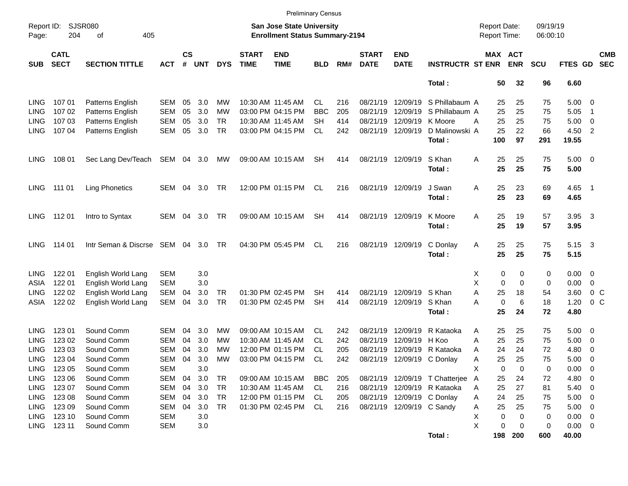|                     |                            |                             |            |                |            |            |                             | <b>Preliminary Census</b>                                                 |            |     |                             |                           |                                                               |                                            |                              |                      |                     |                            |                          |
|---------------------|----------------------------|-----------------------------|------------|----------------|------------|------------|-----------------------------|---------------------------------------------------------------------------|------------|-----|-----------------------------|---------------------------|---------------------------------------------------------------|--------------------------------------------|------------------------------|----------------------|---------------------|----------------------------|--------------------------|
| Report ID:<br>Page: | 204                        | SJSR080<br>405<br>οf        |            |                |            |            |                             | <b>San Jose State University</b><br><b>Enrollment Status Summary-2194</b> |            |     |                             |                           |                                                               | <b>Report Date:</b><br><b>Report Time:</b> |                              | 09/19/19<br>06:00:10 |                     |                            |                          |
| <b>SUB</b>          | <b>CATL</b><br><b>SECT</b> | <b>SECTION TITTLE</b>       | <b>ACT</b> | <b>CS</b><br># | <b>UNT</b> | <b>DYS</b> | <b>START</b><br><b>TIME</b> | <b>END</b><br><b>TIME</b>                                                 | <b>BLD</b> | RM# | <b>START</b><br><b>DATE</b> | <b>END</b><br><b>DATE</b> | <b>INSTRUCTR ST ENR</b>                                       |                                            | <b>MAX ACT</b><br><b>ENR</b> | <b>SCU</b>           | FTES GD             |                            | <b>CMB</b><br><b>SEC</b> |
|                     |                            |                             |            |                |            |            |                             |                                                                           |            |     |                             |                           | Total:                                                        |                                            | 50<br>32                     | 96                   | 6.60                |                            |                          |
| LING                | 107 01                     | Patterns English            | SEM        | 05             | 3.0        | МW         |                             | 10:30 AM 11:45 AM                                                         | CL.        | 216 | 08/21/19                    | 12/09/19                  | S Phillabaum A                                                |                                            | 25<br>25                     | 75                   | $5.00 \ 0$          |                            |                          |
| <b>LING</b>         | 107 02                     | Patterns English            | <b>SEM</b> | 05             | 3.0        | МW         |                             | 03:00 PM 04:15 PM                                                         | <b>BBC</b> | 205 | 08/21/19                    | 12/09/19                  | S Phillabaum A                                                |                                            | 25<br>25                     | 75                   | 5.05                | $\overline{1}$             |                          |
| LING                | 107 03                     | Patterns English            | <b>SEM</b> | 05             | 3.0        | TR         |                             | 10:30 AM 11:45 AM                                                         | SН         | 414 | 08/21/19                    | 12/09/19                  | K Moore                                                       | А                                          | 25<br>25                     | 75                   | 5.00                | $\overline{\mathbf{0}}$    |                          |
| <b>LING</b>         | 10704                      | Patterns English            | SEM        | 05             | 3.0        | TR         |                             | 03:00 PM 04:15 PM                                                         | <b>CL</b>  | 242 | 08/21/19 12/09/19           |                           | D Malinowski A                                                |                                            | 25<br>22                     | 66                   | 4.50                | $\overline{\phantom{0}}^2$ |                          |
|                     |                            |                             |            |                |            |            |                             |                                                                           |            |     |                             |                           | Total:                                                        | 100                                        | 97                           | 291                  | 19.55               |                            |                          |
| LING                | 108 01                     | Sec Lang Dev/Teach          | SEM 04 3.0 |                |            | МW         |                             | 09:00 AM 10:15 AM                                                         | <b>SH</b>  | 414 |                             | 08/21/19 12/09/19         | S Khan<br>Total:                                              | Α                                          | 25<br>25<br>25<br>25         | 75<br>75             | $5.00 \t 0$<br>5.00 |                            |                          |
| <b>LING</b>         | 111 01                     | <b>Ling Phonetics</b>       | SEM 04     |                | 3.0        | TR         |                             | 12:00 PM 01:15 PM                                                         | CL         | 216 | 08/21/19 12/09/19           |                           | J Swan<br>Total:                                              | Α                                          | 25<br>23<br>25<br>23         | 69<br>69             | $4.65$ 1<br>4.65    |                            |                          |
| <b>LING</b>         | 11201                      | Intro to Syntax             | SEM        | 04             | 3.0        | TR         |                             | 09:00 AM 10:15 AM                                                         | <b>SH</b>  | 414 | 08/21/19 12/09/19           |                           | K Moore<br>Total:                                             | Α                                          | 25<br>19<br>25<br>19         | 57<br>57             | 3.95<br>3.95        | $\overline{\mathbf{3}}$    |                          |
| <b>LING</b>         | 114 01                     | Intr Seman & Discrse SEM 04 |            |                | 3.0        | TR         |                             | 04:30 PM 05:45 PM                                                         | CL         | 216 |                             | 08/21/19 12/09/19         | C Donlay<br>Total:                                            | A                                          | 25<br>25<br>25<br>25         | 75<br>75             | 5.15 3<br>5.15      |                            |                          |
| LING                | 122 01                     | English World Lang          | <b>SEM</b> |                | 3.0        |            |                             |                                                                           |            |     |                             |                           |                                                               | X                                          | 0<br>0                       | 0                    | $0.00 \t 0$         |                            |                          |
| ASIA                | 122 01                     | English World Lang          | <b>SEM</b> |                | 3.0        |            |                             |                                                                           |            |     |                             |                           |                                                               | X                                          | 0<br>0                       | 0                    | 0.00                | - 0                        |                          |
| LING                | 122 02                     | English World Lang          | <b>SEM</b> | 04             | 3.0        | TR         |                             | 01:30 PM 02:45 PM                                                         | SН         | 414 |                             | 08/21/19 12/09/19         | S Khan                                                        | Α                                          | 18<br>25                     | 54                   | 3.60                | 0 <sup>o</sup>             |                          |
| ASIA                | 122 02                     | English World Lang          | SEM        | 04             | 3.0        | TR         |                             | 01:30 PM 02:45 PM                                                         | <b>SH</b>  | 414 |                             | 08/21/19 12/09/19         | S Khan                                                        | А                                          | 0<br>6                       | 18                   | 1.20                | 0 <sup>o</sup>             |                          |
|                     |                            |                             |            |                |            |            |                             |                                                                           |            |     |                             |                           | Total:                                                        |                                            | 25<br>24                     | 72                   | 4.80                |                            |                          |
| LING                | 123 01                     | Sound Comm                  | SEM        | 04             | 3.0        | MW         |                             | 09:00 AM 10:15 AM                                                         | CL.        | 242 | 08/21/19                    | 12/09/19                  | R Kataoka                                                     | Α                                          | 25<br>25                     | 75                   | $5.00 \ 0$          |                            |                          |
| LING                | 123 02                     | Sound Comm                  | <b>SEM</b> | 04             | 3.0        | MW         | 10:30 AM 11:45 AM           |                                                                           | CL.        | 242 | 08/21/19                    | 12/09/19                  | H Koo                                                         | Α                                          | 25<br>25                     | 75                   | 5.00                | $\overline{\phantom{0}}$   |                          |
| LING                | 123 03                     | Sound Comm                  | <b>SEM</b> | 04             | 3.0        | МW         |                             | 12:00 PM 01:15 PM                                                         | CL.        | 205 | 08/21/19                    | 12/09/19                  | R Kataoka                                                     | A                                          | 24<br>24                     | 72                   | 4.80                | - 0                        |                          |
| <b>LING</b>         | 123 04                     | Sound Comm                  | SEM        | 04             | 3.0        | MW         |                             | 03:00 PM 04:15 PM                                                         | <b>CL</b>  | 242 |                             |                           | 08/21/19 12/09/19 C Donlay                                    | Α                                          | 25<br>25                     | 75                   | 5.00                | $\overline{\phantom{0}}$   |                          |
| LING                | 123 05                     | Sound Comm                  | <b>SEM</b> |                | 3.0        |            |                             |                                                                           |            |     |                             |                           |                                                               | X                                          | 0<br>0                       | 0                    | 0.00                | $\overline{\phantom{0}}$   |                          |
|                     | 123 06                     | Sound Comm                  | SEM        |                | 3.0        |            |                             |                                                                           |            |     |                             |                           |                                                               |                                            |                              |                      | 4.80                |                            |                          |
| <b>LING</b>         | 123 07                     | Sound Comm                  | SEM        | 04             | 3.0        | TR<br>TR   |                             | 09:00 AM 10:15 AM                                                         | BBC<br>CL  | 205 |                             |                           | 08/21/19 12/09/19 T Chatterjee<br>08/21/19 12/09/19 R Kataoka | $\mathsf{A}$                               | 24<br>25                     | 72                   | $5.40 \ 0$          | $\overline{\phantom{0}}$   |                          |
| LING                |                            |                             |            | 04             |            |            |                             | 10:30 AM 11:45 AM                                                         |            | 216 |                             |                           |                                                               | A                                          | 25<br>27                     | 81                   |                     |                            |                          |
| LING                | 123 08                     | Sound Comm                  | SEM        | 04             | 3.0        | TR         |                             | 12:00 PM 01:15 PM                                                         | CL         | 205 |                             |                           | 08/21/19 12/09/19 C Donlay                                    | A                                          | 24<br>25                     | 75                   | $5.00 \t 0$         |                            |                          |
| LING                | 123 09                     | Sound Comm                  | SEM        | 04             | 3.0        | TR         |                             | 01:30 PM 02:45 PM                                                         | CL         | 216 |                             | 08/21/19 12/09/19 C Sandy |                                                               | Α                                          | 25<br>25                     | 75                   | $5.00 \t 0$         |                            |                          |
| LING                | 123 10                     | Sound Comm                  | <b>SEM</b> |                | 3.0        |            |                             |                                                                           |            |     |                             |                           |                                                               | Х                                          | 0<br>0                       | 0                    | $0.00 \t 0$         |                            |                          |
| LING                | 123 11                     | Sound Comm                  | <b>SEM</b> |                | 3.0        |            |                             |                                                                           |            |     |                             |                           |                                                               | X                                          | 0<br>0                       | 0                    | $0.00 \t 0$         |                            |                          |
|                     |                            |                             |            |                |            |            |                             |                                                                           |            |     |                             |                           | Total:                                                        |                                            | 198<br>200                   | 600                  | 40.00               |                            |                          |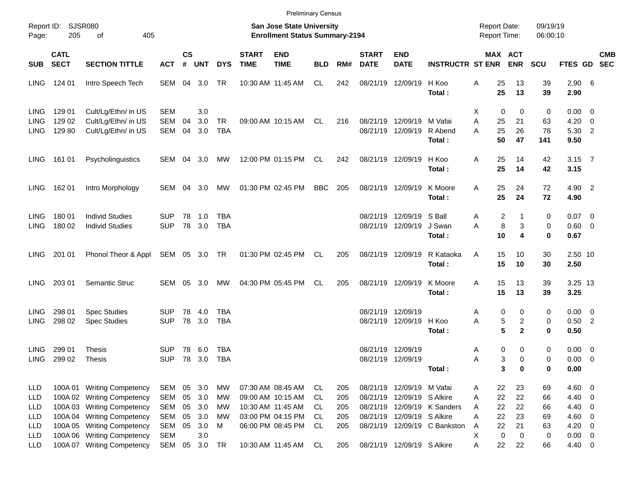|                                        |                                         |                                                                                                                  |                                        |                    |                             |                         |                             |                                                                                  | <b>Preliminary Census</b>   |                          |                             |                                                                              |                              |                                          |                                       |                      |                                       |                                                                                  |            |
|----------------------------------------|-----------------------------------------|------------------------------------------------------------------------------------------------------------------|----------------------------------------|--------------------|-----------------------------|-------------------------|-----------------------------|----------------------------------------------------------------------------------|-----------------------------|--------------------------|-----------------------------|------------------------------------------------------------------------------|------------------------------|------------------------------------------|---------------------------------------|----------------------|---------------------------------------|----------------------------------------------------------------------------------|------------|
| Page:                                  | Report ID: SJSR080<br>205               | 405<br>оf                                                                                                        |                                        |                    |                             |                         |                             | <b>San Jose State University</b><br><b>Enrollment Status Summary-2194</b>        |                             |                          |                             |                                                                              |                              | <b>Report Date:</b><br>Report Time:      |                                       | 09/19/19<br>06:00:10 |                                       |                                                                                  |            |
| <b>SUB</b>                             | <b>CATL</b><br><b>SECT</b>              | <b>SECTION TITTLE</b>                                                                                            | <b>ACT</b>                             | $\mathsf{cs}$<br># | <b>UNT</b>                  | <b>DYS</b>              | <b>START</b><br><b>TIME</b> | <b>END</b><br><b>TIME</b>                                                        | <b>BLD</b>                  | RM#                      | <b>START</b><br><b>DATE</b> | <b>END</b><br><b>DATE</b>                                                    | <b>INSTRUCTR ST ENR</b>      |                                          | MAX ACT<br><b>ENR</b>                 | <b>SCU</b>           | FTES GD SEC                           |                                                                                  | <b>CMB</b> |
| LING.                                  | 124 01                                  | Intro Speech Tech                                                                                                | SEM                                    | 04                 | 3.0                         | TR                      |                             | 10:30 AM 11:45 AM                                                                | CL                          | 242                      |                             | 08/21/19 12/09/19                                                            | H Koo<br>Total:              | Α<br>25<br>25                            | 13<br>13                              | 39<br>39             | 2.906<br>2.90                         |                                                                                  |            |
| <b>LING</b><br><b>LING</b><br>LING.    | 129 01<br>129 02<br>129 80              | Cult/Lg/Ethn/ in US<br>Cult/Lg/Ethn/ in US<br>Cult/Lg/Ethn/ in US                                                | <b>SEM</b><br><b>SEM</b><br><b>SEM</b> | 04<br>04           | 3.0<br>3.0<br>3.0           | <b>TR</b><br><b>TBA</b> |                             | 09:00 AM 10:15 AM                                                                | CL                          | 216                      |                             | 08/21/19 12/09/19<br>08/21/19 12/09/19                                       | M Vafai<br>R Abend<br>Total: | х<br>A<br>25<br>25<br>A<br>50            | $\mathbf 0$<br>0<br>21<br>26<br>47    | 0<br>63<br>78<br>141 | $0.00 \t 0$<br>4.20<br>5.30 2<br>9.50 | $\overline{\phantom{0}}$                                                         |            |
| LING.                                  | 161 01                                  | Psycholinguistics                                                                                                | SEM                                    | 04                 | 3.0                         | МW                      |                             | 12:00 PM 01:15 PM                                                                | CL                          | 242                      |                             | 08/21/19 12/09/19                                                            | H Koo<br>Total:              | Α<br>25<br>25                            | 14<br>14                              | 42<br>42             | $3.15$ 7<br>3.15                      |                                                                                  |            |
| LING.                                  | 162 01                                  | Intro Morphology                                                                                                 | SEM                                    | 04                 | 3.0                         | MW                      |                             | 01:30 PM 02:45 PM                                                                | <b>BBC</b>                  | 205                      |                             | 08/21/19 12/09/19                                                            | K Moore<br>Total:            | Α<br>25<br>25                            | 24<br>24                              | 72<br>72             | 4.90 2<br>4.90                        |                                                                                  |            |
| <b>LING</b><br><b>LING</b>             | 180 01<br>180 02                        | <b>Individ Studies</b><br><b>Individ Studies</b>                                                                 | <b>SUP</b><br><b>SUP</b>               | 78                 | 1.0<br>78 3.0               | TBA<br><b>TBA</b>       |                             |                                                                                  |                             |                          | 08/21/19                    | 12/09/19<br>08/21/19 12/09/19                                                | S Ball<br>J Swan<br>Total:   | Α<br>A<br>10                             | 2<br>8<br>3<br>4                      | 0<br>0<br>0          | $0.07$ 0<br>$0.60 \quad 0$<br>0.67    |                                                                                  |            |
| LING.                                  | 201 01                                  | Phonol Theor & Appl                                                                                              | SEM 05 3.0 TR                          |                    |                             |                         |                             | 01:30 PM 02:45 PM                                                                | CL                          | 205                      |                             | 08/21/19 12/09/19                                                            | R Kataoka<br>Total:          | 15<br>A<br>15                            | 10<br>10                              | 30<br>30             | 2.50 10<br>2.50                       |                                                                                  |            |
| <b>LING</b>                            | 203 01                                  | Semantic Struc                                                                                                   | SEM                                    | 05                 | 3.0                         | МW                      |                             | 04:30 PM 05:45 PM                                                                | CL                          | 205                      |                             | 08/21/19 12/09/19                                                            | K Moore<br>Total:            | 15<br>A<br>15                            | 13<br>13                              | 39<br>39             | 3.25 13<br>3.25                       |                                                                                  |            |
| <b>LING</b><br><b>LING</b>             | 298 01<br>298 02                        | <b>Spec Studies</b><br><b>Spec Studies</b>                                                                       | <b>SUP</b><br><b>SUP</b>               | 78                 | 4.0<br>78 3.0               | TBA<br><b>TBA</b>       |                             |                                                                                  |                             |                          | 08/21/19                    | 12/09/19<br>08/21/19 12/09/19                                                | H Koo<br>Total:              | Α<br>Α                                   | 0<br>0<br>5<br>2<br>5<br>$\mathbf{2}$ | 0<br>0<br>0          | $0.00 \t 0$<br>$0.50$ 2<br>0.50       |                                                                                  |            |
| <b>LING</b><br>LING                    | 299 01<br>299 02                        | Thesis<br><b>Thesis</b>                                                                                          | <b>SUP</b><br><b>SUP</b>               | 78                 | 6.0<br>78 3.0               | TBA<br>TBA              |                             |                                                                                  |                             |                          | 08/21/19                    | 12/09/19<br>08/21/19 12/09/19                                                | Total :                      | Α<br>Α                                   | 0<br>0<br>3<br>$\Omega$<br>3<br>0     | 0<br>0<br>0          | $0.00 \quad 0$<br>$0.00 \t 0$<br>0.00 |                                                                                  |            |
| <b>LLD</b><br>LLD<br><b>LLD</b><br>LLD | 100A 01<br>100A 02<br>100A03<br>100A 04 | <b>Writing Competency</b><br><b>Writing Competency</b><br><b>Writing Competency</b><br><b>Writing Competency</b> | SEM<br>SEM<br>SEM<br>SEM               | 05<br>05<br>05     | 05 3.0<br>3.0<br>3.0<br>3.0 | МW<br>MW<br>MW<br>МW    |                             | 07:30 AM 08:45 AM<br>09:00 AM 10:15 AM<br>10:30 AM 11:45 AM<br>03:00 PM 04:15 PM | CL<br>CL<br>CL<br><b>CL</b> | 205<br>205<br>205<br>205 | 08/21/19                    | 08/21/19 12/09/19 M Vafai<br>08/21/19 12/09/19 S Alkire<br>12/09/19 S Alkire | 08/21/19 12/09/19 K Sanders  | 22<br>Α<br>22<br>Α<br>22<br>Α<br>22<br>Α | 23<br>22<br>22<br>23                  | 69<br>66<br>66<br>69 | $4.60$ 0<br>4.40<br>4.40<br>4.60      | $\overline{\phantom{0}}$<br>$\overline{\phantom{0}}$<br>$\overline{\phantom{0}}$ |            |
| <b>LLD</b><br><b>LLD</b><br><b>LLD</b> | 100A 05<br>100A06                       | <b>Writing Competency</b><br><b>Writing Competency</b><br>100A 07 Writing Competency                             | SEM<br><b>SEM</b><br>SEM               | 05<br>05           | 3.0<br>3.0<br>3.0           | M<br>TR                 |                             | 06:00 PM 08:45 PM<br>10:30 AM 11:45 AM                                           | CL<br><b>CL</b>             | 205<br>205               |                             | 08/21/19 12/09/19 S Alkire                                                   | 08/21/19 12/09/19 C Bankston | 22<br>Α<br>Χ<br>22<br>Α                  | 21<br>0<br>$\mathbf 0$<br>22          | 63<br>0<br>66        | 4.20<br>$0.00 \t 0$<br>4.40 0         | $\overline{\phantom{0}}$                                                         |            |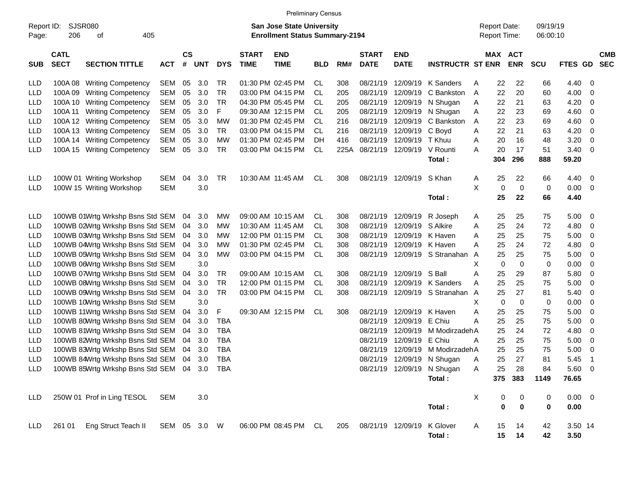|                     |                            |                                             |              |                    |            |            |                             | <b>Preliminary Census</b>                                                 |            |     |                             |                           |                            |   |                                            |                  |                      |             |                          |                          |
|---------------------|----------------------------|---------------------------------------------|--------------|--------------------|------------|------------|-----------------------------|---------------------------------------------------------------------------|------------|-----|-----------------------------|---------------------------|----------------------------|---|--------------------------------------------|------------------|----------------------|-------------|--------------------------|--------------------------|
| Report ID:<br>Page: | 206                        | SJSR080<br>405<br>оf                        |              |                    |            |            |                             | <b>San Jose State University</b><br><b>Enrollment Status Summary-2194</b> |            |     |                             |                           |                            |   | <b>Report Date:</b><br><b>Report Time:</b> |                  | 09/19/19<br>06:00:10 |             |                          |                          |
| <b>SUB</b>          | <b>CATL</b><br><b>SECT</b> | <b>SECTION TITTLE</b>                       | <b>ACT</b>   | $\mathsf{cs}$<br># | <b>UNT</b> | <b>DYS</b> | <b>START</b><br><b>TIME</b> | <b>END</b><br><b>TIME</b>                                                 | <b>BLD</b> | RM# | <b>START</b><br><b>DATE</b> | <b>END</b><br><b>DATE</b> | <b>INSTRUCTR ST ENR</b>    |   | MAX ACT                                    | <b>ENR</b>       | <b>SCU</b>           | FTES GD     |                          | <b>CMB</b><br><b>SEC</b> |
| <b>LLD</b>          |                            | 100A 08 Writing Competency                  | <b>SEM</b>   | 05                 | 3.0        | TR         |                             | 01:30 PM 02:45 PM                                                         | CL.        | 308 | 08/21/19                    | 12/09/19                  | K Sanders                  | A | 22                                         | 22               | 66                   | 4.40        | -0                       |                          |
| LLD                 | 100A 09                    | <b>Writing Competency</b>                   | <b>SEM</b>   | 05                 | 3.0        | <b>TR</b>  |                             | 03:00 PM 04:15 PM                                                         | CL.        | 205 | 08/21/19                    | 12/09/19                  | C Bankston                 | Α | 22                                         | 20               | 60                   | 4.00        | 0                        |                          |
| LLD                 | 100A 10                    | <b>Writing Competency</b>                   | <b>SEM</b>   | 05                 | 3.0        | <b>TR</b>  |                             | 04:30 PM 05:45 PM                                                         | CL         | 205 | 08/21/19                    | 12/09/19                  | N Shugan                   | Α | 22                                         | 21               | 63                   | 4.20        | 0                        |                          |
| LLD                 | 100A 11                    | <b>Writing Competency</b>                   | <b>SEM</b>   | 05                 | 3.0        | F          |                             | 09:30 AM 12:15 PM                                                         | CL         | 205 | 08/21/19                    | 12/09/19                  | N Shugan                   | Α | 22                                         | 23               | 69                   | 4.60        | 0                        |                          |
| <b>LLD</b>          | 100A 12                    | <b>Writing Competency</b>                   | <b>SEM</b>   | 05                 | 3.0        | <b>MW</b>  |                             | 01:30 PM 02:45 PM                                                         | CL.        | 216 | 08/21/19                    | 12/09/19                  | C Bankston                 | A | 22                                         | 23               | 69                   | 4.60        | 0                        |                          |
| LLD                 | 100A 13                    | <b>Writing Competency</b>                   | <b>SEM</b>   | 05                 | 3.0        | <b>TR</b>  |                             | 03:00 PM 04:15 PM                                                         | CL.        | 216 | 08/21/19                    | 12/09/19                  | C Boyd                     | A | 22                                         | 21               | 63                   | 4.20        | 0                        |                          |
| LLD                 | 100A 14                    | <b>Writing Competency</b>                   | <b>SEM</b>   | 05                 | 3.0        | <b>MW</b>  |                             | 01:30 PM 02:45 PM                                                         | DН         | 416 | 08/21/19                    | 12/09/19                  | T Khuu                     | Α | 20                                         | 16               | 48                   | 3.20        | 0                        |                          |
| LLD                 | 100A 15                    | <b>Writing Competency</b>                   | <b>SEM</b>   | 05                 | 3.0        | <b>TR</b>  |                             | 03:00 PM 04:15 PM                                                         | CL         |     | 225A 08/21/19               | 12/09/19                  | V Rounti                   | Α | 20                                         | 17               | 51                   | 3.40        | 0                        |                          |
|                     |                            |                                             |              |                    |            |            |                             |                                                                           |            |     |                             |                           | Total:                     |   | 304                                        | 296              | 888                  | 59.20       |                          |                          |
| <b>LLD</b>          |                            | 100W 01 Writing Workshop                    | <b>SEM</b>   | 04                 | 3.0        | <b>TR</b>  |                             | 10:30 AM 11:45 AM                                                         | CL         | 308 | 08/21/19                    | 12/09/19                  | S Khan                     | A | 25                                         | 22               | 66                   | 4.40        | - 0                      |                          |
| LLD                 |                            | 100W 15 Writing Workshop                    | <b>SEM</b>   |                    | 3.0        |            |                             |                                                                           |            |     |                             |                           |                            | X | 0                                          | $\mathbf 0$      | 0                    | 0.00        | - 0                      |                          |
|                     |                            |                                             |              |                    |            |            |                             |                                                                           |            |     |                             |                           | Total:                     |   | 25                                         | 22               | 66                   | 4.40        |                          |                          |
| <b>LLD</b>          |                            | 100WB 01Wrtg Wrkshp Bsns Std SEM            |              | 04                 | 3.0        | <b>MW</b>  |                             | 09:00 AM 10:15 AM                                                         | CL.        | 308 | 08/21/19                    | 12/09/19                  | R Joseph                   | A | 25                                         | 25               | 75                   | 5.00        | 0                        |                          |
| <b>LLD</b>          |                            | 100WB 02Wrtg Wrkshp Bsns Std SEM            |              | 04                 | 3.0        | <b>MW</b>  |                             | 10:30 AM 11:45 AM                                                         | CL.        | 308 | 08/21/19                    | 12/09/19                  | S Alkire                   | A | 25                                         | 24               | 72                   | 4.80        | 0                        |                          |
| LLD                 |                            | 100WB 03Wrtg Wrkshp Bsns Std SEM            |              | 04                 | 3.0        | <b>MW</b>  |                             | 12:00 PM 01:15 PM                                                         | CL         | 308 | 08/21/19                    | 12/09/19                  | K Haven                    | Α | 25                                         | 25               | 75                   | 5.00        | 0                        |                          |
| <b>LLD</b>          |                            | 100WB 04Wrtg Wrkshp Bsns Std SEM            |              | 04                 | 3.0        | <b>MW</b>  |                             | 01:30 PM 02:45 PM                                                         | CL.        | 308 | 08/21/19                    | 12/09/19                  | K Haven                    | А | 25                                         | 24               | 72                   | 4.80        | 0                        |                          |
| <b>LLD</b>          |                            | 100WB 05Wrtg Wrkshp Bsns Std SEM            |              | 04                 | 3.0        | <b>MW</b>  |                             | 03:00 PM 04:15 PM                                                         | CL         | 308 | 08/21/19                    |                           | 12/09/19 S Stranahan A     |   | 25                                         | 25               | 75                   | 5.00        | 0                        |                          |
| <b>LLD</b>          |                            | 100WB 06Wrtg Wrkshp Bsns Std SEM            |              |                    | 3.0        |            |                             |                                                                           |            |     |                             |                           |                            | Х | 0                                          | $\mathbf 0$      | 0                    | 0.00        | 0                        |                          |
| <b>LLD</b>          |                            | 100WB 07Wrtg Wrkshp Bsns Std SEM            |              | 04                 | 3.0        | TR         |                             | 09:00 AM 10:15 AM                                                         | CL.        | 308 | 08/21/19                    | 12/09/19                  | S Ball                     | Α | 25                                         | 29               | 87                   | 5.80        | 0                        |                          |
| <b>LLD</b>          |                            | 100WB 08Wrtg Wrkshp Bsns Std SEM            |              | 04                 | 3.0        | <b>TR</b>  |                             | 12:00 PM 01:15 PM                                                         | CL         | 308 | 08/21/19                    | 12/09/19                  | <b>K</b> Sanders           | Α | 25                                         | 25               | 75                   | 5.00        | 0                        |                          |
| <b>LLD</b>          |                            | 100WB 09Wrtg Wrkshp Bsns Std SEM            |              | 04                 | 3.0        | <b>TR</b>  |                             | 03:00 PM 04:15 PM                                                         | CL         | 308 | 08/21/19                    |                           | 12/09/19 S Stranahan A     |   | 25                                         | 27               | 81                   | 5.40        | 0                        |                          |
| <b>LLD</b>          |                            | 100WB 10Wrtg Wrkshp Bsns Std SEM            |              |                    | 3.0        |            |                             |                                                                           |            |     |                             |                           |                            | Х | 0                                          | $\mathbf 0$      | 0                    | 0.00        | 0                        |                          |
| <b>LLD</b>          |                            | 100WB 11Wrtg Wrkshp Bsns Std SEM            |              | 04                 | 3.0        | F          |                             | 09:30 AM 12:15 PM                                                         | CL.        | 308 | 08/21/19                    | 12/09/19                  | K Haven                    | Α | 25                                         | 25               | 75                   | 5.00        | 0                        |                          |
| <b>LLD</b>          |                            | 100WB 80Wrtg Wrkshp Bsns Std SEM            |              | 04                 | 3.0        | <b>TBA</b> |                             |                                                                           |            |     | 08/21/19                    | 12/09/19                  | E Chiu                     | А | 25                                         | 25               | 75                   | 5.00        | 0                        |                          |
| <b>LLD</b>          |                            | 100WB 81Wrtg Wrkshp Bsns Std SEM            |              | 04                 | 3.0        | <b>TBA</b> |                             |                                                                           |            |     | 08/21/19                    | 12/09/19                  | M ModirzadehA              |   | 25                                         | 24               | 72                   | 4.80        | 0                        |                          |
| <b>LLD</b>          |                            | 100WB 82Wrtg Wrkshp Bsns Std SEM            |              | 04                 | 3.0        | <b>TBA</b> |                             |                                                                           |            |     | 08/21/19                    | 12/09/19                  | E Chiu                     | A | 25                                         | 25               | 75                   | 5.00        | 0                        |                          |
| <b>LLD</b>          |                            | 100WB 83Wrtg Wrkshp Bsns Std SEM            |              | 04                 | 3.0        | <b>TBA</b> |                             |                                                                           |            |     | 08/21/19                    | 12/09/19                  | M ModirzadehA              |   | 25                                         | 25               | 75                   | 5.00        | 0                        |                          |
| <b>LLD</b>          |                            | 100WB 84Wrtg Wrkshp Bsns Std SEM 04 3.0     |              |                    |            | <b>TBA</b> |                             |                                                                           |            |     |                             |                           | 08/21/19 12/09/19 N Shugan | Α | 25                                         | 27               | 81                   | 5.45        | $\overline{\phantom{1}}$ |                          |
| <b>LLD</b>          |                            | 100WB 85Wrtg Wrkshp Bsns Std SEM 04 3.0 TBA |              |                    |            |            |                             |                                                                           |            |     |                             |                           | 08/21/19 12/09/19 N Shugan | A | 25                                         | 28               | 84                   | 5.60 0      |                          |                          |
|                     |                            |                                             |              |                    |            |            |                             |                                                                           |            |     |                             |                           | Total:                     |   |                                            | 375 383          | 1149                 | 76.65       |                          |                          |
| <b>LLD</b>          |                            | 250W 01 Prof in Ling TESOL                  | SEM          |                    | 3.0        |            |                             |                                                                           |            |     |                             |                           |                            | X | 0                                          | $\boldsymbol{0}$ | 0                    | $0.00 \t 0$ |                          |                          |
|                     |                            |                                             |              |                    |            |            |                             |                                                                           |            |     |                             |                           | Total:                     |   | 0                                          | $\mathbf 0$      | $\mathbf 0$          | 0.00        |                          |                          |
| LLD                 |                            | 261 01 Eng Struct Teach II                  | SEM 05 3.0 W |                    |            |            |                             | 06:00 PM 08:45 PM CL                                                      |            |     | 205 08/21/19 12/09/19       |                           | K Glover                   | A | 15                                         | 14               | 42                   | 3.50 14     |                          |                          |
|                     |                            |                                             |              |                    |            |            |                             |                                                                           |            |     |                             |                           | Total:                     |   | 15                                         | 14               | 42                   | 3.50        |                          |                          |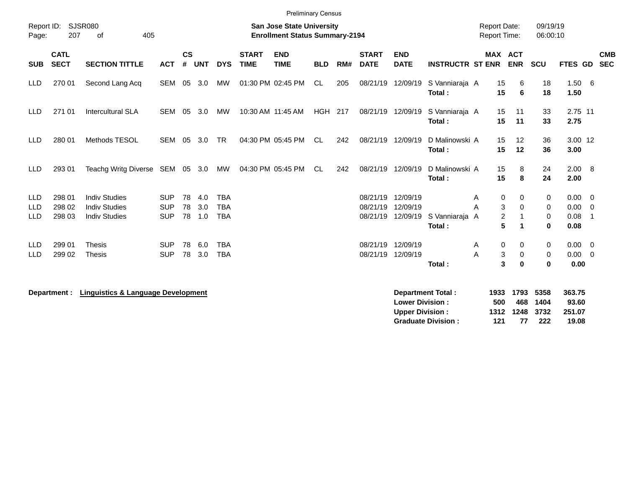| Report ID:<br>Page:                    | 207                        | <b>SJSR080</b><br>405<br>of                                          |                                        |                    |                   |                                        |                             | <b>San Jose State University</b><br><b>Enrollment Status Summary-2194</b> |            |     |                                        |                                                  |                                                       | <b>Report Date:</b><br><b>Report Time:</b> |                                                         | 09/19/19<br>06:00:10                        |                                    |                                        |                          |
|----------------------------------------|----------------------------|----------------------------------------------------------------------|----------------------------------------|--------------------|-------------------|----------------------------------------|-----------------------------|---------------------------------------------------------------------------|------------|-----|----------------------------------------|--------------------------------------------------|-------------------------------------------------------|--------------------------------------------|---------------------------------------------------------|---------------------------------------------|------------------------------------|----------------------------------------|--------------------------|
| <b>SUB</b>                             | <b>CATL</b><br><b>SECT</b> | <b>SECTION TITTLE</b>                                                | <b>ACT</b>                             | $\mathsf{cs}$<br># | <b>UNT</b>        | <b>DYS</b>                             | <b>START</b><br><b>TIME</b> | <b>END</b><br><b>TIME</b>                                                 | <b>BLD</b> | RM# | <b>START</b><br><b>DATE</b>            | <b>END</b><br><b>DATE</b>                        | <b>INSTRUCTR ST ENR</b>                               |                                            | <b>MAX ACT</b><br><b>ENR</b>                            | <b>SCU</b>                                  | <b>FTES GD</b>                     |                                        | <b>CMB</b><br><b>SEC</b> |
| <b>LLD</b>                             | 270 01                     | Second Lang Acq                                                      | <b>SEM</b>                             | 05                 | 3.0               | МW                                     |                             | 01:30 PM 02:45 PM                                                         | CL.        | 205 | 08/21/19 12/09/19                      |                                                  | S Vanniaraja A<br>Total:                              |                                            | 15<br>6<br>15<br>6                                      | 18<br>18                                    | $1.50\ 6$<br>1.50                  |                                        |                          |
| <b>LLD</b>                             | 271 01                     | Intercultural SLA                                                    | <b>SEM</b>                             | 05                 | 3.0               | MW                                     | 10:30 AM 11:45 AM           |                                                                           | HGH        | 217 | 08/21/19 12/09/19                      |                                                  | S Vanniaraja A<br>Total:                              |                                            | 15<br>11<br>15<br>11                                    | 33<br>33                                    | 2.75 11<br>2.75                    |                                        |                          |
| <b>LLD</b>                             | 280 01                     | <b>Methods TESOL</b>                                                 | <b>SEM</b>                             | 05                 | 3.0               | <b>TR</b>                              |                             | 04:30 PM 05:45 PM                                                         | <b>CL</b>  | 242 | 08/21/19 12/09/19                      |                                                  | D Malinowski A<br>Total:                              |                                            | 12<br>15<br>15<br>12                                    | 36<br>36                                    | 3.00 12<br>3.00                    |                                        |                          |
| <b>LLD</b>                             | 293 01                     | Teachg Writg Diverse SEM 05 3.0                                      |                                        |                    |                   | MW                                     |                             | 04:30 PM 05:45 PM                                                         | CL         | 242 | 08/21/19 12/09/19                      |                                                  | D Malinowski A<br>Total:                              |                                            | 15<br>8<br>15<br>8                                      | 24<br>24                                    | 2.00<br>2.00                       | 8                                      |                          |
| <b>LLD</b><br><b>LLD</b><br><b>LLD</b> | 298 01<br>298 02<br>298 03 | <b>Indiv Studies</b><br><b>Indiv Studies</b><br><b>Indiv Studies</b> | <b>SUP</b><br><b>SUP</b><br><b>SUP</b> | 78<br>78<br>78     | 4.0<br>3.0<br>1.0 | <b>TBA</b><br><b>TBA</b><br><b>TBA</b> |                             |                                                                           |            |     | 08/21/19<br>08/21/19                   | 12/09/19<br>12/09/19<br>08/21/19 12/09/19        | S Vanniaraja A<br>Total:                              | A<br>А                                     | 0<br>0<br>$\sqrt{3}$<br>$\Omega$<br>2<br>5<br>1         | 0<br>$\mathbf 0$<br>$\mathbf 0$<br>$\bf{0}$ | 0.00<br>0.00<br>0.08<br>0.08       | $\overline{0}$<br>$\overline{0}$<br>-1 |                          |
| <b>LLD</b><br><b>LLD</b>               | 299 01<br>299 02           | <b>Thesis</b><br><b>Thesis</b>                                       | <b>SUP</b><br><b>SUP</b>               | 78<br>78           | 6.0<br>3.0        | <b>TBA</b><br><b>TBA</b>               |                             |                                                                           |            |     | 08/21/19 12/09/19<br>08/21/19 12/09/19 |                                                  | Total:                                                | A<br>А                                     | 0<br>0<br>3<br>0<br>$\overline{\mathbf{3}}$<br>$\bf{0}$ | $\mathbf 0$<br>0<br>$\bf{0}$                | $0.00 \quad 0$<br>0.00<br>0.00     | $\mathbf{0}$                           |                          |
|                                        | Department :               | <b>Linguistics &amp; Language Development</b>                        |                                        |                    |                   |                                        |                             |                                                                           |            |     |                                        | <b>Lower Division:</b><br><b>Upper Division:</b> | <b>Department Total:</b><br><b>Graduate Division:</b> | 1933<br>500<br>1312<br>121                 | 1793<br>468<br>1248<br>77                               | 5358<br>1404<br>3732<br>222                 | 363.75<br>93.60<br>251.07<br>19.08 |                                        |                          |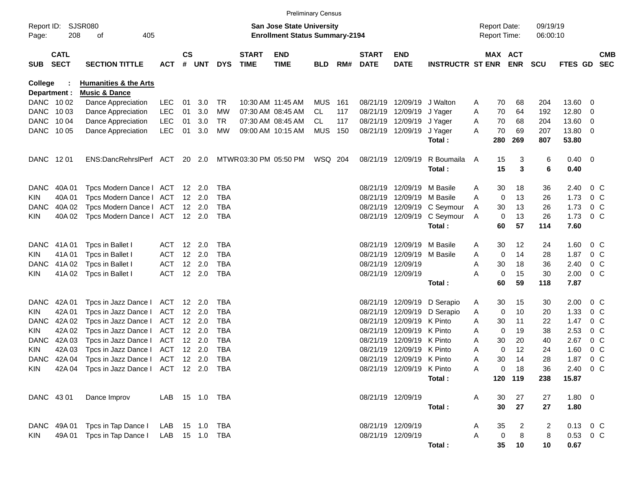|                        |                            |                                            |                          |                    |                |                 |                             |                                                                    | <b>Preliminary Census</b> |            |                             |                                        |                         |        |                                     |                |                      |                        |                                 |                          |
|------------------------|----------------------------|--------------------------------------------|--------------------------|--------------------|----------------|-----------------|-----------------------------|--------------------------------------------------------------------|---------------------------|------------|-----------------------------|----------------------------------------|-------------------------|--------|-------------------------------------|----------------|----------------------|------------------------|---------------------------------|--------------------------|
| Page:                  | Report ID: SJSR080<br>208  | 405<br>оf                                  |                          |                    |                |                 |                             | San Jose State University<br><b>Enrollment Status Summary-2194</b> |                           |            |                             |                                        |                         |        | <b>Report Date:</b><br>Report Time: |                | 09/19/19<br>06:00:10 |                        |                                 |                          |
| <b>SUB</b>             | <b>CATL</b><br><b>SECT</b> | <b>SECTION TITTLE</b>                      | <b>ACT</b>               | $\mathsf{cs}$<br># | <b>UNT</b>     | <b>DYS</b>      | <b>START</b><br><b>TIME</b> | <b>END</b><br><b>TIME</b>                                          | <b>BLD</b>                | RM#        | <b>START</b><br><b>DATE</b> | <b>END</b><br><b>DATE</b>              | <b>INSTRUCTR ST ENR</b> |        | MAX ACT                             | <b>ENR</b>     | <b>SCU</b>           | FTES GD                |                                 | <b>CMB</b><br><b>SEC</b> |
| College                |                            | <b>Humanities &amp; the Arts</b>           |                          |                    |                |                 |                             |                                                                    |                           |            |                             |                                        |                         |        |                                     |                |                      |                        |                                 |                          |
| Department :           |                            | <b>Music &amp; Dance</b>                   |                          |                    |                |                 |                             |                                                                    |                           |            |                             |                                        |                         |        |                                     |                |                      |                        |                                 |                          |
|                        | DANC 1002                  | Dance Appreciation                         | <b>LEC</b>               | 01                 | 3.0            | TR              |                             | 10:30 AM 11:45 AM                                                  | <b>MUS</b>                | 161        |                             | 08/21/19 12/09/19                      | J Walton                | A      | 70                                  | 68             | 204                  | 13.60                  | - 0                             |                          |
|                        | DANC 1003                  | Dance Appreciation                         | <b>LEC</b>               | 01                 | 3.0            | MW              |                             | 07:30 AM 08:45 AM                                                  | CL                        | 117        |                             | 08/21/19 12/09/19                      | J Yager                 | Α      | 70                                  | 64             | 192                  | 12.80                  | $\overline{0}$                  |                          |
| DANC 1004<br>DANC 1005 |                            | Dance Appreciation<br>Dance Appreciation   | <b>LEC</b><br><b>LEC</b> | 01<br>01           | 3.0<br>3.0     | <b>TR</b><br>MW |                             | 07:30 AM 08:45 AM<br>09:00 AM 10:15 AM                             | CL<br>MUS                 | 117<br>150 |                             | 08/21/19 12/09/19<br>08/21/19 12/09/19 | J Yager<br>J Yager      | A<br>A | 70<br>70                            | 68<br>69       | 204<br>207           | 13.60<br>13.80         | - 0<br>$\overline{\phantom{0}}$ |                          |
|                        |                            |                                            |                          |                    |                |                 |                             |                                                                    |                           |            |                             |                                        | Total:                  |        | 280                                 | 269            | 807                  | 53.80                  |                                 |                          |
| DANC 1201              |                            | ENS:DancRehrslPerf ACT                     |                          |                    | 20 2.0         |                 | MTWR 03:30 PM 05:50 PM      |                                                                    | WSQ 204                   |            |                             | 08/21/19 12/09/19                      | R Boumaila              | A      | 15                                  | 3              | 6                    | $0.40 \quad 0$         |                                 |                          |
|                        |                            |                                            |                          |                    |                |                 |                             |                                                                    |                           |            |                             |                                        | Total:                  |        | 15                                  | 3              | 6                    | 0.40                   |                                 |                          |
| DANC                   | 40A 01                     | Tpcs Modern Dance   ACT                    |                          |                    | 12 2.0         | <b>TBA</b>      |                             |                                                                    |                           |            | 08/21/19                    | 12/09/19                               | M Basile                | A      | 30                                  | 18             | 36                   | 2.40                   | $0\,$ C                         |                          |
| KIN                    | 40A 01                     | Tpcs Modern Dance   ACT                    |                          |                    | 12 2.0         | <b>TBA</b>      |                             |                                                                    |                           |            | 08/21/19                    | 12/09/19                               | M Basile                | A      | 0                                   | 13             | 26                   | 1.73                   | $0\,$ C                         |                          |
| DANC                   | 40A 02                     | Tpcs Modern Dance   ACT                    |                          |                    | $12 \quad 2.0$ | <b>TBA</b>      |                             |                                                                    |                           |            |                             | 08/21/19 12/09/19                      | C Seymour               | A      | 30                                  | 13             | 26                   | 1.73                   | $0\,$ C                         |                          |
| KIN                    | 40A 02                     | Tpcs Modern Dance   ACT 12 2.0             |                          |                    |                | TBA             |                             |                                                                    |                           |            |                             | 08/21/19 12/09/19                      | C Seymour               | A      | 0                                   | 13             | 26                   | 1.73                   | $0\,$ C                         |                          |
|                        |                            |                                            |                          |                    |                |                 |                             |                                                                    |                           |            |                             |                                        | Total:                  |        | 60                                  | 57             | 114                  | 7.60                   |                                 |                          |
| DANC                   | 41A 01                     | Tpcs in Ballet I                           | ACT                      |                    | $12 \quad 2.0$ | TBA             |                             |                                                                    |                           |            | 08/21/19                    | 12/09/19                               | M Basile                | A      | 30                                  | 12             | 24                   | 1.60                   | $0\,$ C                         |                          |
| KIN                    | 41A01                      | Tpcs in Ballet I                           | <b>ACT</b>               |                    | 12 2.0         | <b>TBA</b>      |                             |                                                                    |                           |            | 08/21/19                    | 12/09/19                               | M Basile                | A      | 0                                   | 14             | 28                   | 1.87                   | $0\,$ C                         |                          |
| DANC.                  | 41A 02                     | Tpcs in Ballet I                           | <b>ACT</b>               |                    | 12 2.0         | <b>TBA</b>      |                             |                                                                    |                           |            |                             | 08/21/19 12/09/19                      |                         | Α      | 30                                  | 18             | 36                   | 2.40                   | $0\,$ C                         |                          |
| KIN.                   | 41A 02                     | Tpcs in Ballet I                           | <b>ACT</b>               |                    | 12 2.0         | TBA             |                             |                                                                    |                           |            |                             | 08/21/19 12/09/19                      |                         | A      | 0                                   | 15             | 30                   | 2.00                   | $0\,$ C                         |                          |
|                        |                            |                                            |                          |                    |                |                 |                             |                                                                    |                           |            |                             |                                        | Total:                  |        | 60                                  | 59             | 118                  | 7.87                   |                                 |                          |
| DANC.                  | 42A 01                     | Tpcs in Jazz Dance I                       | ACT                      |                    | 12 2.0         | <b>TBA</b>      |                             |                                                                    |                           |            | 08/21/19                    | 12/09/19                               | D Serapio               | A      | 30                                  | 15             | 30                   | 2.00                   | $0\,$ C                         |                          |
| KIN                    | 42A 01                     | Tpcs in Jazz Dance I                       | ACT                      |                    | 12 2.0         | <b>TBA</b>      |                             |                                                                    |                           |            | 08/21/19                    | 12/09/19                               | D Serapio               | A      | 0                                   | 10             | 20                   | 1.33                   | $0\,$ C                         |                          |
| DANC.                  | 42A 02                     | Tpcs in Jazz Dance I                       | ACT                      |                    | $12 \quad 2.0$ | <b>TBA</b>      |                             |                                                                    |                           |            | 08/21/19                    | 12/09/19 K Pinto                       |                         | A      | 30                                  | 11             | 22                   | 1.47                   | $0\,$ C                         |                          |
| KIN                    | 42A 02                     | Tpcs in Jazz Dance I                       | ACT                      |                    | 12 2.0         | TBA             |                             |                                                                    |                           |            | 08/21/19                    | 12/09/19 K Pinto                       |                         | Α      | 0                                   | 19             | 38                   | 2.53                   | $0\,$ C                         |                          |
| DANC.                  | 42A 03                     | Tpcs in Jazz Dance I                       | ACT                      |                    | 12 2.0         | <b>TBA</b>      |                             |                                                                    |                           |            | 08/21/19                    | 12/09/19 K Pinto                       |                         | Α      | 30                                  | 20             | 40                   | 2.67                   | $0\,$ C                         |                          |
| KIN                    | 42A 03                     | Tpcs in Jazz Dance I                       | ACT                      |                    | 12, 2.0        | <b>TBA</b>      |                             |                                                                    |                           |            | 08/21/19                    | 12/09/19 K Pinto                       |                         | A      | 0                                   | 12             | 24                   | 1.60                   | $0\,$ C                         |                          |
| DANC.                  | 42A 04                     | Tpcs in Jazz Dance I                       | ACT 12 2.0               |                    |                | TBA             |                             |                                                                    |                           |            |                             | 08/21/19 12/09/19 K Pinto              |                         | A      | 30                                  | 14             | 28                   | 1.87                   | $0\,C$                          |                          |
| KIN                    |                            | 42A 04 Tpcs in Jazz Dance I ACT 12 2.0 TBA |                          |                    |                |                 |                             |                                                                    |                           |            |                             | 08/21/19 12/09/19 K Pinto              |                         | A      |                                     | $0$ 18         | 36                   | 2.40 0 C               |                                 |                          |
|                        |                            |                                            |                          |                    |                |                 |                             |                                                                    |                           |            |                             |                                        | Total:                  |        |                                     | 120 119        | 238                  | 15.87                  |                                 |                          |
|                        | DANC 4301                  | Dance Improv                               | LAB  15  1.0  TBA        |                    |                |                 |                             |                                                                    |                           |            |                             | 08/21/19 12/09/19                      |                         | A      | 30                                  | 27             | 27                   | 1.80 0                 |                                 |                          |
|                        |                            |                                            |                          |                    |                |                 |                             |                                                                    |                           |            |                             |                                        | Total:                  |        | 30                                  | 27             | 27                   | 1.80                   |                                 |                          |
|                        | DANC 49A 01                | Tpcs in Tap Dance I LAB 15 1.0 TBA         |                          |                    |                |                 |                             |                                                                    |                           |            |                             | 08/21/19 12/09/19                      |                         | A      | 35                                  | $\overline{c}$ | 2                    | $0.13 \quad 0 \quad C$ |                                 |                          |
| KIN.                   | 49A 01                     | Tpcs in Tap Dance I                        | LAB 15 1.0 TBA           |                    |                |                 |                             |                                                                    |                           |            |                             | 08/21/19 12/09/19                      |                         | Α      | $\boldsymbol{0}$                    | 8              | 8                    | $0.53$ 0 C             |                                 |                          |
|                        |                            |                                            |                          |                    |                |                 |                             |                                                                    |                           |            |                             |                                        | Total:                  |        | 35                                  | 10             | 10                   | 0.67                   |                                 |                          |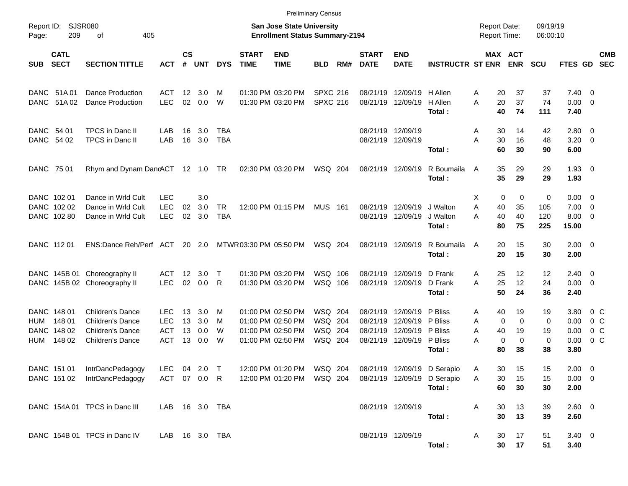|                          |                                                |                                                                                                   |                                                |                      |                          |                         |                             |                                                                                  | <b>Preliminary Census</b>                |     |                                  |                                                       |                                                                      |                                                        |                                              |                          |                                                    |                                                    |            |
|--------------------------|------------------------------------------------|---------------------------------------------------------------------------------------------------|------------------------------------------------|----------------------|--------------------------|-------------------------|-----------------------------|----------------------------------------------------------------------------------|------------------------------------------|-----|----------------------------------|-------------------------------------------------------|----------------------------------------------------------------------|--------------------------------------------------------|----------------------------------------------|--------------------------|----------------------------------------------------|----------------------------------------------------|------------|
| Report ID:<br>Page:      | <b>SJSR080</b><br>209                          | 405<br>оf                                                                                         |                                                |                      |                          |                         |                             | <b>San Jose State University</b><br><b>Enrollment Status Summary-2194</b>        |                                          |     |                                  |                                                       |                                                                      | <b>Report Date:</b><br><b>Report Time:</b>             |                                              | 09/19/19<br>06:00:10     |                                                    |                                                    |            |
| <b>SUB</b>               | <b>CATL</b><br><b>SECT</b>                     | <b>SECTION TITTLE</b>                                                                             | <b>ACT</b>                                     | $\mathsf{cs}$<br>#   | <b>UNT</b>               | <b>DYS</b>              | <b>START</b><br><b>TIME</b> | <b>END</b><br><b>TIME</b>                                                        | <b>BLD</b>                               | RM# | <b>START</b><br><b>DATE</b>      | <b>END</b><br><b>DATE</b>                             | <b>INSTRUCTR ST ENR</b>                                              |                                                        | MAX ACT<br><b>ENR</b>                        | <b>SCU</b>               | <b>FTES GD</b>                                     | <b>SEC</b>                                         | <b>CMB</b> |
|                          | DANC 51A 01<br>DANC 51A02                      | <b>Dance Production</b><br>Dance Production                                                       | ACT<br><b>LEC</b>                              | $12 \,$<br>02        | 3.0<br>0.0               | м<br>W                  |                             | 01:30 PM 03:20 PM<br>01:30 PM 03:20 PM                                           | <b>SPXC 216</b><br><b>SPXC 216</b>       |     | 08/21/19<br>08/21/19             | 12/09/19<br>12/09/19                                  | H Allen<br>H Allen<br>Total:                                         | 20<br>A<br>20<br>A<br>40                               | 37<br>37<br>74                               | 37<br>74<br>111          | $7.40 \ 0$<br>$0.00 \t 0$<br>7.40                  |                                                    |            |
| DANC 54 01<br>DANC 54 02 |                                                | <b>TPCS</b> in Danc II<br>TPCS in Danc II                                                         | LAB<br>LAB                                     | 16<br>16             | 3.0<br>3.0               | TBA<br><b>TBA</b>       |                             |                                                                                  |                                          |     | 08/21/19 12/09/19                | 08/21/19 12/09/19                                     | Total:                                                               | 30<br>A<br>30<br>Α<br>60                               | 14<br>16<br>30                               | 42<br>48<br>90           | $2.80 \t 0$<br>$3.20 \ 0$<br>6.00                  |                                                    |            |
| DANC 75 01               |                                                | Rhym and Dynam DancACT 12 1.0 TR                                                                  |                                                |                      |                          |                         |                             | 02:30 PM 03:20 PM                                                                | WSQ 204                                  |     | 08/21/19 12/09/19                |                                                       | R Boumaila<br>Total:                                                 | 35<br>A<br>35                                          | 29<br>29                                     | 29<br>29                 | $1.93 \ 0$<br>1.93                                 |                                                    |            |
|                          | DANC 102 01<br>DANC 102 02<br>DANC 102 80      | Dance in Wrld Cult<br>Dance in Wrld Cult<br>Dance in Wrld Cult                                    | <b>LEC</b><br><b>LEC</b><br><b>LEC</b>         | 02<br>02             | 3.0<br>3.0<br>3.0        | <b>TR</b><br><b>TBA</b> |                             | 12:00 PM 01:15 PM                                                                | <b>MUS 161</b>                           |     | 08/21/19                         | 12/09/19<br>08/21/19 12/09/19                         | J Walton<br>J Walton<br>Total:                                       | 0<br>Х<br>A<br>40<br>40<br>A<br>80                     | $\mathbf 0$<br>35<br>40<br>75                | 0<br>105<br>120<br>225   | $0.00 \t 0$<br>$7.00 \t 0$<br>$8.00 \t 0$<br>15.00 |                                                    |            |
|                          | DANC 112 01                                    | ENS:Dance Reh/Perf ACT                                                                            |                                                |                      | 20 2.0                   |                         | MTWR 03:30 PM 05:50 PM      |                                                                                  | WSQ 204                                  |     | 08/21/19 12/09/19                |                                                       | R Boumaila<br>Total:                                                 | 20<br>A<br>20                                          | 15<br>15                                     | 30<br>30                 | $2.00 \t 0$<br>2.00                                |                                                    |            |
|                          |                                                | DANC 145B 01 Choreography II<br>DANC 145B 02 Choreography II                                      | ACT<br><b>LEC</b>                              | 12<br>02             | 3.0<br>0.0               | Т<br>R                  |                             | 01:30 PM 03:20 PM<br>01:30 PM 03:20 PM                                           | WSQ 106<br>WSQ 106                       |     | 08/21/19<br>08/21/19 12/09/19    | 12/09/19                                              | D Frank<br>D Frank<br>Total:                                         | 25<br>A<br>25<br>A<br>50                               | $12 \,$<br>12<br>24                          | 12<br>24<br>36           | $2.40 \ 0$<br>$0.00 \t 0$<br>2.40                  |                                                    |            |
| <b>HUM</b><br>HUM        | DANC 148 01<br>148 01<br>DANC 148 02<br>148 02 | Children's Dance<br><b>Children's Dance</b><br><b>Children's Dance</b><br><b>Children's Dance</b> | LEC.<br><b>LEC</b><br><b>ACT</b><br><b>ACT</b> | 13<br>13<br>13<br>13 | 3.0<br>3.0<br>0.0<br>0.0 | M<br>M<br>W<br>W        |                             | 01:00 PM 02:50 PM<br>01:00 PM 02:50 PM<br>01:00 PM 02:50 PM<br>01:00 PM 02:50 PM | WSQ 204<br>WSQ 204<br>WSQ 204<br>WSQ 204 |     | 08/21/19<br>08/21/19<br>08/21/19 | 12/09/19<br>12/09/19<br>12/09/19<br>08/21/19 12/09/19 | P Bliss<br>P Bliss<br>P Bliss<br>P Bliss<br>Total:                   | 40<br>A<br>0<br>A<br>A<br>40<br>$\mathbf 0$<br>А<br>80 | 19<br>$\mathbf 0$<br>19<br>$\mathbf 0$<br>38 | 19<br>0<br>19<br>0<br>38 | 3.80<br>0.00<br>0.00<br>0.00<br>3.80               | 0 C<br>$0\,$ C<br>0 <sup>o</sup><br>0 <sup>o</sup> |            |
|                          | DANC 151 02                                    | DANC 151 01 IntrDancPedagogy<br>IntrDancPedagogy                                                  | LEC 04 2.0 T<br>ACT 07 0.0 R                   |                      |                          |                         |                             | 12:00 PM 01:20 PM   WSQ   204<br>12:00 PM 01:20 PM                               | WSQ 204                                  |     |                                  |                                                       | 08/21/19 12/09/19 D Serapio<br>08/21/19 12/09/19 D Serapio<br>Total: | 30<br>A<br>A<br>30<br>60                               | 15<br>15<br>30                               | 15<br>15<br>30           | $2.00 \t 0$<br>$0.00 \ 0$<br>2.00                  |                                                    |            |
|                          |                                                | DANC 154A 01 TPCS in Danc III                                                                     | LAB  16  3.0  TBA                              |                      |                          |                         |                             |                                                                                  |                                          |     |                                  | 08/21/19 12/09/19                                     | Total:                                                               | 30<br>A<br>30                                          | 13<br>13                                     | 39<br>39                 | 2.60 0<br>2.60                                     |                                                    |            |
|                          |                                                | DANC 154B 01 TPCS in Danc IV                                                                      | LAB 16 3.0 TBA                                 |                      |                          |                         |                             |                                                                                  |                                          |     |                                  | 08/21/19 12/09/19                                     | Total:                                                               | 30<br>A<br>30                                          | 17<br>17                                     | 51<br>51                 | $3.40 \ 0$<br>3.40                                 |                                                    |            |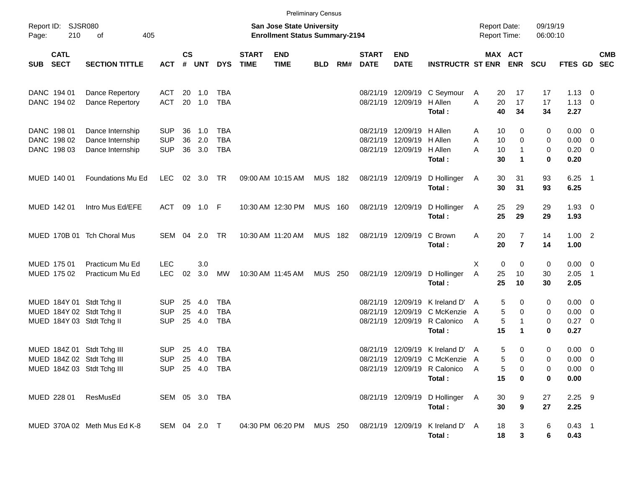|       |                                           |                                                                                        |                                            |               |                      |                                 |                             | <b>Preliminary Census</b>                                                 |                |     |                             |                                                                                     |                                                                                            |                                     |                                                    |                      |                                                   |            |
|-------|-------------------------------------------|----------------------------------------------------------------------------------------|--------------------------------------------|---------------|----------------------|---------------------------------|-----------------------------|---------------------------------------------------------------------------|----------------|-----|-----------------------------|-------------------------------------------------------------------------------------|--------------------------------------------------------------------------------------------|-------------------------------------|----------------------------------------------------|----------------------|---------------------------------------------------|------------|
| Page: | Report ID: SJSR080<br>210                 | 405<br>οf                                                                              |                                            |               |                      |                                 |                             | <b>San Jose State University</b><br><b>Enrollment Status Summary-2194</b> |                |     |                             |                                                                                     |                                                                                            | <b>Report Date:</b><br>Report Time: |                                                    | 09/19/19<br>06:00:10 |                                                   |            |
| SUB   | <b>CATL</b><br><b>SECT</b>                | <b>SECTION TITTLE</b>                                                                  | <b>ACT</b>                                 | $\mathsf{cs}$ | # UNT                | <b>DYS</b>                      | <b>START</b><br><b>TIME</b> | <b>END</b><br><b>TIME</b>                                                 | <b>BLD</b>     | RM# | <b>START</b><br><b>DATE</b> | <b>END</b><br><b>DATE</b>                                                           | <b>INSTRUCTR ST ENR ENR</b>                                                                |                                     | MAX ACT                                            | <b>SCU</b>           | FTES GD SEC                                       | <b>CMB</b> |
|       | DANC 194 01<br>DANC 194 02                | Dance Repertory<br>Dance Repertory                                                     | <b>ACT</b><br><b>ACT</b>                   |               | 20 1.0<br>20 1.0     | TBA<br><b>TBA</b>               |                             |                                                                           |                |     |                             | 08/21/19 12/09/19 H Allen                                                           | 08/21/19 12/09/19 C Seymour<br>Total:                                                      | A<br>A                              | 20<br>17<br>20<br>17<br>40<br>34                   | 17<br>17<br>34       | $1.13 \ 0$<br>$1.13 \ 0$<br>2.27                  |            |
|       | DANC 198 01<br>DANC 198 02<br>DANC 198 03 | Dance Internship<br>Dance Internship<br>Dance Internship                               | <b>SUP</b><br><b>SUP</b><br><b>SUP</b>     | 36<br>36      | 1.0<br>2.0<br>36 3.0 | TBA<br><b>TBA</b><br><b>TBA</b> |                             |                                                                           |                |     |                             | 08/21/19 12/09/19 H Allen<br>08/21/19 12/09/19 H Allen<br>08/21/19 12/09/19 H Allen | Total:                                                                                     | Α<br>A<br>A                         | 10<br>0<br>10<br>$\mathbf 0$<br>1<br>10<br>30<br>1 | 0<br>0<br>0<br>0     | $0.00 \t 0$<br>$0.00 \t 0$<br>$0.20 \ 0$<br>0.20  |            |
|       | MUED 140 01                               | Foundations Mu Ed                                                                      | <b>LEC</b>                                 |               | 02 3.0               | TR                              |                             | 09:00 AM 10:15 AM                                                         | <b>MUS 182</b> |     |                             | 08/21/19 12/09/19                                                                   | D Hollinger<br>Total:                                                                      | A                                   | 30<br>31<br>30<br>31                               | 93<br>93             | $6.25$ 1<br>6.25                                  |            |
|       | MUED 142 01                               | Intro Mus Ed/EFE                                                                       | <b>ACT</b>                                 |               | 09 1.0 F             |                                 |                             | 10:30 AM 12:30 PM                                                         | <b>MUS 160</b> |     |                             | 08/21/19 12/09/19                                                                   | D Hollinger<br>Total:                                                                      | A                                   | 25<br>29<br>25<br>29                               | 29<br>29             | $1.93 \ 0$<br>1.93                                |            |
|       |                                           | MUED 170B 01 Tch Choral Mus                                                            | SEM 04 2.0                                 |               |                      | <b>TR</b>                       |                             | 10:30 AM 11:20 AM                                                         | <b>MUS 182</b> |     |                             | 08/21/19 12/09/19                                                                   | C Brown<br>Total:                                                                          | Α                                   | $\overline{7}$<br>20<br>20<br>$\overline{7}$       | 14<br>14             | $1.00$ 2<br>1.00                                  |            |
|       | MUED 175 01<br>MUED 175 02                | Practicum Mu Ed<br>Practicum Mu Ed                                                     | <b>LEC</b><br><b>LEC</b>                   | 02            | 3.0<br>3.0           | МW                              |                             | 10:30 AM 11:45 AM                                                         | <b>MUS 250</b> |     |                             | 08/21/19 12/09/19                                                                   | D Hollinger<br>Total:                                                                      | X<br>Α                              | 0<br>0<br>25<br>10<br>25<br>10                     | 0<br>30<br>30        | $0.00 \t 0$<br>$2.05$ 1<br>2.05                   |            |
|       |                                           | MUED 184Y 01 Stdt Tchg II<br>MUED 184Y 02 Stdt Tchg II<br>MUED 184Y 03 Stdt Tchg II    | <b>SUP</b><br><b>SUP</b><br><b>SUP</b>     | 25<br>25      | 4.0<br>4.0<br>25 4.0 | TBA<br><b>TBA</b><br><b>TBA</b> |                             |                                                                           |                |     | 08/21/19<br>08/21/19        |                                                                                     | 12/09/19 K Ireland D'<br>12/09/19 C McKenzie<br>08/21/19 12/09/19 R Calonico<br>Total:     | $\mathsf{A}$<br>A<br>A              | 5<br>0<br>5<br>0<br>5<br>1<br>15<br>1              | 0<br>0<br>0<br>0     | $0.00 \t 0$<br>$0.00 \t 0$<br>$0.27 \t 0$<br>0.27 |            |
|       |                                           | MUED 184Z 01 Stdt Tchg III<br>MUED 184Z 02 Stdt Tchg III<br>MUED 184Z 03 Stdt Tchg III | <b>SUP</b><br><b>SUP</b><br>SUP 25 4.0 TBA | 25            | 4.0<br>25 4.0        | <b>TBA</b><br>TBA               |                             |                                                                           |                |     | 08/21/19                    | 12/09/19                                                                            | K Ireland D'<br>08/21/19 12/09/19 C McKenzie A<br>08/21/19 12/09/19 R Calonico A<br>Total: | A                                   | 5<br>0<br>5<br>$\Omega$<br>5<br>15<br>0            | 0<br>0<br>0<br>0     | $0.00 \ 0$<br>$0.00 \t 0$<br>$0.00 \t 0$<br>0.00  |            |
|       | MUED 228 01                               | ResMusEd                                                                               | SEM 05 3.0 TBA                             |               |                      |                                 |                             |                                                                           |                |     |                             |                                                                                     | 08/21/19 12/09/19 D Hollinger A<br>Total:                                                  |                                     | 30<br>9<br>30<br>9                                 | 27<br>27             | $2.25$ 9<br>2.25                                  |            |
|       |                                           | MUED 370A 02 Meth Mus Ed K-8                                                           | SEM 04 2.0 T                               |               |                      |                                 |                             |                                                                           |                |     |                             |                                                                                     | 04:30 PM 06:20 PM MUS 250 08/21/19 12/09/19 K Ireland D' A<br>Total:                       |                                     | 18<br>3<br>3<br>18                                 | 6<br>6               | $0.43$ 1<br>0.43                                  |            |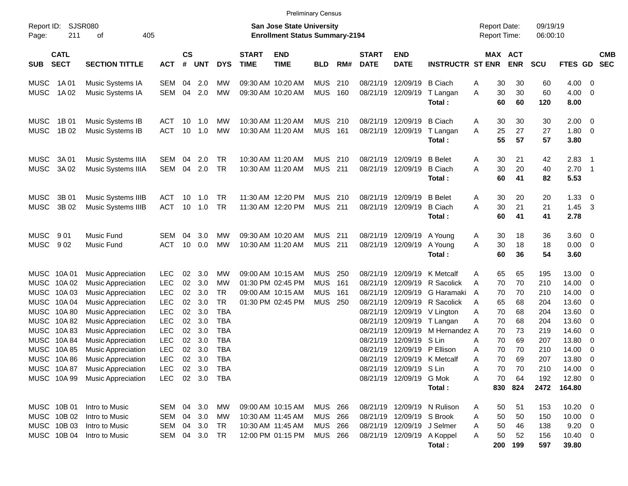| Report ID:<br>Page: | <b>SJSR080</b><br>211      | 405                            |            |            |               |            |            | <b>San Jose State University</b><br><b>Enrollment Status Summary-2194</b> |                           |            |     |                             |                            |                             | <b>Report Date:</b><br>Report Time: |           | 09/19/19<br>06:00:10 |            |                      |                         |                          |
|---------------------|----------------------------|--------------------------------|------------|------------|---------------|------------|------------|---------------------------------------------------------------------------|---------------------------|------------|-----|-----------------------------|----------------------------|-----------------------------|-------------------------------------|-----------|----------------------|------------|----------------------|-------------------------|--------------------------|
| SUB                 | <b>CATL</b><br><b>SECT</b> | <b>SECTION TITTLE</b>          | <b>ACT</b> | #          | $\mathsf{cs}$ | <b>UNT</b> | <b>DYS</b> | <b>START</b><br><b>TIME</b>                                               | <b>END</b><br><b>TIME</b> | <b>BLD</b> | RM# | <b>START</b><br><b>DATE</b> | <b>END</b><br><b>DATE</b>  | <b>INSTRUCTR ST ENR</b>     |                                     | MAX ACT   | <b>ENR</b>           | <b>SCU</b> | FTES GD              |                         | <b>CMB</b><br><b>SEC</b> |
| MUSC                | 1A 01                      | Music Systems IA               | <b>SEM</b> |            | 04            | 2.0        | MW         |                                                                           | 09:30 AM 10:20 AM         | <b>MUS</b> | 210 | 08/21/19                    | 12/09/19                   | <b>B</b> Ciach              | A                                   | 30        | 30                   | 60         | 4.00                 | - 0                     |                          |
| MUSC                | 1A 02                      | Music Systems IA               | SEM        |            | 04            | 2.0        | <b>MW</b>  |                                                                           | 09:30 AM 10:20 AM         | <b>MUS</b> | 160 | 08/21/19                    | 12/09/19                   | T Langan<br>Total:          | Α                                   | 30<br>60  | 30<br>60             | 60<br>120  | 4.00<br>8.00         | 0                       |                          |
| MUSC                | 1B 01                      | Music Systems IB               | ACT        |            | 10            | 1.0        | MW         | 10:30 AM 11:20 AM                                                         |                           | <b>MUS</b> | 210 | 08/21/19                    | 12/09/19                   | <b>B</b> Ciach              | A                                   | 30        | 30                   | 30         | 2.00                 | - 0                     |                          |
| MUSC                | 1B 02                      | Music Systems IB               | <b>ACT</b> |            | 10            | 1.0        | <b>MW</b>  | 10:30 AM 11:20 AM                                                         |                           | <b>MUS</b> | 161 | 08/21/19                    | 12/09/19                   | T Langan<br>Total:          | Α                                   | 25<br>55  | 27<br>57             | 27<br>57   | 1.80<br>3.80         | $\overline{0}$          |                          |
| MUSC                | 3A 01                      | Music Systems IIIA             | SEM        |            | 04            | 2.0        | <b>TR</b>  | 10:30 AM 11:20 AM                                                         |                           | <b>MUS</b> | 210 | 08/21/19                    | 12/09/19                   | <b>B</b> Belet              | A                                   | 30        | 21                   | 42         | 2.83                 | $\overline{1}$          |                          |
| MUSC                | 3A 02                      | Music Systems IIIA             | <b>SEM</b> |            | 04            | 2.0        | <b>TR</b>  | 10:30 AM 11:20 AM                                                         |                           | <b>MUS</b> | 211 | 08/21/19                    | 12/09/19                   | <b>B</b> Ciach<br>Total:    | A                                   | 30<br>60  | 20<br>41             | 40<br>82   | 2.70<br>5.53         | - 1                     |                          |
| MUSC                | 3B 01                      | Music Systems IIIB             | <b>ACT</b> |            | 10            | 1.0        | TR         |                                                                           | 11:30 AM 12:20 PM         | <b>MUS</b> | 210 | 08/21/19                    | 12/09/19                   | <b>B</b> Belet              | A                                   | 30        | 20                   | 20         | 1.33                 | 0                       |                          |
| MUSC                | 3B 02                      | Music Systems IIIB             | <b>ACT</b> |            | 10            | 1.0        | <b>TR</b>  |                                                                           | 11:30 AM 12:20 PM         | <b>MUS</b> | 211 | 08/21/19                    | 12/09/19                   | <b>B</b> Ciach<br>Total:    | A                                   | 30<br>60  | 21<br>41             | 21<br>41   | 1.45<br>2.78         | -3                      |                          |
| MUSC                | 901                        | Music Fund                     | <b>SEM</b> |            | 04            | 3.0        | <b>MW</b>  |                                                                           | 09:30 AM 10:20 AM         | <b>MUS</b> | 211 | 08/21/19                    | 12/09/19                   | A Young                     | A                                   | 30        | 18                   | 36         | 3.60                 | $\overline{\mathbf{0}}$ |                          |
| MUSC                | 902                        | Music Fund                     | <b>ACT</b> |            | 10            | 0.0        | <b>MW</b>  | 10:30 AM 11:20 AM                                                         |                           | <b>MUS</b> | 211 | 08/21/19                    | 12/09/19                   | A Young<br>Total:           | Α                                   | 30<br>60  | 18<br>36             | 18<br>54   | 0.00<br>3.60         | $\overline{\mathbf{0}}$ |                          |
| MUSC                | 10A 01                     | <b>Music Appreciation</b>      | LEC        |            | 02            | 3.0        | <b>MW</b>  |                                                                           | 09:00 AM 10:15 AM         | <b>MUS</b> | 250 | 08/21/19                    | 12/09/19                   | K Metcalf                   | A                                   | 65        | 65                   | 195        | 13.00                | 0                       |                          |
| MUSC                | 10A 02                     | <b>Music Appreciation</b>      | LEC        |            | 02            | 3.0        | MW         |                                                                           | 01:30 PM 02:45 PM         | <b>MUS</b> | 161 | 08/21/19                    | 12/09/19                   | R Sacolick                  | A                                   | 70        | 70                   | 210        | 14.00                | 0                       |                          |
| MUSC                | 10A03                      | <b>Music Appreciation</b>      | LEC        |            | 02            | 3.0        | <b>TR</b>  |                                                                           | 09:00 AM 10:15 AM         | <b>MUS</b> | 161 | 08/21/19                    | 12/09/19                   | G Haramaki                  | A                                   | 70        | 70                   | 210        | 14.00                | 0                       |                          |
| MUSC                | 10A 04                     | <b>Music Appreciation</b>      | LEC        |            | 02            | 3.0        | <b>TR</b>  |                                                                           | 01:30 PM 02:45 PM         | <b>MUS</b> | 250 | 08/21/19                    | 12/09/19                   | R Sacolick                  | A                                   | 65        | 68                   | 204        | 13.60                | 0                       |                          |
| MUSC                | 10A 80                     | <b>Music Appreciation</b>      | LEC        |            | 02            | 3.0        | <b>TBA</b> |                                                                           |                           |            |     | 08/21/19                    | 12/09/19                   | V Lington                   | A                                   | 70        | 68                   | 204        | 13.60                | 0                       |                          |
| MUSC                | 10A82                      | <b>Music Appreciation</b>      | LEC        |            | 02            | 3.0        | <b>TBA</b> |                                                                           |                           |            |     | 08/21/19                    | 12/09/19                   | T Langan                    | A                                   | 70        | 68                   | 204        | 13.60                | 0                       |                          |
| MUSC                | 10A83                      | <b>Music Appreciation</b>      | LEC        |            | 02            | 3.0        | <b>TBA</b> |                                                                           |                           |            |     | 08/21/19                    | 12/09/19                   | M Hernandez A               |                                     | 70        | 73                   | 219        | 14.60                | 0                       |                          |
| MUSC                | 10A 84                     | <b>Music Appreciation</b>      | LEC        |            | 02            | 3.0        | <b>TBA</b> |                                                                           |                           |            |     | 08/21/19                    | 12/09/19                   | S Lin                       | A                                   | 70        | 69                   | 207        | 13.80                | 0                       |                          |
| MUSC                | 10A 85                     | <b>Music Appreciation</b>      | LEC        |            | 02            | 3.0        | <b>TBA</b> |                                                                           |                           |            |     | 08/21/19                    | 12/09/19                   | P Ellison                   | A                                   | 70        | 70                   | 210        | 14.00                | 0                       |                          |
| MUSC                | 10A 86                     | <b>Music Appreciation</b>      | LEC        |            | 02            | 3.0        | <b>TBA</b> |                                                                           |                           |            |     | 08/21/19                    | 12/09/19                   | K Metcalf                   | A                                   | 70        | 69                   | 207        | 13.80                | 0                       |                          |
| MUSC                | 10A 87                     | <b>Music Appreciation</b>      | LEC        |            | 02            | 3.0        | <b>TBA</b> |                                                                           |                           |            |     | 08/21/19                    | 12/09/19                   | S Lin                       | Α                                   | 70        | 70                   | 210        | 14.00                | 0                       |                          |
|                     |                            | MUSC 10A 99 Music Appreciation | <b>LEC</b> |            |               | 02 3.0 TBA |            |                                                                           |                           |            |     |                             | 08/21/19 12/09/19 G Mok    |                             | A                                   | 70        | 64                   | 192        | 12.80 0              |                         |                          |
|                     |                            |                                |            |            |               |            |            |                                                                           |                           |            |     |                             |                            | Total:                      |                                     |           | 830 824              | 2472       | 164.80               |                         |                          |
|                     | MUSC 10B 01                | Intro to Music                 |            | SEM 04 3.0 |               |            | МW         |                                                                           | 09:00 AM 10:15 AM         | MUS 266    |     |                             |                            | 08/21/19 12/09/19 N Rulison | A                                   | 50        | 51                   | 153        | $10.20 \t 0$         |                         |                          |
|                     | MUSC 10B 02                | Intro to Music                 |            | SEM 04 3.0 |               |            | МW         |                                                                           | 10:30 AM 11:45 AM         | MUS 266    |     |                             | 08/21/19 12/09/19 S Brook  |                             | A                                   | 50        | 50                   | 150        | $10.00 \t 0$         |                         |                          |
|                     | MUSC 10B 03                | Intro to Music                 |            | SEM 04 3.0 |               |            | TR         |                                                                           | 10:30 AM 11:45 AM         | MUS 266    |     |                             | 08/21/19 12/09/19 J Selmer |                             | A                                   | 50        | 46                   | 138        | $9.20 \ 0$           |                         |                          |
|                     | MUSC 10B 04                | Intro to Music                 |            | SEM 04 3.0 |               |            | TR.        |                                                                           | 12:00 PM 01:15 PM         | MUS 266    |     |                             | 08/21/19 12/09/19 A Koppel | Total:                      | A                                   | 50<br>200 | 52<br>199            | 156<br>597 | $10.40 \ 0$<br>39.80 |                         |                          |

Preliminary Census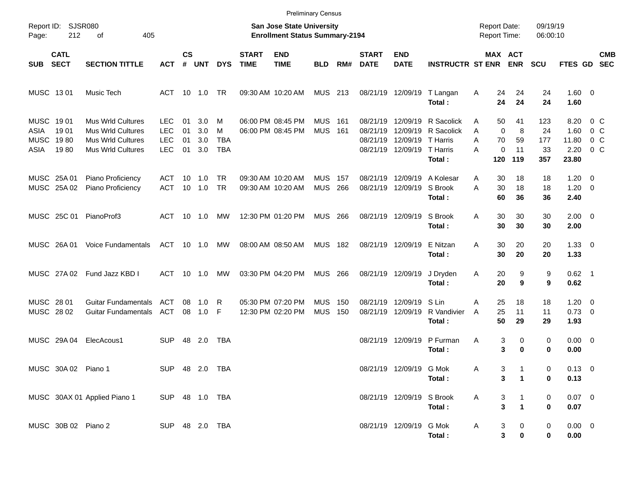|                                                   |                               |                                                                                                              |                                                      |                      |                          |                                    |                                        | <b>Preliminary Census</b>                                                 |                          |            |                                              |                                              |                                                            |                                            |                                               |                               |                                        |                                                       |                          |
|---------------------------------------------------|-------------------------------|--------------------------------------------------------------------------------------------------------------|------------------------------------------------------|----------------------|--------------------------|------------------------------------|----------------------------------------|---------------------------------------------------------------------------|--------------------------|------------|----------------------------------------------|----------------------------------------------|------------------------------------------------------------|--------------------------------------------|-----------------------------------------------|-------------------------------|----------------------------------------|-------------------------------------------------------|--------------------------|
| Report ID:<br>Page:                               | 212                           | SJSR080<br>405<br>οf                                                                                         |                                                      |                      |                          |                                    |                                        | <b>San Jose State University</b><br><b>Enrollment Status Summary-2194</b> |                          |            |                                              |                                              |                                                            | <b>Report Date:</b><br><b>Report Time:</b> |                                               | 09/19/19<br>06:00:10          |                                        |                                                       |                          |
| <b>SUB</b>                                        | <b>CATL</b><br><b>SECT</b>    | <b>SECTION TITTLE</b>                                                                                        | АСТ                                                  | <b>CS</b><br>#       | <b>UNT</b>               | <b>DYS</b>                         | <b>START</b><br><b>TIME</b>            | <b>END</b><br><b>TIME</b>                                                 | <b>BLD</b>               | RM#        | <b>START</b><br><b>DATE</b>                  | <b>END</b><br><b>DATE</b>                    | <b>INSTRUCTR ST ENR</b>                                    |                                            | MAX ACT<br><b>ENR</b>                         | <b>SCU</b>                    | FTES GD                                |                                                       | <b>CMB</b><br><b>SEC</b> |
| MUSC 1301                                         |                               | Music Tech                                                                                                   | ACT                                                  | 10                   | 1.0                      | TR.                                |                                        | 09:30 AM 10:20 AM                                                         | <b>MUS</b>               | 213        | 08/21/19                                     | 12/09/19                                     | T Langan<br>Total:                                         | Α<br>24<br>24                              | 24<br>24                                      | 24<br>24                      | $1.60 \t 0$<br>1.60                    |                                                       |                          |
| <b>MUSC</b><br><b>ASIA</b><br><b>MUSC</b><br>ASIA | 19 01<br>1901<br>1980<br>1980 | <b>Mus Wrld Cultures</b><br><b>Mus Wrld Cultures</b><br><b>Mus Wrld Cultures</b><br><b>Mus Wrld Cultures</b> | <b>LEC</b><br><b>LEC</b><br><b>LEC</b><br><b>LEC</b> | 01<br>01<br>01<br>01 | 3.0<br>3.0<br>3.0<br>3.0 | M<br>M<br><b>TBA</b><br><b>TBA</b> |                                        | 06:00 PM 08:45 PM<br>06:00 PM 08:45 PM                                    | <b>MUS</b><br><b>MUS</b> | 161<br>161 | 08/21/19<br>08/21/19<br>08/21/19<br>08/21/19 | 12/09/19<br>12/09/19<br>12/09/19<br>12/09/19 | R Sacolick<br>R Sacolick<br>T Harris<br>T Harris<br>Total: | 50<br>A<br>A<br>70<br>A<br>A<br>120        | 41<br>0<br>8<br>59<br>0<br>11<br>119          | 123<br>24<br>177<br>33<br>357 | 8.20<br>1.60<br>11.80<br>2.20<br>23.80 | $0\,$ C<br>0 <sup>o</sup><br>$0\,C$<br>0 <sup>o</sup> |                          |
| MUSC 25A 01                                       | MUSC 25A 02                   | Piano Proficiency<br>Piano Proficiency                                                                       | ACT<br><b>ACT</b>                                    | 10<br>10             | 1.0<br>1.0               | <b>TR</b><br>TR                    | 09:30 AM 10:20 AM<br>09:30 AM 10:20 AM |                                                                           | <b>MUS</b><br><b>MUS</b> | 157<br>266 | 08/21/19<br>08/21/19                         | 12/09/19<br>12/09/19                         | A Kolesar<br>S Brook<br>Total:                             | A<br>30<br>A<br>30<br>60                   | 18<br>18<br>36                                | 18<br>18<br>36                | 1.20<br>1.20<br>2.40                   | - 0<br>$\overline{\mathbf{0}}$                        |                          |
|                                                   | MUSC 25C 01                   | PianoProf3                                                                                                   | ACT                                                  | 10                   | 1.0                      | МW                                 |                                        | 12:30 PM 01:20 PM                                                         | <b>MUS</b>               | 266        |                                              | 08/21/19 12/09/19                            | S Brook<br>Total:                                          | A<br>30<br>30                              | 30<br>30                                      | 30<br>30                      | $2.00 \t 0$<br>2.00                    |                                                       |                          |
|                                                   | MUSC 26A01                    | <b>Voice Fundamentals</b>                                                                                    | ACT                                                  | 10                   | 1.0                      | МW                                 | 08:00 AM 08:50 AM                      |                                                                           | <b>MUS</b>               | 182        |                                              | 08/21/19 12/09/19                            | E Nitzan<br>Total:                                         | A<br>30<br>30                              | 20<br>20                                      | 20<br>20                      | $1.33 \ 0$<br>1.33                     |                                                       |                          |
|                                                   | MUSC 27A02                    | Fund Jazz KBD I                                                                                              | ACT                                                  | 10                   | 1.0                      | МW                                 |                                        | 03:30 PM 04:20 PM                                                         | <b>MUS</b>               | 266        | 08/21/19 12/09/19                            |                                              | J Dryden<br>Total:                                         | Α<br>20<br>20                              | 9<br>9                                        | 9<br>9                        | $0.62$ 1<br>0.62                       |                                                       |                          |
| MUSC 28 01<br>MUSC 28 02                          |                               | <b>Guitar Fundamentals</b><br><b>Guitar Fundamentals</b>                                                     | ACT<br>ACT                                           | 08<br>08             | 1.0<br>1.0               | R<br>F                             |                                        | 05:30 PM 07:20 PM<br>12:30 PM 02:20 PM                                    | <b>MUS</b><br><b>MUS</b> | 150<br>150 | 08/21/19<br>08/21/19                         | 12/09/19<br>12/09/19                         | S Lin<br>R Vandivier<br>Total:                             | A<br>25<br>25<br>A<br>50                   | 18<br>11<br>29                                | 18<br>11<br>29                | 1.20<br>0.73<br>1.93                   | $\overline{\mathbf{0}}$<br>$\overline{\phantom{0}}$   |                          |
|                                                   | MUSC 29A 04                   | ElecAcous1                                                                                                   | <b>SUP</b>                                           | 48                   | 2.0                      | <b>TBA</b>                         |                                        |                                                                           |                          |            | 08/21/19                                     | 12/09/19                                     | P Furman<br>Total:                                         | Α                                          | 3<br>0<br>3<br>0                              | 0<br>0                        | $0.00 \t 0$<br>0.00                    |                                                       |                          |
|                                                   | MUSC 30A 02 Piano 1           |                                                                                                              | SUP 48 2.0 TBA                                       |                      |                          |                                    |                                        |                                                                           |                          |            |                                              | 08/21/19 12/09/19 G Mok                      | Total:                                                     | Α                                          | 3<br>1<br>3<br>$\mathbf{1}$                   | 0<br>0                        | $0.13 \ 0$<br>0.13                     |                                                       |                          |
|                                                   |                               | MUSC 30AX 01 Applied Piano 1                                                                                 | SUP 48 1.0 TBA                                       |                      |                          |                                    |                                        |                                                                           |                          |            |                                              | 08/21/19 12/09/19 S Brook                    | Total:                                                     | A                                          | $\frac{3}{3}$<br>$\mathbf{1}$<br>$\mathbf{1}$ | 0<br>0                        | $0.07$ 0<br>0.07                       |                                                       |                          |
|                                                   | MUSC 30B 02 Piano 2           |                                                                                                              | SUP 48 2.0 TBA                                       |                      |                          |                                    |                                        |                                                                           |                          |            |                                              | 08/21/19 12/09/19 G Mok                      | Total:                                                     | A                                          | 3<br>$\mathbf{0}$<br>3<br>$\pmb{0}$           | 0<br>0                        | $0.00 \t 0$<br>0.00                    |                                                       |                          |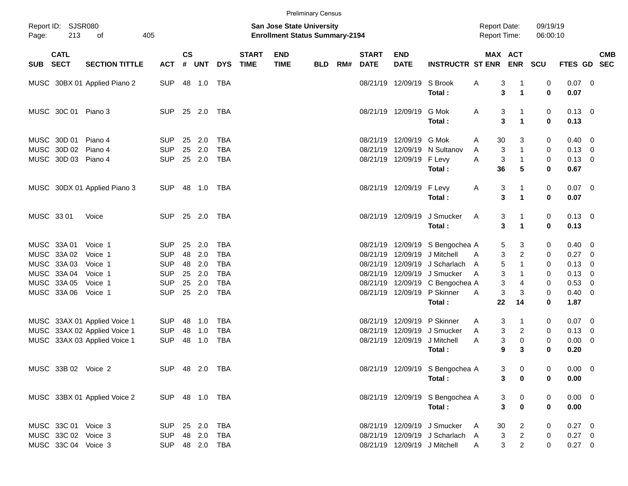|       |                           |                              |                |                    |            |            |                             |                                                                           | <b>Preliminary Census</b> |     |                             |                           |                                 |                                            |              |                                  |                      |                |            |
|-------|---------------------------|------------------------------|----------------|--------------------|------------|------------|-----------------------------|---------------------------------------------------------------------------|---------------------------|-----|-----------------------------|---------------------------|---------------------------------|--------------------------------------------|--------------|----------------------------------|----------------------|----------------|------------|
| Page: | Report ID: SJSR080<br>213 | οf                           | 405            |                    |            |            |                             | <b>San Jose State University</b><br><b>Enrollment Status Summary-2194</b> |                           |     |                             |                           |                                 | <b>Report Date:</b><br><b>Report Time:</b> |              |                                  | 09/19/19<br>06:00:10 |                |            |
|       | <b>CATL</b><br>SUB SECT   | <b>SECTION TITTLE</b>        | <b>ACT</b>     | $\mathsf{cs}$<br># | UNT        | <b>DYS</b> | <b>START</b><br><b>TIME</b> | <b>END</b><br><b>TIME</b>                                                 | BLD                       | RM# | <b>START</b><br><b>DATE</b> | <b>END</b><br><b>DATE</b> | <b>INSTRUCTR ST ENR</b>         |                                            |              | <b>MAX ACT</b><br><b>ENR SCU</b> |                      | FTES GD SEC    | <b>CMB</b> |
|       |                           | MUSC 30BX 01 Applied Piano 2 | <b>SUP</b>     |                    | 48 1.0     | TBA        |                             |                                                                           |                           |     |                             | 08/21/19 12/09/19         | S Brook                         | Α                                          | 3            |                                  | 0                    | $0.07$ 0       |            |
|       |                           |                              |                |                    |            |            |                             |                                                                           |                           |     |                             |                           | Total:                          |                                            | 3            | $\mathbf{1}$                     | $\bf{0}$             | 0.07           |            |
|       | MUSC 30C 01 Piano 3       |                              | <b>SUP</b>     |                    | 25 2.0     | TBA        |                             |                                                                           |                           |     |                             | 08/21/19 12/09/19         | G Mok                           | A                                          | 3            | -1                               | 0                    | $0.13 \quad 0$ |            |
|       |                           |                              |                |                    |            |            |                             |                                                                           |                           |     |                             |                           | Total:                          |                                            | 3            | $\mathbf{1}$                     | $\bf{0}$             | 0.13           |            |
|       | MUSC 30D 01               | Piano 4                      | <b>SUP</b>     | 25                 | 2.0        | TBA        |                             |                                                                           |                           |     |                             | 08/21/19 12/09/19         | G Mok                           | A                                          | 30           | 3                                | 0                    | $0.40 \quad 0$ |            |
|       | MUSC 30D 02               | Piano 4                      | <b>SUP</b>     | 25                 | 2.0        | <b>TBA</b> |                             |                                                                           |                           |     |                             | 08/21/19 12/09/19         | N Sultanov                      | A                                          | 3            | $\mathbf{1}$                     | 0                    | $0.13 \ 0$     |            |
|       | MUSC 30D 03 Piano 4       |                              | <b>SUP</b>     |                    | 25 2.0     | <b>TBA</b> |                             |                                                                           |                           |     |                             | 08/21/19 12/09/19         | F Levy                          | A                                          | 3            | $\mathbf{1}$                     | 0                    | $0.13 \ 0$     |            |
|       |                           |                              |                |                    |            |            |                             |                                                                           |                           |     |                             |                           | Total:                          |                                            | 36           | 5                                | 0                    | 0.67           |            |
|       |                           | MUSC 30DX 01 Applied Piano 3 | <b>SUP</b>     |                    | 48 1.0 TBA |            |                             |                                                                           |                           |     |                             | 08/21/19 12/09/19         | F Levy                          | A                                          | 3            | $\mathbf{1}$                     | 0                    | $0.07$ 0       |            |
|       |                           |                              |                |                    |            |            |                             |                                                                           |                           |     |                             |                           | Total:                          |                                            | 3            | $\blacktriangleleft$             | 0                    | 0.07           |            |
|       | MUSC 33 01                | Voice                        | <b>SUP</b>     |                    | 25 2.0     | TBA        |                             |                                                                           |                           |     |                             | 08/21/19 12/09/19         | J Smucker                       | A                                          | 3            | -1                               | 0                    | $0.13 \ 0$     |            |
|       |                           |                              |                |                    |            |            |                             |                                                                           |                           |     |                             |                           | Total:                          |                                            | $\mathbf{3}$ | $\blacktriangleleft$             | 0                    | 0.13           |            |
|       | MUSC 33A 01               | Voice 1                      | <b>SUP</b>     | 25                 | 2.0        | TBA        |                             |                                                                           |                           |     |                             |                           | 08/21/19 12/09/19 S Bengochea A |                                            | 5            | 3                                | 0                    | $0.40 \ 0$     |            |
|       | MUSC 33A 02               | Voice 1                      | <b>SUP</b>     | 48                 | 2.0        | <b>TBA</b> |                             |                                                                           |                           |     |                             | 08/21/19 12/09/19         | J Mitchell                      | A                                          | 3            | 2                                | 0                    | $0.27$ 0       |            |
|       | MUSC 33A03                | Voice 1                      | <b>SUP</b>     | 48                 | 2.0        | <b>TBA</b> |                             |                                                                           |                           |     |                             | 08/21/19 12/09/19         | J Scharlach                     | A                                          | 5            | $\mathbf{1}$                     | 0                    | $0.13 \ 0$     |            |
|       | MUSC 33A 04               | Voice 1                      | <b>SUP</b>     | 25                 | 2.0        | <b>TBA</b> |                             |                                                                           |                           |     |                             |                           | 08/21/19 12/09/19 J Smucker     | A                                          | 3            | $\mathbf{1}$                     | 0                    | $0.13 \ 0$     |            |
|       | MUSC 33A 05               | Voice 1                      | <b>SUP</b>     | 25                 | 2.0        | <b>TBA</b> |                             |                                                                           |                           |     |                             |                           | 08/21/19 12/09/19 C Bengochea A |                                            | 3            | 4                                | 0                    | 0.53 0         |            |
|       | MUSC 33A 06               | Voice 1                      | <b>SUP</b>     |                    | 25 2.0     | <b>TBA</b> |                             |                                                                           |                           |     |                             |                           | 08/21/19 12/09/19 P Skinner     | A                                          | $\mathbf{3}$ | 3                                | 0                    | $0.40 \quad 0$ |            |
|       |                           |                              |                |                    |            |            |                             |                                                                           |                           |     |                             |                           | Total:                          |                                            | 22           | 14                               | $\bf{0}$             | 1.87           |            |
|       |                           | MUSC 33AX 01 Applied Voice 1 | <b>SUP</b>     | 48                 | 1.0        | TBA        |                             |                                                                           |                           |     |                             | 08/21/19 12/09/19         | P Skinner                       | A                                          | 3            | 1                                | 0                    | $0.07 \quad 0$ |            |
|       |                           | MUSC 33AX 02 Applied Voice 1 | <b>SUP</b>     | 48                 | 1.0        | <b>TBA</b> |                             |                                                                           |                           |     |                             | 08/21/19 12/09/19         | J Smucker                       | A                                          | 3            | $\overline{c}$                   | 0                    | $0.13 \ 0$     |            |
|       |                           | MUSC 33AX 03 Applied Voice 1 | <b>SUP</b>     | 48                 | 1.0        | <b>TBA</b> |                             |                                                                           |                           |     |                             | 08/21/19 12/09/19         | J Mitchell                      | A                                          | 3            | 0                                | 0                    | $0.00 \t 0$    |            |
|       |                           |                              |                |                    |            |            |                             |                                                                           |                           |     |                             |                           | Total:                          |                                            | 9            | 3                                | 0                    | 0.20           |            |
|       | MUSC 33B 02 Voice 2       |                              | SUP 48 2.0 TBA |                    |            |            |                             |                                                                           |                           |     |                             |                           | 08/21/19 12/09/19 S Bengochea A |                                            | 3            | 0                                | 0                    | $0.00 \t 0$    |            |
|       |                           |                              |                |                    |            |            |                             |                                                                           |                           |     |                             |                           | Total:                          |                                            | 3            | $\mathbf 0$                      | 0                    | 0.00           |            |
|       |                           | MUSC 33BX 01 Applied Voice 2 | SUP 48 1.0 TBA |                    |            |            |                             |                                                                           |                           |     |                             |                           | 08/21/19 12/09/19 S Bengochea A |                                            | 3            | 0                                | 0                    | $0.00 \t 0$    |            |
|       |                           |                              |                |                    |            |            |                             |                                                                           |                           |     |                             |                           | Total:                          |                                            | $\mathbf{3}$ | $\mathbf 0$                      | $\mathbf 0$          | 0.00           |            |
|       | MUSC 33C 01 Voice 3       |                              | SUP 25 2.0     |                    |            | <b>TBA</b> |                             |                                                                           |                           |     |                             |                           | 08/21/19 12/09/19 J Smucker     | <b>A</b>                                   | 30           | $\overline{2}$                   | 0                    | $0.27$ 0       |            |
|       | MUSC 33C 02 Voice 3       |                              | <b>SUP</b>     |                    | 48 2.0     | TBA        |                             |                                                                           |                           |     |                             |                           | 08/21/19 12/09/19 J Scharlach A |                                            | 3            | $\overline{2}$                   | 0                    | $0.27 \ 0$     |            |
|       | MUSC 33C 04 Voice 3       |                              | SUP 48 2.0 TBA |                    |            |            |                             |                                                                           |                           |     |                             |                           | 08/21/19 12/09/19 J Mitchell    | A                                          | 3            | $\overline{2}$                   | 0                    | $0.27 \t 0$    |            |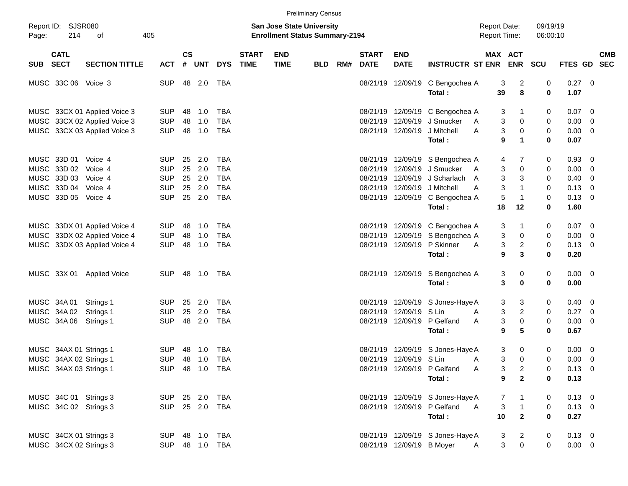|       |                           |                              |            |                    |                |                |                             |                                                                           | <b>Preliminary Census</b> |     |                             |                           |                                  |                                            |                |                      |                |                          |            |
|-------|---------------------------|------------------------------|------------|--------------------|----------------|----------------|-----------------------------|---------------------------------------------------------------------------|---------------------------|-----|-----------------------------|---------------------------|----------------------------------|--------------------------------------------|----------------|----------------------|----------------|--------------------------|------------|
| Page: | Report ID: SJSR080<br>214 | οf                           | 405        |                    |                |                |                             | <b>San Jose State University</b><br><b>Enrollment Status Summary-2194</b> |                           |     |                             |                           |                                  | <b>Report Date:</b><br><b>Report Time:</b> |                | 09/19/19<br>06:00:10 |                |                          |            |
|       | <b>CATL</b><br>SUB SECT   | <b>SECTION TITTLE</b>        | <b>ACT</b> | $\mathsf{cs}$<br># | UNT            | <b>DYS</b>     | <b>START</b><br><b>TIME</b> | <b>END</b><br><b>TIME</b>                                                 | BLD                       | RM# | <b>START</b><br><b>DATE</b> | <b>END</b><br><b>DATE</b> | <b>INSTRUCTR ST ENR</b>          | MAX ACT                                    | <b>ENR SCU</b> |                      | FTES GD SEC    |                          | <b>CMB</b> |
|       | MUSC 33C 06 Voice 3       |                              | <b>SUP</b> |                    | 48 2.0         | TBA            |                             |                                                                           |                           |     |                             | 08/21/19 12/09/19         | C Bengochea A                    | 3                                          | 2              | 0                    | $0.27$ 0       |                          |            |
|       |                           |                              |            |                    |                |                |                             |                                                                           |                           |     |                             |                           | Total:                           | 39                                         | 8              | $\bf{0}$             | 1.07           |                          |            |
|       |                           | MUSC 33CX 01 Applied Voice 3 | <b>SUP</b> | 48                 | 1.0            | TBA            |                             |                                                                           |                           |     |                             |                           | 08/21/19 12/09/19 C Bengochea A  | 3                                          | 1              | 0                    | $0.07 \quad 0$ |                          |            |
|       |                           | MUSC 33CX 02 Applied Voice 3 | <b>SUP</b> | 48                 | 1.0            | <b>TBA</b>     |                             |                                                                           |                           |     |                             | 08/21/19 12/09/19         | J Smucker                        | 3<br>A                                     | 0              | 0                    | $0.00 \t 0$    |                          |            |
|       |                           | MUSC 33CX 03 Applied Voice 3 | <b>SUP</b> | 48                 | 1.0            | <b>TBA</b>     |                             |                                                                           |                           |     |                             | 08/21/19 12/09/19         | J Mitchell<br>A                  | 3                                          | 0              | 0                    | $0.00 \t 0$    |                          |            |
|       |                           |                              |            |                    |                |                |                             |                                                                           |                           |     |                             |                           | Total:                           | 9                                          | $\mathbf 1$    | 0                    | 0.07           |                          |            |
|       | MUSC 33D 01               | Voice 4                      | <b>SUP</b> | 25                 | 2.0            | TBA            |                             |                                                                           |                           |     |                             |                           | 08/21/19 12/09/19 S Bengochea A  | 4                                          | 7              | 0                    | 0.93 0         |                          |            |
|       | MUSC 33D 02               | Voice 4                      | <b>SUP</b> | 25                 | 2.0            | <b>TBA</b>     |                             |                                                                           |                           |     |                             | 08/21/19 12/09/19         | J Smucker<br>A                   | 3                                          | 0              | 0                    | $0.00 \t 0$    |                          |            |
|       | MUSC 33D 03               | Voice 4                      | <b>SUP</b> | 25                 | 2.0            | <b>TBA</b>     |                             |                                                                           |                           |     |                             | 08/21/19 12/09/19         | J Scharlach<br>A                 | 3                                          | 3              | 0                    | $0.40 \ 0$     |                          |            |
|       | MUSC 33D 04               | Voice 4                      | <b>SUP</b> | 25                 | 2.0            | <b>TBA</b>     |                             |                                                                           |                           |     |                             | 08/21/19 12/09/19         | J Mitchell<br>A                  | 3                                          | $\mathbf{1}$   | 0                    | $0.13 \ 0$     |                          |            |
|       | MUSC 33D 05 Voice 4       |                              | <b>SUP</b> |                    | 25 2.0         | <b>TBA</b>     |                             |                                                                           |                           |     |                             | 08/21/19 12/09/19         | C Bengochea A                    | 5                                          | $\mathbf{1}$   | 0                    | $0.13 \ 0$     |                          |            |
|       |                           |                              |            |                    |                |                |                             |                                                                           |                           |     |                             |                           | Total:                           | 18                                         | 12             | 0                    | 1.60           |                          |            |
|       |                           | MUSC 33DX 01 Applied Voice 4 | <b>SUP</b> | 48                 | 1.0            | <b>TBA</b>     |                             |                                                                           |                           |     |                             |                           | 08/21/19 12/09/19 C Bengochea A  | 3                                          | 1              | 0                    | $0.07$ 0       |                          |            |
|       |                           | MUSC 33DX 02 Applied Voice 4 | <b>SUP</b> | 48                 | 1.0            | <b>TBA</b>     |                             |                                                                           |                           |     |                             | 08/21/19 12/09/19         | S Bengochea A                    | 3                                          | 0              | 0                    | $0.00 \t 0$    |                          |            |
|       |                           | MUSC 33DX 03 Applied Voice 4 | <b>SUP</b> | 48                 | 1.0            | <b>TBA</b>     |                             |                                                                           |                           |     |                             | 08/21/19 12/09/19         | P Skinner<br>A                   | 3                                          | 2              | 0                    | $0.13 \ 0$     |                          |            |
|       |                           |                              |            |                    |                |                |                             |                                                                           |                           |     |                             |                           | Total:                           | 9                                          | 3              | 0                    | 0.20           |                          |            |
|       | MUSC 33X 01               | <b>Applied Voice</b>         | <b>SUP</b> |                    | 48 1.0 TBA     |                |                             |                                                                           |                           |     |                             | 08/21/19 12/09/19         | S Bengochea A                    | 3                                          | 0              | 0                    | $0.00 \t 0$    |                          |            |
|       |                           |                              |            |                    |                |                |                             |                                                                           |                           |     |                             |                           | Total:                           | 3                                          | 0              | 0                    | 0.00           |                          |            |
|       |                           |                              |            |                    |                |                |                             |                                                                           |                           |     |                             |                           |                                  |                                            |                |                      |                |                          |            |
|       | MUSC 34A 01               | Strings 1                    | <b>SUP</b> | 25                 | 2.0            | TBA            |                             |                                                                           |                           |     |                             |                           | 08/21/19 12/09/19 S Jones-Haye A | 3                                          | 3              | 0                    | $0.40 \quad 0$ |                          |            |
|       | MUSC 34A 02               | Strings 1                    | <b>SUP</b> | 25                 | 2.0            | <b>TBA</b>     |                             |                                                                           |                           |     |                             | 08/21/19 12/09/19 S Lin   | A                                | 3                                          | 2              | 0                    | $0.27$ 0       |                          |            |
|       | MUSC 34A 06               | Strings 1                    | <b>SUP</b> |                    | 48 2.0         | <b>TBA</b>     |                             |                                                                           |                           |     |                             | 08/21/19 12/09/19         | P Gelfand<br>A                   | 3                                          | 0              | 0                    | $0.00 \t 0$    |                          |            |
|       |                           |                              |            |                    |                |                |                             |                                                                           |                           |     |                             |                           | Total:                           | 9                                          | 5              | 0                    | 0.67           |                          |            |
|       | MUSC 34AX 01 Strings 1    |                              | <b>SUP</b> | 48                 | 1.0            | TBA            |                             |                                                                           |                           |     |                             | 08/21/19 12/09/19         | S Jones-Haye A                   | 3                                          | 0              | 0                    | $0.00 \t 0$    |                          |            |
|       | MUSC 34AX 02 Strings 1    |                              | <b>SUP</b> |                    | 48 1.0         | <b>TBA</b>     |                             |                                                                           |                           |     |                             | 08/21/19 12/09/19 S Lin   | A                                | 3                                          | 0              | 0                    | 0.00           | $\overline{\phantom{0}}$ |            |
|       | MUSC 34AX 03 Strings 1    |                              |            |                    | SUP 48 1.0 TBA |                |                             |                                                                           |                           |     |                             |                           | 08/21/19 12/09/19 P Gelfand<br>Α | 3                                          | $\mathbf{2}$   | 0                    | $0.13 \quad 0$ |                          |            |
|       |                           |                              |            |                    |                |                |                             |                                                                           |                           |     |                             |                           | Total:                           | 9                                          | $\overline{2}$ | 0                    | 0.13           |                          |            |
|       | MUSC 34C 01 Strings 3     |                              |            |                    | SUP 25 2.0 TBA |                |                             |                                                                           |                           |     |                             |                           | 08/21/19 12/09/19 S Jones-Haye A | 7                                          |                | 0                    | $0.13 \ 0$     |                          |            |
|       | MUSC 34C 02 Strings 3     |                              |            |                    | SUP 25 2.0 TBA |                |                             |                                                                           |                           |     |                             |                           | 08/21/19 12/09/19 P Gelfand<br>A | 3                                          | $\overline{1}$ | $\mathbf 0$          | $0.13 \ 0$     |                          |            |
|       |                           |                              |            |                    |                |                |                             |                                                                           |                           |     |                             |                           | Total:                           | 10                                         | $\overline{2}$ | $\mathbf{0}$         | 0.27           |                          |            |
|       | MUSC 34CX 01 Strings 3    |                              |            |                    |                | SUP 48 1.0 TBA |                             |                                                                           |                           |     |                             |                           | 08/21/19 12/09/19 S Jones-Haye A | 3                                          | $\overline{2}$ | 0                    | $0.13 \ 0$     |                          |            |
|       | MUSC 34CX 02 Strings 3    |                              |            |                    |                | SUP 48 1.0 TBA |                             |                                                                           |                           |     |                             | 08/21/19 12/09/19 B Moyer |                                  | 3<br>A                                     | $\mathbf 0$    | 0                    | $0.00 \t 0$    |                          |            |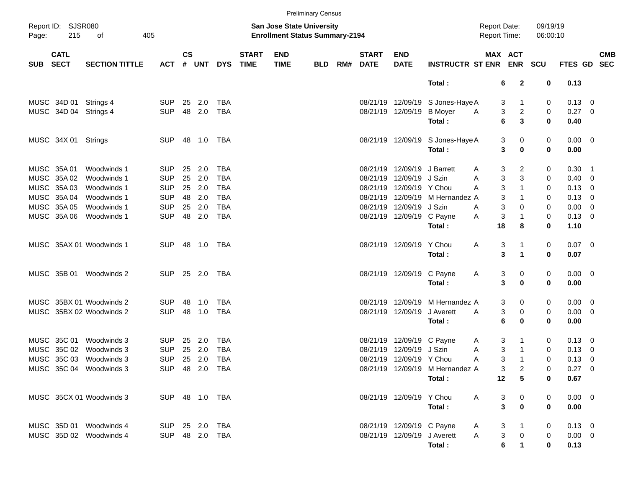|            |                            |                          |                |           |              |                |                             |                                                                    | <b>Preliminary Census</b> |     |                             |                             |                                  |                                            |                                        |                      |                |                          |            |
|------------|----------------------------|--------------------------|----------------|-----------|--------------|----------------|-----------------------------|--------------------------------------------------------------------|---------------------------|-----|-----------------------------|-----------------------------|----------------------------------|--------------------------------------------|----------------------------------------|----------------------|----------------|--------------------------|------------|
| Page:      | Report ID: SJSR080<br>215  | 405<br>оf                |                |           |              |                |                             | San Jose State University<br><b>Enrollment Status Summary-2194</b> |                           |     |                             |                             |                                  | <b>Report Date:</b><br><b>Report Time:</b> |                                        | 09/19/19<br>06:00:10 |                |                          |            |
| <b>SUB</b> | <b>CATL</b><br><b>SECT</b> | <b>SECTION TITTLE</b>    | <b>ACT</b>     | <b>CS</b> | # UNT        | <b>DYS</b>     | <b>START</b><br><b>TIME</b> | <b>END</b><br><b>TIME</b>                                          | <b>BLD</b>                | RM# | <b>START</b><br><b>DATE</b> | <b>END</b><br><b>DATE</b>   | <b>INSTRUCTR ST ENR</b>          |                                            | MAX ACT<br><b>ENR</b>                  | <b>SCU</b>           | FTES GD SEC    |                          | <b>CMB</b> |
|            |                            |                          |                |           |              |                |                             |                                                                    |                           |     |                             |                             | Total:                           |                                            | $\mathbf{2}$<br>6                      | 0                    | 0.13           |                          |            |
|            | MUSC 34D 01                | Strings 4                | <b>SUP</b>     | 25        | 2.0          | TBA            |                             |                                                                    |                           |     |                             |                             | 08/21/19 12/09/19 S Jones-Haye A |                                            | 3<br>1                                 | 0                    | $0.13 \quad 0$ |                          |            |
|            | MUSC 34D 04                | Strings 4                | <b>SUP</b>     |           | 48 2.0       | <b>TBA</b>     |                             |                                                                    |                           |     |                             | 08/21/19 12/09/19           | <b>B</b> Moyer                   | A                                          | 3<br>$\overline{c}$                    | 0                    | $0.27$ 0       |                          |            |
|            |                            |                          |                |           |              |                |                             |                                                                    |                           |     |                             |                             | Total:                           | 6                                          | 3                                      | 0                    | 0.40           |                          |            |
|            | MUSC 34X 01 Strings        |                          | <b>SUP</b>     |           | 48  1.0  TBA |                |                             |                                                                    |                           |     |                             | 08/21/19 12/09/19           | S Jones-Haye A                   |                                            | 3<br>0                                 | 0                    | $0.00 \t 0$    |                          |            |
|            |                            |                          |                |           |              |                |                             |                                                                    |                           |     |                             |                             | Total:                           |                                            | 3<br>0                                 | 0                    | 0.00           |                          |            |
|            | MUSC 35A 01                | Woodwinds 1              | <b>SUP</b>     | 25        | 2.0          | TBA            |                             |                                                                    |                           |     |                             | 08/21/19 12/09/19           | J Barrett                        | A                                          | 3<br>2                                 | 0                    | $0.30$ 1       |                          |            |
|            | MUSC 35A 02                | Woodwinds 1              | <b>SUP</b>     | 25        | 2.0          | <b>TBA</b>     |                             |                                                                    |                           |     |                             | 08/21/19 12/09/19 J Szin    |                                  | Α                                          | 3<br>3                                 | 0                    | $0.40 \ 0$     |                          |            |
|            | MUSC 35A 03                | Woodwinds 1              | <b>SUP</b>     |           | 25 2.0       | <b>TBA</b>     |                             |                                                                    |                           |     |                             | 08/21/19 12/09/19 Y Chou    |                                  | A                                          | 3<br>$\mathbf{1}$                      | 0                    | $0.13 \ 0$     |                          |            |
|            | MUSC 35A 04                | Woodwinds 1              | <b>SUP</b>     |           | 48 2.0       | <b>TBA</b>     |                             |                                                                    |                           |     |                             |                             | 08/21/19 12/09/19 M Hernandez A  |                                            | 3                                      | 0                    | $0.13 \quad 0$ |                          |            |
|            | MUSC 35A 05                | Woodwinds 1              | <b>SUP</b>     | 25        | 2.0          | <b>TBA</b>     |                             |                                                                    |                           |     |                             | 08/21/19 12/09/19           | J Szin                           | A                                          | 3<br>0                                 | 0                    | $0.00 \t 0$    |                          |            |
|            | MUSC 35A 06                | Woodwinds 1              | <b>SUP</b>     |           | 48 2.0       | <b>TBA</b>     |                             |                                                                    |                           |     |                             | 08/21/19 12/09/19 C Payne   |                                  | A                                          | 3<br>$\mathbf{1}$                      | 0                    | $0.13 \ 0$     |                          |            |
|            |                            |                          |                |           |              |                |                             |                                                                    |                           |     |                             |                             | Total:                           | 18                                         | 8                                      | 0                    | 1.10           |                          |            |
|            |                            | MUSC 35AX 01 Woodwinds 1 | <b>SUP</b>     |           | 48  1.0  TBA |                |                             |                                                                    |                           |     |                             | 08/21/19 12/09/19 Y Chou    |                                  | A                                          | 3                                      | 0                    | $0.07$ 0       |                          |            |
|            |                            |                          |                |           |              |                |                             |                                                                    |                           |     |                             |                             | Total:                           |                                            | 3<br>$\blacktriangleleft$              | 0                    | 0.07           |                          |            |
|            |                            | MUSC 35B 01 Woodwinds 2  | <b>SUP</b>     |           | 25 2.0       | TBA            |                             |                                                                    |                           |     |                             | 08/21/19 12/09/19           | C Payne                          | A                                          | 3<br>0                                 | 0                    | $0.00 \t 0$    |                          |            |
|            |                            |                          |                |           |              |                |                             |                                                                    |                           |     |                             |                             | Total:                           |                                            | 3<br>0                                 | 0                    | 0.00           |                          |            |
|            |                            | MUSC 35BX 01 Woodwinds 2 | <b>SUP</b>     | 48        | 1.0          | TBA            |                             |                                                                    |                           |     |                             | 08/21/19 12/09/19           | M Hernandez A                    |                                            | 3<br>0                                 | 0                    | $0.00 \t 0$    |                          |            |
|            |                            | MUSC 35BX 02 Woodwinds 2 | <b>SUP</b>     |           | 48 1.0       | <b>TBA</b>     |                             |                                                                    |                           |     |                             | 08/21/19 12/09/19           | J Averett                        | Α                                          | 3<br>0                                 | 0                    | $0.00 \t 0$    |                          |            |
|            |                            |                          |                |           |              |                |                             |                                                                    |                           |     |                             |                             | Total:                           | 6                                          | 0                                      | 0                    | 0.00           |                          |            |
|            | MUSC 35C 01                | Woodwinds 3              | <b>SUP</b>     | 25        | 2.0          | TBA            |                             |                                                                    |                           |     |                             | 08/21/19 12/09/19 C Payne   |                                  | A                                          | 3                                      | 0                    | $0.13 \quad 0$ |                          |            |
| MUSC       | 35C 02                     | Woodwinds 3              | <b>SUP</b>     | 25        | 2.0          | <b>TBA</b>     |                             |                                                                    |                           |     |                             | 08/21/19 12/09/19 J Szin    |                                  | A                                          | 3<br>$\mathbf{1}$                      | 0                    | 0.13           | $\overline{\phantom{0}}$ |            |
|            |                            | MUSC 35C 03 Woodwinds 3  | <b>SUP</b>     |           | 25 2.0       | <b>TBA</b>     |                             |                                                                    |                           |     |                             | 08/21/19 12/09/19 Y Chou    |                                  | 3<br>Α                                     | $\mathbf 1$                            | 0                    | 0.13           | $\overline{\mathbf{0}}$  |            |
|            |                            | MUSC 35C 04 Woodwinds 3  |                |           |              | SUP 48 2.0 TBA |                             |                                                                    |                           |     |                             |                             | 08/21/19 12/09/19 M Hernandez A  |                                            | 3<br>$\overline{2}$                    | 0                    | $0.27$ 0       |                          |            |
|            |                            |                          |                |           |              |                |                             |                                                                    |                           |     |                             |                             | Total:                           | 12                                         | 5                                      | 0                    | 0.67           |                          |            |
|            |                            | MUSC 35CX 01 Woodwinds 3 | SUP 48 1.0 TBA |           |              |                |                             |                                                                    |                           |     |                             | 08/21/19 12/09/19 Y Chou    |                                  | A                                          | 3<br>$\mathbf{0}$                      | 0                    | $0.00 \t 0$    |                          |            |
|            |                            |                          |                |           |              |                |                             |                                                                    |                           |     |                             |                             | Total:                           |                                            | $\overline{\mathbf{3}}$<br>$\mathbf 0$ | $\mathbf 0$          | 0.00           |                          |            |
|            |                            | MUSC 35D 01 Woodwinds 4  | SUP 25 2.0 TBA |           |              |                |                             |                                                                    |                           |     |                             | 08/21/19 12/09/19 C Payne   |                                  | 3<br>A                                     |                                        | 0                    | $0.13 \ 0$     |                          |            |
|            |                            | MUSC 35D 02 Woodwinds 4  | SUP 48 2.0 TBA |           |              |                |                             |                                                                    |                           |     |                             | 08/21/19 12/09/19 J Averett |                                  | $\mathsf{A}$                               | 3<br>$\overline{0}$                    | 0                    | $0.00 \t 0$    |                          |            |
|            |                            |                          |                |           |              |                |                             |                                                                    |                           |     |                             |                             | Total:                           |                                            | 6<br>$\mathbf 1$                       | 0                    | 0.13           |                          |            |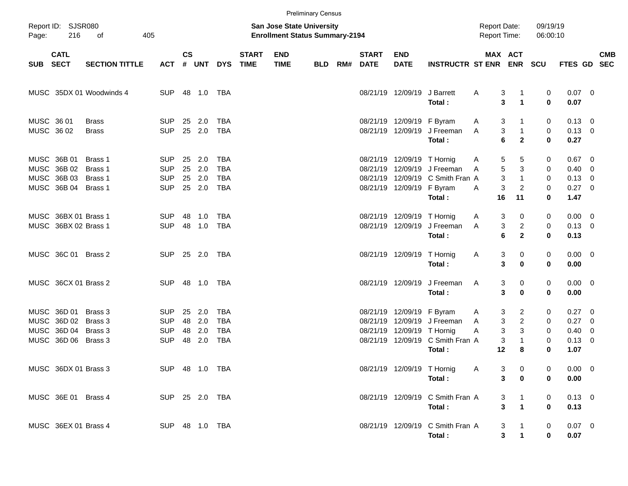|          |                                                                  |                                          |                                                      |               |                                      |                                               |                             |                                                                           | <b>Preliminary Census</b> |     |                             |                                                         |                                                                           |                                           |                                                     |                                        |                                                          |                         |            |
|----------|------------------------------------------------------------------|------------------------------------------|------------------------------------------------------|---------------|--------------------------------------|-----------------------------------------------|-----------------------------|---------------------------------------------------------------------------|---------------------------|-----|-----------------------------|---------------------------------------------------------|---------------------------------------------------------------------------|-------------------------------------------|-----------------------------------------------------|----------------------------------------|----------------------------------------------------------|-------------------------|------------|
| Page:    | Report ID: SJSR080<br>216                                        | 405<br>οf                                |                                                      |               |                                      |                                               |                             | <b>San Jose State University</b><br><b>Enrollment Status Summary-2194</b> |                           |     |                             |                                                         |                                                                           | <b>Report Date:</b><br>Report Time:       |                                                     | 09/19/19<br>06:00:10                   |                                                          |                         |            |
| SUB SECT | <b>CATL</b>                                                      | <b>SECTION TITTLE</b>                    | <b>ACT</b>                                           | $\mathsf{cs}$ |                                      | # UNT DYS                                     | <b>START</b><br><b>TIME</b> | <b>END</b><br><b>TIME</b>                                                 | BLD                       | RM# | <b>START</b><br><b>DATE</b> | <b>END</b><br><b>DATE</b>                               | <b>INSTRUCTR ST ENR ENR</b>                                               |                                           | <b>MAX ACT</b>                                      | <b>SCU</b>                             | FTES GD SEC                                              |                         | <b>CMB</b> |
|          |                                                                  | MUSC 35DX 01 Woodwinds 4                 | <b>SUP</b>                                           |               |                                      |                                               |                             |                                                                           |                           |     |                             | 08/21/19 12/09/19                                       | J Barrett<br>Total:                                                       | Α<br>3                                    | 1<br>3<br>$\blacktriangleleft$                      | 0<br>$\bf{0}$                          | $0.07$ 0<br>0.07                                         |                         |            |
|          | MUSC 36 01<br>MUSC 36 02                                         | <b>Brass</b><br><b>Brass</b>             | <b>SUP</b><br><b>SUP</b>                             |               | 25 2.0<br>25 2.0                     | TBA<br><b>TBA</b>                             |                             |                                                                           |                           |     |                             | 08/21/19 12/09/19 F Byram<br>08/21/19 12/09/19          | J Freeman<br>Total:                                                       | 3<br>A<br>3<br>A<br>6                     | $\mathbf{1}$<br>$\mathbf{2}$                        | 0<br>0<br>$\mathbf 0$                  | $0.13 \quad 0$<br>$0.13 \ 0$<br>0.27                     |                         |            |
|          | MUSC 36B 01<br>MUSC 36B 02<br>MUSC 36B 03<br>MUSC 36B 04         | Brass 1<br>Brass 1<br>Brass 1<br>Brass 1 | <b>SUP</b><br><b>SUP</b><br><b>SUP</b><br><b>SUP</b> |               | 25 2.0<br>25 2.0<br>25 2.0<br>25 2.0 | TBA<br><b>TBA</b><br><b>TBA</b><br><b>TBA</b> |                             |                                                                           |                           |     |                             | 08/21/19 12/09/19 T Hornig<br>08/21/19 12/09/19 F Byram | 08/21/19 12/09/19 J Freeman<br>08/21/19 12/09/19 C Smith Fran A<br>Total: | 5<br>A<br>5<br>A<br>3<br>Α<br>16          | 5<br>3<br>3<br>$\mathbf{1}$<br>$\overline{2}$<br>11 | 0<br>0<br>0<br>$\mathbf 0$<br>$\bf{0}$ | $0.67$ 0<br>$0.40 \ 0$<br>$0.13 \ 0$<br>$0.27$ 0<br>1.47 |                         |            |
|          | MUSC 36BX 01 Brass 1<br>MUSC 36BX 02 Brass 1                     |                                          | <b>SUP</b><br><b>SUP</b>                             | 48            | 1.0<br>48 1.0                        | TBA<br>TBA                                    |                             |                                                                           |                           |     |                             | 08/21/19 12/09/19 T Hornig<br>08/21/19 12/09/19         | J Freeman<br>Total:                                                       | 3<br>A<br>3<br>A<br>6                     | 0<br>$\overline{c}$<br>$\mathbf{2}$                 | 0<br>0<br>$\bf{0}$                     | $0.00 \t 0$<br>$0.13 \ 0$<br>0.13                        |                         |            |
|          | MUSC 36C 01 Brass 2                                              |                                          | <b>SUP</b>                                           |               | 25 2.0 TBA                           |                                               |                             |                                                                           |                           |     |                             | 08/21/19 12/09/19 T Hornig                              | Total:                                                                    | A                                         | 3<br>0<br>3<br>0                                    | 0<br>$\bf{0}$                          | $0.00 \t 0$<br>0.00                                      |                         |            |
|          | MUSC 36CX 01 Brass 2                                             |                                          | <b>SUP</b>                                           |               | 48  1.0  TBA                         |                                               |                             |                                                                           |                           |     |                             | 08/21/19 12/09/19                                       | J Freeman<br>Total:                                                       | A                                         | 3<br>0<br>3<br>0                                    | 0<br>$\bf{0}$                          | $0.00 \t 0$<br>0.00                                      |                         |            |
|          | MUSC 36D 01<br>MUSC 36D 02<br>MUSC 36D 04<br>MUSC 36D 06 Brass 3 | Brass 3<br>Brass 3<br>Brass 3            | <b>SUP</b><br><b>SUP</b><br><b>SUP</b><br><b>SUP</b> | 25<br>48      | 2.0<br>48 2.0<br>2.0<br>48 2.0       | TBA<br><b>TBA</b><br><b>TBA</b><br><b>TBA</b> |                             |                                                                           |                           |     |                             | 08/21/19 12/09/19 F Byram<br>08/21/19 12/09/19 T Hornig | 08/21/19 12/09/19 J Freeman<br>08/21/19 12/09/19 C Smith Fran A<br>Total: | 3<br>A<br>A<br>$\sqrt{3}$<br>Α<br>3<br>12 | 2<br>3<br>$\overline{2}$<br>3<br>$\mathbf{1}$<br>8  | 0<br>0<br>0<br>0<br>0                  | $0.27 \quad 0$<br>$0.27$ 0<br>0.40<br>$0.13 \ 0$<br>1.07 | $\overline{\mathbf{0}}$ |            |
|          | MUSC 36DX 01 Brass 3                                             |                                          |                                                      |               | SUP 48 1.0 TBA                       |                                               |                             |                                                                           |                           |     |                             | 08/21/19 12/09/19 T Hornig                              | Total:                                                                    | Α                                         | 3<br>0<br>3<br>0                                    | 0<br>0                                 | $0.00 \t 0$<br>0.00                                      |                         |            |
|          | MUSC 36E 01 Brass 4                                              |                                          |                                                      |               | SUP 25 2.0 TBA                       |                                               |                             |                                                                           |                           |     |                             |                                                         | 08/21/19 12/09/19 C Smith Fran A<br>Total:                                |                                           | 3<br>$\mathbf{3}$<br>$\blacktriangleleft$           | 0<br>0                                 | $0.13 \ 0$<br>0.13                                       |                         |            |
|          | MUSC 36EX 01 Brass 4                                             |                                          | SUP 48 1.0 TBA                                       |               |                                      |                                               |                             |                                                                           |                           |     |                             |                                                         | 08/21/19 12/09/19 C Smith Fran A<br>Total:                                |                                           | 3<br>3<br>$\mathbf 1$                               | 0<br>0                                 | $0.07$ 0<br>0.07                                         |                         |            |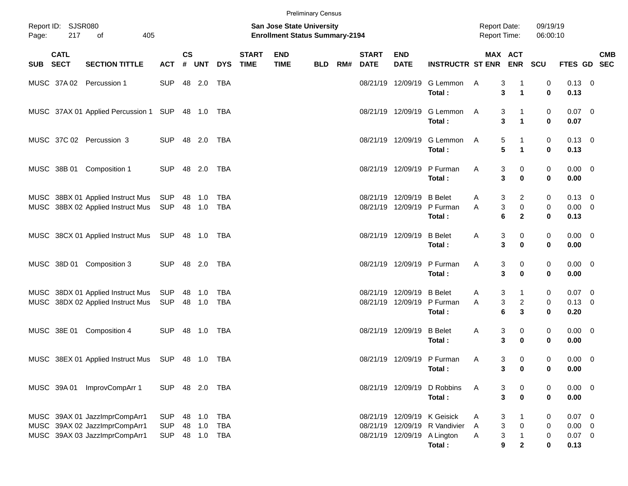|       |                           |                                                                                                 |                                        |                    |                            |                                        |                             |                                                                    | <b>Preliminary Census</b> |     |                                        |                                                             |                                                 |                                                                        |                                                |                                  |                                             |                           |
|-------|---------------------------|-------------------------------------------------------------------------------------------------|----------------------------------------|--------------------|----------------------------|----------------------------------------|-----------------------------|--------------------------------------------------------------------|---------------------------|-----|----------------------------------------|-------------------------------------------------------------|-------------------------------------------------|------------------------------------------------------------------------|------------------------------------------------|----------------------------------|---------------------------------------------|---------------------------|
| Page: | Report ID: SJSR080<br>217 | 405<br>of                                                                                       |                                        |                    |                            |                                        |                             | San Jose State University<br><b>Enrollment Status Summary-2194</b> |                           |     |                                        |                                                             |                                                 | <b>Report Date:</b><br><b>Report Time:</b>                             |                                                | 09/19/19<br>06:00:10             |                                             |                           |
|       | <b>CATL</b><br>SUB SECT   | <b>SECTION TITTLE</b>                                                                           | <b>ACT</b>                             | $\mathsf{cs}$<br># |                            | UNT DYS                                | <b>START</b><br><b>TIME</b> | <b>END</b><br><b>TIME</b>                                          | <b>BLD</b>                | RM# | <b>START</b><br><b>DATE</b>            | <b>END</b><br><b>DATE</b>                                   | <b>INSTRUCTR ST ENR</b>                         |                                                                        | MAX ACT                                        | <b>ENR SCU</b>                   |                                             | <b>CMB</b><br>FTES GD SEC |
|       |                           | MUSC 37A 02 Percussion 1                                                                        | <b>SUP</b>                             |                    | 48 2.0                     | TBA                                    |                             |                                                                    |                           |     |                                        | 08/21/19 12/09/19                                           | G Lemmon<br>Total:                              | A<br>3<br>3                                                            | $\mathbf{1}$                                   | 0<br>$\bf{0}$                    | $0.13 \ 0$<br>0.13                          |                           |
|       |                           | MUSC 37AX 01 Applied Percussion 1 SUP 48 1.0 TBA                                                |                                        |                    |                            |                                        |                             |                                                                    |                           |     | 08/21/19 12/09/19                      |                                                             | G Lemmon<br>Total:                              | A<br>$\mathbf{3}$                                                      | 3<br>1<br>$\mathbf{1}$                         | 0<br>$\mathbf 0$                 | $0.07$ 0<br>0.07                            |                           |
|       |                           | MUSC 37C 02 Percussion 3                                                                        | <b>SUP</b>                             |                    | 48 2.0                     | TBA                                    |                             |                                                                    |                           |     | 08/21/19 12/09/19                      |                                                             | G Lemmon<br>Total:                              | 5<br>A<br>5                                                            | -1<br>$\mathbf{1}$                             | 0<br>$\mathbf 0$                 | $0.13 \quad 0$<br>0.13                      |                           |
|       |                           | MUSC 38B 01 Composition 1                                                                       | <b>SUP</b>                             |                    | 48 2.0                     | TBA                                    |                             |                                                                    |                           |     | 08/21/19 12/09/19                      |                                                             | P Furman<br>Total:                              | Α<br>3<br>3                                                            | 0<br>0                                         | 0<br>$\mathbf 0$                 | $0.00 \t 0$<br>0.00                         |                           |
|       |                           | MUSC 38BX 01 Applied Instruct Mus<br>MUSC 38BX 02 Applied Instruct Mus                          | SUP<br>SUP                             |                    | 48 1.0<br>48 1.0           | <b>TBA</b><br>TBA                      |                             |                                                                    |                           |     | 08/21/19 12/09/19<br>08/21/19 12/09/19 |                                                             | <b>B</b> Belet<br>P Furman<br>Total:            | 3<br>A<br>$\ensuremath{\mathsf{3}}$<br>Α<br>6                          | 2<br>0<br>$\mathbf{2}$                         | 0<br>0<br>$\mathbf 0$            | $0.13 \quad 0$<br>$0.00 \t 0$<br>0.13       |                           |
|       |                           | MUSC 38CX 01 Applied Instruct Mus SUP 48 1.0 TBA                                                |                                        |                    |                            |                                        |                             |                                                                    |                           |     | 08/21/19 12/09/19                      |                                                             | <b>B</b> Belet<br>Total:                        | 3<br>A<br>3                                                            | 0<br>0                                         | 0<br>$\mathbf 0$                 | $0.00 \t 0$<br>0.00                         |                           |
|       | MUSC 38D 01               | Composition 3                                                                                   | <b>SUP</b>                             |                    | 48 2.0                     | TBA                                    |                             |                                                                    |                           |     | 08/21/19 12/09/19                      |                                                             | P Furman<br>Total:                              | Α<br>3<br>3                                                            | 0<br>0                                         | 0<br>$\bf{0}$                    | $0.00 \t 0$<br>0.00                         |                           |
|       |                           | MUSC 38DX 01 Applied Instruct Mus<br>MUSC 38DX 02 Applied Instruct Mus                          | SUP<br>SUP                             |                    | 48 1.0<br>48 1.0           | <b>TBA</b><br>TBA                      |                             |                                                                    |                           |     | 08/21/19 12/09/19<br>08/21/19 12/09/19 |                                                             | <b>B</b> Belet<br>P Furman<br>Total:            | 3<br>A<br>$\ensuremath{\mathsf{3}}$<br>Α<br>6                          | $\mathbf{1}$<br>$\overline{c}$<br>3            | 0<br>0<br>$\bf{0}$               | $0.07$ 0<br>$0.13 \ 0$<br>0.20              |                           |
|       | MUSC 38E 01               | Composition 4                                                                                   | <b>SUP</b>                             |                    | 48 1.0                     | TBA                                    |                             |                                                                    |                           |     | 08/21/19 12/09/19                      |                                                             | <b>B</b> Belet<br>Total:                        | 3<br>A<br>3                                                            | 0<br>$\mathbf 0$                               | 0<br>0                           | $0.00 \t 0$<br>0.00                         |                           |
|       |                           | MUSC 38EX 01 Applied Instruct Mus SUP 48 1.0 TBA                                                |                                        |                    |                            |                                        |                             |                                                                    |                           |     |                                        |                                                             | 08/21/19 12/09/19 P Furman<br>Total:            | 3<br>Α                                                                 | 0<br>3<br>0                                    | 0<br>0                           | $0.00 \t 0$<br>0.00                         |                           |
|       | MUSC 39A 01               | ImprovCompArr 1                                                                                 | SUP 48 2.0 TBA                         |                    |                            |                                        |                             |                                                                    |                           |     | 08/21/19 12/09/19                      |                                                             | D Robbins<br>Total:                             | Α<br>3<br>$\mathbf{3}$                                                 | 0<br>$\pmb{0}$                                 | 0<br>0                           | $0.00 \t 0$<br>0.00                         |                           |
|       |                           | MUSC 39AX 01 JazzImprCompArr1<br>MUSC 39AX 02 JazzImprCompArr1<br>MUSC 39AX 03 JazzImprCompArr1 | <b>SUP</b><br><b>SUP</b><br><b>SUP</b> |                    | 48 1.0<br>48 1.0<br>48 1.0 | <b>TBA</b><br><b>TBA</b><br><b>TBA</b> |                             |                                                                    |                           |     |                                        | 08/21/19 12/09/19<br>08/21/19 12/09/19<br>08/21/19 12/09/19 | K Geisick<br>R Vandivier<br>A Lington<br>Total: | 3<br>A<br>$\ensuremath{\mathsf{3}}$<br>A<br>3<br>Α<br>$\boldsymbol{9}$ | 1<br>$\pmb{0}$<br>$\mathbf{1}$<br>$\mathbf{2}$ | 0<br>0<br>$\pmb{0}$<br>$\pmb{0}$ | $0.07$ 0<br>$0.00 \t 0$<br>$0.07$ 0<br>0.13 |                           |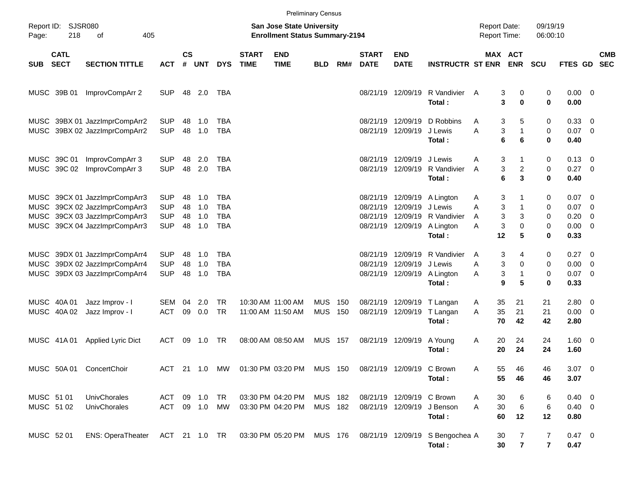|              |                            |                                                                                                                        |                                                      |                      |                          |                                               |                             | <b>Preliminary Census</b>                                          |                          |            |                                  |                                                       |                                                            |                                            |                                                |                              |                                                 |                                                      |                          |
|--------------|----------------------------|------------------------------------------------------------------------------------------------------------------------|------------------------------------------------------|----------------------|--------------------------|-----------------------------------------------|-----------------------------|--------------------------------------------------------------------|--------------------------|------------|----------------------------------|-------------------------------------------------------|------------------------------------------------------------|--------------------------------------------|------------------------------------------------|------------------------------|-------------------------------------------------|------------------------------------------------------|--------------------------|
| Page:        | Report ID: SJSR080<br>218  | 405<br>οf                                                                                                              |                                                      |                      |                          |                                               |                             | San Jose State University<br><b>Enrollment Status Summary-2194</b> |                          |            |                                  |                                                       |                                                            | <b>Report Date:</b><br><b>Report Time:</b> |                                                | 09/19/19<br>06:00:10         |                                                 |                                                      |                          |
| <b>SUB</b>   | <b>CATL</b><br><b>SECT</b> | <b>SECTION TITTLE</b>                                                                                                  | <b>ACT</b>                                           | $\mathsf{cs}$<br>#   | <b>UNT</b>               | <b>DYS</b>                                    | <b>START</b><br><b>TIME</b> | <b>END</b><br><b>TIME</b>                                          | <b>BLD</b>               | RM#        | <b>START</b><br><b>DATE</b>      | <b>END</b><br><b>DATE</b>                             | <b>INSTRUCTR ST ENR</b>                                    |                                            | <b>MAX ACT</b><br><b>ENR</b>                   | <b>SCU</b>                   | FTES GD                                         |                                                      | <b>CMB</b><br><b>SEC</b> |
|              | MUSC 39B 01                | ImprovCompArr 2                                                                                                        | <b>SUP</b>                                           |                      | 48 2.0                   | TBA                                           |                             |                                                                    |                          |            |                                  | 08/21/19 12/09/19                                     | R Vandivier<br>Total:                                      | A                                          | 3<br>0<br>3<br>$\bf{0}$                        | 0<br>0                       | $0.00 \t 0$<br>0.00                             |                                                      |                          |
|              |                            | MUSC 39BX 01 JazzImprCompArr2<br>MUSC 39BX 02 JazzImprCompArr2                                                         | <b>SUP</b><br><b>SUP</b>                             | 48<br>48             | 1.0<br>1.0               | TBA<br><b>TBA</b>                             |                             |                                                                    |                          |            | 08/21/19                         | 12/09/19<br>08/21/19 12/09/19                         | D Robbins<br>J Lewis<br>Total:                             | Α<br>A<br>6                                | 3<br>5<br>3<br>$\mathbf{1}$<br>6               | 0<br>0<br>0                  | 0.33 0<br>$0.07$ 0<br>0.40                      |                                                      |                          |
|              | MUSC 39C 01<br>MUSC 39C 02 | ImprovCompArr 3<br>ImprovCompArr 3                                                                                     | <b>SUP</b><br><b>SUP</b>                             | 48<br>48             | 2.0<br>2.0               | TBA<br><b>TBA</b>                             |                             |                                                                    |                          |            | 08/21/19                         | 12/09/19<br>08/21/19 12/09/19                         | J Lewis<br>R Vandivier<br>Total:                           | Α<br>A<br>6                                | 3<br>1<br>3<br>$\overline{\mathbf{c}}$<br>3    | 0<br>0<br>0                  | $0.13 \quad 0$<br>$0.27$ 0<br>0.40              |                                                      |                          |
| MUSC<br>MUSC |                            | MUSC 39CX 01 JazzImprCompArr3<br>39CX 02 JazzImprCompArr3<br>39CX 03 JazzImprCompArr3<br>MUSC 39CX 04 JazzImprCompArr3 | <b>SUP</b><br><b>SUP</b><br><b>SUP</b><br><b>SUP</b> | 48<br>48<br>48<br>48 | 1.0<br>1.0<br>1.0<br>1.0 | TBA<br><b>TBA</b><br><b>TBA</b><br><b>TBA</b> |                             |                                                                    |                          |            | 08/21/19<br>08/21/19<br>08/21/19 | 12/09/19<br>12/09/19<br>12/09/19<br>08/21/19 12/09/19 | A Lington<br>J Lewis<br>R Vandivier<br>A Lington<br>Total: | Α<br>A<br>A<br>Α<br>12                     | 3<br>3<br>1<br>3<br>3<br>3<br>$\mathbf 0$<br>5 | 0<br>0<br>0<br>0<br>0        | $0.07$ 0<br>0.07<br>0.20<br>$0.00 \t 0$<br>0.33 | $\overline{\phantom{0}}$<br>$\overline{\phantom{0}}$ |                          |
| MUSC         |                            | MUSC 39DX 01 JazzImprCompArr4<br>39DX 02 JazzImprCompArr4<br>MUSC 39DX 03 JazzImprCompArr4                             | <b>SUP</b><br><b>SUP</b><br><b>SUP</b>               | 48<br>48<br>48       | 1.0<br>1.0<br>1.0        | TBA<br><b>TBA</b><br><b>TBA</b>               |                             |                                                                    |                          |            | 08/21/19<br>08/21/19             | 12/09/19<br>12/09/19<br>08/21/19 12/09/19             | R Vandivier<br>J Lewis<br>A Lington<br>Total:              | A<br>Α<br>Α<br>9                           | 3<br>4<br>3<br>0<br>3<br>$\mathbf{1}$<br>5     | 0<br>0<br>0<br>0             | $0.27 \t 0$<br>$0.00 \t 0$<br>$0.07$ 0<br>0.33  |                                                      |                          |
|              | MUSC 40A 01<br>MUSC 40A 02 | Jazz Improv - I<br>Jazz Improv - I                                                                                     | SEM<br><b>ACT</b>                                    | 04<br>09             | 2.0<br>0.0               | TR.<br><b>TR</b>                              |                             | 10:30 AM 11:00 AM<br>11:00 AM 11:50 AM                             | <b>MUS</b><br><b>MUS</b> | 150<br>150 | 08/21/19                         | 12/09/19<br>08/21/19 12/09/19                         | T Langan<br>T Langan<br>Total:                             | 35<br>Α<br>35<br>A<br>70                   | 21<br>21<br>42                                 | 21<br>21<br>42               | $2.80 \t 0$<br>$0.00 \t 0$<br>2.80              |                                                      |                          |
|              | MUSC 41A 01                | Applied Lyric Dict                                                                                                     | ACT                                                  | 09                   | 1.0                      | TR                                            |                             | 08:00 AM 08:50 AM                                                  | <b>MUS 157</b>           |            |                                  | 08/21/19 12/09/19                                     | A Young<br>Total:                                          | 20<br>A<br>20                              | 24<br>24                                       | 24<br>24                     | $1.60 \ 0$<br>1.60                              |                                                      |                          |
|              |                            | MUSC 50A 01 ConcertChoir                                                                                               |                                                      |                      |                          |                                               |                             | ACT 21 1.0 MW 01:30 PM 03:20 PM MUS 150                            |                          |            | 08/21/19 12/09/19 C Brown        |                                                       | Total:                                                     | Α<br>55<br>55                              | 46<br>46                                       | 46<br>46                     | $3.07$ 0<br>3.07                                |                                                      |                          |
|              | MUSC 51 01<br>MUSC 51 02   | UnivChorales<br>UnivChorales                                                                                           | ACT 09 1.0 TR<br>ACT 09 1.0 MW                       |                      |                          |                                               |                             | 03:30 PM 04:20 PM MUS 182<br>03:30 PM 04:20 PM                     | MUS 182                  |            |                                  | 08/21/19 12/09/19 C Brown                             | 08/21/19 12/09/19 J Benson<br>Total:                       | 30<br>Α<br>A<br>30<br>60                   | 6<br>$\,6$<br>12                               | 6<br>6<br>12                 | $0.40 \ 0$<br>$0.40 \ 0$<br>0.80                |                                                      |                          |
|              | MUSC 52 01                 | ENS: OperaTheater ACT 21 1.0 TR 03:30 PM 05:20 PM MUS 176                                                              |                                                      |                      |                          |                                               |                             |                                                                    |                          |            |                                  |                                                       | 08/21/19 12/09/19 S Bengochea A<br>Total:                  | 30<br>30                                   | 7<br>$\overline{7}$                            | 7<br>$\overline{\mathbf{r}}$ | 0.47 0<br>0.47                                  |                                                      |                          |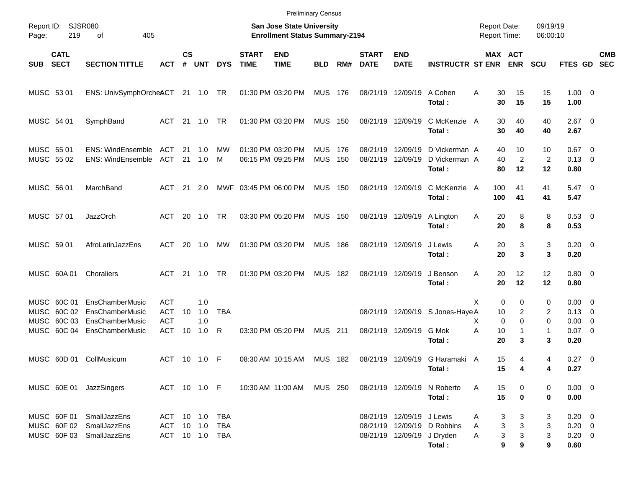|                                                           | <b>Preliminary Census</b>       |                                                                            |                                                                    |                |                   |            |                             |                                        |                          |            |                             |                                                         |                                            |                |                                        |                            |                                                |  |                          |
|-----------------------------------------------------------|---------------------------------|----------------------------------------------------------------------------|--------------------------------------------------------------------|----------------|-------------------|------------|-----------------------------|----------------------------------------|--------------------------|------------|-----------------------------|---------------------------------------------------------|--------------------------------------------|----------------|----------------------------------------|----------------------------|------------------------------------------------|--|--------------------------|
| <b>SJSR080</b><br>Report ID:<br>219<br>οf<br>405<br>Page: |                                 |                                                                            | San Jose State University<br><b>Enrollment Status Summary-2194</b> |                |                   |            |                             |                                        |                          |            |                             |                                                         | <b>Report Date:</b><br><b>Report Time:</b> |                | 09/19/19<br>06:00:10                   |                            |                                                |  |                          |
| <b>SUB</b>                                                | <b>CATL</b><br><b>SECT</b>      | <b>SECTION TITTLE</b>                                                      | АСТ                                                                | <b>CS</b><br># | <b>UNT</b>        | <b>DYS</b> | <b>START</b><br><b>TIME</b> | <b>END</b><br><b>TIME</b>              | <b>BLD</b>               | RM#        | <b>START</b><br><b>DATE</b> | <b>END</b><br><b>DATE</b>                               | <b>INSTRUCTR ST ENR</b>                    |                | MAX ACT<br><b>ENR</b>                  | <b>SCU</b>                 | FTES GD                                        |  | <b>CMB</b><br><b>SEC</b> |
| MUSC 53 01                                                |                                 | ENS: UnivSymphOrcheACT 21 1.0 TR                                           |                                                                    |                |                   |            |                             | 01:30 PM 03:20 PM                      | MUS 176                  |            |                             | 08/21/19 12/09/19                                       | A Cohen<br>Total:                          | Α<br>30<br>30  | 15<br>15                               | 15<br>15                   | $1.00 \t 0$<br>1.00                            |  |                          |
| MUSC 54 01                                                |                                 | SymphBand                                                                  | ACT 21 1.0                                                         |                |                   | TR         |                             | 01:30 PM 03:20 PM                      | <b>MUS 150</b>           |            |                             | 08/21/19 12/09/19                                       | C McKenzie A<br>Total:                     | 30<br>30       | 40<br>40                               | 40<br>40                   | $2.67$ 0<br>2.67                               |  |                          |
| MUSC 55 01<br>MUSC 55 02                                  |                                 | ENS: WindEnsemble ACT<br>ENS: WindEnsemble ACT                             |                                                                    |                | 21 1.0<br>21 1.0  | МW<br>M    |                             | 01:30 PM 03:20 PM<br>06:15 PM 09:25 PM | <b>MUS</b><br><b>MUS</b> | 176<br>150 | 08/21/19                    | 12/09/19<br>08/21/19 12/09/19                           | D Vickerman A<br>D Vickerman A<br>Total:   | 40<br>40<br>80 | 10<br>$\overline{2}$<br>12             | 10<br>$\overline{2}$<br>12 | $0.67$ 0<br>$0.13 \quad 0$<br>0.80             |  |                          |
| MUSC 56 01                                                |                                 | MarchBand                                                                  | ACT                                                                |                | 21 2.0            |            | MWF 03:45 PM 06:00 PM       |                                        | <b>MUS 150</b>           |            |                             | 08/21/19 12/09/19                                       | C McKenzie A<br>Total:                     | 100<br>100     | 41<br>41                               | 41<br>41                   | $5.47\ 0$<br>5.47                              |  |                          |
| MUSC 57 01                                                |                                 | <b>JazzOrch</b>                                                            | ACT                                                                |                | 20 1.0            | <b>TR</b>  |                             | 03:30 PM 05:20 PM                      | <b>MUS 150</b>           |            |                             | 08/21/19 12/09/19                                       | A Lington<br>Total:                        | 20<br>A<br>20  | 8<br>8                                 | 8<br>8                     | 0.53 0<br>0.53                                 |  |                          |
| MUSC 59 01                                                |                                 | AfroLatinJazzEns                                                           | ACT                                                                | 20             | 1.0               | МW         |                             | 01:30 PM 03:20 PM                      | <b>MUS 186</b>           |            |                             | 08/21/19 12/09/19                                       | J Lewis<br>Total:                          | 20<br>Α<br>20  | 3<br>3                                 | 3<br>3                     | $0.20 \ 0$<br>0.20                             |  |                          |
| MUSC 60A 01                                               |                                 | Choraliers                                                                 | ACT 21 1.0                                                         |                |                   | <b>TR</b>  |                             | 01:30 PM 03:20 PM                      | <b>MUS 182</b>           |            |                             | 08/21/19 12/09/19                                       | J Benson<br>Total:                         | 20<br>Α<br>20  | 12<br>12                               | 12<br>12                   | $0.80 \ 0$<br>0.80                             |  |                          |
| MUSC<br>MUSC                                              | MUSC 60C 01<br>60C 02<br>60C 03 | <b>EnsChamberMusic</b><br><b>EnsChamberMusic</b><br><b>EnsChamberMusic</b> | <b>ACT</b><br><b>ACT</b><br><b>ACT</b>                             | 10             | 1.0<br>1.0<br>1.0 | <b>TBA</b> |                             |                                        |                          |            |                             |                                                         | 08/21/19 12/09/19 S Jones-Haye A           | х<br>10<br>X   | 0<br>0<br>2<br>$\mathbf 0$<br>$\Omega$ | 0<br>2<br>$\Omega$         | $0.00 \quad 0$<br>$0.13 \quad 0$<br>$0.00 \ 0$ |  |                          |
|                                                           | MUSC 60C 04                     | EnsChamberMusic                                                            | ACT                                                                | 10             | 1.0               | R          |                             | 03:30 PM 05:20 PM                      | <b>MUS</b> 211           |            |                             | 08/21/19 12/09/19                                       | G Mok<br>Total:                            | Α<br>10<br>20  | 1<br>3                                 | $\mathbf{1}$<br>3          | $0.07$ 0<br>0.20                               |  |                          |
|                                                           |                                 | MUSC 60D 01 CollMusicum                                                    | ACT                                                                |                | 10 1.0 F          |            |                             | 08:30 AM 10:15 AM                      | MUS 182                  |            |                             |                                                         | 08/21/19 12/09/19 G Haramaki A<br>Total:   | 15<br>15       | 4<br>4                                 | 4<br>4                     | $0.27$ 0<br>0.27                               |  |                          |
|                                                           |                                 | MUSC 60E 01 JazzSingers                                                    | ACT 10 1.0 F                                                       |                |                   |            |                             | 10:30 AM 11:00 AM MUS 250              |                          |            |                             |                                                         | 08/21/19 12/09/19 N Roberto<br>Total:      | 15<br>A<br>15  | 0<br>$\bf{0}$                          | 0<br>0                     | $0.00 \t 0$<br>0.00                            |  |                          |
|                                                           | MUSC 60F 01                     | SmallJazzEns<br>MUSC 60F 02 SmallJazzEns<br>MUSC 60F 03 SmallJazzEns       | ACT 10 1.0 TBA<br>ACT 10 1.0<br>ACT 10 1.0 TBA                     |                |                   | TBA        |                             |                                        |                          |            |                             | 08/21/19 12/09/19 J Lewis<br>08/21/19 12/09/19 J Dryden | 08/21/19 12/09/19 D Robbins<br>Total:      | A<br>A<br>A    | 3<br>3<br>3<br>3<br>3<br>3<br>9<br>9   | 3<br>3<br>3<br>9           | $0.20 \ 0$<br>$0.20 \ 0$<br>$0.20 \ 0$<br>0.60 |  |                          |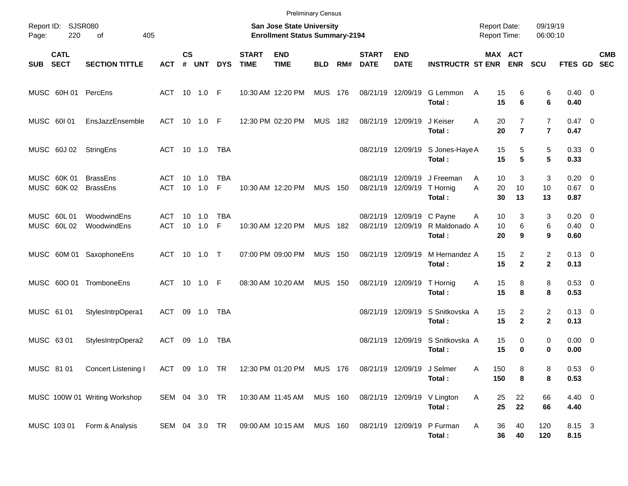|             |                            |                                         |                   |           |                          |                 |                             | <b>Preliminary Census</b>                                          |                |     |                                     |                                        |                                            |                                     |                                  |                                  |                                      |            |
|-------------|----------------------------|-----------------------------------------|-------------------|-----------|--------------------------|-----------------|-----------------------------|--------------------------------------------------------------------|----------------|-----|-------------------------------------|----------------------------------------|--------------------------------------------|-------------------------------------|----------------------------------|----------------------------------|--------------------------------------|------------|
| Page:       | Report ID: SJSR080<br>220  | 405<br>οf                               |                   |           |                          |                 |                             | San Jose State University<br><b>Enrollment Status Summary-2194</b> |                |     |                                     |                                        |                                            | <b>Report Date:</b><br>Report Time: |                                  | 09/19/19<br>06:00:10             |                                      |            |
| SUB         | <b>CATL</b><br><b>SECT</b> | <b>SECTION TITTLE</b>                   | <b>ACT</b>        | <b>CS</b> | # UNT                    | <b>DYS</b>      | <b>START</b><br><b>TIME</b> | <b>END</b><br><b>TIME</b>                                          | <b>BLD</b>     | RM# | <b>START</b><br><b>DATE</b>         | <b>END</b><br><b>DATE</b>              | <b>INSTRUCTR ST ENR ENR</b>                |                                     | MAX ACT                          | <b>SCU</b>                       | FTES GD SEC                          | <b>CMB</b> |
|             |                            | MUSC 60H 01 PercEns                     | ACT 10 1.0 F      |           |                          |                 |                             | 10:30 AM 12:20 PM                                                  | <b>MUS 176</b> |     |                                     | 08/21/19 12/09/19                      | G Lemmon<br>Total:                         | 15<br>A<br>15                       | 6<br>6                           | 6<br>6                           | $0.40 \quad 0$<br>0.40               |            |
| MUSC 60101  |                            | EnsJazzEnsemble                         | ACT 10 1.0 F      |           |                          |                 |                             | 12:30 PM 02:20 PM                                                  | <b>MUS 182</b> |     | 08/21/19 12/09/19                   |                                        | J Keiser<br>Total:                         | 20<br>A<br>20                       | $\overline{7}$<br>$\overline{7}$ | $\overline{7}$<br>$\overline{7}$ | $0.47 \quad 0$<br>0.47               |            |
|             | MUSC 60J 02                | StringEns                               | ACT 10 1.0 TBA    |           |                          |                 |                             |                                                                    |                |     |                                     |                                        | 08/21/19 12/09/19 S Jones-Haye A<br>Total: | 15<br>15                            | 5<br>5                           | 5<br>5                           | 0.33 0<br>0.33                       |            |
|             | MUSC 60K 01                | <b>BrassEns</b><br>MUSC 60K 02 BrassEns | ACT<br>ACT        |           | $10 \quad 1.0$<br>10 1.0 | <b>TBA</b><br>F |                             | 10:30 AM 12:20 PM                                                  | <b>MUS 150</b> |     | 08/21/19 12/09/19                   | 08/21/19 12/09/19                      | J Freeman<br>T Hornig<br>Total:            | 10<br>A<br>A<br>20<br>30            | 3<br>10<br>13                    | 3<br>10<br>13                    | $0.20 \ 0$<br>$0.67$ 0<br>0.87       |            |
| MUSC 60L01  | MUSC 60L02                 | WoodwindEns<br>WoodwindEns              | ACT<br>ACT 10 1.0 |           | $10 \quad 1.0$           | <b>TBA</b><br>F |                             | 10:30 AM 12:20 PM                                                  | <b>MUS 182</b> |     |                                     | 08/21/19 12/09/19<br>08/21/19 12/09/19 | C Payne<br>R Maldonado A<br>Total:         | 10<br>A<br>10<br>20                 | 3<br>6<br>9                      | 3<br>6<br>9                      | $0.20 \ 0$<br>$0.40 \quad 0$<br>0.60 |            |
|             |                            | MUSC 60M 01 SaxophoneEns                | ACT 10 1.0 T      |           |                          |                 |                             | 07:00 PM 09:00 PM                                                  | <b>MUS 150</b> |     | 08/21/19 12/09/19                   |                                        | M Hernandez A<br>Total:                    | 15<br>15                            | $\overline{2}$<br>$\mathbf{2}$   | $\overline{2}$<br>$\mathbf{2}$   | $0.13 \quad 0$<br>0.13               |            |
|             |                            | MUSC 60O 01 TromboneEns                 | ACT 10 1.0 F      |           |                          |                 |                             | 08:30 AM 10:20 AM                                                  | <b>MUS 150</b> |     |                                     | 08/21/19 12/09/19                      | T Hornig<br>Total:                         | 15<br>Α<br>15                       | 8<br>8                           | 8<br>8                           | $0.53$ 0<br>0.53                     |            |
| MUSC 61 01  |                            | StylesIntrpOpera1                       | ACT 09 1.0 TBA    |           |                          |                 |                             |                                                                    |                |     |                                     | 08/21/19 12/09/19                      | S Snitkovska A<br>Total:                   | 15<br>15                            | 2<br>$\mathbf{2}$                | $\overline{2}$<br>$\mathbf{2}$   | $0.13 \quad 0$<br>0.13               |            |
| MUSC 63 01  |                            | StylesIntrpOpera2                       | ACT               |           | 09 1.0                   | TBA             |                             |                                                                    |                |     |                                     | 08/21/19 12/09/19                      | S Snitkovska A<br>Total:                   | 15<br>15                            | 0<br>0                           | $\mathbf 0$<br>0                 | $0.00 \t 0$<br>0.00                  |            |
| MUSC 8101   |                            | Concert Listening I                     |                   |           |                          |                 |                             | ACT 09 1.0 TR 12:30 PM 01:20 PM MUS 176 08/21/19 12/09/19 J Selmer |                |     |                                     |                                        | Total:                                     | Α<br>150<br>150                     | 8<br>8                           | 8<br>8                           | 0.53 0<br>0.53                       |            |
|             |                            | MUSC 100W 01 Writing Workshop           | SEM 04 3.0 TR     |           |                          |                 |                             | 10:30 AM 11:45 AM                                                  |                |     | MUS 160 08/21/19 12/09/19 V Lington |                                        | Total:                                     | 25<br>A<br>25                       | 22<br>22                         | 66<br>66                         | 4.40 0<br>4.40                       |            |
| MUSC 103 01 |                            | Form & Analysis                         | SEM 04 3.0 TR     |           |                          |                 |                             | 09:00 AM 10:15 AM MUS 160 08/21/19 12/09/19                        |                |     |                                     |                                        | P Furman<br>Total:                         | 36<br>A<br>36                       | 40<br>40                         | 120<br>120                       | 8.15 3<br>8.15                       |            |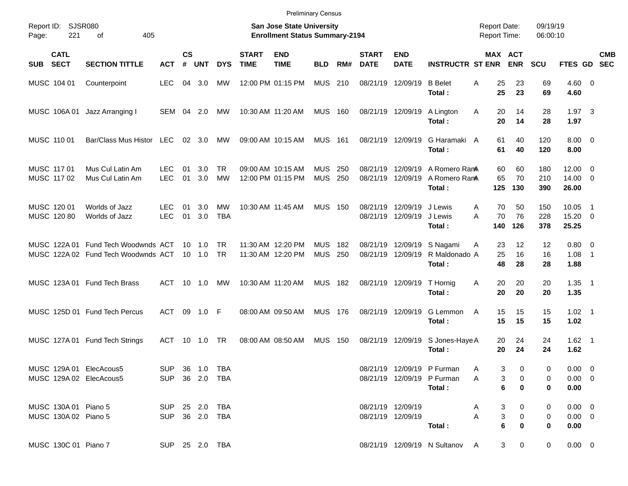|                                                    |                                                                            |                                  |                    |                          |                  |                             |                                                                    | <b>Preliminary Census</b> |            |                             |                                        |                                                                    |                                            |                     |                      |                                       |                          |            |
|----------------------------------------------------|----------------------------------------------------------------------------|----------------------------------|--------------------|--------------------------|------------------|-----------------------------|--------------------------------------------------------------------|---------------------------|------------|-----------------------------|----------------------------------------|--------------------------------------------------------------------|--------------------------------------------|---------------------|----------------------|---------------------------------------|--------------------------|------------|
| Report ID:<br>221<br>Page:                         | <b>SJSR080</b><br>405<br>οf                                                |                                  |                    |                          |                  |                             | San Jose State University<br><b>Enrollment Status Summary-2194</b> |                           |            |                             |                                        |                                                                    | <b>Report Date:</b><br><b>Report Time:</b> |                     | 09/19/19<br>06:00:10 |                                       |                          |            |
| <b>CATL</b><br><b>SECT</b><br><b>SUB</b>           | <b>SECTION TITTLE</b>                                                      | <b>ACT</b>                       | $\mathsf{cs}$<br># | UNT                      | <b>DYS</b>       | <b>START</b><br><b>TIME</b> | <b>END</b><br><b>TIME</b>                                          | <b>BLD</b>                | RM#        | <b>START</b><br><b>DATE</b> | <b>END</b><br><b>DATE</b>              | <b>INSTRUCTR ST ENR</b>                                            | MAX ACT                                    | <b>ENR</b>          | <b>SCU</b>           | FTES GD SEC                           |                          | <b>CMB</b> |
| MUSC 104 01                                        | Counterpoint                                                               | <b>LEC</b>                       | 04                 | 3.0                      | МW               |                             | 12:00 PM 01:15 PM                                                  | <b>MUS</b>                | 210        |                             | 08/21/19 12/09/19                      | <b>B</b> Belet<br>Total:                                           | 25<br>Α<br>25                              | 23<br>23            | 69<br>69             | $4.60$ 0<br>4.60                      |                          |            |
| MUSC 106A01                                        | Jazz Arranging I                                                           | SEM 04                           |                    | 2.0                      | MW               |                             | 10:30 AM 11:20 AM                                                  | <b>MUS 160</b>            |            |                             | 08/21/19 12/09/19                      | A Lington<br>Total:                                                | A<br>20<br>20                              | 14<br>14            | 28<br>28             | $1.97$ 3<br>1.97                      |                          |            |
| MUSC 110 01                                        | Bar/Class Mus Histor LEC                                                   |                                  |                    | $02 \quad 3.0$           | MW               |                             | 09:00 AM 10:15 AM                                                  | <b>MUS 161</b>            |            |                             | 08/21/19 12/09/19                      | G Haramaki<br>Total:                                               | 61<br>A<br>61                              | 40<br>40            | 120<br>120           | $8.00 \t 0$<br>8.00                   |                          |            |
| MUSC 117 01<br>MUSC 117 02                         | Mus Cul Latin Am<br>Mus Cul Latin Am                                       | LEC<br><b>LEC</b>                | 01<br>01           | 3.0<br>3.0               | TR.<br><b>MW</b> |                             | 09:00 AM 10:15 AM<br>12:00 PM 01:15 PM                             | <b>MUS</b><br><b>MUS</b>  | 250<br>250 | 08/21/19                    | 12/09/19<br>08/21/19 12/09/19          | A Romero RamA<br>A Romero RanA<br>Total:                           | 60<br>65<br>125                            | 60<br>70<br>130     | 180<br>210<br>390    | $12.00 \t 0$<br>$14.00 \t 0$<br>26.00 |                          |            |
| MUSC 120 01<br>MUSC 120 80                         | Worlds of Jazz<br>Worlds of Jazz                                           | LEC<br><b>LEC</b>                | 01<br>01           | 3.0<br>3.0               | МW<br><b>TBA</b> |                             | 10:30 AM 11:45 AM                                                  | <b>MUS 150</b>            |            | 08/21/19                    | 12/09/19<br>08/21/19 12/09/19          | J Lewis<br>J Lewis<br>Total:                                       | 70<br>A<br>70<br>A<br>140                  | 50<br>76<br>126     | 150<br>228<br>378    | 10.05<br>$15.20 \t 0$<br>25.25        | $\overline{1}$           |            |
|                                                    | MUSC 122A 01 Fund Tech Woodwnds ACT<br>MUSC 122A 02 Fund Tech Woodwnds ACT |                                  |                    | $10 \quad 1.0$<br>10 1.0 | TR.<br><b>TR</b> |                             | 11:30 AM 12:20 PM<br>11:30 AM 12:20 PM                             | <b>MUS</b><br><b>MUS</b>  | 182<br>250 |                             | 08/21/19 12/09/19                      | 08/21/19 12/09/19 S Nagami<br>R Maldonado A<br>Total:              | 23<br>A<br>25<br>48                        | 12<br>16<br>28      | 12<br>16<br>28       | $0.80 \ 0$<br>1.08<br>1.88            | $\overline{\phantom{1}}$ |            |
|                                                    | MUSC 123A 01 Fund Tech Brass                                               | ACT                              |                    | $10 \quad 1.0$           | МW               |                             | 10:30 AM 11:20 AM                                                  | <b>MUS 182</b>            |            |                             | 08/21/19 12/09/19                      | T Hornig<br>Total:                                                 | 20<br>Α<br>20                              | 20<br>20            | 20<br>20             | $1.35$ 1<br>1.35                      |                          |            |
|                                                    | MUSC 125D 01 Fund Tech Percus                                              | ACT                              | 09                 | 1.0                      | - F              |                             | 08:00 AM 09:50 AM                                                  | <b>MUS 176</b>            |            |                             | 08/21/19 12/09/19                      | G Lemmon<br>Total:                                                 | 15<br>A<br>15                              | 15<br>15            | 15<br>15             | $1.02$ 1<br>1.02                      |                          |            |
|                                                    | MUSC 127A 01 Fund Tech Strings                                             | ACT                              |                    | $10 \quad 1.0$           | TR               |                             | 08:00 AM 08:50 AM                                                  | <b>MUS 150</b>            |            |                             | 08/21/19 12/09/19                      | S Jones-Haye A<br>Total:                                           | 20<br>20                                   | 24<br>24            | 24<br>24             | $1.62$ 1<br>1.62                      |                          |            |
| MUSC 129A 01 ElecAcous5<br>MUSC 129A 02 ElecAcous5 |                                                                            | SUP 36 1.0 TBA<br>SUP 36 2.0 TBA |                    |                          |                  |                             |                                                                    |                           |            |                             |                                        | 08/21/19 12/09/19 P Furman<br>08/21/19 12/09/19 P Furman<br>Total: | 3<br>A<br>3<br>A<br>6                      | 0<br>0<br>0         | 0<br>0<br>0          | $0.00 \t 0$<br>$0.00 \t 0$<br>0.00    |                          |            |
| MUSC 130A 01 Piano 5<br>MUSC 130A 02 Piano 5       |                                                                            | SUP 25 2.0 TBA<br>SUP 36 2.0 TBA |                    |                          |                  |                             |                                                                    |                           |            |                             | 08/21/19 12/09/19<br>08/21/19 12/09/19 | Total:                                                             | 3<br>A<br>3<br>Α<br>6                      | 0<br>0<br>$\bf{0}$  | 0<br>0<br>0          | $0.00 \t 0$<br>$0.00 \quad 0$<br>0.00 |                          |            |
| MUSC 130C 01 Piano 7                               |                                                                            | SUP 25 2.0 TBA                   |                    |                          |                  |                             |                                                                    |                           |            |                             |                                        | 08/21/19 12/09/19 N Sultanov A                                     |                                            | 3 <sup>7</sup><br>0 | 0                    | $0.00 \t 0$                           |                          |            |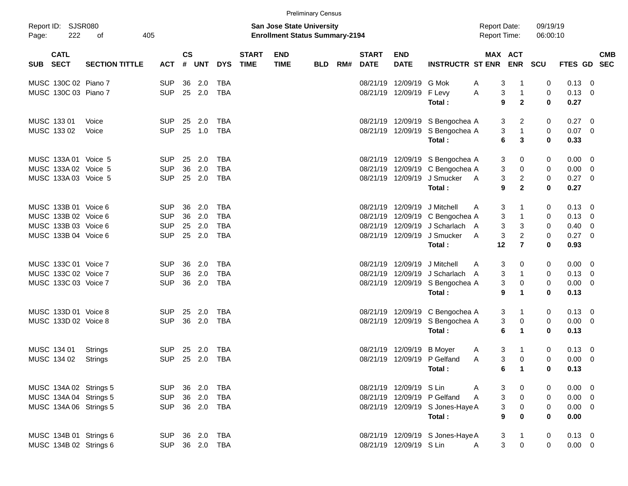|            |                            |                       |            |                    |                |            |                             |                                                                           | <b>Preliminary Census</b> |     |                             |                           |                                           |                     |                                                     |                      |                |                          |
|------------|----------------------------|-----------------------|------------|--------------------|----------------|------------|-----------------------------|---------------------------------------------------------------------------|---------------------------|-----|-----------------------------|---------------------------|-------------------------------------------|---------------------|-----------------------------------------------------|----------------------|----------------|--------------------------|
| Page:      | Report ID: SJSR080<br>222  | 405<br>οf             |            |                    |                |            |                             | <b>San Jose State University</b><br><b>Enrollment Status Summary-2194</b> |                           |     |                             |                           |                                           | <b>Report Date:</b> | <b>Report Time:</b>                                 | 09/19/19<br>06:00:10 |                |                          |
| <b>SUB</b> | <b>CATL</b><br><b>SECT</b> | <b>SECTION TITTLE</b> | <b>ACT</b> | $\mathsf{cs}$<br># | <b>UNT</b>     | <b>DYS</b> | <b>START</b><br><b>TIME</b> | <b>END</b><br><b>TIME</b>                                                 | <b>BLD</b>                | RM# | <b>START</b><br><b>DATE</b> | <b>END</b><br><b>DATE</b> | <b>INSTRUCTR ST ENR</b>                   |                     | MAX ACT<br><b>ENR</b>                               | SCU                  | <b>FTES GD</b> | <b>CMB</b><br><b>SEC</b> |
|            | MUSC 130C 02 Piano 7       |                       | <b>SUP</b> | 36                 | 2.0            | <b>TBA</b> |                             |                                                                           |                           |     | 08/21/19                    | 12/09/19                  | G Mok                                     | A                   | 3<br>-1                                             | 0                    | 0.13           | - 0                      |
|            | MUSC 130C 03 Piano 7       |                       | <b>SUP</b> | 25                 | 2.0            | <b>TBA</b> |                             |                                                                           |                           |     |                             | 08/21/19 12/09/19         | F Levy<br>Total:                          | Α                   | 3<br>$\overline{1}$<br>$\overline{\mathbf{2}}$<br>9 | 0<br>$\bf{0}$        | 0.13<br>0.27   | $\overline{0}$           |
|            | MUSC 133 01                | Voice                 | <b>SUP</b> | 25                 | 2.0            | TBA        |                             |                                                                           |                           |     |                             |                           | 08/21/19 12/09/19 S Bengochea A           |                     | 2<br>3                                              | 0                    | 0.27           | $\overline{\mathbf{0}}$  |
|            | MUSC 133 02                | Voice                 | <b>SUP</b> | 25                 | 1.0            | <b>TBA</b> |                             |                                                                           |                           |     |                             |                           | 08/21/19 12/09/19 S Bengochea A<br>Total: |                     | 3<br>$\overline{1}$<br>6<br>3                       | 0<br>$\bf{0}$        | 0.07<br>0.33   | $\overline{\mathbf{0}}$  |
|            | MUSC 133A 01 Voice 5       |                       | <b>SUP</b> | 25                 | 2.0            | <b>TBA</b> |                             |                                                                           |                           |     |                             |                           | 08/21/19 12/09/19 S Bengochea A           |                     | 3<br>0                                              | 0                    | 0.00           | $\overline{\phantom{0}}$ |
|            | MUSC 133A 02               | Voice 5               | <b>SUP</b> | 36                 | 2.0            | <b>TBA</b> |                             |                                                                           |                           |     |                             | 08/21/19 12/09/19         | C Bengochea A                             |                     | 3<br>0                                              | 0                    | 0.00           | $\overline{\mathbf{0}}$  |
|            | MUSC 133A 03 Voice 5       |                       | <b>SUP</b> | 25                 | 2.0            | <b>TBA</b> |                             |                                                                           |                           |     |                             | 08/21/19 12/09/19         | J Smucker<br>Total:                       | <b>A</b>            | $\overline{c}$<br>3<br>9<br>$\mathbf{2}$            | 0<br>$\bf{0}$        | 0.27<br>0.27   | $\overline{\phantom{0}}$ |
|            | MUSC 133B 01 Voice 6       |                       | <b>SUP</b> | 36                 | 2.0            | <b>TBA</b> |                             |                                                                           |                           |     | 08/21/19                    | 12/09/19                  | J Mitchell                                | A                   | 3<br>1                                              | 0                    | $0.13 \ 0$     |                          |
|            | MUSC 133B 02 Voice 6       |                       | <b>SUP</b> | 36                 | 2.0            | <b>TBA</b> |                             |                                                                           |                           |     | 08/21/19                    | 12/09/19                  | C Bengochea A                             |                     | 3<br>$\mathbf 1$                                    | 0                    | 0.13           | $\overline{0}$           |
|            | MUSC 133B 03 Voice 6       |                       | <b>SUP</b> | 25                 | 2.0            | <b>TBA</b> |                             |                                                                           |                           |     | 08/21/19                    | 12/09/19                  | J Scharlach A                             |                     | 3<br>3                                              | 0                    | 0.40           | $\overline{\mathbf{0}}$  |
|            | MUSC 133B 04 Voice 6       |                       | <b>SUP</b> | 25                 | 2.0            | <b>TBA</b> |                             |                                                                           |                           |     |                             | 08/21/19 12/09/19         | J Smucker                                 | A                   | 3<br>$\overline{c}$                                 | 0                    | 0.27           | $\overline{\phantom{0}}$ |
|            |                            |                       |            |                    |                |            |                             |                                                                           |                           |     |                             |                           | Total:                                    |                     | 12<br>$\overline{7}$                                | $\bf{0}$             | 0.93           |                          |
|            | MUSC 133C 01 Voice 7       |                       | <b>SUP</b> | 36                 | 2.0            | <b>TBA</b> |                             |                                                                           |                           |     | 08/21/19                    | 12/09/19                  | J Mitchell                                | A                   | 3<br>0                                              | 0                    | 0.00           | $\overline{\mathbf{0}}$  |
|            | MUSC 133C 02 Voice 7       |                       | <b>SUP</b> | 36                 | 2.0            | <b>TBA</b> |                             |                                                                           |                           |     | 08/21/19                    | 12/09/19                  | J Scharlach A                             |                     | 3<br>$\mathbf{1}$                                   | 0                    | 0.13           | $\overline{\mathbf{0}}$  |
|            | MUSC 133C 03 Voice 7       |                       | <b>SUP</b> | 36                 | 2.0            | <b>TBA</b> |                             |                                                                           |                           |     |                             |                           | 08/21/19 12/09/19 S Bengochea A           |                     | 3<br>0                                              | 0                    | $0.00 \t 0$    |                          |
|            |                            |                       |            |                    |                |            |                             |                                                                           |                           |     |                             |                           | Total:                                    |                     | 9<br>$\blacktriangleleft$                           | 0                    | 0.13           |                          |
|            | MUSC 133D 01 Voice 8       |                       | <b>SUP</b> | 25                 | 2.0            | <b>TBA</b> |                             |                                                                           |                           |     |                             |                           | 08/21/19 12/09/19 C Bengochea A           |                     | 3<br>$\mathbf{1}$                                   | 0                    | $0.13 \quad 0$ |                          |
|            | MUSC 133D 02 Voice 8       |                       | <b>SUP</b> | 36                 | 2.0            | <b>TBA</b> |                             |                                                                           |                           |     |                             | 08/21/19 12/09/19         | S Bengochea A                             |                     | 3<br>0                                              | 0                    | 0.00           | $\overline{\mathbf{0}}$  |
|            |                            |                       |            |                    |                |            |                             |                                                                           |                           |     |                             |                           | Total:                                    |                     | 6<br>$\blacktriangleleft$                           | 0                    | 0.13           |                          |
|            | MUSC 134 01                | Strings               | <b>SUP</b> | 25                 | 2.0            | <b>TBA</b> |                             |                                                                           |                           |     | 08/21/19                    | 12/09/19                  | <b>B</b> Moyer                            | A                   | 3<br>-1                                             | 0                    | 0.13           | $\overline{\mathbf{0}}$  |
|            | MUSC 134 02                | Strings               | <b>SUP</b> | 25                 | 2.0            | <b>TBA</b> |                             |                                                                           |                           |     |                             |                           | 08/21/19 12/09/19 P Gelfand               | A                   | 3<br>$\mathbf 0$                                    | 0                    | 0.00           | - 0                      |
|            |                            |                       |            |                    |                |            |                             |                                                                           |                           |     |                             |                           | Total:                                    |                     | $\blacksquare$<br>6                                 | 0                    | 0.13           |                          |
|            | MUSC 134A 02 Strings 5     |                       | <b>SUP</b> |                    | 36 2.0         | TBA        |                             |                                                                           |                           |     |                             | 08/21/19 12/09/19 S Lin   |                                           | $\mathsf{A}$        | $\overline{0}$<br>3                                 | 0                    | $0.00 \t 0$    |                          |
|            | MUSC 134A 04 Strings 5     |                       | SUP 36 2.0 |                    |                | TBA        |                             |                                                                           |                           |     |                             |                           | 08/21/19 12/09/19 P Gelfand               | A                   | 3<br>$\overline{0}$                                 | $\mathbf{0}$         | $0.00 \t 0$    |                          |
|            | MUSC 134A 06 Strings 5     |                       | <b>SUP</b> |                    | 36 2.0 TBA     |            |                             |                                                                           |                           |     |                             |                           | 08/21/19 12/09/19 S Jones-Haye A          |                     | $\overline{\mathbf{0}}$<br>3                        | $\mathbf 0$          | $0.00 \t 0$    |                          |
|            |                            |                       |            |                    |                |            |                             |                                                                           |                           |     |                             |                           | Total:                                    |                     | 9<br>$\mathbf 0$                                    | $\mathbf 0$          | 0.00           |                          |
|            | MUSC 134B 01 Strings 6     |                       | SUP 36 2.0 |                    |                | TBA        |                             |                                                                           |                           |     |                             |                           | 08/21/19 12/09/19 S Jones-Haye A          |                     | 3<br>$\overline{1}$                                 | 0                    | $0.13 \ 0$     |                          |
|            | MUSC 134B 02 Strings 6     |                       |            |                    | SUP 36 2.0 TBA |            |                             |                                                                           |                           |     |                             | 08/21/19 12/09/19 S Lin   |                                           | $\mathsf{A}$        | 3<br>$\mathbf 0$                                    | $\mathbf 0$          | $0.00 \t 0$    |                          |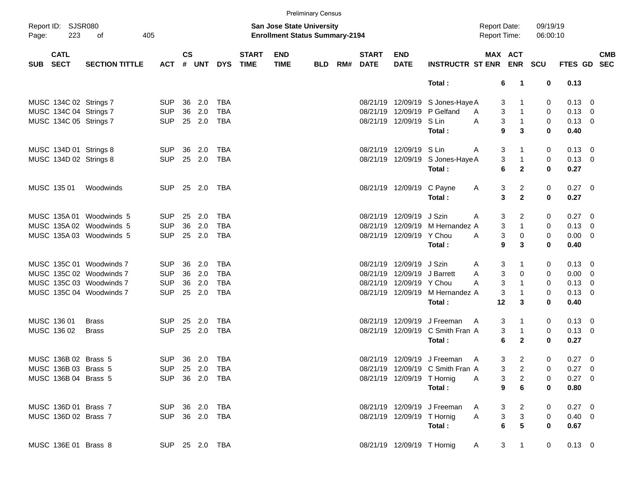|            |                            |                          |                |               |            |                |                             |                                                                           | <b>Preliminary Census</b> |     |                             |                            |                                  |                                     |                                  |                      |                |            |
|------------|----------------------------|--------------------------|----------------|---------------|------------|----------------|-----------------------------|---------------------------------------------------------------------------|---------------------------|-----|-----------------------------|----------------------------|----------------------------------|-------------------------------------|----------------------------------|----------------------|----------------|------------|
| Page:      | Report ID: SJSR080<br>223  | of<br>405                |                |               |            |                |                             | <b>San Jose State University</b><br><b>Enrollment Status Summary-2194</b> |                           |     |                             |                            |                                  | <b>Report Date:</b><br>Report Time: |                                  | 09/19/19<br>06:00:10 |                |            |
| <b>SUB</b> | <b>CATL</b><br><b>SECT</b> | <b>SECTION TITTLE</b>    | <b>ACT</b>     | $\mathsf{cs}$ | # UNT      | <b>DYS</b>     | <b>START</b><br><b>TIME</b> | <b>END</b><br><b>TIME</b>                                                 | <b>BLD</b>                | RM# | <b>START</b><br><b>DATE</b> | <b>END</b><br><b>DATE</b>  | <b>INSTRUCTR ST ENR</b>          |                                     | MAX ACT<br><b>ENR</b>            | <b>SCU</b>           | FTES GD SEC    | <b>CMB</b> |
|            |                            |                          |                |               |            |                |                             |                                                                           |                           |     |                             |                            | Total:                           | 6                                   | $\mathbf 1$                      | 0                    | 0.13           |            |
|            |                            | MUSC 134C 02 Strings 7   | <b>SUP</b>     | 36            | 2.0        | <b>TBA</b>     |                             |                                                                           |                           |     |                             |                            | 08/21/19 12/09/19 S Jones-Haye A | 3                                   |                                  | 0                    | $0.13 \quad 0$ |            |
|            |                            | MUSC 134C 04 Strings 7   | <b>SUP</b>     | 36            | 2.0        | <b>TBA</b>     |                             |                                                                           |                           |     |                             |                            | 08/21/19 12/09/19 P Gelfand      | 3<br>A                              |                                  | 0                    | $0.13 \ 0$     |            |
|            |                            | MUSC 134C 05 Strings 7   | <b>SUP</b>     |               | 25 2.0     | TBA            |                             |                                                                           |                           |     |                             | 08/21/19 12/09/19 S Lin    |                                  | 3<br>A                              | $\mathbf{1}$                     | 0                    | $0.13 \ 0$     |            |
|            |                            |                          |                |               |            |                |                             |                                                                           |                           |     |                             |                            | Total:                           | 9                                   | 3                                | 0                    | 0.40           |            |
|            |                            | MUSC 134D 01 Strings 8   | <b>SUP</b>     | 36            | 2.0        | TBA            |                             |                                                                           |                           |     |                             | 08/21/19 12/09/19 S Lin    |                                  | 3<br>A                              |                                  | 0                    | $0.13 \quad 0$ |            |
|            |                            | MUSC 134D 02 Strings 8   | <b>SUP</b>     | 25            | 2.0        | TBA            |                             |                                                                           |                           |     |                             | 08/21/19 12/09/19          | S Jones-Haye A                   | 3                                   | $\mathbf{1}$                     | 0                    | $0.13 \ 0$     |            |
|            |                            |                          |                |               |            |                |                             |                                                                           |                           |     |                             |                            | Total:                           | 6                                   | $\mathbf{2}$                     | 0                    | 0.27           |            |
|            | MUSC 135 01                | Woodwinds                | <b>SUP</b>     | 25            | 2.0        | TBA            |                             |                                                                           |                           |     |                             | 08/21/19 12/09/19 C Payne  |                                  | 3<br>A                              | 2                                | 0                    | 0.27 0         |            |
|            |                            |                          |                |               |            |                |                             |                                                                           |                           |     |                             |                            | Total:                           | 3                                   | $\mathbf{2}$                     | 0                    | 0.27           |            |
|            |                            | MUSC 135A 01 Woodwinds 5 | <b>SUP</b>     | 25            | 2.0        | <b>TBA</b>     |                             |                                                                           |                           |     |                             | 08/21/19 12/09/19          | J Szin                           | 3<br>A                              | 2                                | 0                    | $0.27 \t 0$    |            |
|            |                            | MUSC 135A 02 Woodwinds 5 | <b>SUP</b>     | 36            | 2.0        | <b>TBA</b>     |                             |                                                                           |                           |     | 08/21/19                    |                            | 12/09/19 M Hernandez A           | 3                                   | $\mathbf{1}$                     | 0                    | $0.13 \ 0$     |            |
|            |                            | MUSC 135A 03 Woodwinds 5 | <b>SUP</b>     |               | 25 2.0     | TBA            |                             |                                                                           |                           |     |                             | 08/21/19 12/09/19 Y Chou   |                                  | 3<br>A                              | 0                                | 0                    | $0.00 \t 0$    |            |
|            |                            |                          |                |               |            |                |                             |                                                                           |                           |     |                             |                            | Total:                           | 9                                   | 3                                | 0                    | 0.40           |            |
|            |                            | MUSC 135C 01 Woodwinds 7 | SUP.           | 36            | 2.0        | <b>TBA</b>     |                             |                                                                           |                           |     |                             | 08/21/19 12/09/19 J Szin   |                                  | 3<br>A                              |                                  | 0                    | $0.13 \quad 0$ |            |
|            |                            | MUSC 135C 02 Woodwinds 7 | <b>SUP</b>     | 36            | 2.0        | <b>TBA</b>     |                             |                                                                           |                           |     | 08/21/19                    | 12/09/19 J Barrett         |                                  | 3<br>Α                              | 0                                | 0                    | $0.00 \t 0$    |            |
|            |                            | MUSC 135C 03 Woodwinds 7 | <b>SUP</b>     | 36            | 2.0        | <b>TBA</b>     |                             |                                                                           |                           |     |                             | 08/21/19 12/09/19 Y Chou   |                                  | 3<br>А                              | 1                                | 0                    | $0.13 \ 0$     |            |
|            |                            | MUSC 135C 04 Woodwinds 7 | <b>SUP</b>     |               | 25 2.0     | TBA            |                             |                                                                           |                           |     |                             |                            | 08/21/19 12/09/19 M Hernandez A  | 3                                   |                                  | 0                    | $0.13 \ 0$     |            |
|            |                            |                          |                |               |            |                |                             |                                                                           |                           |     |                             |                            | Total:                           | 12                                  | 3                                | 0                    | 0.40           |            |
|            | MUSC 136 01                | <b>Brass</b>             | SUP.           | 25            | 2.0        | TBA            |                             |                                                                           |                           |     |                             |                            | 08/21/19 12/09/19 J Freeman      | 3<br>A                              | 1                                | 0                    | $0.13 \quad 0$ |            |
|            | MUSC 136 02                | <b>Brass</b>             | <b>SUP</b>     | 25            | 2.0        | TBA            |                             |                                                                           |                           |     |                             |                            | 08/21/19 12/09/19 C Smith Fran A | 3                                   | -1                               | 0                    | $0.13 \ 0$     |            |
|            |                            |                          |                |               |            |                |                             |                                                                           |                           |     |                             |                            | Total:                           | 6                                   | $\mathbf{2}$                     | 0                    | 0.27           |            |
|            | MUSC 136B 02 Brass 5       |                          | <b>SUP</b>     |               | 36 2.0 TBA |                |                             |                                                                           |                           |     |                             |                            | 08/21/19 12/09/19 J Freeman      | A                                   | 3<br>$\overline{2}$              | 0                    | 0.27 0         |            |
|            | MUSC 136B 03 Brass 5       |                          |                |               |            | SUP 25 2.0 TBA |                             |                                                                           |                           |     |                             |                            | 08/21/19 12/09/19 C Smith Fran A | 3                                   | $\overline{c}$                   | 0                    | $0.27 \t 0$    |            |
|            | MUSC 136B 04 Brass 5       |                          | SUP 36 2.0 TBA |               |            |                |                             |                                                                           |                           |     |                             | 08/21/19 12/09/19 T Hornig |                                  | A                                   | 3<br>$\overline{a}$              | 0                    | $0.27$ 0       |            |
|            |                            |                          |                |               |            |                |                             |                                                                           |                           |     |                             |                            | Total:                           | $\boldsymbol{9}$                    | $\bf 6$                          | 0                    | 0.80           |            |
|            | MUSC 136D 01 Brass 7       |                          | SUP 36 2.0 TBA |               |            |                |                             |                                                                           |                           |     |                             |                            | 08/21/19 12/09/19 J Freeman      | 3<br>A                              | $\overline{a}$                   | 0                    | $0.27$ 0       |            |
|            | MUSC 136D 02 Brass 7       |                          | SUP 36 2.0 TBA |               |            |                |                             |                                                                           |                           |     |                             | 08/21/19 12/09/19 T Hornig |                                  | $\sqrt{3}$<br>A                     | 3                                | 0                    | $0.40 \ 0$     |            |
|            |                            |                          |                |               |            |                |                             |                                                                           |                           |     |                             |                            | Total:                           | $\bf 6$                             | 5                                | 0                    | 0.67           |            |
|            | MUSC 136E 01 Brass 8       |                          |                |               |            | SUP 25 2.0 TBA |                             |                                                                           |                           |     |                             | 08/21/19 12/09/19 T Hornig |                                  | A                                   | 3 <sup>7</sup><br>$\overline{1}$ | 0                    | $0.13 \ 0$     |            |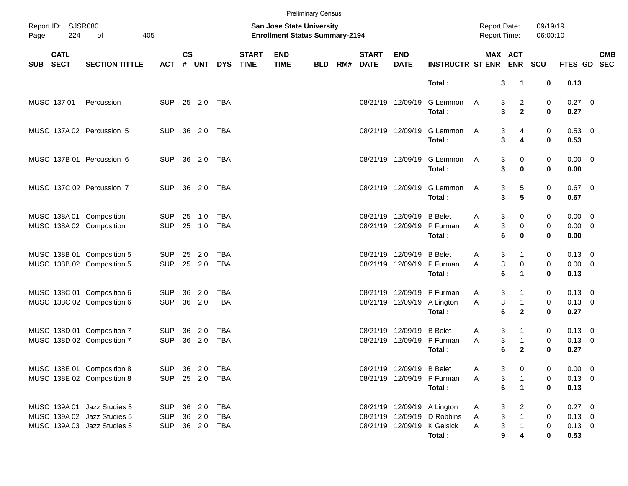|       |                            |                             |            |           |                |            |                             | <b>Preliminary Census</b>                                          |            |     |                             |                           |                                       |                                            |                                |                      |                        |            |
|-------|----------------------------|-----------------------------|------------|-----------|----------------|------------|-----------------------------|--------------------------------------------------------------------|------------|-----|-----------------------------|---------------------------|---------------------------------------|--------------------------------------------|--------------------------------|----------------------|------------------------|------------|
| Page: | Report ID: SJSR080<br>224  | of<br>405                   |            |           |                |            |                             | San Jose State University<br><b>Enrollment Status Summary-2194</b> |            |     |                             |                           |                                       | <b>Report Date:</b><br><b>Report Time:</b> |                                | 09/19/19<br>06:00:10 |                        |            |
| SUB   | <b>CATL</b><br><b>SECT</b> | <b>SECTION TITTLE</b>       | ACT        | <b>CS</b> | # UNT          | <b>DYS</b> | <b>START</b><br><b>TIME</b> | <b>END</b><br><b>TIME</b>                                          | <b>BLD</b> | RM# | <b>START</b><br><b>DATE</b> | <b>END</b><br><b>DATE</b> | <b>INSTRUCTR ST ENR</b>               |                                            | MAX ACT<br><b>ENR</b>          | <b>SCU</b>           | FTES GD SEC            | <b>CMB</b> |
|       |                            |                             |            |           |                |            |                             |                                                                    |            |     |                             |                           | Total:                                | 3                                          | $\mathbf 1$                    | 0                    | 0.13                   |            |
|       | MUSC 137 01                | Percussion                  | <b>SUP</b> |           | 25 2.0 TBA     |            |                             |                                                                    |            |     |                             | 08/21/19 12/09/19         | G Lemmon<br>Total:                    | A<br>3<br>3                                | $\overline{2}$<br>$\mathbf{2}$ | 0<br>$\mathbf 0$     | $0.27 \ 0$<br>0.27     |            |
|       |                            | MUSC 137A 02 Percussion 5   | <b>SUP</b> |           | 36 2.0 TBA     |            |                             |                                                                    |            |     |                             | 08/21/19 12/09/19         | G Lemmon<br>Total:                    | 3<br>A<br>3                                | 4<br>4                         | 0<br>0               | 0.53 0<br>0.53         |            |
|       |                            | MUSC 137B 01 Percussion 6   | <b>SUP</b> |           | 36 2.0 TBA     |            |                             |                                                                    |            |     |                             | 08/21/19 12/09/19         | G Lemmon<br>Total:                    | 3<br>A<br>3                                | 0<br>$\bf{0}$                  | 0<br>0               | $0.00 \t 0$<br>0.00    |            |
|       |                            | MUSC 137C 02 Percussion 7   | <b>SUP</b> |           | 36 2.0 TBA     |            |                             |                                                                    |            |     |                             | 08/21/19 12/09/19         | G Lemmon<br>Total:                    | A<br>3<br>3                                | 5<br>5                         | 0<br>0               | $0.67$ 0<br>0.67       |            |
|       |                            | MUSC 138A 01 Composition    | <b>SUP</b> | 25        | 1.0            | <b>TBA</b> |                             |                                                                    |            |     |                             | 08/21/19 12/09/19         | <b>B</b> Belet                        | 3<br>A                                     | 0                              | 0                    | $0.00 \t 0$            |            |
|       |                            | MUSC 138A 02 Composition    | <b>SUP</b> |           | 25 1.0         | <b>TBA</b> |                             |                                                                    |            |     |                             | 08/21/19 12/09/19         | P Furman<br>Total:                    | 3<br>A<br>6                                | 0<br>$\bf{0}$                  | 0<br>0               | $0.00 \t 0$<br>0.00    |            |
|       |                            | MUSC 138B 01 Composition 5  | <b>SUP</b> |           | 25 2.0         | TBA        |                             |                                                                    |            |     |                             | 08/21/19 12/09/19         | <b>B</b> Belet                        | 3<br>A                                     | 1                              | 0                    | $0.13 \quad 0$         |            |
|       |                            | MUSC 138B 02 Composition 5  | <b>SUP</b> |           | 25 2.0         | <b>TBA</b> |                             |                                                                    |            |     |                             | 08/21/19 12/09/19         | P Furman<br>Total:                    | 3<br>A<br>6                                | 0<br>$\blacktriangleleft$      | 0<br>$\bf{0}$        | $0.00 \t 0$<br>0.13    |            |
|       |                            | MUSC 138C 01 Composition 6  | <b>SUP</b> | 36        | 2.0            | TBA        |                             |                                                                    |            |     |                             | 08/21/19 12/09/19         | P Furman                              | 3<br>A                                     | 1                              | 0                    | $0.13 \quad 0$         |            |
|       |                            | MUSC 138C 02 Composition 6  | <b>SUP</b> |           | 36 2.0         | <b>TBA</b> |                             |                                                                    |            |     |                             | 08/21/19 12/09/19         | A Lington<br>Total:                   | 3<br>Α<br>6                                | $\mathbf{1}$<br>$\overline{2}$ | 0<br>$\bf{0}$        | $0.13 \ 0$<br>0.27     |            |
|       |                            | MUSC 138D 01 Composition 7  | <b>SUP</b> | 36        | 2.0            | TBA        |                             |                                                                    |            |     |                             | 08/21/19 12/09/19         | <b>B</b> Belet                        | 3<br>A                                     |                                | 0                    | $0.13 \ 0$             |            |
|       |                            | MUSC 138D 02 Composition 7  | <b>SUP</b> |           | 36 2.0         | <b>TBA</b> |                             |                                                                    |            |     |                             | 08/21/19 12/09/19         | P Furman<br>Total:                    | 3<br>Α<br>6                                | $\mathbf{1}$<br>$\mathbf{2}$   | 0<br>$\bf{0}$        | $0.13 \ 0$<br>0.27     |            |
|       |                            | MUSC 138E 01 Composition 8  |            |           | SUP 36 2.0 TBA |            |                             |                                                                    |            |     |                             | 08/21/19 12/09/19 B Belet |                                       | 3<br>A                                     | 0                              | 0                    | $0.00 \t 0$            |            |
|       |                            | MUSC 138E 02 Composition 8  | <b>SUP</b> |           | 25  2.0  TBA   |            |                             |                                                                    |            |     |                             |                           | 08/21/19 12/09/19 P Furman<br>Total:  | 3<br>A<br>6                                | $\mathbf{1}$                   | 0<br>0               | $0.13 \ 0$<br>0.13     |            |
|       |                            | MUSC 139A 01 Jazz Studies 5 | <b>SUP</b> |           | 36 2.0 TBA     |            |                             |                                                                    |            |     |                             |                           | 08/21/19 12/09/19 A Lington           | 3<br>A                                     | 2                              | 0                    | 0.27 0                 |            |
|       |                            | MUSC 139A 02 Jazz Studies 5 | <b>SUP</b> |           | 36 2.0         | TBA        |                             |                                                                    |            |     |                             | 08/21/19 12/09/19         | D Robbins                             | 3<br>Α                                     |                                | 0                    | $0.13 \ 0$             |            |
|       |                            | MUSC 139A 03 Jazz Studies 5 | <b>SUP</b> |           | 36 2.0 TBA     |            |                             |                                                                    |            |     |                             |                           | 08/21/19 12/09/19 K Geisick<br>Total: | 3<br>Α<br>9                                |                                | 0<br>0               | $0.13 \quad 0$<br>0.53 |            |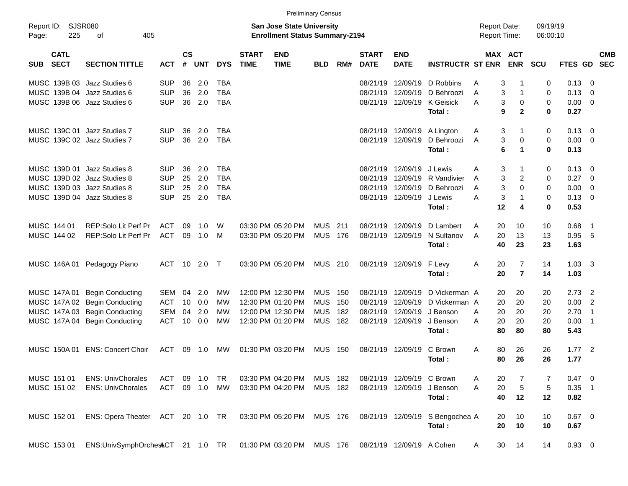| Report ID:<br><b>SJSR080</b><br><b>San Jose State University</b><br>09/19/19<br><b>Report Date:</b><br>225<br>405<br><b>Enrollment Status Summary-2194</b><br>Report Time:<br>06:00:10<br>Page:<br>оf<br><b>CS</b><br><b>CATL</b><br><b>START</b><br><b>END</b><br><b>MAX ACT</b><br><b>START</b><br><b>END</b><br><b>SECT</b><br><b>TIME</b><br><b>INSTRUCTR ST ENR</b><br><b>ENR</b><br><b>SECTION TITTLE</b><br>#<br><b>UNT</b><br><b>DYS</b><br><b>TIME</b><br>RM#<br><b>DATE</b><br><b>DATE</b><br>SCU<br><b>FTES GD</b><br><b>SEC</b><br><b>ACT</b><br><b>BLD</b><br><b>SUB</b><br>MUSC 139B 03 Jazz Studies 6<br><b>SUP</b><br>36<br>2.0<br><b>TBA</b><br>08/21/19<br>12/09/19<br>D Robbins<br>3<br>$\Omega$<br>0.13<br>- 0<br>A<br>-1<br>2.0<br><b>TBA</b><br>MUSC 139B 04 Jazz Studies 6<br><b>SUP</b><br>36<br>3<br>0.13<br>08/21/19<br>12/09/19<br>D Behroozi<br>$\mathbf 0$<br>$\overline{0}$<br>A<br>1<br><b>SUP</b><br>2.0<br><b>TBA</b><br>MUSC 139B 06 Jazz Studies 6<br>36<br>08/21/19 12/09/19<br>K Geisick<br>A<br>3<br>0<br>$\mathbf 0$<br>0.00<br>$\overline{\mathbf{0}}$<br>9<br>$\mathbf{2}$<br>$\bf{0}$<br>0.27<br>Total:<br>MUSC 139C 01 Jazz Studies 7<br><b>SUP</b><br>36<br>2.0<br><b>TBA</b><br>08/21/19 12/09/19<br>3<br>0.13<br>A Lington<br>1<br>0<br>- 0<br>A<br>MUSC 139C 02 Jazz Studies 7<br><b>SUP</b><br>36<br>2.0<br><b>TBA</b><br>3<br>0.00<br>08/21/19 12/09/19<br>D Behroozi<br>0<br>$\mathbf 0$<br>$\overline{0}$<br>A<br>6<br>$\bf{0}$<br>0.13<br>Total:<br>$\blacktriangleleft$<br>2.0<br>MUSC 139D 01 Jazz Studies 8<br><b>SUP</b><br>36<br><b>TBA</b><br>08/21/19 12/09/19<br>3<br>0.13<br>J Lewis<br>A<br>0<br>- 0<br>-1<br>MUSC 139D 02 Jazz Studies 8<br><b>SUP</b><br>25<br>2.0<br><b>TBA</b><br>3<br>$\overline{c}$<br>0.27<br>08/21/19<br>12/09/19<br>R Vandivier<br>$\mathbf 0$<br>$\overline{0}$<br>A<br>MUSC 139D 03 Jazz Studies 8<br><b>SUP</b><br>2.0<br><b>TBA</b><br>3<br>0.00<br>25<br>08/21/19<br>12/09/19<br>$\Omega$<br>$\mathbf 0$<br>$\overline{0}$<br>D Behroozi<br>A |  |  |  | <b>Preliminary Census</b> |  |  |  |  |  |            |
|-------------------------------------------------------------------------------------------------------------------------------------------------------------------------------------------------------------------------------------------------------------------------------------------------------------------------------------------------------------------------------------------------------------------------------------------------------------------------------------------------------------------------------------------------------------------------------------------------------------------------------------------------------------------------------------------------------------------------------------------------------------------------------------------------------------------------------------------------------------------------------------------------------------------------------------------------------------------------------------------------------------------------------------------------------------------------------------------------------------------------------------------------------------------------------------------------------------------------------------------------------------------------------------------------------------------------------------------------------------------------------------------------------------------------------------------------------------------------------------------------------------------------------------------------------------------------------------------------------------------------------------------------------------------------------------------------------------------------------------------------------------------------------------------------------------------------------------------------------------------------------------------------------------------------------------------------------------------------------------------------------------------------------------------|--|--|--|---------------------------|--|--|--|--|--|------------|
|                                                                                                                                                                                                                                                                                                                                                                                                                                                                                                                                                                                                                                                                                                                                                                                                                                                                                                                                                                                                                                                                                                                                                                                                                                                                                                                                                                                                                                                                                                                                                                                                                                                                                                                                                                                                                                                                                                                                                                                                                                           |  |  |  |                           |  |  |  |  |  |            |
|                                                                                                                                                                                                                                                                                                                                                                                                                                                                                                                                                                                                                                                                                                                                                                                                                                                                                                                                                                                                                                                                                                                                                                                                                                                                                                                                                                                                                                                                                                                                                                                                                                                                                                                                                                                                                                                                                                                                                                                                                                           |  |  |  |                           |  |  |  |  |  | <b>CMB</b> |
|                                                                                                                                                                                                                                                                                                                                                                                                                                                                                                                                                                                                                                                                                                                                                                                                                                                                                                                                                                                                                                                                                                                                                                                                                                                                                                                                                                                                                                                                                                                                                                                                                                                                                                                                                                                                                                                                                                                                                                                                                                           |  |  |  |                           |  |  |  |  |  |            |
|                                                                                                                                                                                                                                                                                                                                                                                                                                                                                                                                                                                                                                                                                                                                                                                                                                                                                                                                                                                                                                                                                                                                                                                                                                                                                                                                                                                                                                                                                                                                                                                                                                                                                                                                                                                                                                                                                                                                                                                                                                           |  |  |  |                           |  |  |  |  |  |            |
|                                                                                                                                                                                                                                                                                                                                                                                                                                                                                                                                                                                                                                                                                                                                                                                                                                                                                                                                                                                                                                                                                                                                                                                                                                                                                                                                                                                                                                                                                                                                                                                                                                                                                                                                                                                                                                                                                                                                                                                                                                           |  |  |  |                           |  |  |  |  |  |            |
|                                                                                                                                                                                                                                                                                                                                                                                                                                                                                                                                                                                                                                                                                                                                                                                                                                                                                                                                                                                                                                                                                                                                                                                                                                                                                                                                                                                                                                                                                                                                                                                                                                                                                                                                                                                                                                                                                                                                                                                                                                           |  |  |  |                           |  |  |  |  |  |            |
|                                                                                                                                                                                                                                                                                                                                                                                                                                                                                                                                                                                                                                                                                                                                                                                                                                                                                                                                                                                                                                                                                                                                                                                                                                                                                                                                                                                                                                                                                                                                                                                                                                                                                                                                                                                                                                                                                                                                                                                                                                           |  |  |  |                           |  |  |  |  |  |            |
|                                                                                                                                                                                                                                                                                                                                                                                                                                                                                                                                                                                                                                                                                                                                                                                                                                                                                                                                                                                                                                                                                                                                                                                                                                                                                                                                                                                                                                                                                                                                                                                                                                                                                                                                                                                                                                                                                                                                                                                                                                           |  |  |  |                           |  |  |  |  |  |            |
|                                                                                                                                                                                                                                                                                                                                                                                                                                                                                                                                                                                                                                                                                                                                                                                                                                                                                                                                                                                                                                                                                                                                                                                                                                                                                                                                                                                                                                                                                                                                                                                                                                                                                                                                                                                                                                                                                                                                                                                                                                           |  |  |  |                           |  |  |  |  |  |            |
|                                                                                                                                                                                                                                                                                                                                                                                                                                                                                                                                                                                                                                                                                                                                                                                                                                                                                                                                                                                                                                                                                                                                                                                                                                                                                                                                                                                                                                                                                                                                                                                                                                                                                                                                                                                                                                                                                                                                                                                                                                           |  |  |  |                           |  |  |  |  |  |            |
|                                                                                                                                                                                                                                                                                                                                                                                                                                                                                                                                                                                                                                                                                                                                                                                                                                                                                                                                                                                                                                                                                                                                                                                                                                                                                                                                                                                                                                                                                                                                                                                                                                                                                                                                                                                                                                                                                                                                                                                                                                           |  |  |  |                           |  |  |  |  |  |            |
|                                                                                                                                                                                                                                                                                                                                                                                                                                                                                                                                                                                                                                                                                                                                                                                                                                                                                                                                                                                                                                                                                                                                                                                                                                                                                                                                                                                                                                                                                                                                                                                                                                                                                                                                                                                                                                                                                                                                                                                                                                           |  |  |  |                           |  |  |  |  |  |            |
| <b>SUP</b><br>2.0<br><b>TBA</b><br>3<br>0.13<br>MUSC 139D 04 Jazz Studies 8<br>25<br>08/21/19 12/09/19<br>J Lewis<br>A<br>$\mathbf 0$<br>$\overline{0}$<br>1                                                                                                                                                                                                                                                                                                                                                                                                                                                                                                                                                                                                                                                                                                                                                                                                                                                                                                                                                                                                                                                                                                                                                                                                                                                                                                                                                                                                                                                                                                                                                                                                                                                                                                                                                                                                                                                                              |  |  |  |                           |  |  |  |  |  |            |
| 12<br>$\mathbf 0$<br>0.53<br>Total:<br>4                                                                                                                                                                                                                                                                                                                                                                                                                                                                                                                                                                                                                                                                                                                                                                                                                                                                                                                                                                                                                                                                                                                                                                                                                                                                                                                                                                                                                                                                                                                                                                                                                                                                                                                                                                                                                                                                                                                                                                                                  |  |  |  |                           |  |  |  |  |  |            |
| <b>MUS</b><br>MUSC 144 01<br>REP:Solo Lit Perf Pr<br><b>ACT</b><br>09<br>03:30 PM 05:20 PM<br>211<br>08/21/19<br>12/09/19<br>20<br>10<br>0.68<br>1.0<br>W<br>D Lambert<br>A<br>10<br>- 1                                                                                                                                                                                                                                                                                                                                                                                                                                                                                                                                                                                                                                                                                                                                                                                                                                                                                                                                                                                                                                                                                                                                                                                                                                                                                                                                                                                                                                                                                                                                                                                                                                                                                                                                                                                                                                                  |  |  |  |                           |  |  |  |  |  |            |
| MUSC 144 02<br>09<br><b>MUS</b><br>20<br>13<br>13<br>0.95<br>5<br>REP:Solo Lit Perf Pr<br><b>ACT</b><br>M<br>03:30 PM 05:20 PM<br>176<br>08/21/19<br>12/09/19<br>N Sultanov<br>A<br>1.0                                                                                                                                                                                                                                                                                                                                                                                                                                                                                                                                                                                                                                                                                                                                                                                                                                                                                                                                                                                                                                                                                                                                                                                                                                                                                                                                                                                                                                                                                                                                                                                                                                                                                                                                                                                                                                                   |  |  |  |                           |  |  |  |  |  |            |
| Total:<br>40<br>23<br>23<br>1.63                                                                                                                                                                                                                                                                                                                                                                                                                                                                                                                                                                                                                                                                                                                                                                                                                                                                                                                                                                                                                                                                                                                                                                                                                                                                                                                                                                                                                                                                                                                                                                                                                                                                                                                                                                                                                                                                                                                                                                                                          |  |  |  |                           |  |  |  |  |  |            |
| <b>ACT</b><br>10<br>2.0<br>03:30 PM 05:20 PM<br><b>MUS</b><br>210<br>08/21/19 12/09/19<br>20<br>$\overline{7}$<br>14<br>1.03<br>$\overline{\mathbf{3}}$<br>MUSC 146A 01<br>Pedagogy Piano<br>$\top$<br>F Levy<br>Α                                                                                                                                                                                                                                                                                                                                                                                                                                                                                                                                                                                                                                                                                                                                                                                                                                                                                                                                                                                                                                                                                                                                                                                                                                                                                                                                                                                                                                                                                                                                                                                                                                                                                                                                                                                                                        |  |  |  |                           |  |  |  |  |  |            |
| $\overline{7}$<br>20<br>Total:<br>14<br>1.03                                                                                                                                                                                                                                                                                                                                                                                                                                                                                                                                                                                                                                                                                                                                                                                                                                                                                                                                                                                                                                                                                                                                                                                                                                                                                                                                                                                                                                                                                                                                                                                                                                                                                                                                                                                                                                                                                                                                                                                              |  |  |  |                           |  |  |  |  |  |            |
| <b>MUS</b><br>MUSC 147A 01<br><b>SEM</b><br>2.0<br>12:00 PM 12:30 PM<br>150<br>08/21/19<br>12/09/19<br>D Vickerman A<br>20<br>2.73<br>$\overline{2}$<br><b>Begin Conducting</b><br>04<br>МW<br>20<br>20                                                                                                                                                                                                                                                                                                                                                                                                                                                                                                                                                                                                                                                                                                                                                                                                                                                                                                                                                                                                                                                                                                                                                                                                                                                                                                                                                                                                                                                                                                                                                                                                                                                                                                                                                                                                                                   |  |  |  |                           |  |  |  |  |  |            |
| 12:30 PM 01:20 PM<br><b>MUS</b><br>20<br>0.00<br>2<br>MUSC 147A 02<br><b>Begin Conducting</b><br><b>ACT</b><br>10<br>0.0<br>150<br>08/21/19<br>12/09/19<br>D Vickerman A<br>20<br>20<br>МW                                                                                                                                                                                                                                                                                                                                                                                                                                                                                                                                                                                                                                                                                                                                                                                                                                                                                                                                                                                                                                                                                                                                                                                                                                                                                                                                                                                                                                                                                                                                                                                                                                                                                                                                                                                                                                                |  |  |  |                           |  |  |  |  |  |            |
| 12:00 PM 12:30 PM<br><b>MUS</b><br>182<br>MUSC 147A 03<br><b>Begin Conducting</b><br><b>SEM</b><br>04<br>2.0<br>08/21/19<br>12/09/19<br>J Benson<br>20<br>20<br>2.70<br>$\overline{1}$<br>МW<br>A<br>20                                                                                                                                                                                                                                                                                                                                                                                                                                                                                                                                                                                                                                                                                                                                                                                                                                                                                                                                                                                                                                                                                                                                                                                                                                                                                                                                                                                                                                                                                                                                                                                                                                                                                                                                                                                                                                   |  |  |  |                           |  |  |  |  |  |            |
| 12:30 PM 01:20 PM<br><b>MUS</b><br>MUSC 147A 04<br><b>Begin Conducting</b><br><b>ACT</b><br>10<br>0.0<br>182<br>08/21/19 12/09/19<br>J Benson<br>20<br>20<br>0.00<br>$\overline{1}$<br>МW<br>Α<br>20                                                                                                                                                                                                                                                                                                                                                                                                                                                                                                                                                                                                                                                                                                                                                                                                                                                                                                                                                                                                                                                                                                                                                                                                                                                                                                                                                                                                                                                                                                                                                                                                                                                                                                                                                                                                                                      |  |  |  |                           |  |  |  |  |  |            |
| 5.43<br>Total:<br>80<br>80<br>80                                                                                                                                                                                                                                                                                                                                                                                                                                                                                                                                                                                                                                                                                                                                                                                                                                                                                                                                                                                                                                                                                                                                                                                                                                                                                                                                                                                                                                                                                                                                                                                                                                                                                                                                                                                                                                                                                                                                                                                                          |  |  |  |                           |  |  |  |  |  |            |
| MUSC 150A 01<br><b>ENS: Concert Choir</b><br><b>ACT</b><br>09<br>01:30 PM 03:20 PM<br><b>MUS</b><br>150<br>08/21/19 12/09/19<br>C Brown<br>80<br>26<br>26<br>1.77<br>$\overline{2}$<br>МW<br>A<br>1.0                                                                                                                                                                                                                                                                                                                                                                                                                                                                                                                                                                                                                                                                                                                                                                                                                                                                                                                                                                                                                                                                                                                                                                                                                                                                                                                                                                                                                                                                                                                                                                                                                                                                                                                                                                                                                                     |  |  |  |                           |  |  |  |  |  |            |
| 26<br>Total:<br>80<br>26<br>1.77                                                                                                                                                                                                                                                                                                                                                                                                                                                                                                                                                                                                                                                                                                                                                                                                                                                                                                                                                                                                                                                                                                                                                                                                                                                                                                                                                                                                                                                                                                                                                                                                                                                                                                                                                                                                                                                                                                                                                                                                          |  |  |  |                           |  |  |  |  |  |            |
| MUSC 151 01<br><b>ENS: UnivChorales</b><br>TR<br>03:30 PM 04:20 PM<br><b>MUS</b><br>182<br>0.47 0<br><b>ACT</b><br>09<br>1.0<br>08/21/19 12/09/19<br>C Brown<br>20<br>A<br>7<br>7                                                                                                                                                                                                                                                                                                                                                                                                                                                                                                                                                                                                                                                                                                                                                                                                                                                                                                                                                                                                                                                                                                                                                                                                                                                                                                                                                                                                                                                                                                                                                                                                                                                                                                                                                                                                                                                         |  |  |  |                           |  |  |  |  |  |            |
| $\sqrt{5}$<br>09 1.0<br>MUS 182<br>20<br>$\sqrt{5}$<br>$0.35$ 1<br>MUSC 151 02<br><b>ENS: UnivChorales</b><br>ACT<br>MW<br>03:30 PM 04:20 PM<br>08/21/19 12/09/19<br>J Benson<br>A                                                                                                                                                                                                                                                                                                                                                                                                                                                                                                                                                                                                                                                                                                                                                                                                                                                                                                                                                                                                                                                                                                                                                                                                                                                                                                                                                                                                                                                                                                                                                                                                                                                                                                                                                                                                                                                        |  |  |  |                           |  |  |  |  |  |            |
| 40<br>Total:<br>12<br>12<br>0.82                                                                                                                                                                                                                                                                                                                                                                                                                                                                                                                                                                                                                                                                                                                                                                                                                                                                                                                                                                                                                                                                                                                                                                                                                                                                                                                                                                                                                                                                                                                                                                                                                                                                                                                                                                                                                                                                                                                                                                                                          |  |  |  |                           |  |  |  |  |  |            |
| MUSC 152 01<br>ENS: Opera Theater ACT 20 1.0 TR<br>03:30 PM 05:20 PM<br>MUS 176<br>10<br>$0.67$ 0<br>08/21/19 12/09/19 S Bengochea A<br>20<br>10                                                                                                                                                                                                                                                                                                                                                                                                                                                                                                                                                                                                                                                                                                                                                                                                                                                                                                                                                                                                                                                                                                                                                                                                                                                                                                                                                                                                                                                                                                                                                                                                                                                                                                                                                                                                                                                                                          |  |  |  |                           |  |  |  |  |  |            |
| Total:<br>20<br>10<br>10<br>0.67                                                                                                                                                                                                                                                                                                                                                                                                                                                                                                                                                                                                                                                                                                                                                                                                                                                                                                                                                                                                                                                                                                                                                                                                                                                                                                                                                                                                                                                                                                                                                                                                                                                                                                                                                                                                                                                                                                                                                                                                          |  |  |  |                           |  |  |  |  |  |            |
| <b>MUS 176</b><br>MUSC 153 01<br>ENS:UnivSymphOrchestCT 21 1.0 TR<br>01:30 PM 03:20 PM<br>08/21/19 12/09/19 A Cohen<br>30<br>0.93 0<br>A<br>14<br>14                                                                                                                                                                                                                                                                                                                                                                                                                                                                                                                                                                                                                                                                                                                                                                                                                                                                                                                                                                                                                                                                                                                                                                                                                                                                                                                                                                                                                                                                                                                                                                                                                                                                                                                                                                                                                                                                                      |  |  |  |                           |  |  |  |  |  |            |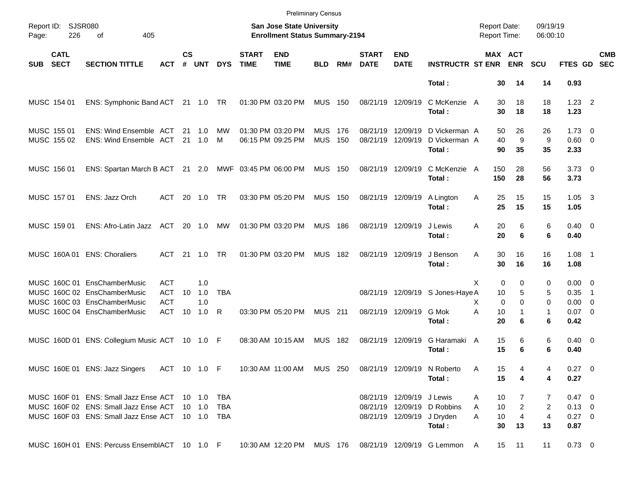|            |                            |                                                                                                                                                          |                                        |                    |                   |            |                             |                                                                    | <b>Preliminary Census</b> |              |                             |                           |                                                                     |                                            |                                                  |                                |                                                |                          |                          |
|------------|----------------------------|----------------------------------------------------------------------------------------------------------------------------------------------------------|----------------------------------------|--------------------|-------------------|------------|-----------------------------|--------------------------------------------------------------------|---------------------------|--------------|-----------------------------|---------------------------|---------------------------------------------------------------------|--------------------------------------------|--------------------------------------------------|--------------------------------|------------------------------------------------|--------------------------|--------------------------|
| Page:      | Report ID: SJSR080<br>226  | 405<br>οf                                                                                                                                                |                                        |                    |                   |            |                             | San Jose State University<br><b>Enrollment Status Summary-2194</b> |                           |              |                             |                           |                                                                     | <b>Report Date:</b><br><b>Report Time:</b> |                                                  | 09/19/19<br>06:00:10           |                                                |                          |                          |
| <b>SUB</b> | <b>CATL</b><br><b>SECT</b> | <b>SECTION TITTLE</b>                                                                                                                                    | <b>ACT</b>                             | $\mathsf{cs}$<br># | <b>UNT</b>        | <b>DYS</b> | <b>START</b><br><b>TIME</b> | <b>END</b><br><b>TIME</b>                                          | <b>BLD</b>                | RM#          | <b>START</b><br><b>DATE</b> | <b>END</b><br><b>DATE</b> | <b>INSTRUCTR ST ENR</b>                                             |                                            | <b>MAX ACT</b><br><b>ENR</b>                     | <b>SCU</b>                     | FTES GD                                        |                          | <b>CMB</b><br><b>SEC</b> |
|            |                            |                                                                                                                                                          |                                        |                    |                   |            |                             |                                                                    |                           |              |                             |                           | Total:                                                              | 30                                         | 14                                               | 14                             | 0.93                                           |                          |                          |
|            | MUSC 154 01                | ENS: Symphonic Band ACT 21 1.0 TR                                                                                                                        |                                        |                    |                   |            |                             | 01:30 PM 03:20 PM                                                  | <b>MUS 150</b>            |              | 08/21/19 12/09/19           |                           | C McKenzie A<br>Total:                                              | 30<br>30                                   | 18<br>18                                         | 18<br>18                       | $1.23$ 2<br>1.23                               |                          |                          |
|            | MUSC 155 01<br>MUSC 155 02 | ENS: Wind Ensemble ACT<br>ENS: Wind Ensemble ACT                                                                                                         |                                        |                    | 21 1.0<br>21 1.0  | МW<br>M    |                             | 01:30 PM 03:20 PM<br>06:15 PM 09:25 PM                             | <b>MUS</b><br><b>MUS</b>  | - 176<br>150 | 08/21/19<br>08/21/19        | 12/09/19<br>12/09/19      | D Vickerman A<br>D Vickerman A<br>Total:                            | 50<br>40<br>90                             | 26<br>9<br>35                                    | 26<br>9<br>35                  | $1.73 \quad 0$<br>$0.60 \quad 0$<br>2.33       |                          |                          |
|            | MUSC 156 01                | ENS: Spartan March B ACT 21 2.0 MWF 03:45 PM 06:00 PM                                                                                                    |                                        |                    |                   |            |                             |                                                                    | <b>MUS 150</b>            |              | 08/21/19 12/09/19           |                           | C McKenzie A<br>Total:                                              | 150<br>150                                 | 28<br>28                                         | 56<br>56                       | $3.73 \quad 0$<br>3.73                         |                          |                          |
|            | MUSC 157 01                | ENS: Jazz Orch                                                                                                                                           | ACT                                    |                    | 20 1.0            | TR         |                             | 03:30 PM 05:20 PM                                                  | <b>MUS 150</b>            |              | 08/21/19 12/09/19           |                           | A Lington<br>Total:                                                 | Α<br>25<br>25                              | 15<br>15                                         | 15<br>15                       | $1.05 \quad 3$<br>1.05                         |                          |                          |
|            | MUSC 159 01                | ENS: Afro-Latin Jazz ACT 20 1.0                                                                                                                          |                                        |                    |                   | MW         |                             | 01:30 PM 03:20 PM                                                  | <b>MUS 186</b>            |              | 08/21/19 12/09/19           |                           | J Lewis<br>Total:                                                   | 20<br>A<br>20                              | 6<br>6                                           | 6<br>6                         | $0.40 \quad 0$<br>0.40                         |                          |                          |
|            |                            | MUSC 160A 01 ENS: Choraliers                                                                                                                             | ACT                                    | 21                 | 1.0               | <b>TR</b>  |                             | 01:30 PM 03:20 PM                                                  | <b>MUS</b>                | 182          | 08/21/19 12/09/19           |                           | J Benson<br>Total:                                                  | 30<br>A<br>30                              | 16<br>16                                         | 16<br>16                       | $1.08$ 1<br>1.08                               |                          |                          |
|            |                            | MUSC 160C 01 EnsChamberMusic<br>MUSC 160C 02 EnsChamberMusic<br>MUSC 160C 03 EnsChamberMusic                                                             | <b>ACT</b><br><b>ACT</b><br><b>ACT</b> | 10                 | 1.0<br>1.0<br>1.0 | <b>TBA</b> |                             |                                                                    |                           |              |                             |                           | 08/21/19 12/09/19 S Jones-Haye A                                    | X<br>10<br>X                               | $\mathbf 0$<br>0<br>5<br>$\Omega$<br>$\mathbf 0$ | 0<br>5<br>0                    | $0.00 \quad 0$<br>0.35<br>$0.00 \t 0$          | $\overline{\phantom{1}}$ |                          |
|            |                            | MUSC 160C 04 EnsChamberMusic                                                                                                                             | <b>ACT</b>                             | 10                 | 1.0               | R          |                             | 03:30 PM 05:20 PM                                                  | <b>MUS</b> 211            |              |                             | 08/21/19 12/09/19         | G Mok<br>Total:                                                     | A<br>10<br>20                              | 1<br>6                                           | $\mathbf{1}$<br>6              | $0.07$ 0<br>0.42                               |                          |                          |
|            |                            | MUSC 160D 01 ENS: Collegium Music ACT 10 1.0 F                                                                                                           |                                        |                    |                   |            |                             | 08:30 AM 10:15 AM                                                  | <b>MUS 182</b>            |              | 08/21/19 12/09/19           |                           | G Haramaki A<br>Total:                                              | 15<br>15                                   | 6<br>6                                           | 6<br>6                         | $0.40 \quad 0$<br>0.40                         |                          |                          |
|            |                            | MUSC 160E 01 ENS: Jazz Singers ACT 10 1.0 F 10:30 AM 11:00 AM MUS 250 08/21/19 12/09/19 N Roberto                                                        |                                        |                    |                   |            |                             |                                                                    |                           |              |                             |                           | Total:                                                              | A<br>15<br>15                              | 4<br>4                                           | 4<br>4                         | $0.27$ 0<br>0.27                               |                          |                          |
|            |                            | MUSC 160F 01 ENS: Small Jazz Ense ACT 10 1.0 TBA<br>MUSC 160F 02 ENS: Small Jazz Ense ACT 10 1.0 TBA<br>MUSC 160F 03 ENS: Small Jazz Ense ACT 10 1.0 TBA |                                        |                    |                   |            |                             |                                                                    |                           |              |                             | 08/21/19 12/09/19 J Lewis | 08/21/19 12/09/19 D Robbins<br>08/21/19 12/09/19 J Dryden<br>Total: | 10<br>A<br>10<br>A<br>10<br>A<br>30        | 7<br>$\overline{2}$<br>$\overline{4}$<br>13      | 7<br>2<br>$\overline{4}$<br>13 | 0.47 0<br>$0.13 \quad 0$<br>$0.27 \ 0$<br>0.87 |                          |                          |
|            |                            | MUSC 160H 01 ENS: Percuss EnsemblACT 10 1.0 F 10:30 AM 12:20 PM MUS 176 08/21/19 12/09/19 G Lemmon A                                                     |                                        |                    |                   |            |                             |                                                                    |                           |              |                             |                           |                                                                     |                                            | 15 11                                            | 11                             | $0.73 \ 0$                                     |                          |                          |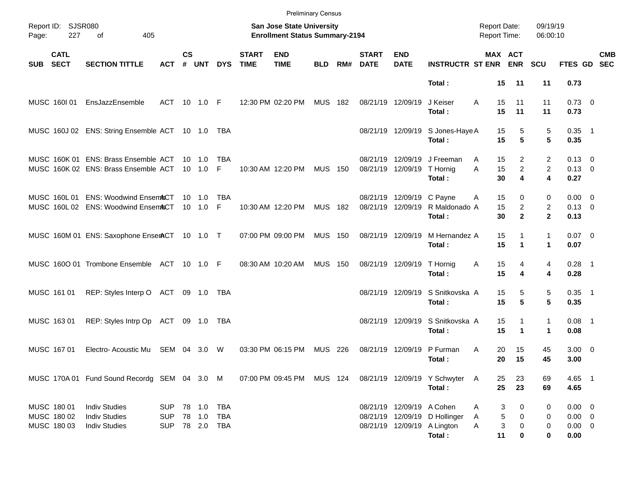|                                           |                            |                                                                              |                                        |               |                                  |            |                             | <b>Preliminary Census</b>                                          |                |       |                               |                                                |                                                                        |                                     |                                                         |                                      |                                                   |            |
|-------------------------------------------|----------------------------|------------------------------------------------------------------------------|----------------------------------------|---------------|----------------------------------|------------|-----------------------------|--------------------------------------------------------------------|----------------|-------|-------------------------------|------------------------------------------------|------------------------------------------------------------------------|-------------------------------------|---------------------------------------------------------|--------------------------------------|---------------------------------------------------|------------|
| Report ID: SJSR080<br>Page:               | 227                        | 405<br>οf                                                                    |                                        |               |                                  |            |                             | San Jose State University<br><b>Enrollment Status Summary-2194</b> |                |       |                               |                                                |                                                                        | <b>Report Date:</b><br>Report Time: |                                                         | 09/19/19<br>06:00:10                 |                                                   |            |
| SUB                                       | <b>CATL</b><br><b>SECT</b> | <b>SECTION TITTLE</b>                                                        | ACT                                    | $\mathsf{cs}$ | # UNT                            | <b>DYS</b> | <b>START</b><br><b>TIME</b> | <b>END</b><br><b>TIME</b>                                          | <b>BLD</b>     | RM#   | <b>START</b><br><b>DATE</b>   | <b>END</b><br><b>DATE</b>                      | <b>INSTRUCTR ST ENR ENR</b>                                            |                                     | MAX ACT                                                 | <b>SCU</b>                           | FTES GD SEC                                       | <b>CMB</b> |
|                                           |                            |                                                                              |                                        |               |                                  |            |                             |                                                                    |                |       |                               |                                                | Total:                                                                 |                                     | 15<br>11                                                | 11                                   | 0.73                                              |            |
| MUSC 160101                               |                            | EnsJazzEnsemble                                                              | ACT                                    |               | 10 1.0 F                         |            |                             | 12:30 PM 02:20 PM                                                  | <b>MUS 182</b> |       | 08/21/19 12/09/19             |                                                | J Keiser<br>Total:                                                     | A                                   | 15<br>11<br>15<br>11                                    | 11<br>11                             | $0.73 \quad 0$<br>0.73                            |            |
|                                           |                            | MUSC 160J 02 ENS: String Ensemble ACT 10 1.0 TBA                             |                                        |               |                                  |            |                             |                                                                    |                |       |                               |                                                | 08/21/19 12/09/19 S Jones-Haye A<br>Total:                             |                                     | 15<br>5<br>5<br>15                                      | 5<br>5                               | $0.35$ 1<br>0.35                                  |            |
|                                           |                            | MUSC 160K 01 ENS: Brass Ensemble ACT<br>MUSC 160K 02 ENS: Brass Ensemble ACT |                                        |               | $10 \quad 1.0$<br>$10 \quad 1.0$ | TBA<br>F.  |                             | 10:30 AM 12:20 PM                                                  | <b>MUS 150</b> |       | 08/21/19<br>08/21/19 12/09/19 | 12/09/19                                       | J Freeman<br>T Hornig<br>Total:                                        | A<br>A                              | $\overline{2}$<br>15<br>$\overline{a}$<br>15<br>4<br>30 | 2<br>$\overline{c}$<br>4             | $0.13 \quad 0$<br>$0.13 \quad 0$<br>0.27          |            |
|                                           |                            | MUSC 160L 01 ENS: Woodwind EnsemACT<br>MUSC 160L 02 ENS: Woodwind EnsemACT   |                                        |               | $10 \quad 1.0$<br>$10 \quad 1.0$ | TBA<br>F.  |                             | 10:30 AM 12:20 PM                                                  | <b>MUS 182</b> |       |                               | 08/21/19 12/09/19 C Payne<br>08/21/19 12/09/19 | R Maldonado A<br>Total:                                                | Α                                   | 15<br>0<br>15<br>$\overline{2}$<br>$\mathbf{2}$<br>30   | 0<br>$\overline{2}$<br>$\mathbf{2}$  | $0.00 \t 0$<br>$0.13 \quad 0$<br>0.13             |            |
|                                           |                            | MUSC 160M 01 ENS: Saxophone EnserACT 10 1.0 T                                |                                        |               |                                  |            |                             | 07:00 PM 09:00 PM                                                  | <b>MUS 150</b> |       | 08/21/19 12/09/19             |                                                | M Hernandez A<br>Total:                                                |                                     | 15<br>1<br>15<br>1                                      | 1<br>$\mathbf 1$                     | $0.07$ 0<br>0.07                                  |            |
|                                           |                            | MUSC 1600 01 Trombone Ensemble ACT 10 1.0 F                                  |                                        |               |                                  |            |                             | 08:30 AM 10:20 AM                                                  | <b>MUS 150</b> |       |                               | 08/21/19 12/09/19                              | T Hornig<br>Total:                                                     | Α                                   | 15<br>4<br>15<br>4                                      | 4<br>4                               | $0.28$ 1<br>0.28                                  |            |
| MUSC 161 01                               |                            | REP: Styles Interp O ACT                                                     |                                        |               |                                  |            |                             |                                                                    |                |       |                               | 08/21/19 12/09/19                              | S Snitkovska A<br>Total:                                               |                                     | 15<br>5<br>15<br>5                                      | 5<br>5                               | $0.35$ 1<br>0.35                                  |            |
| MUSC 163 01                               |                            | REP: Styles Intrp Op ACT                                                     |                                        |               |                                  |            |                             |                                                                    |                |       |                               | 08/21/19 12/09/19                              | S Snitkovska A<br>Total:                                               |                                     | 15<br>1<br>15<br>1                                      | $\mathbf{1}$<br>$\blacktriangleleft$ | $0.08$ 1<br>0.08                                  |            |
| MUSC 167 01                               |                            | Electro-Acoustic Mu                                                          | SEM 04                                 |               | 3.0                              | W          |                             | 03:30 PM 06:15 PM                                                  | <b>MUS</b>     | - 226 | 08/21/19 12/09/19             |                                                | P Furman<br>Total:                                                     | Α                                   | 20<br>15<br>15<br>20                                    | 45<br>45                             | $3.00 \ 0$<br>3.00                                |            |
|                                           |                            | MUSC 170A 01 Fund Sound Recordg SEM 04 3.0 M                                 |                                        |               |                                  |            |                             | 07:00 PM 09:45 PM MUS 124                                          |                |       |                               |                                                | 08/21/19 12/09/19 Y Schwyter A<br>Total:                               |                                     | 23<br>25<br>25<br>23                                    | 69<br>69                             | 4.65 1<br>4.65                                    |            |
| MUSC 180 01<br>MUSC 180 02<br>MUSC 180 03 |                            | <b>Indiv Studies</b><br><b>Indiv Studies</b><br><b>Indiv Studies</b>         | <b>SUP</b><br><b>SUP</b><br><b>SUP</b> |               | 78 1.0<br>78  2.0  TBA           | TBA<br>TBA |                             |                                                                    |                |       |                               | 08/21/19 12/09/19 A Cohen                      | 08/21/19 12/09/19 D Hollinger<br>08/21/19 12/09/19 A Lington<br>Total: | Α<br>Α<br>Α                         | 3<br>0<br>5<br>0<br>3<br>$\boldsymbol{0}$<br>11<br>0    | 0<br>0<br>0<br>0                     | $0.00 \t 0$<br>$0.00 \t 0$<br>$0.00 \t 0$<br>0.00 |            |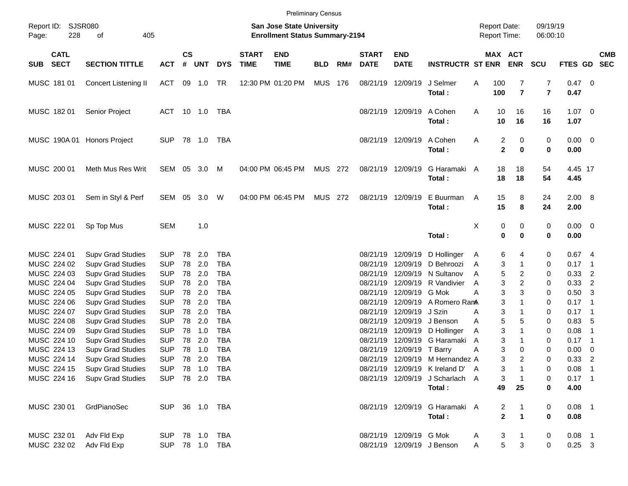|                            |                            |                                                      |                          |                             |            |                   |                             |                                                                    | <b>Preliminary Census</b> |     |                             |                           |                                  |                                            |                              |                                                                      |                        |                            |            |
|----------------------------|----------------------------|------------------------------------------------------|--------------------------|-----------------------------|------------|-------------------|-----------------------------|--------------------------------------------------------------------|---------------------------|-----|-----------------------------|---------------------------|----------------------------------|--------------------------------------------|------------------------------|----------------------------------------------------------------------|------------------------|----------------------------|------------|
| Page:                      | Report ID: SJSR080<br>228  | 405<br>of                                            |                          |                             |            |                   |                             | San Jose State University<br><b>Enrollment Status Summary-2194</b> |                           |     |                             |                           |                                  | <b>Report Date:</b><br><b>Report Time:</b> |                              |                                                                      | 09/19/19<br>06:00:10   |                            |            |
| SUB                        | <b>CATL</b><br><b>SECT</b> | <b>SECTION TITTLE</b>                                | <b>ACT</b>               | $\mathsf{cs}$<br>$\pmb{\#}$ | <b>UNT</b> | <b>DYS</b>        | <b>START</b><br><b>TIME</b> | <b>END</b><br><b>TIME</b>                                          | <b>BLD</b>                | RM# | <b>START</b><br><b>DATE</b> | <b>END</b><br><b>DATE</b> | <b>INSTRUCTR ST ENR</b>          |                                            | MAX ACT<br><b>ENR</b>        | <b>SCU</b>                                                           | FTES GD SEC            |                            | <b>CMB</b> |
| MUSC 181 01                |                            | Concert Listening II                                 | ACT                      |                             | 09 1.0     | TR                |                             | 12:30 PM 01:20 PM                                                  | MUS 176                   |     |                             | 08/21/19 12/09/19         | J Selmer<br>Total:               | 100<br>Α<br>100                            |                              | $\overline{7}$<br>$\overline{7}$<br>$\overline{7}$<br>$\overline{7}$ | $0.47 \quad 0$<br>0.47 |                            |            |
| MUSC 18201                 |                            | Senior Project                                       | ACT 10 1.0 TBA           |                             |            |                   |                             |                                                                    |                           |     |                             | 08/21/19 12/09/19         | A Cohen<br>Total:                | Α                                          | 10<br>16<br>10<br>16         | 16<br>16                                                             | $1.07 \t 0$<br>1.07    |                            |            |
|                            | MUSC 190A 01               | <b>Honors Project</b>                                | <b>SUP</b>               |                             |            | TBA               |                             |                                                                    |                           |     |                             | 08/21/19 12/09/19         | A Cohen<br>Total:                | Α                                          | 2<br>$\overline{\mathbf{2}}$ | 0<br>0<br>0<br>0                                                     | $0.00 \t 0$<br>0.00    |                            |            |
| MUSC 200 01                |                            | Meth Mus Res Writ                                    | SEM 05 3.0               |                             |            | M                 |                             | 04:00 PM 06:45 PM                                                  | <b>MUS 272</b>            |     |                             | 08/21/19 12/09/19         | G Haramaki A<br>Total:           |                                            | 18<br>18<br>18<br>18         | 54<br>54                                                             | 4.45 17<br>4.45        |                            |            |
| MUSC 203 01                |                            | Sem in Styl & Perf                                   | SEM 05                   |                             | 3.0        | W                 |                             | 04:00 PM 06:45 PM                                                  | MUS 272                   |     |                             | 08/21/19 12/09/19         | E Buurman<br>Total:              | A                                          | 15<br>15                     | 8<br>24<br>8<br>24                                                   | 2.00 8<br>2.00         |                            |            |
| MUSC 222 01                |                            | Sp Top Mus                                           | <b>SEM</b>               |                             | 1.0        |                   |                             |                                                                    |                           |     |                             |                           | Total:                           | х                                          | 0<br>$\mathbf 0$             | 0<br>0<br>0<br>0                                                     | $0.00 \t 0$<br>0.00    |                            |            |
| MUSC 224 01<br>MUSC 224 02 |                            | <b>Supv Grad Studies</b><br><b>Supv Grad Studies</b> | <b>SUP</b><br><b>SUP</b> | 78<br>78                    | 2.0<br>2.0 | TBA<br><b>TBA</b> |                             |                                                                    |                           |     | 08/21/19<br>08/21/19        | 12/09/19<br>12/09/19      | D Hollinger<br>D Behroozi        | A<br>A                                     | 6<br>3                       | 0<br>4<br>1<br>0                                                     | 0.674<br>$0.17$ 1      |                            |            |
| MUSC 224 03                |                            | <b>Supv Grad Studies</b>                             | <b>SUP</b>               | 78                          | 2.0        | <b>TBA</b>        |                             |                                                                    |                           |     | 08/21/19                    | 12/09/19                  | N Sultanov                       | A                                          | 5                            | 2<br>0                                                               | 0.33                   | $\overline{2}$             |            |
| MUSC 224 04                |                            | <b>Supv Grad Studies</b>                             | <b>SUP</b>               | 78                          | 2.0        | <b>TBA</b>        |                             |                                                                    |                           |     | 08/21/19                    | 12/09/19                  | R Vandivier                      | A                                          | 3                            | 2<br>0                                                               | 0.33                   | $\overline{2}$             |            |
| MUSC 224 05                |                            | <b>Supv Grad Studies</b>                             | <b>SUP</b>               | 78                          | 2.0        | <b>TBA</b>        |                             |                                                                    |                           |     | 08/21/19                    | 12/09/19                  | G Mok                            | А                                          | 3                            | 3<br>0                                                               | $0.50$ 3               |                            |            |
| MUSC 224 06                |                            | <b>Supv Grad Studies</b>                             | <b>SUP</b>               | 78                          | 2.0        | <b>TBA</b>        |                             |                                                                    |                           |     | 08/21/19                    | 12/09/19                  | A Romero RanA                    |                                            | 3                            | $\mathbf{1}$<br>0                                                    | $0.17$ 1               |                            |            |
| MUSC 224 07                |                            | <b>Supv Grad Studies</b>                             | <b>SUP</b>               | 78                          | 2.0        | <b>TBA</b>        |                             |                                                                    |                           |     | 08/21/19                    | 12/09/19                  | J Szin                           | Α                                          | 3                            | 1<br>0                                                               | $0.17$ 1               |                            |            |
| MUSC 224 08                |                            | <b>Supv Grad Studies</b>                             | <b>SUP</b>               | 78                          | 2.0        | <b>TBA</b>        |                             |                                                                    |                           |     | 08/21/19                    | 12/09/19                  | J Benson                         | A                                          | 5                            | 5<br>0                                                               | 0.83, 5                |                            |            |
| MUSC 224 09                |                            | <b>Supv Grad Studies</b>                             | <b>SUP</b>               | 78                          | 1.0        | <b>TBA</b>        |                             |                                                                    |                           |     | 08/21/19                    | 12/09/19                  | D Hollinger                      | Α                                          | 3                            | $\mathbf{1}$<br>0                                                    | 0.08                   | $\overline{1}$             |            |
| MUSC 224 10                |                            | <b>Supv Grad Studies</b>                             | <b>SUP</b>               | 78                          | 2.0        | <b>TBA</b>        |                             |                                                                    |                           |     | 08/21/19                    | 12/09/19                  | G Haramaki                       | A                                          | 3                            | 1<br>0                                                               | 0.17                   | $\overline{\phantom{0}}$ 1 |            |
| MUSC 224 13                |                            | <b>Supv Grad Studies</b>                             | <b>SUP</b>               | 78                          | 1.0        | <b>TBA</b>        |                             |                                                                    |                           |     | 08/21/19                    | 12/09/19                  | T Barry                          | Α                                          | 3                            | 0<br>0                                                               | 0.00                   | $\overline{\phantom{0}}$   |            |
| MUSC 224 14                |                            | <b>Supv Grad Studies</b>                             | <b>SUP</b>               | 78                          | 2.0        | <b>TBA</b>        |                             |                                                                    |                           |     |                             |                           | 08/21/19 12/09/19 M Hernandez A  |                                            | 3                            | $\overline{c}$<br>0                                                  | 0.33                   | $\overline{2}$             |            |
| MUSC 224 15                |                            | <b>Supv Grad Studies</b>                             | SUP 78 1.0 TBA           |                             |            |                   |                             |                                                                    |                           |     |                             |                           | 08/21/19 12/09/19 K Ireland D' A |                                            | 3                            | 0                                                                    | $0.08$ 1               |                            |            |
| MUSC 224 16                |                            | <b>Supv Grad Studies</b>                             |                          |                             |            | SUP 78 2.0 TBA    |                             |                                                                    |                           |     |                             |                           | 08/21/19 12/09/19 J Scharlach A  |                                            | 3                            | 0                                                                    | $0.17$ 1               |                            |            |
|                            |                            |                                                      |                          |                             |            |                   |                             |                                                                    |                           |     |                             |                           | Total:                           |                                            | 49<br>25                     | 0                                                                    | 4.00                   |                            |            |
| MUSC 230 01                |                            | GrdPianoSec                                          |                          |                             |            | SUP 36 1.0 TBA    |                             |                                                                    |                           |     |                             |                           | 08/21/19 12/09/19 G Haramaki A   |                                            | 2                            | 0                                                                    | $0.08$ 1               |                            |            |
|                            |                            |                                                      |                          |                             |            |                   |                             |                                                                    |                           |     |                             |                           | Total:                           |                                            | $\mathbf{2}$                 | $\mathbf 1$<br>0                                                     | 0.08                   |                            |            |
| MUSC 232 01                |                            | Adv Fld Exp                                          |                          |                             |            | SUP 78 1.0 TBA    |                             |                                                                    |                           |     |                             | 08/21/19 12/09/19 G Mok   |                                  | A                                          | 3                            | 0                                                                    | $0.08$ 1               |                            |            |
| MUSC 232 02                |                            | Adv Fld Exp                                          | <b>SUP</b>               |                             |            |                   |                             |                                                                    |                           |     |                             |                           | 08/21/19 12/09/19 J Benson       | Α                                          | 5                            | 3<br>0                                                               | $0.25$ 3               |                            |            |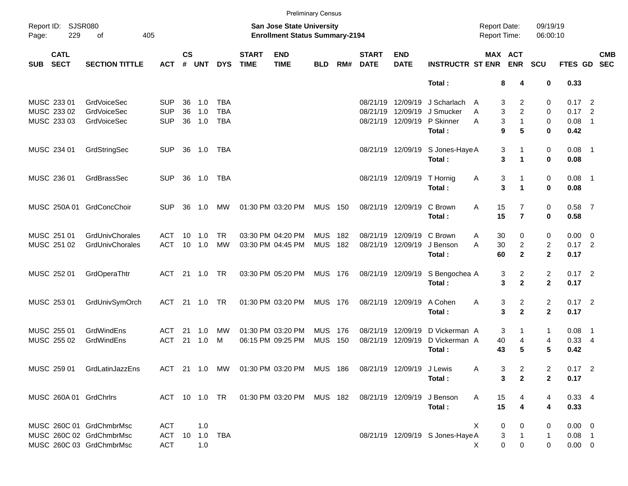|            |                            |                             |            |                    |              |            |                             |                                                                          | <b>Preliminary Census</b> |       |                             |                           |                                  |                                            |                      |                      |                |                          |  |
|------------|----------------------------|-----------------------------|------------|--------------------|--------------|------------|-----------------------------|--------------------------------------------------------------------------|---------------------------|-------|-----------------------------|---------------------------|----------------------------------|--------------------------------------------|----------------------|----------------------|----------------|--------------------------|--|
| Page:      | Report ID: SJSR080<br>229  | of<br>405                   |            |                    |              |            |                             | San Jose State University<br><b>Enrollment Status Summary-2194</b>       |                           |       |                             |                           |                                  | <b>Report Date:</b><br><b>Report Time:</b> |                      | 09/19/19<br>06:00:10 |                |                          |  |
| <b>SUB</b> | <b>CATL</b><br><b>SECT</b> | <b>SECTION TITTLE</b>       | ACT        | $\mathsf{cs}$<br># | <b>UNT</b>   | <b>DYS</b> | <b>START</b><br><b>TIME</b> | <b>END</b><br><b>TIME</b>                                                | <b>BLD</b>                | RM#   | <b>START</b><br><b>DATE</b> | <b>END</b><br><b>DATE</b> | <b>INSTRUCTR ST ENR</b>          | MAX ACT                                    | <b>ENR</b>           | <b>SCU</b>           | <b>FTES GD</b> | <b>CMB</b><br><b>SEC</b> |  |
|            |                            |                             |            |                    |              |            |                             |                                                                          |                           |       |                             |                           | Total:                           | 8                                          | 4                    | 0                    | 0.33           |                          |  |
|            | MUSC 233 01                | <b>GrdVoiceSec</b>          | <b>SUP</b> | 36                 | 1.0          | TBA        |                             |                                                                          |                           |       | 08/21/19                    | 12/09/19                  | J Scharlach                      | 3<br>A                                     | 2                    | 0                    | $0.17$ 2       |                          |  |
|            | MUSC 233 02                | <b>GrdVoiceSec</b>          | <b>SUP</b> | 36                 | 1.0          | <b>TBA</b> |                             |                                                                          |                           |       | 08/21/19                    | 12/09/19                  | J Smucker                        | 3<br>A                                     | $\overline{2}$       | 0                    | $0.17$ 2       |                          |  |
|            | MUSC 233 03                | <b>GrdVoiceSec</b>          | <b>SUP</b> | 36                 | 1.0          | <b>TBA</b> |                             |                                                                          |                           |       |                             | 08/21/19 12/09/19         | P Skinner                        | 3<br>A                                     | $\mathbf{1}$         | 0                    | 0.08           | $\overline{\phantom{0}}$ |  |
|            |                            |                             |            |                    |              |            |                             |                                                                          |                           |       |                             |                           | Total:                           | 9                                          | 5                    | 0                    | 0.42           |                          |  |
|            | MUSC 234 01                | GrdStringSec                | <b>SUP</b> |                    | 36 1.0       | TBA        |                             |                                                                          |                           |       |                             | 08/21/19 12/09/19         | S Jones-Haye A                   | 3                                          | 1                    | 0                    | $0.08$ 1       |                          |  |
|            |                            |                             |            |                    |              |            |                             |                                                                          |                           |       |                             |                           | Total:                           | 3                                          | $\blacktriangleleft$ | 0                    | 0.08           |                          |  |
|            | MUSC 236 01                | GrdBrassSec                 | <b>SUP</b> |                    | 36 1.0       | <b>TBA</b> |                             |                                                                          |                           |       |                             | 08/21/19 12/09/19         | T Hornig                         | Α<br>3                                     | 1                    | 0                    | $0.08$ 1       |                          |  |
|            |                            |                             |            |                    |              |            |                             |                                                                          |                           |       |                             |                           | Total:                           | 3                                          | $\blacktriangleleft$ | 0                    | 0.08           |                          |  |
|            |                            | MUSC 250A 01 GrdConcChoir   | <b>SUP</b> | 36                 | 1.0          | MW         |                             | 01:30 PM 03:20 PM                                                        | <b>MUS 150</b>            |       |                             | 08/21/19 12/09/19         | C Brown                          | 15<br>A                                    | $\overline{7}$       | 0                    | $0.58$ 7       |                          |  |
|            |                            |                             |            |                    |              |            |                             |                                                                          |                           |       |                             |                           | Total:                           | 15                                         | $\overline{7}$       | 0                    | 0.58           |                          |  |
|            | MUSC 251 01                | GrdUnivChorales             | ACT        | 10                 | 1.0          | <b>TR</b>  |                             | 03:30 PM 04:20 PM                                                        | <b>MUS</b>                | 182   | 08/21/19                    | 12/09/19                  | C Brown                          | 30<br>A                                    | 0                    | 0                    | $0.00 \t 0$    |                          |  |
|            | MUSC 251 02                | GrdUnivChorales             | <b>ACT</b> |                    | 10 1.0       | <b>MW</b>  |                             | 03:30 PM 04:45 PM                                                        | <b>MUS</b>                | 182   |                             | 08/21/19 12/09/19         | J Benson                         | 30<br>A                                    | $\overline{2}$       | 2                    | $0.17$ 2       |                          |  |
|            |                            |                             |            |                    |              |            |                             |                                                                          |                           |       |                             |                           | Total:                           | 60                                         | $\overline{2}$       | $\mathbf{2}$         | 0.17           |                          |  |
|            | MUSC 252 01                | GrdOperaThtr                | ACT        |                    |              |            |                             | 03:30 PM 05:20 PM                                                        | MUS 176                   |       |                             | 08/21/19 12/09/19         | S Bengochea A                    | 3                                          | $\overline{c}$       | $\overline{c}$       | $0.17$ 2       |                          |  |
|            |                            |                             |            |                    |              |            |                             |                                                                          |                           |       |                             |                           | Total:                           | 3                                          | $\overline{2}$       | $\mathbf{2}$         | 0.17           |                          |  |
|            | MUSC 253 01                | GrdUnivSymOrch              | ACT        | 21                 | 1.0          | <b>TR</b>  |                             | 01:30 PM 03:20 PM                                                        | <b>MUS 176</b>            |       |                             | 08/21/19 12/09/19         | A Cohen                          | Α<br>3                                     | $\overline{c}$       | $\overline{c}$       | $0.17$ 2       |                          |  |
|            |                            |                             |            |                    |              |            |                             |                                                                          |                           |       |                             |                           | Total:                           | 3                                          | $\overline{2}$       | $\mathbf{2}$         | 0.17           |                          |  |
|            | MUSC 255 01                | GrdWindEns                  | ACT        | 21                 | 1.0          | MW         |                             | 01:30 PM 03:20 PM                                                        | <b>MUS</b>                | - 176 | 08/21/19                    | 12/09/19                  | D Vickerman A                    | 3                                          | 1                    | 1                    | $0.08$ 1       |                          |  |
|            | MUSC 255 02                | GrdWindEns                  | <b>ACT</b> | 21                 | 1.0          | M          |                             | 06:15 PM 09:25 PM                                                        | <b>MUS</b>                | 150   |                             | 08/21/19 12/09/19         | D Vickerman A                    | 40                                         | 4                    | 4                    | $0.33 - 4$     |                          |  |
|            |                            |                             |            |                    |              |            |                             |                                                                          |                           |       |                             |                           | Total:                           | 43                                         | 5                    | 5                    | 0.42           |                          |  |
|            |                            | MUSC 259 01 GrdLatinJazzEns |            |                    |              |            |                             | ACT 21 1.0 MW  01:30 PM  03:20 PM  MUS  186  08/21/19  12/09/19  J Lewis |                           |       |                             |                           |                                  | 3<br>A                                     | 2                    | 2                    | $0.17$ 2       |                          |  |
|            |                            |                             |            |                    |              |            |                             |                                                                          |                           |       |                             |                           | Total:                           | 3                                          | $\mathbf{2}$         | $\mathbf{2}$         | 0.17           |                          |  |
|            |                            | MUSC 260A 01 GrdChrlrs      |            |                    |              |            |                             | ACT 10 1.0 TR  01:30 PM  03:20 PM  MUS  182                              |                           |       |                             | 08/21/19 12/09/19         | J Benson                         | 15<br>Α                                    | 4                    | 4                    | $0.33 + 4$     |                          |  |
|            |                            |                             |            |                    |              |            |                             |                                                                          |                           |       |                             |                           | Total:                           | 15                                         | 4                    | 4                    | 0.33           |                          |  |
|            |                            | MUSC 260C 01 GrdChmbrMsc    | ACT        |                    | 1.0          |            |                             |                                                                          |                           |       |                             |                           |                                  | 0<br>X                                     | 0                    | 0                    | $0.00 \t 0$    |                          |  |
|            |                            | MUSC 260C 02 GrdChmbrMsc    | <b>ACT</b> |                    | 10  1.0  TBA |            |                             |                                                                          |                           |       |                             |                           | 08/21/19 12/09/19 S Jones-Haye A | 3                                          | $\mathbf{1}$         | 1                    | $0.08$ 1       |                          |  |
|            |                            | MUSC 260C 03 GrdChmbrMsc    | <b>ACT</b> |                    | 1.0          |            |                             |                                                                          |                           |       |                             |                           |                                  | 0<br>X.                                    | 0                    | 0                    | $0.00 \t 0$    |                          |  |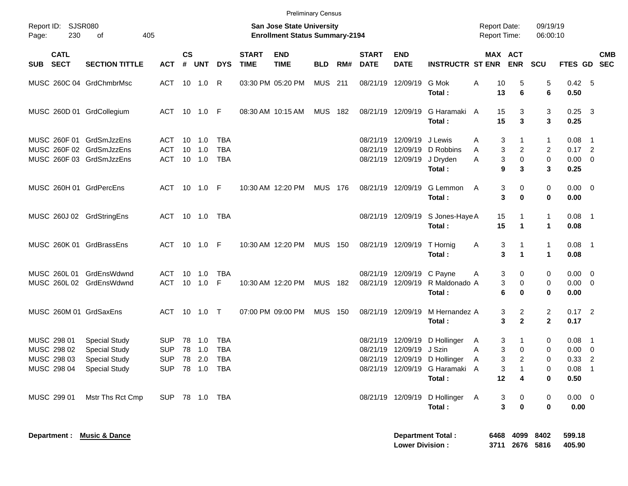|                                                                                  |                                                                      |                                        |                |                                    |                                        |                             | <b>Preliminary Census</b>                                          |                |     |                             |                                                |                                                                |                                     |                                           |                                            |                                     |                          |
|----------------------------------------------------------------------------------|----------------------------------------------------------------------|----------------------------------------|----------------|------------------------------------|----------------------------------------|-----------------------------|--------------------------------------------------------------------|----------------|-----|-----------------------------|------------------------------------------------|----------------------------------------------------------------|-------------------------------------|-------------------------------------------|--------------------------------------------|-------------------------------------|--------------------------|
| Report ID: SJSR080<br>230<br>Page:                                               | 405<br>of                                                            |                                        |                |                                    |                                        |                             | San Jose State University<br><b>Enrollment Status Summary-2194</b> |                |     |                             |                                                |                                                                | <b>Report Date:</b><br>Report Time: |                                           | 09/19/19<br>06:00:10                       |                                     |                          |
| <b>CATL</b><br><b>SECT</b><br><b>SUB</b>                                         | <b>SECTION TITTLE</b>                                                | <b>ACT</b>                             | <b>CS</b><br># | UNT                                | <b>DYS</b>                             | <b>START</b><br><b>TIME</b> | <b>END</b><br><b>TIME</b>                                          | <b>BLD</b>     | RM# | <b>START</b><br><b>DATE</b> | <b>END</b><br><b>DATE</b>                      | <b>INSTRUCTR ST ENR ENR</b>                                    | MAX ACT                             |                                           | <b>SCU</b>                                 | FTES GD SEC                         | <b>CMB</b>               |
| MUSC 260C 04 GrdChmbrMsc                                                         |                                                                      | ACT 10 1.0                             |                |                                    | R                                      |                             | 03:30 PM 05:20 PM                                                  | <b>MUS 211</b> |     |                             | 08/21/19 12/09/19                              | G Mok<br>Total:                                                | 10<br>Α<br>13                       | 5<br>6                                    | 5<br>6                                     | 0.42 5<br>0.50                      |                          |
| MUSC 260D 01 GrdCollegium                                                        |                                                                      | ACT 10 1.0 F                           |                |                                    |                                        |                             | 08:30 AM 10:15 AM                                                  | MUS 182        |     |                             | 08/21/19 12/09/19                              | G Haramaki A<br>Total:                                         | 15<br>15                            | 3<br>$\mathbf{3}$                         | 3<br>3                                     | $0.25$ 3<br>0.25                    |                          |
| MUSC 260F 01 GrdSmJzzEns<br>MUSC 260F 02 GrdSmJzzEns<br>MUSC 260F 03 GrdSmJzzEns |                                                                      | ACT<br>ACT<br>ACT                      |                | $10 \quad 1.0$<br>10 1.0<br>10 1.0 | TBA<br><b>TBA</b><br><b>TBA</b>        |                             |                                                                    |                |     |                             | 08/21/19 12/09/19 J Lewis<br>08/21/19 12/09/19 | 08/21/19 12/09/19 D Robbins<br>J Dryden                        | 3<br>A<br>3<br>A<br>3<br>A          | 1<br>$\overline{c}$<br>$\pmb{0}$          | 1<br>2<br>$\mathbf 0$                      | $0.08$ 1<br>$0.17$ 2<br>$0.00 \t 0$ |                          |
| MUSC 260H 01 GrdPercEns                                                          |                                                                      | ACT 10 1.0 F                           |                |                                    |                                        |                             | 10:30 AM 12:20 PM                                                  | <b>MUS 176</b> |     |                             | 08/21/19 12/09/19                              | Total:<br>G Lemmon                                             | 9<br>Α<br>3                         | 3<br>0                                    | 3<br>0                                     | 0.25<br>$0.00 \t 0$                 |                          |
| MUSC 260J 02 GrdStringEns                                                        |                                                                      | ACT 10 1.0 TBA                         |                |                                    |                                        |                             |                                                                    |                |     |                             |                                                | Total:<br>08/21/19 12/09/19 S Jones-Haye A                     | 3<br>15                             | $\bf{0}$<br>1                             | 0<br>$\mathbf{1}$                          | 0.00<br>$0.08$ 1                    |                          |
| MUSC 260K 01 GrdBrassEns                                                         |                                                                      | ACT 10 1.0 F                           |                |                                    |                                        |                             | 10:30 AM 12:20 PM                                                  | <b>MUS 150</b> |     |                             | 08/21/19 12/09/19                              | Total:<br>T Hornig<br>Total:                                   | 15<br>3<br>A<br>3                   | $\mathbf{1}$<br>1<br>$\blacktriangleleft$ | $\mathbf 1$<br>$\mathbf{1}$<br>$\mathbf 1$ | 0.08<br>$0.08$ 1<br>0.08            |                          |
| MUSC 260L 01 GrdEnsWdwnd<br>MUSC 260L 02 GrdEnsWdwnd                             |                                                                      | ACT<br>ACT                             |                | 10 1.0<br>10 1.0 F                 | <b>TBA</b>                             |                             | 10:30 AM 12:20 PM                                                  | MUS 182        |     |                             | 08/21/19 12/09/19 C Payne                      | 08/21/19 12/09/19 R Maldonado A                                | 3<br>A<br>3                         | 0<br>0                                    | 0<br>0                                     | $0.00 \t 0$<br>$0.00 \t 0$          |                          |
| MUSC 260M 01 GrdSaxEns                                                           |                                                                      | ACT 10 1.0 T                           |                |                                    |                                        |                             | 07:00 PM 09:00 PM                                                  | <b>MUS 150</b> |     |                             | 08/21/19 12/09/19                              | Total:<br>M Hernandez A<br>Total:                              | 6<br>3<br>3                         | 0<br>2<br>$\mathbf{2}$                    | 0<br>$\overline{c}$<br>$\mathbf{2}$        | 0.00<br>$0.17$ 2<br>0.17            |                          |
| MUSC 298 01<br>MUSC 298 02<br>MUSC 298 03                                        | <b>Special Study</b><br><b>Special Study</b><br><b>Special Study</b> | <b>SUP</b><br><b>SUP</b><br><b>SUP</b> | 78             | 78 1.0<br>1.0<br>78 2.0            | <b>TBA</b><br><b>TBA</b><br><b>TBA</b> |                             |                                                                    |                |     | 08/21/19                    | 12/09/19 J Szin                                | 08/21/19 12/09/19 D Hollinger<br>08/21/19 12/09/19 D Hollinger | 3<br>A<br>3<br>A<br>3<br>Α          | 1<br>0<br>$\overline{2}$                  | 0<br>0<br>$\Omega$                         | $0.08$ 1<br>$0.00 \t 0$<br>0.33     | $\overline{\phantom{0}}$ |
| MUSC 298 04 Special Study                                                        |                                                                      |                                        |                |                                    | SUP 78 1.0 TBA                         |                             |                                                                    |                |     |                             |                                                | 08/21/19 12/09/19 G Haramaki A<br>Total:                       | 3<br>12                             | 4                                         | 0<br>0                                     | $0.08$ 1<br>0.50                    |                          |
| MUSC 299 01                                                                      | Mstr Ths Rct Cmp                                                     | SUP 78 1.0 TBA                         |                |                                    |                                        |                             |                                                                    |                |     |                             |                                                | 08/21/19 12/09/19 D Hollinger A<br>Total:                      | 3<br>$\mathbf{3}$                   | $\mathbf 0$<br>$\mathbf 0$                | 0<br>0                                     | $0.00 \t 0$<br>0.00                 |                          |
| Department : Music & Dance                                                       |                                                                      |                                        |                |                                    |                                        |                             |                                                                    |                |     |                             |                                                | Department Total :                                             |                                     | 6468 4099 8402                            |                                            | 599.18                              |                          |

**Lower Division : 3711 2676 5816 405.90**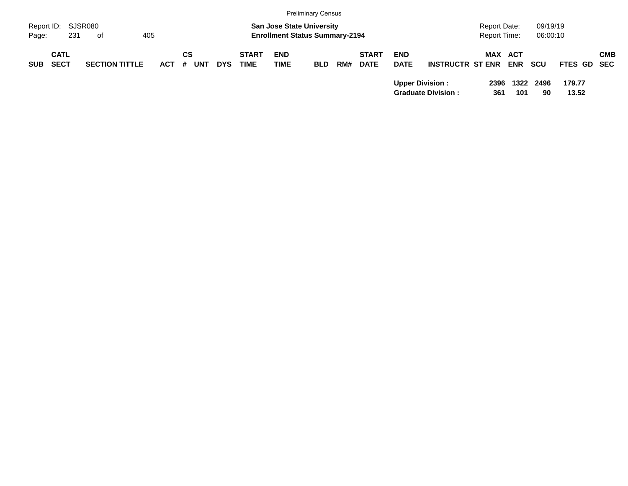|                                          |         |                       |            |                       |            |                             |                                       | <b>Preliminary Census</b> |     |                             |                           |                           |                     |                       |            |                 |            |
|------------------------------------------|---------|-----------------------|------------|-----------------------|------------|-----------------------------|---------------------------------------|---------------------------|-----|-----------------------------|---------------------------|---------------------------|---------------------|-----------------------|------------|-----------------|------------|
| Report ID:                               | SJSR080 |                       |            |                       |            |                             | <b>San Jose State University</b>      |                           |     |                             |                           |                           | <b>Report Date:</b> |                       | 09/19/19   |                 |            |
| Page:                                    | 231     | of                    | 405        |                       |            |                             | <b>Enrollment Status Summary-2194</b> |                           |     |                             |                           |                           | Report Time:        |                       | 06:00:10   |                 |            |
| <b>CATL</b><br><b>SECT</b><br><b>SUB</b> |         | <b>SECTION TITTLE</b> | <b>ACT</b> | СS<br><b>UNT</b><br># | <b>DYS</b> | <b>START</b><br><b>TIME</b> | <b>END</b><br>TIME                    | <b>BLD</b>                | RM# | <b>START</b><br><b>DATE</b> | <b>END</b><br><b>DATE</b> | <b>INSTRUCTR ST ENR</b>   |                     | MAX ACT<br><b>ENR</b> | scu        | FTES GD SEC     | <b>CMB</b> |
|                                          |         |                       |            |                       |            |                             |                                       |                           |     |                             | <b>Upper Division:</b>    | <b>Graduate Division:</b> | 2396<br>361         | 1322<br>101           | 2496<br>90 | 179.77<br>13.52 |            |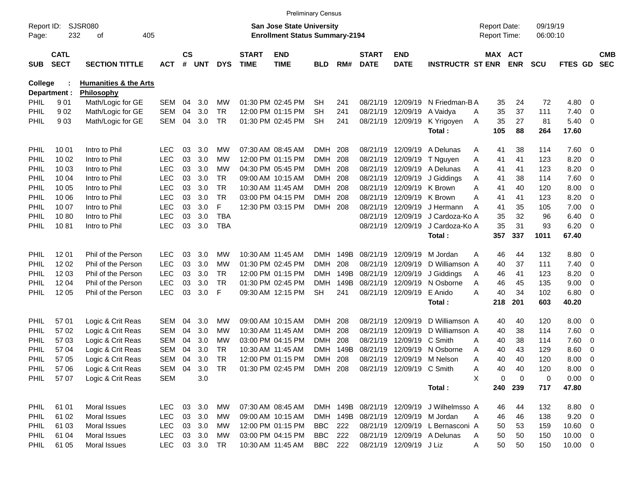|                |                                                  |                                  |            |                    |                                                                           |            |                             |                           | <b>Preliminary Census</b> |      |                             |                                     |                                           |                                     |                       |            |                      |                          |                          |
|----------------|--------------------------------------------------|----------------------------------|------------|--------------------|---------------------------------------------------------------------------|------------|-----------------------------|---------------------------|---------------------------|------|-----------------------------|-------------------------------------|-------------------------------------------|-------------------------------------|-----------------------|------------|----------------------|--------------------------|--------------------------|
| Page:          | <b>SJSR080</b><br>Report ID:<br>232<br>405<br>οf |                                  |            |                    | <b>San Jose State University</b><br><b>Enrollment Status Summary-2194</b> |            |                             |                           |                           |      |                             |                                     |                                           | <b>Report Date:</b><br>Report Time: |                       |            | 09/19/19<br>06:00:10 |                          |                          |
| <b>SUB</b>     | <b>CATL</b><br><b>SECT</b>                       | <b>SECTION TITTLE</b>            | <b>ACT</b> | $\mathsf{cs}$<br># | <b>UNT</b>                                                                | <b>DYS</b> | <b>START</b><br><b>TIME</b> | <b>END</b><br><b>TIME</b> | <b>BLD</b>                | RM#  | <b>START</b><br><b>DATE</b> | <b>END</b><br><b>DATE</b>           | <b>INSTRUCTR ST ENR</b>                   |                                     | MAX ACT<br><b>ENR</b> | <b>SCU</b> | <b>FTES GD</b>       |                          | <b>CMB</b><br><b>SEC</b> |
| <b>College</b> |                                                  | <b>Humanities &amp; the Arts</b> |            |                    |                                                                           |            |                             |                           |                           |      |                             |                                     |                                           |                                     |                       |            |                      |                          |                          |
|                | Department :                                     | <b>Philosophy</b>                |            |                    |                                                                           |            |                             |                           |                           |      |                             |                                     |                                           |                                     |                       |            |                      |                          |                          |
| PHIL           | 901                                              | Math/Logic for GE                | SEM        | 04                 | 3.0                                                                       | МW         |                             | 01:30 PM 02:45 PM         | SН                        | 241  | 08/21/19                    | 12/09/19                            | N Friedman-B A                            |                                     | 35<br>24              | 72         | 4.80                 | 0                        |                          |
| PHIL           | 902                                              | Math/Logic for GE                | <b>SEM</b> | 04                 | 3.0                                                                       | TR.        |                             | 12:00 PM 01:15 PM         | <b>SH</b>                 | 241  | 08/21/19                    | 12/09/19                            | A Vaidya                                  | 35<br>Α                             | 37                    | 111        | 7.40                 | 0                        |                          |
| PHIL           | 903                                              | Math/Logic for GE                | SEM        | 04                 | 3.0                                                                       | TR         |                             | 01:30 PM 02:45 PM         | <b>SH</b>                 | 241  |                             | 08/21/19 12/09/19                   | K Yrigoyen                                | 35<br>A                             | 27                    | 81         | 5.40                 | $\overline{\mathbf{0}}$  |                          |
|                |                                                  |                                  |            |                    |                                                                           |            |                             |                           |                           |      |                             |                                     | Total:                                    | 105                                 | 88                    | 264        | 17.60                |                          |                          |
| <b>PHIL</b>    | 10 01                                            | Intro to Phil                    | LEC        | 03                 | 3.0                                                                       | <b>MW</b>  |                             | 07:30 AM 08:45 AM         | <b>DMH</b>                | 208  | 08/21/19                    | 12/09/19                            | A Delunas                                 | 41<br>Α                             | 38                    | 114        | 7.60                 | - 0                      |                          |
| PHIL           | 10 02                                            | Intro to Phil                    | <b>LEC</b> | 03                 | 3.0                                                                       | МW         |                             | 12:00 PM 01:15 PM         | <b>DMH</b>                | 208  | 08/21/19                    | 12/09/19                            | T Nguyen                                  | A<br>41                             | 41                    | 123        | 8.20                 | 0                        |                          |
| PHIL           | 10 03                                            | Intro to Phil                    | <b>LEC</b> | 03                 | 3.0                                                                       | МW         |                             | 04:30 PM 05:45 PM         | <b>DMH</b>                | 208  | 08/21/19                    | 12/09/19                            | A Delunas                                 | A<br>41                             | 41                    | 123        | 8.20                 | 0                        |                          |
| PHIL           | 10 04                                            | Intro to Phil                    | <b>LEC</b> | 03                 | 3.0                                                                       | TR         |                             | 09:00 AM 10:15 AM         | <b>DMH</b>                | 208  | 08/21/19                    | 12/09/19                            | J Giddings                                | Α<br>41                             | 38                    | 114        | 7.60                 | 0                        |                          |
| PHIL           | 10 05                                            | Intro to Phil                    | <b>LEC</b> | 03                 | 3.0                                                                       | <b>TR</b>  |                             | 10:30 AM 11:45 AM         | <b>DMH</b>                | 208  | 08/21/19                    |                                     | 12/09/19 K Brown                          | A<br>41                             | 40                    | 120        | 8.00                 | 0                        |                          |
| PHIL           | 10 06                                            | Intro to Phil                    | <b>LEC</b> | 03                 | 3.0                                                                       | <b>TR</b>  |                             | 03:00 PM 04:15 PM         | <b>DMH</b>                | 208  | 08/21/19                    | 12/09/19 K Brown                    |                                           | A<br>41                             | 41                    | 123        | 8.20                 | 0                        |                          |
| PHIL           | 10 07                                            | Intro to Phil                    | <b>LEC</b> | 03                 | 3.0                                                                       | F          |                             | 12:30 PM 03:15 PM         | <b>DMH</b>                | 208  | 08/21/19                    | 12/09/19                            | J Hermann                                 | A<br>41                             | 35                    | 105        | 7.00                 | 0                        |                          |
| PHIL           | 1080                                             | Intro to Phil                    | <b>LEC</b> | 03                 | 3.0                                                                       | <b>TBA</b> |                             |                           |                           |      | 08/21/19                    | 12/09/19                            | J Cardoza-Ko A                            | 35                                  | 32                    | 96         | 6.40                 | 0                        |                          |
| PHIL           | 1081                                             | Intro to Phil                    | <b>LEC</b> | 03                 | 3.0                                                                       | <b>TBA</b> |                             |                           |                           |      | 08/21/19                    | 12/09/19                            | J Cardoza-Ko A                            | 35                                  | 31                    | 93         | 6.20                 | $\overline{\mathbf{0}}$  |                          |
|                |                                                  |                                  |            |                    |                                                                           |            |                             |                           |                           |      |                             |                                     | Total:                                    | 357                                 | 337                   | 1011       | 67.40                |                          |                          |
| <b>PHIL</b>    | 12 01                                            | Phil of the Person               | LEC        | 03                 | 3.0                                                                       | <b>MW</b>  |                             | 10:30 AM 11:45 AM         | <b>DMH</b>                | 149B | 08/21/19                    | 12/09/19                            | M Jordan                                  | 46<br>Α                             | 44                    | 132        | 8.80                 | $\overline{\mathbf{0}}$  |                          |
| PHIL           | 12 02                                            | Phil of the Person               | <b>LEC</b> | 03                 | 3.0                                                                       | МW         |                             | 01:30 PM 02:45 PM         | <b>DMH</b>                | 208  | 08/21/19                    | 12/09/19                            | D Williamson A                            | 40                                  | 37                    | 111        | 7.40                 | 0                        |                          |
| PHIL           | 12 03                                            | Phil of the Person               | <b>LEC</b> | 03                 | 3.0                                                                       | TR.        |                             | 12:00 PM 01:15 PM         | <b>DMH</b>                | 149B | 08/21/19                    | 12/09/19                            | J Giddings                                | 46<br>Α                             | 41                    | 123        | 8.20                 | 0                        |                          |
| PHIL           | 12 04                                            | Phil of the Person               | <b>LEC</b> | 03                 | 3.0                                                                       | TR         |                             | 01:30 PM 02:45 PM         | <b>DMH</b>                | 149B | 08/21/19                    | 12/09/19                            | N Osborne                                 | 46<br>Α                             | 45                    | 135        | 9.00                 | 0                        |                          |
| <b>PHIL</b>    | 12 05                                            | Phil of the Person               | <b>LEC</b> | 03                 | 3.0                                                                       | F          |                             | 09:30 AM 12:15 PM         | <b>SH</b>                 | 241  | 08/21/19                    | 12/09/19                            | E Anido                                   | 40<br>А                             | 34                    | 102        | 6.80                 | $\overline{\mathbf{0}}$  |                          |
|                |                                                  |                                  |            |                    |                                                                           |            |                             |                           |                           |      |                             |                                     | Total:                                    | 218                                 | 201                   | 603        | 40.20                |                          |                          |
| <b>PHIL</b>    | 57 01                                            | Logic & Crit Reas                | <b>SEM</b> | 04                 | 3.0                                                                       | MW         |                             | 09:00 AM 10:15 AM         | <b>DMH</b>                | 208  | 08/21/19                    | 12/09/19                            | D Williamson A                            | 40                                  | 40                    | 120        | 8.00                 | $\overline{\mathbf{0}}$  |                          |
| PHIL           | 57 02                                            | Logic & Crit Reas                | <b>SEM</b> | 04                 | 3.0                                                                       | МW         |                             | 10:30 AM 11:45 AM         | <b>DMH</b>                | 208  | 08/21/19                    | 12/09/19                            | D Williamson A                            | 40                                  | 38                    | 114        | 7.60                 | 0                        |                          |
| PHIL           | 57 03                                            | Logic & Crit Reas                | <b>SEM</b> | 04                 | 3.0                                                                       | МW         |                             | 03:00 PM 04:15 PM         | <b>DMH</b>                | 208  | 08/21/19                    | 12/09/19                            | C Smith                                   | 40<br>A                             | 38                    | 114        | 7.60                 | 0                        |                          |
| PHIL           | 57 04                                            | Logic & Crit Reas                | <b>SEM</b> | 04                 | 3.0                                                                       | TR         |                             | 10:30 AM 11:45 AM         | <b>DMH</b>                | 149B | 08/21/19                    | 12/09/19                            | N Osborne                                 | 40<br>Α                             | 43                    | 129        | 8.60                 | 0                        |                          |
| <b>PHIL</b>    | 57 05                                            | Logic & Crit Reas                | SEM        | 04                 | 3.0                                                                       | TR         |                             | 12:00 PM 01:15 PM         | <b>DMH</b>                | 208  | 08/21/19                    |                                     | 12/09/19 M Nelson                         | 40<br>A                             | 40                    | 120        | 8.00                 | 0                        |                          |
| PHIL           | 57 06                                            | Logic & Crit Reas                | SEM 04     |                    | 3.0                                                                       | TR         |                             | 01:30 PM 02:45 PM DMH 208 |                           |      |                             | 08/21/19 12/09/19 C Smith           |                                           | 40<br>A                             | 40                    | 120        | 8.00                 | $\overline{\phantom{0}}$ |                          |
| <b>PHIL</b>    | 57 07                                            | Logic & Crit Reas                | SEM        |                    | 3.0                                                                       |            |                             |                           |                           |      |                             |                                     |                                           | X                                   | 0<br>$\mathbf 0$      | 0          | $0.00 \t 0$          |                          |                          |
|                |                                                  |                                  |            |                    |                                                                           |            |                             |                           |                           |      |                             |                                     | Total:                                    | 240                                 | 239                   | 717        | 47.80                |                          |                          |
| <b>PHIL</b>    | 61 01                                            | Moral Issues                     | <b>LEC</b> |                    | 03 3.0                                                                    | МW         |                             | 07:30 AM 08:45 AM         |                           |      |                             |                                     | DMH 149B 08/21/19 12/09/19 J Wilhelmsso A | 46                                  | 44                    | 132        | 8.80 0               |                          |                          |
| <b>PHIL</b>    | 61 02                                            | Moral Issues                     | <b>LEC</b> |                    | 03 3.0                                                                    | МW         |                             | 09:00 AM 10:15 AM         |                           |      |                             | DMH 149B 08/21/19 12/09/19 M Jordan |                                           | 46<br>Α                             | 46                    | 138        | $9.20 \ 0$           |                          |                          |
| <b>PHIL</b>    | 61 03                                            | Moral Issues                     | <b>LEC</b> |                    | 03 3.0                                                                    | МW         |                             | 12:00 PM 01:15 PM         | BBC 222                   |      |                             |                                     | 08/21/19 12/09/19 L Bernasconi A          | 50                                  | 53                    | 159        | 10.60 0              |                          |                          |
| <b>PHIL</b>    | 61 04                                            | Moral Issues                     | <b>LEC</b> |                    | 03 3.0                                                                    | МW         |                             | 03:00 PM 04:15 PM         | <b>BBC</b> 222            |      |                             |                                     | 08/21/19 12/09/19 A Delunas               | 50<br>A                             | 50                    | 150        | $10.00 \t 0$         |                          |                          |
| <b>PHIL</b>    | 61 05                                            | Moral Issues                     | <b>LEC</b> |                    | 03 3.0 TR                                                                 |            |                             | 10:30 AM 11:45 AM         | BBC 222                   |      |                             | 08/21/19 12/09/19 J Liz             |                                           | 50<br>A                             | 50                    | 150        | $10.00 \t 0$         |                          |                          |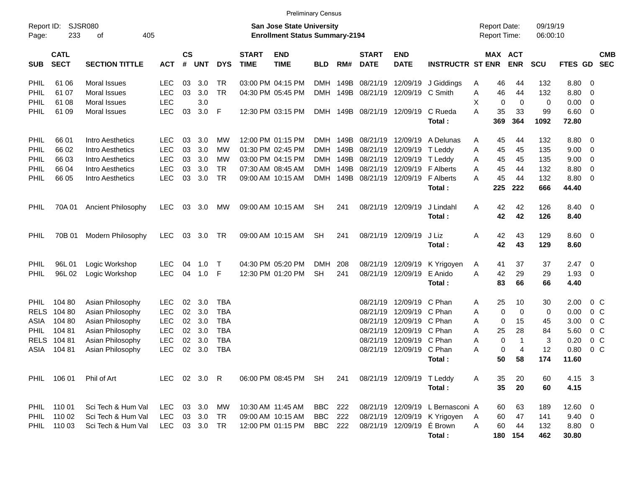|                     |                            |                             |              |                                                                    |            |            |                             | <b>Preliminary Census</b> |            |      |                             |                           |                                  |                                     |             |              |                      |                        |                          |                          |
|---------------------|----------------------------|-----------------------------|--------------|--------------------------------------------------------------------|------------|------------|-----------------------------|---------------------------|------------|------|-----------------------------|---------------------------|----------------------------------|-------------------------------------|-------------|--------------|----------------------|------------------------|--------------------------|--------------------------|
| Report ID:<br>Page: | 233                        | <b>SJSR080</b><br>405<br>οf |              | San Jose State University<br><b>Enrollment Status Summary-2194</b> |            |            |                             |                           |            |      |                             |                           |                                  | <b>Report Date:</b><br>Report Time: |             |              | 09/19/19<br>06:00:10 |                        |                          |                          |
| <b>SUB</b>          | <b>CATL</b><br><b>SECT</b> | <b>SECTION TITTLE</b>       | <b>ACT</b>   | $\mathsf{cs}$<br>#                                                 | <b>UNT</b> | <b>DYS</b> | <b>START</b><br><b>TIME</b> | <b>END</b><br><b>TIME</b> | <b>BLD</b> | RM#  | <b>START</b><br><b>DATE</b> | <b>END</b><br><b>DATE</b> | <b>INSTRUCTR ST ENR</b>          |                                     | MAX ACT     | <b>ENR</b>   | <b>SCU</b>           | <b>FTES GD</b>         |                          | <b>CMB</b><br><b>SEC</b> |
| PHIL                | 61 06                      | Moral Issues                | LEC          | 03                                                                 | 3.0        | TR.        |                             | 03:00 PM 04:15 PM         | DMH        | 149B | 08/21/19                    | 12/09/19                  | J Giddings                       | Α                                   | 46          | 44           | 132                  | 8.80                   | $\overline{\phantom{0}}$ |                          |
| PHIL                | 61 07                      | Moral Issues                | <b>LEC</b>   | 03                                                                 | 3.0        | <b>TR</b>  |                             | 04:30 PM 05:45 PM         | DMH        | 149B | 08/21/19                    | 12/09/19 C Smith          |                                  | Α                                   | 46          | 44           | 132                  | 8.80                   | $\overline{\phantom{0}}$ |                          |
| PHIL                | 61 08                      | Moral Issues                | <b>LEC</b>   |                                                                    | 3.0        |            |                             |                           |            |      |                             |                           |                                  | Х                                   | 0           | $\mathbf 0$  | 0                    | 0.00                   | $\overline{\mathbf{0}}$  |                          |
| PHIL                | 61 09                      | Moral Issues                | <b>LEC</b>   | 03                                                                 | 3.0        | -F         |                             | 12:30 PM 03:15 PM         |            |      | DMH 149B 08/21/19 12/09/19  |                           | C Rueda<br>Total:                | A                                   | 35<br>369   | 33<br>364    | 99<br>1092           | $6.60$ 0<br>72.80      |                          |                          |
| PHIL                | 66 01                      | Intro Aesthetics            | LEC          | 03                                                                 | 3.0        | MW         |                             | 12:00 PM 01:15 PM         | DMH        | 149B | 08/21/19                    | 12/09/19                  | A Delunas                        | Α                                   | 45          | 44           | 132                  | 8.80 0                 |                          |                          |
| PHIL                | 66 02                      | Intro Aesthetics            | <b>LEC</b>   | 03                                                                 | 3.0        | MW         |                             | 01:30 PM 02:45 PM         | <b>DMH</b> | 149B | 08/21/19                    | 12/09/19                  | T Leddy                          | A                                   | 45          | 45           | 135                  | 9.00                   | $\overline{\phantom{0}}$ |                          |
| PHIL                | 66 03                      | Intro Aesthetics            | <b>LEC</b>   | 03                                                                 | 3.0        | MW         |                             | 03:00 PM 04:15 PM         | DMH        | 149B | 08/21/19                    | 12/09/19                  | T Leddy                          | A                                   | 45          | 45           | 135                  | 9.00                   | $\overline{\mathbf{0}}$  |                          |
| <b>PHIL</b>         | 66 04                      | Intro Aesthetics            | <b>LEC</b>   | 03                                                                 | 3.0        | TR.        |                             | 07:30 AM 08:45 AM         | <b>DMH</b> | 149B | 08/21/19                    | 12/09/19                  | <b>F</b> Alberts                 | Α                                   | 45          | 44           | 132                  | 8.80                   | 0                        |                          |
| <b>PHIL</b>         | 66 05                      | Intro Aesthetics            | <b>LEC</b>   | 03                                                                 | 3.0        | <b>TR</b>  |                             | 09:00 AM 10:15 AM         | <b>DMH</b> | 149B | 08/21/19                    | 12/09/19                  | <b>F</b> Alberts                 | А                                   | 45          | 44           | 132                  | 8.80 0                 |                          |                          |
|                     |                            |                             |              |                                                                    |            |            |                             |                           |            |      |                             |                           | Total:                           |                                     | 225         | 222          | 666                  | 44.40                  |                          |                          |
| <b>PHIL</b>         | 70A 01                     | <b>Ancient Philosophy</b>   | <b>LEC</b>   | 03                                                                 | 3.0        | МW         |                             | 09:00 AM 10:15 AM         | <b>SH</b>  | 241  | 08/21/19 12/09/19           |                           | J Lindahl<br>Total:              | A                                   | 42<br>42    | 42<br>42     | 126<br>126           | 8.40 0<br>8.40         |                          |                          |
| <b>PHIL</b>         | 70B 01                     | Modern Philosophy           | <b>LEC</b>   | 03                                                                 | 3.0        | TR         |                             | 09:00 AM 10:15 AM         | <b>SH</b>  | 241  |                             | 08/21/19 12/09/19         | J Liz<br>Total:                  | Α                                   | 42<br>42    | 43<br>43     | 129<br>129           | $8.60 \quad 0$<br>8.60 |                          |                          |
| PHIL                | 96L01                      | Logic Workshop              | <b>LEC</b>   | 04                                                                 | 1.0        | $\top$     |                             | 04:30 PM 05:20 PM         | <b>DMH</b> | 208  | 08/21/19                    | 12/09/19                  | K Yrigoyen                       | A                                   | 41          | 37           | 37                   | $2.47 \quad 0$         |                          |                          |
| <b>PHIL</b>         | 96L 02                     | Logic Workshop              | <b>LEC</b>   | 04                                                                 | 1.0        | - F        |                             | 12:30 PM 01:20 PM         | <b>SH</b>  | 241  |                             | 08/21/19 12/09/19         | E Anido                          | A                                   | 42          | 29           | 29                   | 1.93                   | $\overline{\phantom{0}}$ |                          |
|                     |                            |                             |              |                                                                    |            |            |                             |                           |            |      |                             |                           | Total:                           |                                     | 83          | 66           | 66                   | 4.40                   |                          |                          |
| PHIL.               | 104 80                     | Asian Philosophy            | <b>LEC</b>   | 02                                                                 | 3.0        | TBA        |                             |                           |            |      | 08/21/19                    | 12/09/19                  | C Phan                           | Α                                   | 25          | 10           | 30                   | 2.00                   | $0\,C$                   |                          |
| <b>RELS</b>         | 104 80                     | Asian Philosophy            | <b>LEC</b>   | 02                                                                 | 3.0        | TBA        |                             |                           |            |      | 08/21/19                    | 12/09/19 C Phan           |                                  | Α                                   | 0           | $\mathbf 0$  | 0                    | 0.00                   | 0 <sup>o</sup>           |                          |
| ASIA                | 104 80                     | Asian Philosophy            | <b>LEC</b>   | 02                                                                 | 3.0        | TBA        |                             |                           |            |      | 08/21/19                    | 12/09/19 C Phan           |                                  | A                                   | 0           | 15           | 45                   | 3.00                   | $0\,$ C                  |                          |
| <b>PHIL</b>         | 104 81                     | Asian Philosophy            | <b>LEC</b>   | 02                                                                 | 3.0        | TBA        |                             |                           |            |      | 08/21/19                    | 12/09/19 C Phan           |                                  | A                                   | 25          | 28           | 84                   | 5.60                   | 0 <sup>o</sup>           |                          |
| <b>RELS</b>         | 104 81                     | Asian Philosophy            | <b>LEC</b>   | 02                                                                 | 3.0        | TBA        |                             |                           |            |      | 08/21/19                    | 12/09/19 C Phan           |                                  | Α                                   | $\mathbf 0$ | $\mathbf{1}$ | 3                    | 0.20                   | 0 <sup>o</sup>           |                          |
| ASIA                | 104 81                     | Asian Philosophy            | <b>LEC</b>   | 02                                                                 | 3.0        | TBA        |                             |                           |            |      | 08/21/19                    | 12/09/19 C Phan           |                                  | А                                   | 0           | 4            | 12                   | 0.80                   | 0 <sup>o</sup>           |                          |
|                     |                            |                             |              |                                                                    |            |            |                             |                           |            |      |                             |                           | Total:                           |                                     | 50          | 58           | 174                  | 11.60                  |                          |                          |
|                     | PHIL 106 01                | Phil of Art                 | LEC 02 3.0 R |                                                                    |            |            |                             | 06:00 PM 08:45 PM SH      |            | 241  |                             | 08/21/19 12/09/19 T Leddy |                                  | Α                                   | 35          | 20           | 60                   | 4.15 3                 |                          |                          |
|                     |                            |                             |              |                                                                    |            |            |                             |                           |            |      |                             |                           | Total:                           |                                     | 35          | 20           | 60                   | 4.15                   |                          |                          |
|                     | PHIL 110 01                | Sci Tech & Hum Val          | LEC.         |                                                                    | 03 3.0 MW  |            |                             | 10:30 AM 11:45 AM         | BBC 222    |      |                             |                           | 08/21/19 12/09/19 L Bernasconi A |                                     | 60          | 63           | 189                  | 12.60 0                |                          |                          |
| PHIL                | 110 02                     | Sci Tech & Hum Val          | <b>LEC</b>   |                                                                    | 03 3.0     | TR         |                             | 09:00 AM 10:15 AM         | <b>BBC</b> | 222  |                             |                           | 08/21/19 12/09/19 K Yrigoyen     | A                                   | 60          | 47           | 141                  | $9.40 \quad 0$         |                          |                          |
|                     | PHIL 110 03                | Sci Tech & Hum Val          | <b>LEC</b>   |                                                                    | 03 3.0 TR  |            |                             | 12:00 PM 01:15 PM         | BBC 222    |      |                             | 08/21/19 12/09/19 E Brown |                                  | A                                   | 60          | 44           | 132                  | 8.80 0                 |                          |                          |
|                     |                            |                             |              |                                                                    |            |            |                             |                           |            |      |                             |                           | Total:                           |                                     |             | 180 154      | 462                  | 30.80                  |                          |                          |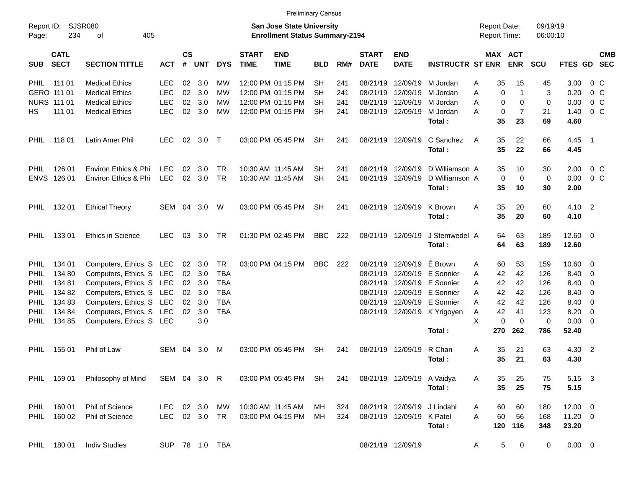| оf                                                                    |                                                                                                                                                                                                                                                                        | <b>San Jose State University</b><br><b>Enrollment Status Summary-2194</b>                                                                                                                                                                                |                                  |                                                                                                                          |                                                                                                                                                                   |                           |                                                                                                                                                                                                                                                                               |                                                                                  |                                                                     |                           |                                                                                                                                                                                                                                                                            |                                                                                                                                                                                                                                                                                          |                                                                                                       |                                                                                                                                                                                                                                                                                                                                             |                                                                               |                                                                                                      |                                                                                                                                                                                                                                                               |
|-----------------------------------------------------------------------|------------------------------------------------------------------------------------------------------------------------------------------------------------------------------------------------------------------------------------------------------------------------|----------------------------------------------------------------------------------------------------------------------------------------------------------------------------------------------------------------------------------------------------------|----------------------------------|--------------------------------------------------------------------------------------------------------------------------|-------------------------------------------------------------------------------------------------------------------------------------------------------------------|---------------------------|-------------------------------------------------------------------------------------------------------------------------------------------------------------------------------------------------------------------------------------------------------------------------------|----------------------------------------------------------------------------------|---------------------------------------------------------------------|---------------------------|----------------------------------------------------------------------------------------------------------------------------------------------------------------------------------------------------------------------------------------------------------------------------|------------------------------------------------------------------------------------------------------------------------------------------------------------------------------------------------------------------------------------------------------------------------------------------|-------------------------------------------------------------------------------------------------------|---------------------------------------------------------------------------------------------------------------------------------------------------------------------------------------------------------------------------------------------------------------------------------------------------------------------------------------------|-------------------------------------------------------------------------------|------------------------------------------------------------------------------------------------------|---------------------------------------------------------------------------------------------------------------------------------------------------------------------------------------------------------------------------------------------------------------|
| <b>SECTION TITTLE</b>                                                 | <b>ACT</b>                                                                                                                                                                                                                                                             | #                                                                                                                                                                                                                                                        |                                  | <b>DYS</b>                                                                                                               | <b>START</b><br><b>TIME</b>                                                                                                                                       | <b>END</b><br><b>TIME</b> | <b>BLD</b>                                                                                                                                                                                                                                                                    | RM#                                                                              | <b>START</b><br><b>DATE</b>                                         | <b>END</b><br><b>DATE</b> |                                                                                                                                                                                                                                                                            |                                                                                                                                                                                                                                                                                          |                                                                                                       | <b>SCU</b>                                                                                                                                                                                                                                                                                                                                  |                                                                               |                                                                                                      | <b>CMB</b>                                                                                                                                                                                                                                                    |
| <b>Medical Ethics</b>                                                 | LEC                                                                                                                                                                                                                                                                    | 02                                                                                                                                                                                                                                                       | 3.0                              | МW                                                                                                                       |                                                                                                                                                                   |                           | <b>SH</b>                                                                                                                                                                                                                                                                     | 241                                                                              |                                                                     |                           | M Jordan                                                                                                                                                                                                                                                                   | Α                                                                                                                                                                                                                                                                                        | 15                                                                                                    | 45                                                                                                                                                                                                                                                                                                                                          | 3.00                                                                          | 0 C                                                                                                  |                                                                                                                                                                                                                                                               |
| <b>Medical Ethics</b>                                                 | <b>LEC</b>                                                                                                                                                                                                                                                             | 02                                                                                                                                                                                                                                                       | 3.0                              | МW                                                                                                                       |                                                                                                                                                                   |                           | SН                                                                                                                                                                                                                                                                            | 241                                                                              |                                                                     |                           | M Jordan                                                                                                                                                                                                                                                                   | A                                                                                                                                                                                                                                                                                        | 1                                                                                                     | 3                                                                                                                                                                                                                                                                                                                                           | 0.20                                                                          | $0\,$ C                                                                                              |                                                                                                                                                                                                                                                               |
| <b>Medical Ethics</b>                                                 | <b>LEC</b>                                                                                                                                                                                                                                                             | 02                                                                                                                                                                                                                                                       | 3.0                              | МW                                                                                                                       |                                                                                                                                                                   |                           | SН                                                                                                                                                                                                                                                                            | 241                                                                              |                                                                     |                           | M Jordan                                                                                                                                                                                                                                                                   | A                                                                                                                                                                                                                                                                                        | 0                                                                                                     | $\mathbf 0$                                                                                                                                                                                                                                                                                                                                 | 0.00                                                                          | $0\,$ C                                                                                              |                                                                                                                                                                                                                                                               |
| <b>Medical Ethics</b>                                                 | <b>LEC</b>                                                                                                                                                                                                                                                             |                                                                                                                                                                                                                                                          | 3.0                              | МW                                                                                                                       |                                                                                                                                                                   |                           | <b>SH</b>                                                                                                                                                                                                                                                                     | 241                                                                              |                                                                     |                           | M Jordan                                                                                                                                                                                                                                                                   | A                                                                                                                                                                                                                                                                                        | $\overline{7}$                                                                                        | 21                                                                                                                                                                                                                                                                                                                                          | 1.40                                                                          | $0\,$ C                                                                                              |                                                                                                                                                                                                                                                               |
|                                                                       |                                                                                                                                                                                                                                                                        |                                                                                                                                                                                                                                                          |                                  |                                                                                                                          |                                                                                                                                                                   |                           |                                                                                                                                                                                                                                                                               |                                                                                  |                                                                     |                           | Total:                                                                                                                                                                                                                                                                     |                                                                                                                                                                                                                                                                                          | 23                                                                                                    | 69                                                                                                                                                                                                                                                                                                                                          | 4.60                                                                          |                                                                                                      |                                                                                                                                                                                                                                                               |
|                                                                       |                                                                                                                                                                                                                                                                        |                                                                                                                                                                                                                                                          |                                  | $\top$                                                                                                                   |                                                                                                                                                                   |                           | <b>SH</b>                                                                                                                                                                                                                                                                     |                                                                                  |                                                                     |                           | C Sanchez                                                                                                                                                                                                                                                                  | A                                                                                                                                                                                                                                                                                        |                                                                                                       | 66                                                                                                                                                                                                                                                                                                                                          |                                                                               |                                                                                                      |                                                                                                                                                                                                                                                               |
|                                                                       |                                                                                                                                                                                                                                                                        |                                                                                                                                                                                                                                                          |                                  |                                                                                                                          |                                                                                                                                                                   |                           |                                                                                                                                                                                                                                                                               |                                                                                  |                                                                     |                           | Total:                                                                                                                                                                                                                                                                     |                                                                                                                                                                                                                                                                                          | 22                                                                                                    | 66                                                                                                                                                                                                                                                                                                                                          | 4.45                                                                          |                                                                                                      |                                                                                                                                                                                                                                                               |
|                                                                       |                                                                                                                                                                                                                                                                        |                                                                                                                                                                                                                                                          |                                  |                                                                                                                          |                                                                                                                                                                   |                           |                                                                                                                                                                                                                                                                               |                                                                                  |                                                                     |                           |                                                                                                                                                                                                                                                                            |                                                                                                                                                                                                                                                                                          |                                                                                                       |                                                                                                                                                                                                                                                                                                                                             |                                                                               |                                                                                                      |                                                                                                                                                                                                                                                               |
|                                                                       |                                                                                                                                                                                                                                                                        |                                                                                                                                                                                                                                                          |                                  |                                                                                                                          |                                                                                                                                                                   |                           |                                                                                                                                                                                                                                                                               |                                                                                  |                                                                     |                           |                                                                                                                                                                                                                                                                            |                                                                                                                                                                                                                                                                                          |                                                                                                       |                                                                                                                                                                                                                                                                                                                                             |                                                                               |                                                                                                      |                                                                                                                                                                                                                                                               |
|                                                                       |                                                                                                                                                                                                                                                                        |                                                                                                                                                                                                                                                          |                                  |                                                                                                                          |                                                                                                                                                                   |                           |                                                                                                                                                                                                                                                                               |                                                                                  |                                                                     |                           |                                                                                                                                                                                                                                                                            |                                                                                                                                                                                                                                                                                          | 10                                                                                                    |                                                                                                                                                                                                                                                                                                                                             |                                                                               |                                                                                                      |                                                                                                                                                                                                                                                               |
|                                                                       |                                                                                                                                                                                                                                                                        |                                                                                                                                                                                                                                                          |                                  |                                                                                                                          |                                                                                                                                                                   |                           |                                                                                                                                                                                                                                                                               |                                                                                  |                                                                     |                           |                                                                                                                                                                                                                                                                            |                                                                                                                                                                                                                                                                                          |                                                                                                       |                                                                                                                                                                                                                                                                                                                                             |                                                                               |                                                                                                      |                                                                                                                                                                                                                                                               |
|                                                                       | SEM                                                                                                                                                                                                                                                                    |                                                                                                                                                                                                                                                          | 3.0                              | W                                                                                                                        |                                                                                                                                                                   |                           | <b>SH</b>                                                                                                                                                                                                                                                                     | 241                                                                              |                                                                     |                           | K Brown                                                                                                                                                                                                                                                                    | Α                                                                                                                                                                                                                                                                                        | 20                                                                                                    | 60                                                                                                                                                                                                                                                                                                                                          |                                                                               |                                                                                                      |                                                                                                                                                                                                                                                               |
|                                                                       |                                                                                                                                                                                                                                                                        |                                                                                                                                                                                                                                                          |                                  |                                                                                                                          |                                                                                                                                                                   |                           |                                                                                                                                                                                                                                                                               |                                                                                  |                                                                     |                           |                                                                                                                                                                                                                                                                            |                                                                                                                                                                                                                                                                                          |                                                                                                       |                                                                                                                                                                                                                                                                                                                                             |                                                                               |                                                                                                      |                                                                                                                                                                                                                                                               |
| <b>Ethics in Science</b>                                              |                                                                                                                                                                                                                                                                        | 03                                                                                                                                                                                                                                                       | 3.0                              | TR                                                                                                                       |                                                                                                                                                                   |                           |                                                                                                                                                                                                                                                                               | 222                                                                              |                                                                     |                           |                                                                                                                                                                                                                                                                            |                                                                                                                                                                                                                                                                                          |                                                                                                       | 189                                                                                                                                                                                                                                                                                                                                         |                                                                               |                                                                                                      |                                                                                                                                                                                                                                                               |
|                                                                       |                                                                                                                                                                                                                                                                        |                                                                                                                                                                                                                                                          |                                  |                                                                                                                          |                                                                                                                                                                   |                           |                                                                                                                                                                                                                                                                               |                                                                                  |                                                                     |                           | Total:                                                                                                                                                                                                                                                                     |                                                                                                                                                                                                                                                                                          | 63                                                                                                    | 189                                                                                                                                                                                                                                                                                                                                         | 12.60                                                                         |                                                                                                      |                                                                                                                                                                                                                                                               |
|                                                                       |                                                                                                                                                                                                                                                                        |                                                                                                                                                                                                                                                          |                                  |                                                                                                                          |                                                                                                                                                                   |                           |                                                                                                                                                                                                                                                                               |                                                                                  |                                                                     |                           |                                                                                                                                                                                                                                                                            |                                                                                                                                                                                                                                                                                          |                                                                                                       |                                                                                                                                                                                                                                                                                                                                             |                                                                               |                                                                                                      |                                                                                                                                                                                                                                                               |
|                                                                       |                                                                                                                                                                                                                                                                        |                                                                                                                                                                                                                                                          |                                  |                                                                                                                          |                                                                                                                                                                   |                           |                                                                                                                                                                                                                                                                               |                                                                                  |                                                                     |                           |                                                                                                                                                                                                                                                                            |                                                                                                                                                                                                                                                                                          |                                                                                                       |                                                                                                                                                                                                                                                                                                                                             |                                                                               |                                                                                                      |                                                                                                                                                                                                                                                               |
|                                                                       |                                                                                                                                                                                                                                                                        |                                                                                                                                                                                                                                                          |                                  |                                                                                                                          |                                                                                                                                                                   |                           |                                                                                                                                                                                                                                                                               |                                                                                  |                                                                     |                           |                                                                                                                                                                                                                                                                            |                                                                                                                                                                                                                                                                                          |                                                                                                       |                                                                                                                                                                                                                                                                                                                                             |                                                                               |                                                                                                      |                                                                                                                                                                                                                                                               |
|                                                                       |                                                                                                                                                                                                                                                                        |                                                                                                                                                                                                                                                          |                                  |                                                                                                                          |                                                                                                                                                                   |                           |                                                                                                                                                                                                                                                                               |                                                                                  |                                                                     |                           |                                                                                                                                                                                                                                                                            |                                                                                                                                                                                                                                                                                          |                                                                                                       |                                                                                                                                                                                                                                                                                                                                             |                                                                               |                                                                                                      |                                                                                                                                                                                                                                                               |
|                                                                       |                                                                                                                                                                                                                                                                        |                                                                                                                                                                                                                                                          |                                  |                                                                                                                          |                                                                                                                                                                   |                           |                                                                                                                                                                                                                                                                               |                                                                                  |                                                                     |                           |                                                                                                                                                                                                                                                                            | A                                                                                                                                                                                                                                                                                        |                                                                                                       |                                                                                                                                                                                                                                                                                                                                             |                                                                               |                                                                                                      |                                                                                                                                                                                                                                                               |
|                                                                       |                                                                                                                                                                                                                                                                        | 02                                                                                                                                                                                                                                                       |                                  |                                                                                                                          |                                                                                                                                                                   |                           |                                                                                                                                                                                                                                                                               |                                                                                  |                                                                     |                           |                                                                                                                                                                                                                                                                            | Α                                                                                                                                                                                                                                                                                        | 41                                                                                                    | 123                                                                                                                                                                                                                                                                                                                                         |                                                                               | - 0                                                                                                  |                                                                                                                                                                                                                                                               |
|                                                                       |                                                                                                                                                                                                                                                                        |                                                                                                                                                                                                                                                          | 3.0                              |                                                                                                                          |                                                                                                                                                                   |                           |                                                                                                                                                                                                                                                                               |                                                                                  |                                                                     |                           |                                                                                                                                                                                                                                                                            | X                                                                                                                                                                                                                                                                                        | $\Omega$                                                                                              | 0                                                                                                                                                                                                                                                                                                                                           |                                                                               |                                                                                                      |                                                                                                                                                                                                                                                               |
|                                                                       |                                                                                                                                                                                                                                                                        |                                                                                                                                                                                                                                                          |                                  |                                                                                                                          |                                                                                                                                                                   |                           |                                                                                                                                                                                                                                                                               |                                                                                  |                                                                     |                           | Total:                                                                                                                                                                                                                                                                     |                                                                                                                                                                                                                                                                                          | 262                                                                                                   | 786                                                                                                                                                                                                                                                                                                                                         | 52.40                                                                         |                                                                                                      |                                                                                                                                                                                                                                                               |
|                                                                       |                                                                                                                                                                                                                                                                        |                                                                                                                                                                                                                                                          |                                  |                                                                                                                          |                                                                                                                                                                   |                           |                                                                                                                                                                                                                                                                               |                                                                                  |                                                                     |                           |                                                                                                                                                                                                                                                                            |                                                                                                                                                                                                                                                                                          |                                                                                                       |                                                                                                                                                                                                                                                                                                                                             |                                                                               |                                                                                                      |                                                                                                                                                                                                                                                               |
|                                                                       |                                                                                                                                                                                                                                                                        |                                                                                                                                                                                                                                                          |                                  |                                                                                                                          |                                                                                                                                                                   |                           |                                                                                                                                                                                                                                                                               |                                                                                  |                                                                     |                           | Total:                                                                                                                                                                                                                                                                     |                                                                                                                                                                                                                                                                                          |                                                                                                       | 63                                                                                                                                                                                                                                                                                                                                          |                                                                               |                                                                                                      |                                                                                                                                                                                                                                                               |
|                                                                       |                                                                                                                                                                                                                                                                        |                                                                                                                                                                                                                                                          |                                  |                                                                                                                          |                                                                                                                                                                   |                           |                                                                                                                                                                                                                                                                               |                                                                                  |                                                                     |                           |                                                                                                                                                                                                                                                                            |                                                                                                                                                                                                                                                                                          |                                                                                                       |                                                                                                                                                                                                                                                                                                                                             |                                                                               |                                                                                                      |                                                                                                                                                                                                                                                               |
| Philosophy of Mind                                                    |                                                                                                                                                                                                                                                                        |                                                                                                                                                                                                                                                          |                                  |                                                                                                                          |                                                                                                                                                                   |                           |                                                                                                                                                                                                                                                                               | 241                                                                              |                                                                     |                           |                                                                                                                                                                                                                                                                            | A                                                                                                                                                                                                                                                                                        | 25                                                                                                    | 75                                                                                                                                                                                                                                                                                                                                          |                                                                               |                                                                                                      |                                                                                                                                                                                                                                                               |
|                                                                       |                                                                                                                                                                                                                                                                        |                                                                                                                                                                                                                                                          |                                  |                                                                                                                          |                                                                                                                                                                   |                           |                                                                                                                                                                                                                                                                               |                                                                                  |                                                                     |                           | Total:                                                                                                                                                                                                                                                                     |                                                                                                                                                                                                                                                                                          | 25                                                                                                    | 75                                                                                                                                                                                                                                                                                                                                          | 5.15                                                                          |                                                                                                      |                                                                                                                                                                                                                                                               |
|                                                                       | LEC.                                                                                                                                                                                                                                                                   |                                                                                                                                                                                                                                                          |                                  |                                                                                                                          |                                                                                                                                                                   |                           | МH                                                                                                                                                                                                                                                                            |                                                                                  |                                                                     |                           |                                                                                                                                                                                                                                                                            | A                                                                                                                                                                                                                                                                                        |                                                                                                       |                                                                                                                                                                                                                                                                                                                                             |                                                                               |                                                                                                      |                                                                                                                                                                                                                                                               |
| Phil of Science                                                       |                                                                                                                                                                                                                                                                        |                                                                                                                                                                                                                                                          |                                  |                                                                                                                          |                                                                                                                                                                   |                           | MH                                                                                                                                                                                                                                                                            | 324                                                                              |                                                                     |                           |                                                                                                                                                                                                                                                                            | A                                                                                                                                                                                                                                                                                        | 56                                                                                                    | 168                                                                                                                                                                                                                                                                                                                                         |                                                                               |                                                                                                      |                                                                                                                                                                                                                                                               |
|                                                                       |                                                                                                                                                                                                                                                                        |                                                                                                                                                                                                                                                          |                                  |                                                                                                                          |                                                                                                                                                                   |                           |                                                                                                                                                                                                                                                                               |                                                                                  |                                                                     |                           | Total:                                                                                                                                                                                                                                                                     |                                                                                                                                                                                                                                                                                          |                                                                                                       | 348                                                                                                                                                                                                                                                                                                                                         | 23.20                                                                         |                                                                                                      |                                                                                                                                                                                                                                                               |
| <b>Indiv Studies</b>                                                  |                                                                                                                                                                                                                                                                        |                                                                                                                                                                                                                                                          |                                  |                                                                                                                          |                                                                                                                                                                   |                           |                                                                                                                                                                                                                                                                               |                                                                                  |                                                                     |                           |                                                                                                                                                                                                                                                                            | A                                                                                                                                                                                                                                                                                        | 0                                                                                                     | 0                                                                                                                                                                                                                                                                                                                                           |                                                                               |                                                                                                      |                                                                                                                                                                                                                                                               |
| 11801<br>126 01<br>ENVS 126 01<br>132 01<br>13301<br>134 01<br>155 01 | <b>SJSR080</b><br>234<br>Latin Amer Phil<br>Environ Ethics & Phi<br>Environ Ethics & Phi<br><b>Ethical Theory</b><br>134 80<br>134 81<br>134 82<br>134 83<br>134 84<br>134 85<br>Phil of Law<br>PHIL 159 01<br>PHIL 160 01<br>Phil of Science<br>160 02<br>PHIL 180 01 | 405<br><b>LEC</b><br>LEC<br>LEC<br><b>LEC</b><br>Computers, Ethics, S LEC<br>Computers, Ethics, S LEC<br>Computers, Ethics, S LEC<br>Computers, Ethics, S LEC<br>Computers, Ethics, S LEC<br>Computers, Ethics, S LEC<br>Computers, Ethics, S LEC<br>SEM | 02<br>02<br>02<br>02<br>02<br>04 | <b>CS</b><br>UNT<br>02<br>02<br>3.0<br>3.0<br>02 3.0<br>04<br>02 3.0<br>3.0<br>3.0<br>3.0<br>3.0<br>3.0<br>3.0<br>02 3.0 | TR.<br><b>TR</b><br><b>TR</b><br><b>TBA</b><br><b>TBA</b><br><b>TBA</b><br><b>TBA</b><br><b>TBA</b><br>M<br>SEM 04 3.0 R<br>МW<br>LEC 02 3.0 TR<br>SUP 78 1.0 TBA |                           | 12:00 PM 01:15 PM<br>12:00 PM 01:15 PM<br>12:00 PM 01:15 PM<br>12:00 PM 01:15 PM<br>03:00 PM 05:45 PM<br>10:30 AM 11:45 AM<br>10:30 AM 11:45 AM<br>03:00 PM 05:45 PM<br>01:30 PM 02:45 PM<br>03:00 PM 04:15 PM<br>03:00 PM 05:45 PM<br>10:30 AM 11:45 AM<br>03:00 PM 04:15 PM | SН<br><b>SH</b><br><b>BBC</b><br><b>BBC</b><br><b>SH</b><br>03:00 PM 05:45 PM SH | <b>Preliminary Census</b><br>241<br>241<br>241<br>222<br>241<br>324 |                           | 08/21/19<br>08/21/19<br>08/21/19 12/09/19<br>08/21/19 12/09/19<br>08/21/19 12/09/19<br>08/21/19 12/09/19<br>08/21/19 12/09/19<br>08/21/19 12/09/19<br>08/21/19 12/09/19<br>08/21/19 12/09/19<br>08/21/19<br>08/21/19<br>08/21/19<br>08/21/19 12/09/19<br>08/21/19 12/09/19 | 12/09/19<br>12/09/19<br>Total:<br>Total:<br>É Brown<br>12/09/19 E Sonnier<br>12/09/19 E Sonnier<br>12/09/19 E Sonnier<br>08/21/19 12/09/19 E Sonnier<br>08/21/19 12/09/19 K Yrigoyen<br>R Chan<br>08/21/19 12/09/19 A Vaidya<br>08/21/19 12/09/19 J Lindahl<br>08/21/19 12/09/19 K Patel | <b>INSTRUCTR ST ENR</b><br>D Williamson A<br>D Williamson A<br>J Stemwedel A<br>A<br>A<br>A<br>A<br>A | <b>Report Date:</b><br><b>Report Time:</b><br>MAX ACT<br><b>ENR</b><br>35<br>0<br>$\Omega$<br>0<br>35<br>35<br>22<br>35<br>10<br>35<br>0<br>0<br>35<br>35<br>35<br>20<br>63<br>64<br>64<br>53<br>60<br>42<br>42<br>42<br>42<br>42<br>42<br>42<br>42<br>42<br>0<br>270<br>35<br>21<br>35<br>21<br>35<br>35<br>60<br>60<br>60<br>120 116<br>5 | 30<br>$\mathbf 0$<br>30<br>60<br>159<br>126<br>126<br>126<br>126<br>63<br>180 | 09/19/19<br>06:00:10<br>2.00<br>0.00<br>2.00<br>4.10<br>8.40<br>8.40<br>8.40<br>8.40<br>8.20<br>4.30 | FTES GD SEC<br>4.45 1<br>$0\,$ C<br>$0\,$ C<br>4.10 2<br>$12.60 \t 0$<br>$10.60 \t 0$<br>$\overline{\mathbf{0}}$<br>$\overline{\mathbf{0}}$<br>0<br>$\overline{\mathbf{0}}$<br>$0.00 \t 0$<br>4.30 2<br>5.15 3<br>$12.00 \t 0$<br>$11.20 \t 0$<br>$0.00 \t 0$ |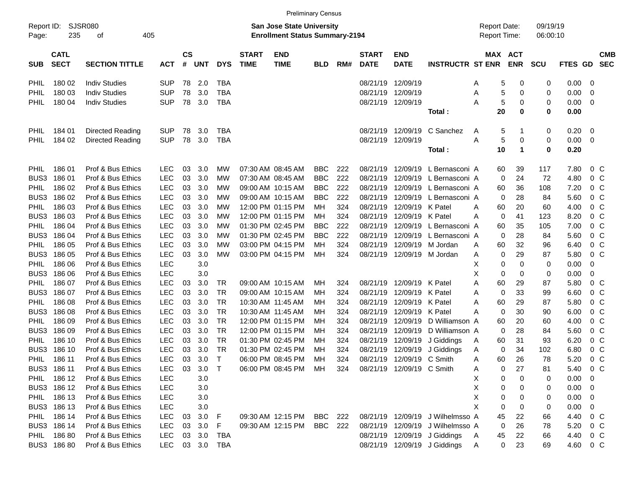|                     |                            |                       |                                                                           |                    |            |            |                             |                           | <b>Preliminary Census</b> |     |                             |                                            |                                  |                      |            |            |             |                          |                          |
|---------------------|----------------------------|-----------------------|---------------------------------------------------------------------------|--------------------|------------|------------|-----------------------------|---------------------------|---------------------------|-----|-----------------------------|--------------------------------------------|----------------------------------|----------------------|------------|------------|-------------|--------------------------|--------------------------|
| Report ID:<br>Page: | SJSR080<br>235             | 405                   | <b>San Jose State University</b><br><b>Enrollment Status Summary-2194</b> |                    |            |            |                             |                           |                           |     |                             | <b>Report Date:</b><br><b>Report Time:</b> |                                  | 09/19/19<br>06:00:10 |            |            |             |                          |                          |
| <b>SUB</b>          | <b>CATL</b><br><b>SECT</b> | <b>SECTION TITTLE</b> | <b>ACT</b>                                                                | $\mathsf{cs}$<br># | <b>UNT</b> | <b>DYS</b> | <b>START</b><br><b>TIME</b> | <b>END</b><br><b>TIME</b> | <b>BLD</b>                | RM# | <b>START</b><br><b>DATE</b> | <b>END</b><br><b>DATE</b>                  | <b>INSTRUCTR ST ENR</b>          | MAX ACT              | <b>ENR</b> | <b>SCU</b> | FTES GD     |                          | <b>CMB</b><br><b>SEC</b> |
| <b>PHIL</b>         | 180 02                     | <b>Indiv Studies</b>  | <b>SUP</b>                                                                | 78                 | 2.0        | <b>TBA</b> |                             |                           |                           |     | 08/21/19 12/09/19           |                                            |                                  | 5<br>Α               | 0          | 0          | 0.00        | - 0                      |                          |
| <b>PHIL</b>         | 180 03                     | <b>Indiv Studies</b>  | <b>SUP</b>                                                                | 78                 | 3.0        | <b>TBA</b> |                             |                           |                           |     | 08/21/19 12/09/19           |                                            |                                  | 5<br>Α               | 0          | 0          | 0.00        | - 0                      |                          |
| PHIL                | 180 04                     | <b>Indiv Studies</b>  | <b>SUP</b>                                                                | 78                 | 3.0        | <b>TBA</b> |                             |                           |                           |     | 08/21/19 12/09/19           |                                            |                                  | 5<br>Α               | 0          | 0          | 0.00        | $\overline{\phantom{0}}$ |                          |
|                     |                            |                       |                                                                           |                    |            |            |                             |                           |                           |     |                             |                                            | Total :                          | 20                   | 0          | 0          | 0.00        |                          |                          |
| <b>PHIL</b>         | 184 01                     | Directed Reading      | <b>SUP</b>                                                                | 78                 | 3.0        | <b>TBA</b> |                             |                           |                           |     |                             | 08/21/19 12/09/19                          | C Sanchez                        | 5<br>A               |            | 0          | 0.20        | $\overline{\phantom{0}}$ |                          |
| <b>PHIL</b>         | 184 02                     | Directed Reading      | <b>SUP</b>                                                                | 78                 | 3.0        | <b>TBA</b> |                             |                           |                           |     | 08/21/19 12/09/19           |                                            |                                  | 5<br>Α               | 0          | 0          | $0.00 \t 0$ |                          |                          |
|                     |                            |                       |                                                                           |                    |            |            |                             |                           |                           |     |                             |                                            | Total:                           | 10                   | 1          | 0          | 0.20        |                          |                          |
| <b>PHIL</b>         | 186 01                     | Prof & Bus Ethics     | <b>LEC</b>                                                                | 03                 | 3.0        | МW         |                             | 07:30 AM 08:45 AM         | <b>BBC</b>                | 222 | 08/21/19                    | 12/09/19                                   | L Bernasconi A                   | 60                   | 39         | 117        | 7.80        | $0\,$ C                  |                          |
| BUS3                | 18601                      | Prof & Bus Ethics     | <b>LEC</b>                                                                | 03                 | 3.0        | МW         |                             | 07:30 AM 08:45 AM         | <b>BBC</b>                | 222 | 08/21/19                    | 12/09/19                                   | L Bernasconi A                   | $\mathbf 0$          | 24         | 72         | 4.80        | 0 <sup>o</sup>           |                          |
| <b>PHIL</b>         | 186 02                     | Prof & Bus Ethics     | LEC                                                                       | 03                 | 3.0        | МW         |                             | 09:00 AM 10:15 AM         | <b>BBC</b>                | 222 | 08/21/19                    | 12/09/19                                   | L Bernasconi A                   | 60                   | 36         | 108        | 7.20        | 0 <sup>o</sup>           |                          |
| BUS3                | 186 02                     | Prof & Bus Ethics     | LEC                                                                       | 03                 | 3.0        | МW         |                             | 09:00 AM 10:15 AM         | <b>BBC</b>                | 222 | 08/21/19                    | 12/09/19                                   | L Bernasconi A                   | $\mathbf 0$          | 28         | 84         | 5.60        | 0 <sup>o</sup>           |                          |
| PHIL                | 186 03                     | Prof & Bus Ethics     | LEC                                                                       | 03                 | 3.0        | МW         |                             | 12:00 PM 01:15 PM         | MН                        | 324 | 08/21/19                    | 12/09/19 K Patel                           |                                  | 60<br>A              | 20         | 60         | 4.00        | $0\,$ C                  |                          |
| BUS3                | 186 03                     | Prof & Bus Ethics     | LEC                                                                       | 03                 | 3.0        | МW         |                             | 12:00 PM 01:15 PM         | MН                        | 324 | 08/21/19                    | 12/09/19 K Patel                           |                                  | $\mathbf 0$<br>A     | 41         | 123        | 8.20        | 0 <sup>o</sup>           |                          |
| <b>PHIL</b>         | 186 04                     | Prof & Bus Ethics     | LEC                                                                       | 03                 | 3.0        | МW         |                             | 01:30 PM 02:45 PM         | <b>BBC</b>                | 222 | 08/21/19                    | 12/09/19                                   | L Bernasconi A                   | 60                   | 35         | 105        | 7.00        | 0 <sup>o</sup>           |                          |
| BUS3                | 186 04                     | Prof & Bus Ethics     | <b>LEC</b>                                                                | 03                 | 3.0        | МW         |                             | 01:30 PM 02:45 PM         | <b>BBC</b>                | 222 | 08/21/19                    | 12/09/19                                   | L Bernasconi A                   | $\mathbf 0$          | 28         | 84         | 5.60        | $0\,$ C                  |                          |
| PHIL                | 186 05                     | Prof & Bus Ethics     | <b>LEC</b>                                                                | 03                 | 3.0        | МW         |                             | 03:00 PM 04:15 PM         | MН                        | 324 |                             |                                            | 08/21/19 12/09/19 M Jordan       | 60<br>Α              | 32         | 96         | 6.40        | 0 <sup>o</sup>           |                          |
| BUS3                | 186 05                     | Prof & Bus Ethics     | LEC                                                                       | 03                 | 3.0        | МW         |                             | 03:00 PM 04:15 PM         | МH                        | 324 |                             |                                            | 08/21/19 12/09/19 M Jordan       | 0<br>Α               | 29         | 87         | 5.80        | $0\,C$                   |                          |
| PHIL                | 186 06                     | Prof & Bus Ethics     | <b>LEC</b>                                                                |                    | 3.0        |            |                             |                           |                           |     |                             |                                            |                                  | х<br>0               | 0          | 0          | 0.00        | 0                        |                          |
| BUS3                | 186 06                     | Prof & Bus Ethics     | LEC                                                                       |                    | 3.0        |            |                             |                           |                           |     |                             |                                            |                                  | X<br>0               | 0          | 0          | 0.00        | 0                        |                          |
| <b>PHIL</b>         | 186 07                     | Prof & Bus Ethics     | LEC                                                                       | 03                 | 3.0        | TR         |                             | 09:00 AM 10:15 AM         | MН                        | 324 |                             | 08/21/19 12/09/19 K Patel                  |                                  | Α<br>60              | 29         | 87         | 5.80        | 0 <sup>o</sup>           |                          |
| BUS3                | 186 07                     | Prof & Bus Ethics     | LEC                                                                       | 03                 | 3.0        | <b>TR</b>  |                             | 09:00 AM 10:15 AM         | MН                        | 324 | 08/21/19                    | 12/09/19                                   | K Patel                          | $\mathbf 0$<br>Α     | 33         | 99         | 6.60        | 0 <sup>o</sup>           |                          |
| PHIL                | 186 08                     | Prof & Bus Ethics     | <b>LEC</b>                                                                | 03                 | 3.0        | <b>TR</b>  |                             | 10:30 AM 11:45 AM         | MН                        | 324 | 08/21/19                    | 12/09/19 K Patel                           |                                  | Α<br>60              | 29         | 87         | 5.80        | 0 <sup>o</sup>           |                          |
| BUS3                | 186 08                     | Prof & Bus Ethics     | <b>LEC</b>                                                                | 03                 | 3.0        | <b>TR</b>  |                             | 10:30 AM 11:45 AM         | MН                        | 324 | 08/21/19                    | 12/09/19 K Patel                           |                                  | $\mathbf 0$<br>A     | 30         | 90         | 6.00        | $0\,$ C                  |                          |
| <b>PHIL</b>         | 186 09                     | Prof & Bus Ethics     | LEC                                                                       | 03                 | 3.0        | <b>TR</b>  |                             | 12:00 PM 01:15 PM         | MН                        | 324 | 08/21/19                    | 12/09/19                                   | D Williamson A                   | 60                   | 20         | 60         | 4.00        | 0 <sup>o</sup>           |                          |
| BUS3                | 186 09                     | Prof & Bus Ethics     | LEC                                                                       | 03                 | 3.0        | <b>TR</b>  |                             | 12:00 PM 01:15 PM         | MН                        | 324 | 08/21/19                    | 12/09/19                                   | D Williamson A                   | $\mathbf 0$          | 28         | 84         | 5.60        | 0 <sup>o</sup>           |                          |
| PHIL                | 186 10                     | Prof & Bus Ethics     | LEC                                                                       | 03                 | 3.0        | <b>TR</b>  |                             | 01:30 PM 02:45 PM         | MН                        | 324 | 08/21/19                    | 12/09/19                                   | J Giddings                       | 60<br>A              | 31         | 93         | 6.20        | 0 <sup>o</sup>           |                          |
| BUS3                | 186 10                     | Prof & Bus Ethics     | LEC                                                                       | 03                 | 3.0        | <b>TR</b>  |                             | 01:30 PM 02:45 PM         | MН                        | 324 | 08/21/19                    | 12/09/19                                   | J Giddings                       | $\mathbf 0$<br>Α     | 34         | 102        | 6.80        | 0 <sup>o</sup>           |                          |
| PHIL                | 186 11                     | Prof & Bus Ethics     | <b>LEC</b>                                                                | 03                 | 3.0        | $\top$     |                             | 06:00 PM 08:45 PM         | МH                        | 324 |                             | 08/21/19 12/09/19 C Smith                  |                                  | 60<br>Α              | 26         | 78         | 5.20        | 0 <sup>o</sup>           |                          |
|                     | BUS3 186 11                | Prof & Bus Ethics     | LEC                                                                       | 03                 | 3.0        | $\top$     |                             | 06:00 PM 08:45 PM MH      |                           | 324 |                             | 08/21/19 12/09/19 C Smith                  |                                  | 0<br>Α               | 27         | 81         | 5.40 0 C    |                          |                          |
|                     | PHIL 186 12                | Prof & Bus Ethics     | LEC                                                                       |                    | 3.0        |            |                             |                           |                           |     |                             |                                            |                                  | х<br>0               | 0          | 0          | $0.00 \t 0$ |                          |                          |
|                     | BUS3 186 12                | Prof & Bus Ethics     | LEC                                                                       |                    | 3.0        |            |                             |                           |                           |     |                             |                                            |                                  | х<br>0               | 0          | 0          | $0.00 \t 0$ |                          |                          |
|                     | PHIL 186 13                | Prof & Bus Ethics     | LEC                                                                       |                    | 3.0        |            |                             |                           |                           |     |                             |                                            |                                  | Χ<br>0               | 0          | 0          | $0.00 \t 0$ |                          |                          |
|                     | BUS3 186 13                | Prof & Bus Ethics     | LEC                                                                       |                    | 3.0        |            |                             |                           |                           |     |                             |                                            |                                  | X<br>0               | 0          | 0          | 0.00        | $\overline{\phantom{0}}$ |                          |
|                     | PHIL 186 14                | Prof & Bus Ethics     | <b>LEC</b>                                                                | 03                 | 3.0        | - F        |                             | 09:30 AM 12:15 PM         | BBC 222                   |     |                             |                                            | 08/21/19 12/09/19 J Wilhelmsso A | 45                   | 22         | 66         | 4.40        | $0\,$ C                  |                          |
|                     | BUS3 186 14                | Prof & Bus Ethics     | <b>LEC</b>                                                                | 03                 | 3.0        | F          |                             | 09:30 AM 12:15 PM         | BBC 222                   |     |                             |                                            | 08/21/19 12/09/19 J Wilhelmsso A | 0                    | 26         | 78         | 5.20 0 C    |                          |                          |
|                     | PHIL 186 80                | Prof & Bus Ethics     | <b>LEC</b>                                                                | 03                 |            | 3.0 TBA    |                             |                           |                           |     |                             |                                            | 08/21/19 12/09/19 J Giddings     | 45<br>A              | 22         | 66         | 4.40 0 C    |                          |                          |
|                     | BUS3 186 80                | Prof & Bus Ethics     | <b>LEC</b>                                                                |                    |            | 03 3.0 TBA |                             |                           |                           |     |                             |                                            | 08/21/19 12/09/19 J Giddings     | 0<br>A               | 23         | 69         | 4.60 0 C    |                          |                          |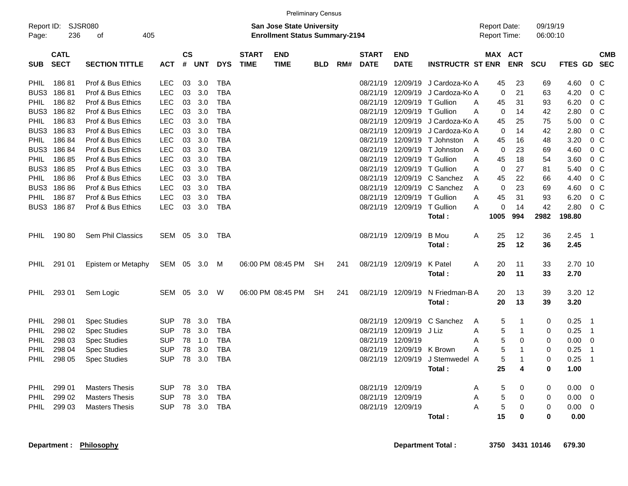|                     |                            |                       |            |                                                                           |            |            |                             |                           | <b>Preliminary Census</b> |     |                             |                             |                                     |               |                       |             |             |                |            |
|---------------------|----------------------------|-----------------------|------------|---------------------------------------------------------------------------|------------|------------|-----------------------------|---------------------------|---------------------------|-----|-----------------------------|-----------------------------|-------------------------------------|---------------|-----------------------|-------------|-------------|----------------|------------|
| Report ID:<br>Page: | 236                        | SJSR080<br>405<br>оf  |            | <b>San Jose State University</b><br><b>Enrollment Status Summary-2194</b> |            |            |                             |                           |                           |     |                             |                             | <b>Report Date:</b><br>Report Time: |               | 09/19/19<br>06:00:10  |             |             |                |            |
| <b>SUB</b>          | <b>CATL</b><br><b>SECT</b> | <b>SECTION TITTLE</b> | <b>ACT</b> | <b>CS</b><br>$\pmb{\#}$                                                   | <b>UNT</b> | <b>DYS</b> | <b>START</b><br><b>TIME</b> | <b>END</b><br><b>TIME</b> | <b>BLD</b>                | RM# | <b>START</b><br><b>DATE</b> | <b>END</b><br><b>DATE</b>   | <b>INSTRUCTR ST ENR</b>             |               | MAX ACT<br><b>ENR</b> | <b>SCU</b>  | FTES GD SEC |                | <b>CMB</b> |
| <b>PHIL</b>         | 18681                      | Prof & Bus Ethics     | <b>LEC</b> | 03                                                                        | 3.0        | <b>TBA</b> |                             |                           |                           |     | 08/21/19                    | 12/09/19                    | J Cardoza-Ko A                      | 45            | 23                    | 69          | 4.60        | $0\,C$         |            |
|                     | BUS3 18681                 | Prof & Bus Ethics     | <b>LEC</b> | 03                                                                        | 3.0        | <b>TBA</b> |                             |                           |                           |     | 08/21/19                    | 12/09/19                    | J Cardoza-Ko A                      | $\Omega$      | 21                    | 63          | 4.20        | 0 <sup>o</sup> |            |
| <b>PHIL</b>         | 18682                      | Prof & Bus Ethics     | <b>LEC</b> | 03                                                                        | 3.0        | <b>TBA</b> |                             |                           |                           |     | 08/21/19                    | 12/09/19 T Gullion          |                                     | 45<br>A       | 31                    | 93          | 6.20        | 0 <sup>C</sup> |            |
|                     | BUS3 18682                 | Prof & Bus Ethics     | <b>LEC</b> | 03                                                                        | 3.0        | <b>TBA</b> |                             |                           |                           |     |                             | 08/21/19 12/09/19 T Gullion |                                     | 0<br>A        | 14                    | 42          | 2.80        | 0 <sup>o</sup> |            |
| <b>PHIL</b>         | 18683                      | Prof & Bus Ethics     | <b>LEC</b> | 03                                                                        | 3.0        | <b>TBA</b> |                             |                           |                           |     | 08/21/19                    | 12/09/19                    | J Cardoza-Ko A                      | 45            | 25                    | 75          | 5.00        | $0\,C$         |            |
|                     | BUS3 18683                 | Prof & Bus Ethics     | <b>LEC</b> | 03                                                                        | 3.0        | <b>TBA</b> |                             |                           |                           |     | 08/21/19                    | 12/09/19                    | J Cardoza-Ko A                      | $\Omega$      | 14                    | 42          | 2.80        | 0 <sup>o</sup> |            |
| <b>PHIL</b>         | 18684                      | Prof & Bus Ethics     | <b>LEC</b> | 03                                                                        | 3.0        | <b>TBA</b> |                             |                           |                           |     |                             |                             | 08/21/19 12/09/19 T Johnston        | 45<br>A       | 16                    | 48          | 3.20        | $0\,C$         |            |
|                     | BUS3 186 84                | Prof & Bus Ethics     | <b>LEC</b> | 03                                                                        | 3.0        | <b>TBA</b> |                             |                           |                           |     |                             |                             | 08/21/19 12/09/19 T Johnston        | 0<br>A        | 23                    | 69          | 4.60        | $0\,$ C        |            |
| <b>PHIL</b>         | 18685                      | Prof & Bus Ethics     | <b>LEC</b> | 03                                                                        | 3.0        | <b>TBA</b> |                             |                           |                           |     | 08/21/19                    | 12/09/19 T Gullion          |                                     | 45<br>A       | 18                    | 54          | 3.60        | $0\,$ C        |            |
|                     | BUS3 186 85                | Prof & Bus Ethics     | <b>LEC</b> | 03                                                                        | 3.0        | <b>TBA</b> |                             |                           |                           |     |                             | 08/21/19 12/09/19 T Gullion |                                     | A<br>$\Omega$ | 27                    | 81          | 5.40        | 0 <sup>C</sup> |            |
| <b>PHIL</b>         | 18686                      | Prof & Bus Ethics     | <b>LEC</b> | 03                                                                        | 3.0        | <b>TBA</b> |                             |                           |                           |     |                             |                             | 08/21/19 12/09/19 C Sanchez         | A<br>45       | 22                    | 66          | 4.40        | 0 <sup>o</sup> |            |
|                     | BUS3 186 86                | Prof & Bus Ethics     | LEC        | 03                                                                        | 3.0        | <b>TBA</b> |                             |                           |                           |     | 08/21/19                    |                             | 12/09/19 C Sanchez                  | 0<br>A        | 23                    | 69          | 4.60        | $0\,$ C        |            |
| <b>PHIL</b>         | 18687                      | Prof & Bus Ethics     | <b>LEC</b> | 03                                                                        | 3.0        | <b>TBA</b> |                             |                           |                           |     | 08/21/19                    | 12/09/19 T Gullion          |                                     | 45<br>A       | 31                    | 93          | 6.20        | 0 <sup>o</sup> |            |
|                     | BUS3 186 87                | Prof & Bus Ethics     | LEC        | 03                                                                        | 3.0        | <b>TBA</b> |                             |                           |                           |     |                             | 08/21/19 12/09/19 T Gullion |                                     | A<br>0        | 14                    | 42          | 2.80        | $0\,C$         |            |
|                     |                            |                       |            |                                                                           |            |            |                             |                           |                           |     |                             |                             | Total:                              | 1005          | 994                   | 2982        | 198.80      |                |            |
|                     |                            |                       |            |                                                                           |            |            |                             |                           |                           |     |                             |                             |                                     |               |                       |             |             |                |            |
| <b>PHIL</b>         | 19080                      | Sem Phil Classics     | SEM        | 05                                                                        | 3.0        | TBA        |                             |                           |                           |     |                             | 08/21/19 12/09/19           | B Mou                               | 25<br>A<br>25 | 12                    | 36          | 2.45        | $\overline{1}$ |            |
|                     |                            |                       |            |                                                                           |            |            |                             |                           |                           |     |                             |                             | Total:                              |               | 12                    | 36          | 2.45        |                |            |
| <b>PHIL</b>         | 291 01                     | Epistem or Metaphy    | SEM        | 05                                                                        | 3.0        | M          |                             | 06:00 PM 08:45 PM         | <b>SH</b>                 | 241 |                             | 08/21/19 12/09/19           | K Patel                             | 20<br>Α       | 11                    | 33          | 2.70 10     |                |            |
|                     |                            |                       |            |                                                                           |            |            |                             |                           |                           |     |                             |                             | Total:                              | 20            | 11                    | 33          | 2.70        |                |            |
|                     |                            |                       |            |                                                                           |            |            |                             |                           |                           |     |                             |                             |                                     |               |                       |             |             |                |            |
| <b>PHIL</b>         | 293 01                     | Sem Logic             | SEM        | 05                                                                        | 3.0        | W          |                             | 06:00 PM 08:45 PM         | <b>SH</b>                 | 241 |                             | 08/21/19 12/09/19           | N Friedman-B A                      | 20            | 13                    | 39          | 3.20 12     |                |            |
|                     |                            |                       |            |                                                                           |            |            |                             |                           |                           |     |                             |                             | Total:                              | 20            | 13                    | 39          | 3.20        |                |            |
| PHIL                | 298 01                     | <b>Spec Studies</b>   | SUP        | 78                                                                        | 3.0        | <b>TBA</b> |                             |                           |                           |     |                             |                             | 08/21/19 12/09/19 C Sanchez         | 5<br>Α        | -1                    | 0           | 0.25        | - 1            |            |
| <b>PHIL</b>         | 298 02                     | <b>Spec Studies</b>   | <b>SUP</b> | 78                                                                        | 3.0        | <b>TBA</b> |                             |                           |                           |     |                             | 08/21/19 12/09/19 J Liz     |                                     | 5<br>A        | $\mathbf{1}$          | 0           | 0.25        | $\overline{1}$ |            |
| <b>PHIL</b>         | 298 03                     | <b>Spec Studies</b>   | SUP        | 78                                                                        | 1.0        | <b>TBA</b> |                             |                           |                           |     |                             | 08/21/19 12/09/19           |                                     | 5<br>Α        | 0                     | 0           | 0.00        | $\overline{0}$ |            |
| <b>PHIL</b>         | 298 04                     | <b>Spec Studies</b>   | SUP        | 78                                                                        | 3.0        | <b>TBA</b> |                             |                           |                           |     | 08/21/19                    | 12/09/19                    | K Brown                             | 5<br>A        | -1                    | $\Omega$    | 0.25        | $\overline{1}$ |            |
| <b>PHIL</b>         | 298 05                     | <b>Spec Studies</b>   | <b>SUP</b> | 78                                                                        | 3.0        | <b>TBA</b> |                             |                           |                           |     |                             | 08/21/19 12/09/19           | J Stemwedel A                       | 5             |                       | 0           | 0.25        | -1             |            |
|                     |                            |                       |            |                                                                           |            |            |                             |                           |                           |     |                             |                             | Total:                              | 25            | 4                     | $\mathbf 0$ | 1.00        |                |            |
|                     |                            |                       |            |                                                                           |            |            |                             |                           |                           |     |                             |                             |                                     |               |                       |             |             |                |            |
| <b>PHIL</b>         | 299 01                     | <b>Masters Thesis</b> | SUP        | 78                                                                        | 3.0        | <b>TBA</b> |                             |                           |                           |     |                             | 08/21/19 12/09/19           |                                     | 5<br>Α        | 0                     | 0           | 0.00        | $\overline{0}$ |            |
| <b>PHIL</b>         | 299 02                     | <b>Masters Thesis</b> | <b>SUP</b> | 78                                                                        | 3.0        | <b>TBA</b> |                             |                           |                           |     |                             | 08/21/19 12/09/19           |                                     | 5<br>Α        | 0                     | 0           | 0.00        | $\overline{0}$ |            |
| <b>PHIL</b>         | 299 03                     | <b>Masters Thesis</b> | <b>SUP</b> | 78                                                                        | 3.0        | <b>TBA</b> |                             |                           |                           |     |                             | 08/21/19 12/09/19           |                                     | A<br>5        | 0                     | 0           | 0.00        | $\mathbf 0$    |            |
|                     |                            |                       |            |                                                                           |            |            |                             |                           |                           |     |                             |                             | Total:                              | 15            | $\bf{0}$              | 0           | 0.00        |                |            |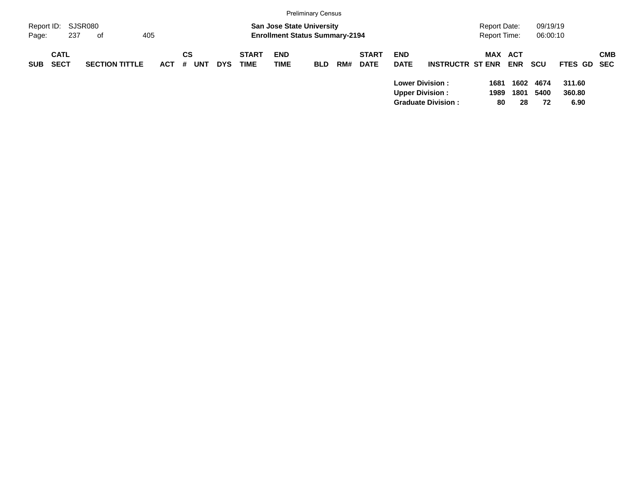|                     |                            |                       |            |                       |            |                             |                                                                           | <b>Preliminary Census</b> |     |                             |                           |                                                     |                                     |                    |                      |                          |            |
|---------------------|----------------------------|-----------------------|------------|-----------------------|------------|-----------------------------|---------------------------------------------------------------------------|---------------------------|-----|-----------------------------|---------------------------|-----------------------------------------------------|-------------------------------------|--------------------|----------------------|--------------------------|------------|
| Report ID:<br>Page: | 237                        | SJSR080<br>405<br>0f  |            |                       |            |                             | <b>San Jose State University</b><br><b>Enrollment Status Summary-2194</b> |                           |     |                             |                           |                                                     | Report Date:<br><b>Report Time:</b> |                    | 09/19/19<br>06:00:10 |                          |            |
| <b>SUB</b>          | <b>CATL</b><br><b>SECT</b> | <b>SECTION TITTLE</b> | <b>ACT</b> | CS<br><b>UNT</b><br># | <b>DYS</b> | <b>START</b><br><b>TIME</b> | <b>END</b><br>TIME                                                        | <b>BLD</b>                | RM# | <b>START</b><br><b>DATE</b> | <b>END</b><br><b>DATE</b> | <b>INSTRUCTR ST ENR</b>                             | MAX                                 | ACT<br><b>ENR</b>  | <b>SCU</b>           | FTES GD SEC              | <b>CMB</b> |
|                     |                            |                       |            |                       |            |                             |                                                                           |                           |     |                             | <b>Upper Division:</b>    | <b>Lower Division:</b><br><b>Graduate Division:</b> | 1681<br>1989<br>80                  | 1602<br>1801<br>28 | 4674<br>5400<br>72   | 311.60<br>360.80<br>6.90 |            |